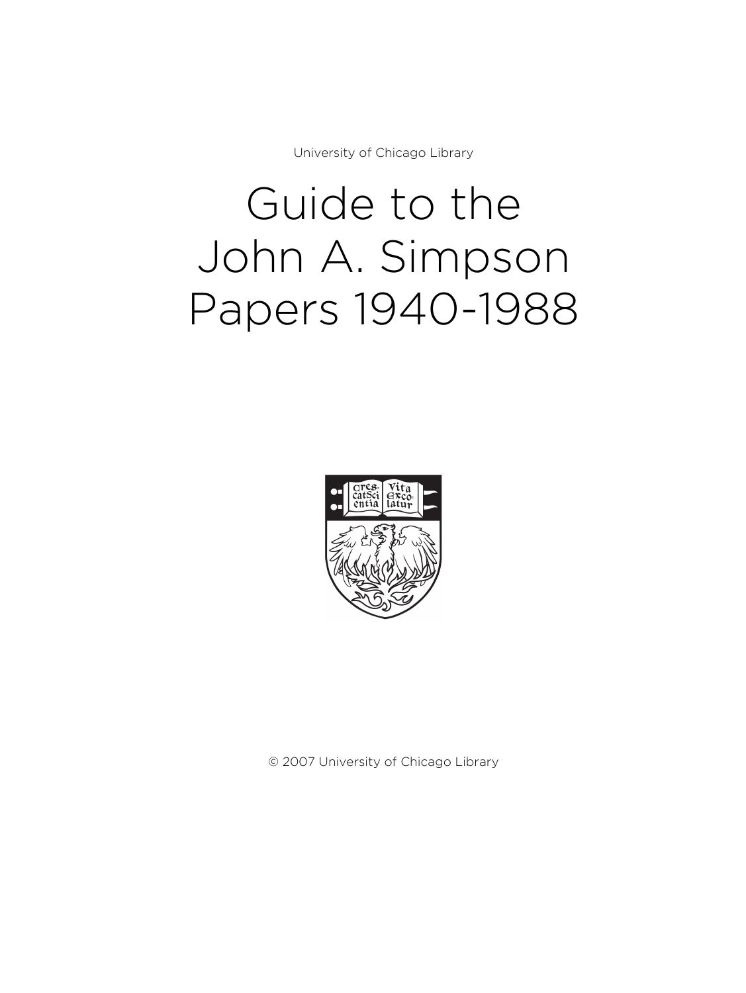University of Chicago Library

# Guide to the John A. Simpson Papers 1940-1988



© 2007 University of Chicago Library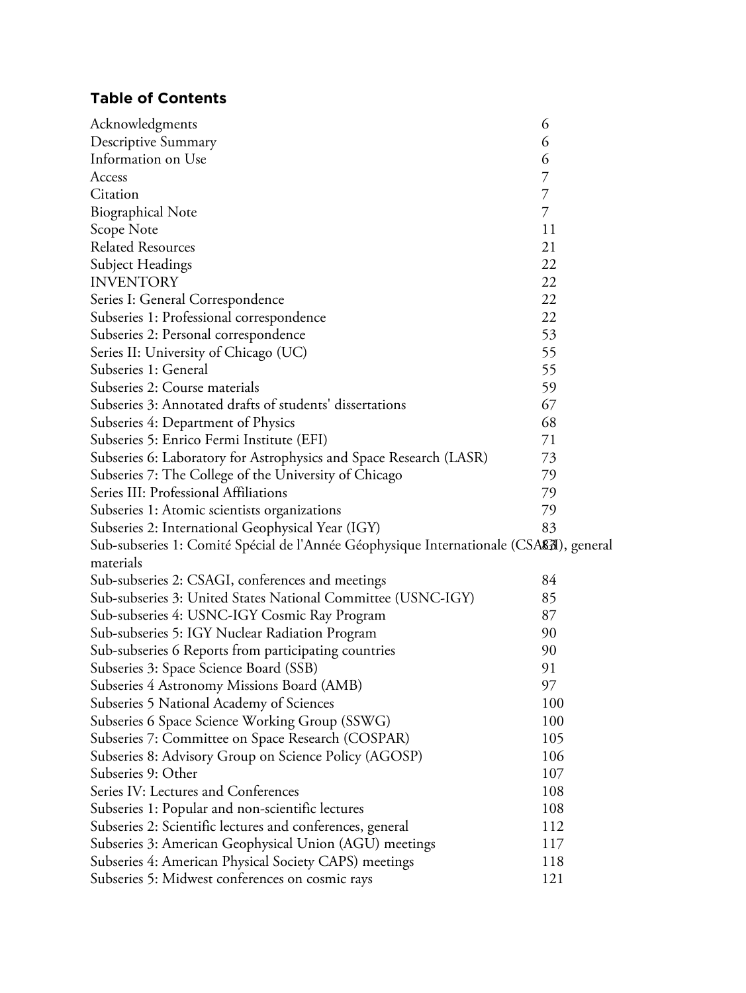# **Table of Contents**

| Acknowledgments                                                                                     | 6   |
|-----------------------------------------------------------------------------------------------------|-----|
| Descriptive Summary                                                                                 | 6   |
| Information on Use                                                                                  | 6   |
| Access                                                                                              | 7   |
| Citation                                                                                            | 7   |
| <b>Biographical Note</b>                                                                            | 7   |
| Scope Note                                                                                          | 11  |
| <b>Related Resources</b>                                                                            | 21  |
| Subject Headings                                                                                    | 22  |
| <b>INVENTORY</b>                                                                                    | 22  |
| Series I: General Correspondence                                                                    | 22  |
| Subseries 1: Professional correspondence                                                            | 22  |
| Subseries 2: Personal correspondence                                                                | 53  |
| Series II: University of Chicago (UC)                                                               | 55  |
| Subseries 1: General                                                                                | 55  |
| Subseries 2: Course materials                                                                       | 59  |
| Subseries 3: Annotated drafts of students' dissertations                                            | 67  |
| Subseries 4: Department of Physics                                                                  | 68  |
| Subseries 5: Enrico Fermi Institute (EFI)                                                           | 71  |
| Subseries 6: Laboratory for Astrophysics and Space Research (LASR)                                  | 73  |
| Subseries 7: The College of the University of Chicago                                               | 79  |
| Series III: Professional Affiliations                                                               | 79  |
| Subseries 1: Atomic scientists organizations                                                        | 79  |
| Subseries 2: International Geophysical Year (IGY)                                                   | 83  |
| Sub-subseries 1: Comité Spécial de l'Année Géophysique Internationale (CSA <b>&amp;</b> a), general |     |
| materials                                                                                           |     |
| Sub-subseries 2: CSAGI, conferences and meetings                                                    | 84  |
| Sub-subseries 3: United States National Committee (USNC-IGY)                                        | 85  |
| Sub-subseries 4: USNC-IGY Cosmic Ray Program                                                        | 87  |
| Sub-subseries 5: IGY Nuclear Radiation Program                                                      | 90  |
| Sub-subseries 6 Reports from participating countries                                                | 90  |
| Subseries 3: Space Science Board (SSB)                                                              | 91  |
| Subseries 4 Astronomy Missions Board (AMB)                                                          | 97  |
| Subseries 5 National Academy of Sciences                                                            | 100 |
| Subseries 6 Space Science Working Group (SSWG)                                                      | 100 |
| Subseries 7: Committee on Space Research (COSPAR)                                                   | 105 |
| Subseries 8: Advisory Group on Science Policy (AGOSP)                                               | 106 |
| Subseries 9: Other                                                                                  | 107 |
| Series IV: Lectures and Conferences                                                                 | 108 |
| Subseries 1: Popular and non-scientific lectures                                                    | 108 |
| Subseries 2: Scientific lectures and conferences, general                                           | 112 |
| Subseries 3: American Geophysical Union (AGU) meetings                                              | 117 |
| Subseries 4: American Physical Society CAPS) meetings                                               | 118 |
| Subseries 5: Midwest conferences on cosmic rays                                                     | 121 |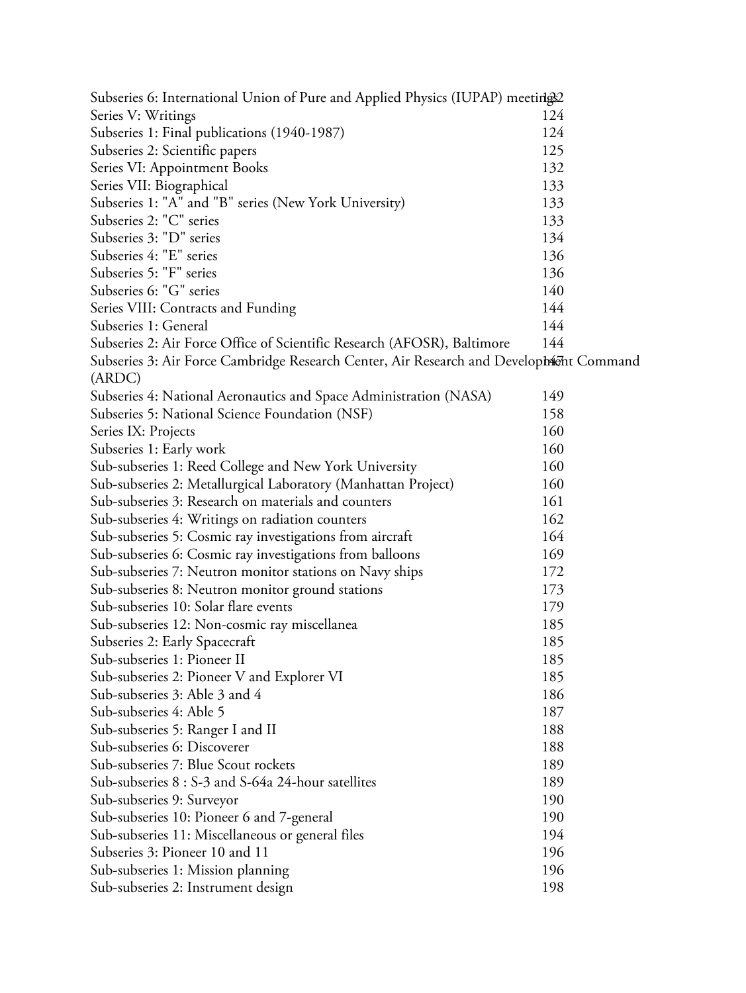| Subseries 6: International Union of Pure and Applied Physics (IUPAP) meeting 2          |     |
|-----------------------------------------------------------------------------------------|-----|
| Series V: Writings                                                                      | 124 |
| Subseries 1: Final publications (1940-1987)                                             | 124 |
| Subseries 2: Scientific papers                                                          | 125 |
| Series VI: Appointment Books                                                            | 132 |
| Series VII: Biographical                                                                | 133 |
| Subseries 1: "A" and "B" series (New York University)                                   | 133 |
| Subseries 2: "C" series                                                                 | 133 |
| Subseries 3: "D" series                                                                 | 134 |
| Subseries 4: "E" series                                                                 | 136 |
| Subseries 5: "F" series                                                                 | 136 |
| Subseries 6: "G" series                                                                 | 140 |
| Series VIII: Contracts and Funding                                                      | 144 |
| Subseries 1: General                                                                    | 144 |
| Subseries 2: Air Force Office of Scientific Research (AFOSR), Baltimore                 | 144 |
| Subseries 3: Air Force Cambridge Research Center, Air Research and Develophient Command |     |
| (ARDC)                                                                                  |     |
| Subseries 4: National Aeronautics and Space Administration (NASA)                       | 149 |
| Subseries 5: National Science Foundation (NSF)                                          | 158 |
| Series IX: Projects                                                                     | 160 |
| Subseries 1: Early work                                                                 | 160 |
| Sub-subseries 1: Reed College and New York University                                   | 160 |
| Sub-subseries 2: Metallurgical Laboratory (Manhattan Project)                           | 160 |
| Sub-subseries 3: Research on materials and counters                                     | 161 |
| Sub-subseries 4: Writings on radiation counters                                         | 162 |
| Sub-subseries 5: Cosmic ray investigations from aircraft                                | 164 |
| Sub-subseries 6: Cosmic ray investigations from balloons                                | 169 |
| Sub-subseries 7: Neutron monitor stations on Navy ships                                 | 172 |
| Sub-subseries 8: Neutron monitor ground stations                                        | 173 |
| Sub-subseries 10: Solar flare events                                                    | 179 |
| Sub-subseries 12: Non-cosmic ray miscellanea                                            | 185 |
| Subseries 2: Early Spacecraft                                                           | 185 |
| Sub-subseries 1: Pioneer II                                                             | 185 |
| Sub-subseries 2: Pioneer V and Explorer VI                                              | 185 |
| Sub-subseries 3: Able 3 and 4                                                           | 186 |
| Sub-subseries 4: Able 5                                                                 | 187 |
| Sub-subseries 5: Ranger I and II                                                        | 188 |
| Sub-subseries 6: Discoverer                                                             | 188 |
| Sub-subseries 7: Blue Scout rockets                                                     | 189 |
| Sub-subseries 8 : S-3 and S-64a 24-hour satellites                                      | 189 |
| Sub-subseries 9: Surveyor                                                               | 190 |
| Sub-subseries 10: Pioneer 6 and 7-general                                               | 190 |
| Sub-subseries 11: Miscellaneous or general files                                        | 194 |
| Subseries 3: Pioneer 10 and 11                                                          | 196 |
| Sub-subseries 1: Mission planning                                                       | 196 |
| Sub-subseries 2: Instrument design                                                      | 198 |
|                                                                                         |     |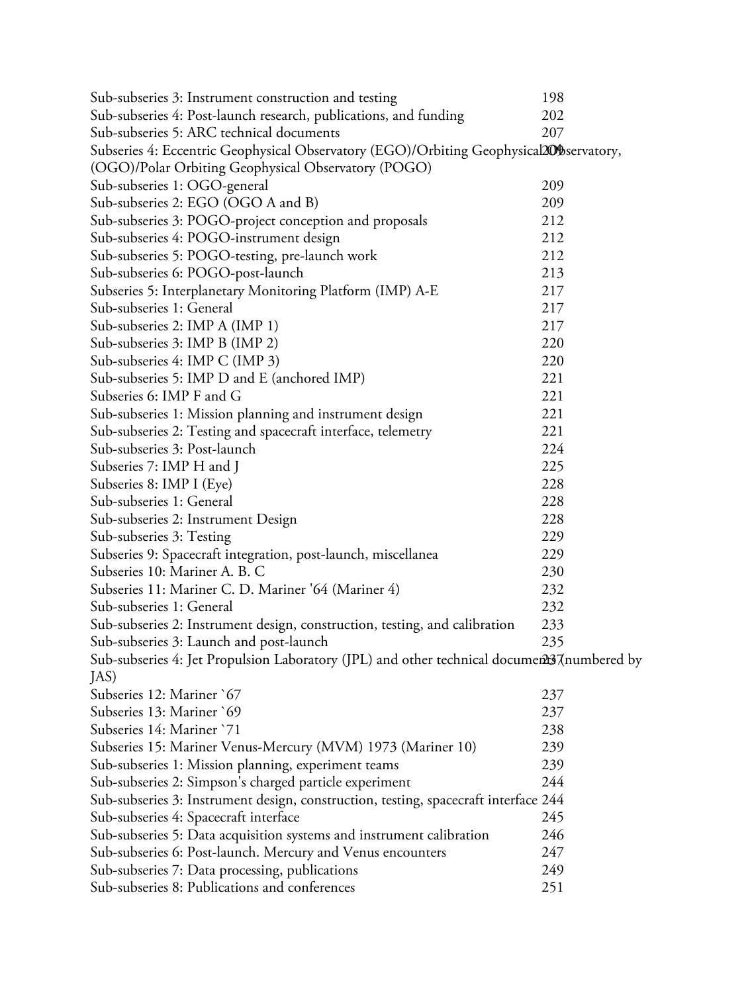| Sub-subseries 3: Instrument construction and testing                                       | 198 |
|--------------------------------------------------------------------------------------------|-----|
| Sub-subseries 4: Post-launch research, publications, and funding                           | 202 |
| Sub-subseries 5: ARC technical documents                                                   | 207 |
| Subseries 4: Eccentric Geophysical Observatory (EGO)/Orbiting Geophysical209bservatory,    |     |
| (OGO)/Polar Orbiting Geophysical Observatory (POGO)                                        |     |
| Sub-subseries 1: OGO-general                                                               | 209 |
| Sub-subseries 2: EGO (OGO A and B)                                                         | 209 |
| Sub-subseries 3: POGO-project conception and proposals                                     | 212 |
| Sub-subseries 4: POGO-instrument design                                                    | 212 |
| Sub-subseries 5: POGO-testing, pre-launch work                                             | 212 |
| Sub-subseries 6: POGO-post-launch                                                          | 213 |
| Subseries 5: Interplanetary Monitoring Platform (IMP) A-E                                  | 217 |
| Sub-subseries 1: General                                                                   | 217 |
| Sub-subseries 2: IMP A (IMP 1)                                                             | 217 |
| Sub-subseries 3: IMP B (IMP 2)                                                             | 220 |
| Sub-subseries 4: IMP C (IMP 3)                                                             | 220 |
| Sub-subseries 5: IMP D and E (anchored IMP)                                                | 221 |
| Subseries 6: IMP F and G                                                                   | 221 |
| Sub-subseries 1: Mission planning and instrument design                                    | 221 |
| Sub-subseries 2: Testing and spacecraft interface, telemetry                               | 221 |
| Sub-subseries 3: Post-launch                                                               | 224 |
| Subseries 7: IMP H and J                                                                   | 225 |
| Subseries 8: IMP I (Eye)                                                                   | 228 |
| Sub-subseries 1: General                                                                   | 228 |
| Sub-subseries 2: Instrument Design                                                         | 228 |
| Sub-subseries 3: Testing                                                                   | 229 |
| Subseries 9: Spacecraft integration, post-launch, miscellanea                              | 229 |
| Subseries 10: Mariner A. B. C                                                              | 230 |
| Subseries 11: Mariner C. D. Mariner '64 (Mariner 4)                                        | 232 |
| Sub-subseries 1: General                                                                   | 232 |
| Sub-subseries 2: Instrument design, construction, testing, and calibration                 | 233 |
| Sub-subseries 3: Launch and post-launch                                                    | 235 |
| Sub-subseries 4: Jet Propulsion Laboratory (JPL) and other technical documen237numbered by |     |
| JAS)                                                                                       |     |
| Subseries 12: Mariner `67                                                                  | 237 |
| Subseries 13: Mariner `69                                                                  | 237 |
| Subseries 14: Mariner `71                                                                  | 238 |
| Subseries 15: Mariner Venus-Mercury (MVM) 1973 (Mariner 10)                                | 239 |
| Sub-subseries 1: Mission planning, experiment teams                                        | 239 |
| Sub-subseries 2: Simpson's charged particle experiment                                     | 244 |
| Sub-subseries 3: Instrument design, construction, testing, spacecraft interface 244        |     |
| Sub-subseries 4: Spacecraft interface                                                      | 245 |
| Sub-subseries 5: Data acquisition systems and instrument calibration                       | 246 |
| Sub-subseries 6: Post-launch. Mercury and Venus encounters                                 | 247 |
| Sub-subseries 7: Data processing, publications                                             | 249 |
| Sub-subseries 8: Publications and conferences                                              | 251 |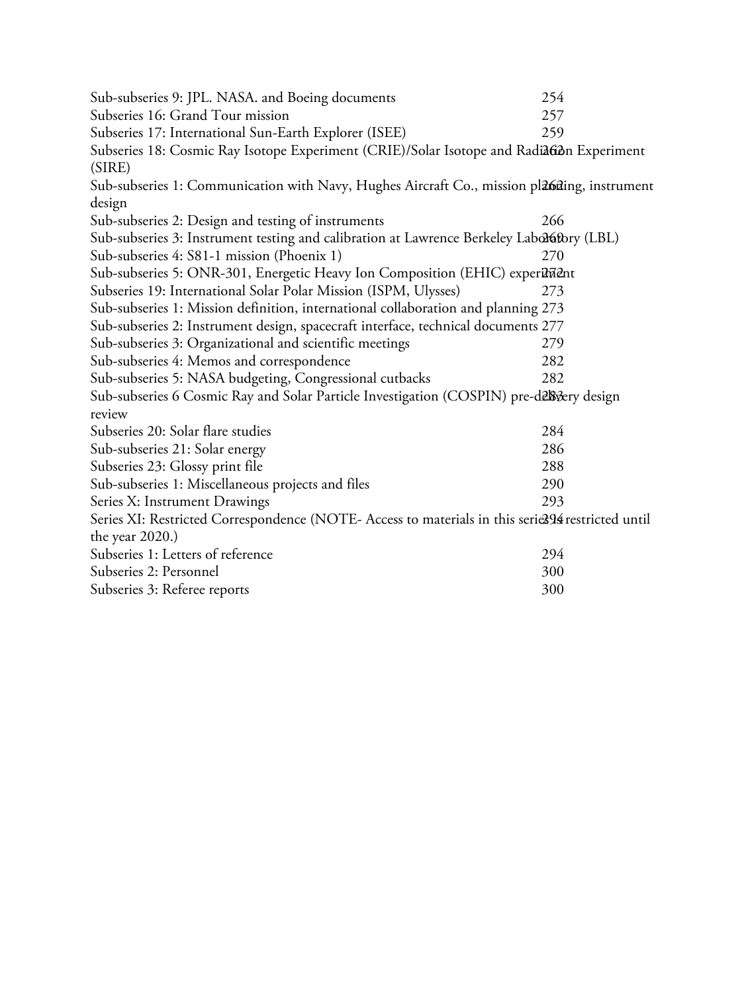| Sub-subseries 9: JPL. NASA. and Boeing documents                                                  | 254 |
|---------------------------------------------------------------------------------------------------|-----|
| Subseries 16: Grand Tour mission                                                                  | 257 |
| Subseries 17: International Sun-Earth Explorer (ISEE)                                             | 259 |
| Subseries 18: Cosmic Ray Isotope Experiment (CRIE)/Solar Isotope and RadiaGon Experiment          |     |
| (SIRE)                                                                                            |     |
| Sub-subseries 1: Communication with Navy, Hughes Aircraft Co., mission plabiling, instrument      |     |
| design                                                                                            |     |
| Sub-subseries 2: Design and testing of instruments                                                | 266 |
| Sub-subseries 3: Instrument testing and calibration at Lawrence Berkeley Labolafbry (LBL)         |     |
| Sub-subseries 4: S81-1 mission (Phoenix 1)                                                        | 270 |
| Sub-subseries 5: ONR-301, Energetic Heavy Ion Composition (EHIC) exper <sup>1</sup> Ment          |     |
| Subseries 19: International Solar Polar Mission (ISPM, Ulysses)                                   | 273 |
| Sub-subseries 1: Mission definition, international collaboration and planning 273                 |     |
| Sub-subseries 2: Instrument design, spacecraft interface, technical documents 277                 |     |
| Sub-subseries 3: Organizational and scientific meetings                                           | 279 |
| Sub-subseries 4: Memos and correspondence                                                         | 282 |
| Sub-subseries 5: NASA budgeting, Congressional cutbacks                                           | 282 |
| Sub-subseries 6 Cosmic Ray and Solar Particle Investigation (COSPIN) pre-delsvery design          |     |
| review                                                                                            |     |
| Subseries 20: Solar flare studies                                                                 | 284 |
| Sub-subseries 21: Solar energy                                                                    | 286 |
| Subseries 23: Glossy print file                                                                   | 288 |
| Sub-subseries 1: Miscellaneous projects and files                                                 | 290 |
| Series X: Instrument Drawings                                                                     | 293 |
| Series XI: Restricted Correspondence (NOTE- Access to materials in this serie394 restricted until |     |
| the year $2020$ .)                                                                                |     |
| Subseries 1: Letters of reference                                                                 | 294 |
| Subseries 2: Personnel                                                                            | 300 |
| Subseries 3: Referee reports                                                                      | 300 |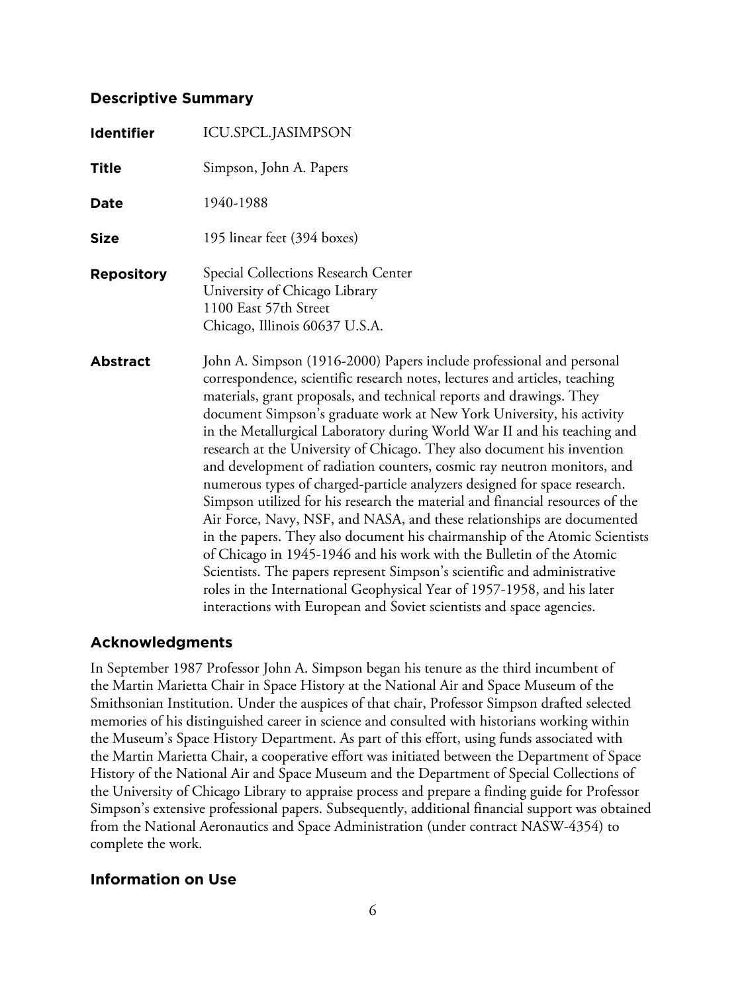## **Descriptive Summary**

| <b>Identifier</b> | ICU.SPCL.JASIMPSON                                                                                                                                                                                                                                                                                                                                                                                                                                                                                                                                                                                                                                                                                                                                                                                                                                                                                                                                                                                                                                                                                                                                                  |
|-------------------|---------------------------------------------------------------------------------------------------------------------------------------------------------------------------------------------------------------------------------------------------------------------------------------------------------------------------------------------------------------------------------------------------------------------------------------------------------------------------------------------------------------------------------------------------------------------------------------------------------------------------------------------------------------------------------------------------------------------------------------------------------------------------------------------------------------------------------------------------------------------------------------------------------------------------------------------------------------------------------------------------------------------------------------------------------------------------------------------------------------------------------------------------------------------|
| <b>Title</b>      | Simpson, John A. Papers                                                                                                                                                                                                                                                                                                                                                                                                                                                                                                                                                                                                                                                                                                                                                                                                                                                                                                                                                                                                                                                                                                                                             |
| <b>Date</b>       | 1940-1988                                                                                                                                                                                                                                                                                                                                                                                                                                                                                                                                                                                                                                                                                                                                                                                                                                                                                                                                                                                                                                                                                                                                                           |
| <b>Size</b>       | 195 linear feet (394 boxes)                                                                                                                                                                                                                                                                                                                                                                                                                                                                                                                                                                                                                                                                                                                                                                                                                                                                                                                                                                                                                                                                                                                                         |
| <b>Repository</b> | Special Collections Research Center<br>University of Chicago Library<br>1100 East 57th Street<br>Chicago, Illinois 60637 U.S.A.                                                                                                                                                                                                                                                                                                                                                                                                                                                                                                                                                                                                                                                                                                                                                                                                                                                                                                                                                                                                                                     |
| <b>Abstract</b>   | John A. Simpson (1916-2000) Papers include professional and personal<br>correspondence, scientific research notes, lectures and articles, teaching<br>materials, grant proposals, and technical reports and drawings. They<br>document Simpson's graduate work at New York University, his activity<br>in the Metallurgical Laboratory during World War II and his teaching and<br>research at the University of Chicago. They also document his invention<br>and development of radiation counters, cosmic ray neutron monitors, and<br>numerous types of charged-particle analyzers designed for space research.<br>Simpson utilized for his research the material and financial resources of the<br>Air Force, Navy, NSF, and NASA, and these relationships are documented<br>in the papers. They also document his chairmanship of the Atomic Scientists<br>of Chicago in 1945-1946 and his work with the Bulletin of the Atomic<br>Scientists. The papers represent Simpson's scientific and administrative<br>roles in the International Geophysical Year of 1957-1958, and his later<br>interactions with European and Soviet scientists and space agencies. |

# **Acknowledgments**

In September 1987 Professor John A. Simpson began his tenure as the third incumbent of the Martin Marietta Chair in Space History at the National Air and Space Museum of the Smithsonian Institution. Under the auspices of that chair, Professor Simpson drafted selected memories of his distinguished career in science and consulted with historians working within the Museum's Space History Department. As part of this effort, using funds associated with the Martin Marietta Chair, a cooperative effort was initiated between the Department of Space History of the National Air and Space Museum and the Department of Special Collections of the University of Chicago Library to appraise process and prepare a finding guide for Professor Simpson's extensive professional papers. Subsequently, additional financial support was obtained from the National Aeronautics and Space Administration (under contract NASW-4354) to complete the work.

# **Information on Use**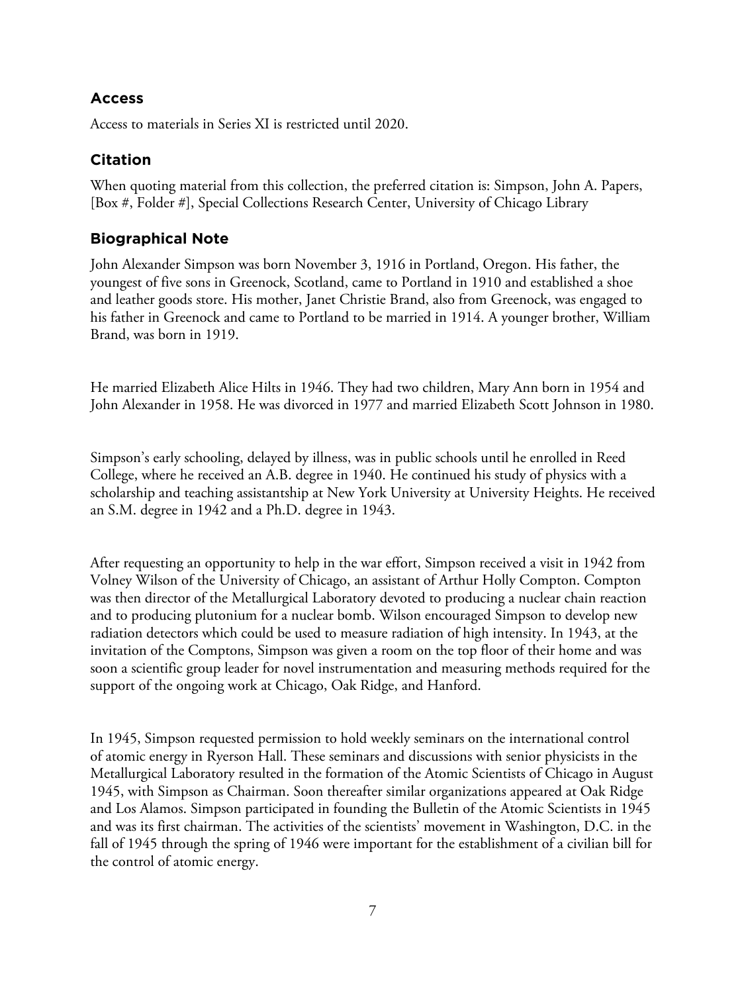# **Access**

Access to materials in Series XI is restricted until 2020.

# **Citation**

When quoting material from this collection, the preferred citation is: Simpson, John A. Papers, [Box #, Folder #], Special Collections Research Center, University of Chicago Library

# **Biographical Note**

John Alexander Simpson was born November 3, 1916 in Portland, Oregon. His father, the youngest of five sons in Greenock, Scotland, came to Portland in 1910 and established a shoe and leather goods store. His mother, Janet Christie Brand, also from Greenock, was engaged to his father in Greenock and came to Portland to be married in 1914. A younger brother, William Brand, was born in 1919.

He married Elizabeth Alice Hilts in 1946. They had two children, Mary Ann born in 1954 and John Alexander in 1958. He was divorced in 1977 and married Elizabeth Scott Johnson in 1980.

Simpson's early schooling, delayed by illness, was in public schools until he enrolled in Reed College, where he received an A.B. degree in 1940. He continued his study of physics with a scholarship and teaching assistantship at New York University at University Heights. He received an S.M. degree in 1942 and a Ph.D. degree in 1943.

After requesting an opportunity to help in the war effort, Simpson received a visit in 1942 from Volney Wilson of the University of Chicago, an assistant of Arthur Holly Compton. Compton was then director of the Metallurgical Laboratory devoted to producing a nuclear chain reaction and to producing plutonium for a nuclear bomb. Wilson encouraged Simpson to develop new radiation detectors which could be used to measure radiation of high intensity. In 1943, at the invitation of the Comptons, Simpson was given a room on the top floor of their home and was soon a scientific group leader for novel instrumentation and measuring methods required for the support of the ongoing work at Chicago, Oak Ridge, and Hanford.

In 1945, Simpson requested permission to hold weekly seminars on the international control of atomic energy in Ryerson Hall. These seminars and discussions with senior physicists in the Metallurgical Laboratory resulted in the formation of the Atomic Scientists of Chicago in August 1945, with Simpson as Chairman. Soon thereafter similar organizations appeared at Oak Ridge and Los Alamos. Simpson participated in founding the Bulletin of the Atomic Scientists in 1945 and was its first chairman. The activities of the scientists' movement in Washington, D.C. in the fall of 1945 through the spring of 1946 were important for the establishment of a civilian bill for the control of atomic energy.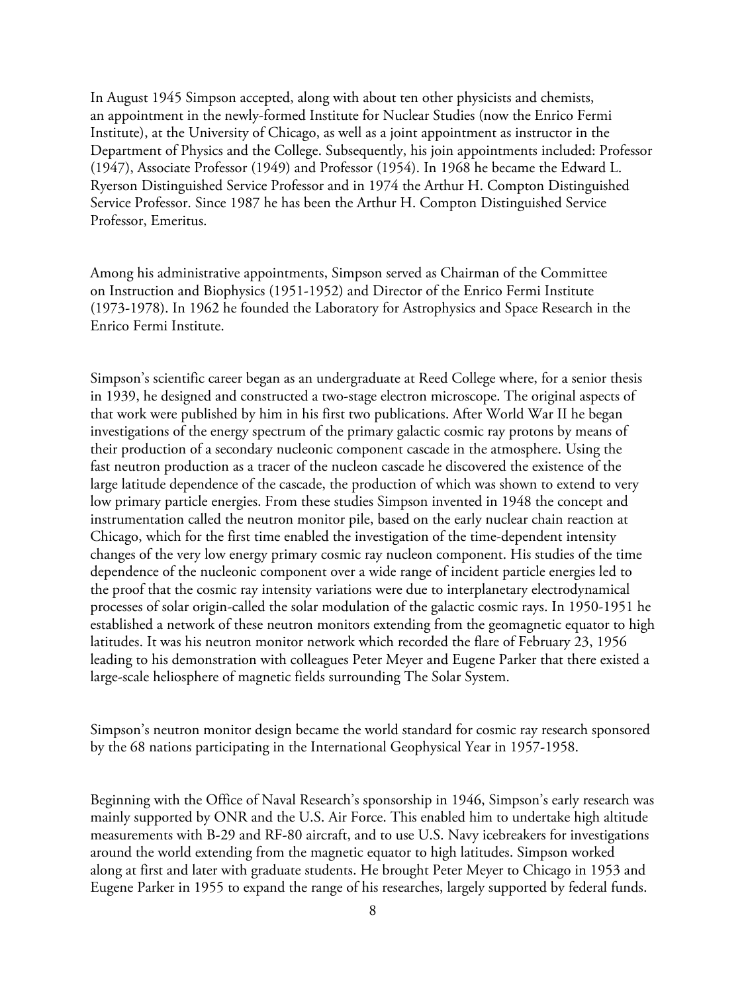In August 1945 Simpson accepted, along with about ten other physicists and chemists, an appointment in the newly-formed Institute for Nuclear Studies (now the Enrico Fermi Institute), at the University of Chicago, as well as a joint appointment as instructor in the Department of Physics and the College. Subsequently, his join appointments included: Professor (1947), Associate Professor (1949) and Professor (1954). In 1968 he became the Edward L. Ryerson Distinguished Service Professor and in 1974 the Arthur H. Compton Distinguished Service Professor. Since 1987 he has been the Arthur H. Compton Distinguished Service Professor, Emeritus.

Among his administrative appointments, Simpson served as Chairman of the Committee on Instruction and Biophysics (1951-1952) and Director of the Enrico Fermi Institute (1973-1978). In 1962 he founded the Laboratory for Astrophysics and Space Research in the Enrico Fermi Institute.

Simpson's scientific career began as an undergraduate at Reed College where, for a senior thesis in 1939, he designed and constructed a two-stage electron microscope. The original aspects of that work were published by him in his first two publications. After World War II he began investigations of the energy spectrum of the primary galactic cosmic ray protons by means of their production of a secondary nucleonic component cascade in the atmosphere. Using the fast neutron production as a tracer of the nucleon cascade he discovered the existence of the large latitude dependence of the cascade, the production of which was shown to extend to very low primary particle energies. From these studies Simpson invented in 1948 the concept and instrumentation called the neutron monitor pile, based on the early nuclear chain reaction at Chicago, which for the first time enabled the investigation of the time-dependent intensity changes of the very low energy primary cosmic ray nucleon component. His studies of the time dependence of the nucleonic component over a wide range of incident particle energies led to the proof that the cosmic ray intensity variations were due to interplanetary electrodynamical processes of solar origin-called the solar modulation of the galactic cosmic rays. In 1950-1951 he established a network of these neutron monitors extending from the geomagnetic equator to high latitudes. It was his neutron monitor network which recorded the flare of February 23, 1956 leading to his demonstration with colleagues Peter Meyer and Eugene Parker that there existed a large-scale heliosphere of magnetic fields surrounding The Solar System.

Simpson's neutron monitor design became the world standard for cosmic ray research sponsored by the 68 nations participating in the International Geophysical Year in 1957-1958.

Beginning with the Office of Naval Research's sponsorship in 1946, Simpson's early research was mainly supported by ONR and the U.S. Air Force. This enabled him to undertake high altitude measurements with B-29 and RF-80 aircraft, and to use U.S. Navy icebreakers for investigations around the world extending from the magnetic equator to high latitudes. Simpson worked along at first and later with graduate students. He brought Peter Meyer to Chicago in 1953 and Eugene Parker in 1955 to expand the range of his researches, largely supported by federal funds.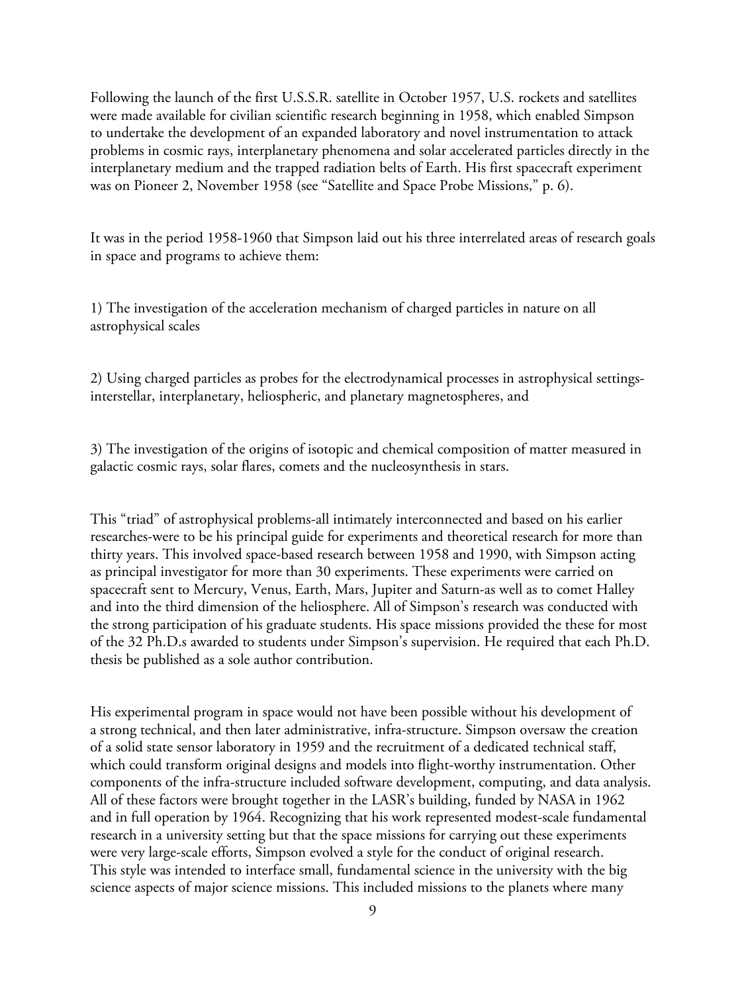Following the launch of the first U.S.S.R. satellite in October 1957, U.S. rockets and satellites were made available for civilian scientific research beginning in 1958, which enabled Simpson to undertake the development of an expanded laboratory and novel instrumentation to attack problems in cosmic rays, interplanetary phenomena and solar accelerated particles directly in the interplanetary medium and the trapped radiation belts of Earth. His first spacecraft experiment was on Pioneer 2, November 1958 (see "Satellite and Space Probe Missions," p. 6).

It was in the period 1958-1960 that Simpson laid out his three interrelated areas of research goals in space and programs to achieve them:

1) The investigation of the acceleration mechanism of charged particles in nature on all astrophysical scales

2) Using charged particles as probes for the electrodynamical processes in astrophysical settingsinterstellar, interplanetary, heliospheric, and planetary magnetospheres, and

3) The investigation of the origins of isotopic and chemical composition of matter measured in galactic cosmic rays, solar flares, comets and the nucleosynthesis in stars.

This "triad" of astrophysical problems-all intimately interconnected and based on his earlier researches-were to be his principal guide for experiments and theoretical research for more than thirty years. This involved space-based research between 1958 and 1990, with Simpson acting as principal investigator for more than 30 experiments. These experiments were carried on spacecraft sent to Mercury, Venus, Earth, Mars, Jupiter and Saturn-as well as to comet Halley and into the third dimension of the heliosphere. All of Simpson's research was conducted with the strong participation of his graduate students. His space missions provided the these for most of the 32 Ph.D.s awarded to students under Simpson's supervision. He required that each Ph.D. thesis be published as a sole author contribution.

His experimental program in space would not have been possible without his development of a strong technical, and then later administrative, infra-structure. Simpson oversaw the creation of a solid state sensor laboratory in 1959 and the recruitment of a dedicated technical staff, which could transform original designs and models into flight-worthy instrumentation. Other components of the infra-structure included software development, computing, and data analysis. All of these factors were brought together in the LASR's building, funded by NASA in 1962 and in full operation by 1964. Recognizing that his work represented modest-scale fundamental research in a university setting but that the space missions for carrying out these experiments were very large-scale efforts, Simpson evolved a style for the conduct of original research. This style was intended to interface small, fundamental science in the university with the big science aspects of major science missions. This included missions to the planets where many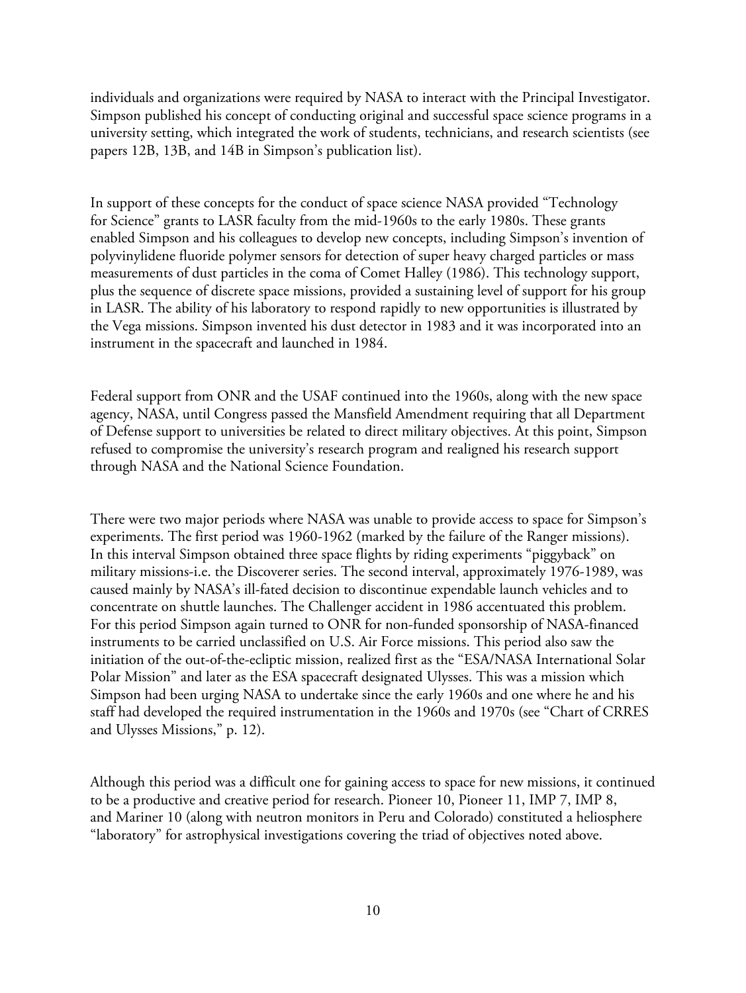individuals and organizations were required by NASA to interact with the Principal Investigator. Simpson published his concept of conducting original and successful space science programs in a university setting, which integrated the work of students, technicians, and research scientists (see papers 12B, 13B, and 14B in Simpson's publication list).

In support of these concepts for the conduct of space science NASA provided "Technology for Science" grants to LASR faculty from the mid-1960s to the early 1980s. These grants enabled Simpson and his colleagues to develop new concepts, including Simpson's invention of polyvinylidene fluoride polymer sensors for detection of super heavy charged particles or mass measurements of dust particles in the coma of Comet Halley (1986). This technology support, plus the sequence of discrete space missions, provided a sustaining level of support for his group in LASR. The ability of his laboratory to respond rapidly to new opportunities is illustrated by the Vega missions. Simpson invented his dust detector in 1983 and it was incorporated into an instrument in the spacecraft and launched in 1984.

Federal support from ONR and the USAF continued into the 1960s, along with the new space agency, NASA, until Congress passed the Mansfield Amendment requiring that all Department of Defense support to universities be related to direct military objectives. At this point, Simpson refused to compromise the university's research program and realigned his research support through NASA and the National Science Foundation.

There were two major periods where NASA was unable to provide access to space for Simpson's experiments. The first period was 1960-1962 (marked by the failure of the Ranger missions). In this interval Simpson obtained three space flights by riding experiments "piggyback" on military missions-i.e. the Discoverer series. The second interval, approximately 1976-1989, was caused mainly by NASA's ill-fated decision to discontinue expendable launch vehicles and to concentrate on shuttle launches. The Challenger accident in 1986 accentuated this problem. For this period Simpson again turned to ONR for non-funded sponsorship of NASA-financed instruments to be carried unclassified on U.S. Air Force missions. This period also saw the initiation of the out-of-the-ecliptic mission, realized first as the "ESA/NASA International Solar Polar Mission" and later as the ESA spacecraft designated Ulysses. This was a mission which Simpson had been urging NASA to undertake since the early 1960s and one where he and his staff had developed the required instrumentation in the 1960s and 1970s (see "Chart of CRRES and Ulysses Missions," p. 12).

Although this period was a difficult one for gaining access to space for new missions, it continued to be a productive and creative period for research. Pioneer 10, Pioneer 11, IMP 7, IMP 8, and Mariner 10 (along with neutron monitors in Peru and Colorado) constituted a heliosphere "laboratory" for astrophysical investigations covering the triad of objectives noted above.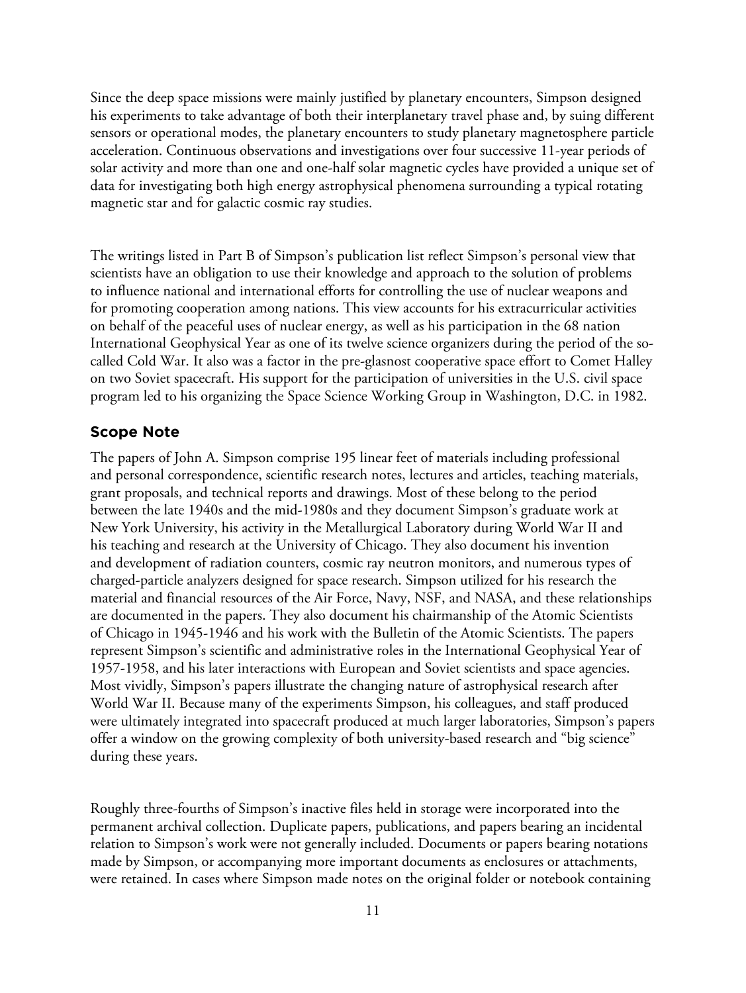Since the deep space missions were mainly justified by planetary encounters, Simpson designed his experiments to take advantage of both their interplanetary travel phase and, by suing different sensors or operational modes, the planetary encounters to study planetary magnetosphere particle acceleration. Continuous observations and investigations over four successive 11-year periods of solar activity and more than one and one-half solar magnetic cycles have provided a unique set of data for investigating both high energy astrophysical phenomena surrounding a typical rotating magnetic star and for galactic cosmic ray studies.

The writings listed in Part B of Simpson's publication list reflect Simpson's personal view that scientists have an obligation to use their knowledge and approach to the solution of problems to influence national and international efforts for controlling the use of nuclear weapons and for promoting cooperation among nations. This view accounts for his extracurricular activities on behalf of the peaceful uses of nuclear energy, as well as his participation in the 68 nation International Geophysical Year as one of its twelve science organizers during the period of the socalled Cold War. It also was a factor in the pre-glasnost cooperative space effort to Comet Halley on two Soviet spacecraft. His support for the participation of universities in the U.S. civil space program led to his organizing the Space Science Working Group in Washington, D.C. in 1982.

#### **Scope Note**

The papers of John A. Simpson comprise 195 linear feet of materials including professional and personal correspondence, scientific research notes, lectures and articles, teaching materials, grant proposals, and technical reports and drawings. Most of these belong to the period between the late 1940s and the mid-1980s and they document Simpson's graduate work at New York University, his activity in the Metallurgical Laboratory during World War II and his teaching and research at the University of Chicago. They also document his invention and development of radiation counters, cosmic ray neutron monitors, and numerous types of charged-particle analyzers designed for space research. Simpson utilized for his research the material and financial resources of the Air Force, Navy, NSF, and NASA, and these relationships are documented in the papers. They also document his chairmanship of the Atomic Scientists of Chicago in 1945-1946 and his work with the Bulletin of the Atomic Scientists. The papers represent Simpson's scientific and administrative roles in the International Geophysical Year of 1957-1958, and his later interactions with European and Soviet scientists and space agencies. Most vividly, Simpson's papers illustrate the changing nature of astrophysical research after World War II. Because many of the experiments Simpson, his colleagues, and staff produced were ultimately integrated into spacecraft produced at much larger laboratories, Simpson's papers offer a window on the growing complexity of both university-based research and "big science" during these years.

Roughly three-fourths of Simpson's inactive files held in storage were incorporated into the permanent archival collection. Duplicate papers, publications, and papers bearing an incidental relation to Simpson's work were not generally included. Documents or papers bearing notations made by Simpson, or accompanying more important documents as enclosures or attachments, were retained. In cases where Simpson made notes on the original folder or notebook containing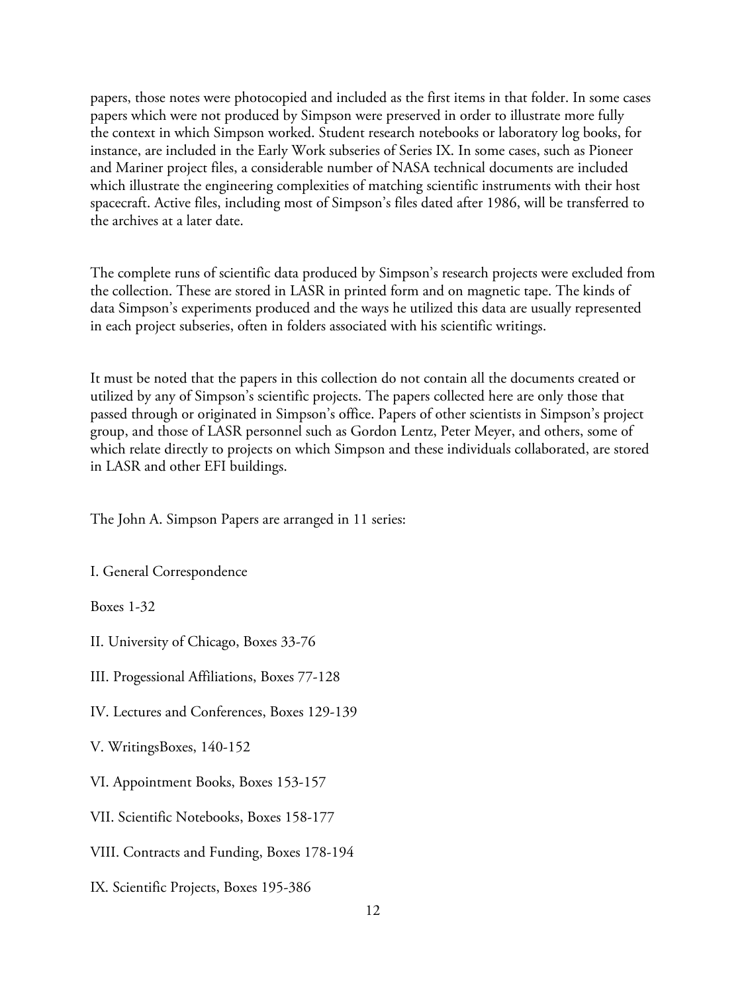papers, those notes were photocopied and included as the first items in that folder. In some cases papers which were not produced by Simpson were preserved in order to illustrate more fully the context in which Simpson worked. Student research notebooks or laboratory log books, for instance, are included in the Early Work subseries of Series IX. In some cases, such as Pioneer and Mariner project files, a considerable number of NASA technical documents are included which illustrate the engineering complexities of matching scientific instruments with their host spacecraft. Active files, including most of Simpson's files dated after 1986, will be transferred to the archives at a later date.

The complete runs of scientific data produced by Simpson's research projects were excluded from the collection. These are stored in LASR in printed form and on magnetic tape. The kinds of data Simpson's experiments produced and the ways he utilized this data are usually represented in each project subseries, often in folders associated with his scientific writings.

It must be noted that the papers in this collection do not contain all the documents created or utilized by any of Simpson's scientific projects. The papers collected here are only those that passed through or originated in Simpson's office. Papers of other scientists in Simpson's project group, and those of LASR personnel such as Gordon Lentz, Peter Meyer, and others, some of which relate directly to projects on which Simpson and these individuals collaborated, are stored in LASR and other EFI buildings.

The John A. Simpson Papers are arranged in 11 series:

I. General Correspondence

Boxes 1-32

II. University of Chicago, Boxes 33-76

III. Progessional Affiliations, Boxes 77-128

IV. Lectures and Conferences, Boxes 129-139

V. WritingsBoxes, 140-152

VI. Appointment Books, Boxes 153-157

VII. Scientific Notebooks, Boxes 158-177

VIII. Contracts and Funding, Boxes 178-194

IX. Scientific Projects, Boxes 195-386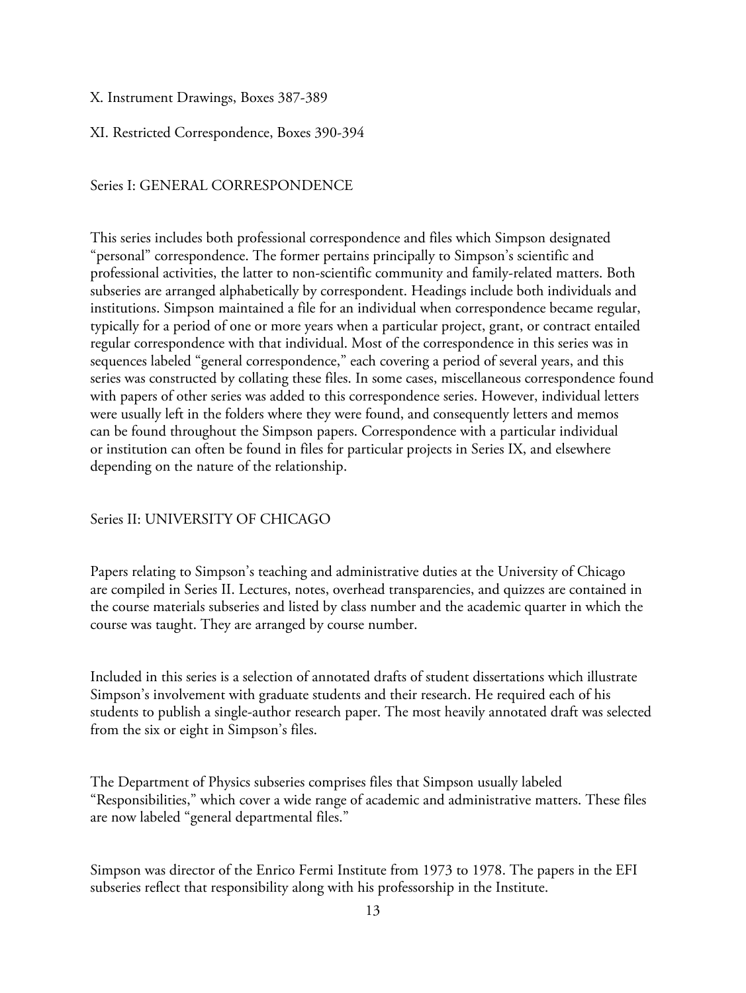#### X. Instrument Drawings, Boxes 387-389

XI. Restricted Correspondence, Boxes 390-394

#### Series I: GENERAL CORRESPONDENCE

This series includes both professional correspondence and files which Simpson designated "personal" correspondence. The former pertains principally to Simpson's scientific and professional activities, the latter to non-scientific community and family-related matters. Both subseries are arranged alphabetically by correspondent. Headings include both individuals and institutions. Simpson maintained a file for an individual when correspondence became regular, typically for a period of one or more years when a particular project, grant, or contract entailed regular correspondence with that individual. Most of the correspondence in this series was in sequences labeled "general correspondence," each covering a period of several years, and this series was constructed by collating these files. In some cases, miscellaneous correspondence found with papers of other series was added to this correspondence series. However, individual letters were usually left in the folders where they were found, and consequently letters and memos can be found throughout the Simpson papers. Correspondence with a particular individual or institution can often be found in files for particular projects in Series IX, and elsewhere depending on the nature of the relationship.

#### Series II: UNIVERSITY OF CHICAGO

Papers relating to Simpson's teaching and administrative duties at the University of Chicago are compiled in Series II. Lectures, notes, overhead transparencies, and quizzes are contained in the course materials subseries and listed by class number and the academic quarter in which the course was taught. They are arranged by course number.

Included in this series is a selection of annotated drafts of student dissertations which illustrate Simpson's involvement with graduate students and their research. He required each of his students to publish a single-author research paper. The most heavily annotated draft was selected from the six or eight in Simpson's files.

The Department of Physics subseries comprises files that Simpson usually labeled "Responsibilities," which cover a wide range of academic and administrative matters. These files are now labeled "general departmental files."

Simpson was director of the Enrico Fermi Institute from 1973 to 1978. The papers in the EFI subseries reflect that responsibility along with his professorship in the Institute.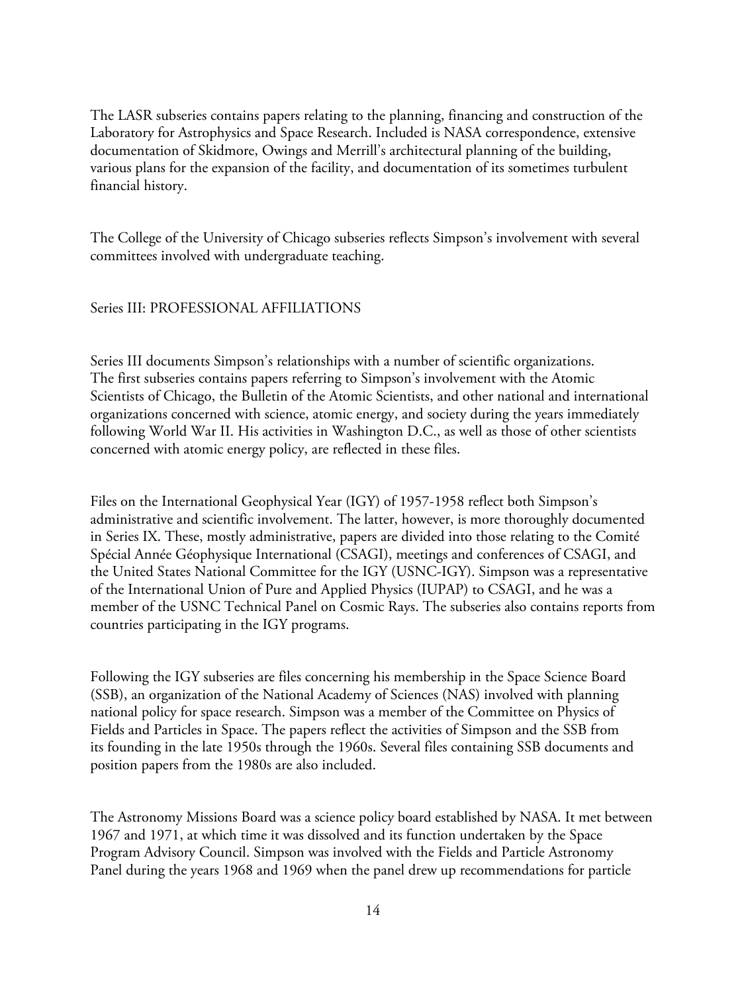The LASR subseries contains papers relating to the planning, financing and construction of the Laboratory for Astrophysics and Space Research. Included is NASA correspondence, extensive documentation of Skidmore, Owings and Merrill's architectural planning of the building, various plans for the expansion of the facility, and documentation of its sometimes turbulent financial history.

The College of the University of Chicago subseries reflects Simpson's involvement with several committees involved with undergraduate teaching.

#### Series III: PROFESSIONAL AFFILIATIONS

Series III documents Simpson's relationships with a number of scientific organizations. The first subseries contains papers referring to Simpson's involvement with the Atomic Scientists of Chicago, the Bulletin of the Atomic Scientists, and other national and international organizations concerned with science, atomic energy, and society during the years immediately following World War II. His activities in Washington D.C., as well as those of other scientists concerned with atomic energy policy, are reflected in these files.

Files on the International Geophysical Year (IGY) of 1957-1958 reflect both Simpson's administrative and scientific involvement. The latter, however, is more thoroughly documented in Series IX. These, mostly administrative, papers are divided into those relating to the Comité Spécial Année Géophysique International (CSAGI), meetings and conferences of CSAGI, and the United States National Committee for the IGY (USNC-IGY). Simpson was a representative of the International Union of Pure and Applied Physics (IUPAP) to CSAGI, and he was a member of the USNC Technical Panel on Cosmic Rays. The subseries also contains reports from countries participating in the IGY programs.

Following the IGY subseries are files concerning his membership in the Space Science Board (SSB), an organization of the National Academy of Sciences (NAS) involved with planning national policy for space research. Simpson was a member of the Committee on Physics of Fields and Particles in Space. The papers reflect the activities of Simpson and the SSB from its founding in the late 1950s through the 1960s. Several files containing SSB documents and position papers from the 1980s are also included.

The Astronomy Missions Board was a science policy board established by NASA. It met between 1967 and 1971, at which time it was dissolved and its function undertaken by the Space Program Advisory Council. Simpson was involved with the Fields and Particle Astronomy Panel during the years 1968 and 1969 when the panel drew up recommendations for particle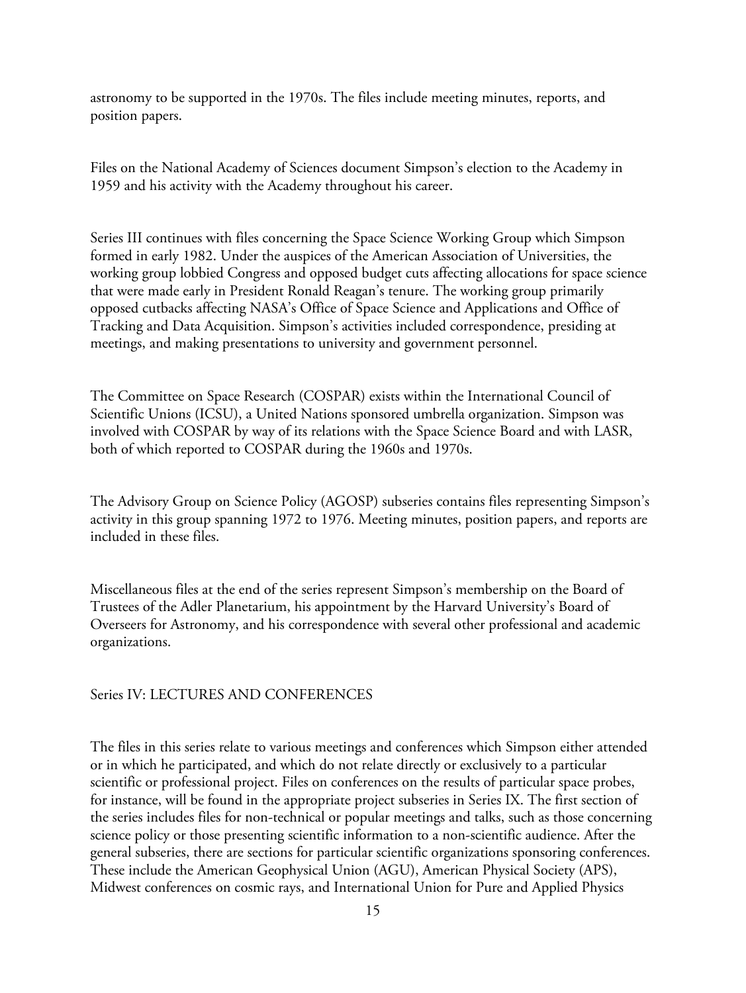astronomy to be supported in the 1970s. The files include meeting minutes, reports, and position papers.

Files on the National Academy of Sciences document Simpson's election to the Academy in 1959 and his activity with the Academy throughout his career.

Series III continues with files concerning the Space Science Working Group which Simpson formed in early 1982. Under the auspices of the American Association of Universities, the working group lobbied Congress and opposed budget cuts affecting allocations for space science that were made early in President Ronald Reagan's tenure. The working group primarily opposed cutbacks affecting NASA's Office of Space Science and Applications and Office of Tracking and Data Acquisition. Simpson's activities included correspondence, presiding at meetings, and making presentations to university and government personnel.

The Committee on Space Research (COSPAR) exists within the International Council of Scientific Unions (ICSU), a United Nations sponsored umbrella organization. Simpson was involved with COSPAR by way of its relations with the Space Science Board and with LASR, both of which reported to COSPAR during the 1960s and 1970s.

The Advisory Group on Science Policy (AGOSP) subseries contains files representing Simpson's activity in this group spanning 1972 to 1976. Meeting minutes, position papers, and reports are included in these files.

Miscellaneous files at the end of the series represent Simpson's membership on the Board of Trustees of the Adler Planetarium, his appointment by the Harvard University's Board of Overseers for Astronomy, and his correspondence with several other professional and academic organizations.

#### Series IV: LECTURES AND CONFERENCES

The files in this series relate to various meetings and conferences which Simpson either attended or in which he participated, and which do not relate directly or exclusively to a particular scientific or professional project. Files on conferences on the results of particular space probes, for instance, will be found in the appropriate project subseries in Series IX. The first section of the series includes files for non-technical or popular meetings and talks, such as those concerning science policy or those presenting scientific information to a non-scientific audience. After the general subseries, there are sections for particular scientific organizations sponsoring conferences. These include the American Geophysical Union (AGU), American Physical Society (APS), Midwest conferences on cosmic rays, and International Union for Pure and Applied Physics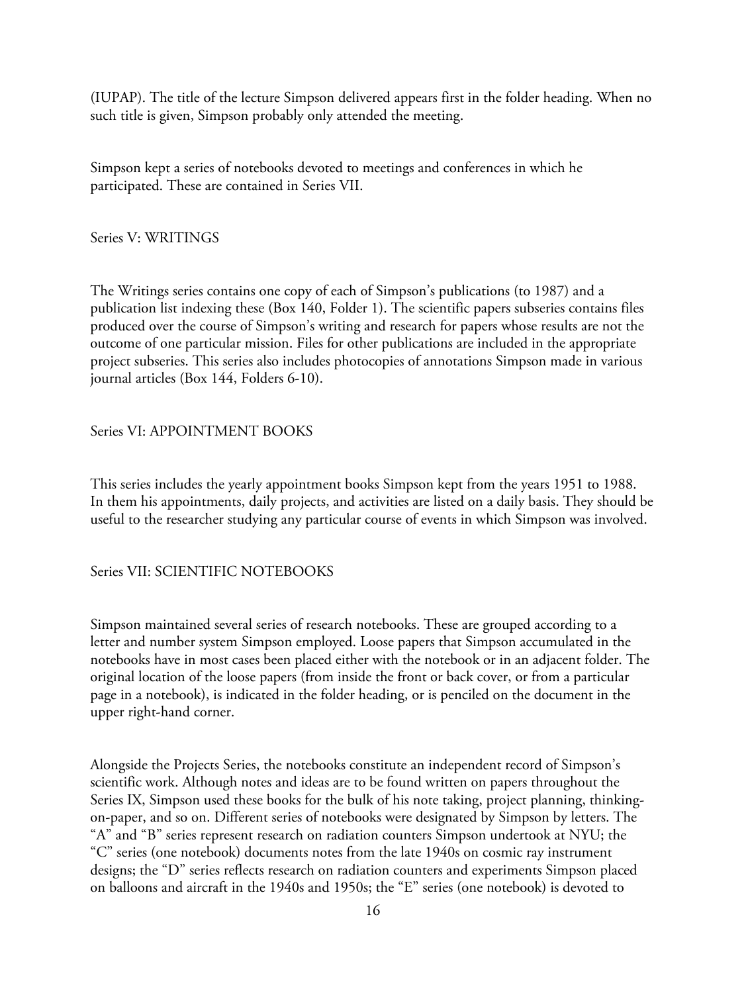(IUPAP). The title of the lecture Simpson delivered appears first in the folder heading. When no such title is given, Simpson probably only attended the meeting.

Simpson kept a series of notebooks devoted to meetings and conferences in which he participated. These are contained in Series VII.

Series V: WRITINGS

The Writings series contains one copy of each of Simpson's publications (to 1987) and a publication list indexing these (Box 140, Folder 1). The scientific papers subseries contains files produced over the course of Simpson's writing and research for papers whose results are not the outcome of one particular mission. Files for other publications are included in the appropriate project subseries. This series also includes photocopies of annotations Simpson made in various journal articles (Box 144, Folders 6-10).

## Series VI: APPOINTMENT BOOKS

This series includes the yearly appointment books Simpson kept from the years 1951 to 1988. In them his appointments, daily projects, and activities are listed on a daily basis. They should be useful to the researcher studying any particular course of events in which Simpson was involved.

Series VII: SCIENTIFIC NOTEBOOKS

Simpson maintained several series of research notebooks. These are grouped according to a letter and number system Simpson employed. Loose papers that Simpson accumulated in the notebooks have in most cases been placed either with the notebook or in an adjacent folder. The original location of the loose papers (from inside the front or back cover, or from a particular page in a notebook), is indicated in the folder heading, or is penciled on the document in the upper right-hand corner.

Alongside the Projects Series, the notebooks constitute an independent record of Simpson's scientific work. Although notes and ideas are to be found written on papers throughout the Series IX, Simpson used these books for the bulk of his note taking, project planning, thinkingon-paper, and so on. Different series of notebooks were designated by Simpson by letters. The "A" and "B" series represent research on radiation counters Simpson undertook at NYU; the "C" series (one notebook) documents notes from the late 1940s on cosmic ray instrument designs; the "D" series reflects research on radiation counters and experiments Simpson placed on balloons and aircraft in the 1940s and 1950s; the "E" series (one notebook) is devoted to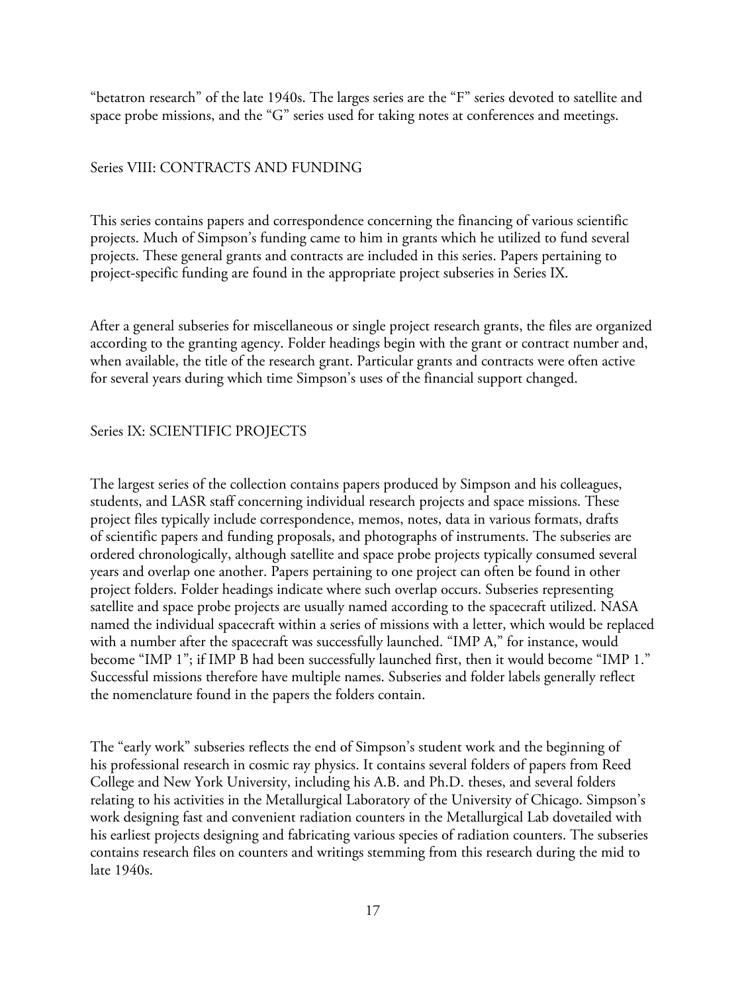"betatron research" of the late 1940s. The larges series are the "F" series devoted to satellite and space probe missions, and the "G" series used for taking notes at conferences and meetings.

#### Series VIII: CONTRACTS AND FUNDING

This series contains papers and correspondence concerning the financing of various scientific projects. Much of Simpson's funding came to him in grants which he utilized to fund several projects. These general grants and contracts are included in this series. Papers pertaining to project-specific funding are found in the appropriate project subseries in Series IX.

After a general subseries for miscellaneous or single project research grants, the files are organized according to the granting agency. Folder headings begin with the grant or contract number and, when available, the title of the research grant. Particular grants and contracts were often active for several years during which time Simpson's uses of the financial support changed.

#### Series IX: SCIENTIFIC PROJECTS

The largest series of the collection contains papers produced by Simpson and his colleagues, students, and LASR staff concerning individual research projects and space missions. These project files typically include correspondence, memos, notes, data in various formats, drafts of scientific papers and funding proposals, and photographs of instruments. The subseries are ordered chronologically, although satellite and space probe projects typically consumed several years and overlap one another. Papers pertaining to one project can often be found in other project folders. Folder headings indicate where such overlap occurs. Subseries representing satellite and space probe projects are usually named according to the spacecraft utilized. NASA named the individual spacecraft within a series of missions with a letter, which would be replaced with a number after the spacecraft was successfully launched. "IMP A," for instance, would become "IMP 1"; if IMP B had been successfully launched first, then it would become "IMP 1." Successful missions therefore have multiple names. Subseries and folder labels generally reflect the nomenclature found in the papers the folders contain.

The "early work" subseries reflects the end of Simpson's student work and the beginning of his professional research in cosmic ray physics. It contains several folders of papers from Reed College and New York University, including his A.B. and Ph.D. theses, and several folders relating to his activities in the Metallurgical Laboratory of the University of Chicago. Simpson's work designing fast and convenient radiation counters in the Metallurgical Lab dovetailed with his earliest projects designing and fabricating various species of radiation counters. The subseries contains research files on counters and writings stemming from this research during the mid to late 1940s.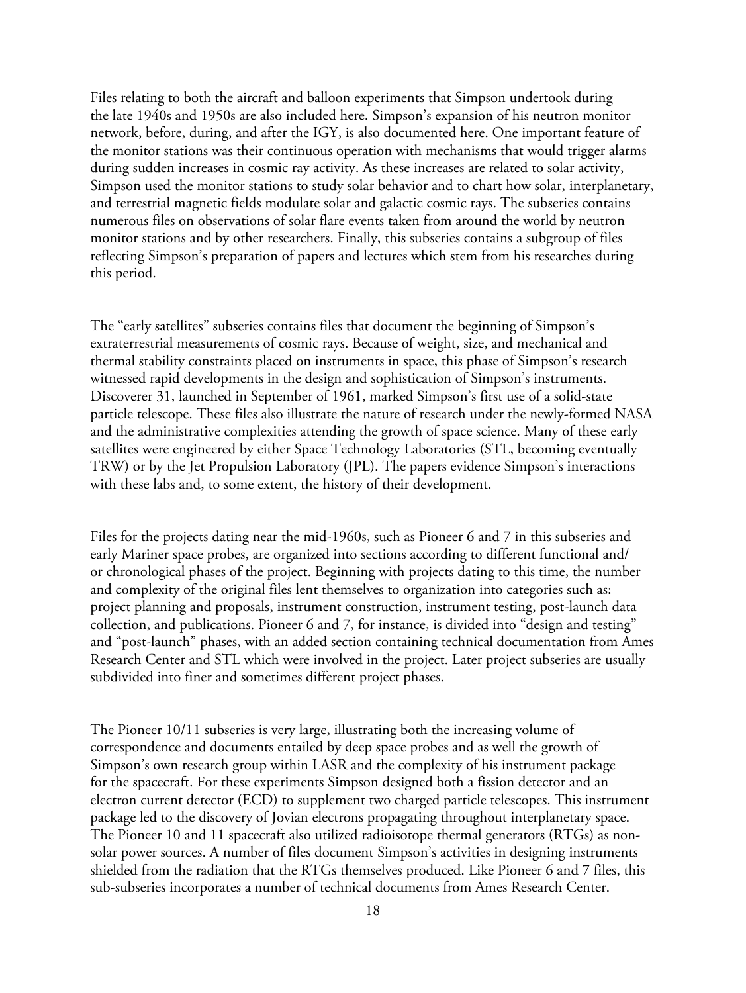Files relating to both the aircraft and balloon experiments that Simpson undertook during the late 1940s and 1950s are also included here. Simpson's expansion of his neutron monitor network, before, during, and after the IGY, is also documented here. One important feature of the monitor stations was their continuous operation with mechanisms that would trigger alarms during sudden increases in cosmic ray activity. As these increases are related to solar activity, Simpson used the monitor stations to study solar behavior and to chart how solar, interplanetary, and terrestrial magnetic fields modulate solar and galactic cosmic rays. The subseries contains numerous files on observations of solar flare events taken from around the world by neutron monitor stations and by other researchers. Finally, this subseries contains a subgroup of files reflecting Simpson's preparation of papers and lectures which stem from his researches during this period.

The "early satellites" subseries contains files that document the beginning of Simpson's extraterrestrial measurements of cosmic rays. Because of weight, size, and mechanical and thermal stability constraints placed on instruments in space, this phase of Simpson's research witnessed rapid developments in the design and sophistication of Simpson's instruments. Discoverer 31, launched in September of 1961, marked Simpson's first use of a solid-state particle telescope. These files also illustrate the nature of research under the newly-formed NASA and the administrative complexities attending the growth of space science. Many of these early satellites were engineered by either Space Technology Laboratories (STL, becoming eventually TRW) or by the Jet Propulsion Laboratory (JPL). The papers evidence Simpson's interactions with these labs and, to some extent, the history of their development.

Files for the projects dating near the mid-1960s, such as Pioneer 6 and 7 in this subseries and early Mariner space probes, are organized into sections according to different functional and/ or chronological phases of the project. Beginning with projects dating to this time, the number and complexity of the original files lent themselves to organization into categories such as: project planning and proposals, instrument construction, instrument testing, post-launch data collection, and publications. Pioneer 6 and 7, for instance, is divided into "design and testing" and "post-launch" phases, with an added section containing technical documentation from Ames Research Center and STL which were involved in the project. Later project subseries are usually subdivided into finer and sometimes different project phases.

The Pioneer 10/11 subseries is very large, illustrating both the increasing volume of correspondence and documents entailed by deep space probes and as well the growth of Simpson's own research group within LASR and the complexity of his instrument package for the spacecraft. For these experiments Simpson designed both a fission detector and an electron current detector (ECD) to supplement two charged particle telescopes. This instrument package led to the discovery of Jovian electrons propagating throughout interplanetary space. The Pioneer 10 and 11 spacecraft also utilized radioisotope thermal generators (RTGs) as nonsolar power sources. A number of files document Simpson's activities in designing instruments shielded from the radiation that the RTGs themselves produced. Like Pioneer 6 and 7 files, this sub-subseries incorporates a number of technical documents from Ames Research Center.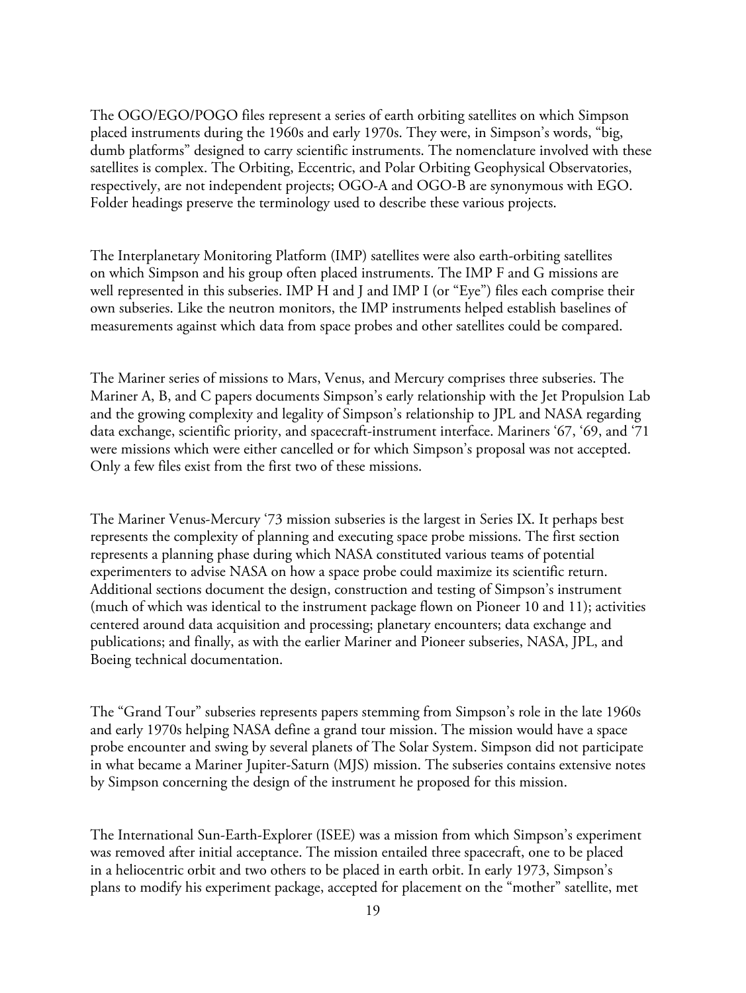The OGO/EGO/POGO files represent a series of earth orbiting satellites on which Simpson placed instruments during the 1960s and early 1970s. They were, in Simpson's words, "big, dumb platforms" designed to carry scientific instruments. The nomenclature involved with these satellites is complex. The Orbiting, Eccentric, and Polar Orbiting Geophysical Observatories, respectively, are not independent projects; OGO-A and OGO-B are synonymous with EGO. Folder headings preserve the terminology used to describe these various projects.

The Interplanetary Monitoring Platform (IMP) satellites were also earth-orbiting satellites on which Simpson and his group often placed instruments. The IMP F and G missions are well represented in this subseries. IMP H and J and IMP I (or "Eye") files each comprise their own subseries. Like the neutron monitors, the IMP instruments helped establish baselines of measurements against which data from space probes and other satellites could be compared.

The Mariner series of missions to Mars, Venus, and Mercury comprises three subseries. The Mariner A, B, and C papers documents Simpson's early relationship with the Jet Propulsion Lab and the growing complexity and legality of Simpson's relationship to JPL and NASA regarding data exchange, scientific priority, and spacecraft-instrument interface. Mariners '67, '69, and '71 were missions which were either cancelled or for which Simpson's proposal was not accepted. Only a few files exist from the first two of these missions.

The Mariner Venus-Mercury '73 mission subseries is the largest in Series IX. It perhaps best represents the complexity of planning and executing space probe missions. The first section represents a planning phase during which NASA constituted various teams of potential experimenters to advise NASA on how a space probe could maximize its scientific return. Additional sections document the design, construction and testing of Simpson's instrument (much of which was identical to the instrument package flown on Pioneer 10 and 11); activities centered around data acquisition and processing; planetary encounters; data exchange and publications; and finally, as with the earlier Mariner and Pioneer subseries, NASA, JPL, and Boeing technical documentation.

The "Grand Tour" subseries represents papers stemming from Simpson's role in the late 1960s and early 1970s helping NASA define a grand tour mission. The mission would have a space probe encounter and swing by several planets of The Solar System. Simpson did not participate in what became a Mariner Jupiter-Saturn (MJS) mission. The subseries contains extensive notes by Simpson concerning the design of the instrument he proposed for this mission.

The International Sun-Earth-Explorer (ISEE) was a mission from which Simpson's experiment was removed after initial acceptance. The mission entailed three spacecraft, one to be placed in a heliocentric orbit and two others to be placed in earth orbit. In early 1973, Simpson's plans to modify his experiment package, accepted for placement on the "mother" satellite, met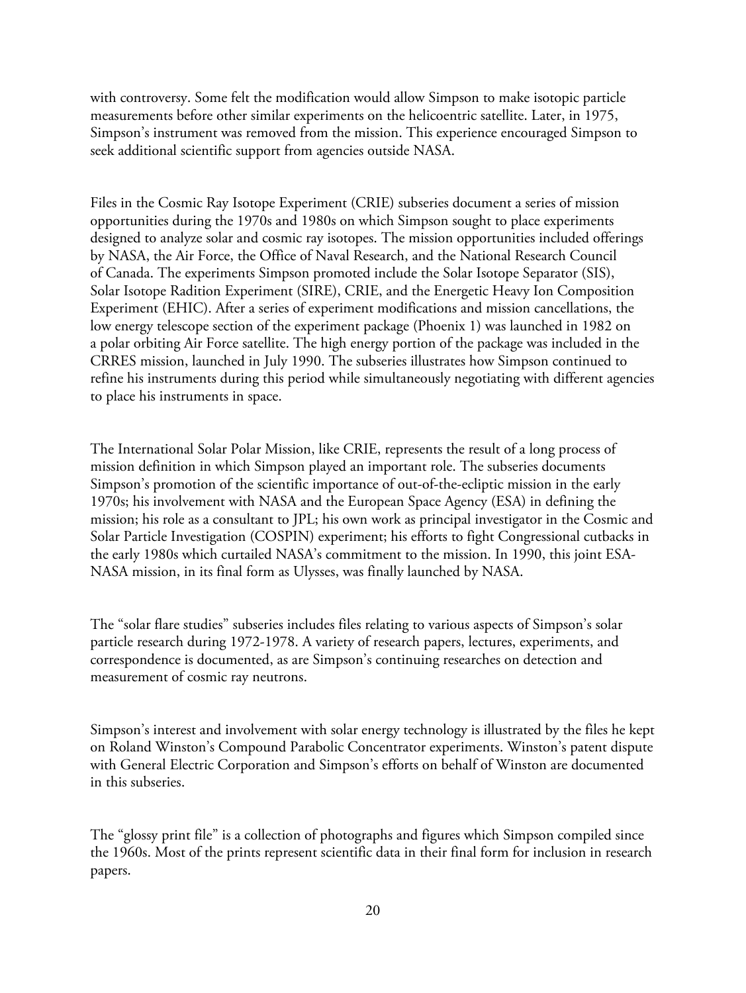with controversy. Some felt the modification would allow Simpson to make isotopic particle measurements before other similar experiments on the helicoentric satellite. Later, in 1975, Simpson's instrument was removed from the mission. This experience encouraged Simpson to seek additional scientific support from agencies outside NASA.

Files in the Cosmic Ray Isotope Experiment (CRIE) subseries document a series of mission opportunities during the 1970s and 1980s on which Simpson sought to place experiments designed to analyze solar and cosmic ray isotopes. The mission opportunities included offerings by NASA, the Air Force, the Office of Naval Research, and the National Research Council of Canada. The experiments Simpson promoted include the Solar Isotope Separator (SIS), Solar Isotope Radition Experiment (SIRE), CRIE, and the Energetic Heavy Ion Composition Experiment (EHIC). After a series of experiment modifications and mission cancellations, the low energy telescope section of the experiment package (Phoenix 1) was launched in 1982 on a polar orbiting Air Force satellite. The high energy portion of the package was included in the CRRES mission, launched in July 1990. The subseries illustrates how Simpson continued to refine his instruments during this period while simultaneously negotiating with different agencies to place his instruments in space.

The International Solar Polar Mission, like CRIE, represents the result of a long process of mission definition in which Simpson played an important role. The subseries documents Simpson's promotion of the scientific importance of out-of-the-ecliptic mission in the early 1970s; his involvement with NASA and the European Space Agency (ESA) in defining the mission; his role as a consultant to JPL; his own work as principal investigator in the Cosmic and Solar Particle Investigation (COSPIN) experiment; his efforts to fight Congressional cutbacks in the early 1980s which curtailed NASA's commitment to the mission. In 1990, this joint ESA-NASA mission, in its final form as Ulysses, was finally launched by NASA.

The "solar flare studies" subseries includes files relating to various aspects of Simpson's solar particle research during 1972-1978. A variety of research papers, lectures, experiments, and correspondence is documented, as are Simpson's continuing researches on detection and measurement of cosmic ray neutrons.

Simpson's interest and involvement with solar energy technology is illustrated by the files he kept on Roland Winston's Compound Parabolic Concentrator experiments. Winston's patent dispute with General Electric Corporation and Simpson's efforts on behalf of Winston are documented in this subseries.

The "glossy print file" is a collection of photographs and figures which Simpson compiled since the 1960s. Most of the prints represent scientific data in their final form for inclusion in research papers.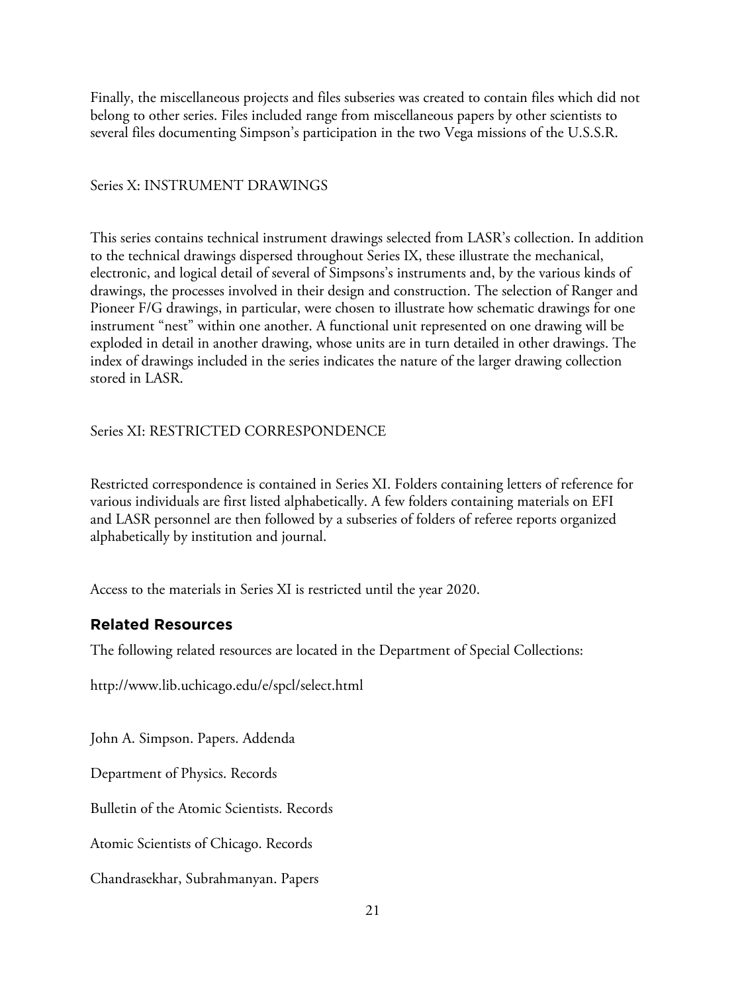Finally, the miscellaneous projects and files subseries was created to contain files which did not belong to other series. Files included range from miscellaneous papers by other scientists to several files documenting Simpson's participation in the two Vega missions of the U.S.S.R.

## Series X: INSTRUMENT DRAWINGS

This series contains technical instrument drawings selected from LASR's collection. In addition to the technical drawings dispersed throughout Series IX, these illustrate the mechanical, electronic, and logical detail of several of Simpsons's instruments and, by the various kinds of drawings, the processes involved in their design and construction. The selection of Ranger and Pioneer F/G drawings, in particular, were chosen to illustrate how schematic drawings for one instrument "nest" within one another. A functional unit represented on one drawing will be exploded in detail in another drawing, whose units are in turn detailed in other drawings. The index of drawings included in the series indicates the nature of the larger drawing collection stored in LASR.

Series XI: RESTRICTED CORRESPONDENCE

Restricted correspondence is contained in Series XI. Folders containing letters of reference for various individuals are first listed alphabetically. A few folders containing materials on EFI and LASR personnel are then followed by a subseries of folders of referee reports organized alphabetically by institution and journal.

Access to the materials in Series XI is restricted until the year 2020.

# **Related Resources**

The following related resources are located in the Department of Special Collections:

http://www.lib.uchicago.edu/e/spcl/select.html

John A. Simpson. Papers. Addenda

Department of Physics. Records

Bulletin of the Atomic Scientists. Records

Atomic Scientists of Chicago. Records

Chandrasekhar, Subrahmanyan. Papers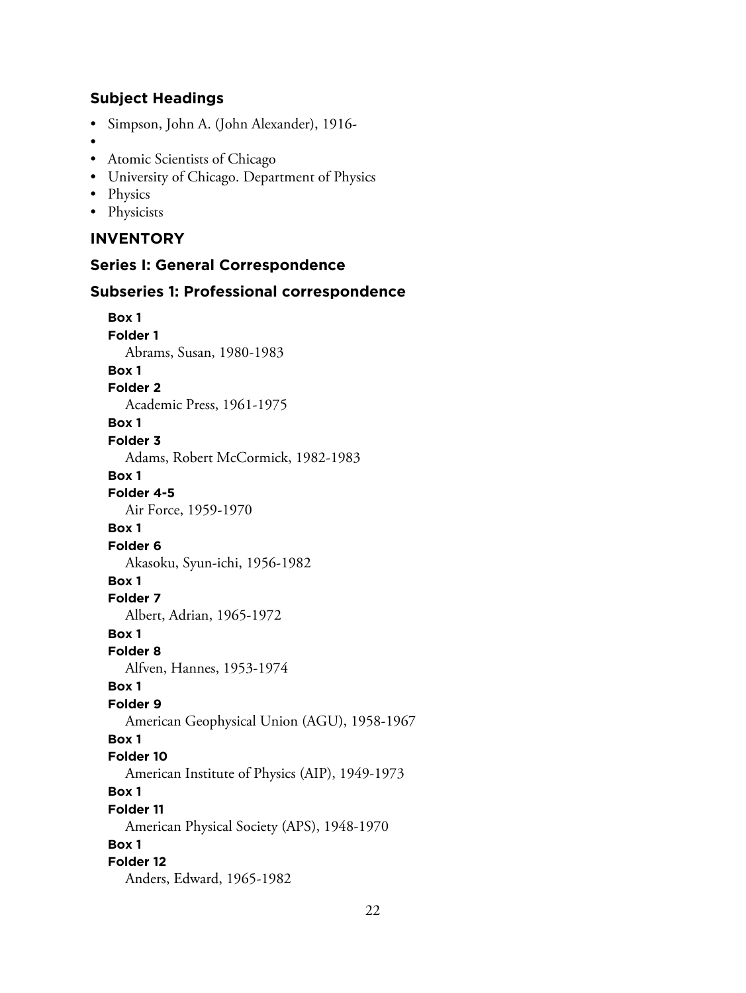# **Subject Headings**

- Simpson, John A. (John Alexander), 1916-
- •
- Atomic Scientists of Chicago
- University of Chicago. Department of Physics
- Physics
- Physicists

# **INVENTORY**

### **Series I: General Correspondence**

#### **Subseries 1: Professional correspondence**

**Box 1 Folder 1** Abrams, Susan, 1980-1983 **Box 1 Folder 2** Academic Press, 1961-1975 **Box 1 Folder 3** Adams, Robert McCormick, 1982-1983 **Box 1 Folder 4-5** Air Force, 1959-1970 **Box 1 Folder 6** Akasoku, Syun-ichi, 1956-1982 **Box 1 Folder 7** Albert, Adrian, 1965-1972 **Box 1 Folder 8** Alfven, Hannes, 1953-1974 **Box 1 Folder 9** American Geophysical Union (AGU), 1958-1967 **Box 1 Folder 10** American Institute of Physics (AIP), 1949-1973 **Box 1 Folder 11** American Physical Society (APS), 1948-1970 **Box 1 Folder 12** Anders, Edward, 1965-1982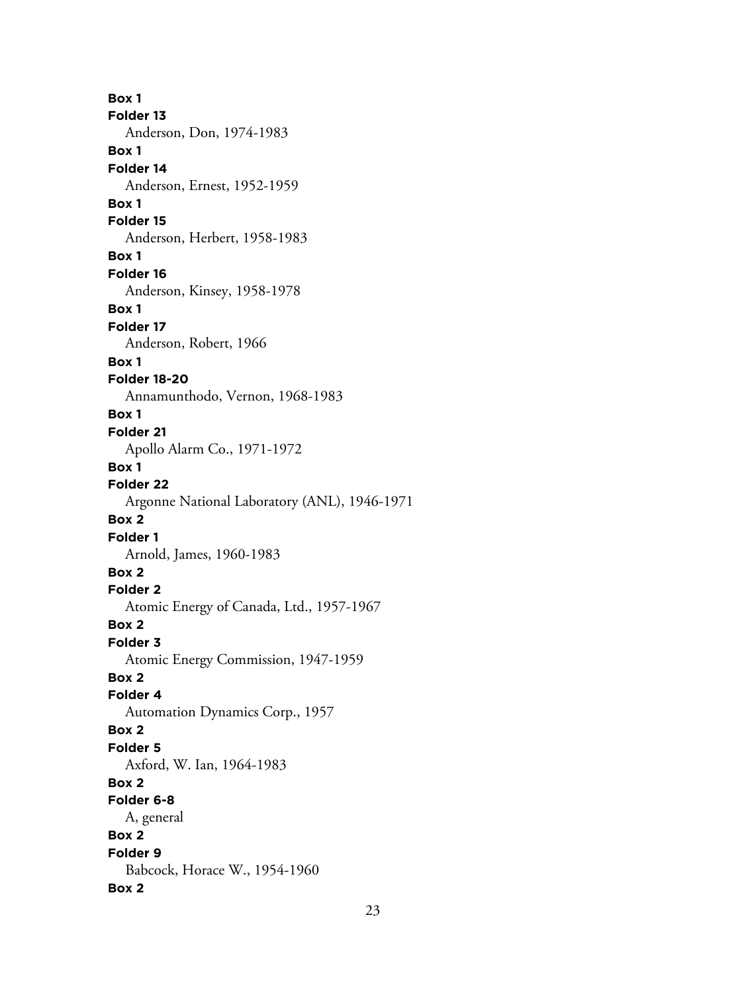**Box 1 Folder 13** Anderson, Don, 1974-1983 **Box 1 Folder 14** Anderson, Ernest, 1952-1959 **Box 1 Folder 15** Anderson, Herbert, 1958-1983 **Box 1 Folder 16** Anderson, Kinsey, 1958-1978 **Box 1 Folder 17** Anderson, Robert, 1966 **Box 1 Folder 18-20** Annamunthodo, Vernon, 1968-1983 **Box 1 Folder 21** Apollo Alarm Co., 1971-1972 **Box 1 Folder 22** Argonne National Laboratory (ANL), 1946-1971 **Box 2 Folder 1** Arnold, James, 1960-1983 **Box 2 Folder 2** Atomic Energy of Canada, Ltd., 1957-1967 **Box 2 Folder 3** Atomic Energy Commission, 1947-1959 **Box 2 Folder 4** Automation Dynamics Corp., 1957 **Box 2 Folder 5** Axford, W. Ian, 1964-1983 **Box 2 Folder 6-8** A, general **Box 2 Folder 9** Babcock, Horace W., 1954-1960 **Box 2**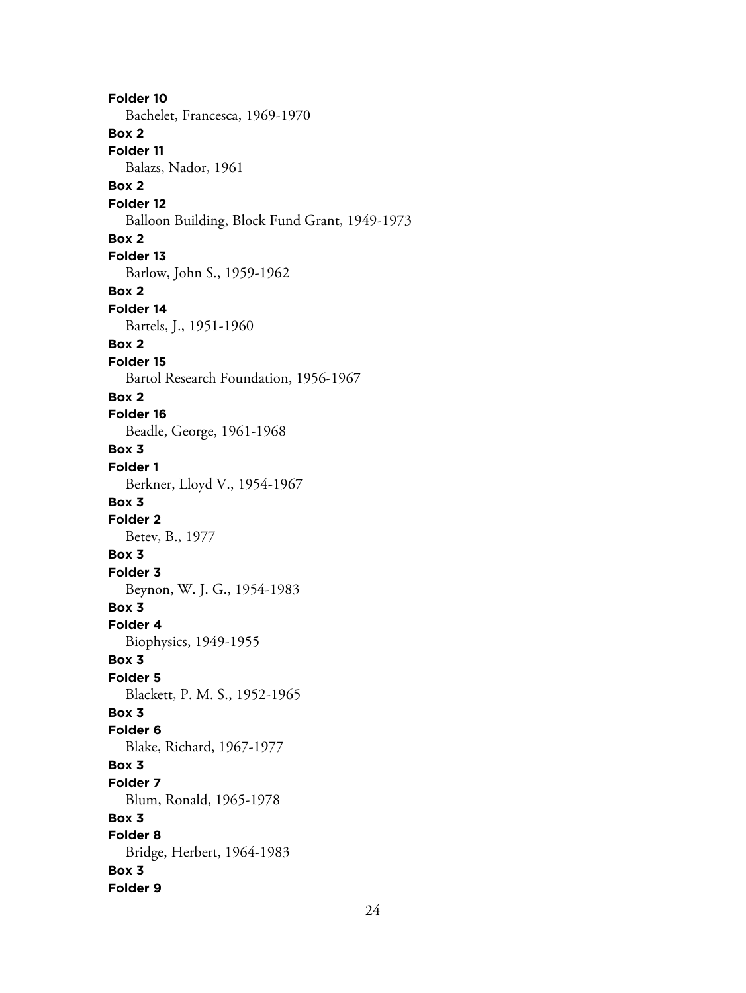**Folder 10** Bachelet, Francesca, 1969-1970 **Box 2 Folder 11** Balazs, Nador, 1961 **Box 2 Folder 12** Balloon Building, Block Fund Grant, 1949-1973 **Box 2 Folder 13** Barlow, John S., 1959-1962 **Box 2 Folder 14** Bartels, J., 1951-1960 **Box 2 Folder 15** Bartol Research Foundation, 1956-1967 **Box 2 Folder 16** Beadle, George, 1961-1968 **Box 3 Folder 1** Berkner, Lloyd V., 1954-1967 **Box 3 Folder 2** Betev, B., 1977 **Box 3 Folder 3** Beynon, W. J. G., 1954-1983 **Box 3 Folder 4** Biophysics, 1949-1955 **Box 3 Folder 5** Blackett, P. M. S., 1952-1965 **Box 3 Folder 6** Blake, Richard, 1967-1977 **Box 3 Folder 7** Blum, Ronald, 1965-1978 **Box 3 Folder 8** Bridge, Herbert, 1964-1983 **Box 3 Folder 9**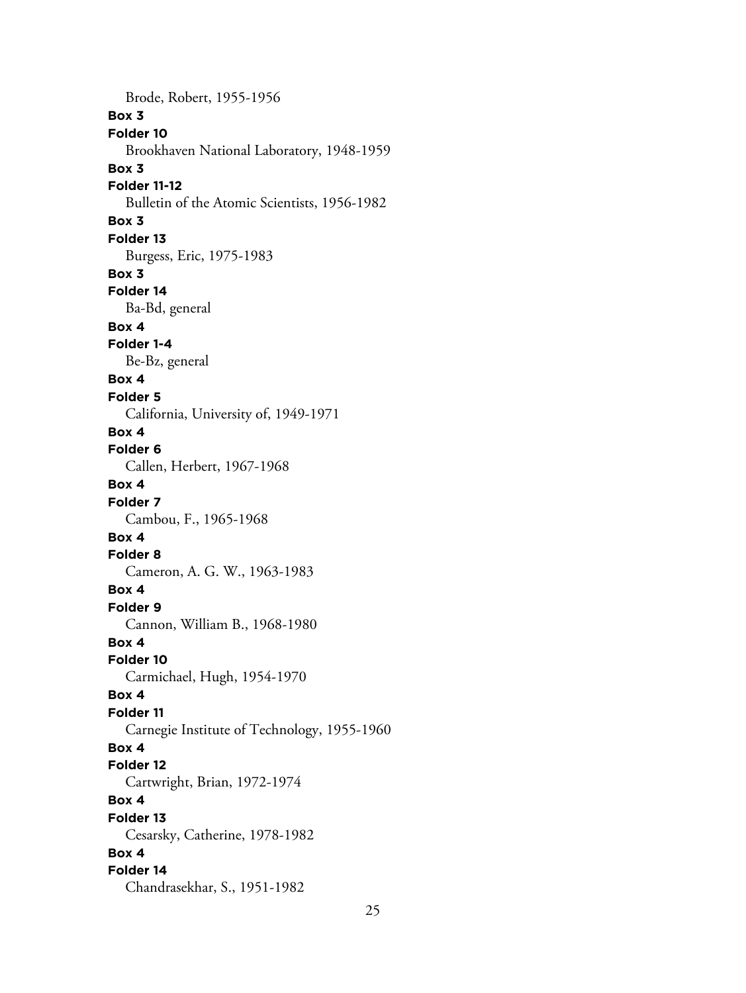Brode, Robert, 1955-1956 **Box 3 Folder 10** Brookhaven National Laboratory, 1948-1959 **Box 3 Folder 11-12** Bulletin of the Atomic Scientists, 1956-1982 **Box 3 Folder 13** Burgess, Eric, 1975-1983 **Box 3 Folder 14** Ba-Bd, general **Box 4 Folder 1-4** Be-Bz, general **Box 4 Folder 5** California, University of, 1949-1971 **Box 4 Folder 6** Callen, Herbert, 1967-1968 **Box 4 Folder 7** Cambou, F., 1965-1968 **Box 4 Folder 8** Cameron, A. G. W., 1963-1983 **Box 4 Folder 9** Cannon, William B., 1968-1980 **Box 4 Folder 10** Carmichael, Hugh, 1954-1970 **Box 4 Folder 11** Carnegie Institute of Technology, 1955-1960 **Box 4 Folder 12** Cartwright, Brian, 1972-1974 **Box 4 Folder 13** Cesarsky, Catherine, 1978-1982 **Box 4 Folder 14** Chandrasekhar, S., 1951-1982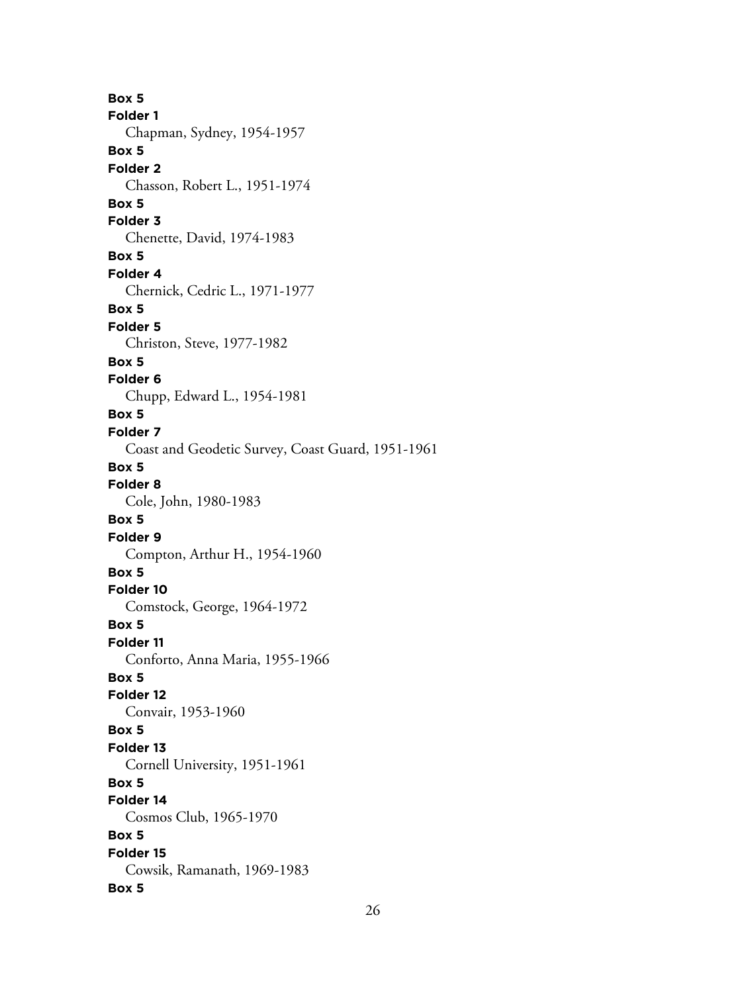**Box 5 Folder 1** Chapman, Sydney, 1954-1957 **Box 5 Folder 2** Chasson, Robert L., 1951-1974 **Box 5 Folder 3** Chenette, David, 1974-1983 **Box 5 Folder 4** Chernick, Cedric L., 1971-1977 **Box 5 Folder 5** Christon, Steve, 1977-1982 **Box 5 Folder 6** Chupp, Edward L., 1954-1981 **Box 5 Folder 7** Coast and Geodetic Survey, Coast Guard, 1951-1961 **Box 5 Folder 8** Cole, John, 1980-1983 **Box 5 Folder 9** Compton, Arthur H., 1954-1960 **Box 5 Folder 10** Comstock, George, 1964-1972 **Box 5 Folder 11** Conforto, Anna Maria, 1955-1966 **Box 5 Folder 12** Convair, 1953-1960 **Box 5 Folder 13** Cornell University, 1951-1961 **Box 5 Folder 14** Cosmos Club, 1965-1970 **Box 5 Folder 15** Cowsik, Ramanath, 1969-1983 **Box 5**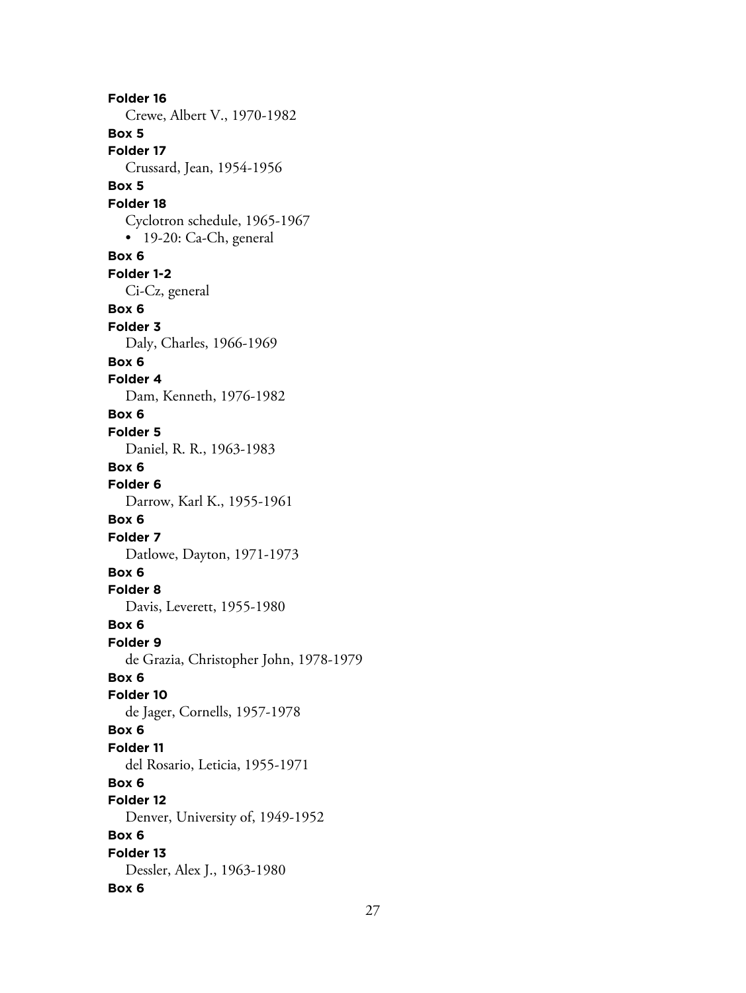**Folder 16** Crewe, Albert V., 1970-1982 **Box 5 Folder 17** Crussard, Jean, 1954-1956 **Box 5 Folder 18** Cyclotron schedule, 1965-1967 • 19-20: Ca-Ch, general **Box 6 Folder 1-2** Ci-Cz, general **Box 6 Folder 3** Daly, Charles, 1966-1969 **Box 6 Folder 4** Dam, Kenneth, 1976-1982 **Box 6 Folder 5** Daniel, R. R., 1963-1983 **Box 6 Folder 6** Darrow, Karl K., 1955-1961 **Box 6 Folder 7** Datlowe, Dayton, 1971-1973 **Box 6 Folder 8** Davis, Leverett, 1955-1980 **Box 6 Folder 9** de Grazia, Christopher John, 1978-1979 **Box 6 Folder 10** de Jager, Cornells, 1957-1978 **Box 6 Folder 11** del Rosario, Leticia, 1955-1971 **Box 6 Folder 12** Denver, University of, 1949-1952 **Box 6 Folder 13** Dessler, Alex J., 1963-1980 **Box 6**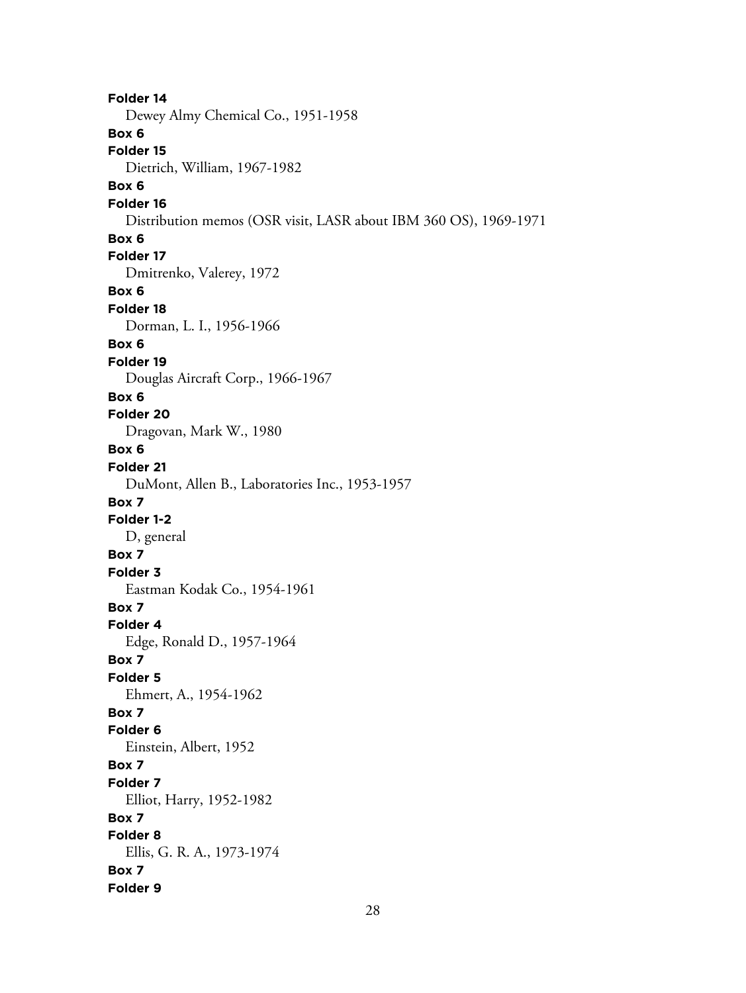**Folder 14** Dewey Almy Chemical Co., 1951-1958 **Box 6 Folder 15** Dietrich, William, 1967-1982 **Box 6 Folder 16** Distribution memos (OSR visit, LASR about IBM 360 OS), 1969-1971 **Box 6 Folder 17** Dmitrenko, Valerey, 1972 **Box 6 Folder 18** Dorman, L. I., 1956-1966 **Box 6 Folder 19** Douglas Aircraft Corp., 1966-1967 **Box 6 Folder 20** Dragovan, Mark W., 1980 **Box 6 Folder 21** DuMont, Allen B., Laboratories Inc., 1953-1957 **Box 7 Folder 1-2** D, general **Box 7 Folder 3** Eastman Kodak Co., 1954-1961 **Box 7 Folder 4** Edge, Ronald D., 1957-1964 **Box 7 Folder 5** Ehmert, A., 1954-1962 **Box 7 Folder 6** Einstein, Albert, 1952 **Box 7 Folder 7** Elliot, Harry, 1952-1982 **Box 7 Folder 8** Ellis, G. R. A., 1973-1974 **Box 7 Folder 9**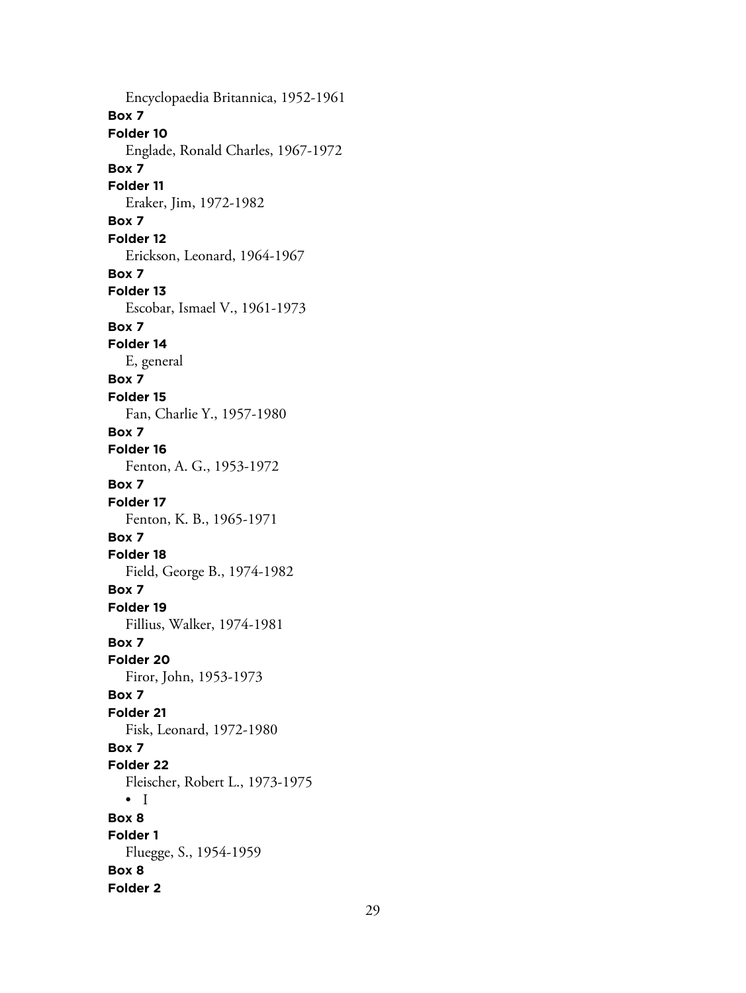Encyclopaedia Britannica, 1952-1961 **Box 7 Folder 10** Englade, Ronald Charles, 1967-1972 **Box 7 Folder 11** Eraker, Jim, 1972-1982 **Box 7 Folder 12** Erickson, Leonard, 1964-1967 **Box 7 Folder 13** Escobar, Ismael V., 1961-1973 **Box 7 Folder 14** E, general **Box 7 Folder 15** Fan, Charlie Y., 1957-1980 **Box 7 Folder 16** Fenton, A. G., 1953-1972 **Box 7 Folder 17** Fenton, K. B., 1965-1971 **Box 7 Folder 18** Field, George B., 1974-1982 **Box 7 Folder 19** Fillius, Walker, 1974-1981 **Box 7 Folder 20** Firor, John, 1953-1973 **Box 7 Folder 21** Fisk, Leonard, 1972-1980 **Box 7 Folder 22** Fleischer, Robert L., 1973-1975 • I **Box 8 Folder 1** Fluegge, S., 1954-1959 **Box 8 Folder 2**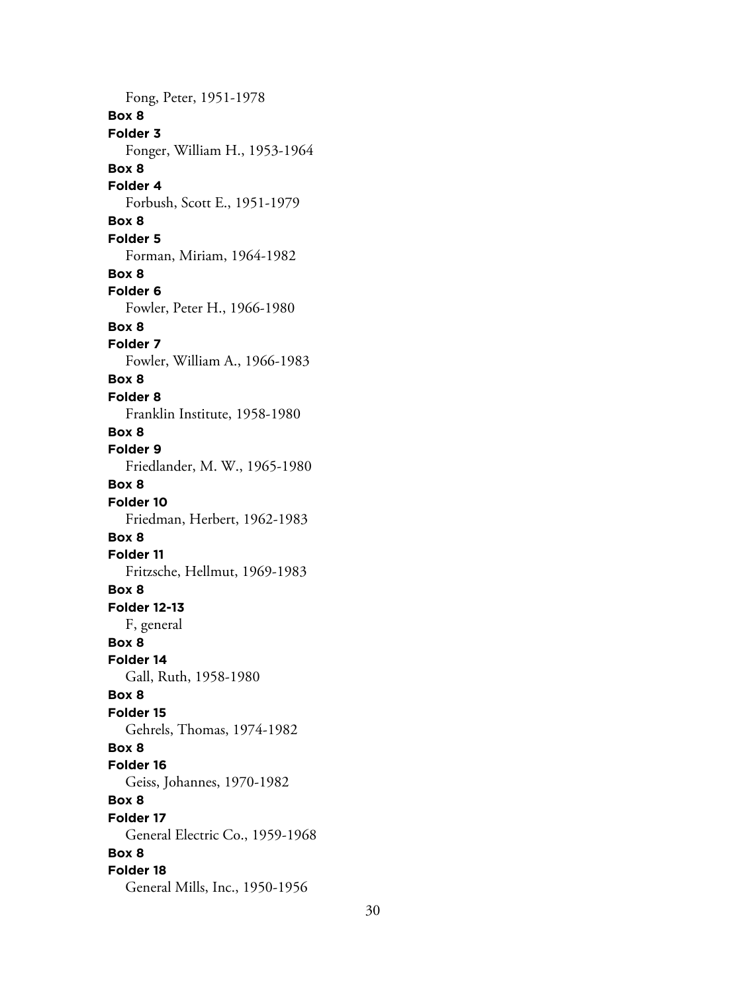Fong, Peter, 1951-1978 **Box 8 Folder 3** Fonger, William H., 1953-1964 **Box 8 Folder 4** Forbush, Scott E., 1951-1979 **Box 8 Folder 5** Forman, Miriam, 1964-1982 **Box 8 Folder 6** Fowler, Peter H., 1966-1980 **Box 8 Folder 7** Fowler, William A., 1966-1983 **Box 8 Folder 8** Franklin Institute, 1958-1980 **Box 8 Folder 9** Friedlander, M. W., 1965-1980 **Box 8 Folder 10** Friedman, Herbert, 1962-1983 **Box 8 Folder 11** Fritzsche, Hellmut, 1969-1983 **Box 8 Folder 12-13** F, general **Box 8 Folder 14** Gall, Ruth, 1958-1980 **Box 8 Folder 15** Gehrels, Thomas, 1974-1982 **Box 8 Folder 16** Geiss, Johannes, 1970-1982 **Box 8 Folder 17** General Electric Co., 1959-1968 **Box 8 Folder 18** General Mills, Inc., 1950-1956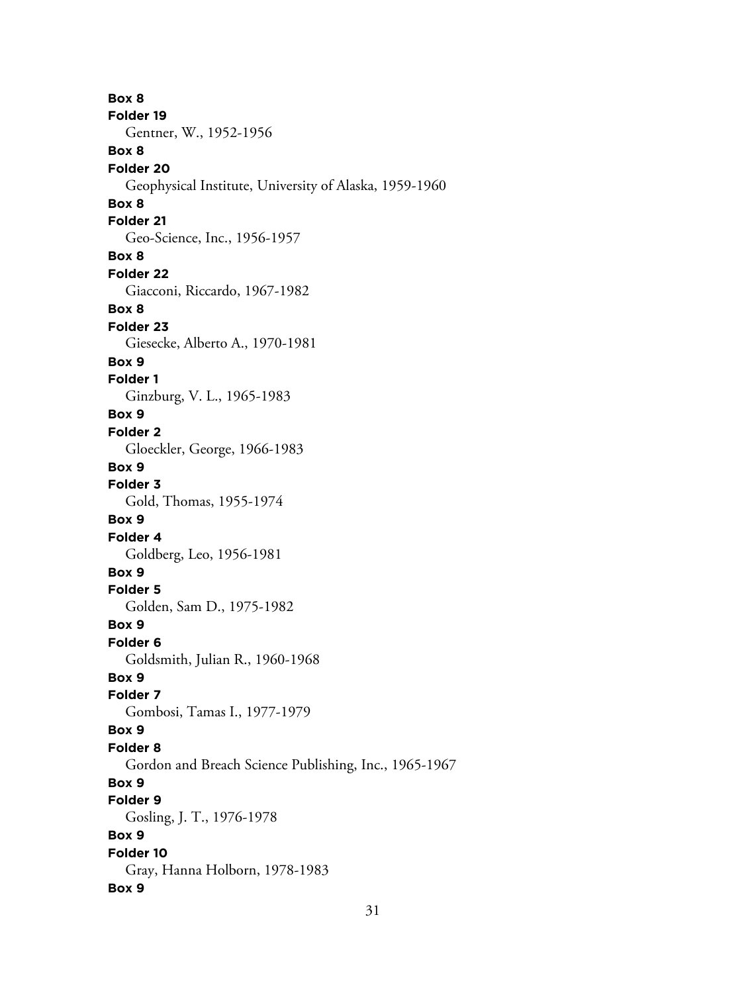**Box 8 Folder 19** Gentner, W., 1952-1956 **Box 8 Folder 20** Geophysical Institute, University of Alaska, 1959-1960 **Box 8 Folder 21** Geo-Science, Inc., 1956-1957 **Box 8 Folder 22** Giacconi, Riccardo, 1967-1982 **Box 8 Folder 23** Giesecke, Alberto A., 1970-1981 **Box 9 Folder 1** Ginzburg, V. L., 1965-1983 **Box 9 Folder 2** Gloeckler, George, 1966-1983 **Box 9 Folder 3** Gold, Thomas, 1955-1974 **Box 9 Folder 4** Goldberg, Leo, 1956-1981 **Box 9 Folder 5** Golden, Sam D., 1975-1982 **Box 9 Folder 6** Goldsmith, Julian R., 1960-1968 **Box 9 Folder 7** Gombosi, Tamas I., 1977-1979 **Box 9 Folder 8** Gordon and Breach Science Publishing, Inc., 1965-1967 **Box 9 Folder 9** Gosling, J. T., 1976-1978 **Box 9 Folder 10** Gray, Hanna Holborn, 1978-1983 **Box 9**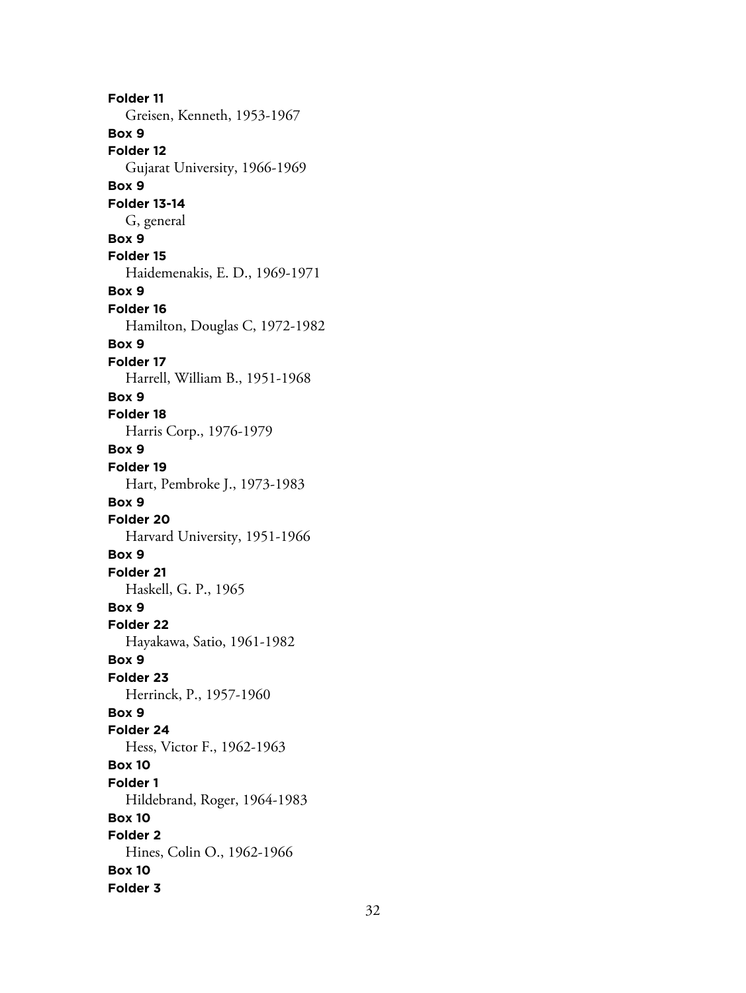**Folder 11** Greisen, Kenneth, 1953-1967 **Box 9 Folder 12** Gujarat University, 1966-1969 **Box 9 Folder 13-14** G, general **Box 9 Folder 15** Haidemenakis, E. D., 1969-1971 **Box 9 Folder 16** Hamilton, Douglas C, 1972-1982 **Box 9 Folder 17** Harrell, William B., 1951-1968 **Box 9 Folder 18** Harris Corp., 1976-1979 **Box 9 Folder 19** Hart, Pembroke J., 1973-1983 **Box 9 Folder 20** Harvard University, 1951-1966 **Box 9 Folder 21** Haskell, G. P., 1965 **Box 9 Folder 22** Hayakawa, Satio, 1961-1982 **Box 9 Folder 23** Herrinck, P., 1957-1960 **Box 9 Folder 24** Hess, Victor F., 1962-1963 **Box 10 Folder 1** Hildebrand, Roger, 1964-1983 **Box 10 Folder 2** Hines, Colin O., 1962-1966 **Box 10 Folder 3**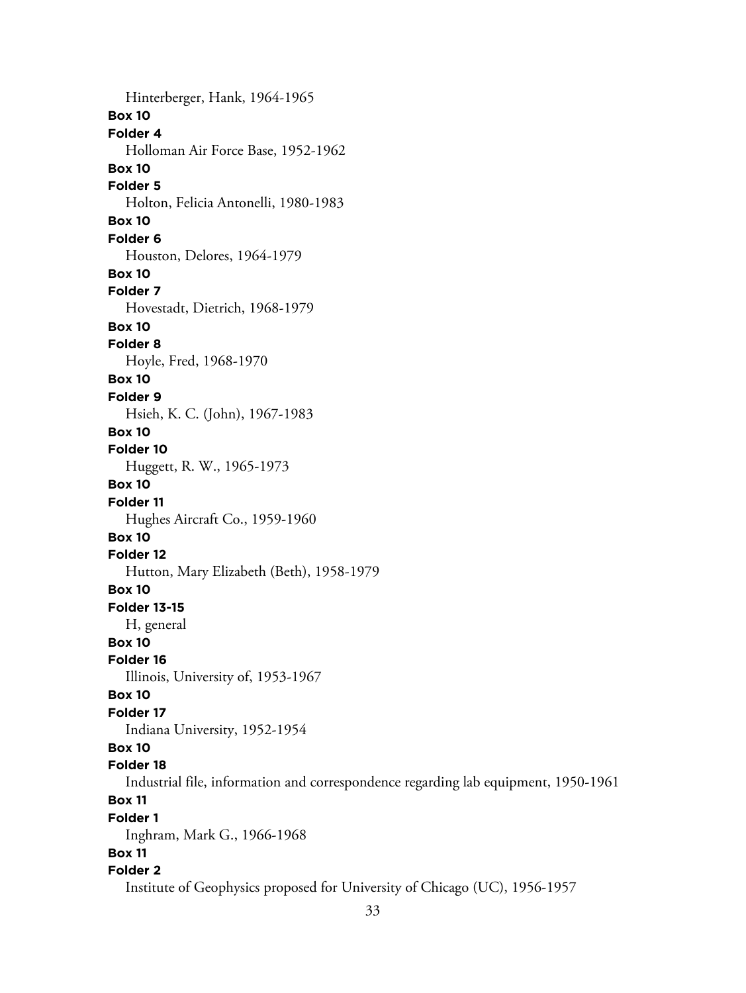Hinterberger, Hank, 1964-1965 **Box 10 Folder 4** Holloman Air Force Base, 1952-1962 **Box 10 Folder 5** Holton, Felicia Antonelli, 1980-1983 **Box 10 Folder 6** Houston, Delores, 1964-1979 **Box 10 Folder 7** Hovestadt, Dietrich, 1968-1979 **Box 10 Folder 8** Hoyle, Fred, 1968-1970 **Box 10 Folder 9** Hsieh, K. C. (John), 1967-1983 **Box 10 Folder 10** Huggett, R. W., 1965-1973 **Box 10 Folder 11** Hughes Aircraft Co., 1959-1960 **Box 10 Folder 12** Hutton, Mary Elizabeth (Beth), 1958-1979 **Box 10 Folder 13-15** H, general **Box 10 Folder 16** Illinois, University of, 1953-1967 **Box 10 Folder 17** Indiana University, 1952-1954 **Box 10 Folder 18** Industrial file, information and correspondence regarding lab equipment, 1950-1961 **Box 11 Folder 1** Inghram, Mark G., 1966-1968 **Box 11 Folder 2** Institute of Geophysics proposed for University of Chicago (UC), 1956-1957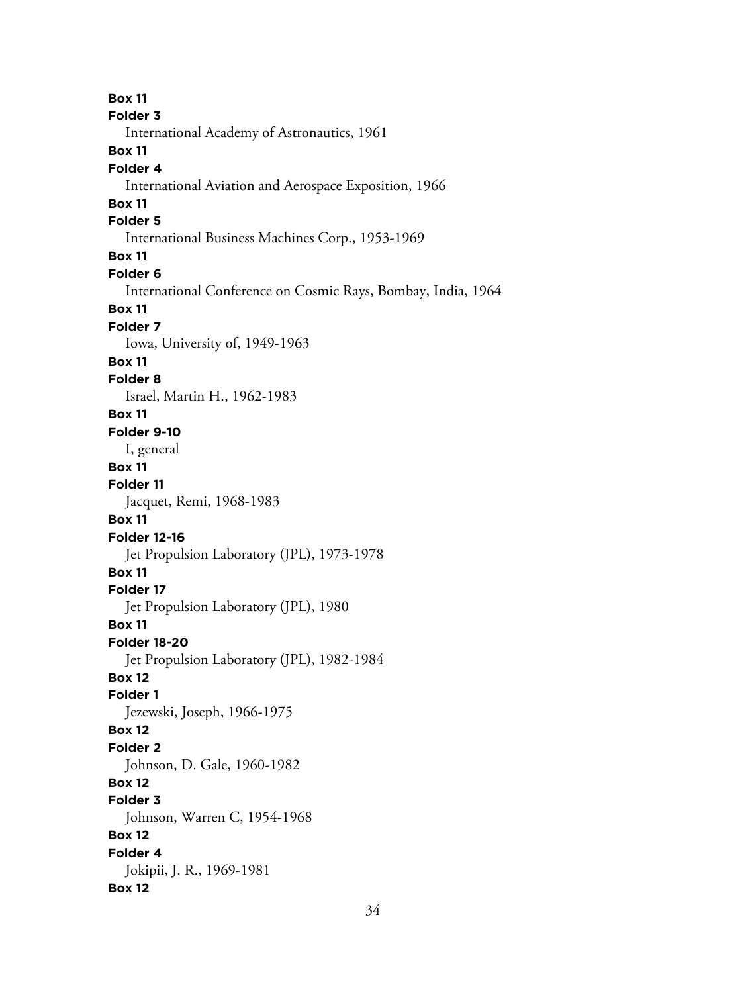**Box 11 Folder 3** International Academy of Astronautics, 1961 **Box 11 Folder 4** International Aviation and Aerospace Exposition, 1966 **Box 11 Folder 5** International Business Machines Corp., 1953-1969 **Box 11 Folder 6** International Conference on Cosmic Rays, Bombay, India, 1964 **Box 11 Folder 7** Iowa, University of, 1949-1963 **Box 11 Folder 8** Israel, Martin H., 1962-1983 **Box 11 Folder 9-10** I, general **Box 11 Folder 11** Jacquet, Remi, 1968-1983 **Box 11 Folder 12-16** Jet Propulsion Laboratory (JPL), 1973-1978 **Box 11 Folder 17** Jet Propulsion Laboratory (JPL), 1980 **Box 11 Folder 18-20** Jet Propulsion Laboratory (JPL), 1982-1984 **Box 12 Folder 1** Jezewski, Joseph, 1966-1975 **Box 12 Folder 2** Johnson, D. Gale, 1960-1982 **Box 12 Folder 3** Johnson, Warren C, 1954-1968 **Box 12 Folder 4** Jokipii, J. R., 1969-1981 **Box 12**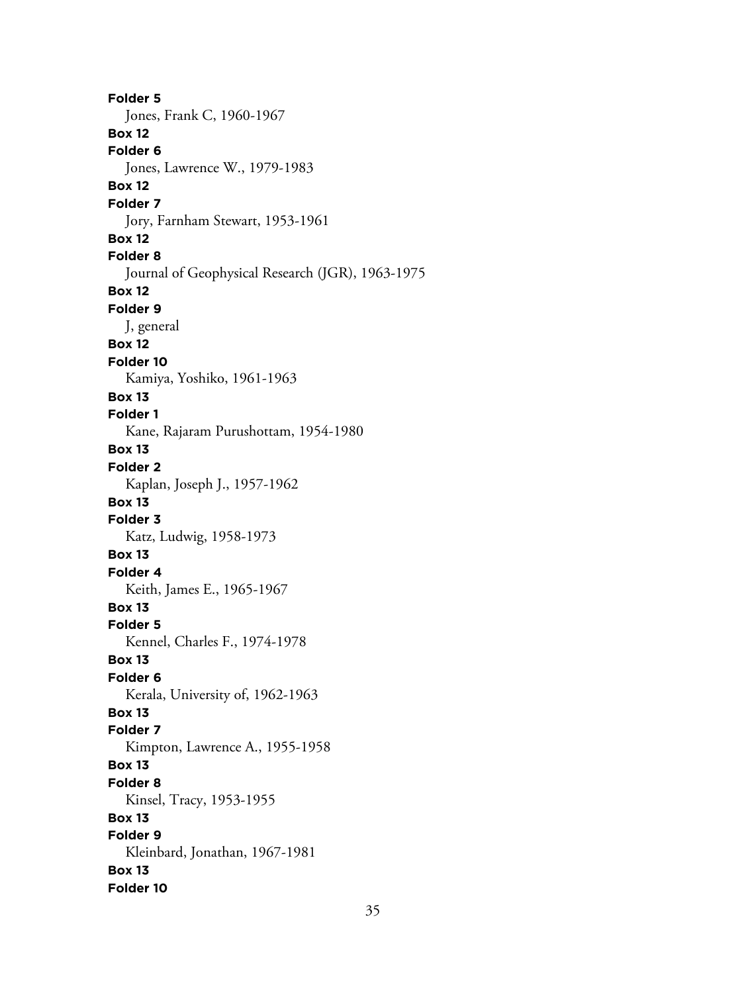**Folder 5** Jones, Frank C, 1960-1967 **Box 12 Folder 6** Jones, Lawrence W., 1979-1983 **Box 12 Folder 7** Jory, Farnham Stewart, 1953-1961 **Box 12 Folder 8** Journal of Geophysical Research (JGR), 1963-1975 **Box 12 Folder 9** J, general **Box 12 Folder 10** Kamiya, Yoshiko, 1961-1963 **Box 13 Folder 1** Kane, Rajaram Purushottam, 1954-1980 **Box 13 Folder 2** Kaplan, Joseph J., 1957-1962 **Box 13 Folder 3** Katz, Ludwig, 1958-1973 **Box 13 Folder 4** Keith, James E., 1965-1967 **Box 13 Folder 5** Kennel, Charles F., 1974-1978 **Box 13 Folder 6** Kerala, University of, 1962-1963 **Box 13 Folder 7** Kimpton, Lawrence A., 1955-1958 **Box 13 Folder 8** Kinsel, Tracy, 1953-1955 **Box 13 Folder 9** Kleinbard, Jonathan, 1967-1981 **Box 13 Folder 10**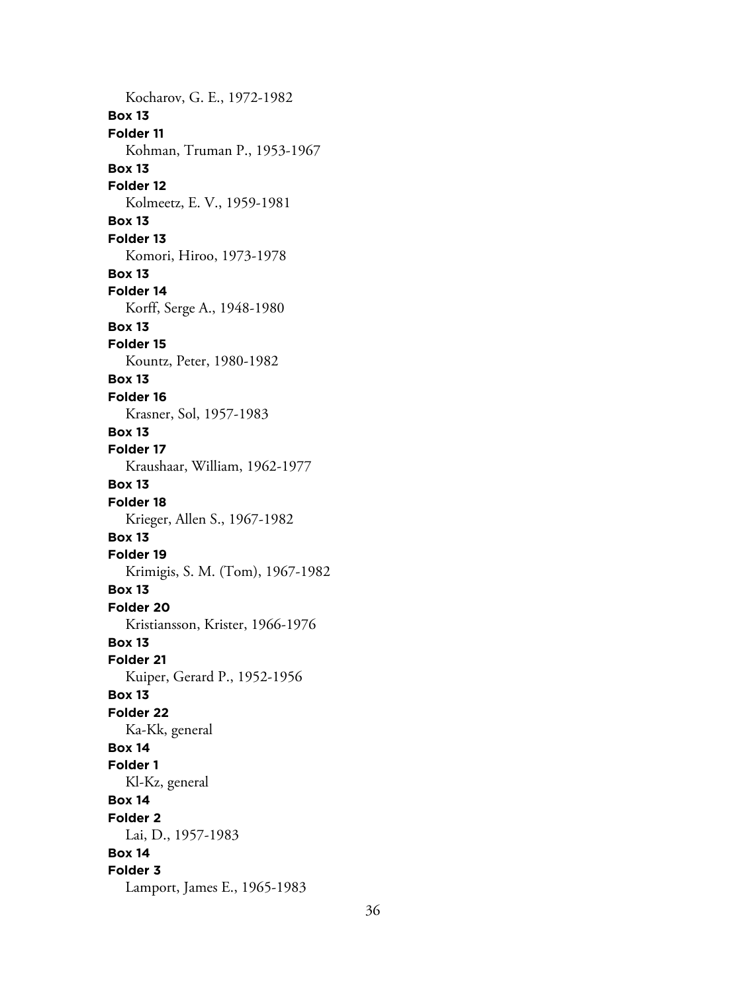Kocharov, G. E., 1972-1982 **Box 13 Folder 11** Kohman, Truman P., 1953-1967 **Box 13 Folder 12** Kolmeetz, E. V., 1959-1981 **Box 13 Folder 13** Komori, Hiroo, 1973-1978 **Box 13 Folder 14** Korff, Serge A., 1948-1980 **Box 13 Folder 15** Kountz, Peter, 1980-1982 **Box 13 Folder 16** Krasner, Sol, 1957-1983 **Box 13 Folder 17** Kraushaar, William, 1962-1977 **Box 13 Folder 18** Krieger, Allen S., 1967-1982 **Box 13 Folder 19** Krimigis, S. M. (Tom), 1967-1982 **Box 13 Folder 20** Kristiansson, Krister, 1966-1976 **Box 13 Folder 21** Kuiper, Gerard P., 1952-1956 **Box 13 Folder 22** Ka-Kk, general **Box 14 Folder 1** Kl-Kz, general **Box 14 Folder 2** Lai, D., 1957-1983 **Box 14 Folder 3** Lamport, James E., 1965-1983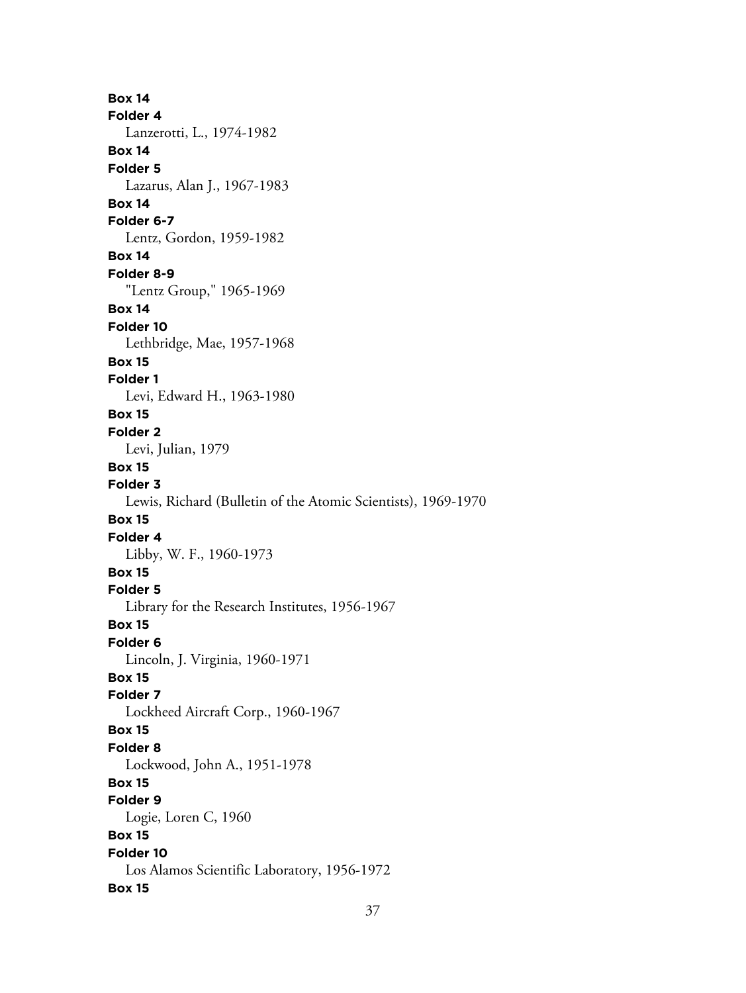**Box 14 Folder 4** Lanzerotti, L., 1974-1982 **Box 14 Folder 5** Lazarus, Alan J., 1967-1983 **Box 14 Folder 6-7** Lentz, Gordon, 1959-1982 **Box 14 Folder 8-9** "Lentz Group," 1965-1969 **Box 14 Folder 10** Lethbridge, Mae, 1957-1968 **Box 15 Folder 1** Levi, Edward H., 1963-1980 **Box 15 Folder 2** Levi, Julian, 1979 **Box 15 Folder 3** Lewis, Richard (Bulletin of the Atomic Scientists), 1969-1970 **Box 15 Folder 4** Libby, W. F., 1960-1973 **Box 15 Folder 5** Library for the Research Institutes, 1956-1967 **Box 15 Folder 6** Lincoln, J. Virginia, 1960-1971 **Box 15 Folder 7** Lockheed Aircraft Corp., 1960-1967 **Box 15 Folder 8** Lockwood, John A., 1951-1978 **Box 15 Folder 9** Logie, Loren C, 1960 **Box 15 Folder 10** Los Alamos Scientific Laboratory, 1956-1972 **Box 15**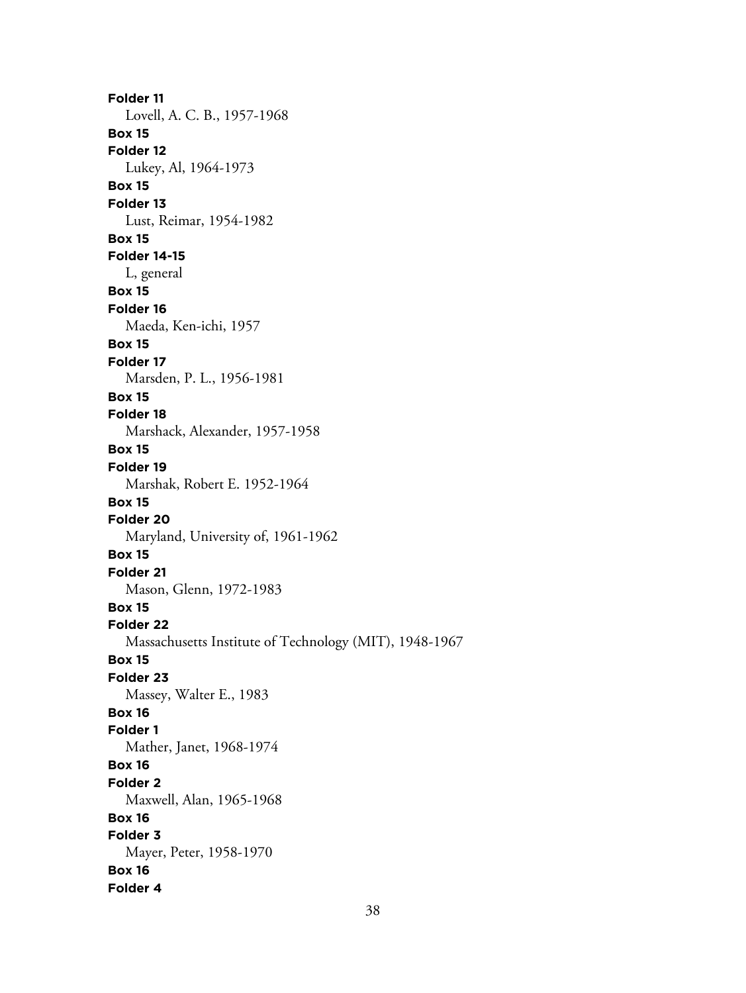**Folder 11** Lovell, A. C. B., 1957-1968 **Box 15 Folder 12** Lukey, Al, 1964-1973 **Box 15 Folder 13** Lust, Reimar, 1954-1982 **Box 15 Folder 14-15** L, general **Box 15 Folder 16** Maeda, Ken-ichi, 1957 **Box 15 Folder 17** Marsden, P. L., 1956-1981 **Box 15 Folder 18** Marshack, Alexander, 1957-1958 **Box 15 Folder 19** Marshak, Robert E. 1952-1964 **Box 15 Folder 20** Maryland, University of, 1961-1962 **Box 15 Folder 21** Mason, Glenn, 1972-1983 **Box 15 Folder 22** Massachusetts Institute of Technology (MIT), 1948-1967 **Box 15 Folder 23** Massey, Walter E., 1983 **Box 16 Folder 1** Mather, Janet, 1968-1974 **Box 16 Folder 2** Maxwell, Alan, 1965-1968 **Box 16 Folder 3** Mayer, Peter, 1958-1970 **Box 16 Folder 4**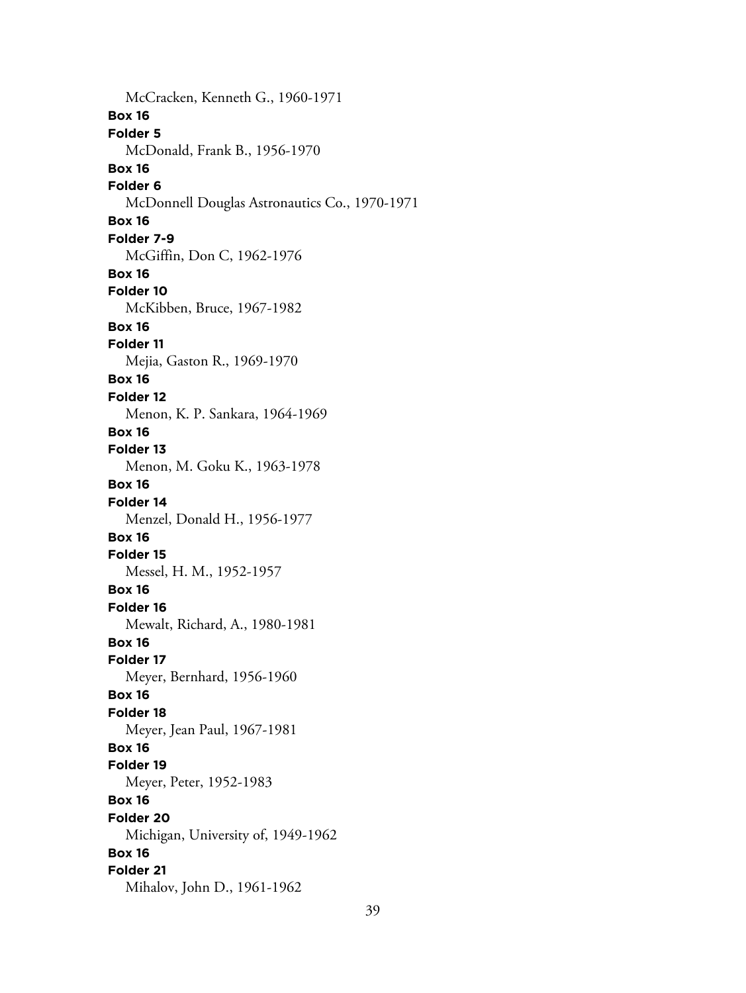McCracken, Kenneth G., 1960-1971 **Box 16 Folder 5** McDonald, Frank B., 1956-1970 **Box 16 Folder 6** McDonnell Douglas Astronautics Co., 1970-1971 **Box 16 Folder 7-9** McGiffin, Don C, 1962-1976 **Box 16 Folder 10** McKibben, Bruce, 1967-1982 **Box 16 Folder 11** Mejia, Gaston R., 1969-1970 **Box 16 Folder 12** Menon, K. P. Sankara, 1964-1969 **Box 16 Folder 13** Menon, M. Goku K., 1963-1978 **Box 16 Folder 14** Menzel, Donald H., 1956-1977 **Box 16 Folder 15** Messel, H. M., 1952-1957 **Box 16 Folder 16** Mewalt, Richard, A., 1980-1981 **Box 16 Folder 17** Meyer, Bernhard, 1956-1960 **Box 16 Folder 18** Meyer, Jean Paul, 1967-1981 **Box 16 Folder 19** Meyer, Peter, 1952-1983 **Box 16 Folder 20** Michigan, University of, 1949-1962 **Box 16 Folder 21** Mihalov, John D., 1961-1962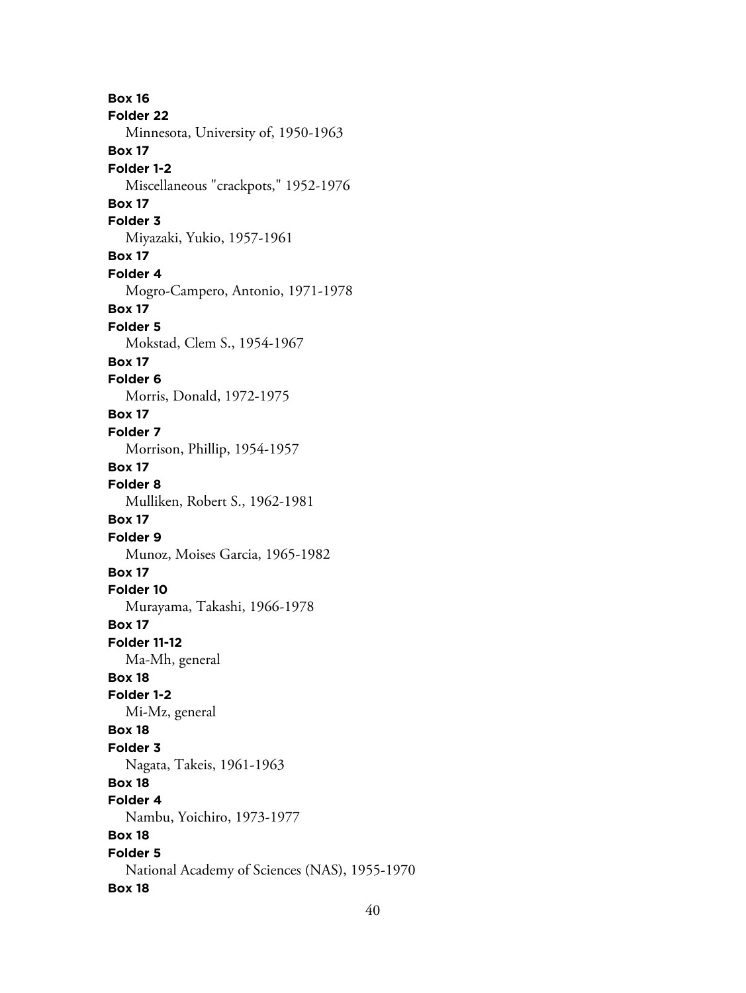**Box 16 Folder 22** Minnesota, University of, 1950-1963 **Box 17 Folder 1-2** Miscellaneous "crackpots," 1952-1976 **Box 17 Folder 3** Miyazaki, Yukio, 1957-1961 **Box 17 Folder 4** Mogro-Campero, Antonio, 1971-1978 **Box 17 Folder 5** Mokstad, Clem S., 1954-1967 **Box 17 Folder 6** Morris, Donald, 1972-1975 **Box 17 Folder 7** Morrison, Phillip, 1954-1957 **Box 17 Folder 8** Mulliken, Robert S., 1962-1981 **Box 17 Folder 9** Munoz, Moises Garcia, 1965-1982 **Box 17 Folder 10** Murayama, Takashi, 1966-1978 **Box 17 Folder 11-12** Ma-Mh, general **Box 18 Folder 1-2** Mi-Mz, general **Box 18 Folder 3** Nagata, Takeis, 1961-1963 **Box 18 Folder 4** Nambu, Yoichiro, 1973-1977 **Box 18 Folder 5** National Academy of Sciences (NAS), 1955-1970 **Box 18**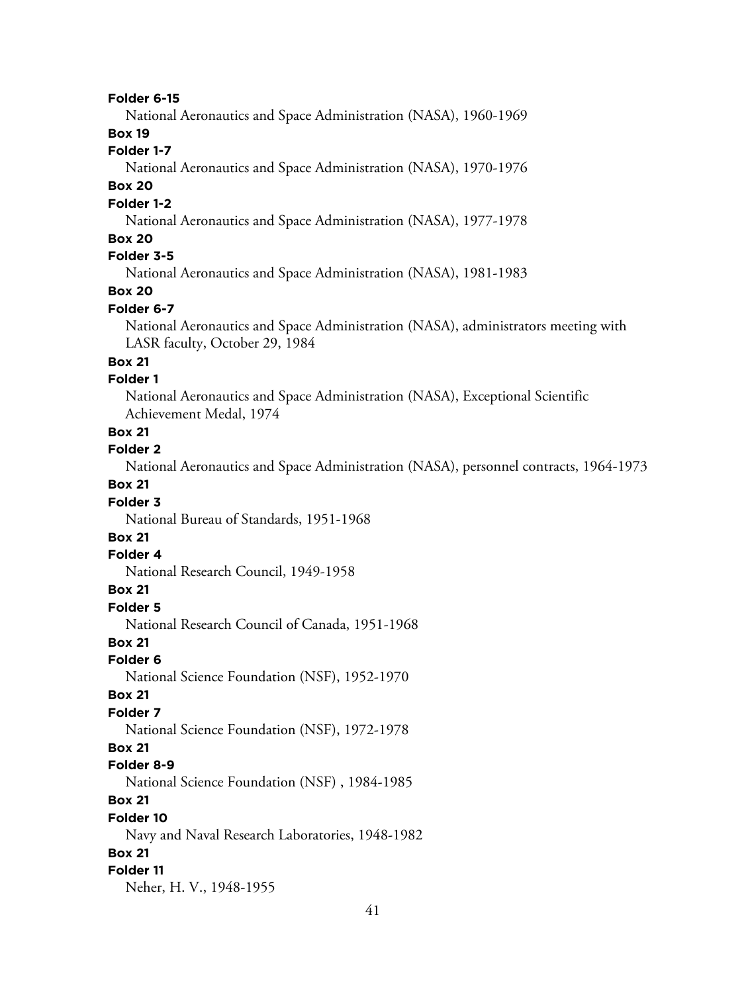#### **Folder 6-15**

National Aeronautics and Space Administration (NASA), 1960-1969

#### **Box 19**

#### **Folder 1-7**

National Aeronautics and Space Administration (NASA), 1970-1976

## **Box 20**

#### **Folder 1-2**

National Aeronautics and Space Administration (NASA), 1977-1978

#### **Box 20**

## **Folder 3-5**

National Aeronautics and Space Administration (NASA), 1981-1983

#### **Box 20**

#### **Folder 6-7**

National Aeronautics and Space Administration (NASA), administrators meeting with LASR faculty, October 29, 1984

#### **Box 21**

#### **Folder 1**

National Aeronautics and Space Administration (NASA), Exceptional Scientific Achievement Medal, 1974

#### **Box 21**

#### **Folder 2**

National Aeronautics and Space Administration (NASA), personnel contracts, 1964-1973

#### **Box 21**

#### **Folder 3**

National Bureau of Standards, 1951-1968

## **Box 21**

#### **Folder 4**

National Research Council, 1949-1958

#### **Box 21**

**Folder 5**

National Research Council of Canada, 1951-1968

#### **Box 21**

**Folder 6**

National Science Foundation (NSF), 1952-1970

#### **Box 21**

#### **Folder 7**

National Science Foundation (NSF), 1972-1978

#### **Box 21**

#### **Folder 8-9**

National Science Foundation (NSF) , 1984-1985

#### **Box 21**

#### **Folder 10**

Navy and Naval Research Laboratories, 1948-1982

#### **Box 21**

#### **Folder 11**

Neher, H. V., 1948-1955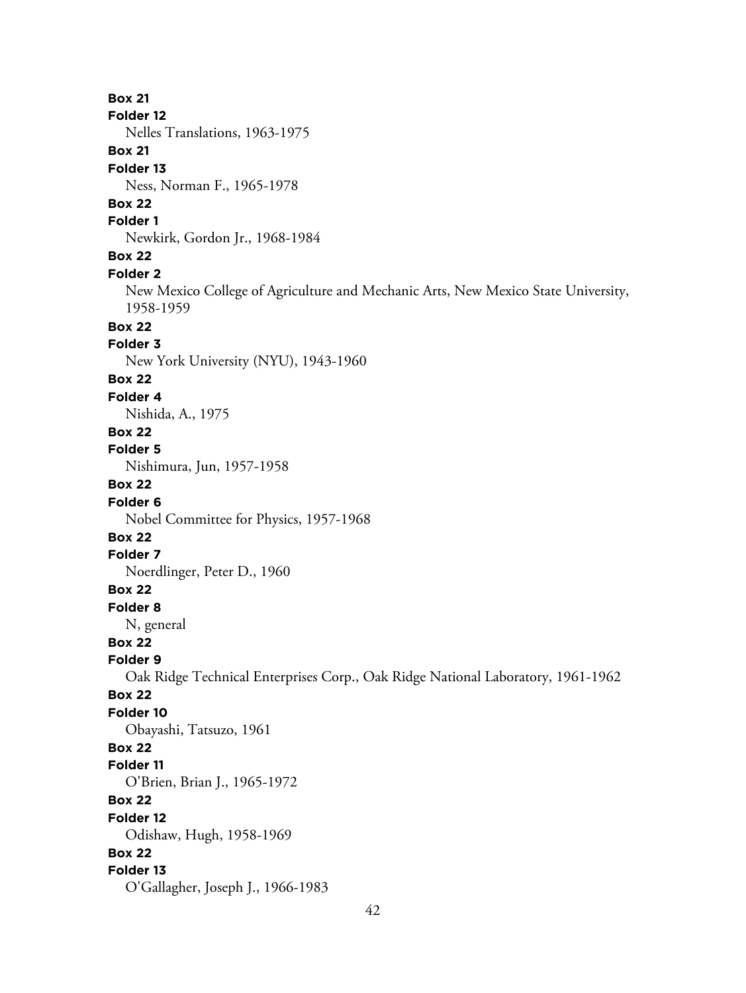**Box 21 Folder 12** Nelles Translations, 1963-1975 **Box 21 Folder 13** Ness, Norman F., 1965-1978 **Box 22 Folder 1** Newkirk, Gordon Jr., 1968-1984 **Box 22 Folder 2** New Mexico College of Agriculture and Mechanic Arts, New Mexico State University, 1958-1959 **Box 22 Folder 3** New York University (NYU), 1943-1960 **Box 22 Folder 4** Nishida, A., 1975 **Box 22 Folder 5** Nishimura, Jun, 1957-1958 **Box 22 Folder 6** Nobel Committee for Physics, 1957-1968 **Box 22 Folder 7** Noerdlinger, Peter D., 1960 **Box 22 Folder 8** N, general **Box 22 Folder 9** Oak Ridge Technical Enterprises Corp., Oak Ridge National Laboratory, 1961-1962 **Box 22 Folder 10** Obayashi, Tatsuzo, 1961 **Box 22 Folder 11** O'Brien, Brian J., 1965-1972 **Box 22 Folder 12** Odishaw, Hugh, 1958-1969 **Box 22 Folder 13** O'Gallagher, Joseph J., 1966-1983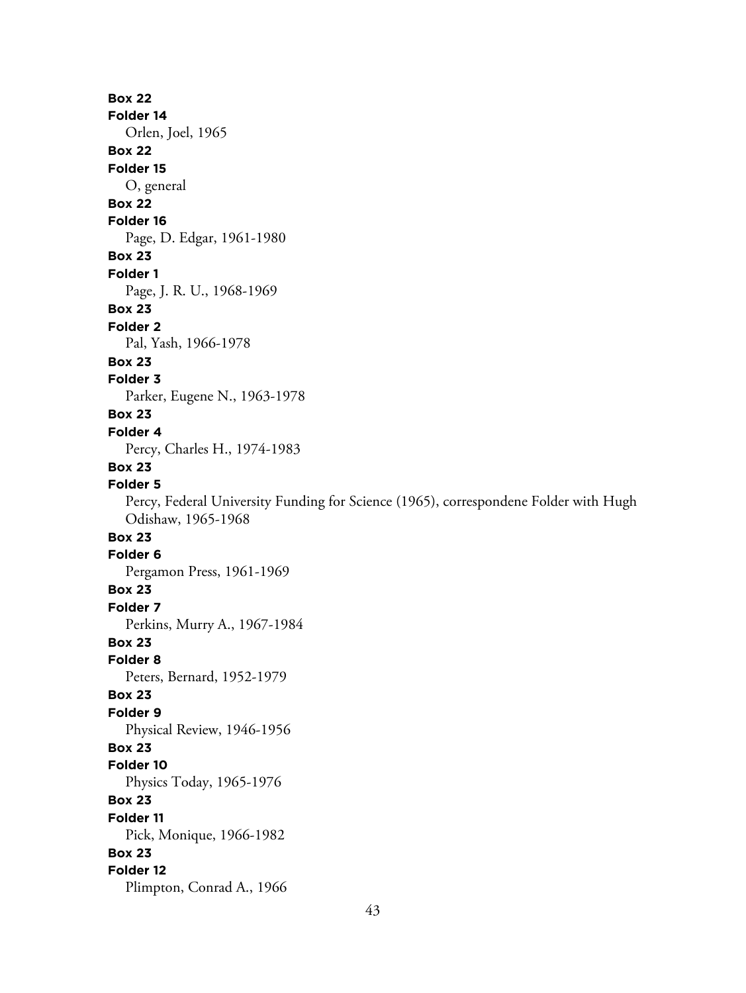# **Box 22 Folder 14** Orlen, Joel, 1965 **Box 22 Folder 15** O, general **Box 22 Folder 16** Page, D. Edgar, 1961-1980 **Box 23 Folder 1** Page, J. R. U., 1968-1969 **Box 23 Folder 2** Pal, Yash, 1966-1978 **Box 23 Folder 3** Parker, Eugene N., 1963-1978 **Box 23 Folder 4** Percy, Charles H., 1974-1983 **Box 23 Folder 5** Percy, Federal University Funding for Science (1965), correspondene Folder with Hugh Odishaw, 1965-1968 **Box 23 Folder 6** Pergamon Press, 1961-1969 **Box 23 Folder 7** Perkins, Murry A., 1967-1984 **Box 23 Folder 8** Peters, Bernard, 1952-1979 **Box 23 Folder 9** Physical Review, 1946-1956 **Box 23 Folder 10** Physics Today, 1965-1976 **Box 23 Folder 11** Pick, Monique, 1966-1982 **Box 23 Folder 12** Plimpton, Conrad A., 1966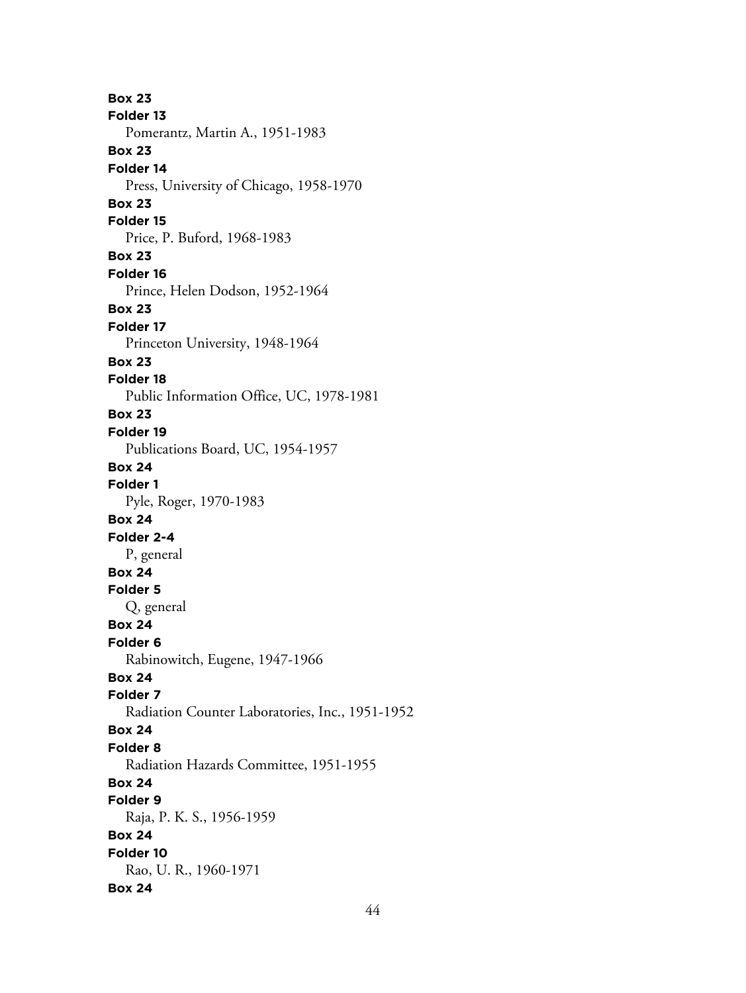**Box 23 Folder 13** Pomerantz, Martin A., 1951-1983 **Box 23 Folder 14** Press, University of Chicago, 1958-1970 **Box 23 Folder 15** Price, P. Buford, 1968-1983 **Box 23 Folder 16** Prince, Helen Dodson, 1952-1964 **Box 23 Folder 17** Princeton University, 1948-1964 **Box 23 Folder 18** Public Information Office, UC, 1978-1981 **Box 23 Folder 19** Publications Board, UC, 1954-1957 **Box 24 Folder 1** Pyle, Roger, 1970-1983 **Box 24 Folder 2-4** P, general **Box 24 Folder 5** Q, general **Box 24 Folder 6** Rabinowitch, Eugene, 1947-1966 **Box 24 Folder 7** Radiation Counter Laboratories, Inc., 1951-1952 **Box 24 Folder 8** Radiation Hazards Committee, 1951-1955 **Box 24 Folder 9** Raja, P. K. S., 1956-1959 **Box 24 Folder 10** Rao, U. R., 1960-1971 **Box 24**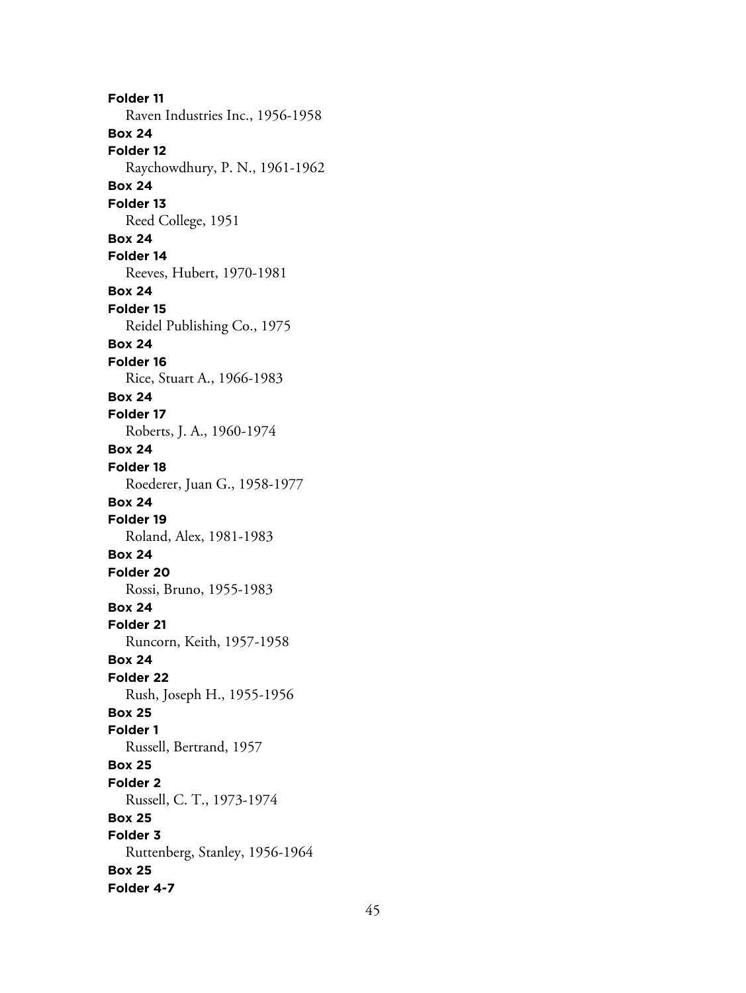**Folder 11** Raven Industries Inc., 1956-1958 **Box 24 Folder 12** Raychowdhury, P. N., 1961-1962 **Box 24 Folder 13** Reed College, 1951 **Box 24 Folder 14** Reeves, Hubert, 1970-1981 **Box 24 Folder 15** Reidel Publishing Co., 1975 **Box 24 Folder 16** Rice, Stuart A., 1966-1983 **Box 24 Folder 17** Roberts, J. A., 1960-1974 **Box 24 Folder 18** Roederer, Juan G., 1958-1977 **Box 24 Folder 19** Roland, Alex, 1981-1983 **Box 24 Folder 20** Rossi, Bruno, 1955-1983 **Box 24 Folder 21** Runcorn, Keith, 1957-1958 **Box 24 Folder 22** Rush, Joseph H., 1955-1956 **Box 25 Folder 1** Russell, Bertrand, 1957 **Box 25 Folder 2** Russell, C. T., 1973-1974 **Box 25 Folder 3** Ruttenberg, Stanley, 1956-1964 **Box 25 Folder 4-7**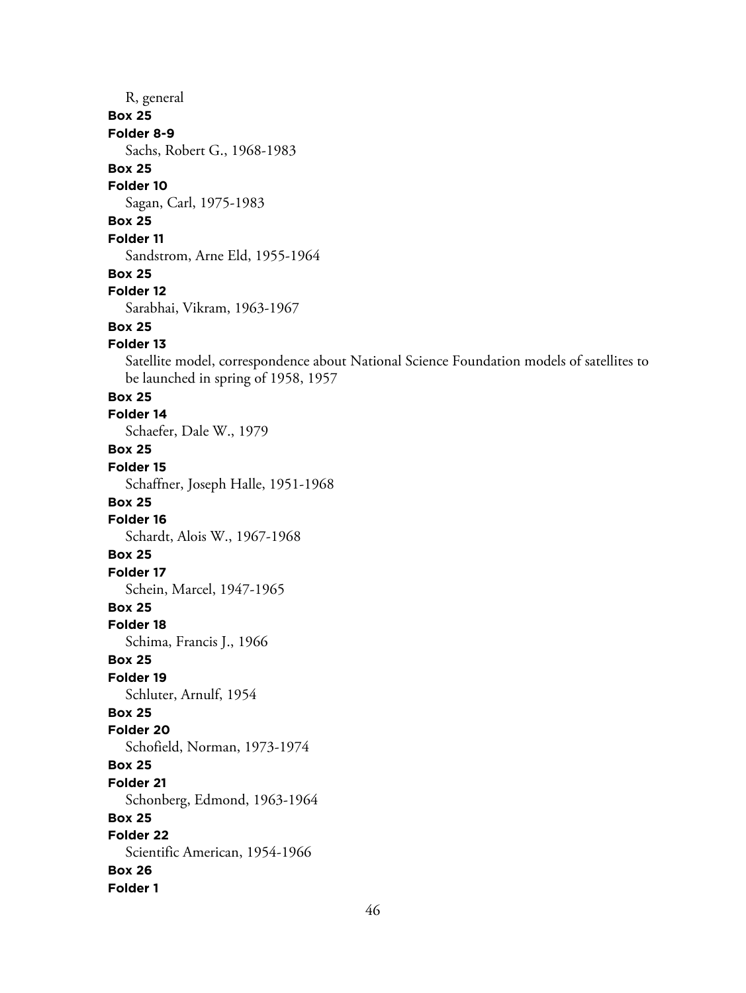# R, general **Box 25 Folder 8-9** Sachs, Robert G., 1968-1983 **Box 25 Folder 10** Sagan, Carl, 1975-1983 **Box 25 Folder 11** Sandstrom, Arne Eld, 1955-1964 **Box 25 Folder 12** Sarabhai, Vikram, 1963-1967 **Box 25 Folder 13** Satellite model, correspondence about National Science Foundation models of satellites to be launched in spring of 1958, 1957 **Box 25 Folder 14** Schaefer, Dale W., 1979 **Box 25 Folder 15** Schaffner, Joseph Halle, 1951-1968 **Box 25 Folder 16** Schardt, Alois W., 1967-1968 **Box 25 Folder 17** Schein, Marcel, 1947-1965 **Box 25 Folder 18** Schima, Francis J., 1966 **Box 25 Folder 19** Schluter, Arnulf, 1954 **Box 25 Folder 20**

Schofield, Norman, 1973-1974

Schonberg, Edmond, 1963-1964

Scientific American, 1954-1966

**Box 25 Folder 21**

**Box 25 Folder 22**

**Box 26 Folder 1**

46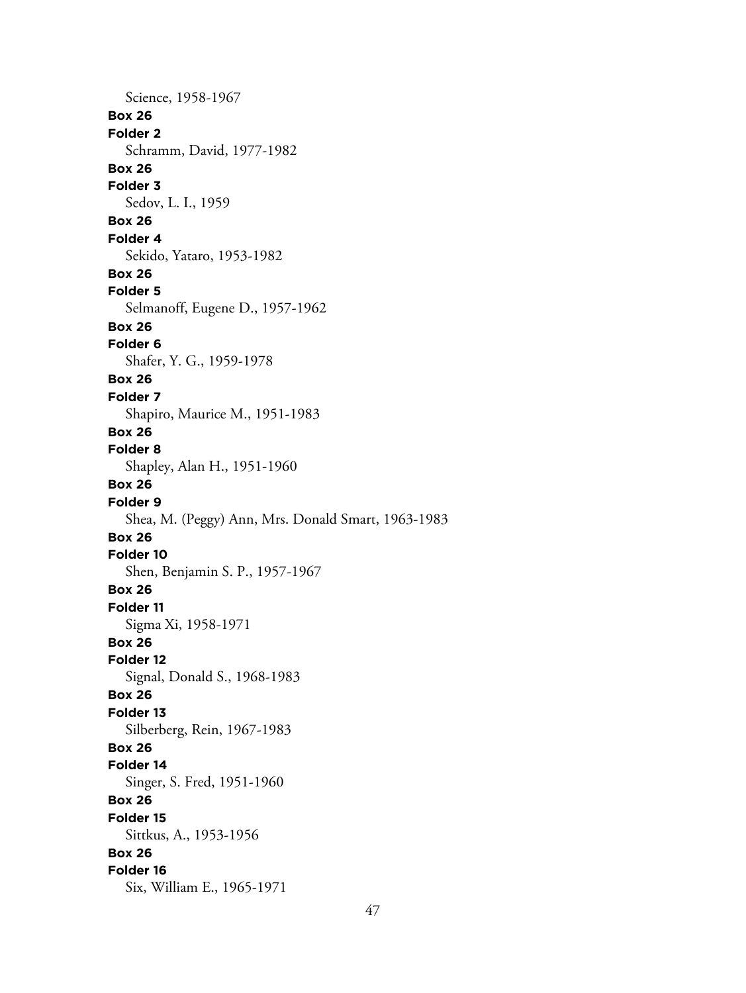Science, 1958-1967 **Box 26 Folder 2** Schramm, David, 1977-1982 **Box 26 Folder 3** Sedov, L. I., 1959 **Box 26 Folder 4** Sekido, Yataro, 1953-1982 **Box 26 Folder 5** Selmanoff, Eugene D., 1957-1962 **Box 26 Folder 6** Shafer, Y. G., 1959-1978 **Box 26 Folder 7** Shapiro, Maurice M., 1951-1983 **Box 26 Folder 8** Shapley, Alan H., 1951-1960 **Box 26 Folder 9** Shea, M. (Peggy) Ann, Mrs. Donald Smart, 1963-1983 **Box 26 Folder 10** Shen, Benjamin S. P., 1957-1967 **Box 26 Folder 11** Sigma Xi, 1958-1971 **Box 26 Folder 12** Signal, Donald S., 1968-1983 **Box 26 Folder 13** Silberberg, Rein, 1967-1983 **Box 26 Folder 14** Singer, S. Fred, 1951-1960 **Box 26 Folder 15** Sittkus, A., 1953-1956 **Box 26 Folder 16** Six, William E., 1965-1971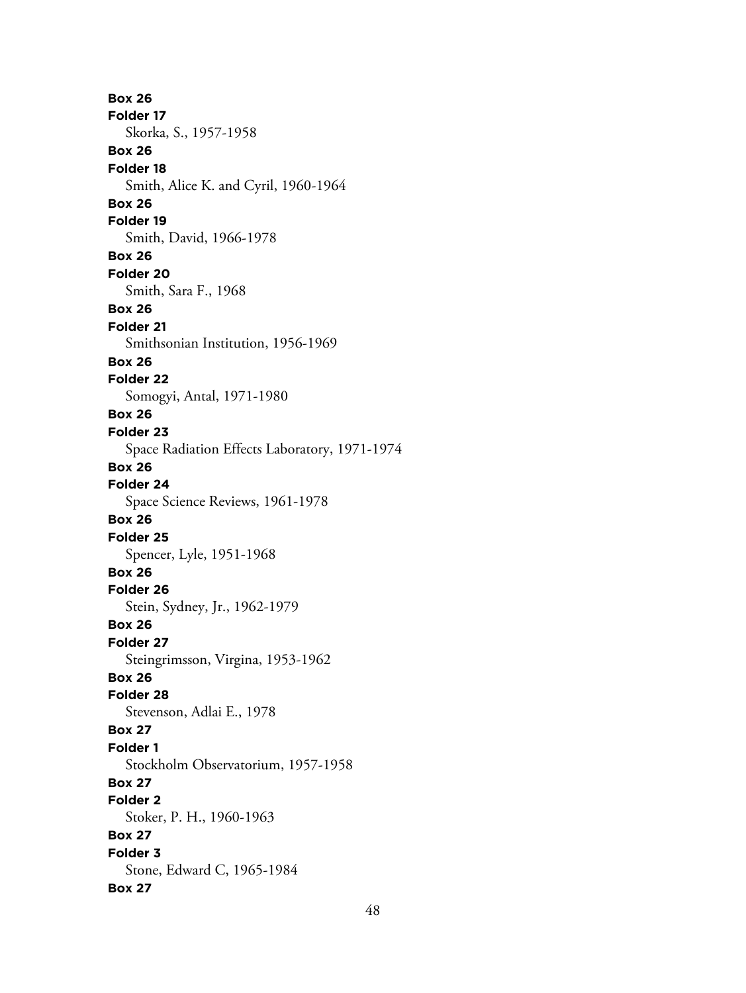**Box 26 Folder 17** Skorka, S., 1957-1958 **Box 26 Folder 18** Smith, Alice K. and Cyril, 1960-1964 **Box 26 Folder 19** Smith, David, 1966-1978 **Box 26 Folder 20** Smith, Sara F., 1968 **Box 26 Folder 21** Smithsonian Institution, 1956-1969 **Box 26 Folder 22** Somogyi, Antal, 1971-1980 **Box 26 Folder 23** Space Radiation Effects Laboratory, 1971-1974 **Box 26 Folder 24** Space Science Reviews, 1961-1978 **Box 26 Folder 25** Spencer, Lyle, 1951-1968 **Box 26 Folder 26** Stein, Sydney, Jr., 1962-1979 **Box 26 Folder 27** Steingrimsson, Virgina, 1953-1962 **Box 26 Folder 28** Stevenson, Adlai E., 1978 **Box 27 Folder 1** Stockholm Observatorium, 1957-1958 **Box 27 Folder 2** Stoker, P. H., 1960-1963 **Box 27 Folder 3** Stone, Edward C, 1965-1984 **Box 27**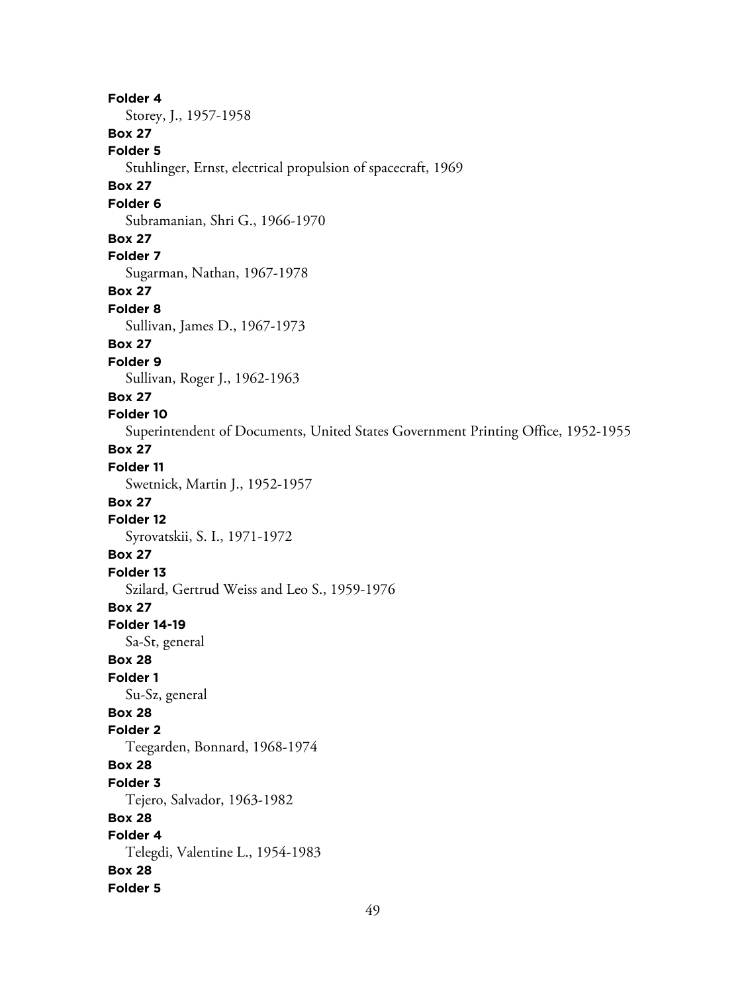**Folder 4** Storey, J., 1957-1958 **Box 27 Folder 5** Stuhlinger, Ernst, electrical propulsion of spacecraft, 1969 **Box 27 Folder 6** Subramanian, Shri G., 1966-1970 **Box 27 Folder 7** Sugarman, Nathan, 1967-1978 **Box 27 Folder 8** Sullivan, James D., 1967-1973 **Box 27 Folder 9** Sullivan, Roger J., 1962-1963 **Box 27 Folder 10** Superintendent of Documents, United States Government Printing Office, 1952-1955 **Box 27 Folder 11** Swetnick, Martin J., 1952-1957 **Box 27 Folder 12** Syrovatskii, S. I., 1971-1972 **Box 27 Folder 13** Szilard, Gertrud Weiss and Leo S., 1959-1976 **Box 27 Folder 14-19** Sa-St, general **Box 28 Folder 1** Su-Sz, general **Box 28 Folder 2** Teegarden, Bonnard, 1968-1974 **Box 28 Folder 3** Tejero, Salvador, 1963-1982 **Box 28 Folder 4** Telegdi, Valentine L., 1954-1983 **Box 28 Folder 5**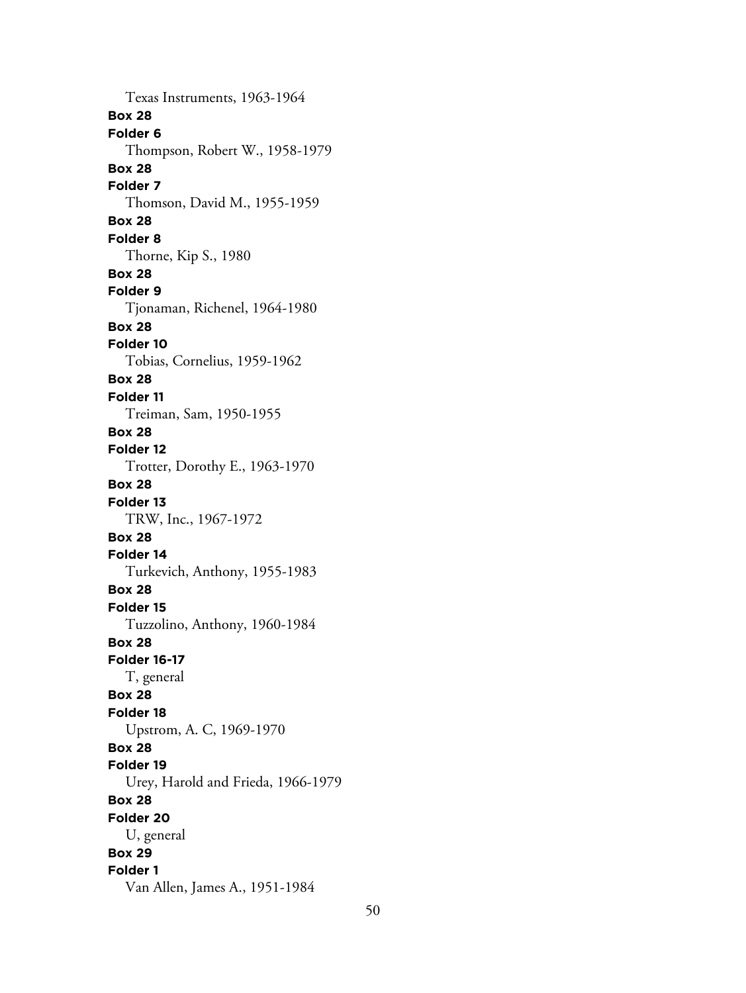Texas Instruments, 1963-1964 **Box 28 Folder 6** Thompson, Robert W., 1958-1979 **Box 28 Folder 7** Thomson, David M., 1955-1959 **Box 28 Folder 8** Thorne, Kip S., 1980 **Box 28 Folder 9** Tjonaman, Richenel, 1964-1980 **Box 28 Folder 10** Tobias, Cornelius, 1959-1962 **Box 28 Folder 11** Treiman, Sam, 1950-1955 **Box 28 Folder 12** Trotter, Dorothy E., 1963-1970 **Box 28 Folder 13** TRW, Inc., 1967-1972 **Box 28 Folder 14** Turkevich, Anthony, 1955-1983 **Box 28 Folder 15** Tuzzolino, Anthony, 1960-1984 **Box 28 Folder 16-17** T, general **Box 28 Folder 18** Upstrom, A. C, 1969-1970 **Box 28 Folder 19** Urey, Harold and Frieda, 1966-1979 **Box 28 Folder 20** U, general **Box 29 Folder 1** Van Allen, James A., 1951-1984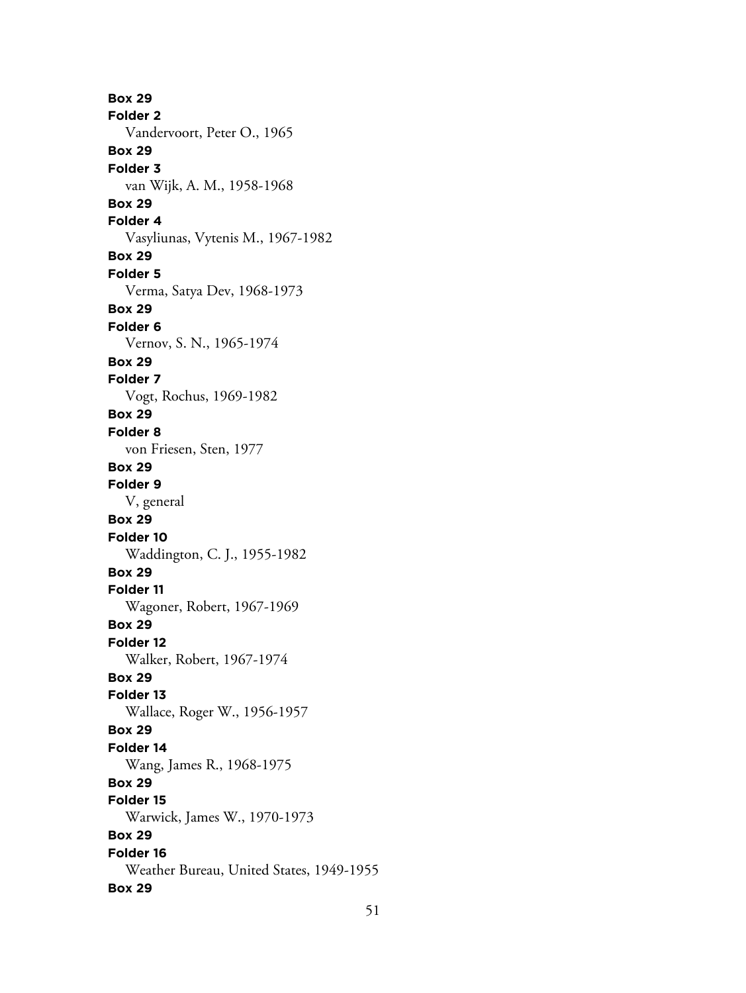**Box 29 Folder 2** Vandervoort, Peter O., 1965 **Box 29 Folder 3** van Wijk, A. M., 1958-1968 **Box 29 Folder 4** Vasyliunas, Vytenis M., 1967-1982 **Box 29 Folder 5** Verma, Satya Dev, 1968-1973 **Box 29 Folder 6** Vernov, S. N., 1965-1974 **Box 29 Folder 7** Vogt, Rochus, 1969-1982 **Box 29 Folder 8** von Friesen, Sten, 1977 **Box 29 Folder 9** V, general **Box 29 Folder 10** Waddington, C. J., 1955-1982 **Box 29 Folder 11** Wagoner, Robert, 1967-1969 **Box 29 Folder 12** Walker, Robert, 1967-1974 **Box 29 Folder 13** Wallace, Roger W., 1956-1957 **Box 29 Folder 14** Wang, James R., 1968-1975 **Box 29 Folder 15** Warwick, James W., 1970-1973 **Box 29 Folder 16** Weather Bureau, United States, 1949-1955 **Box 29**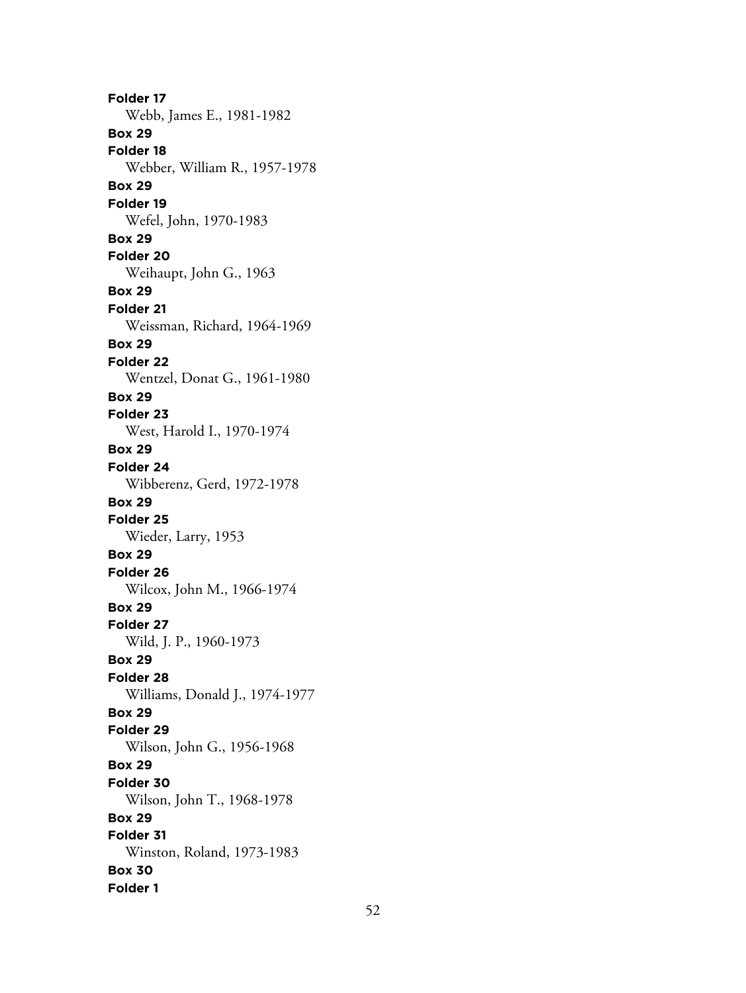**Folder 17** Webb, James E., 1981-1982 **Box 29 Folder 18** Webber, William R., 1957-1978 **Box 29 Folder 19** Wefel, John, 1970-1983 **Box 29 Folder 20** Weihaupt, John G., 1963 **Box 29 Folder 21** Weissman, Richard, 1964-1969 **Box 29 Folder 22** Wentzel, Donat G., 1961-1980 **Box 29 Folder 23** West, Harold I., 1970-1974 **Box 29 Folder 24** Wibberenz, Gerd, 1972-1978 **Box 29 Folder 25** Wieder, Larry, 1953 **Box 29 Folder 26** Wilcox, John M., 1966-1974 **Box 29 Folder 27** Wild, J. P., 1960-1973 **Box 29 Folder 28** Williams, Donald J., 1974-1977 **Box 29 Folder 29** Wilson, John G., 1956-1968 **Box 29 Folder 30** Wilson, John T., 1968-1978 **Box 29 Folder 31** Winston, Roland, 1973-1983 **Box 30 Folder 1**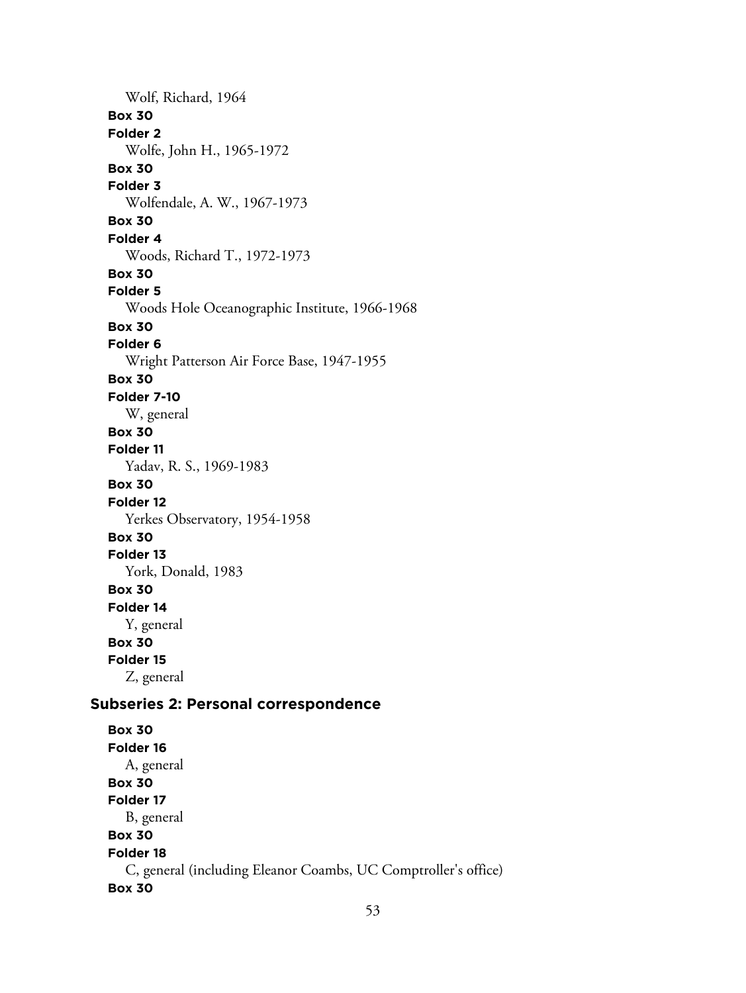Wolf, Richard, 1964 **Box 30 Folder 2** Wolfe, John H., 1965-1972 **Box 30 Folder 3** Wolfendale, A. W., 1967-1973 **Box 30 Folder 4** Woods, Richard T., 1972-1973 **Box 30 Folder 5** Woods Hole Oceanographic Institute, 1966-1968 **Box 30 Folder 6** Wright Patterson Air Force Base, 1947-1955 **Box 30 Folder 7-10** W, general **Box 30 Folder 11** Yadav, R. S., 1969-1983 **Box 30 Folder 12** Yerkes Observatory, 1954-1958 **Box 30 Folder 13** York, Donald, 1983 **Box 30 Folder 14** Y, general **Box 30 Folder 15** Z, general **Subseries 2: Personal correspondence Box 30 Folder 16** A, general **Box 30 Folder 17** B, general **Box 30 Folder 18** C, general (including Eleanor Coambs, UC Comptroller's office) **Box 30**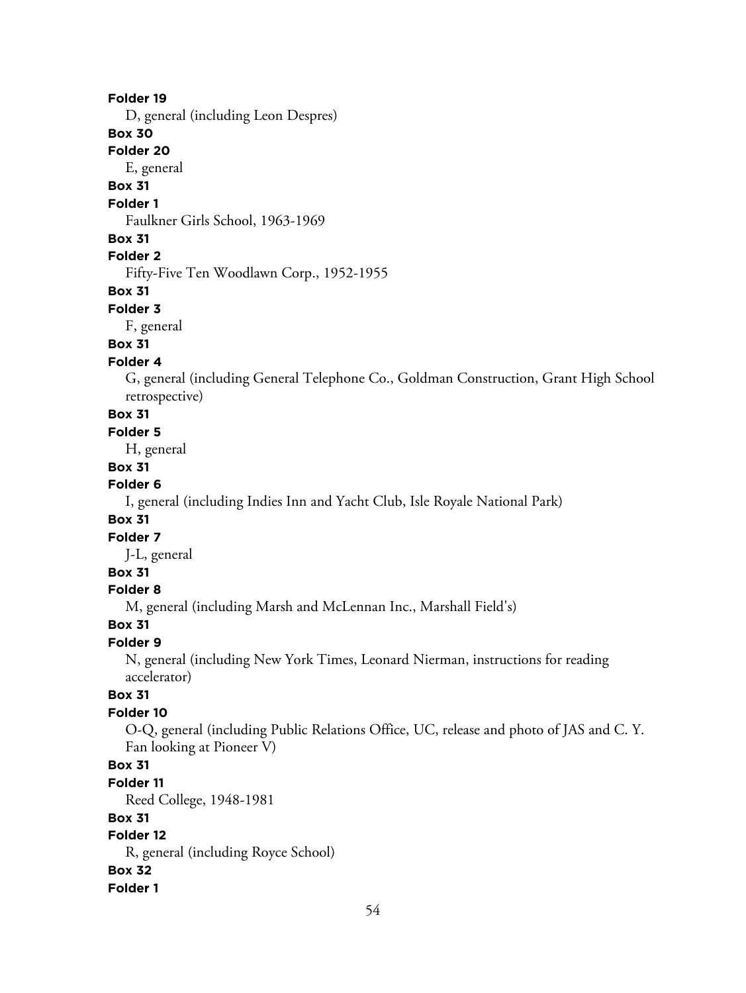#### **Folder 19**

D, general (including Leon Despres)

# **Box 30**

**Folder 20**

E, general

# **Box 31**

**Folder 1**

Faulkner Girls School, 1963-1969

#### **Box 31**

## **Folder 2**

Fifty-Five Ten Woodlawn Corp., 1952-1955

#### **Box 31**

#### **Folder 3**

F, general

## **Box 31**

#### **Folder 4**

G, general (including General Telephone Co., Goldman Construction, Grant High School retrospective)

# **Box 31**

#### **Folder 5**

H, general

## **Box 31**

## **Folder 6**

I, general (including Indies Inn and Yacht Club, Isle Royale National Park)

#### **Box 31**

#### **Folder 7**

J-L, general

# **Box 31**

## **Folder 8**

M, general (including Marsh and McLennan Inc., Marshall Field's)

## **Box 31**

# **Folder 9**

N, general (including New York Times, Leonard Nierman, instructions for reading accelerator)

## **Box 31**

## **Folder 10**

O-Q, general (including Public Relations Office, UC, release and photo of JAS and C. Y. Fan looking at Pioneer V)

# **Box 31**

#### **Folder 11**

Reed College, 1948-1981

#### **Box 31**

# **Folder 12**

R, general (including Royce School)

#### **Box 32 Folder 1**

54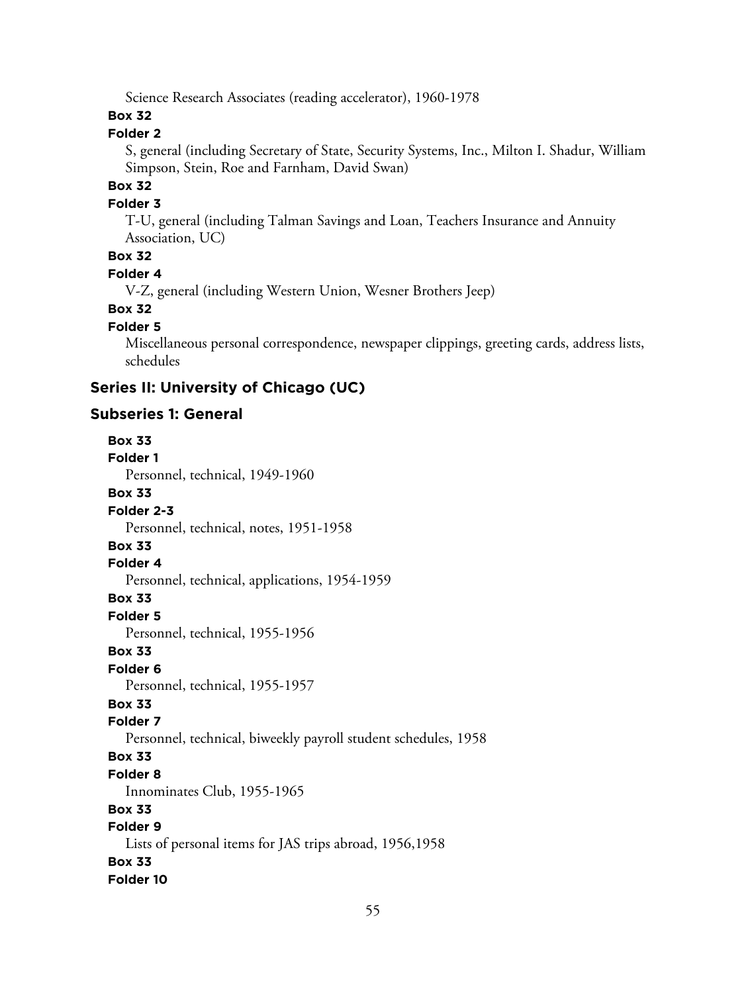Science Research Associates (reading accelerator), 1960-1978

## **Box 32**

# **Folder 2**

S, general (including Secretary of State, Security Systems, Inc., Milton I. Shadur, William Simpson, Stein, Roe and Farnham, David Swan)

# **Box 32**

#### **Folder 3**

T-U, general (including Talman Savings and Loan, Teachers Insurance and Annuity Association, UC)

# **Box 32**

#### **Folder 4**

V-Z, general (including Western Union, Wesner Brothers Jeep)

# **Box 32**

#### **Folder 5**

Miscellaneous personal correspondence, newspaper clippings, greeting cards, address lists, schedules

# **Series II: University of Chicago (UC)**

## **Subseries 1: General**

**Box 33 Folder 1** Personnel, technical, 1949-1960 **Box 33 Folder 2-3** Personnel, technical, notes, 1951-1958 **Box 33 Folder 4** Personnel, technical, applications, 1954-1959 **Box 33 Folder 5** Personnel, technical, 1955-1956 **Box 33 Folder 6** Personnel, technical, 1955-1957 **Box 33 Folder 7** Personnel, technical, biweekly payroll student schedules, 1958 **Box 33 Folder 8** Innominates Club, 1955-1965 **Box 33 Folder 9** Lists of personal items for JAS trips abroad, 1956,1958 **Box 33 Folder 10**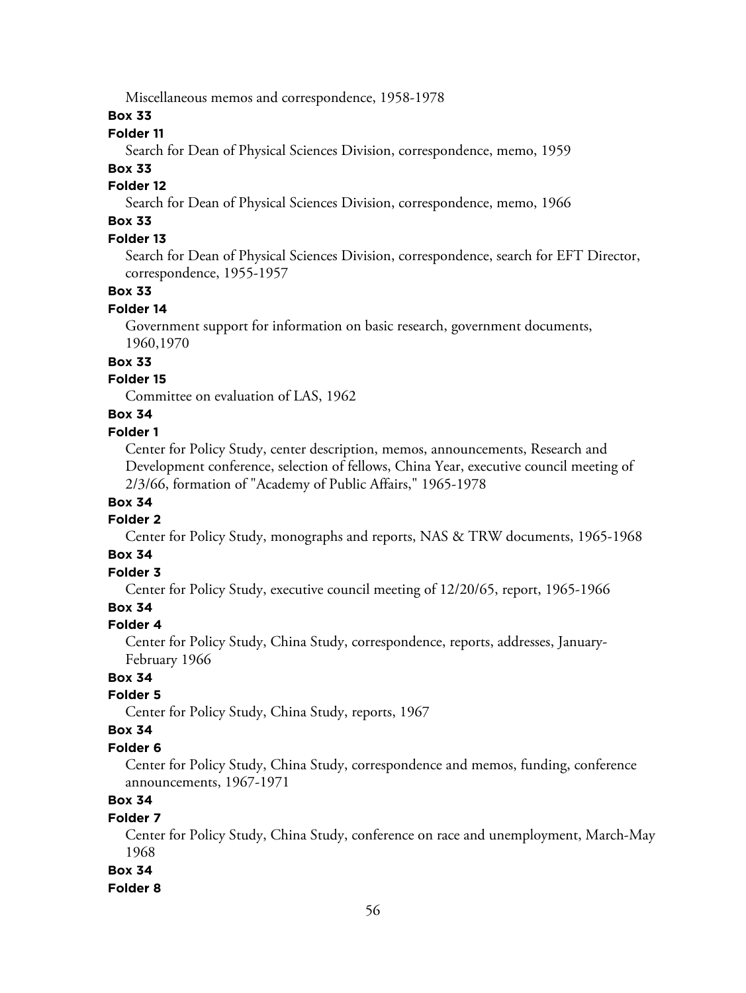Miscellaneous memos and correspondence, 1958-1978

**Box 33**

#### **Folder 11**

Search for Dean of Physical Sciences Division, correspondence, memo, 1959

#### **Box 33**

## **Folder 12**

Search for Dean of Physical Sciences Division, correspondence, memo, 1966

# **Box 33**

# **Folder 13**

Search for Dean of Physical Sciences Division, correspondence, search for EFT Director, correspondence, 1955-1957

#### **Box 33**

#### **Folder 14**

Government support for information on basic research, government documents, 1960,1970

## **Box 33**

## **Folder 15**

Committee on evaluation of LAS, 1962

# **Box 34**

# **Folder 1**

Center for Policy Study, center description, memos, announcements, Research and Development conference, selection of fellows, China Year, executive council meeting of 2/3/66, formation of "Academy of Public Affairs," 1965-1978

## **Box 34**

#### **Folder 2**

Center for Policy Study, monographs and reports, NAS & TRW documents, 1965-1968

# **Box 34**

# **Folder 3**

Center for Policy Study, executive council meeting of 12/20/65, report, 1965-1966

# **Box 34**

## **Folder 4**

Center for Policy Study, China Study, correspondence, reports, addresses, January-February 1966

# **Box 34**

#### **Folder 5**

Center for Policy Study, China Study, reports, 1967

## **Box 34**

## **Folder 6**

Center for Policy Study, China Study, correspondence and memos, funding, conference announcements, 1967-1971

# **Box 34**

## **Folder 7**

Center for Policy Study, China Study, conference on race and unemployment, March-May 1968

## **Box 34**

#### **Folder 8**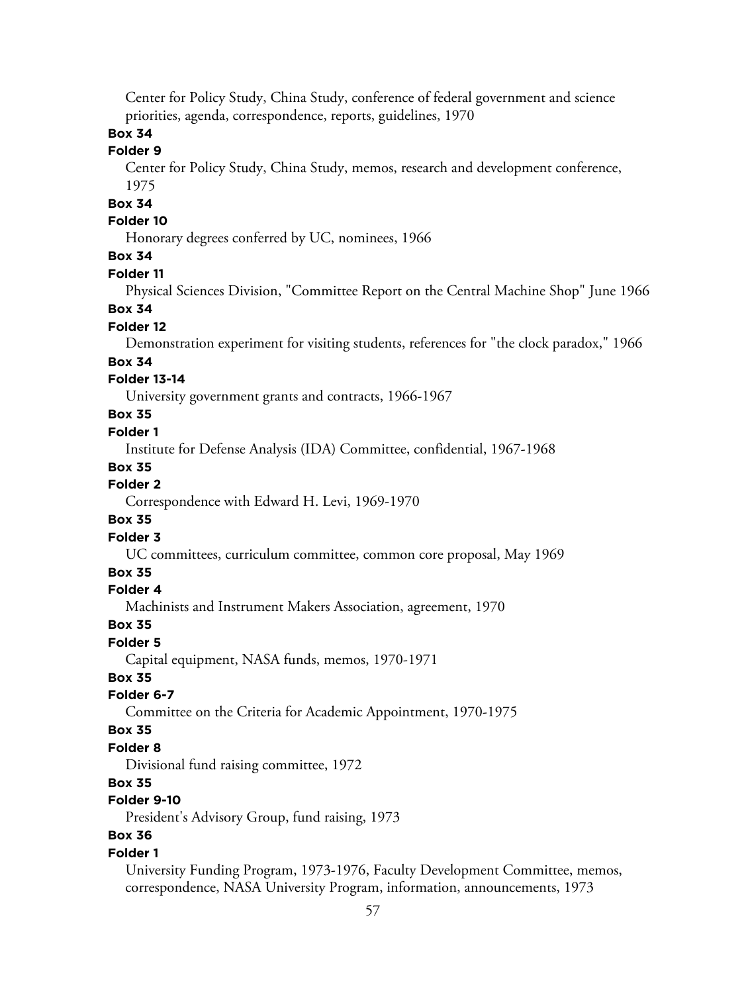Center for Policy Study, China Study, conference of federal government and science priorities, agenda, correspondence, reports, guidelines, 1970

# **Box 34**

# **Folder 9**

Center for Policy Study, China Study, memos, research and development conference, 1975

# **Box 34**

## **Folder 10**

Honorary degrees conferred by UC, nominees, 1966

## **Box 34**

#### **Folder 11**

Physical Sciences Division, "Committee Report on the Central Machine Shop" June 1966

#### **Box 34**

#### **Folder 12**

Demonstration experiment for visiting students, references for "the clock paradox," 1966

#### **Box 34**

#### **Folder 13-14**

University government grants and contracts, 1966-1967

## **Box 35**

#### **Folder 1**

Institute for Defense Analysis (IDA) Committee, confidential, 1967-1968

#### **Box 35**

## **Folder 2**

Correspondence with Edward H. Levi, 1969-1970

#### **Box 35**

#### **Folder 3**

UC committees, curriculum committee, common core proposal, May 1969

#### **Box 35**

#### **Folder 4**

Machinists and Instrument Makers Association, agreement, 1970

#### **Box 35**

#### **Folder 5**

Capital equipment, NASA funds, memos, 1970-1971

#### **Box 35**

#### **Folder 6-7**

Committee on the Criteria for Academic Appointment, 1970-1975

#### **Box 35**

## **Folder 8**

Divisional fund raising committee, 1972

## **Box 35**

# **Folder 9-10**

President's Advisory Group, fund raising, 1973

# **Box 36**

#### **Folder 1**

University Funding Program, 1973-1976, Faculty Development Committee, memos, correspondence, NASA University Program, information, announcements, 1973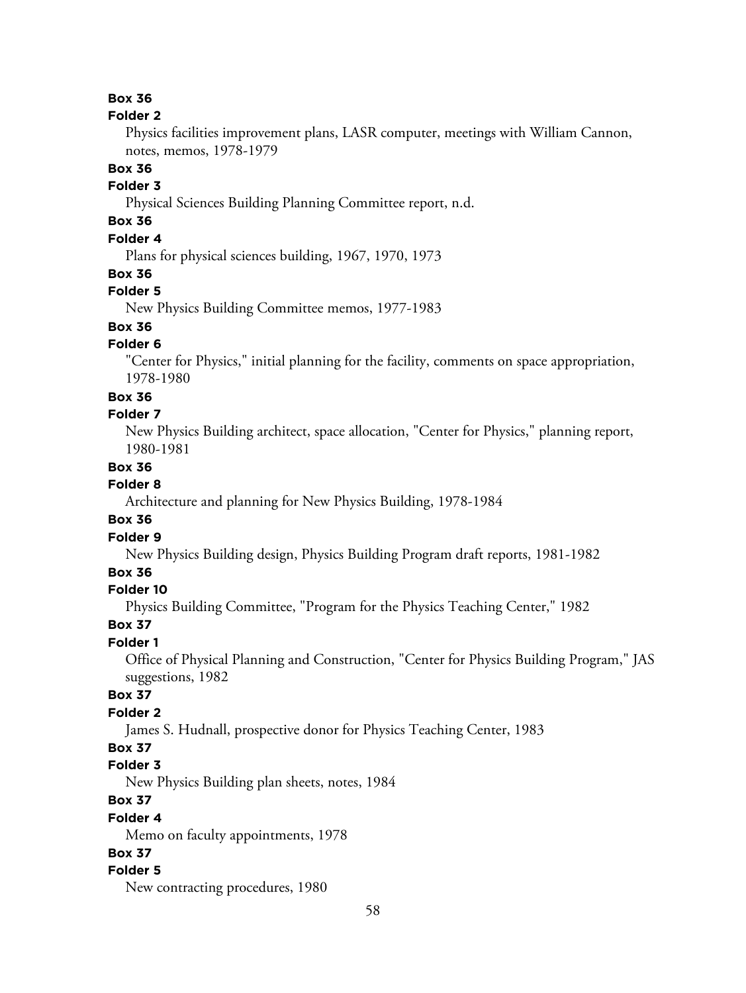# **Box 36**

#### **Folder 2**

Physics facilities improvement plans, LASR computer, meetings with William Cannon, notes, memos, 1978-1979

# **Box 36**

# **Folder 3**

Physical Sciences Building Planning Committee report, n.d.

# **Box 36**

# **Folder 4**

Plans for physical sciences building, 1967, 1970, 1973

#### **Box 36**

#### **Folder 5**

New Physics Building Committee memos, 1977-1983

# **Box 36**

## **Folder 6**

"Center for Physics," initial planning for the facility, comments on space appropriation, 1978-1980

#### **Box 36**

#### **Folder 7**

New Physics Building architect, space allocation, "Center for Physics," planning report, 1980-1981

## **Box 36**

#### **Folder 8**

Architecture and planning for New Physics Building, 1978-1984

## **Box 36**

# **Folder 9**

New Physics Building design, Physics Building Program draft reports, 1981-1982

#### **Box 36**

#### **Folder 10**

Physics Building Committee, "Program for the Physics Teaching Center," 1982

#### **Box 37**

## **Folder 1**

Office of Physical Planning and Construction, "Center for Physics Building Program," JAS suggestions, 1982

#### **Box 37**

## **Folder 2**

James S. Hudnall, prospective donor for Physics Teaching Center, 1983

## **Box 37**

## **Folder 3**

New Physics Building plan sheets, notes, 1984

# **Box 37**

#### **Folder 4**

Memo on faculty appointments, 1978

# **Box 37**

## **Folder 5**

New contracting procedures, 1980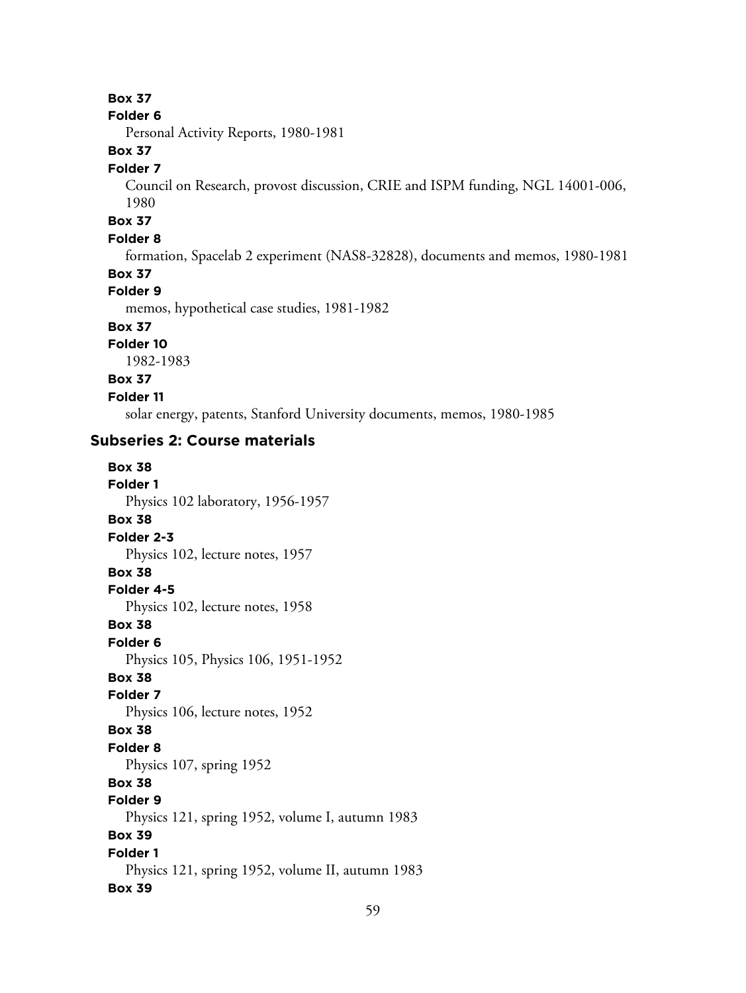# **Box 37**

#### **Folder 6**

Personal Activity Reports, 1980-1981

# **Box 37**

#### **Folder 7**

Council on Research, provost discussion, CRIE and ISPM funding, NGL 14001-006, 1980

#### **Box 37**

#### **Folder 8**

formation, Spacelab 2 experiment (NAS8-32828), documents and memos, 1980-1981

## **Box 37**

## **Folder 9**

memos, hypothetical case studies, 1981-1982

## **Box 37**

**Folder 10** 1982-1983

# **Box 37**

**Folder 11**

solar energy, patents, Stanford University documents, memos, 1980-1985

#### **Subseries 2: Course materials**

**Box 38 Folder 1** Physics 102 laboratory, 1956-1957 **Box 38 Folder 2-3** Physics 102, lecture notes, 1957 **Box 38 Folder 4-5** Physics 102, lecture notes, 1958 **Box 38 Folder 6** Physics 105, Physics 106, 1951-1952 **Box 38 Folder 7** Physics 106, lecture notes, 1952 **Box 38 Folder 8** Physics 107, spring 1952 **Box 38 Folder 9** Physics 121, spring 1952, volume I, autumn 1983 **Box 39 Folder 1** Physics 121, spring 1952, volume II, autumn 1983 **Box 39**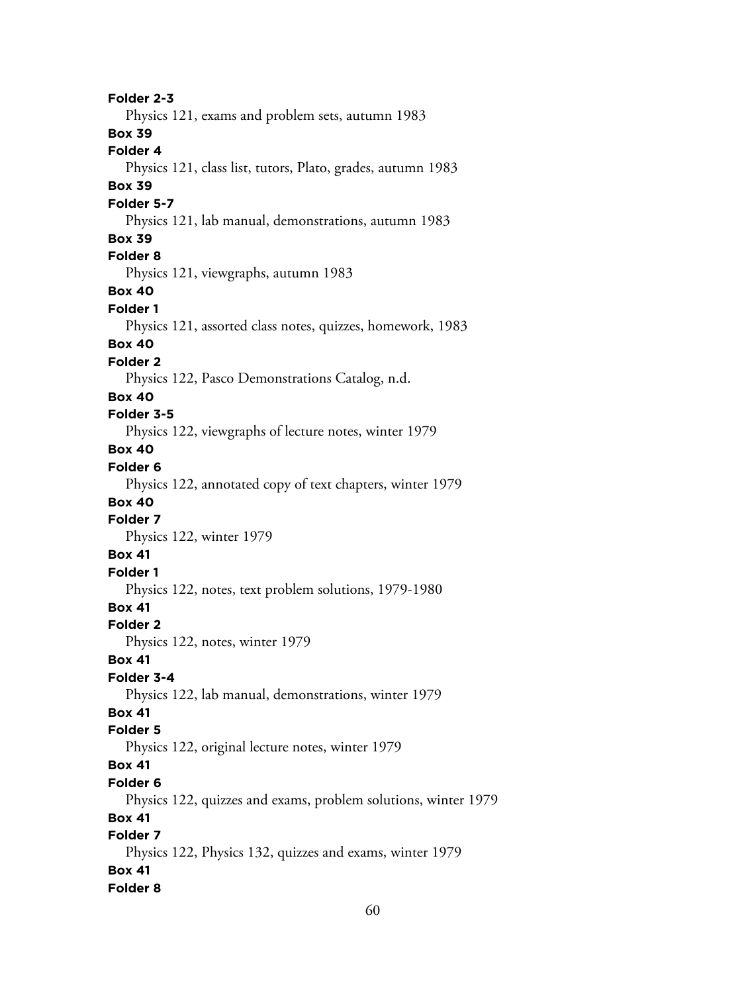**Folder 2-3** Physics 121, exams and problem sets, autumn 1983 **Box 39 Folder 4** Physics 121, class list, tutors, Plato, grades, autumn 1983 **Box 39 Folder 5-7** Physics 121, lab manual, demonstrations, autumn 1983 **Box 39 Folder 8** Physics 121, viewgraphs, autumn 1983 **Box 40 Folder 1** Physics 121, assorted class notes, quizzes, homework, 1983 **Box 40 Folder 2** Physics 122, Pasco Demonstrations Catalog, n.d. **Box 40 Folder 3-5** Physics 122, viewgraphs of lecture notes, winter 1979 **Box 40 Folder 6** Physics 122, annotated copy of text chapters, winter 1979 **Box 40 Folder 7** Physics 122, winter 1979 **Box 41 Folder 1** Physics 122, notes, text problem solutions, 1979-1980 **Box 41 Folder 2** Physics 122, notes, winter 1979 **Box 41 Folder 3-4** Physics 122, lab manual, demonstrations, winter 1979 **Box 41 Folder 5** Physics 122, original lecture notes, winter 1979 **Box 41 Folder 6** Physics 122, quizzes and exams, problem solutions, winter 1979 **Box 41 Folder 7** Physics 122, Physics 132, quizzes and exams, winter 1979 **Box 41 Folder 8**

60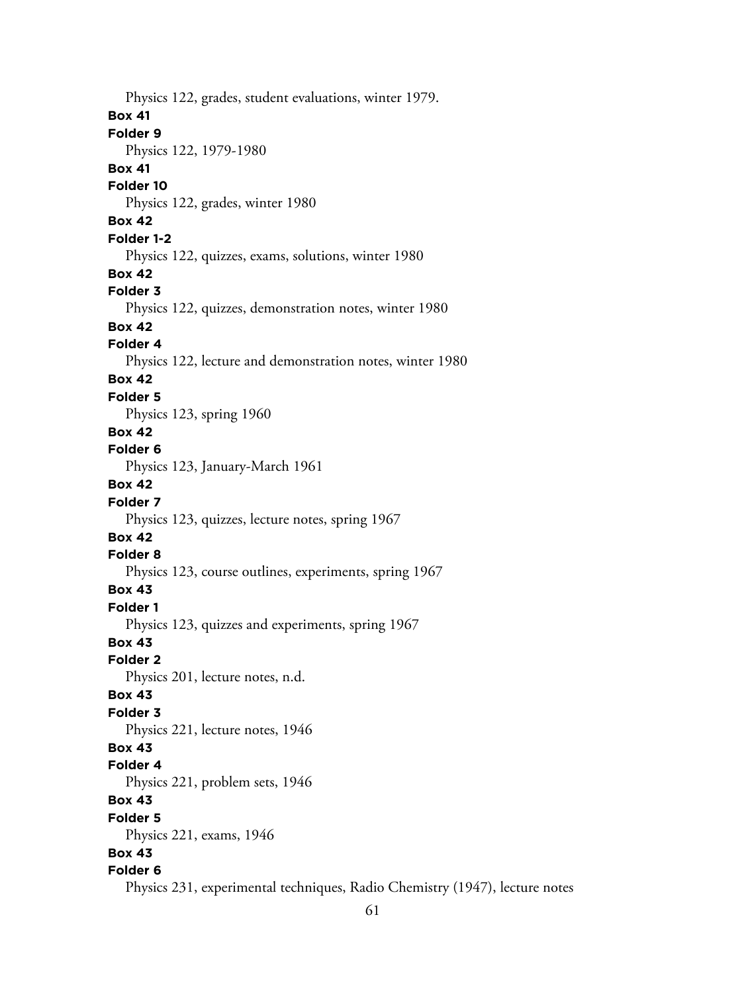Physics 122, grades, student evaluations, winter 1979. **Box 41 Folder 9** Physics 122, 1979-1980 **Box 41 Folder 10** Physics 122, grades, winter 1980 **Box 42 Folder 1-2** Physics 122, quizzes, exams, solutions, winter 1980 **Box 42 Folder 3** Physics 122, quizzes, demonstration notes, winter 1980 **Box 42 Folder 4** Physics 122, lecture and demonstration notes, winter 1980 **Box 42 Folder 5** Physics 123, spring 1960 **Box 42 Folder 6** Physics 123, January-March 1961 **Box 42 Folder 7** Physics 123, quizzes, lecture notes, spring 1967 **Box 42 Folder 8** Physics 123, course outlines, experiments, spring 1967 **Box 43 Folder 1** Physics 123, quizzes and experiments, spring 1967 **Box 43 Folder 2** Physics 201, lecture notes, n.d. **Box 43 Folder 3** Physics 221, lecture notes, 1946 **Box 43 Folder 4** Physics 221, problem sets, 1946 **Box 43 Folder 5** Physics 221, exams, 1946 **Box 43 Folder 6** Physics 231, experimental techniques, Radio Chemistry (1947), lecture notes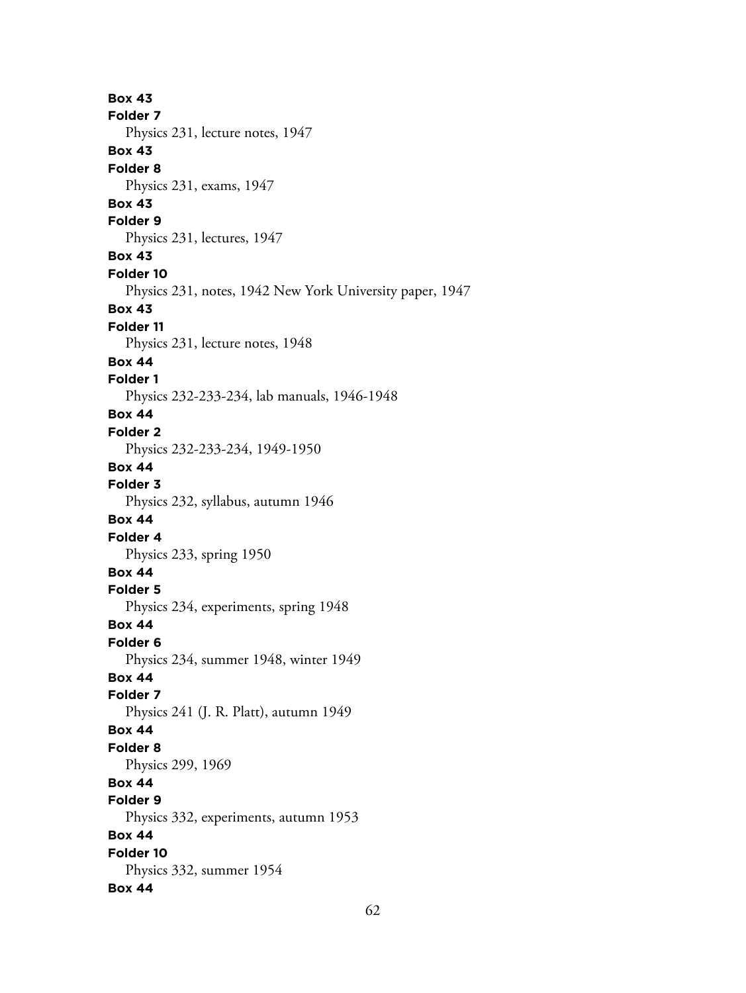**Box 43 Folder 7** Physics 231, lecture notes, 1947 **Box 43 Folder 8** Physics 231, exams, 1947 **Box 43 Folder 9** Physics 231, lectures, 1947 **Box 43 Folder 10** Physics 231, notes, 1942 New York University paper, 1947 **Box 43 Folder 11** Physics 231, lecture notes, 1948 **Box 44 Folder 1** Physics 232-233-234, lab manuals, 1946-1948 **Box 44 Folder 2** Physics 232-233-234, 1949-1950 **Box 44 Folder 3** Physics 232, syllabus, autumn 1946 **Box 44 Folder 4** Physics 233, spring 1950 **Box 44 Folder 5** Physics 234, experiments, spring 1948 **Box 44 Folder 6** Physics 234, summer 1948, winter 1949 **Box 44 Folder 7** Physics 241 (J. R. Platt), autumn 1949 **Box 44 Folder 8** Physics 299, 1969 **Box 44 Folder 9** Physics 332, experiments, autumn 1953 **Box 44 Folder 10** Physics 332, summer 1954 **Box 44**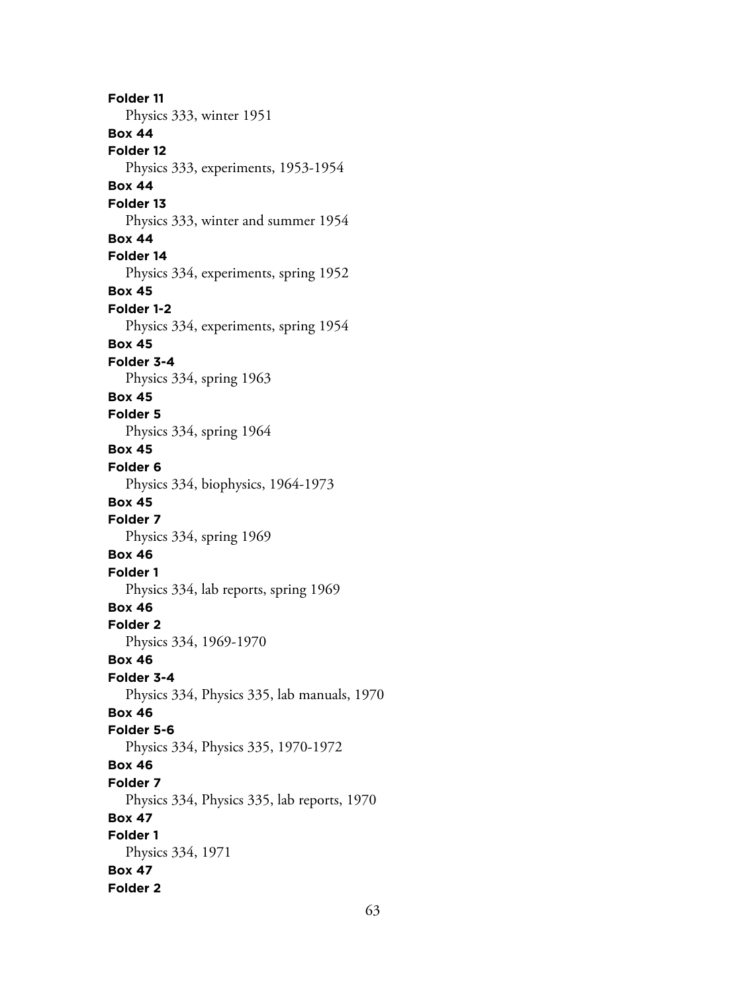**Folder 11** Physics 333, winter 1951 **Box 44 Folder 12** Physics 333, experiments, 1953-1954 **Box 44 Folder 13** Physics 333, winter and summer 1954 **Box 44 Folder 14** Physics 334, experiments, spring 1952 **Box 45 Folder 1-2** Physics 334, experiments, spring 1954 **Box 45 Folder 3-4** Physics 334, spring 1963 **Box 45 Folder 5** Physics 334, spring 1964 **Box 45 Folder 6** Physics 334, biophysics, 1964-1973 **Box 45 Folder 7** Physics 334, spring 1969 **Box 46 Folder 1** Physics 334, lab reports, spring 1969 **Box 46 Folder 2** Physics 334, 1969-1970 **Box 46 Folder 3-4** Physics 334, Physics 335, lab manuals, 1970 **Box 46 Folder 5-6** Physics 334, Physics 335, 1970-1972 **Box 46 Folder 7** Physics 334, Physics 335, lab reports, 1970 **Box 47 Folder 1** Physics 334, 1971 **Box 47 Folder 2**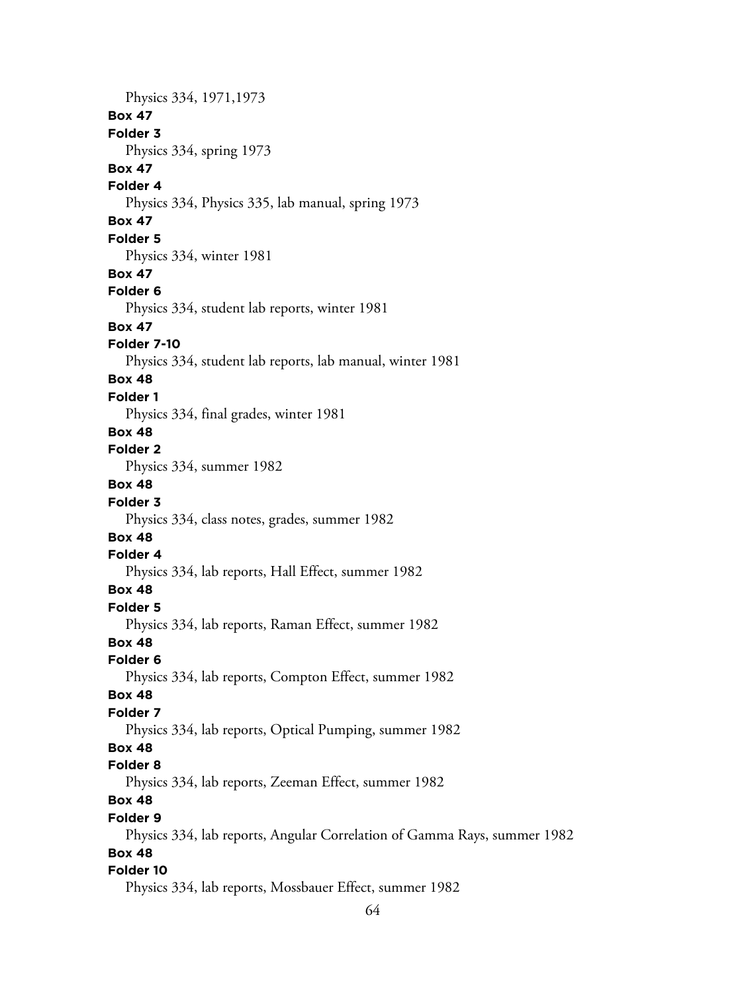Physics 334, 1971,1973 **Box 47 Folder 3** Physics 334, spring 1973 **Box 47 Folder 4** Physics 334, Physics 335, lab manual, spring 1973 **Box 47 Folder 5** Physics 334, winter 1981 **Box 47 Folder 6** Physics 334, student lab reports, winter 1981 **Box 47 Folder 7-10** Physics 334, student lab reports, lab manual, winter 1981 **Box 48 Folder 1** Physics 334, final grades, winter 1981 **Box 48 Folder 2** Physics 334, summer 1982 **Box 48 Folder 3** Physics 334, class notes, grades, summer 1982 **Box 48 Folder 4** Physics 334, lab reports, Hall Effect, summer 1982 **Box 48 Folder 5** Physics 334, lab reports, Raman Effect, summer 1982 **Box 48 Folder 6** Physics 334, lab reports, Compton Effect, summer 1982 **Box 48 Folder 7** Physics 334, lab reports, Optical Pumping, summer 1982 **Box 48 Folder 8** Physics 334, lab reports, Zeeman Effect, summer 1982 **Box 48 Folder 9** Physics 334, lab reports, Angular Correlation of Gamma Rays, summer 1982 **Box 48 Folder 10** Physics 334, lab reports, Mossbauer Effect, summer 1982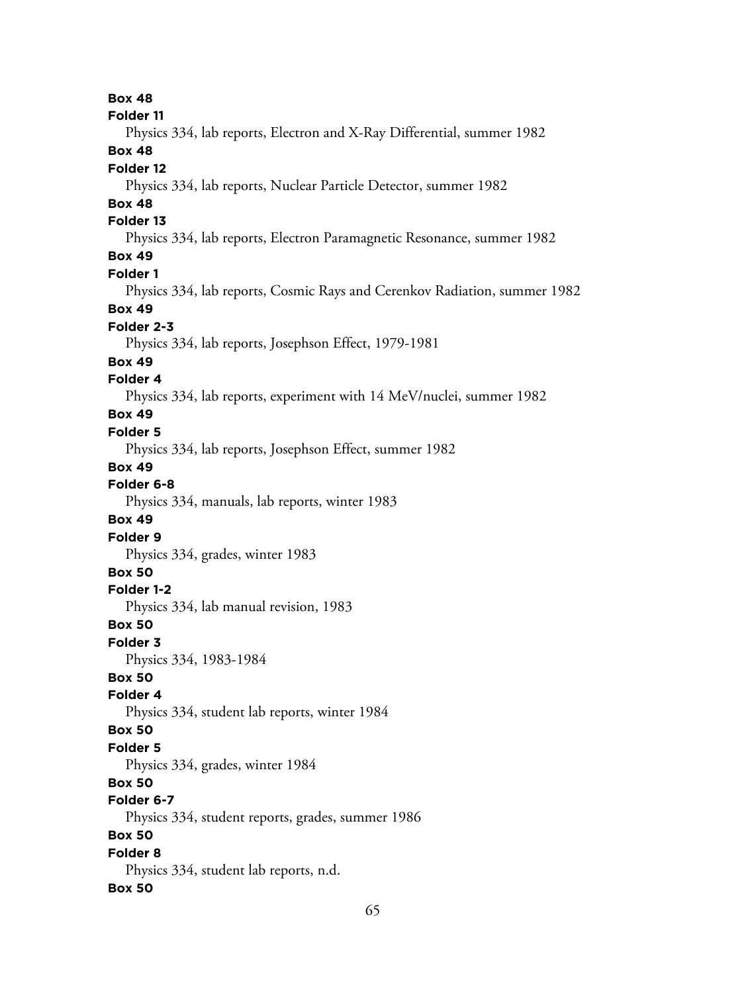**Box 48 Folder 11** Physics 334, lab reports, Electron and X-Ray Differential, summer 1982 **Box 48 Folder 12** Physics 334, lab reports, Nuclear Particle Detector, summer 1982 **Box 48 Folder 13** Physics 334, lab reports, Electron Paramagnetic Resonance, summer 1982 **Box 49 Folder 1** Physics 334, lab reports, Cosmic Rays and Cerenkov Radiation, summer 1982 **Box 49 Folder 2-3** Physics 334, lab reports, Josephson Effect, 1979-1981 **Box 49 Folder 4** Physics 334, lab reports, experiment with 14 MeV/nuclei, summer 1982 **Box 49 Folder 5** Physics 334, lab reports, Josephson Effect, summer 1982 **Box 49 Folder 6-8** Physics 334, manuals, lab reports, winter 1983 **Box 49 Folder 9** Physics 334, grades, winter 1983 **Box 50 Folder 1-2** Physics 334, lab manual revision, 1983 **Box 50 Folder 3** Physics 334, 1983-1984 **Box 50 Folder 4** Physics 334, student lab reports, winter 1984 **Box 50 Folder 5** Physics 334, grades, winter 1984 **Box 50 Folder 6-7** Physics 334, student reports, grades, summer 1986 **Box 50 Folder 8** Physics 334, student lab reports, n.d. **Box 50**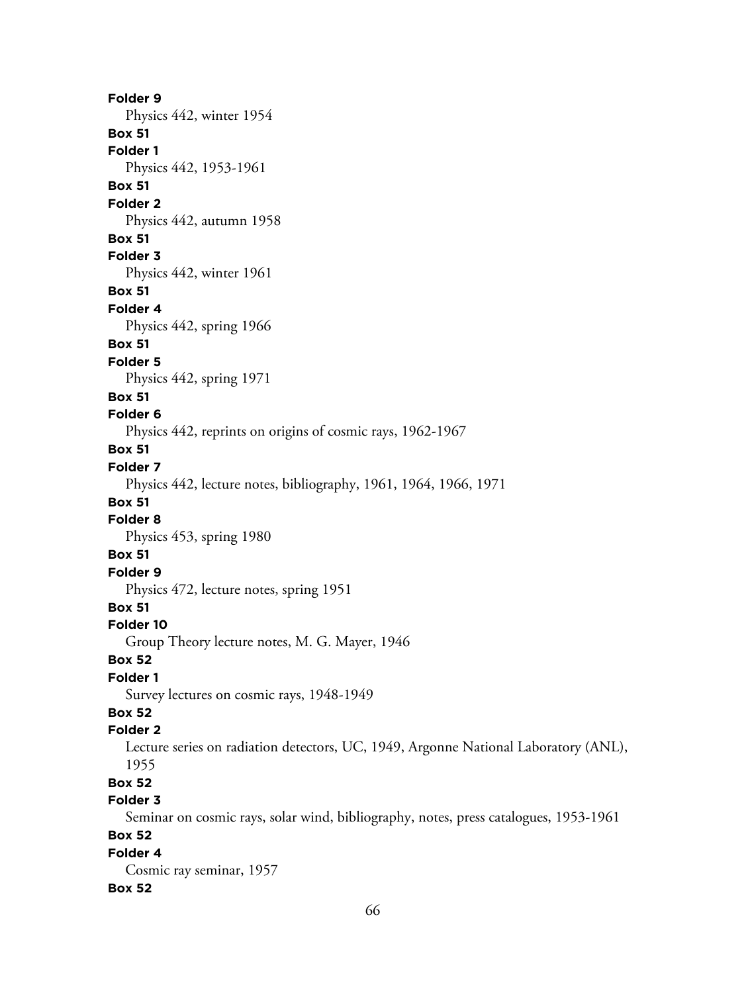**Folder 9** Physics 442, winter 1954 **Box 51 Folder 1** Physics 442, 1953-1961 **Box 51 Folder 2** Physics 442, autumn 1958 **Box 51 Folder 3** Physics 442, winter 1961 **Box 51 Folder 4** Physics 442, spring 1966 **Box 51 Folder 5** Physics 442, spring 1971 **Box 51 Folder 6** Physics 442, reprints on origins of cosmic rays, 1962-1967 **Box 51 Folder 7** Physics 442, lecture notes, bibliography, 1961, 1964, 1966, 1971 **Box 51 Folder 8** Physics 453, spring 1980 **Box 51 Folder 9** Physics 472, lecture notes, spring 1951 **Box 51 Folder 10** Group Theory lecture notes, M. G. Mayer, 1946 **Box 52 Folder 1** Survey lectures on cosmic rays, 1948-1949 **Box 52 Folder 2** Lecture series on radiation detectors, UC, 1949, Argonne National Laboratory (ANL), 1955 **Box 52 Folder 3** Seminar on cosmic rays, solar wind, bibliography, notes, press catalogues, 1953-1961 **Box 52 Folder 4** Cosmic ray seminar, 1957

#### **Box 52**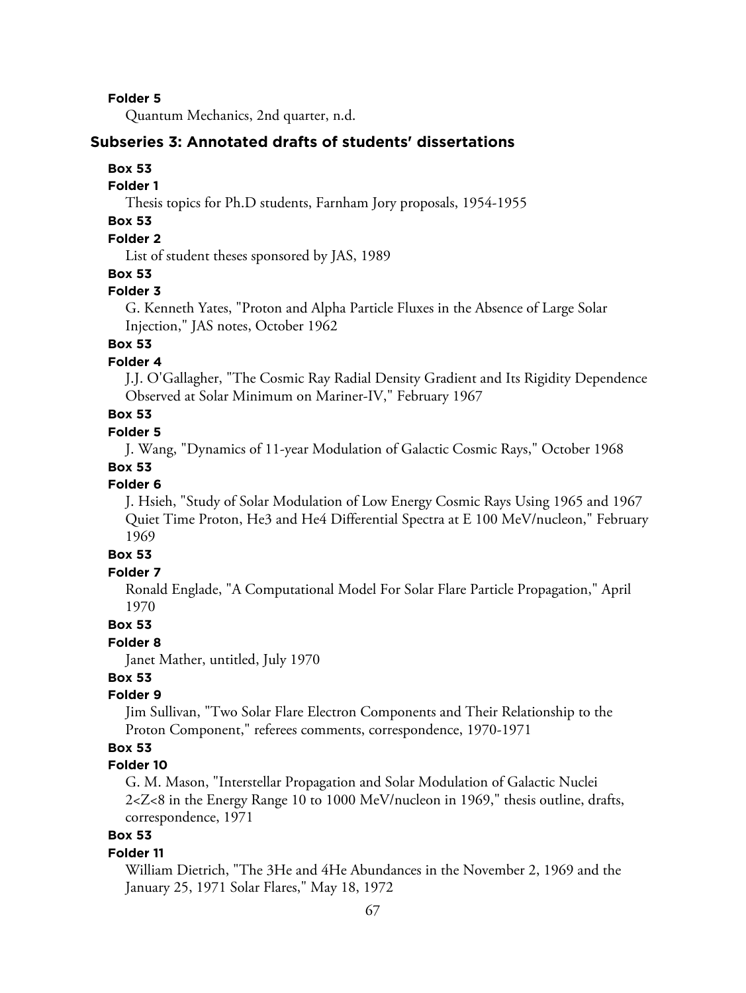**Folder 5**

Quantum Mechanics, 2nd quarter, n.d.

#### **Subseries 3: Annotated drafts of students' dissertations**

#### **Box 53**

#### **Folder 1**

Thesis topics for Ph.D students, Farnham Jory proposals, 1954-1955

# **Box 53**

# **Folder 2**

List of student theses sponsored by JAS, 1989

#### **Box 53**

#### **Folder 3**

G. Kenneth Yates, "Proton and Alpha Particle Fluxes in the Absence of Large Solar Injection," JAS notes, October 1962

## **Box 53**

## **Folder 4**

J.J. O'Gallagher, "The Cosmic Ray Radial Density Gradient and Its Rigidity Dependence Observed at Solar Minimum on Mariner-IV," February 1967

# **Box 53**

## **Folder 5**

J. Wang, "Dynamics of 11-year Modulation of Galactic Cosmic Rays," October 1968

#### **Box 53**

## **Folder 6**

J. Hsieh, "Study of Solar Modulation of Low Energy Cosmic Rays Using 1965 and 1967 Quiet Time Proton, He3 and He4 Differential Spectra at E 100 MeV/nucleon," February 1969

# **Box 53**

## **Folder 7**

Ronald Englade, "A Computational Model For Solar Flare Particle Propagation," April 1970

#### **Box 53**

#### **Folder 8**

Janet Mather, untitled, July 1970

# **Box 53**

## **Folder 9**

Jim Sullivan, "Two Solar Flare Electron Components and Their Relationship to the Proton Component," referees comments, correspondence, 1970-1971

# **Box 53**

## **Folder 10**

G. M. Mason, "Interstellar Propagation and Solar Modulation of Galactic Nuclei 2<Z<8 in the Energy Range 10 to 1000 MeV/nucleon in 1969," thesis outline, drafts, correspondence, 1971

# **Box 53**

#### **Folder 11**

William Dietrich, "The 3He and 4He Abundances in the November 2, 1969 and the January 25, 1971 Solar Flares," May 18, 1972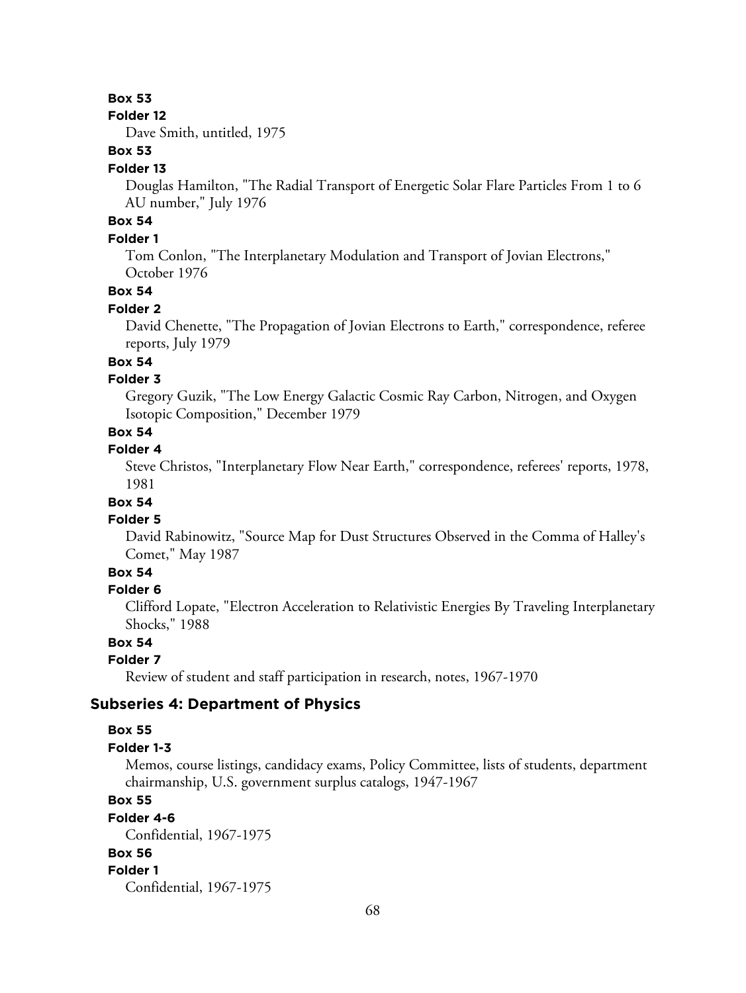## **Box 53**

#### **Folder 12**

Dave Smith, untitled, 1975

# **Box 53**

#### **Folder 13**

Douglas Hamilton, "The Radial Transport of Energetic Solar Flare Particles From 1 to 6 AU number," July 1976

# **Box 54**

# **Folder 1**

Tom Conlon, "The Interplanetary Modulation and Transport of Jovian Electrons," October 1976

# **Box 54**

#### **Folder 2**

David Chenette, "The Propagation of Jovian Electrons to Earth," correspondence, referee reports, July 1979

# **Box 54**

## **Folder 3**

Gregory Guzik, "The Low Energy Galactic Cosmic Ray Carbon, Nitrogen, and Oxygen Isotopic Composition," December 1979

# **Box 54**

## **Folder 4**

Steve Christos, "Interplanetary Flow Near Earth," correspondence, referees' reports, 1978, 1981

# **Box 54**

#### **Folder 5**

David Rabinowitz, "Source Map for Dust Structures Observed in the Comma of Halley's Comet," May 1987

# **Box 54**

## **Folder 6**

Clifford Lopate, "Electron Acceleration to Relativistic Energies By Traveling Interplanetary Shocks," 1988

## **Box 54**

## **Folder 7**

Review of student and staff participation in research, notes, 1967-1970

## **Subseries 4: Department of Physics**

#### **Box 55**

#### **Folder 1-3**

Memos, course listings, candidacy exams, Policy Committee, lists of students, department chairmanship, U.S. government surplus catalogs, 1947-1967

## **Box 55**

**Folder 4-6**

# Confidential, 1967-1975

#### **Box 56 Folder 1**

Confidential, 1967-1975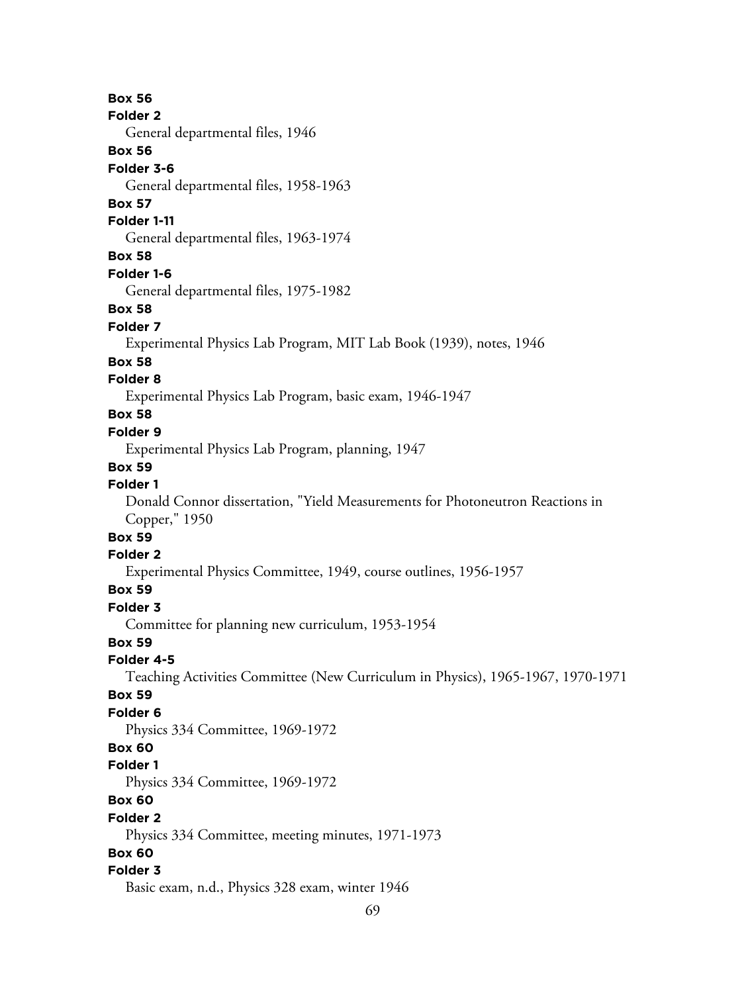**Box 56 Folder 2** General departmental files, 1946 **Box 56 Folder 3-6** General departmental files, 1958-1963 **Box 57 Folder 1-11** General departmental files, 1963-1974 **Box 58 Folder 1-6** General departmental files, 1975-1982 **Box 58 Folder 7** Experimental Physics Lab Program, MIT Lab Book (1939), notes, 1946 **Box 58 Folder 8** Experimental Physics Lab Program, basic exam, 1946-1947 **Box 58 Folder 9** Experimental Physics Lab Program, planning, 1947 **Box 59 Folder 1** Donald Connor dissertation, "Yield Measurements for Photoneutron Reactions in Copper," 1950 **Box 59 Folder 2** Experimental Physics Committee, 1949, course outlines, 1956-1957 **Box 59 Folder 3** Committee for planning new curriculum, 1953-1954 **Box 59 Folder 4-5** Teaching Activities Committee (New Curriculum in Physics), 1965-1967, 1970-1971 **Box 59 Folder 6** Physics 334 Committee, 1969-1972 **Box 60 Folder 1** Physics 334 Committee, 1969-1972 **Box 60 Folder 2** Physics 334 Committee, meeting minutes, 1971-1973 **Box 60 Folder 3** Basic exam, n.d., Physics 328 exam, winter 1946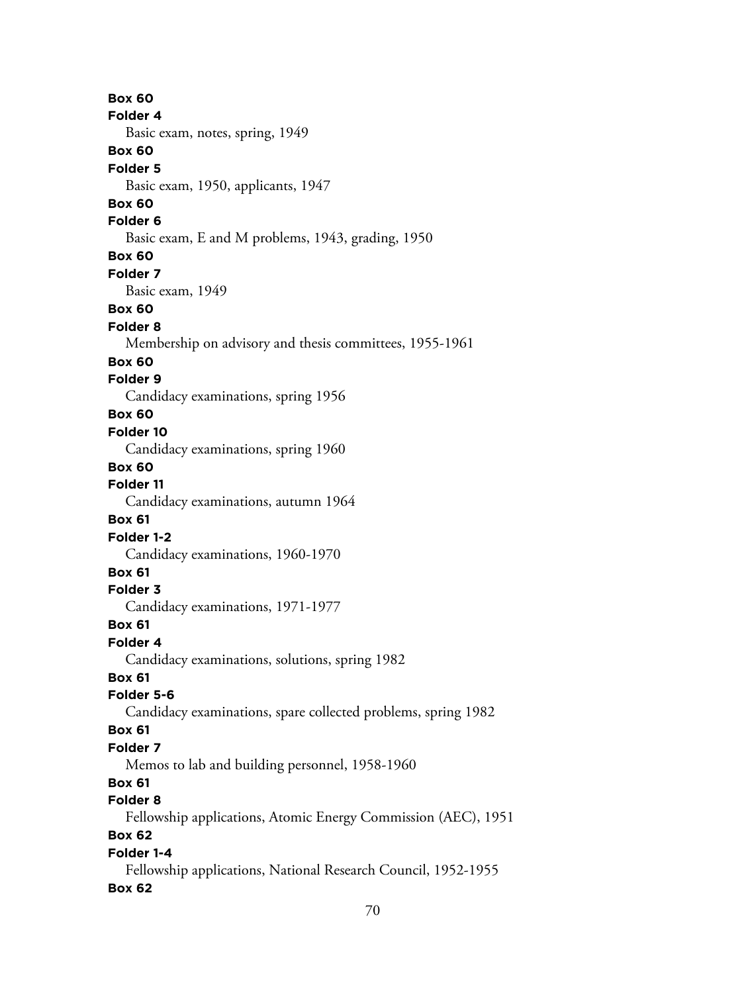**Box 60 Folder 4** Basic exam, notes, spring, 1949 **Box 60 Folder 5** Basic exam, 1950, applicants, 1947 **Box 60 Folder 6** Basic exam, E and M problems, 1943, grading, 1950 **Box 60 Folder 7** Basic exam, 1949 **Box 60 Folder 8** Membership on advisory and thesis committees, 1955-1961 **Box 60 Folder 9** Candidacy examinations, spring 1956 **Box 60 Folder 10** Candidacy examinations, spring 1960 **Box 60 Folder 11** Candidacy examinations, autumn 1964 **Box 61 Folder 1-2** Candidacy examinations, 1960-1970 **Box 61 Folder 3** Candidacy examinations, 1971-1977 **Box 61 Folder 4** Candidacy examinations, solutions, spring 1982 **Box 61 Folder 5-6** Candidacy examinations, spare collected problems, spring 1982 **Box 61 Folder 7** Memos to lab and building personnel, 1958-1960 **Box 61 Folder 8** Fellowship applications, Atomic Energy Commission (AEC), 1951 **Box 62 Folder 1-4** Fellowship applications, National Research Council, 1952-1955 **Box 62**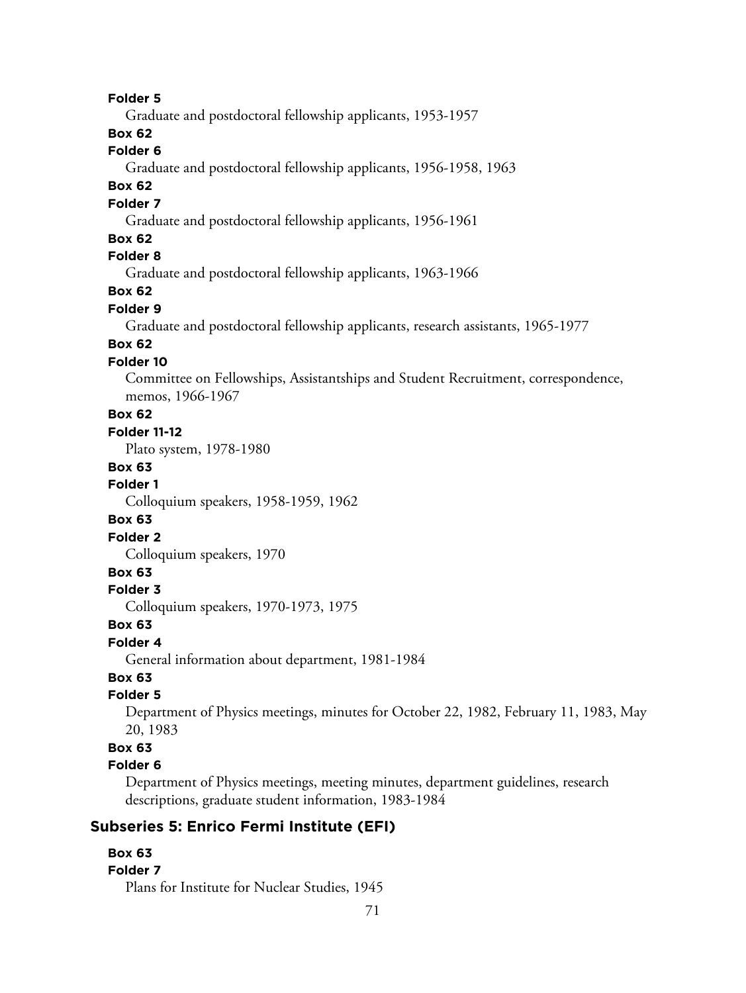#### **Folder 5**

Graduate and postdoctoral fellowship applicants, 1953-1957

# **Box 62**

## **Folder 6**

Graduate and postdoctoral fellowship applicants, 1956-1958, 1963

## **Box 62**

## **Folder 7**

Graduate and postdoctoral fellowship applicants, 1956-1961

## **Box 62**

# **Folder 8**

Graduate and postdoctoral fellowship applicants, 1963-1966

# **Box 62**

#### **Folder 9**

Graduate and postdoctoral fellowship applicants, research assistants, 1965-1977

# **Box 62**

#### **Folder 10**

Committee on Fellowships, Assistantships and Student Recruitment, correspondence, memos, 1966-1967

## **Box 62**

#### **Folder 11-12**

Plato system, 1978-1980

#### **Box 63**

#### **Folder 1**

Colloquium speakers, 1958-1959, 1962

#### **Box 63**

#### **Folder 2**

Colloquium speakers, 1970

#### **Box 63**

#### **Folder 3**

Colloquium speakers, 1970-1973, 1975

#### **Box 63**

#### **Folder 4**

General information about department, 1981-1984

# **Box 63**

## **Folder 5**

Department of Physics meetings, minutes for October 22, 1982, February 11, 1983, May 20, 1983

## **Box 63**

#### **Folder 6**

Department of Physics meetings, meeting minutes, department guidelines, research descriptions, graduate student information, 1983-1984

# **Subseries 5: Enrico Fermi Institute (EFI)**

#### **Box 63**

#### **Folder 7**

Plans for Institute for Nuclear Studies, 1945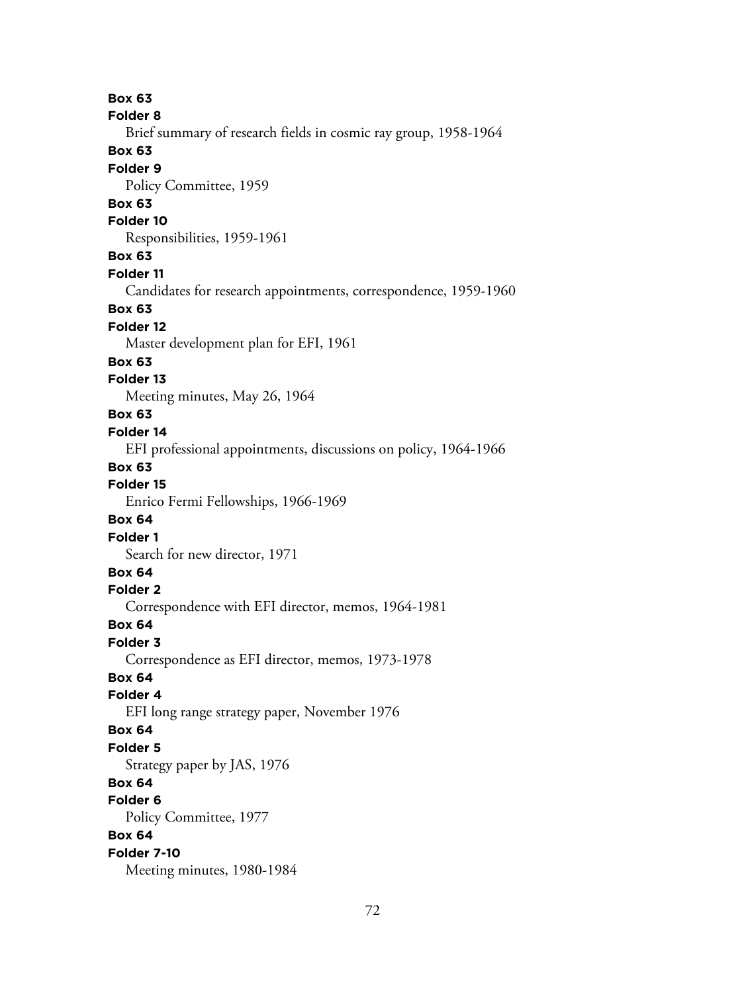**Box 63 Folder 8** Brief summary of research fields in cosmic ray group, 1958-1964 **Box 63 Folder 9** Policy Committee, 1959 **Box 63 Folder 10** Responsibilities, 1959-1961 **Box 63 Folder 11** Candidates for research appointments, correspondence, 1959-1960 **Box 63 Folder 12** Master development plan for EFI, 1961 **Box 63 Folder 13** Meeting minutes, May 26, 1964 **Box 63 Folder 14** EFI professional appointments, discussions on policy, 1964-1966 **Box 63 Folder 15** Enrico Fermi Fellowships, 1966-1969 **Box 64 Folder 1** Search for new director, 1971 **Box 64 Folder 2** Correspondence with EFI director, memos, 1964-1981 **Box 64 Folder 3** Correspondence as EFI director, memos, 1973-1978 **Box 64 Folder 4** EFI long range strategy paper, November 1976 **Box 64 Folder 5** Strategy paper by JAS, 1976 **Box 64 Folder 6** Policy Committee, 1977 **Box 64 Folder 7-10** Meeting minutes, 1980-1984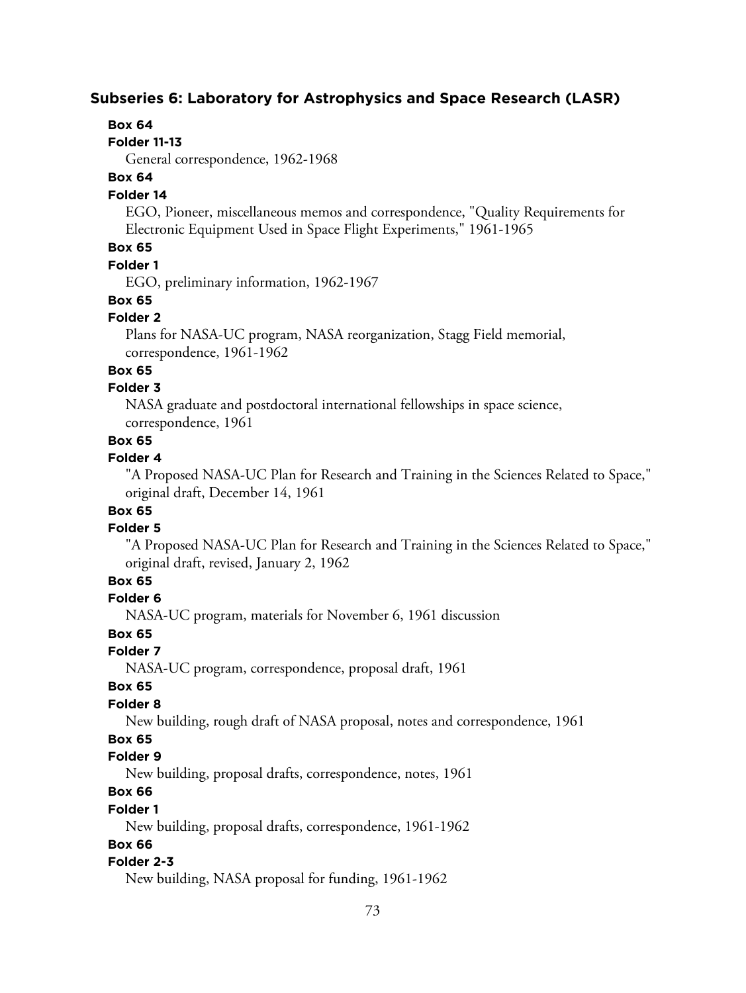# **Subseries 6: Laboratory for Astrophysics and Space Research (LASR)**

### **Box 64**

#### **Folder 11-13**

General correspondence, 1962-1968

### **Box 64**

# **Folder 14**

EGO, Pioneer, miscellaneous memos and correspondence, "Quality Requirements for Electronic Equipment Used in Space Flight Experiments," 1961-1965

# **Box 65**

# **Folder 1**

EGO, preliminary information, 1962-1967

# **Box 65**

# **Folder 2**

Plans for NASA-UC program, NASA reorganization, Stagg Field memorial, correspondence, 1961-1962

# **Box 65**

### **Folder 3**

NASA graduate and postdoctoral international fellowships in space science, correspondence, 1961

# **Box 65**

### **Folder 4**

"A Proposed NASA-UC Plan for Research and Training in the Sciences Related to Space," original draft, December 14, 1961

# **Box 65**

### **Folder 5**

"A Proposed NASA-UC Plan for Research and Training in the Sciences Related to Space," original draft, revised, January 2, 1962

# **Box 65**

# **Folder 6**

NASA-UC program, materials for November 6, 1961 discussion

# **Box 65**

**Folder 7**

NASA-UC program, correspondence, proposal draft, 1961

### **Box 65**

### **Folder 8**

New building, rough draft of NASA proposal, notes and correspondence, 1961

# **Box 65**

# **Folder 9**

New building, proposal drafts, correspondence, notes, 1961

# **Box 66**

# **Folder 1**

New building, proposal drafts, correspondence, 1961-1962

# **Box 66**

# **Folder 2-3**

New building, NASA proposal for funding, 1961-1962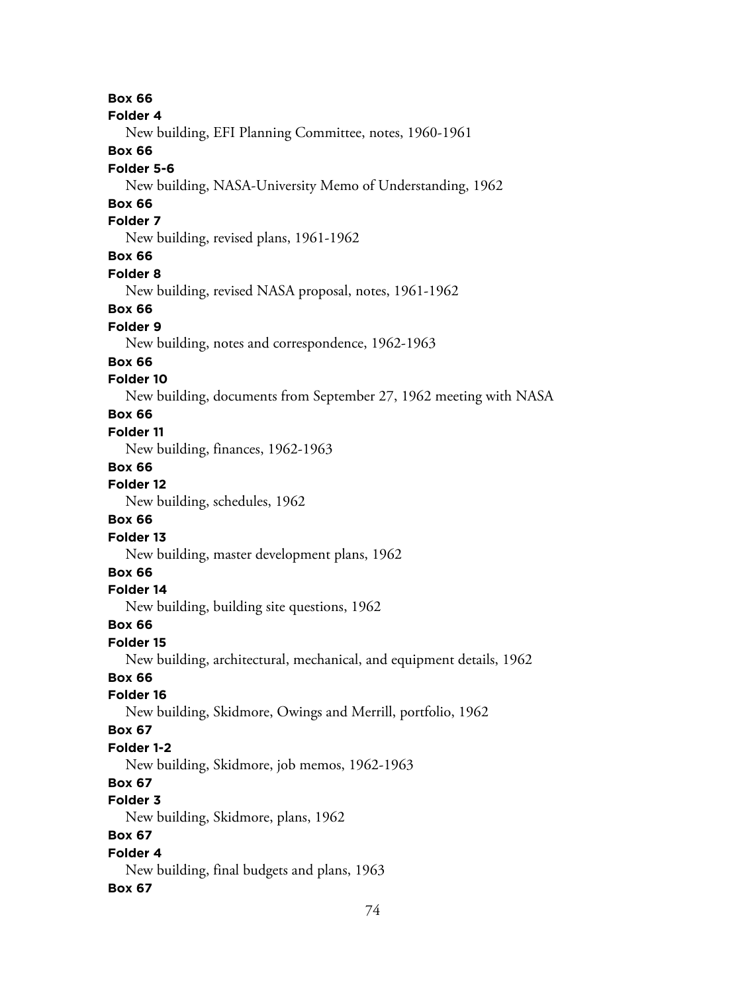74 **Box 66 Folder 4** New building, EFI Planning Committee, notes, 1960-1961 **Box 66 Folder 5-6** New building, NASA-University Memo of Understanding, 1962 **Box 66 Folder 7** New building, revised plans, 1961-1962 **Box 66 Folder 8** New building, revised NASA proposal, notes, 1961-1962 **Box 66 Folder 9** New building, notes and correspondence, 1962-1963 **Box 66 Folder 10** New building, documents from September 27, 1962 meeting with NASA **Box 66 Folder 11** New building, finances, 1962-1963 **Box 66 Folder 12** New building, schedules, 1962 **Box 66 Folder 13** New building, master development plans, 1962 **Box 66 Folder 14** New building, building site questions, 1962 **Box 66 Folder 15** New building, architectural, mechanical, and equipment details, 1962 **Box 66 Folder 16** New building, Skidmore, Owings and Merrill, portfolio, 1962 **Box 67 Folder 1-2** New building, Skidmore, job memos, 1962-1963 **Box 67 Folder 3** New building, Skidmore, plans, 1962 **Box 67 Folder 4** New building, final budgets and plans, 1963 **Box 67**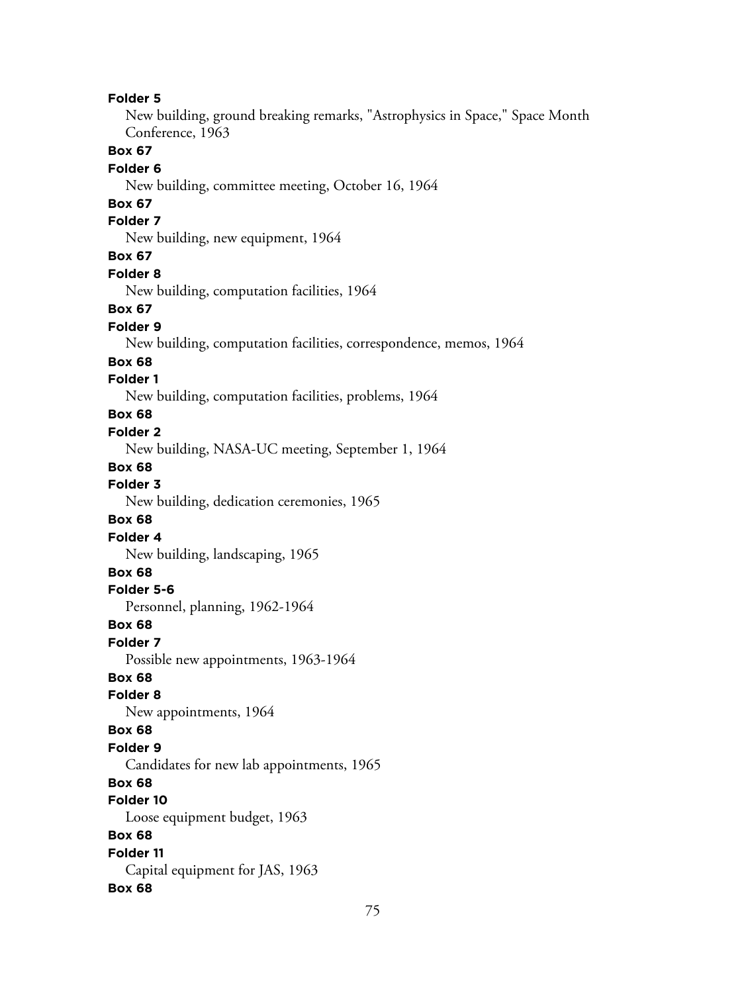New building, ground breaking remarks, "Astrophysics in Space," Space Month Conference, 1963

# **Box 67**

## **Folder 6**

New building, committee meeting, October 16, 1964

# **Box 67**

# **Folder 7**

New building, new equipment, 1964

#### **Box 67**

**Folder 8**

New building, computation facilities, 1964

#### **Box 67**

**Folder 9**

New building, computation facilities, correspondence, memos, 1964

#### **Box 68**

#### **Folder 1**

New building, computation facilities, problems, 1964

### **Box 68**

#### **Folder 2**

New building, NASA-UC meeting, September 1, 1964

#### **Box 68**

**Folder 3**

New building, dedication ceremonies, 1965

#### **Box 68**

**Folder 4**

New building, landscaping, 1965

# **Box 68**

**Folder 5-6**

Personnel, planning, 1962-1964

## **Box 68**

**Folder 7**

Possible new appointments, 1963-1964

# **Box 68**

**Folder 8**

New appointments, 1964

#### **Box 68**

#### **Folder 9**

Candidates for new lab appointments, 1965

# **Box 68**

**Folder 10**

Loose equipment budget, 1963

# **Box 68**

**Folder 11** Capital equipment for JAS, 1963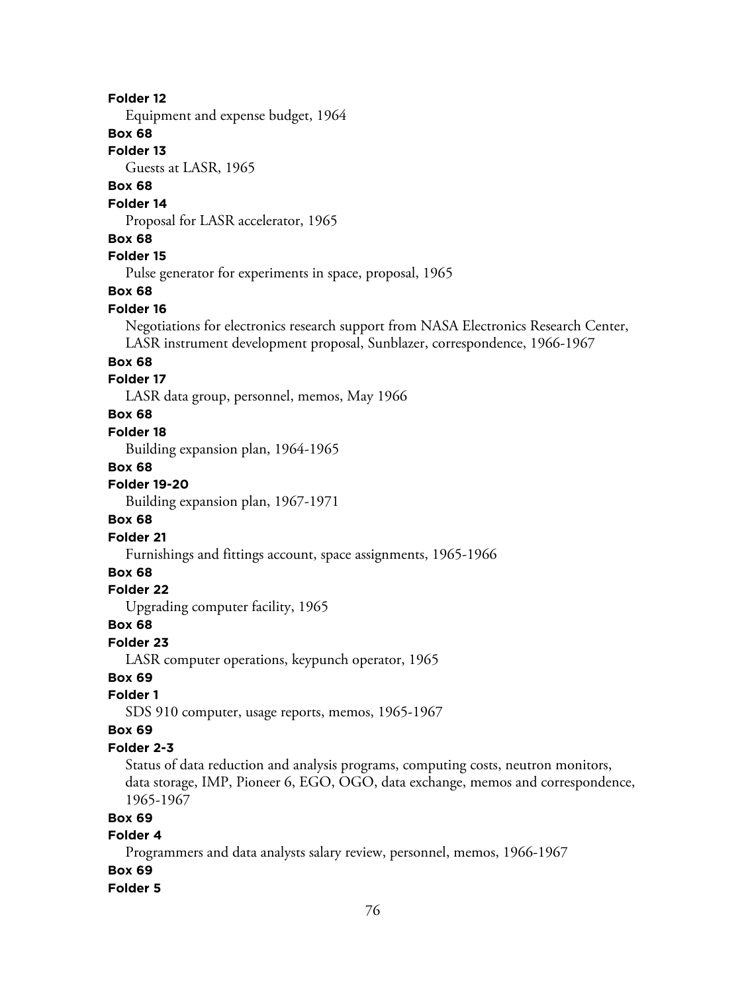Equipment and expense budget, 1964

### **Box 68**

### **Folder 13**

Guests at LASR, 1965

# **Box 68**

#### **Folder 14**

Proposal for LASR accelerator, 1965

#### **Box 68**

# **Folder 15**

Pulse generator for experiments in space, proposal, 1965

# **Box 68**

### **Folder 16**

Negotiations for electronics research support from NASA Electronics Research Center, LASR instrument development proposal, Sunblazer, correspondence, 1966-1967

#### **Box 68**

### **Folder 17**

LASR data group, personnel, memos, May 1966

### **Box 68**

#### **Folder 18**

Building expansion plan, 1964-1965

#### **Box 68**

# **Folder 19-20**

Building expansion plan, 1967-1971

### **Box 68**

### **Folder 21**

Furnishings and fittings account, space assignments, 1965-1966

# **Box 68**

### **Folder 22**

Upgrading computer facility, 1965

#### **Box 68**

#### **Folder 23**

LASR computer operations, keypunch operator, 1965

# **Box 69**

### **Folder 1**

SDS 910 computer, usage reports, memos, 1965-1967

#### **Box 69**

#### **Folder 2-3**

Status of data reduction and analysis programs, computing costs, neutron monitors, data storage, IMP, Pioneer 6, EGO, OGO, data exchange, memos and correspondence, 1965-1967

### **Box 69**

### **Folder 4**

Programmers and data analysts salary review, personnel, memos, 1966-1967 **Box 69**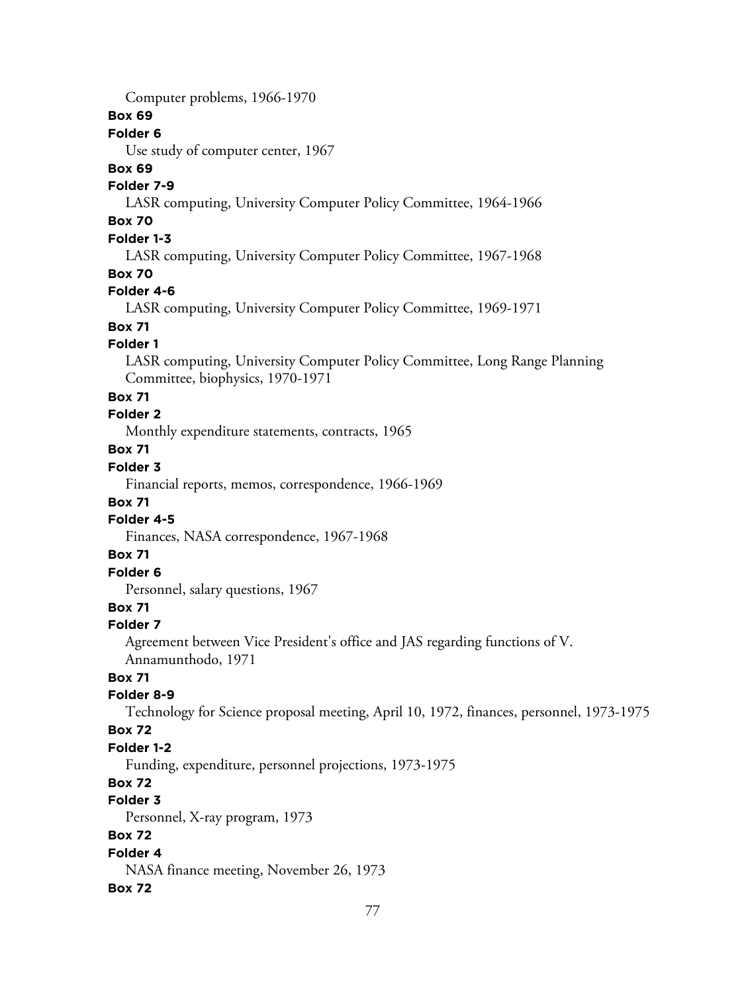Computer problems, 1966-1970

### **Box 69**

# **Folder 6**

Use study of computer center, 1967

### **Box 69**

# **Folder 7-9**

LASR computing, University Computer Policy Committee, 1964-1966

# **Box 70**

# **Folder 1-3**

LASR computing, University Computer Policy Committee, 1967-1968

# **Box 70**

# **Folder 4-6**

LASR computing, University Computer Policy Committee, 1969-1971

# **Box 71**

# **Folder 1**

LASR computing, University Computer Policy Committee, Long Range Planning Committee, biophysics, 1970-1971

# **Box 71**

# **Folder 2**

Monthly expenditure statements, contracts, 1965

# **Box 71**

# **Folder 3**

Financial reports, memos, correspondence, 1966-1969

# **Box 71**

# **Folder 4-5**

Finances, NASA correspondence, 1967-1968

# **Box 71**

# **Folder 6**

Personnel, salary questions, 1967

# **Box 71**

# **Folder 7**

Agreement between Vice President's office and JAS regarding functions of V. Annamunthodo, 1971

# **Box 71**

# **Folder 8-9**

Technology for Science proposal meeting, April 10, 1972, finances, personnel, 1973-1975

# **Box 72**

# **Folder 1-2**

Funding, expenditure, personnel projections, 1973-1975

# **Box 72**

# **Folder 3**

Personnel, X-ray program, 1973

# **Box 72**

# **Folder 4**

NASA finance meeting, November 26, 1973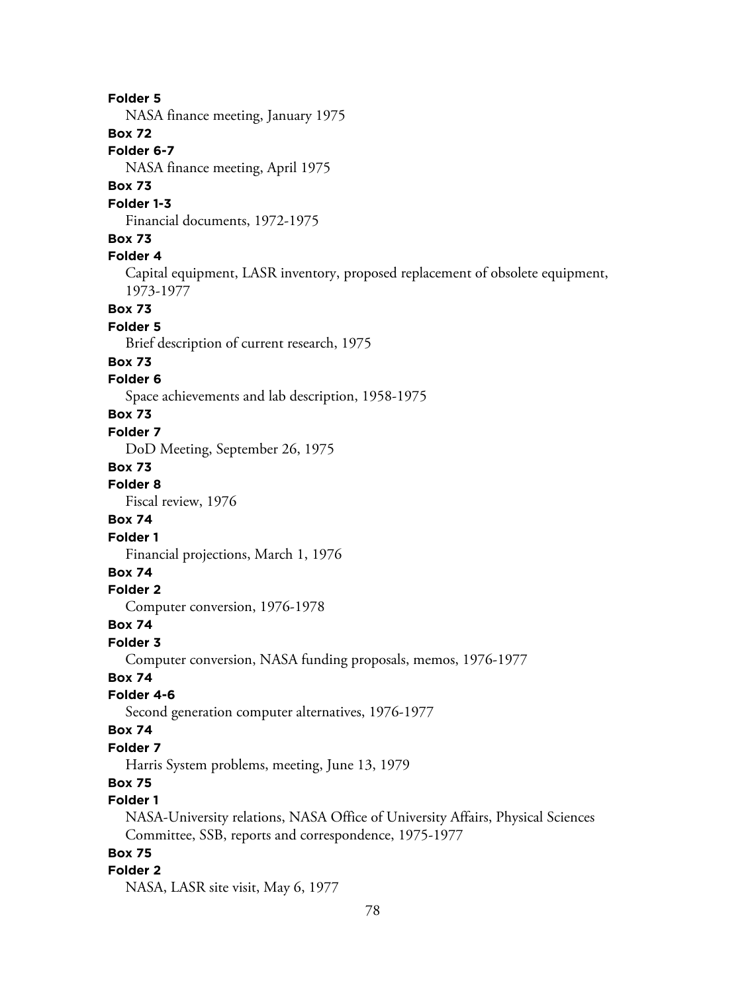78 **Folder 5** NASA finance meeting, January 1975 **Box 72 Folder 6-7** NASA finance meeting, April 1975 **Box 73 Folder 1-3** Financial documents, 1972-1975 **Box 73 Folder 4** Capital equipment, LASR inventory, proposed replacement of obsolete equipment, 1973-1977 **Box 73 Folder 5** Brief description of current research, 1975 **Box 73 Folder 6** Space achievements and lab description, 1958-1975 **Box 73 Folder 7** DoD Meeting, September 26, 1975 **Box 73 Folder 8** Fiscal review, 1976 **Box 74 Folder 1** Financial projections, March 1, 1976 **Box 74 Folder 2** Computer conversion, 1976-1978 **Box 74 Folder 3** Computer conversion, NASA funding proposals, memos, 1976-1977 **Box 74 Folder 4-6** Second generation computer alternatives, 1976-1977 **Box 74 Folder 7** Harris System problems, meeting, June 13, 1979 **Box 75 Folder 1** NASA-University relations, NASA Office of University Affairs, Physical Sciences Committee, SSB, reports and correspondence, 1975-1977 **Box 75 Folder 2** NASA, LASR site visit, May 6, 1977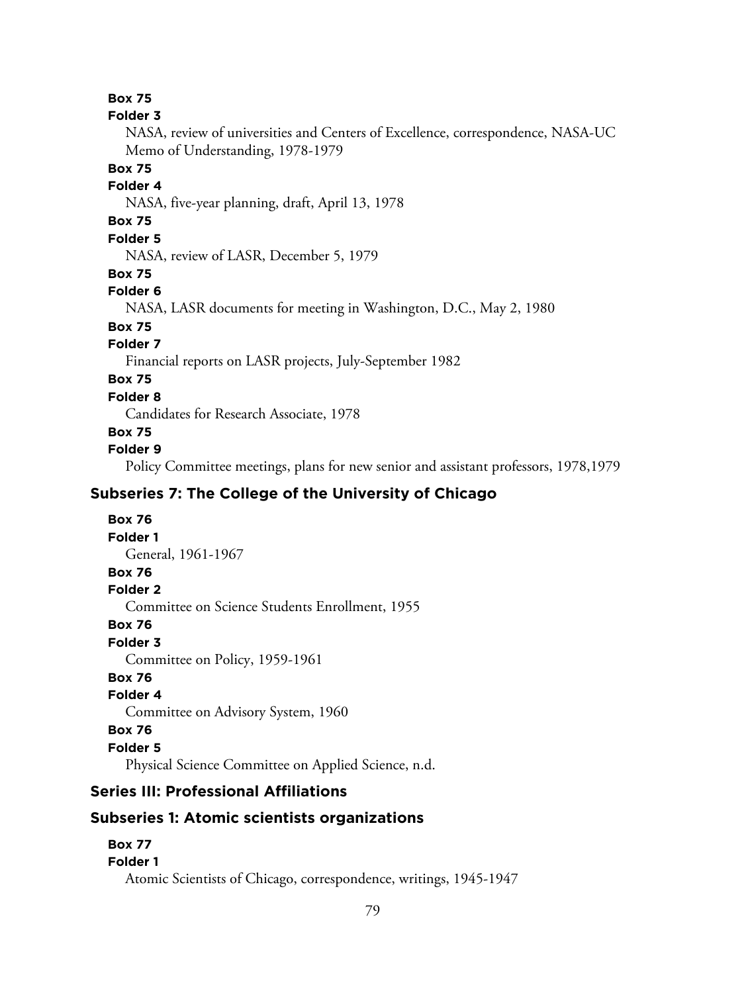### **Folder 3**

NASA, review of universities and Centers of Excellence, correspondence, NASA-UC Memo of Understanding, 1978-1979

## **Box 75**

### **Folder 4**

NASA, five-year planning, draft, April 13, 1978

# **Box 75**

# **Folder 5**

NASA, review of LASR, December 5, 1979

### **Box 75**

# **Folder 6**

NASA, LASR documents for meeting in Washington, D.C., May 2, 1980

# **Box 75**

# **Folder 7**

Financial reports on LASR projects, July-September 1982

# **Box 75**

# **Folder 8**

Candidates for Research Associate, 1978

# **Box 75**

# **Folder 9**

Policy Committee meetings, plans for new senior and assistant professors, 1978,1979

# **Subseries 7: The College of the University of Chicago**

# **Box 76 Folder 1** General, 1961-1967 **Box 76 Folder 2** Committee on Science Students Enrollment, 1955 **Box 76 Folder 3** Committee on Policy, 1959-1961 **Box 76 Folder 4** Committee on Advisory System, 1960 **Box 76 Folder 5**

Physical Science Committee on Applied Science, n.d.

# **Series III: Professional Affiliations**

# **Subseries 1: Atomic scientists organizations**

# **Box 77 Folder 1** Atomic Scientists of Chicago, correspondence, writings, 1945-1947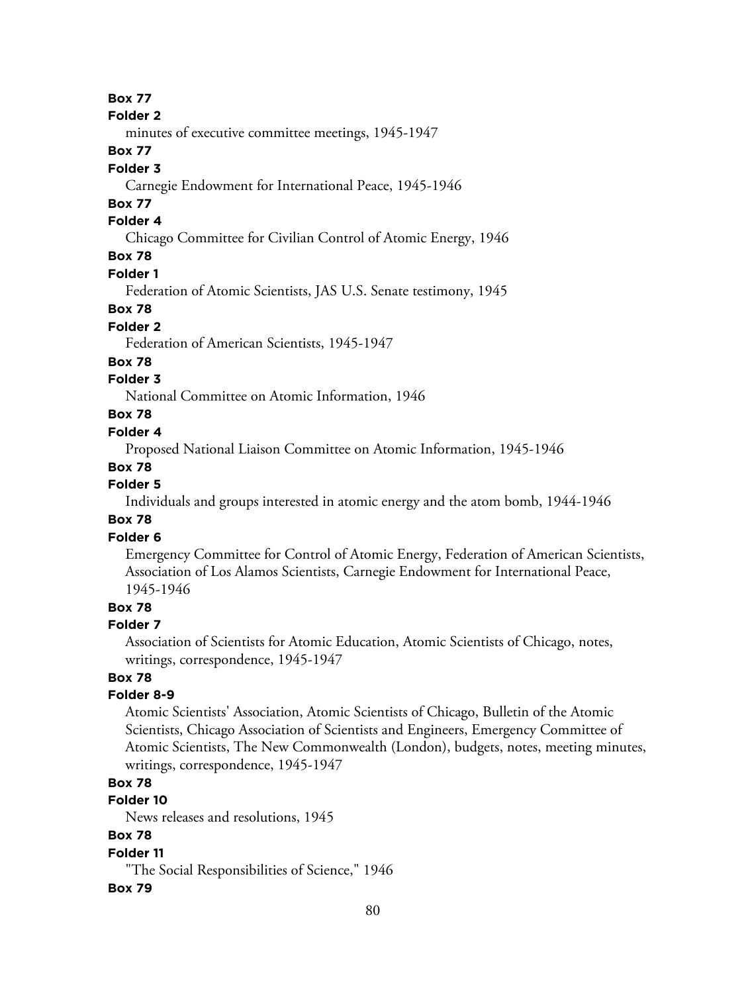#### **Folder 2**

minutes of executive committee meetings, 1945-1947

# **Box 77**

### **Folder 3**

Carnegie Endowment for International Peace, 1945-1946

# **Box 77**

# **Folder 4**

Chicago Committee for Civilian Control of Atomic Energy, 1946

# **Box 78**

### **Folder 1**

Federation of Atomic Scientists, JAS U.S. Senate testimony, 1945

#### **Box 78**

# **Folder 2**

Federation of American Scientists, 1945-1947

#### **Box 78**

# **Folder 3**

National Committee on Atomic Information, 1946

# **Box 78**

### **Folder 4**

Proposed National Liaison Committee on Atomic Information, 1945-1946

#### **Box 78**

#### **Folder 5**

Individuals and groups interested in atomic energy and the atom bomb, 1944-1946

# **Box 78**

# **Folder 6**

Emergency Committee for Control of Atomic Energy, Federation of American Scientists, Association of Los Alamos Scientists, Carnegie Endowment for International Peace, 1945-1946

# **Box 78**

#### **Folder 7**

Association of Scientists for Atomic Education, Atomic Scientists of Chicago, notes, writings, correspondence, 1945-1947

### **Box 78**

### **Folder 8-9**

Atomic Scientists' Association, Atomic Scientists of Chicago, Bulletin of the Atomic Scientists, Chicago Association of Scientists and Engineers, Emergency Committee of Atomic Scientists, The New Commonwealth (London), budgets, notes, meeting minutes, writings, correspondence, 1945-1947

# **Box 78**

# **Folder 10**

News releases and resolutions, 1945

# **Box 78**

### **Folder 11**

"The Social Responsibilities of Science," 1946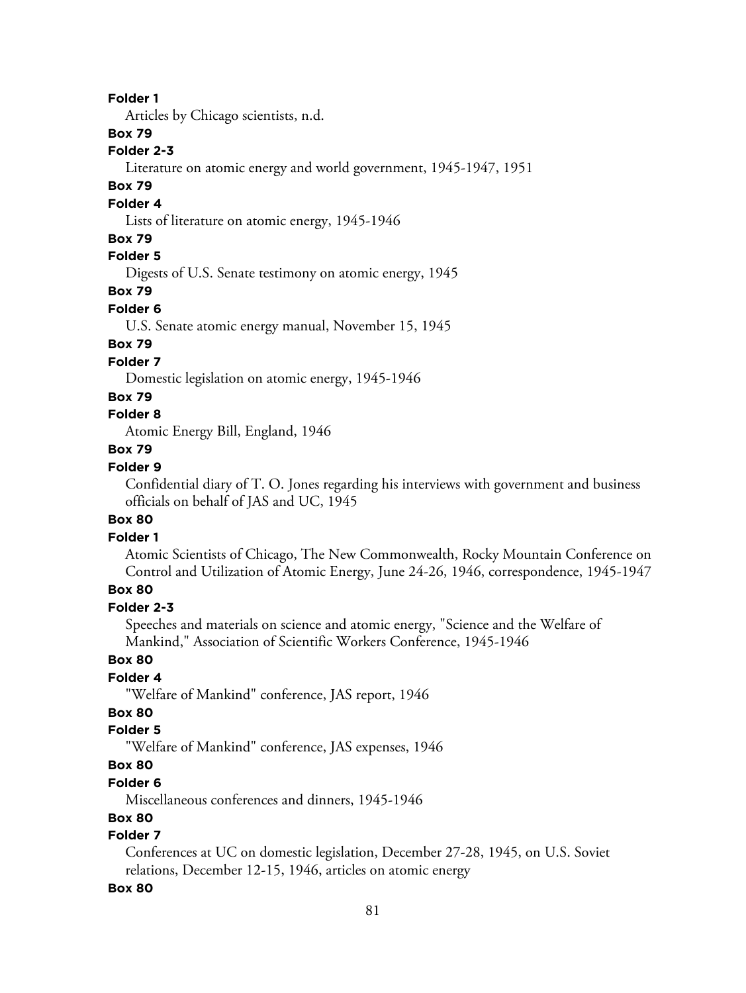Articles by Chicago scientists, n.d.

# **Box 79**

### **Folder 2-3**

Literature on atomic energy and world government, 1945-1947, 1951

### **Box 79**

#### **Folder 4**

Lists of literature on atomic energy, 1945-1946

#### **Box 79**

# **Folder 5**

Digests of U.S. Senate testimony on atomic energy, 1945

# **Box 79**

# **Folder 6**

U.S. Senate atomic energy manual, November 15, 1945

# **Box 79**

### **Folder 7**

Domestic legislation on atomic energy, 1945-1946

#### **Box 79**

# **Folder 8**

Atomic Energy Bill, England, 1946

# **Box 79**

# **Folder 9**

Confidential diary of T. O. Jones regarding his interviews with government and business officials on behalf of JAS and UC, 1945

### **Box 80**

### **Folder 1**

Atomic Scientists of Chicago, The New Commonwealth, Rocky Mountain Conference on Control and Utilization of Atomic Energy, June 24-26, 1946, correspondence, 1945-1947

# **Box 80**

# **Folder 2-3**

Speeches and materials on science and atomic energy, "Science and the Welfare of Mankind," Association of Scientific Workers Conference, 1945-1946

# **Box 80**

# **Folder 4**

"Welfare of Mankind" conference, JAS report, 1946

# **Box 80**

# **Folder 5**

"Welfare of Mankind" conference, JAS expenses, 1946

# **Box 80**

# **Folder 6**

Miscellaneous conferences and dinners, 1945-1946

### **Box 80**

# **Folder 7**

Conferences at UC on domestic legislation, December 27-28, 1945, on U.S. Soviet relations, December 12-15, 1946, articles on atomic energy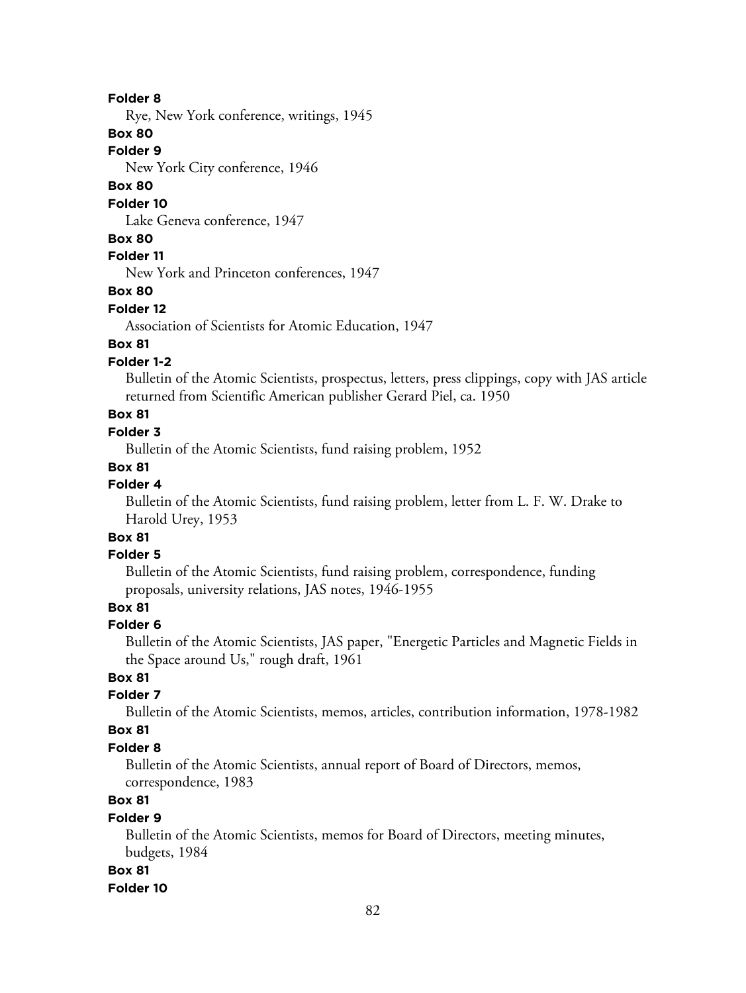Rye, New York conference, writings, 1945

### **Box 80**

### **Folder 9**

New York City conference, 1946

# **Box 80**

#### **Folder 10**

Lake Geneva conference, 1947

#### **Box 80**

### **Folder 11**

New York and Princeton conferences, 1947

#### **Box 80**

#### **Folder 12**

Association of Scientists for Atomic Education, 1947

# **Box 81**

# **Folder 1-2**

Bulletin of the Atomic Scientists, prospectus, letters, press clippings, copy with JAS article returned from Scientific American publisher Gerard Piel, ca. 1950

# **Box 81**

### **Folder 3**

Bulletin of the Atomic Scientists, fund raising problem, 1952

### **Box 81**

# **Folder 4**

Bulletin of the Atomic Scientists, fund raising problem, letter from L. F. W. Drake to Harold Urey, 1953

# **Box 81**

### **Folder 5**

Bulletin of the Atomic Scientists, fund raising problem, correspondence, funding proposals, university relations, JAS notes, 1946-1955

# **Box 81**

#### **Folder 6**

Bulletin of the Atomic Scientists, JAS paper, "Energetic Particles and Magnetic Fields in the Space around Us," rough draft, 1961

# **Box 81**

# **Folder 7**

Bulletin of the Atomic Scientists, memos, articles, contribution information, 1978-1982

### **Box 81**

#### **Folder 8**

Bulletin of the Atomic Scientists, annual report of Board of Directors, memos, correspondence, 1983

# **Box 81**

#### **Folder 9**

Bulletin of the Atomic Scientists, memos for Board of Directors, meeting minutes, budgets, 1984

#### **Box 81**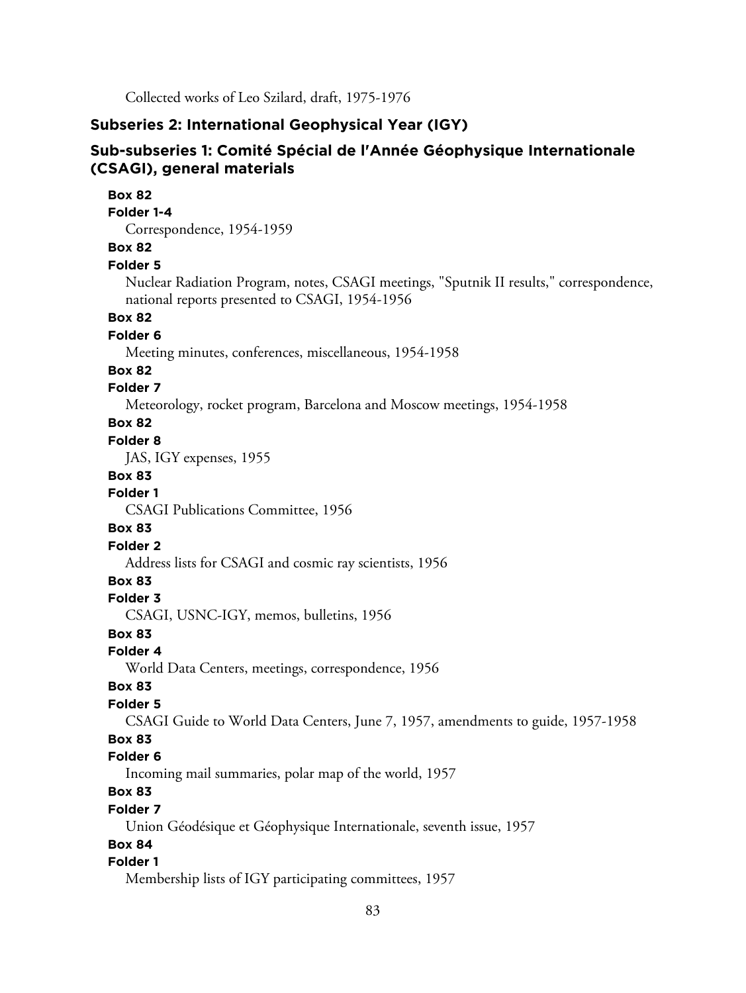Collected works of Leo Szilard, draft, 1975-1976

### **Subseries 2: International Geophysical Year (IGY)**

# **Sub-subseries 1: Comité Spécial de l'Année Géophysique Internationale (CSAGI), general materials**

**Box 82 Folder 1-4** Correspondence, 1954-1959 **Box 82 Folder 5** Nuclear Radiation Program, notes, CSAGI meetings, "Sputnik II results," correspondence, national reports presented to CSAGI, 1954-1956 **Box 82 Folder 6** Meeting minutes, conferences, miscellaneous, 1954-1958 **Box 82 Folder 7** Meteorology, rocket program, Barcelona and Moscow meetings, 1954-1958 **Box 82 Folder 8** JAS, IGY expenses, 1955 **Box 83 Folder 1** CSAGI Publications Committee, 1956 **Box 83 Folder 2** Address lists for CSAGI and cosmic ray scientists, 1956 **Box 83 Folder 3** CSAGI, USNC-IGY, memos, bulletins, 1956 **Box 83 Folder 4** World Data Centers, meetings, correspondence, 1956 **Box 83 Folder 5** CSAGI Guide to World Data Centers, June 7, 1957, amendments to guide, 1957-1958 **Box 83 Folder 6** Incoming mail summaries, polar map of the world, 1957 **Box 83 Folder 7** Union Géodésique et Géophysique Internationale, seventh issue, 1957 **Box 84 Folder 1** Membership lists of IGY participating committees, 1957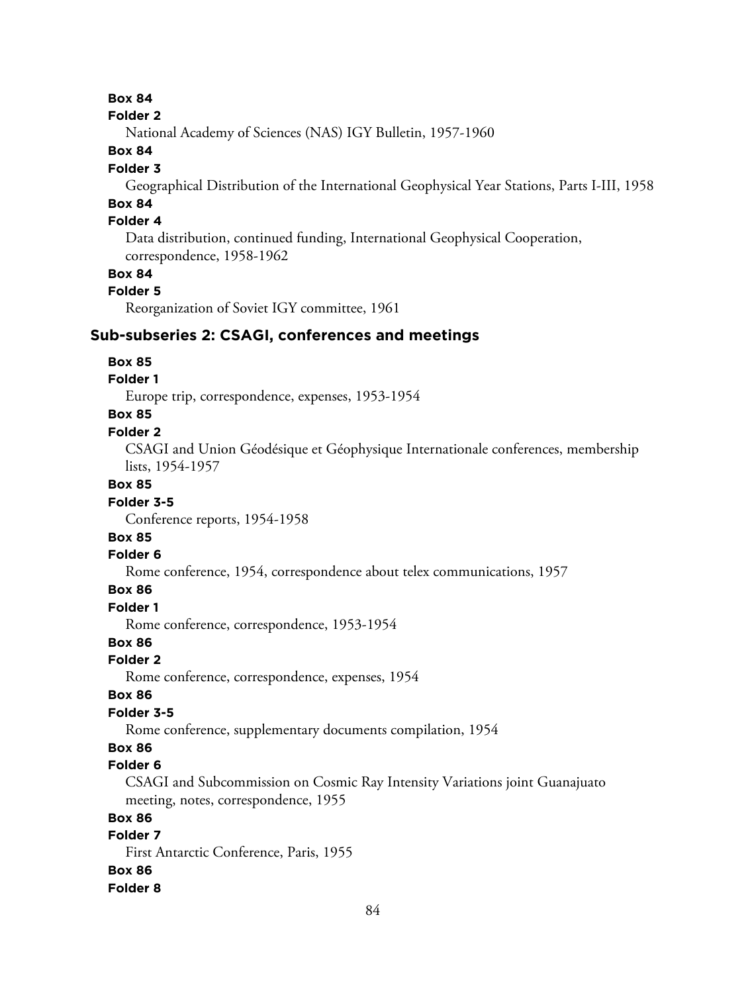#### **Folder 2**

National Academy of Sciences (NAS) IGY Bulletin, 1957-1960

## **Box 84**

### **Folder 3**

Geographical Distribution of the International Geophysical Year Stations, Parts I-III, 1958

# **Box 84**

# **Folder 4**

Data distribution, continued funding, International Geophysical Cooperation, correspondence, 1958-1962

### **Box 84**

### **Folder 5**

Reorganization of Soviet IGY committee, 1961

### **Sub-subseries 2: CSAGI, conferences and meetings**

### **Box 85**

### **Folder 1**

Europe trip, correspondence, expenses, 1953-1954

# **Box 85**

### **Folder 2**

CSAGI and Union Géodésique et Géophysique Internationale conferences, membership lists, 1954-1957

### **Box 85**

#### **Folder 3-5**

Conference reports, 1954-1958

# **Box 85**

#### **Folder 6**

Rome conference, 1954, correspondence about telex communications, 1957

### **Box 86**

**Folder 1**

Rome conference, correspondence, 1953-1954

### **Box 86**

**Folder 2**

Rome conference, correspondence, expenses, 1954

#### **Box 86**

### **Folder 3-5**

Rome conference, supplementary documents compilation, 1954

# **Box 86**

## **Folder 6**

CSAGI and Subcommission on Cosmic Ray Intensity Variations joint Guanajuato meeting, notes, correspondence, 1955

# **Box 86**

# **Folder 7**

First Antarctic Conference, Paris, 1955

### **Box 86**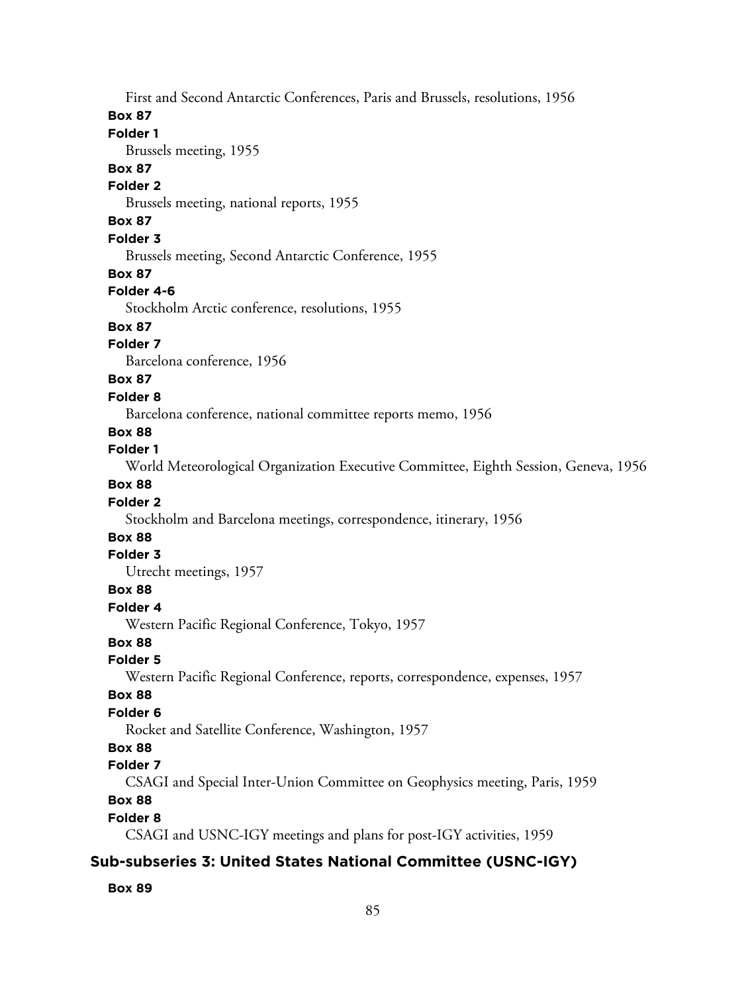First and Second Antarctic Conferences, Paris and Brussels, resolutions, 1956

#### **Box 87**

# **Folder 1**

Brussels meeting, 1955

### **Box 87**

# **Folder 2**

Brussels meeting, national reports, 1955

# **Box 87**

### **Folder 3**

Brussels meeting, Second Antarctic Conference, 1955

#### **Box 87**

#### **Folder 4-6**

Stockholm Arctic conference, resolutions, 1955

# **Box 87**

# **Folder 7**

Barcelona conference, 1956

# **Box 87**

#### **Folder 8**

Barcelona conference, national committee reports memo, 1956

#### **Box 88**

#### **Folder 1**

World Meteorological Organization Executive Committee, Eighth Session, Geneva, 1956

# **Box 88**

#### **Folder 2**

Stockholm and Barcelona meetings, correspondence, itinerary, 1956

# **Box 88**

### **Folder 3**

Utrecht meetings, 1957

### **Box 88**

**Folder 4**

Western Pacific Regional Conference, Tokyo, 1957

# **Box 88**

# **Folder 5**

Western Pacific Regional Conference, reports, correspondence, expenses, 1957

### **Box 88**

### **Folder 6**

Rocket and Satellite Conference, Washington, 1957

## **Box 88**

#### **Folder 7**

CSAGI and Special Inter-Union Committee on Geophysics meeting, Paris, 1959

# **Box 88**

#### **Folder 8**

CSAGI and USNC-IGY meetings and plans for post-IGY activities, 1959

# **Sub-subseries 3: United States National Committee (USNC-IGY)**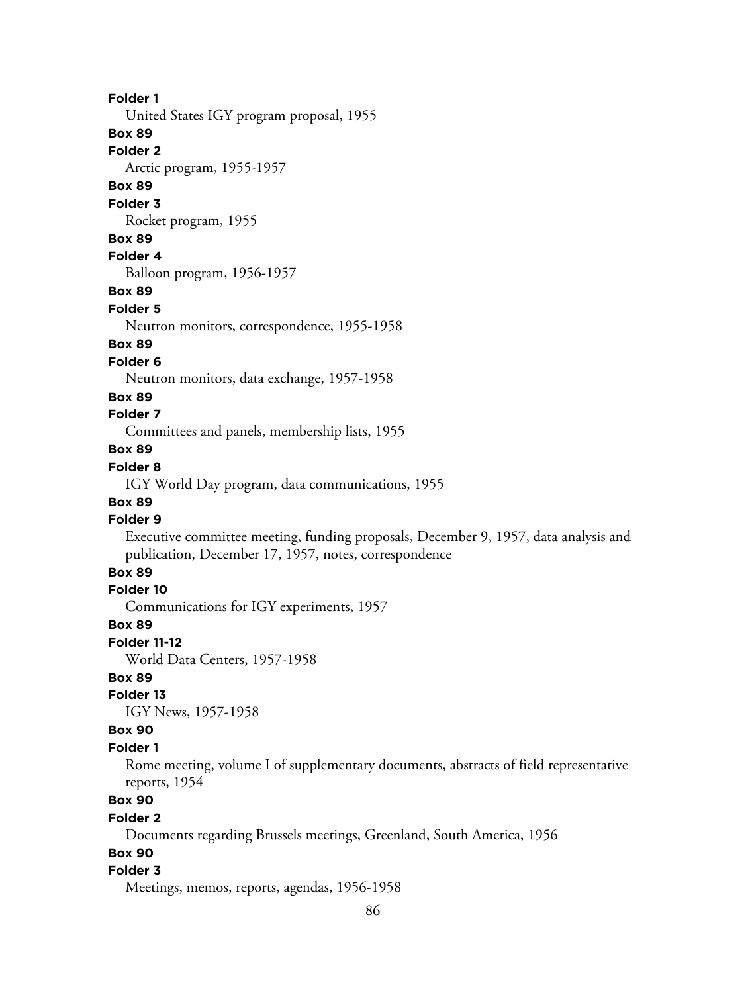United States IGY program proposal, 1955

# **Box 89**

**Folder 2**

Arctic program, 1955-1957

# **Box 89**

**Folder 3**

Rocket program, 1955

#### **Box 89**

**Folder 4**

Balloon program, 1956-1957

## **Box 89**

**Folder 5**

Neutron monitors, correspondence, 1955-1958

### **Box 89**

#### **Folder 6**

Neutron monitors, data exchange, 1957-1958

#### **Box 89**

# **Folder 7**

Committees and panels, membership lists, 1955

# **Box 89**

# **Folder 8**

IGY World Day program, data communications, 1955

# **Box 89**

# **Folder 9**

Executive committee meeting, funding proposals, December 9, 1957, data analysis and publication, December 17, 1957, notes, correspondence

# **Box 89**

### **Folder 10**

Communications for IGY experiments, 1957

#### **Box 89**

**Folder 11-12**

World Data Centers, 1957-1958

# **Box 89**

### **Folder 13**

IGY News, 1957-1958

### **Box 90**

#### **Folder 1**

Rome meeting, volume I of supplementary documents, abstracts of field representative reports, 1954

# **Box 90**

#### **Folder 2**

Documents regarding Brussels meetings, Greenland, South America, 1956

# **Box 90**

### **Folder 3**

Meetings, memos, reports, agendas, 1956-1958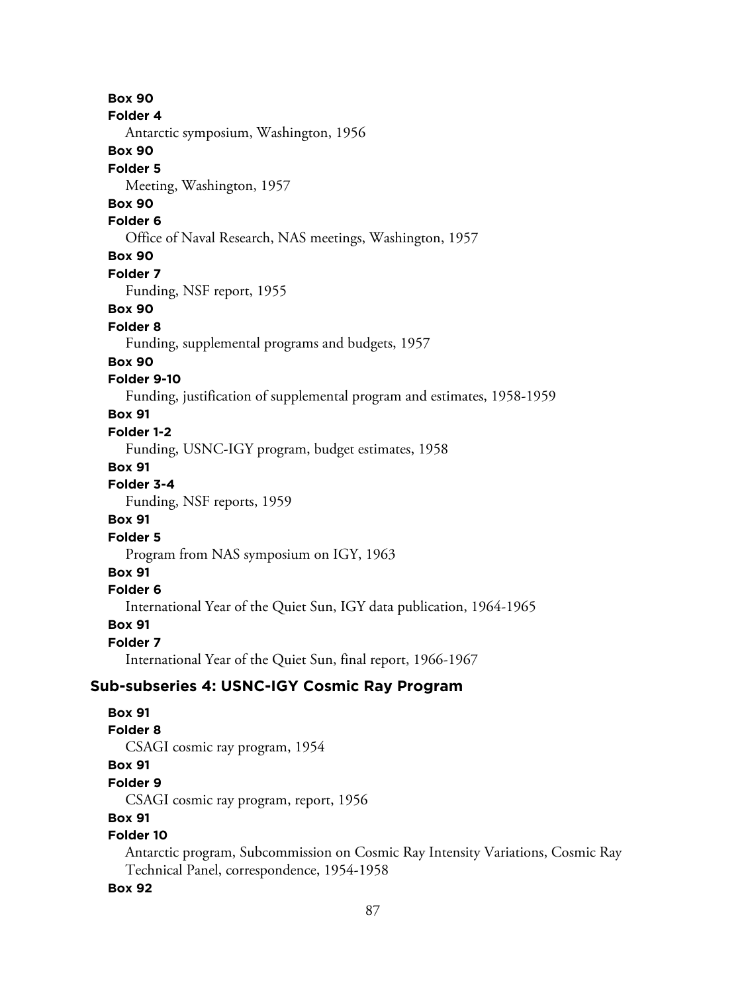**Box 90 Folder 4** Antarctic symposium, Washington, 1956 **Box 90 Folder 5** Meeting, Washington, 1957 **Box 90 Folder 6** Office of Naval Research, NAS meetings, Washington, 1957 **Box 90 Folder 7** Funding, NSF report, 1955 **Box 90 Folder 8** Funding, supplemental programs and budgets, 1957 **Box 90 Folder 9-10** Funding, justification of supplemental program and estimates, 1958-1959 **Box 91 Folder 1-2** Funding, USNC-IGY program, budget estimates, 1958 **Box 91 Folder 3-4** Funding, NSF reports, 1959 **Box 91 Folder 5** Program from NAS symposium on IGY, 1963 **Box 91 Folder 6**

International Year of the Quiet Sun, IGY data publication, 1964-1965

**Box 91**

**Folder 7**

International Year of the Quiet Sun, final report, 1966-1967

### **Sub-subseries 4: USNC-IGY Cosmic Ray Program**

**Box 91 Folder 8** CSAGI cosmic ray program, 1954 **Box 91 Folder 9** CSAGI cosmic ray program, report, 1956 **Box 91 Folder 10**

Antarctic program, Subcommission on Cosmic Ray Intensity Variations, Cosmic Ray Technical Panel, correspondence, 1954-1958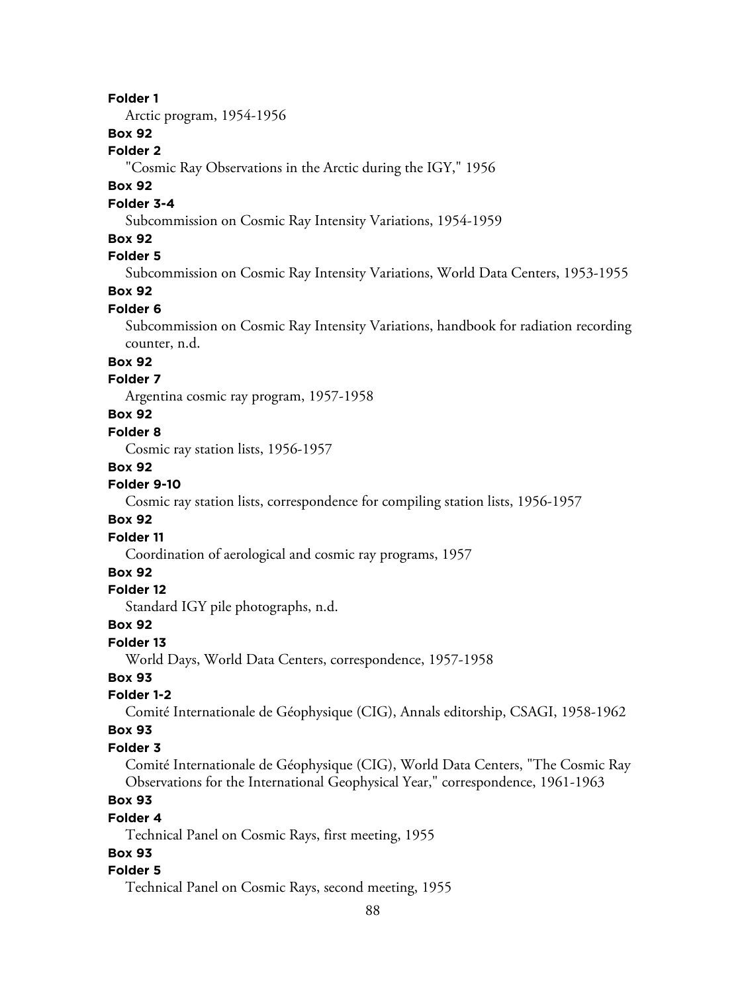Arctic program, 1954-1956

# **Box 92**

# **Folder 2**

"Cosmic Ray Observations in the Arctic during the IGY," 1956

# **Box 92**

# **Folder 3-4**

Subcommission on Cosmic Ray Intensity Variations, 1954-1959

### **Box 92**

# **Folder 5**

Subcommission on Cosmic Ray Intensity Variations, World Data Centers, 1953-1955

# **Box 92**

### **Folder 6**

Subcommission on Cosmic Ray Intensity Variations, handbook for radiation recording counter, n.d.

# **Box 92**

# **Folder 7**

Argentina cosmic ray program, 1957-1958

# **Box 92**

### **Folder 8**

Cosmic ray station lists, 1956-1957

#### **Box 92**

#### **Folder 9-10**

Cosmic ray station lists, correspondence for compiling station lists, 1956-1957

### **Box 92**

# **Folder 11**

Coordination of aerological and cosmic ray programs, 1957

# **Box 92**

### **Folder 12**

Standard IGY pile photographs, n.d.

## **Box 92**

### **Folder 13**

World Days, World Data Centers, correspondence, 1957-1958

### **Box 93**

# **Folder 1-2**

Comité Internationale de Géophysique (CIG), Annals editorship, CSAGI, 1958-1962

### **Box 93**

### **Folder 3**

Comité Internationale de Géophysique (CIG), World Data Centers, "The Cosmic Ray Observations for the International Geophysical Year," correspondence, 1961-1963

# **Box 93**

#### **Folder 4**

Technical Panel on Cosmic Rays, first meeting, 1955

### **Box 93**

#### **Folder 5**

Technical Panel on Cosmic Rays, second meeting, 1955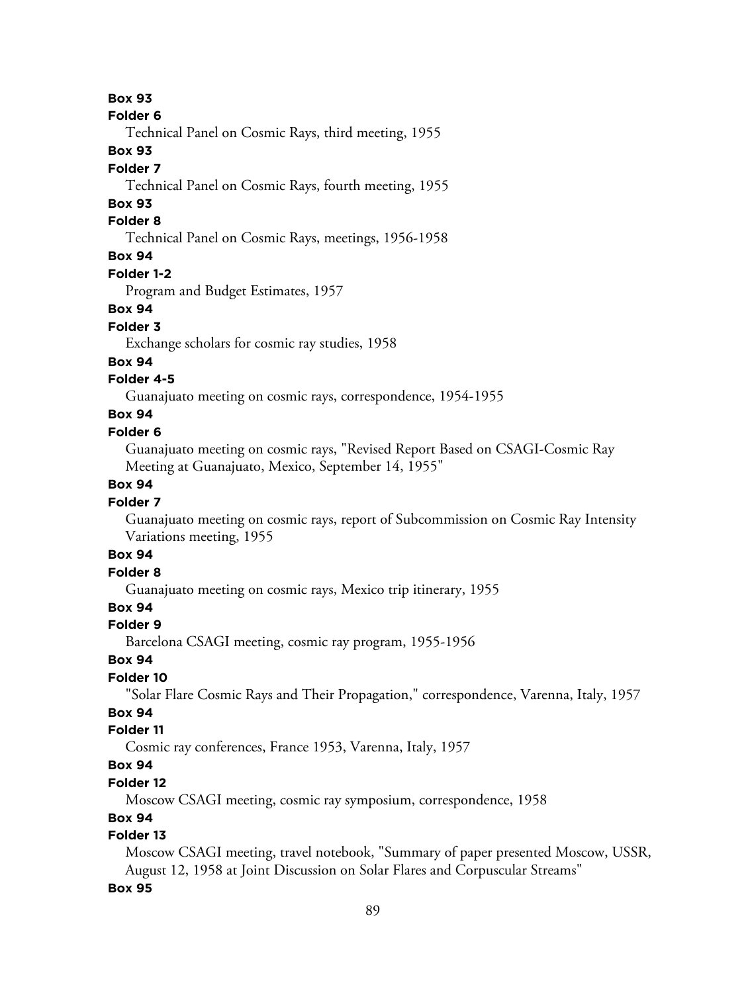#### **Folder 6**

Technical Panel on Cosmic Rays, third meeting, 1955

### **Box 93**

### **Folder 7**

Technical Panel on Cosmic Rays, fourth meeting, 1955

# **Box 93**

# **Folder 8**

Technical Panel on Cosmic Rays, meetings, 1956-1958

# **Box 94**

### **Folder 1-2**

Program and Budget Estimates, 1957

### **Box 94**

### **Folder 3**

Exchange scholars for cosmic ray studies, 1958

### **Box 94**

# **Folder 4-5**

Guanajuato meeting on cosmic rays, correspondence, 1954-1955

# **Box 94**

## **Folder 6**

Guanajuato meeting on cosmic rays, "Revised Report Based on CSAGI-Cosmic Ray Meeting at Guanajuato, Mexico, September 14, 1955"

## **Box 94**

### **Folder 7**

Guanajuato meeting on cosmic rays, report of Subcommission on Cosmic Ray Intensity Variations meeting, 1955

# **Box 94**

# **Folder 8**

Guanajuato meeting on cosmic rays, Mexico trip itinerary, 1955

# **Box 94**

### **Folder 9**

Barcelona CSAGI meeting, cosmic ray program, 1955-1956

# **Box 94**

# **Folder 10**

"Solar Flare Cosmic Rays and Their Propagation," correspondence, Varenna, Italy, 1957

# **Box 94**

# **Folder 11**

Cosmic ray conferences, France 1953, Varenna, Italy, 1957

# **Box 94**

# **Folder 12**

Moscow CSAGI meeting, cosmic ray symposium, correspondence, 1958

# **Box 94**

# **Folder 13**

Moscow CSAGI meeting, travel notebook, "Summary of paper presented Moscow, USSR, August 12, 1958 at Joint Discussion on Solar Flares and Corpuscular Streams"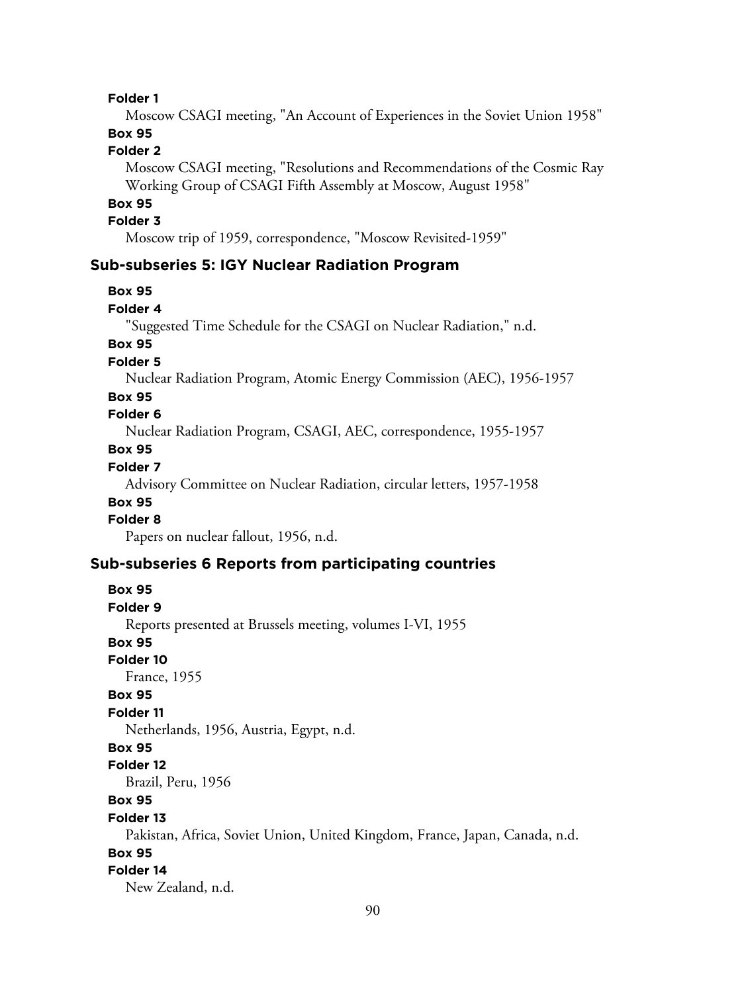Moscow CSAGI meeting, "An Account of Experiences in the Soviet Union 1958"

# **Box 95**

# **Folder 2**

Moscow CSAGI meeting, "Resolutions and Recommendations of the Cosmic Ray Working Group of CSAGI Fifth Assembly at Moscow, August 1958"

### **Box 95**

#### **Folder 3**

Moscow trip of 1959, correspondence, "Moscow Revisited-1959"

### **Sub-subseries 5: IGY Nuclear Radiation Program**

#### **Box 95**

#### **Folder 4**

"Suggested Time Schedule for the CSAGI on Nuclear Radiation," n.d.

# **Box 95**

# **Folder 5**

Nuclear Radiation Program, Atomic Energy Commission (AEC), 1956-1957

### **Box 95**

# **Folder 6**

Nuclear Radiation Program, CSAGI, AEC, correspondence, 1955-1957

### **Box 95**

### **Folder 7**

Advisory Committee on Nuclear Radiation, circular letters, 1957-1958

### **Box 95**

#### **Folder 8**

Papers on nuclear fallout, 1956, n.d.

### **Sub-subseries 6 Reports from participating countries**

# **Box 95 Folder 9** Reports presented at Brussels meeting, volumes I-VI, 1955 **Box 95 Folder 10** France, 1955 **Box 95 Folder 11** Netherlands, 1956, Austria, Egypt, n.d. **Box 95 Folder 12** Brazil, Peru, 1956 **Box 95 Folder 13** Pakistan, Africa, Soviet Union, United Kingdom, France, Japan, Canada, n.d. **Box 95 Folder 14** New Zealand, n.d.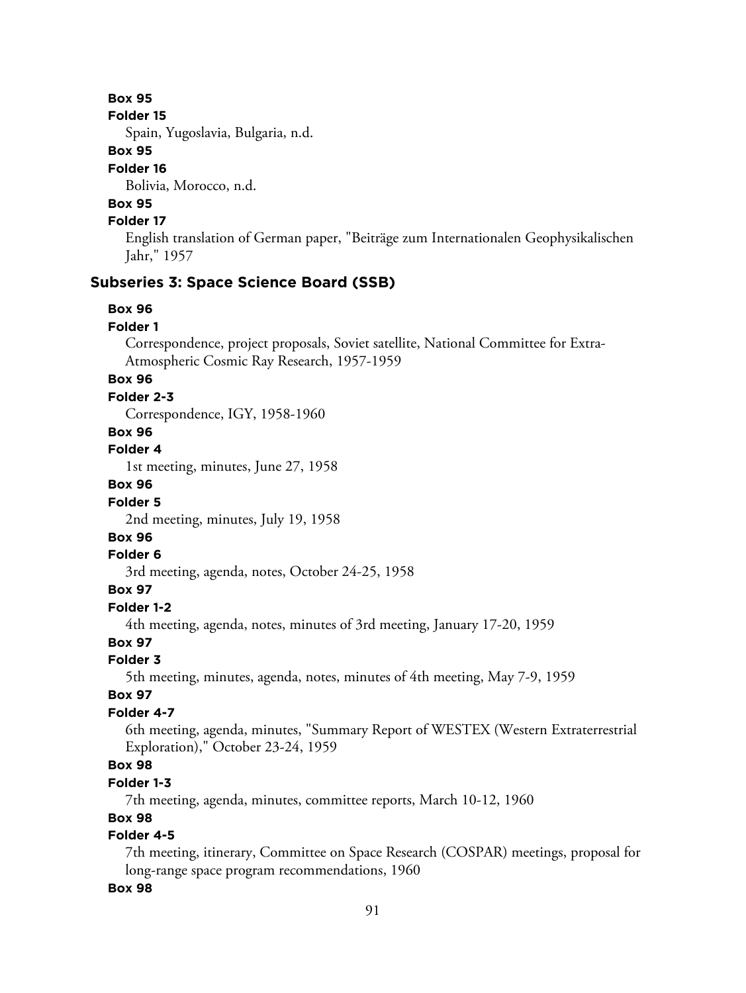#### **Folder 15**

Spain, Yugoslavia, Bulgaria, n.d.

# **Box 95**

## **Folder 16**

Bolivia, Morocco, n.d.

# **Box 95**

# **Folder 17**

English translation of German paper, "Beiträge zum Internationalen Geophysikalischen Jahr," 1957

# **Subseries 3: Space Science Board (SSB)**

### **Box 96**

### **Folder 1**

Correspondence, project proposals, Soviet satellite, National Committee for Extra-Atmospheric Cosmic Ray Research, 1957-1959

# **Box 96**

### **Folder 2-3**

Correspondence, IGY, 1958-1960

# **Box 96**

**Folder 4**

1st meeting, minutes, June 27, 1958

# **Box 96**

#### **Folder 5**

2nd meeting, minutes, July 19, 1958

# **Box 96**

#### **Folder 6**

3rd meeting, agenda, notes, October 24-25, 1958

# **Box 97**

# **Folder 1-2**

4th meeting, agenda, notes, minutes of 3rd meeting, January 17-20, 1959

# **Box 97**

# **Folder 3**

5th meeting, minutes, agenda, notes, minutes of 4th meeting, May 7-9, 1959

### **Box 97**

### **Folder 4-7**

6th meeting, agenda, minutes, "Summary Report of WESTEX (Western Extraterrestrial Exploration)," October 23-24, 1959

# **Box 98**

### **Folder 1-3**

7th meeting, agenda, minutes, committee reports, March 10-12, 1960

# **Box 98**

# **Folder 4-5**

7th meeting, itinerary, Committee on Space Research (COSPAR) meetings, proposal for long-range space program recommendations, 1960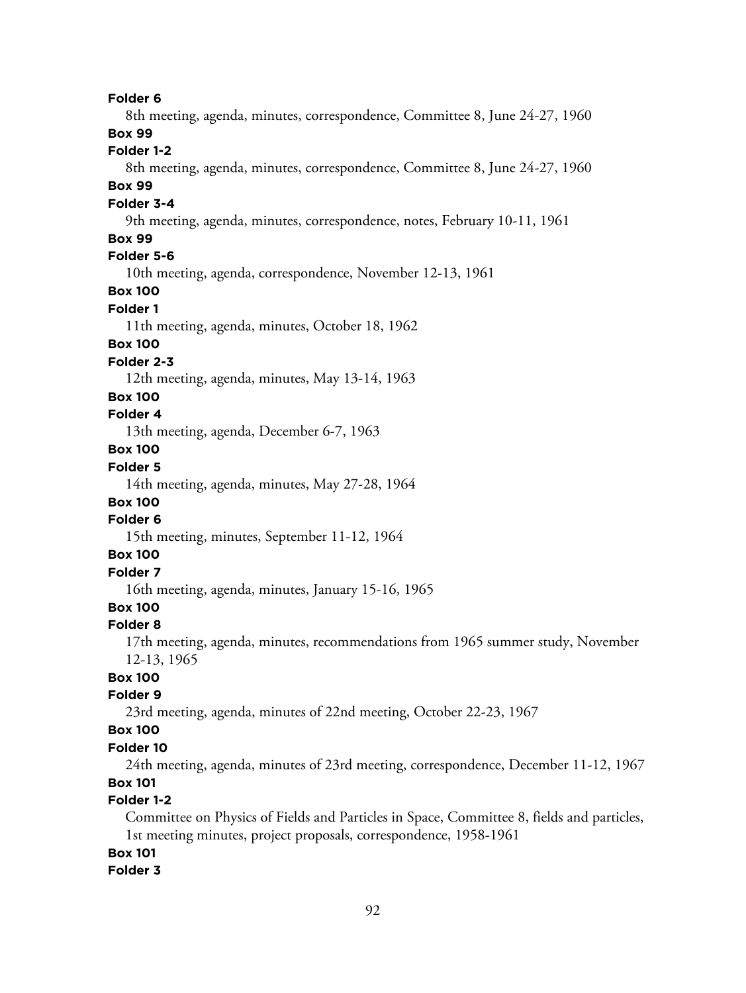8th meeting, agenda, minutes, correspondence, Committee 8, June 24-27, 1960 **Box 99 Folder 1-2** 8th meeting, agenda, minutes, correspondence, Committee 8, June 24-27, 1960 **Box 99 Folder 3-4** 9th meeting, agenda, minutes, correspondence, notes, February 10-11, 1961 **Box 99 Folder 5-6** 10th meeting, agenda, correspondence, November 12-13, 1961 **Box 100 Folder 1** 11th meeting, agenda, minutes, October 18, 1962 **Box 100 Folder 2-3** 12th meeting, agenda, minutes, May 13-14, 1963 **Box 100 Folder 4** 13th meeting, agenda, December 6-7, 1963 **Box 100 Folder 5** 14th meeting, agenda, minutes, May 27-28, 1964 **Box 100 Folder 6** 15th meeting, minutes, September 11-12, 1964 **Box 100 Folder 7** 16th meeting, agenda, minutes, January 15-16, 1965 **Box 100 Folder 8** 17th meeting, agenda, minutes, recommendations from 1965 summer study, November 12-13, 1965 **Box 100 Folder 9** 23rd meeting, agenda, minutes of 22nd meeting, October 22-23, 1967 **Box 100 Folder 10** 24th meeting, agenda, minutes of 23rd meeting, correspondence, December 11-12, 1967 **Box 101 Folder 1-2** Committee on Physics of Fields and Particles in Space, Committee 8, fields and particles, 1st meeting minutes, project proposals, correspondence, 1958-1961 **Box 101**

#### **Folder 3**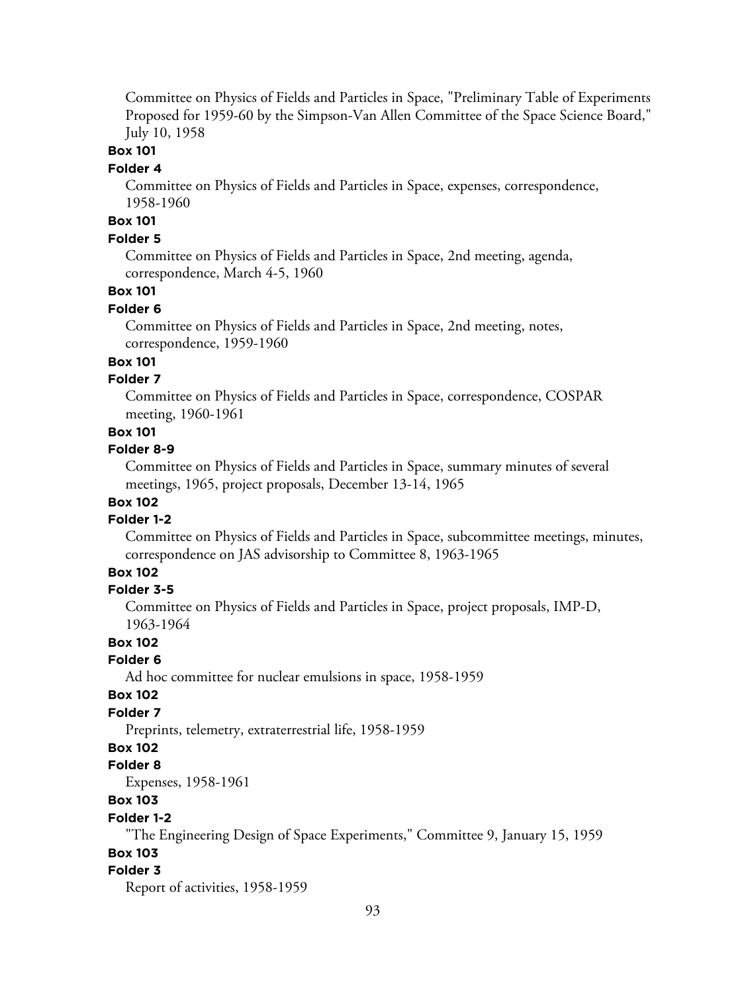Committee on Physics of Fields and Particles in Space, "Preliminary Table of Experiments Proposed for 1959-60 by the Simpson-Van Allen Committee of the Space Science Board," July 10, 1958

# **Box 101**

#### **Folder 4**

Committee on Physics of Fields and Particles in Space, expenses, correspondence, 1958-1960

# **Box 101**

# **Folder 5**

Committee on Physics of Fields and Particles in Space, 2nd meeting, agenda, correspondence, March 4-5, 1960

# **Box 101**

#### **Folder 6**

Committee on Physics of Fields and Particles in Space, 2nd meeting, notes, correspondence, 1959-1960

### **Box 101**

### **Folder 7**

Committee on Physics of Fields and Particles in Space, correspondence, COSPAR meeting, 1960-1961

### **Box 101**

#### **Folder 8-9**

Committee on Physics of Fields and Particles in Space, summary minutes of several meetings, 1965, project proposals, December 13-14, 1965

# **Box 102**

#### **Folder 1-2**

Committee on Physics of Fields and Particles in Space, subcommittee meetings, minutes, correspondence on JAS advisorship to Committee 8, 1963-1965

# **Box 102**

#### **Folder 3-5**

Committee on Physics of Fields and Particles in Space, project proposals, IMP-D, 1963-1964

#### **Box 102**

# **Folder 6**

Ad hoc committee for nuclear emulsions in space, 1958-1959

#### **Box 102**

### **Folder 7**

Preprints, telemetry, extraterrestrial life, 1958-1959

# **Box 102**

#### **Folder 8**

Expenses, 1958-1961

# **Box 103**

#### **Folder 1-2**

"The Engineering Design of Space Experiments," Committee 9, January 15, 1959

# **Box 103**

#### **Folder 3**

Report of activities, 1958-1959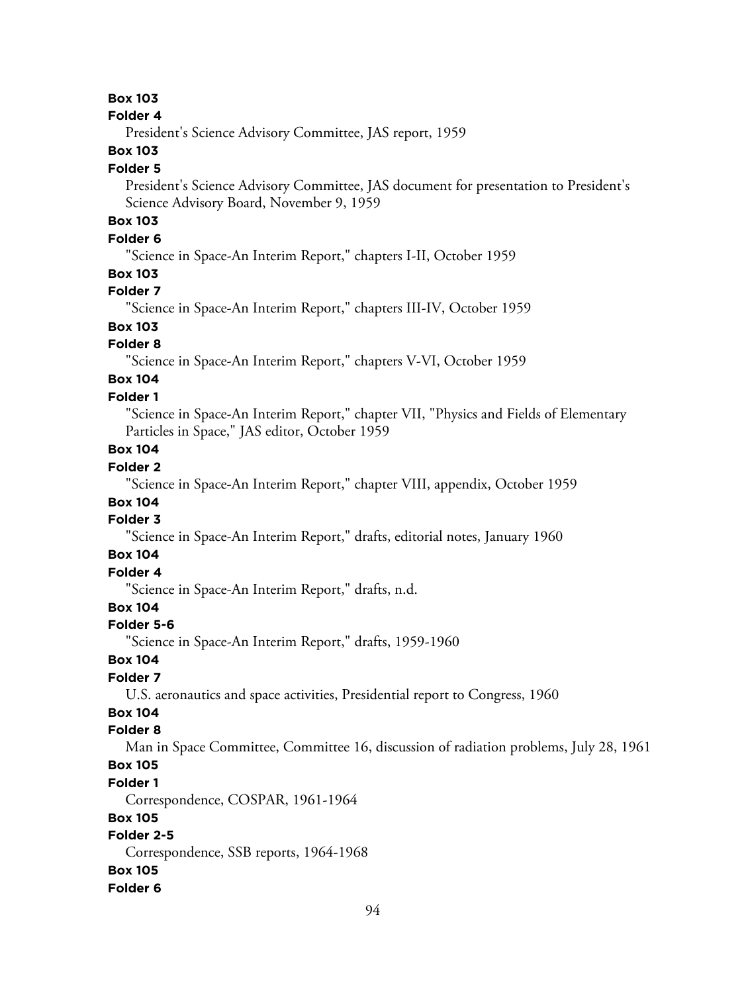#### **Folder 4**

President's Science Advisory Committee, JAS report, 1959

# **Box 103**

#### **Folder 5**

President's Science Advisory Committee, JAS document for presentation to President's Science Advisory Board, November 9, 1959

# **Box 103**

# **Folder 6**

"Science in Space-An Interim Report," chapters I-II, October 1959

### **Box 103**

# **Folder 7**

"Science in Space-An Interim Report," chapters III-IV, October 1959

# **Box 103**

# **Folder 8**

"Science in Space-An Interim Report," chapters V-VI, October 1959

#### **Box 104 Folder 1**

"Science in Space-An Interim Report," chapter VII, "Physics and Fields of Elementary Particles in Space," JAS editor, October 1959

# **Box 104**

# **Folder 2**

"Science in Space-An Interim Report," chapter VIII, appendix, October 1959

# **Box 104**

# **Folder 3**

"Science in Space-An Interim Report," drafts, editorial notes, January 1960

### **Box 104**

# **Folder 4**

"Science in Space-An Interim Report," drafts, n.d.

# **Box 104**

#### **Folder 5-6**

"Science in Space-An Interim Report," drafts, 1959-1960

### **Box 104**

# **Folder 7**

U.S. aeronautics and space activities, Presidential report to Congress, 1960

# **Box 104**

### **Folder 8**

Man in Space Committee, Committee 16, discussion of radiation problems, July 28, 1961

# **Box 105**

#### **Folder 1**

Correspondence, COSPAR, 1961-1964

### **Box 105**

# **Folder 2-5**

Correspondence, SSB reports, 1964-1968

#### **Box 105**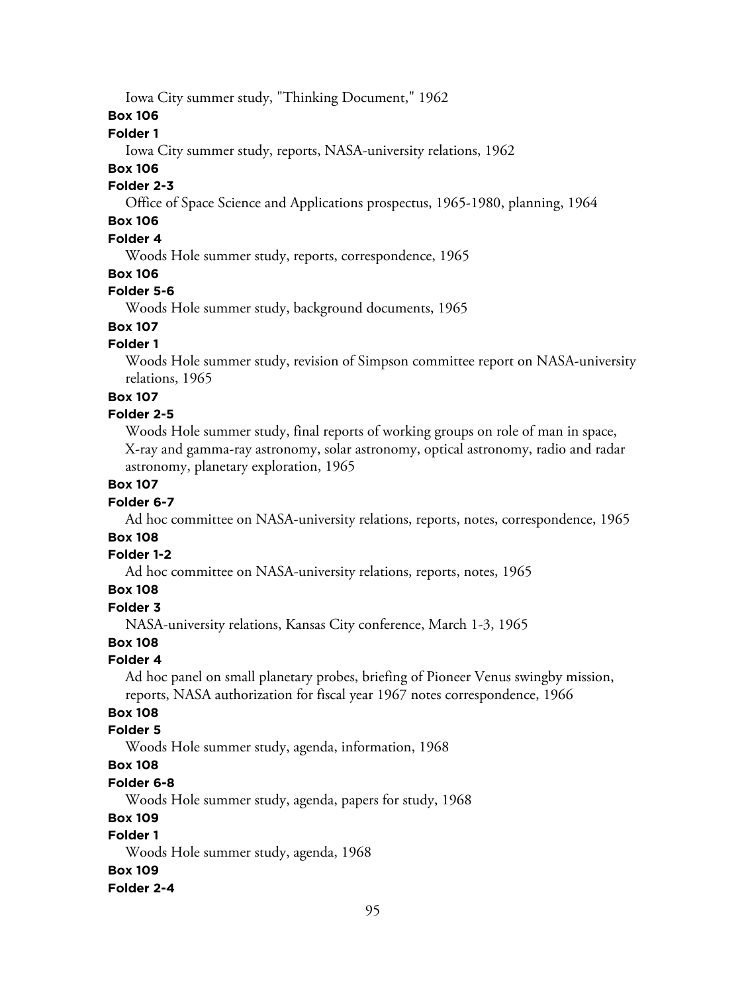Iowa City summer study, "Thinking Document," 1962

**Box 106**

### **Folder 1**

Iowa City summer study, reports, NASA-university relations, 1962

### **Box 106**

### **Folder 2-3**

Office of Space Science and Applications prospectus, 1965-1980, planning, 1964

# **Box 106**

# **Folder 4**

Woods Hole summer study, reports, correspondence, 1965

### **Box 106**

# **Folder 5-6**

Woods Hole summer study, background documents, 1965

# **Box 107**

# **Folder 1**

Woods Hole summer study, revision of Simpson committee report on NASA-university relations, 1965

### **Box 107**

### **Folder 2-5**

Woods Hole summer study, final reports of working groups on role of man in space, X-ray and gamma-ray astronomy, solar astronomy, optical astronomy, radio and radar astronomy, planetary exploration, 1965

### **Box 107**

# **Folder 6-7**

Ad hoc committee on NASA-university relations, reports, notes, correspondence, 1965

# **Box 108**

### **Folder 1-2**

Ad hoc committee on NASA-university relations, reports, notes, 1965

# **Box 108**

### **Folder 3**

NASA-university relations, Kansas City conference, March 1-3, 1965

### **Box 108**

# **Folder 4**

Ad hoc panel on small planetary probes, briefing of Pioneer Venus swingby mission, reports, NASA authorization for fiscal year 1967 notes correspondence, 1966

# **Box 108**

### **Folder 5**

Woods Hole summer study, agenda, information, 1968

# **Box 108**

# **Folder 6-8**

Woods Hole summer study, agenda, papers for study, 1968

### **Box 109**

# **Folder 1**

Woods Hole summer study, agenda, 1968

### **Box 109**

### **Folder 2-4**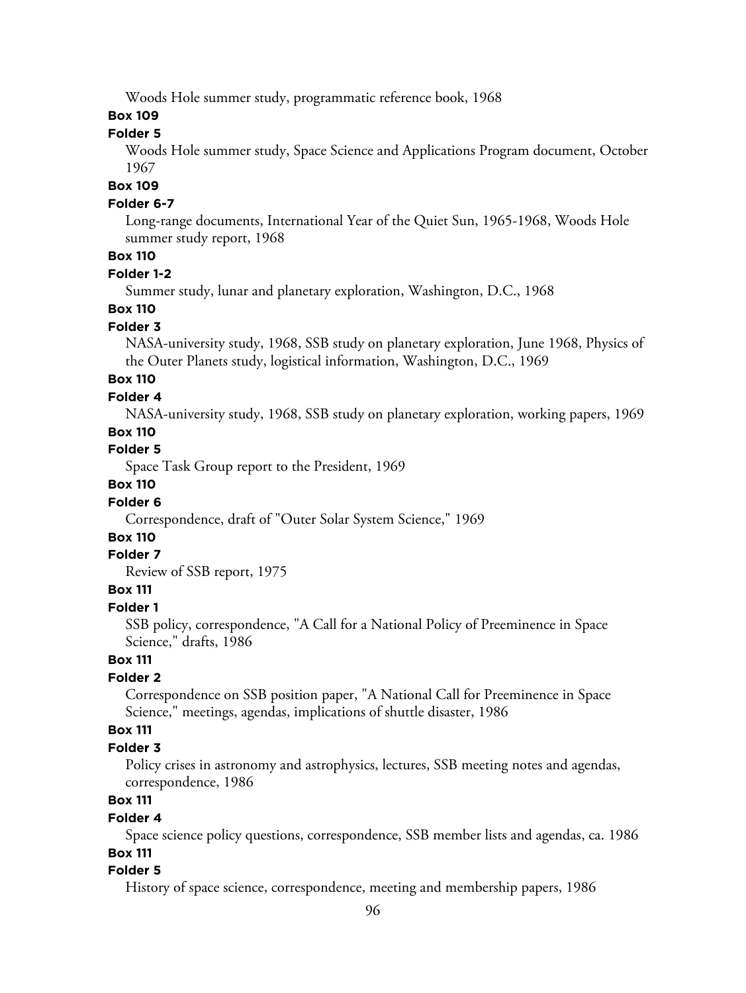Woods Hole summer study, programmatic reference book, 1968

### **Box 109**

### **Folder 5**

Woods Hole summer study, Space Science and Applications Program document, October 1967

#### **Box 109**

#### **Folder 6-7**

Long-range documents, International Year of the Quiet Sun, 1965-1968, Woods Hole summer study report, 1968

# **Box 110**

### **Folder 1-2**

Summer study, lunar and planetary exploration, Washington, D.C., 1968

### **Box 110**

### **Folder 3**

NASA-university study, 1968, SSB study on planetary exploration, June 1968, Physics of the Outer Planets study, logistical information, Washington, D.C., 1969

# **Box 110**

#### **Folder 4**

NASA-university study, 1968, SSB study on planetary exploration, working papers, 1969

### **Box 110**

#### **Folder 5**

Space Task Group report to the President, 1969

# **Box 110**

#### **Folder 6**

Correspondence, draft of "Outer Solar System Science," 1969

# **Box 110**

# **Folder 7**

Review of SSB report, 1975

# **Box 111**

## **Folder 1**

SSB policy, correspondence, "A Call for a National Policy of Preeminence in Space Science," drafts, 1986

### **Box 111**

### **Folder 2**

Correspondence on SSB position paper, "A National Call for Preeminence in Space Science," meetings, agendas, implications of shuttle disaster, 1986

### **Box 111**

#### **Folder 3**

Policy crises in astronomy and astrophysics, lectures, SSB meeting notes and agendas, correspondence, 1986

# **Box 111**

#### **Folder 4**

Space science policy questions, correspondence, SSB member lists and agendas, ca. 1986 **Box 111**

#### **Folder 5**

History of space science, correspondence, meeting and membership papers, 1986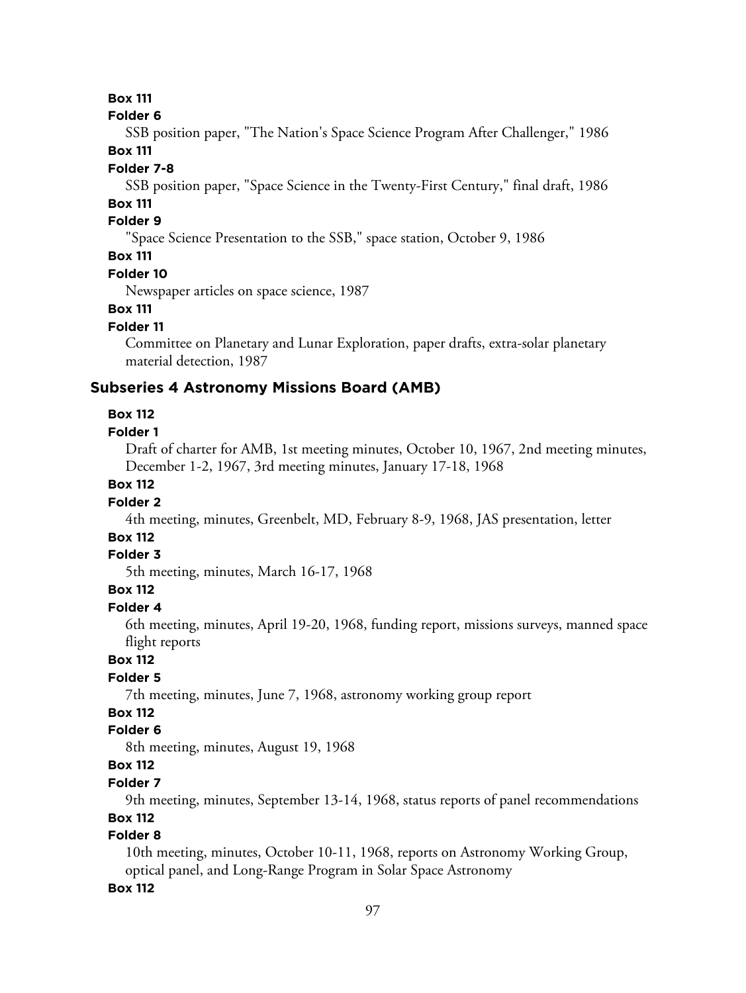#### **Folder 6**

SSB position paper, "The Nation's Space Science Program After Challenger," 1986 **Box 111**

#### **Folder 7-8**

SSB position paper, "Space Science in the Twenty-First Century," final draft, 1986

# **Box 111**

# **Folder 9**

"Space Science Presentation to the SSB," space station, October 9, 1986

# **Box 111**

### **Folder 10**

Newspaper articles on space science, 1987

### **Box 111**

### **Folder 11**

Committee on Planetary and Lunar Exploration, paper drafts, extra-solar planetary material detection, 1987

# **Subseries 4 Astronomy Missions Board (AMB)**

# **Box 112**

### **Folder 1**

Draft of charter for AMB, 1st meeting minutes, October 10, 1967, 2nd meeting minutes, December 1-2, 1967, 3rd meeting minutes, January 17-18, 1968

## **Box 112**

### **Folder 2**

4th meeting, minutes, Greenbelt, MD, February 8-9, 1968, JAS presentation, letter

# **Box 112**

# **Folder 3**

5th meeting, minutes, March 16-17, 1968

# **Box 112**

#### **Folder 4**

6th meeting, minutes, April 19-20, 1968, funding report, missions surveys, manned space flight reports

### **Box 112**

# **Folder 5**

7th meeting, minutes, June 7, 1968, astronomy working group report

# **Box 112**

# **Folder 6**

8th meeting, minutes, August 19, 1968

# **Box 112**

### **Folder 7**

9th meeting, minutes, September 13-14, 1968, status reports of panel recommendations

### **Box 112**

# **Folder 8**

10th meeting, minutes, October 10-11, 1968, reports on Astronomy Working Group, optical panel, and Long-Range Program in Solar Space Astronomy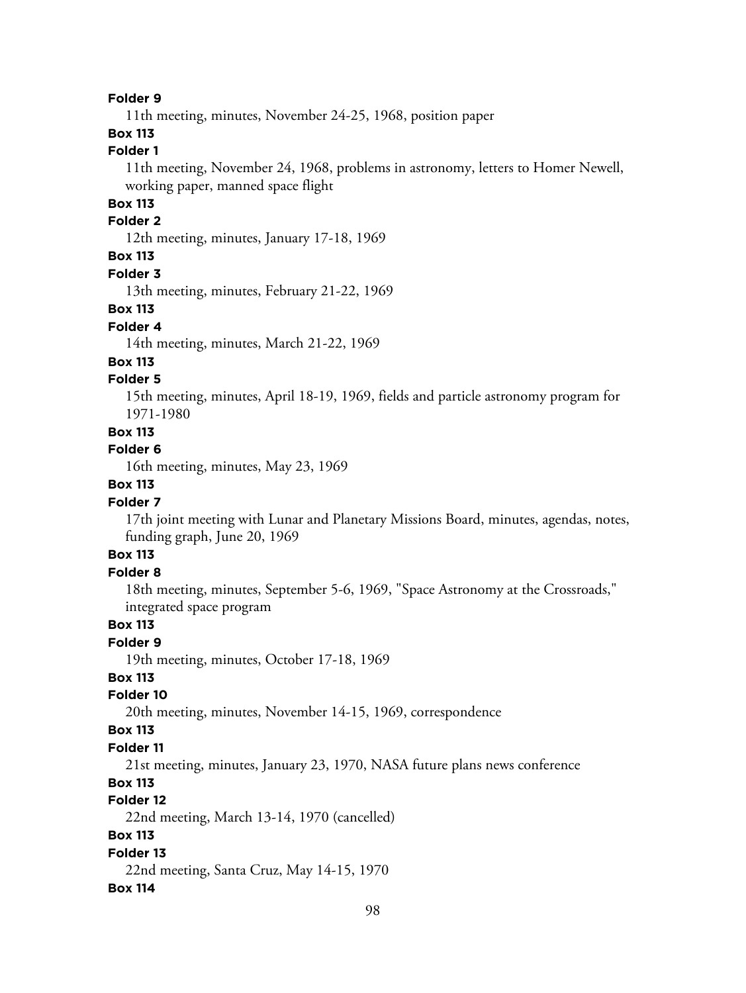11th meeting, minutes, November 24-25, 1968, position paper

# **Box 113**

# **Folder 1**

11th meeting, November 24, 1968, problems in astronomy, letters to Homer Newell, working paper, manned space flight

# **Box 113**

### **Folder 2**

12th meeting, minutes, January 17-18, 1969

# **Box 113**

### **Folder 3**

13th meeting, minutes, February 21-22, 1969

#### **Box 113**

### **Folder 4**

14th meeting, minutes, March 21-22, 1969

#### **Box 113**

# **Folder 5**

15th meeting, minutes, April 18-19, 1969, fields and particle astronomy program for 1971-1980

# **Box 113**

# **Folder 6**

16th meeting, minutes, May 23, 1969

# **Box 113**

## **Folder 7**

17th joint meeting with Lunar and Planetary Missions Board, minutes, agendas, notes, funding graph, June 20, 1969

# **Box 113**

# **Folder 8**

18th meeting, minutes, September 5-6, 1969, "Space Astronomy at the Crossroads," integrated space program

### **Box 113**

## **Folder 9**

19th meeting, minutes, October 17-18, 1969

### **Box 113**

### **Folder 10**

20th meeting, minutes, November 14-15, 1969, correspondence

### **Box 113**

#### **Folder 11**

21st meeting, minutes, January 23, 1970, NASA future plans news conference

# **Box 113**

# **Folder 12**

22nd meeting, March 13-14, 1970 (cancelled)

# **Box 113**

### **Folder 13**

22nd meeting, Santa Cruz, May 14-15, 1970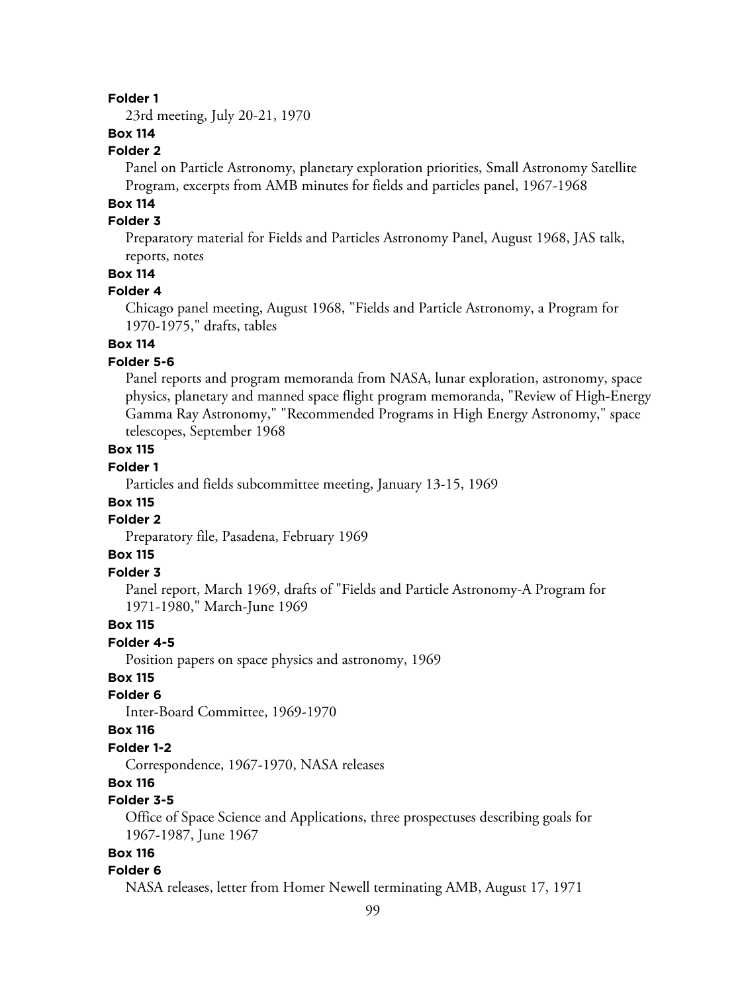23rd meeting, July 20-21, 1970

# **Box 114**

#### **Folder 2**

Panel on Particle Astronomy, planetary exploration priorities, Small Astronomy Satellite Program, excerpts from AMB minutes for fields and particles panel, 1967-1968

# **Box 114**

# **Folder 3**

Preparatory material for Fields and Particles Astronomy Panel, August 1968, JAS talk, reports, notes

### **Box 114**

### **Folder 4**

Chicago panel meeting, August 1968, "Fields and Particle Astronomy, a Program for 1970-1975," drafts, tables

# **Box 114**

#### **Folder 5-6**

Panel reports and program memoranda from NASA, lunar exploration, astronomy, space physics, planetary and manned space flight program memoranda, "Review of High-Energy Gamma Ray Astronomy," "Recommended Programs in High Energy Astronomy," space telescopes, September 1968

# **Box 115**

### **Folder 1**

Particles and fields subcommittee meeting, January 13-15, 1969

# **Box 115**

# **Folder 2**

Preparatory file, Pasadena, February 1969

# **Box 115**

#### **Folder 3**

Panel report, March 1969, drafts of "Fields and Particle Astronomy-A Program for 1971-1980," March-June 1969

#### **Box 115**

# **Folder 4-5**

Position papers on space physics and astronomy, 1969

### **Box 115**

#### **Folder 6**

Inter-Board Committee, 1969-1970

#### **Box 116**

#### **Folder 1-2**

Correspondence, 1967-1970, NASA releases

### **Box 116**

### **Folder 3-5**

Office of Space Science and Applications, three prospectuses describing goals for 1967-1987, June 1967

# **Box 116**

#### **Folder 6**

NASA releases, letter from Homer Newell terminating AMB, August 17, 1971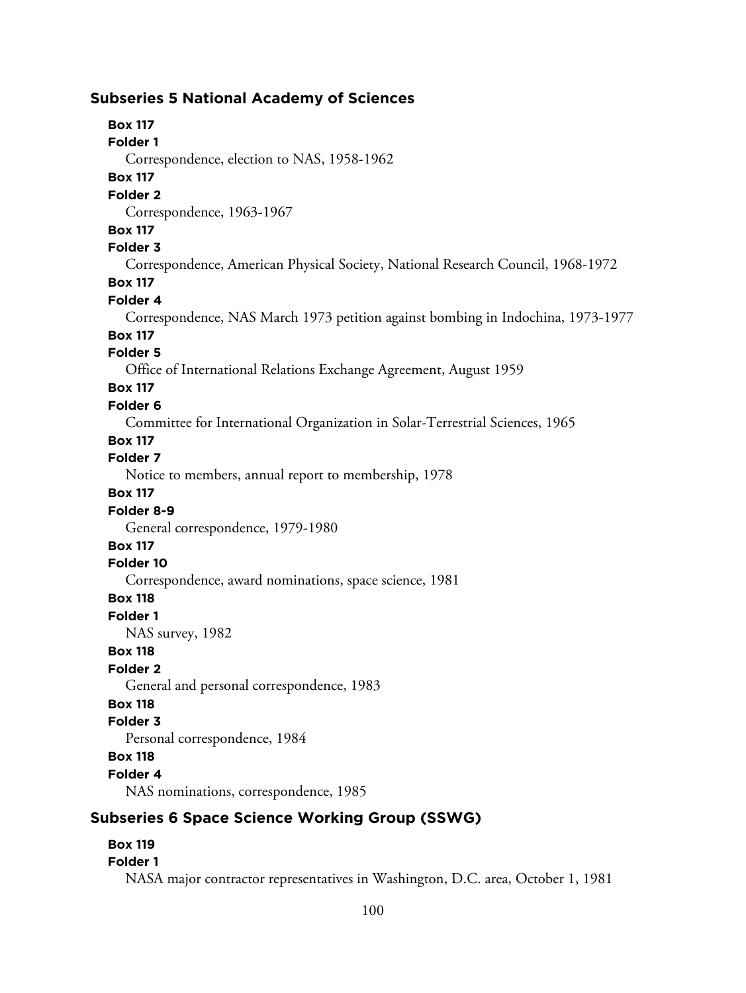# **Subseries 5 National Academy of Sciences**

# **Box 117**

**Folder 1**

Correspondence, election to NAS, 1958-1962

# **Box 117**

### **Folder 2**

Correspondence, 1963-1967

### **Box 117**

### **Folder 3**

Correspondence, American Physical Society, National Research Council, 1968-1972

### **Box 117**

# **Folder 4**

Correspondence, NAS March 1973 petition against bombing in Indochina, 1973-1977

# **Box 117**

# **Folder 5**

Office of International Relations Exchange Agreement, August 1959

# **Box 117**

# **Folder 6**

Committee for International Organization in Solar-Terrestrial Sciences, 1965

### **Box 117**

# **Folder 7**

Notice to members, annual report to membership, 1978

### **Box 117**

# **Folder 8-9**

General correspondence, 1979-1980

# **Box 117**

#### **Folder 10**

Correspondence, award nominations, space science, 1981

### **Box 118**

# **Folder 1**

NAS survey, 1982

### **Box 118**

# **Folder 2**

General and personal correspondence, 1983

# **Box 118**

# **Folder 3**

Personal correspondence, 1984

# **Box 118**

# **Folder 4**

NAS nominations, correspondence, 1985

# **Subseries 6 Space Science Working Group (SSWG)**

# **Box 119**

### **Folder 1**

NASA major contractor representatives in Washington, D.C. area, October 1, 1981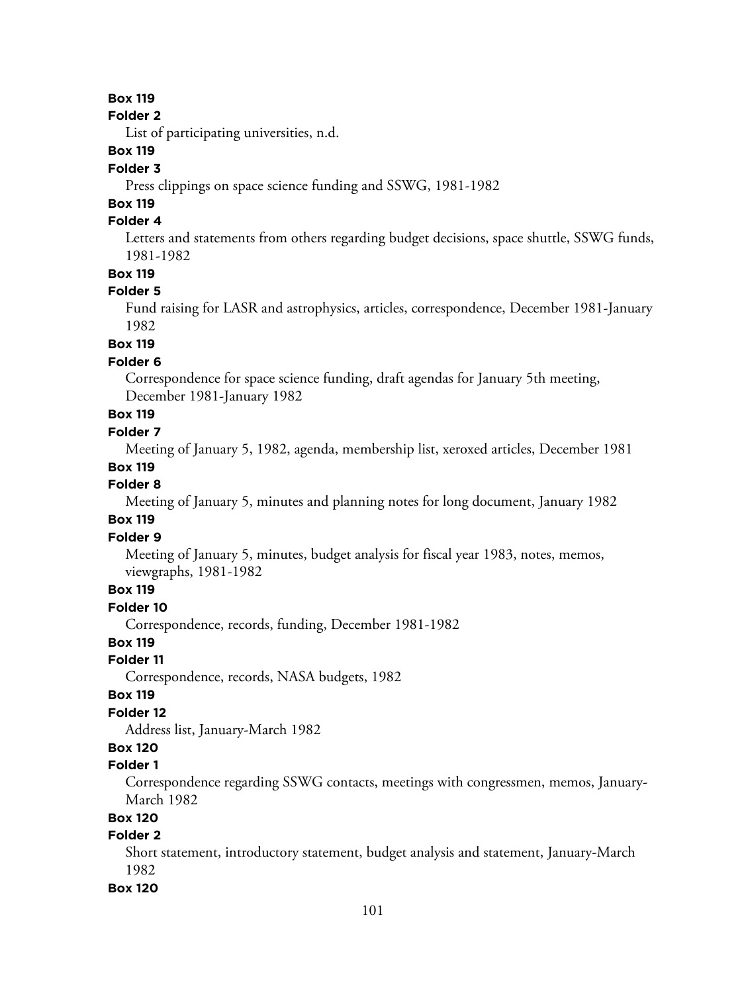### **Folder 2**

List of participating universities, n.d.

# **Box 119**

# **Folder 3**

Press clippings on space science funding and SSWG, 1981-1982

# **Box 119**

# **Folder 4**

Letters and statements from others regarding budget decisions, space shuttle, SSWG funds, 1981-1982

### **Box 119**

# **Folder 5**

Fund raising for LASR and astrophysics, articles, correspondence, December 1981-January 1982

# **Box 119**

### **Folder 6**

Correspondence for space science funding, draft agendas for January 5th meeting, December 1981-January 1982

# **Box 119**

# **Folder 7**

Meeting of January 5, 1982, agenda, membership list, xeroxed articles, December 1981

### **Box 119**

# **Folder 8**

Meeting of January 5, minutes and planning notes for long document, January 1982

# **Box 119**

### **Folder 9**

Meeting of January 5, minutes, budget analysis for fiscal year 1983, notes, memos, viewgraphs, 1981-1982

# **Box 119**

## **Folder 10**

Correspondence, records, funding, December 1981-1982

# **Box 119**

### **Folder 11**

Correspondence, records, NASA budgets, 1982

### **Box 119**

# **Folder 12**

Address list, January-March 1982

# **Box 120**

# **Folder 1**

Correspondence regarding SSWG contacts, meetings with congressmen, memos, January-March 1982

### **Box 120**

# **Folder 2**

Short statement, introductory statement, budget analysis and statement, January-March 1982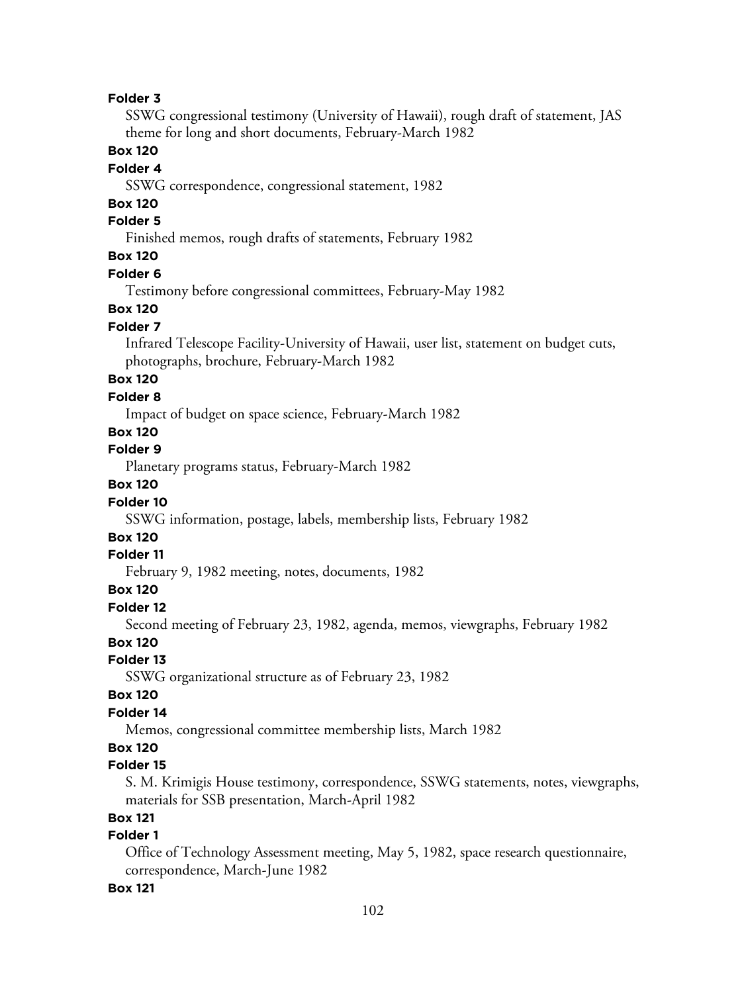SSWG congressional testimony (University of Hawaii), rough draft of statement, JAS theme for long and short documents, February-March 1982

#### **Box 120**

#### **Folder 4**

SSWG correspondence, congressional statement, 1982

### **Box 120**

#### **Folder 5**

Finished memos, rough drafts of statements, February 1982

# **Box 120**

### **Folder 6**

Testimony before congressional committees, February-May 1982

#### **Box 120**

#### **Folder 7**

Infrared Telescope Facility-University of Hawaii, user list, statement on budget cuts, photographs, brochure, February-March 1982

### **Box 120**

#### **Folder 8**

Impact of budget on space science, February-March 1982

### **Box 120**

**Folder 9**

Planetary programs status, February-March 1982

## **Box 120**

#### **Folder 10**

SSWG information, postage, labels, membership lists, February 1982

# **Box 120**

# **Folder 11**

February 9, 1982 meeting, notes, documents, 1982

### **Box 120**

#### **Folder 12**

Second meeting of February 23, 1982, agenda, memos, viewgraphs, February 1982

# **Box 120**

# **Folder 13**

SSWG organizational structure as of February 23, 1982

### **Box 120**

### **Folder 14**

Memos, congressional committee membership lists, March 1982

## **Box 120**

## **Folder 15**

S. M. Krimigis House testimony, correspondence, SSWG statements, notes, viewgraphs, materials for SSB presentation, March-April 1982

# **Box 121**

# **Folder 1**

Office of Technology Assessment meeting, May 5, 1982, space research questionnaire, correspondence, March-June 1982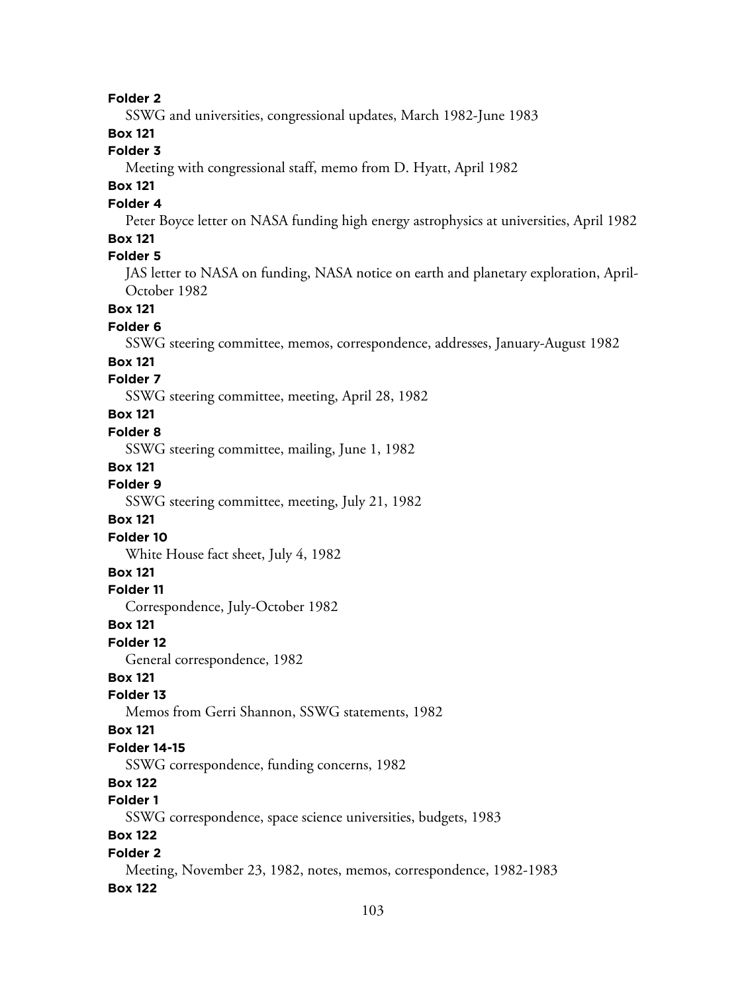SSWG and universities, congressional updates, March 1982-June 1983

# **Box 121**

# **Folder 3**

Meeting with congressional staff, memo from D. Hyatt, April 1982

# **Box 121**

# **Folder 4**

Peter Boyce letter on NASA funding high energy astrophysics at universities, April 1982

# **Box 121**

# **Folder 5**

JAS letter to NASA on funding, NASA notice on earth and planetary exploration, April-October 1982

### **Box 121**

# **Folder 6**

SSWG steering committee, memos, correspondence, addresses, January-August 1982

#### **Box 121**

# **Folder 7**

SSWG steering committee, meeting, April 28, 1982

# **Box 121**

### **Folder 8**

SSWG steering committee, mailing, June 1, 1982

#### **Box 121**

#### **Folder 9**

SSWG steering committee, meeting, July 21, 1982

### **Box 121**

### **Folder 10**

White House fact sheet, July 4, 1982

### **Box 121**

#### **Folder 11**

Correspondence, July-October 1982

#### **Box 121**

#### **Folder 12**

General correspondence, 1982

### **Box 121**

### **Folder 13**

Memos from Gerri Shannon, SSWG statements, 1982

### **Box 121**

#### **Folder 14-15**

SSWG correspondence, funding concerns, 1982

# **Box 122**

# **Folder 1**

SSWG correspondence, space science universities, budgets, 1983

# **Box 122**

### **Folder 2**

Meeting, November 23, 1982, notes, memos, correspondence, 1982-1983 **Box 122**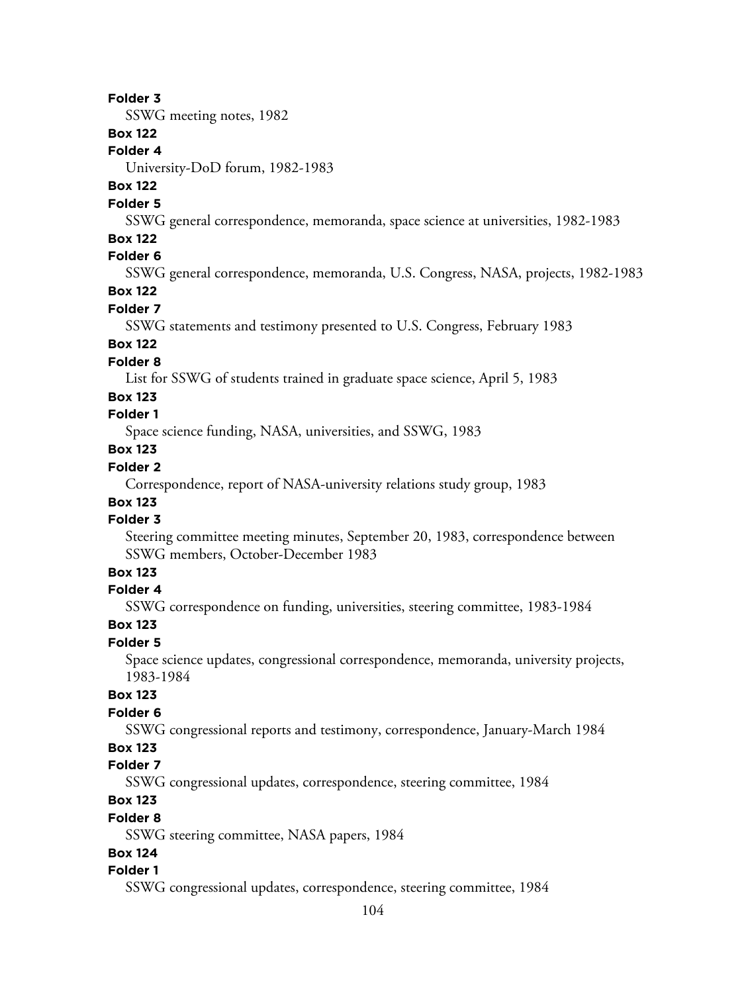SSWG meeting notes, 1982

# **Box 122**

**Folder 4**

University-DoD forum, 1982-1983

# **Box 122**

### **Folder 5**

SSWG general correspondence, memoranda, space science at universities, 1982-1983

### **Box 122**

# **Folder 6**

SSWG general correspondence, memoranda, U.S. Congress, NASA, projects, 1982-1983

# **Box 122**

# **Folder 7**

SSWG statements and testimony presented to U.S. Congress, February 1983

# **Box 122**

# **Folder 8**

List for SSWG of students trained in graduate space science, April 5, 1983

#### **Box 123**

# **Folder 1**

Space science funding, NASA, universities, and SSWG, 1983

# **Box 123**

# **Folder 2**

Correspondence, report of NASA-university relations study group, 1983

# **Box 123**

# **Folder 3**

Steering committee meeting minutes, September 20, 1983, correspondence between SSWG members, October-December 1983

# **Box 123**

### **Folder 4**

SSWG correspondence on funding, universities, steering committee, 1983-1984

#### **Box 123**

## **Folder 5**

Space science updates, congressional correspondence, memoranda, university projects, 1983-1984

# **Box 123**

# **Folder 6**

SSWG congressional reports and testimony, correspondence, January-March 1984

# **Box 123**

#### **Folder 7**

SSWG congressional updates, correspondence, steering committee, 1984

# **Box 123**

#### **Folder 8**

SSWG steering committee, NASA papers, 1984

# **Box 124**

### **Folder 1**

SSWG congressional updates, correspondence, steering committee, 1984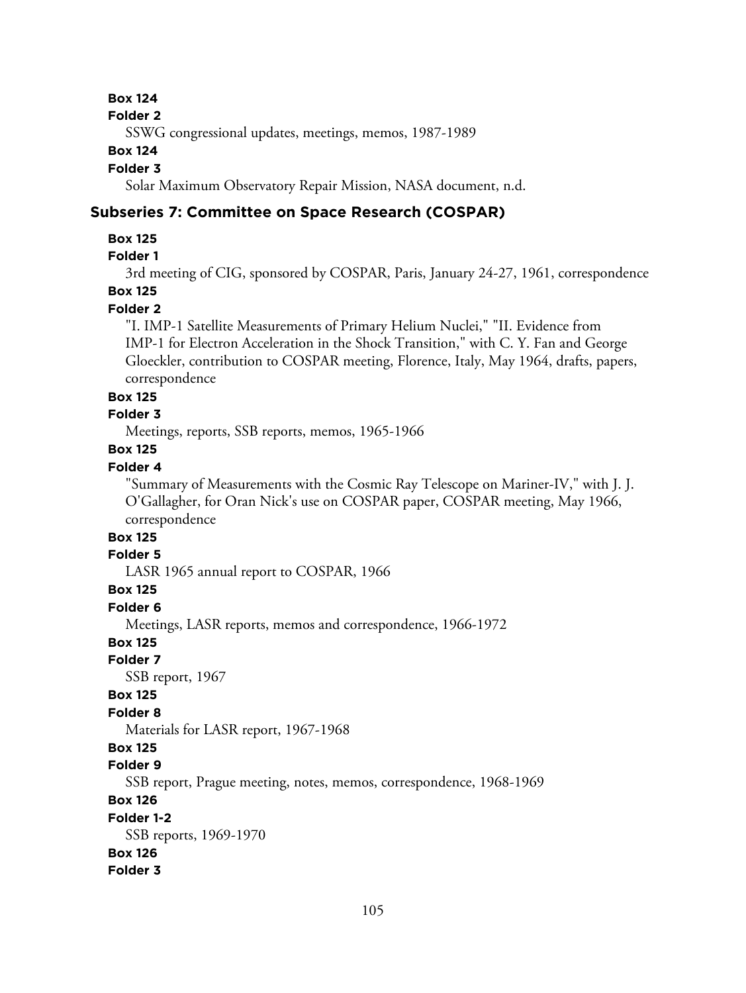#### **Folder 2**

SSWG congressional updates, meetings, memos, 1987-1989

#### **Box 124**

#### **Folder 3**

Solar Maximum Observatory Repair Mission, NASA document, n.d.

### **Subseries 7: Committee on Space Research (COSPAR)**

#### **Box 125**

# **Folder 1**

3rd meeting of CIG, sponsored by COSPAR, Paris, January 24-27, 1961, correspondence

# **Box 125**

# **Folder 2**

"I. IMP-1 Satellite Measurements of Primary Helium Nuclei," "II. Evidence from IMP-1 for Electron Acceleration in the Shock Transition," with C. Y. Fan and George Gloeckler, contribution to COSPAR meeting, Florence, Italy, May 1964, drafts, papers, correspondence

#### **Box 125**

# **Folder 3**

Meetings, reports, SSB reports, memos, 1965-1966

#### **Box 125**

# **Folder 4**

"Summary of Measurements with the Cosmic Ray Telescope on Mariner-IV," with J. J. O'Gallagher, for Oran Nick's use on COSPAR paper, COSPAR meeting, May 1966, correspondence

# **Box 125**

# **Folder 5**

LASR 1965 annual report to COSPAR, 1966

### **Box 125**

**Folder 6**

Meetings, LASR reports, memos and correspondence, 1966-1972

## **Box 125**

#### **Folder 7**

SSB report, 1967

### **Box 125**

### **Folder 8**

Materials for LASR report, 1967-1968

# **Box 125**

# **Folder 9**

SSB report, Prague meeting, notes, memos, correspondence, 1968-1969

# **Box 126**

#### **Folder 1-2**

SSB reports, 1969-1970

#### **Box 126**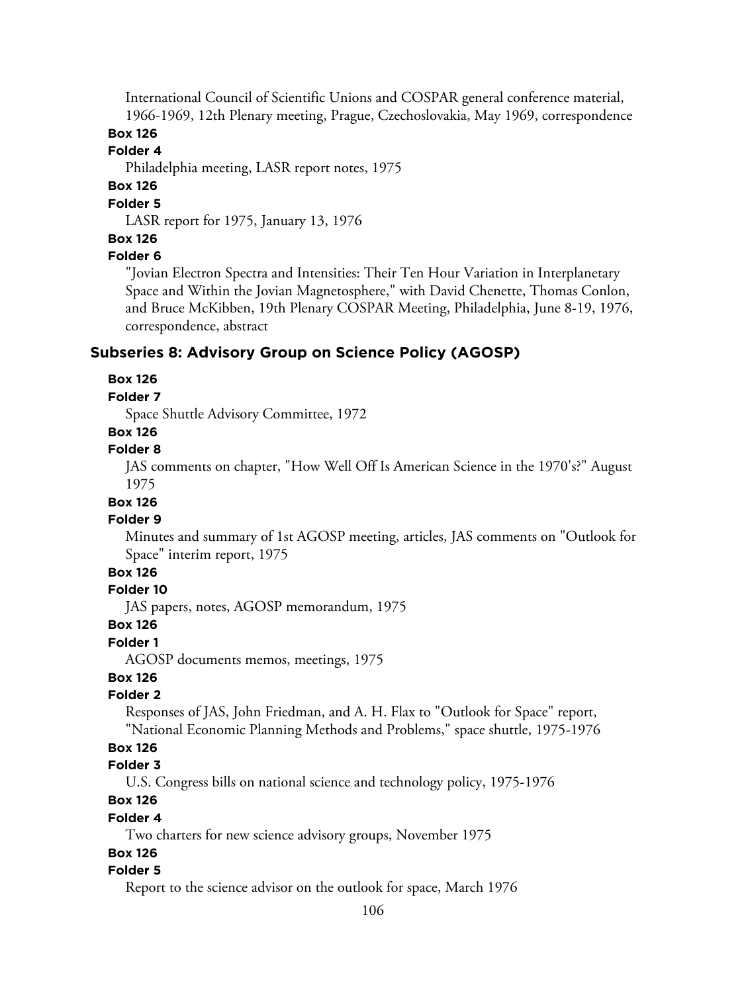International Council of Scientific Unions and COSPAR general conference material, 1966-1969, 12th Plenary meeting, Prague, Czechoslovakia, May 1969, correspondence

# **Box 126**

#### **Folder 4**

Philadelphia meeting, LASR report notes, 1975

# **Box 126**

# **Folder 5**

LASR report for 1975, January 13, 1976

# **Box 126**

# **Folder 6**

"Jovian Electron Spectra and Intensities: Their Ten Hour Variation in Interplanetary Space and Within the Jovian Magnetosphere," with David Chenette, Thomas Conlon, and Bruce McKibben, 19th Plenary COSPAR Meeting, Philadelphia, June 8-19, 1976, correspondence, abstract

### **Subseries 8: Advisory Group on Science Policy (AGOSP)**

#### **Box 126**

#### **Folder 7**

Space Shuttle Advisory Committee, 1972

# **Box 126**

# **Folder 8**

JAS comments on chapter, "How Well Off Is American Science in the 1970's?" August 1975

# **Box 126**

# **Folder 9**

Minutes and summary of 1st AGOSP meeting, articles, JAS comments on "Outlook for Space" interim report, 1975

# **Box 126**

### **Folder 10**

JAS papers, notes, AGOSP memorandum, 1975

#### **Box 126**

#### **Folder 1**

AGOSP documents memos, meetings, 1975

### **Box 126**

### **Folder 2**

Responses of JAS, John Friedman, and A. H. Flax to "Outlook for Space" report, "National Economic Planning Methods and Problems," space shuttle, 1975-1976

# **Box 126**

#### **Folder 3**

U.S. Congress bills on national science and technology policy, 1975-1976

# **Box 126**

#### **Folder 4**

Two charters for new science advisory groups, November 1975

#### **Box 126**

#### **Folder 5**

Report to the science advisor on the outlook for space, March 1976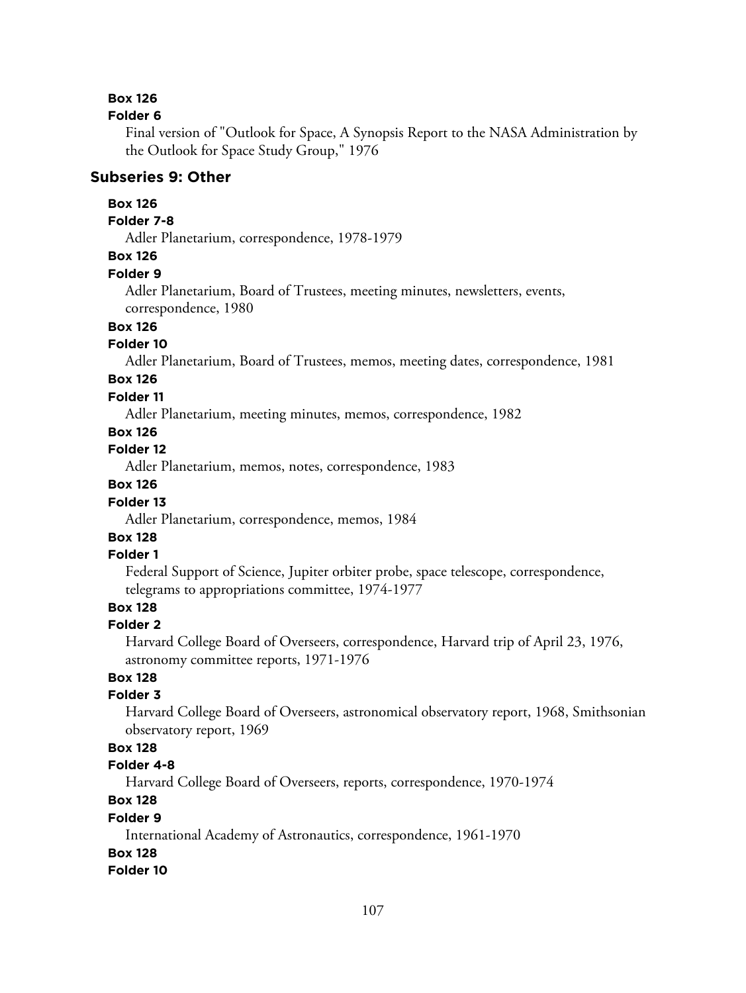#### **Folder 6**

Final version of "Outlook for Space, A Synopsis Report to the NASA Administration by the Outlook for Space Study Group," 1976

#### **Subseries 9: Other**

### **Box 126**

### **Folder 7-8**

Adler Planetarium, correspondence, 1978-1979

# **Box 126**

#### **Folder 9**

Adler Planetarium, Board of Trustees, meeting minutes, newsletters, events, correspondence, 1980

### **Box 126**

#### **Folder 10**

Adler Planetarium, Board of Trustees, memos, meeting dates, correspondence, 1981

# **Box 126**

### **Folder 11**

Adler Planetarium, meeting minutes, memos, correspondence, 1982

# **Box 126**

**Folder 12**

Adler Planetarium, memos, notes, correspondence, 1983

# **Box 126**

### **Folder 13**

Adler Planetarium, correspondence, memos, 1984

# **Box 128**

#### **Folder 1**

Federal Support of Science, Jupiter orbiter probe, space telescope, correspondence, telegrams to appropriations committee, 1974-1977

# **Box 128**

#### **Folder 2**

Harvard College Board of Overseers, correspondence, Harvard trip of April 23, 1976, astronomy committee reports, 1971-1976

# **Box 128**

### **Folder 3**

Harvard College Board of Overseers, astronomical observatory report, 1968, Smithsonian observatory report, 1969

# **Box 128**

## **Folder 4-8**

Harvard College Board of Overseers, reports, correspondence, 1970-1974

# **Box 128**

#### **Folder 9**

International Academy of Astronautics, correspondence, 1961-1970

### **Box 128**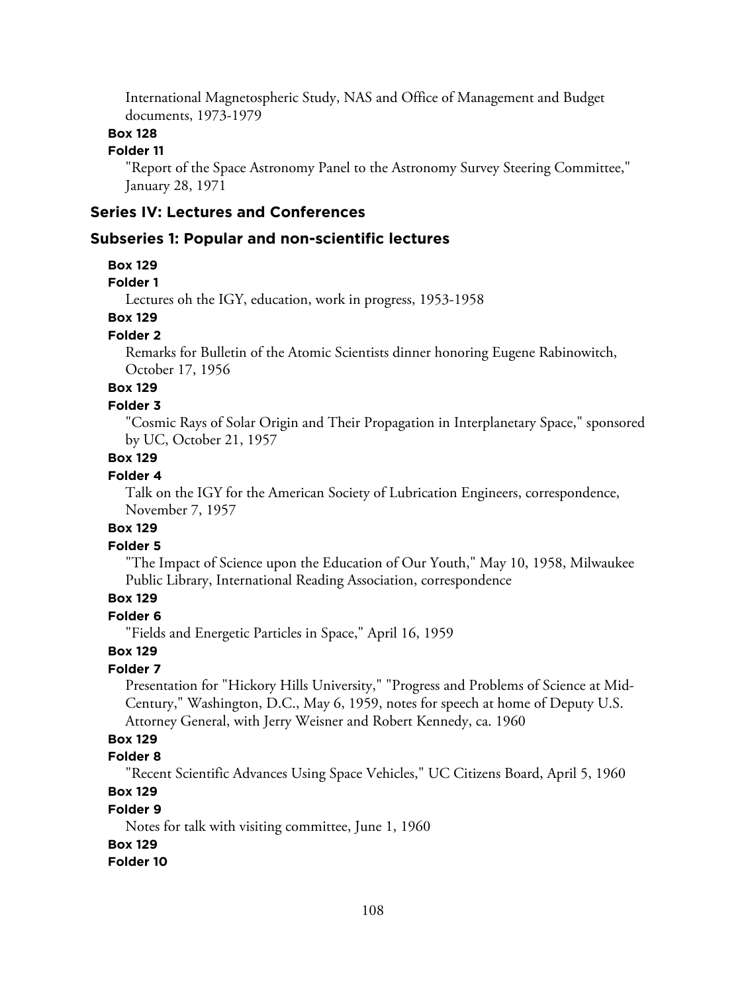International Magnetospheric Study, NAS and Office of Management and Budget documents, 1973-1979

# **Box 128**

# **Folder 11**

"Report of the Space Astronomy Panel to the Astronomy Survey Steering Committee," January 28, 1971

# **Series IV: Lectures and Conferences**

#### **Subseries 1: Popular and non-scientific lectures**

#### **Box 129**

### **Folder 1**

Lectures oh the IGY, education, work in progress, 1953-1958

# **Box 129**

#### **Folder 2**

Remarks for Bulletin of the Atomic Scientists dinner honoring Eugene Rabinowitch, October 17, 1956

# **Box 129**

# **Folder 3**

"Cosmic Rays of Solar Origin and Their Propagation in Interplanetary Space," sponsored by UC, October 21, 1957

# **Box 129**

#### **Folder 4**

Talk on the IGY for the American Society of Lubrication Engineers, correspondence, November 7, 1957

# **Box 129**

# **Folder 5**

"The Impact of Science upon the Education of Our Youth," May 10, 1958, Milwaukee Public Library, International Reading Association, correspondence

# **Box 129**

# **Folder 6**

"Fields and Energetic Particles in Space," April 16, 1959

#### **Box 129**

# **Folder 7**

Presentation for "Hickory Hills University," "Progress and Problems of Science at Mid-Century," Washington, D.C., May 6, 1959, notes for speech at home of Deputy U.S. Attorney General, with Jerry Weisner and Robert Kennedy, ca. 1960

### **Box 129**

# **Folder 8**

"Recent Scientific Advances Using Space Vehicles," UC Citizens Board, April 5, 1960

### **Box 129**

## **Folder 9**

Notes for talk with visiting committee, June 1, 1960

# **Box 129**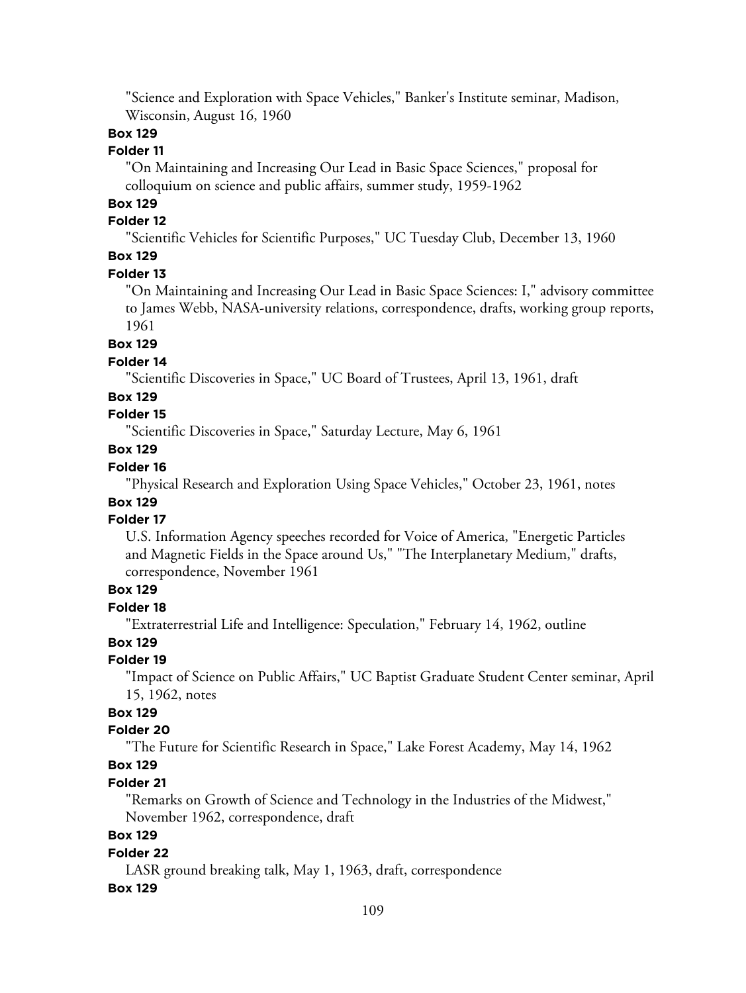"Science and Exploration with Space Vehicles," Banker's Institute seminar, Madison, Wisconsin, August 16, 1960

# **Box 129**

# **Folder 11**

"On Maintaining and Increasing Our Lead in Basic Space Sciences," proposal for colloquium on science and public affairs, summer study, 1959-1962

# **Box 129**

#### **Folder 12**

"Scientific Vehicles for Scientific Purposes," UC Tuesday Club, December 13, 1960

# **Box 129**

#### **Folder 13**

"On Maintaining and Increasing Our Lead in Basic Space Sciences: I," advisory committee to James Webb, NASA-university relations, correspondence, drafts, working group reports, 1961

#### **Box 129**

#### **Folder 14**

"Scientific Discoveries in Space," UC Board of Trustees, April 13, 1961, draft

#### **Box 129**

# **Folder 15**

"Scientific Discoveries in Space," Saturday Lecture, May 6, 1961

# **Box 129**

# **Folder 16**

"Physical Research and Exploration Using Space Vehicles," October 23, 1961, notes

# **Box 129**

## **Folder 17**

U.S. Information Agency speeches recorded for Voice of America, "Energetic Particles and Magnetic Fields in the Space around Us," "The Interplanetary Medium," drafts, correspondence, November 1961

# **Box 129**

# **Folder 18**

"Extraterrestrial Life and Intelligence: Speculation," February 14, 1962, outline

# **Box 129**

## **Folder 19**

"Impact of Science on Public Affairs," UC Baptist Graduate Student Center seminar, April 15, 1962, notes

## **Box 129**

#### **Folder 20**

"The Future for Scientific Research in Space," Lake Forest Academy, May 14, 1962

# **Box 129**

#### **Folder 21**

"Remarks on Growth of Science and Technology in the Industries of the Midwest," November 1962, correspondence, draft

# **Box 129**

#### **Folder 22**

LASR ground breaking talk, May 1, 1963, draft, correspondence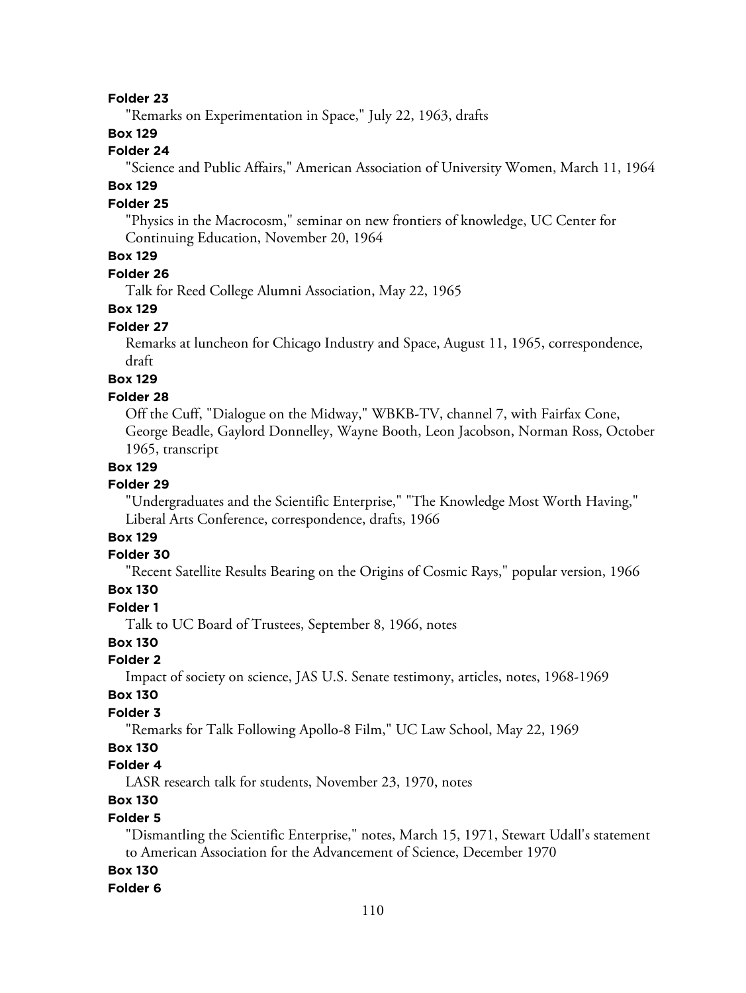"Remarks on Experimentation in Space," July 22, 1963, drafts

#### **Box 129**

#### **Folder 24**

"Science and Public Affairs," American Association of University Women, March 11, 1964

# **Box 129**

#### **Folder 25**

"Physics in the Macrocosm," seminar on new frontiers of knowledge, UC Center for Continuing Education, November 20, 1964

## **Box 129**

#### **Folder 26**

Talk for Reed College Alumni Association, May 22, 1965

#### **Box 129**

#### **Folder 27**

Remarks at luncheon for Chicago Industry and Space, August 11, 1965, correspondence, draft

# **Box 129**

#### **Folder 28**

Off the Cuff, "Dialogue on the Midway," WBKB-TV, channel 7, with Fairfax Cone, George Beadle, Gaylord Donnelley, Wayne Booth, Leon Jacobson, Norman Ross, October 1965, transcript

#### **Box 129**

#### **Folder 29**

"Undergraduates and the Scientific Enterprise," "The Knowledge Most Worth Having," Liberal Arts Conference, correspondence, drafts, 1966

# **Box 129**

#### **Folder 30**

"Recent Satellite Results Bearing on the Origins of Cosmic Rays," popular version, 1966

# **Box 130**

**Folder 1**

Talk to UC Board of Trustees, September 8, 1966, notes

# **Box 130**

# **Folder 2**

Impact of society on science, JAS U.S. Senate testimony, articles, notes, 1968-1969

#### **Box 130**

#### **Folder 3**

"Remarks for Talk Following Apollo-8 Film," UC Law School, May 22, 1969

#### **Box 130**

# **Folder 4**

LASR research talk for students, November 23, 1970, notes

# **Box 130**

#### **Folder 5**

"Dismantling the Scientific Enterprise," notes, March 15, 1971, Stewart Udall's statement to American Association for the Advancement of Science, December 1970

#### **Box 130**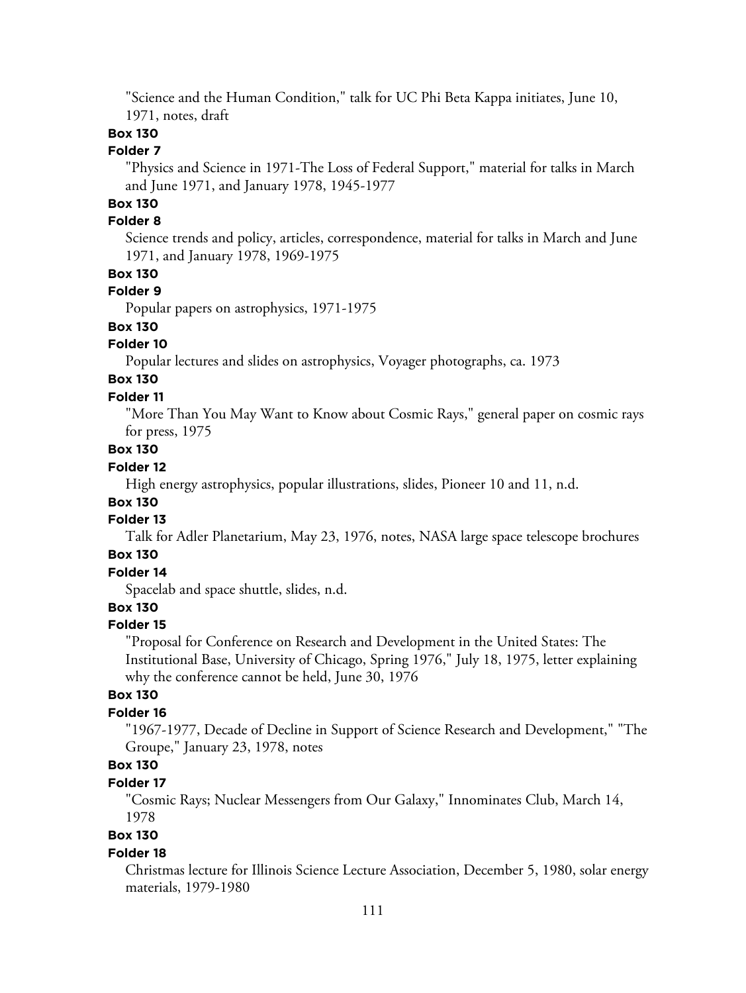"Science and the Human Condition," talk for UC Phi Beta Kappa initiates, June 10, 1971, notes, draft

# **Box 130**

#### **Folder 7**

"Physics and Science in 1971-The Loss of Federal Support," material for talks in March and June 1971, and January 1978, 1945-1977

# **Box 130**

#### **Folder 8**

Science trends and policy, articles, correspondence, material for talks in March and June 1971, and January 1978, 1969-1975

#### **Box 130**

#### **Folder 9**

Popular papers on astrophysics, 1971-1975

# **Box 130**

## **Folder 10**

Popular lectures and slides on astrophysics, Voyager photographs, ca. 1973

# **Box 130**

# **Folder 11**

"More Than You May Want to Know about Cosmic Rays," general paper on cosmic rays for press, 1975

# **Box 130**

# **Folder 12**

High energy astrophysics, popular illustrations, slides, Pioneer 10 and 11, n.d.

# **Box 130**

# **Folder 13**

Talk for Adler Planetarium, May 23, 1976, notes, NASA large space telescope brochures

# **Box 130**

# **Folder 14**

Spacelab and space shuttle, slides, n.d.

# **Box 130**

#### **Folder 15**

"Proposal for Conference on Research and Development in the United States: The Institutional Base, University of Chicago, Spring 1976," July 18, 1975, letter explaining why the conference cannot be held, June 30, 1976

#### **Box 130**

#### **Folder 16**

"1967-1977, Decade of Decline in Support of Science Research and Development," "The Groupe," January 23, 1978, notes

# **Box 130**

## **Folder 17**

"Cosmic Rays; Nuclear Messengers from Our Galaxy," Innominates Club, March 14, 1978

# **Box 130**

#### **Folder 18**

Christmas lecture for Illinois Science Lecture Association, December 5, 1980, solar energy materials, 1979-1980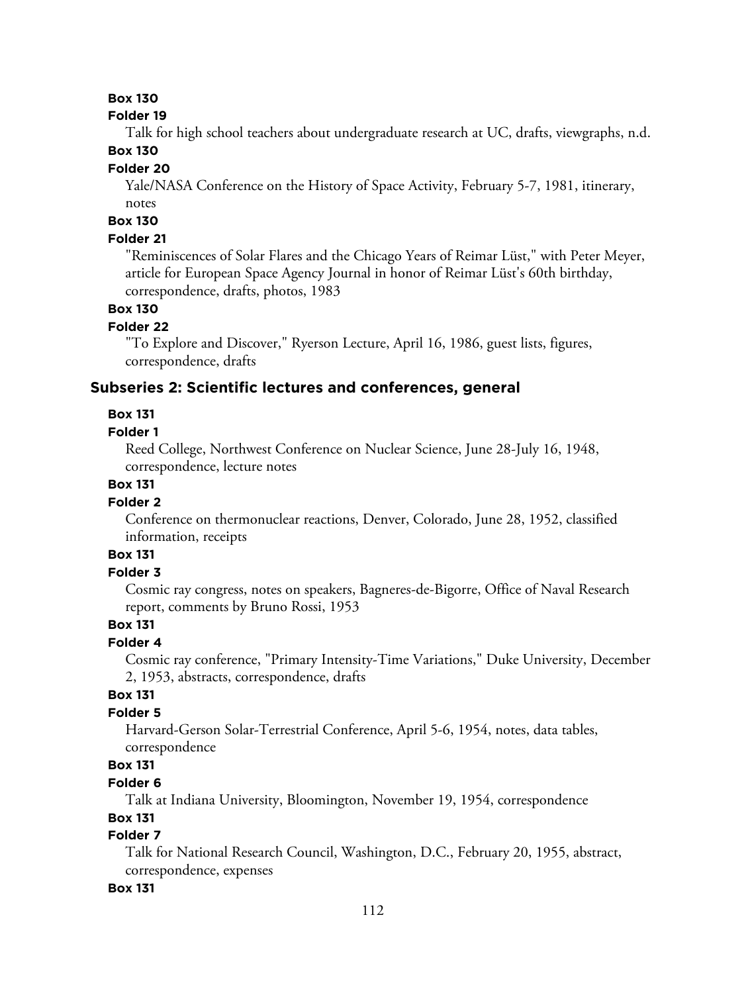# **Box 130**

#### **Folder 19**

Talk for high school teachers about undergraduate research at UC, drafts, viewgraphs, n.d.

# **Box 130**

#### **Folder 20**

Yale/NASA Conference on the History of Space Activity, February 5-7, 1981, itinerary, notes

#### **Box 130**

#### **Folder 21**

"Reminiscences of Solar Flares and the Chicago Years of Reimar Lüst," with Peter Meyer, article for European Space Agency Journal in honor of Reimar Lüst's 60th birthday, correspondence, drafts, photos, 1983

# **Box 130**

#### **Folder 22**

"To Explore and Discover," Ryerson Lecture, April 16, 1986, guest lists, figures, correspondence, drafts

#### **Subseries 2: Scientific lectures and conferences, general**

#### **Box 131**

#### **Folder 1**

Reed College, Northwest Conference on Nuclear Science, June 28-July 16, 1948, correspondence, lecture notes

## **Box 131**

#### **Folder 2**

Conference on thermonuclear reactions, Denver, Colorado, June 28, 1952, classified information, receipts

# **Box 131**

## **Folder 3**

Cosmic ray congress, notes on speakers, Bagneres-de-Bigorre, Office of Naval Research report, comments by Bruno Rossi, 1953

## **Box 131**

## **Folder 4**

Cosmic ray conference, "Primary Intensity-Time Variations," Duke University, December 2, 1953, abstracts, correspondence, drafts

## **Box 131**

#### **Folder 5**

Harvard-Gerson Solar-Terrestrial Conference, April 5-6, 1954, notes, data tables, correspondence

# **Box 131**

#### **Folder 6**

Talk at Indiana University, Bloomington, November 19, 1954, correspondence

#### **Box 131**

# **Folder 7**

Talk for National Research Council, Washington, D.C., February 20, 1955, abstract, correspondence, expenses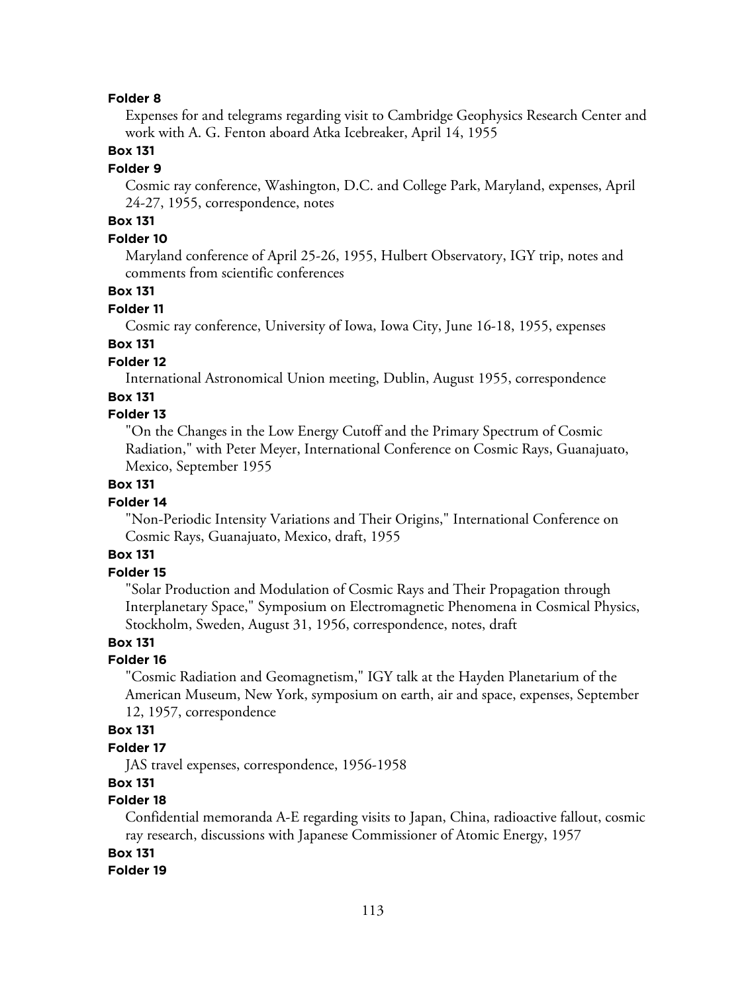Expenses for and telegrams regarding visit to Cambridge Geophysics Research Center and work with A. G. Fenton aboard Atka Icebreaker, April 14, 1955

#### **Box 131**

#### **Folder 9**

Cosmic ray conference, Washington, D.C. and College Park, Maryland, expenses, April 24-27, 1955, correspondence, notes

# **Box 131**

## **Folder 10**

Maryland conference of April 25-26, 1955, Hulbert Observatory, IGY trip, notes and comments from scientific conferences

#### **Box 131**

#### **Folder 11**

Cosmic ray conference, University of Iowa, Iowa City, June 16-18, 1955, expenses

# **Box 131**

## **Folder 12**

International Astronomical Union meeting, Dublin, August 1955, correspondence

#### **Box 131**

#### **Folder 13**

"On the Changes in the Low Energy Cutoff and the Primary Spectrum of Cosmic Radiation," with Peter Meyer, International Conference on Cosmic Rays, Guanajuato, Mexico, September 1955

## **Box 131**

#### **Folder 14**

"Non-Periodic Intensity Variations and Their Origins," International Conference on Cosmic Rays, Guanajuato, Mexico, draft, 1955

#### **Box 131**

## **Folder 15**

"Solar Production and Modulation of Cosmic Rays and Their Propagation through Interplanetary Space," Symposium on Electromagnetic Phenomena in Cosmical Physics, Stockholm, Sweden, August 31, 1956, correspondence, notes, draft

# **Box 131**

#### **Folder 16**

"Cosmic Radiation and Geomagnetism," IGY talk at the Hayden Planetarium of the American Museum, New York, symposium on earth, air and space, expenses, September 12, 1957, correspondence

#### **Box 131**

#### **Folder 17**

JAS travel expenses, correspondence, 1956-1958

#### **Box 131**

## **Folder 18**

Confidential memoranda A-E regarding visits to Japan, China, radioactive fallout, cosmic ray research, discussions with Japanese Commissioner of Atomic Energy, 1957

#### **Box 131**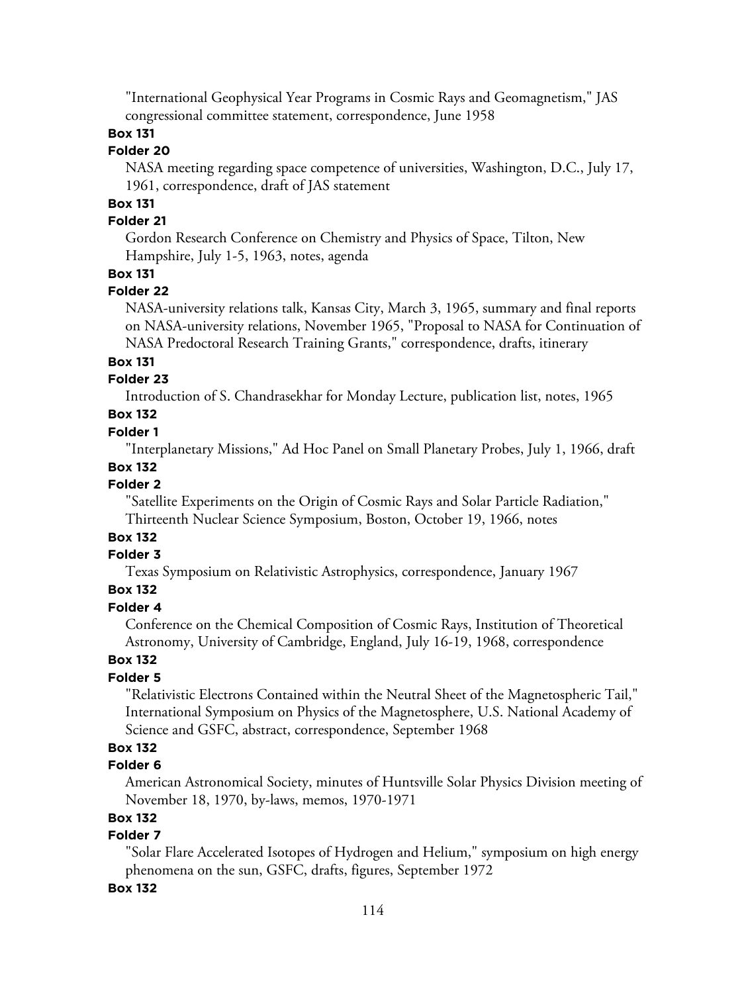"International Geophysical Year Programs in Cosmic Rays and Geomagnetism," JAS congressional committee statement, correspondence, June 1958

## **Box 131**

## **Folder 20**

NASA meeting regarding space competence of universities, Washington, D.C., July 17, 1961, correspondence, draft of JAS statement

# **Box 131**

## **Folder 21**

Gordon Research Conference on Chemistry and Physics of Space, Tilton, New Hampshire, July 1-5, 1963, notes, agenda

#### **Box 131**

#### **Folder 22**

NASA-university relations talk, Kansas City, March 3, 1965, summary and final reports on NASA-university relations, November 1965, "Proposal to NASA for Continuation of NASA Predoctoral Research Training Grants," correspondence, drafts, itinerary

#### **Box 131**

#### **Folder 23**

Introduction of S. Chandrasekhar for Monday Lecture, publication list, notes, 1965

# **Box 132**

#### **Folder 1**

"Interplanetary Missions," Ad Hoc Panel on Small Planetary Probes, July 1, 1966, draft

#### **Box 132**

## **Folder 2**

"Satellite Experiments on the Origin of Cosmic Rays and Solar Particle Radiation," Thirteenth Nuclear Science Symposium, Boston, October 19, 1966, notes

# **Box 132**

# **Folder 3**

Texas Symposium on Relativistic Astrophysics, correspondence, January 1967

# **Box 132**

# **Folder 4**

Conference on the Chemical Composition of Cosmic Rays, Institution of Theoretical Astronomy, University of Cambridge, England, July 16-19, 1968, correspondence

# **Box 132**

# **Folder 5**

"Relativistic Electrons Contained within the Neutral Sheet of the Magnetospheric Tail," International Symposium on Physics of the Magnetosphere, U.S. National Academy of Science and GSFC, abstract, correspondence, September 1968

# **Box 132**

# **Folder 6**

American Astronomical Society, minutes of Huntsville Solar Physics Division meeting of November 18, 1970, by-laws, memos, 1970-1971

## **Box 132**

# **Folder 7**

"Solar Flare Accelerated Isotopes of Hydrogen and Helium," symposium on high energy phenomena on the sun, GSFC, drafts, figures, September 1972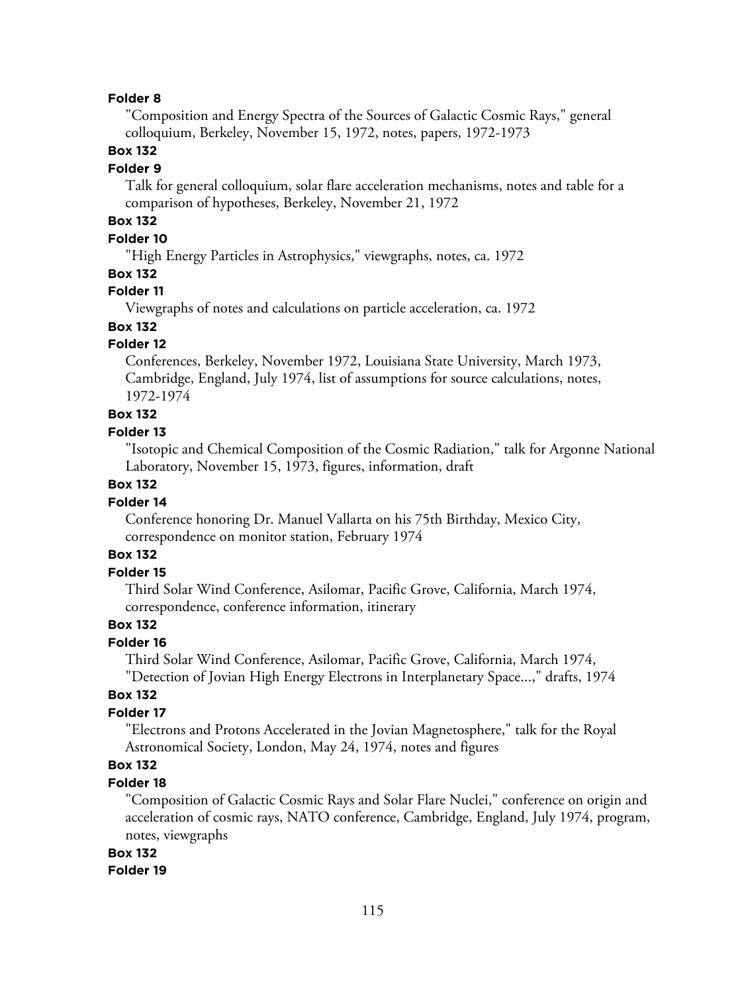"Composition and Energy Spectra of the Sources of Galactic Cosmic Rays," general colloquium, Berkeley, November 15, 1972, notes, papers, 1972-1973

## **Box 132**

#### **Folder 9**

Talk for general colloquium, solar flare acceleration mechanisms, notes and table for a comparison of hypotheses, Berkeley, November 21, 1972

# **Box 132**

## **Folder 10**

"High Energy Particles in Astrophysics," viewgraphs, notes, ca. 1972

#### **Box 132**

## **Folder 11**

Viewgraphs of notes and calculations on particle acceleration, ca. 1972

#### **Box 132**

#### **Folder 12**

Conferences, Berkeley, November 1972, Louisiana State University, March 1973, Cambridge, England, July 1974, list of assumptions for source calculations, notes, 1972-1974

# **Box 132**

#### **Folder 13**

"Isotopic and Chemical Composition of the Cosmic Radiation," talk for Argonne National Laboratory, November 15, 1973, figures, information, draft

# **Box 132**

## **Folder 14**

Conference honoring Dr. Manuel Vallarta on his 75th Birthday, Mexico City, correspondence on monitor station, February 1974

#### **Box 132**

#### **Folder 15**

Third Solar Wind Conference, Asilomar, Pacific Grove, California, March 1974, correspondence, conference information, itinerary

#### **Box 132**

#### **Folder 16**

Third Solar Wind Conference, Asilomar, Pacific Grove, California, March 1974, "Detection of Jovian High Energy Electrons in Interplanetary Space...," drafts, 1974

#### **Box 132**

## **Folder 17**

"Electrons and Protons Accelerated in the Jovian Magnetosphere," talk for the Royal Astronomical Society, London, May 24, 1974, notes and figures

# **Box 132**

#### **Folder 18**

"Composition of Galactic Cosmic Rays and Solar Flare Nuclei," conference on origin and acceleration of cosmic rays, NATO conference, Cambridge, England, July 1974, program, notes, viewgraphs

#### **Box 132**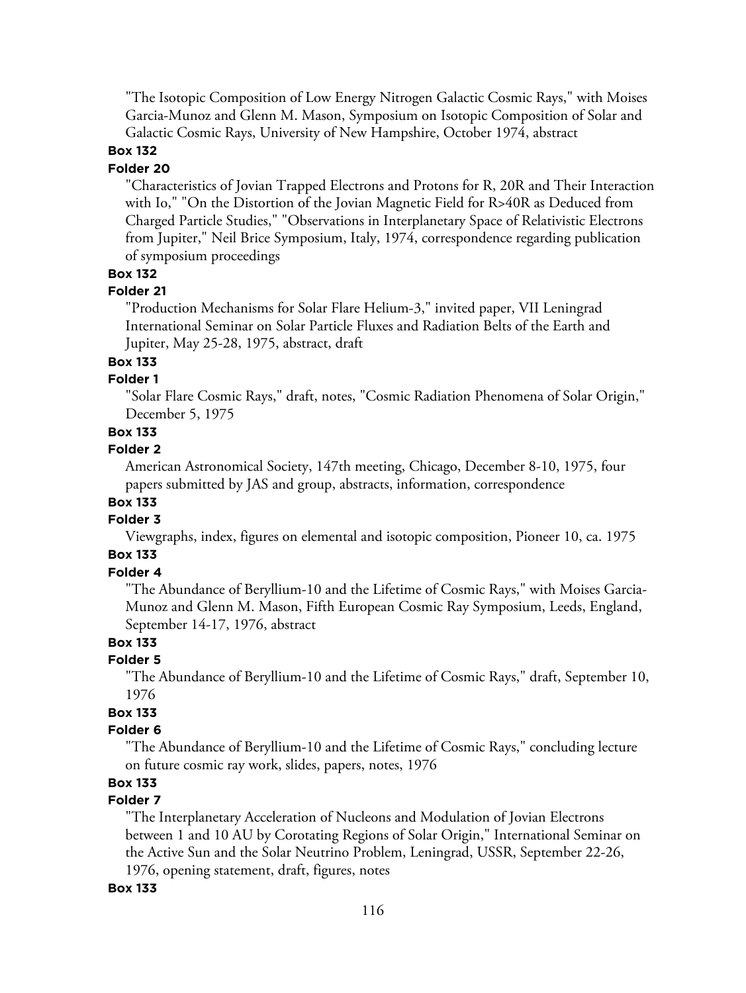"The Isotopic Composition of Low Energy Nitrogen Galactic Cosmic Rays," with Moises Garcia-Munoz and Glenn M. Mason, Symposium on Isotopic Composition of Solar and Galactic Cosmic Rays, University of New Hampshire, October 1974, abstract

#### **Box 132**

#### **Folder 20**

"Characteristics of Jovian Trapped Electrons and Protons for R, 20R and Their Interaction with Io," "On the Distortion of the Jovian Magnetic Field for R>40R as Deduced from Charged Particle Studies," "Observations in Interplanetary Space of Relativistic Electrons from Jupiter," Neil Brice Symposium, Italy, 1974, correspondence regarding publication of symposium proceedings

# **Box 132**

#### **Folder 21**

"Production Mechanisms for Solar Flare Helium-3," invited paper, VII Leningrad International Seminar on Solar Particle Fluxes and Radiation Belts of the Earth and Jupiter, May 25-28, 1975, abstract, draft

#### **Box 133**

#### **Folder 1**

"Solar Flare Cosmic Rays," draft, notes, "Cosmic Radiation Phenomena of Solar Origin," December 5, 1975

#### **Box 133**

#### **Folder 2**

American Astronomical Society, 147th meeting, Chicago, December 8-10, 1975, four papers submitted by JAS and group, abstracts, information, correspondence

# **Box 133**

#### **Folder 3**

Viewgraphs, index, figures on elemental and isotopic composition, Pioneer 10, ca. 1975

# **Box 133**

## **Folder 4**

"The Abundance of Beryllium-10 and the Lifetime of Cosmic Rays," with Moises Garcia-Munoz and Glenn M. Mason, Fifth European Cosmic Ray Symposium, Leeds, England, September 14-17, 1976, abstract

# **Box 133**

# **Folder 5**

"The Abundance of Beryllium-10 and the Lifetime of Cosmic Rays," draft, September 10, 1976

# **Box 133**

#### **Folder 6**

"The Abundance of Beryllium-10 and the Lifetime of Cosmic Rays," concluding lecture on future cosmic ray work, slides, papers, notes, 1976

# **Box 133**

# **Folder 7**

"The Interplanetary Acceleration of Nucleons and Modulation of Jovian Electrons between 1 and 10 AU by Corotating Regions of Solar Origin," International Seminar on the Active Sun and the Solar Neutrino Problem, Leningrad, USSR, September 22-26, 1976, opening statement, draft, figures, notes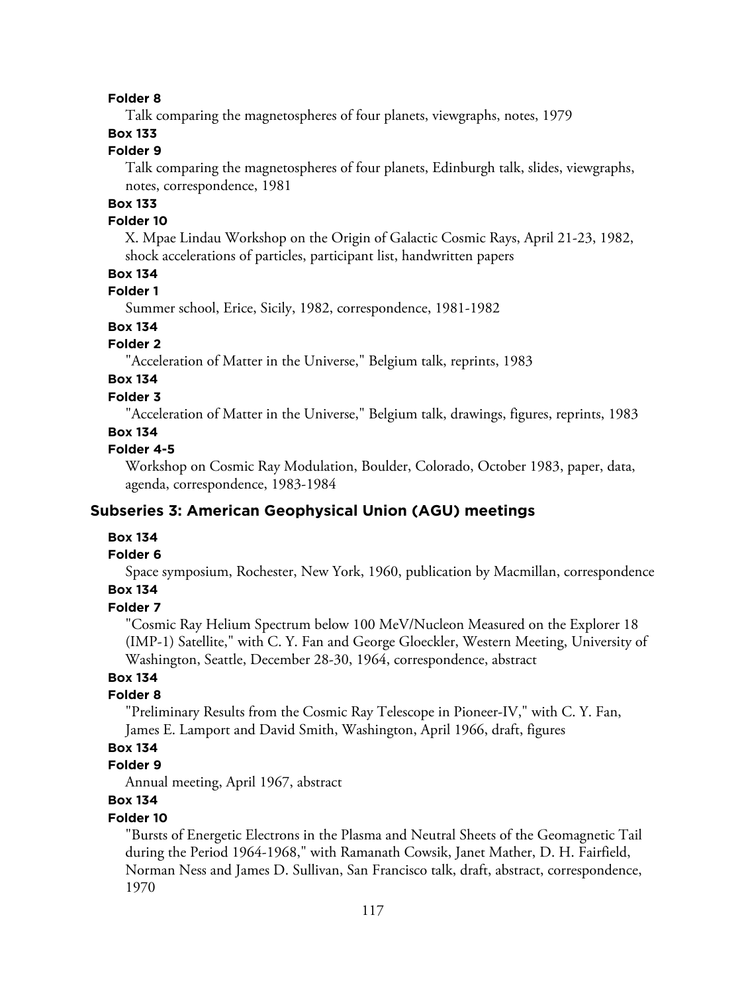Talk comparing the magnetospheres of four planets, viewgraphs, notes, 1979

# **Box 133**

# **Folder 9**

Talk comparing the magnetospheres of four planets, Edinburgh talk, slides, viewgraphs, notes, correspondence, 1981

# **Box 133**

#### **Folder 10**

X. Mpae Lindau Workshop on the Origin of Galactic Cosmic Rays, April 21-23, 1982, shock accelerations of particles, participant list, handwritten papers

# **Box 134**

# **Folder 1**

Summer school, Erice, Sicily, 1982, correspondence, 1981-1982

# **Box 134**

# **Folder 2**

"Acceleration of Matter in the Universe," Belgium talk, reprints, 1983

# **Box 134**

## **Folder 3**

"Acceleration of Matter in the Universe," Belgium talk, drawings, figures, reprints, 1983

# **Box 134**

#### **Folder 4-5**

Workshop on Cosmic Ray Modulation, Boulder, Colorado, October 1983, paper, data, agenda, correspondence, 1983-1984

# **Subseries 3: American Geophysical Union (AGU) meetings**

#### **Box 134**

#### **Folder 6**

Space symposium, Rochester, New York, 1960, publication by Macmillan, correspondence **Box 134**

#### **Folder 7**

"Cosmic Ray Helium Spectrum below 100 MeV/Nucleon Measured on the Explorer 18 (IMP-1) Satellite," with C. Y. Fan and George Gloeckler, Western Meeting, University of Washington, Seattle, December 28-30, 1964, correspondence, abstract

# **Box 134**

## **Folder 8**

"Preliminary Results from the Cosmic Ray Telescope in Pioneer-IV," with C. Y. Fan, James E. Lamport and David Smith, Washington, April 1966, draft, figures

# **Box 134**

#### **Folder 9**

Annual meeting, April 1967, abstract

# **Box 134**

#### **Folder 10**

"Bursts of Energetic Electrons in the Plasma and Neutral Sheets of the Geomagnetic Tail during the Period 1964-1968," with Ramanath Cowsik, Janet Mather, D. H. Fairfield, Norman Ness and James D. Sullivan, San Francisco talk, draft, abstract, correspondence, 1970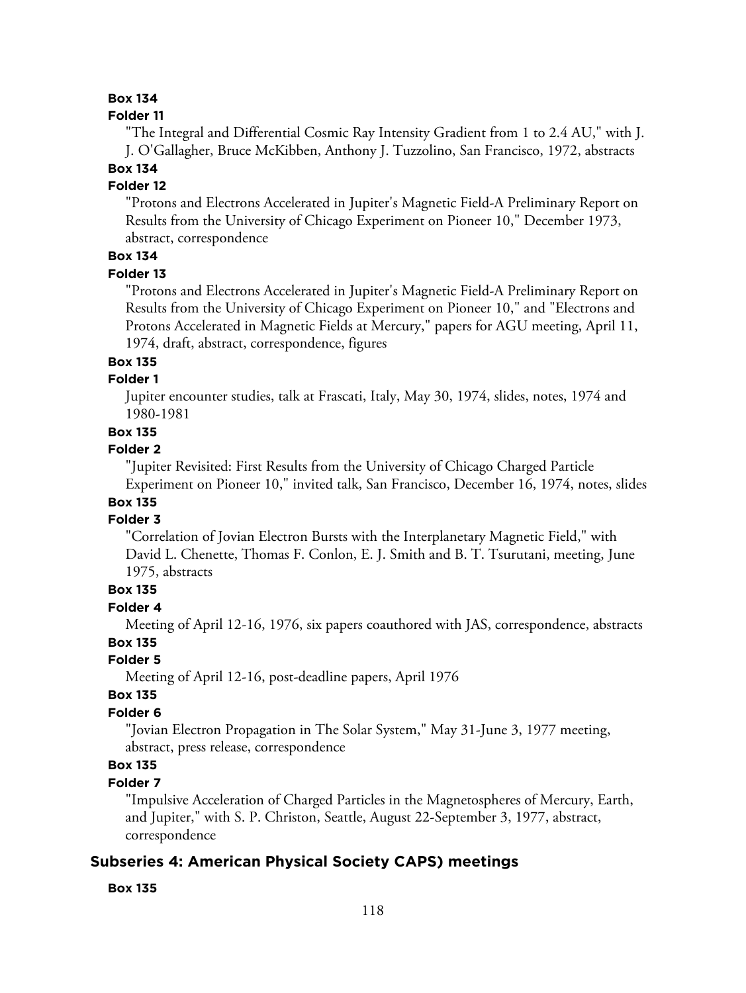## **Box 134**

#### **Folder 11**

"The Integral and Differential Cosmic Ray Intensity Gradient from 1 to 2.4 AU," with J. J. O'Gallagher, Bruce McKibben, Anthony J. Tuzzolino, San Francisco, 1972, abstracts

# **Box 134**

# **Folder 12**

"Protons and Electrons Accelerated in Jupiter's Magnetic Field-A Preliminary Report on Results from the University of Chicago Experiment on Pioneer 10," December 1973, abstract, correspondence

# **Box 134**

#### **Folder 13**

"Protons and Electrons Accelerated in Jupiter's Magnetic Field-A Preliminary Report on Results from the University of Chicago Experiment on Pioneer 10," and "Electrons and Protons Accelerated in Magnetic Fields at Mercury," papers for AGU meeting, April 11, 1974, draft, abstract, correspondence, figures

#### **Box 135**

## **Folder 1**

Jupiter encounter studies, talk at Frascati, Italy, May 30, 1974, slides, notes, 1974 and 1980-1981

# **Box 135**

#### **Folder 2**

"Jupiter Revisited: First Results from the University of Chicago Charged Particle Experiment on Pioneer 10," invited talk, San Francisco, December 16, 1974, notes, slides

#### **Box 135 Folder 3**

"Correlation of Jovian Electron Bursts with the Interplanetary Magnetic Field," with David L. Chenette, Thomas F. Conlon, E. J. Smith and B. T. Tsurutani, meeting, June 1975, abstracts

#### **Box 135**

#### **Folder 4**

Meeting of April 12-16, 1976, six papers coauthored with JAS, correspondence, abstracts

# **Box 135**

# **Folder 5**

Meeting of April 12-16, post-deadline papers, April 1976

#### **Box 135**

# **Folder 6**

"Jovian Electron Propagation in The Solar System," May 31-June 3, 1977 meeting, abstract, press release, correspondence

# **Box 135**

#### **Folder 7**

"Impulsive Acceleration of Charged Particles in the Magnetospheres of Mercury, Earth, and Jupiter," with S. P. Christon, Seattle, August 22-September 3, 1977, abstract, correspondence

# **Subseries 4: American Physical Society CAPS) meetings**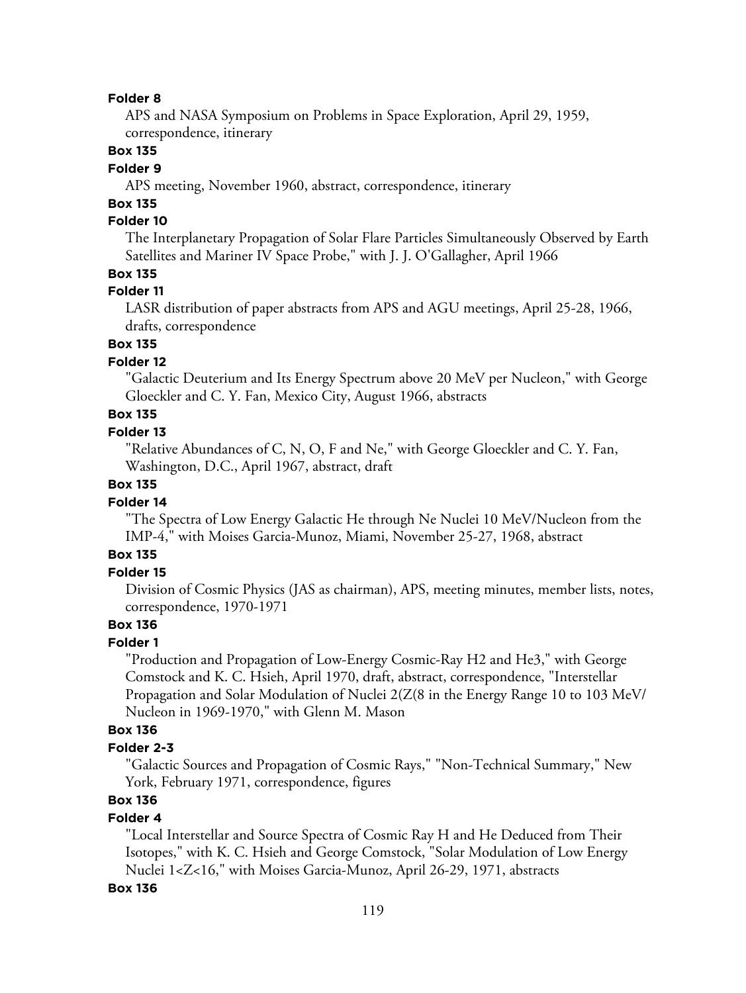APS and NASA Symposium on Problems in Space Exploration, April 29, 1959, correspondence, itinerary

## **Box 135**

#### **Folder 9**

APS meeting, November 1960, abstract, correspondence, itinerary

# **Box 135**

# **Folder 10**

The Interplanetary Propagation of Solar Flare Particles Simultaneously Observed by Earth Satellites and Mariner IV Space Probe," with J. J. O'Gallagher, April 1966

#### **Box 135**

#### **Folder 11**

LASR distribution of paper abstracts from APS and AGU meetings, April 25-28, 1966, drafts, correspondence

# **Box 135**

# **Folder 12**

"Galactic Deuterium and Its Energy Spectrum above 20 MeV per Nucleon," with George Gloeckler and C. Y. Fan, Mexico City, August 1966, abstracts

# **Box 135**

#### **Folder 13**

"Relative Abundances of C, N, O, F and Ne," with George Gloeckler and C. Y. Fan, Washington, D.C., April 1967, abstract, draft

## **Box 135**

## **Folder 14**

"The Spectra of Low Energy Galactic He through Ne Nuclei 10 MeV/Nucleon from the IMP-4," with Moises Garcia-Munoz, Miami, November 25-27, 1968, abstract

# **Box 135**

## **Folder 15**

Division of Cosmic Physics (JAS as chairman), APS, meeting minutes, member lists, notes, correspondence, 1970-1971

# **Box 136**

#### **Folder 1**

"Production and Propagation of Low-Energy Cosmic-Ray H2 and He3," with George Comstock and K. C. Hsieh, April 1970, draft, abstract, correspondence, "Interstellar Propagation and Solar Modulation of Nuclei 2(Z(8 in the Energy Range 10 to 103 MeV/ Nucleon in 1969-1970," with Glenn M. Mason

#### **Box 136**

#### **Folder 2-3**

"Galactic Sources and Propagation of Cosmic Rays," "Non-Technical Summary," New York, February 1971, correspondence, figures

# **Box 136**

## **Folder 4**

"Local Interstellar and Source Spectra of Cosmic Ray H and He Deduced from Their Isotopes," with K. C. Hsieh and George Comstock, "Solar Modulation of Low Energy Nuclei 1<Z<16," with Moises Garcia-Munoz, April 26-29, 1971, abstracts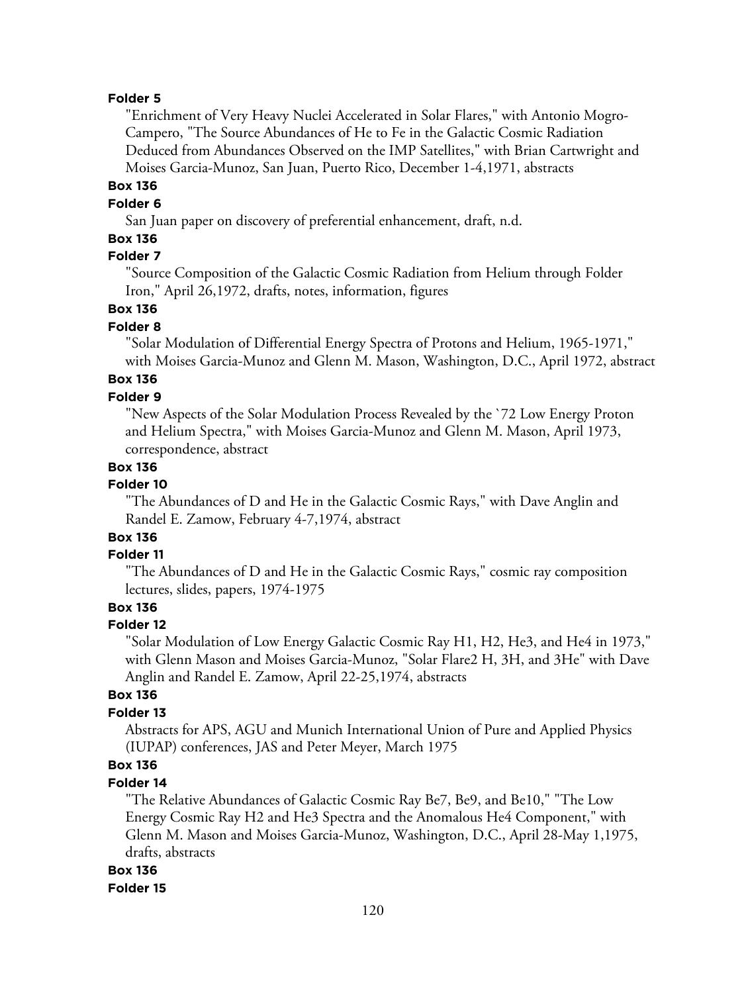"Enrichment of Very Heavy Nuclei Accelerated in Solar Flares," with Antonio Mogro-Campero, "The Source Abundances of He to Fe in the Galactic Cosmic Radiation Deduced from Abundances Observed on the IMP Satellites," with Brian Cartwright and Moises Garcia-Munoz, San Juan, Puerto Rico, December 1-4,1971, abstracts

# **Box 136**

# **Folder 6**

San Juan paper on discovery of preferential enhancement, draft, n.d.

# **Box 136**

# **Folder 7**

"Source Composition of the Galactic Cosmic Radiation from Helium through Folder Iron," April 26,1972, drafts, notes, information, figures

# **Box 136**

#### **Folder 8**

"Solar Modulation of Differential Energy Spectra of Protons and Helium, 1965-1971," with Moises Garcia-Munoz and Glenn M. Mason, Washington, D.C., April 1972, abstract

# **Box 136**

# **Folder 9**

"New Aspects of the Solar Modulation Process Revealed by the `72 Low Energy Proton and Helium Spectra," with Moises Garcia-Munoz and Glenn M. Mason, April 1973, correspondence, abstract

# **Box 136**

# **Folder 10**

"The Abundances of D and He in the Galactic Cosmic Rays," with Dave Anglin and Randel E. Zamow, February 4-7,1974, abstract

# **Box 136**

# **Folder 11**

"The Abundances of D and He in the Galactic Cosmic Rays," cosmic ray composition lectures, slides, papers, 1974-1975

# **Box 136**

#### **Folder 12**

"Solar Modulation of Low Energy Galactic Cosmic Ray H1, H2, He3, and He4 in 1973," with Glenn Mason and Moises Garcia-Munoz, "Solar Flare2 H, 3H, and 3He" with Dave Anglin and Randel E. Zamow, April 22-25,1974, abstracts

#### **Box 136**

#### **Folder 13**

Abstracts for APS, AGU and Munich International Union of Pure and Applied Physics (IUPAP) conferences, JAS and Peter Meyer, March 1975

# **Box 136**

#### **Folder 14**

"The Relative Abundances of Galactic Cosmic Ray Be7, Be9, and Be10," "The Low Energy Cosmic Ray H2 and He3 Spectra and the Anomalous He4 Component," with Glenn M. Mason and Moises Garcia-Munoz, Washington, D.C., April 28-May 1,1975, drafts, abstracts

#### **Box 136**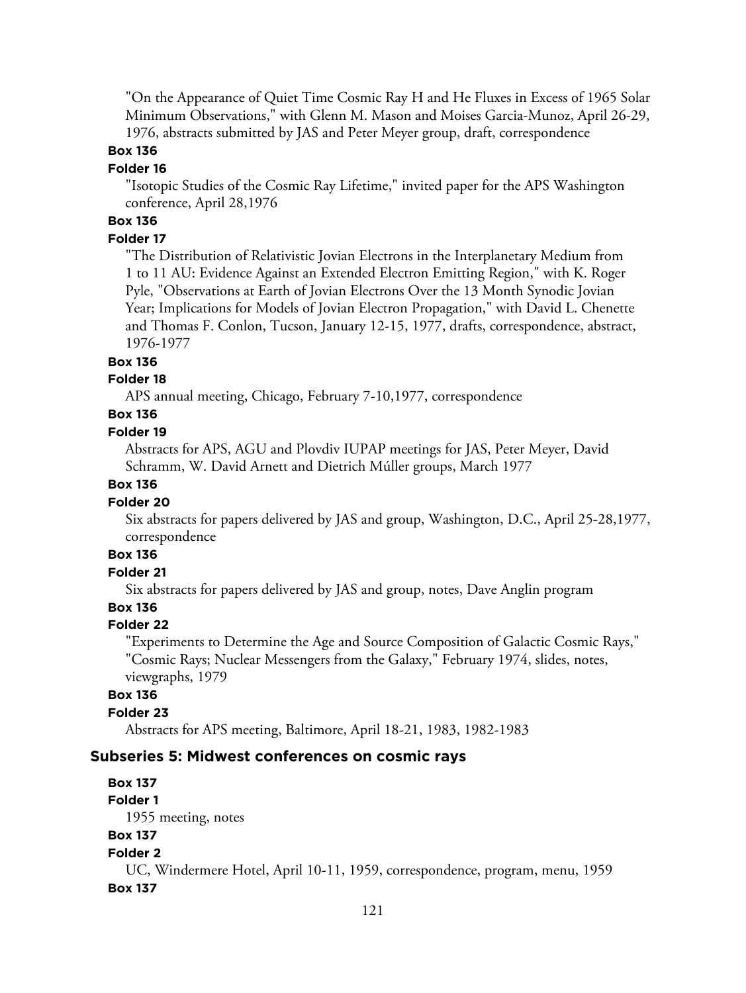"On the Appearance of Quiet Time Cosmic Ray H and He Fluxes in Excess of 1965 Solar Minimum Observations," with Glenn M. Mason and Moises Garcia-Munoz, April 26-29, 1976, abstracts submitted by JAS and Peter Meyer group, draft, correspondence

#### **Box 136**

#### **Folder 16**

"Isotopic Studies of the Cosmic Ray Lifetime," invited paper for the APS Washington conference, April 28,1976

# **Box 136**

#### **Folder 17**

"The Distribution of Relativistic Jovian Electrons in the Interplanetary Medium from 1 to 11 AU: Evidence Against an Extended Electron Emitting Region," with K. Roger Pyle, "Observations at Earth of Jovian Electrons Over the 13 Month Synodic Jovian Year; Implications for Models of Jovian Electron Propagation," with David L. Chenette and Thomas F. Conlon, Tucson, January 12-15, 1977, drafts, correspondence, abstract, 1976-1977

#### **Box 136**

#### **Folder 18**

APS annual meeting, Chicago, February 7-10,1977, correspondence

# **Box 136**

#### **Folder 19**

Abstracts for APS, AGU and Plovdiv IUPAP meetings for JAS, Peter Meyer, David Schramm, W. David Arnett and Dietrich Múller groups, March 1977

#### **Box 136**

#### **Folder 20**

Six abstracts for papers delivered by JAS and group, Washington, D.C., April 25-28,1977, correspondence

#### **Box 136**

# **Folder 21**

Six abstracts for papers delivered by JAS and group, notes, Dave Anglin program

#### **Box 136**

#### **Folder 22**

"Experiments to Determine the Age and Source Composition of Galactic Cosmic Rays," "Cosmic Rays; Nuclear Messengers from the Galaxy," February 1974, slides, notes, viewgraphs, 1979

#### **Box 136**

#### **Folder 23**

Abstracts for APS meeting, Baltimore, April 18-21, 1983, 1982-1983

#### **Subseries 5: Midwest conferences on cosmic rays**

**Box 137 Folder 1** 1955 meeting, notes **Box 137 Folder 2** UC, Windermere Hotel, April 10-11, 1959, correspondence, program, menu, 1959 **Box 137**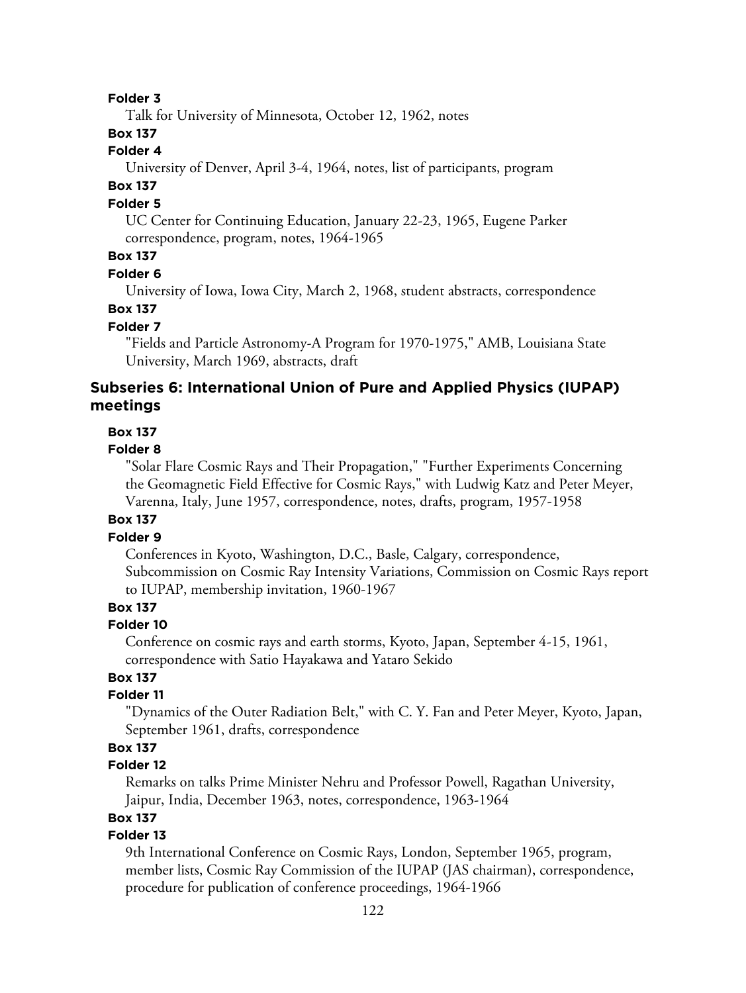Talk for University of Minnesota, October 12, 1962, notes

## **Box 137**

## **Folder 4**

University of Denver, April 3-4, 1964, notes, list of participants, program

# **Box 137**

## **Folder 5**

UC Center for Continuing Education, January 22-23, 1965, Eugene Parker correspondence, program, notes, 1964-1965

# **Box 137**

#### **Folder 6**

University of Iowa, Iowa City, March 2, 1968, student abstracts, correspondence

# **Box 137**

## **Folder 7**

"Fields and Particle Astronomy-A Program for 1970-1975," AMB, Louisiana State University, March 1969, abstracts, draft

# **Subseries 6: International Union of Pure and Applied Physics (IUPAP) meetings**

#### **Box 137**

#### **Folder 8**

"Solar Flare Cosmic Rays and Their Propagation," "Further Experiments Concerning the Geomagnetic Field Effective for Cosmic Rays," with Ludwig Katz and Peter Meyer, Varenna, Italy, June 1957, correspondence, notes, drafts, program, 1957-1958

#### **Box 137**

#### **Folder 9**

Conferences in Kyoto, Washington, D.C., Basle, Calgary, correspondence, Subcommission on Cosmic Ray Intensity Variations, Commission on Cosmic Rays report to IUPAP, membership invitation, 1960-1967

# **Box 137**

#### **Folder 10**

Conference on cosmic rays and earth storms, Kyoto, Japan, September 4-15, 1961, correspondence with Satio Hayakawa and Yataro Sekido

# **Box 137**

#### **Folder 11**

"Dynamics of the Outer Radiation Belt," with C. Y. Fan and Peter Meyer, Kyoto, Japan, September 1961, drafts, correspondence

# **Box 137**

## **Folder 12**

Remarks on talks Prime Minister Nehru and Professor Powell, Ragathan University, Jaipur, India, December 1963, notes, correspondence, 1963-1964

## **Box 137**

# **Folder 13**

9th International Conference on Cosmic Rays, London, September 1965, program, member lists, Cosmic Ray Commission of the IUPAP (JAS chairman), correspondence, procedure for publication of conference proceedings, 1964-1966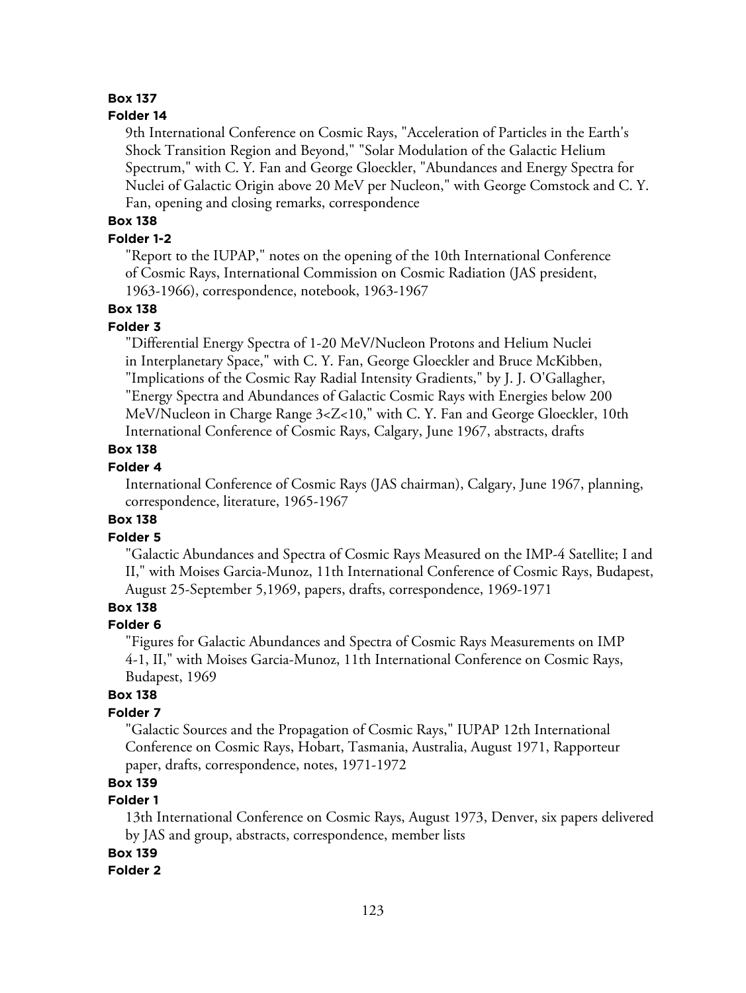# **Box 137**

#### **Folder 14**

9th International Conference on Cosmic Rays, "Acceleration of Particles in the Earth's Shock Transition Region and Beyond," "Solar Modulation of the Galactic Helium Spectrum," with C. Y. Fan and George Gloeckler, "Abundances and Energy Spectra for Nuclei of Galactic Origin above 20 MeV per Nucleon," with George Comstock and C. Y. Fan, opening and closing remarks, correspondence

# **Box 138**

#### **Folder 1-2**

"Report to the IUPAP," notes on the opening of the 10th International Conference of Cosmic Rays, International Commission on Cosmic Radiation (JAS president, 1963-1966), correspondence, notebook, 1963-1967

#### **Box 138**

#### **Folder 3**

"Differential Energy Spectra of 1-20 MeV/Nucleon Protons and Helium Nuclei in Interplanetary Space," with C. Y. Fan, George Gloeckler and Bruce McKibben, "Implications of the Cosmic Ray Radial Intensity Gradients," by J. J. O'Gallagher, "Energy Spectra and Abundances of Galactic Cosmic Rays with Energies below 200 MeV/Nucleon in Charge Range 3<Z<10," with C. Y. Fan and George Gloeckler, 10th International Conference of Cosmic Rays, Calgary, June 1967, abstracts, drafts

#### **Box 138**

#### **Folder 4**

International Conference of Cosmic Rays (JAS chairman), Calgary, June 1967, planning, correspondence, literature, 1965-1967

## **Box 138**

#### **Folder 5**

"Galactic Abundances and Spectra of Cosmic Rays Measured on the IMP-4 Satellite; I and II," with Moises Garcia-Munoz, 11th International Conference of Cosmic Rays, Budapest, August 25-September 5,1969, papers, drafts, correspondence, 1969-1971

# **Box 138**

#### **Folder 6**

"Figures for Galactic Abundances and Spectra of Cosmic Rays Measurements on IMP 4-1, II," with Moises Garcia-Munoz, 11th International Conference on Cosmic Rays, Budapest, 1969

#### **Box 138**

#### **Folder 7**

"Galactic Sources and the Propagation of Cosmic Rays," IUPAP 12th International Conference on Cosmic Rays, Hobart, Tasmania, Australia, August 1971, Rapporteur paper, drafts, correspondence, notes, 1971-1972

## **Box 139**

## **Folder 1**

13th International Conference on Cosmic Rays, August 1973, Denver, six papers delivered by JAS and group, abstracts, correspondence, member lists

#### **Box 139**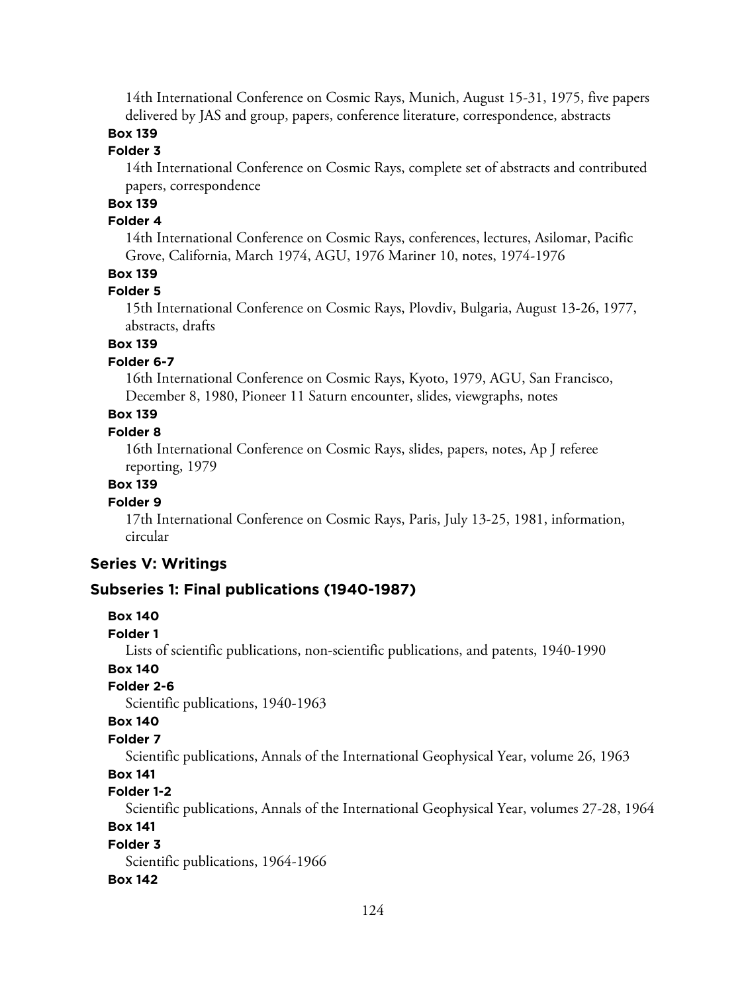14th International Conference on Cosmic Rays, Munich, August 15-31, 1975, five papers delivered by JAS and group, papers, conference literature, correspondence, abstracts

# **Box 139**

## **Folder 3**

14th International Conference on Cosmic Rays, complete set of abstracts and contributed papers, correspondence

# **Box 139**

#### **Folder 4**

14th International Conference on Cosmic Rays, conferences, lectures, Asilomar, Pacific Grove, California, March 1974, AGU, 1976 Mariner 10, notes, 1974-1976

## **Box 139**

#### **Folder 5**

15th International Conference on Cosmic Rays, Plovdiv, Bulgaria, August 13-26, 1977, abstracts, drafts

# **Box 139**

## **Folder 6-7**

16th International Conference on Cosmic Rays, Kyoto, 1979, AGU, San Francisco, December 8, 1980, Pioneer 11 Saturn encounter, slides, viewgraphs, notes

# **Box 139**

## **Folder 8**

16th International Conference on Cosmic Rays, slides, papers, notes, Ap J referee reporting, 1979

#### **Box 139**

#### **Folder 9**

17th International Conference on Cosmic Rays, Paris, July 13-25, 1981, information, circular

#### **Series V: Writings**

#### **Subseries 1: Final publications (1940-1987)**

#### **Box 140**

#### **Folder 1**

Lists of scientific publications, non-scientific publications, and patents, 1940-1990

# **Box 140**

## **Folder 2-6**

Scientific publications, 1940-1963

## **Box 140**

## **Folder 7**

Scientific publications, Annals of the International Geophysical Year, volume 26, 1963

#### **Box 141**

#### **Folder 1-2**

Scientific publications, Annals of the International Geophysical Year, volumes 27-28, 1964

# **Box 141**

#### **Folder 3**

Scientific publications, 1964-1966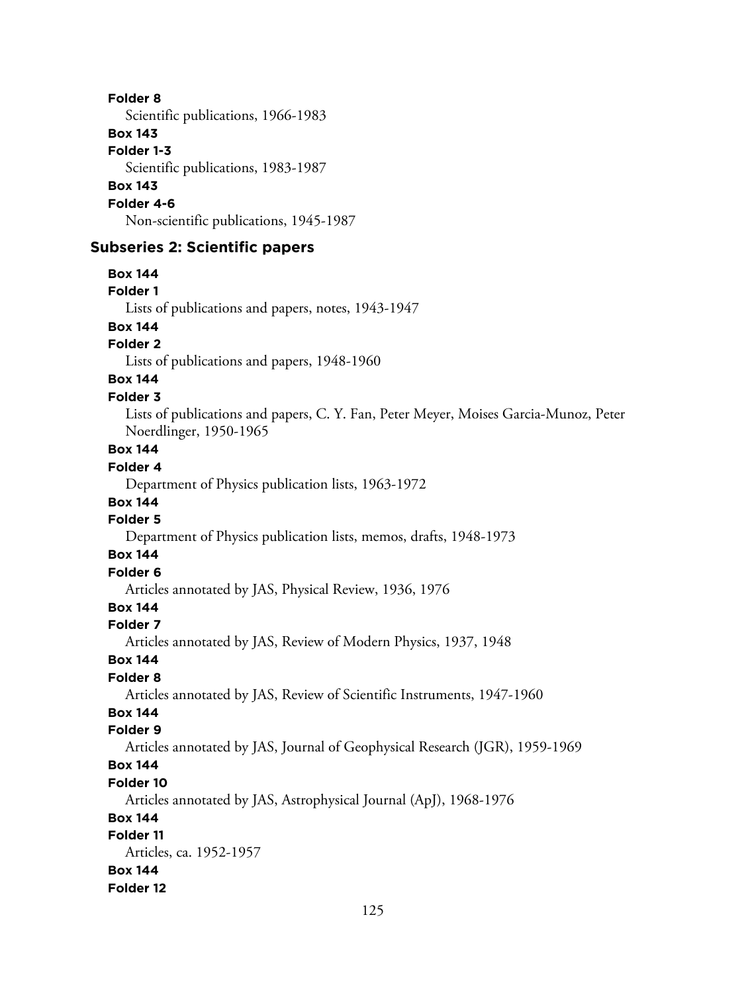Scientific publications, 1966-1983

## **Box 143**

**Folder 1-3** Scientific publications, 1983-1987 **Box 143 Folder 4-6** Non-scientific publications, 1945-1987

# **Subseries 2: Scientific papers**

**Box 144 Folder 1** Lists of publications and papers, notes, 1943-1947 **Box 144 Folder 2** Lists of publications and papers, 1948-1960 **Box 144 Folder 3** Lists of publications and papers, C. Y. Fan, Peter Meyer, Moises Garcia-Munoz, Peter Noerdlinger, 1950-1965 **Box 144 Folder 4** Department of Physics publication lists, 1963-1972 **Box 144 Folder 5** Department of Physics publication lists, memos, drafts, 1948-1973 **Box 144 Folder 6** Articles annotated by JAS, Physical Review, 1936, 1976 **Box 144 Folder 7** Articles annotated by JAS, Review of Modern Physics, 1937, 1948 **Box 144 Folder 8** Articles annotated by JAS, Review of Scientific Instruments, 1947-1960 **Box 144 Folder 9** Articles annotated by JAS, Journal of Geophysical Research (JGR), 1959-1969 **Box 144 Folder 10** Articles annotated by JAS, Astrophysical Journal (ApJ), 1968-1976 **Box 144 Folder 11** Articles, ca. 1952-1957 **Box 144 Folder 12**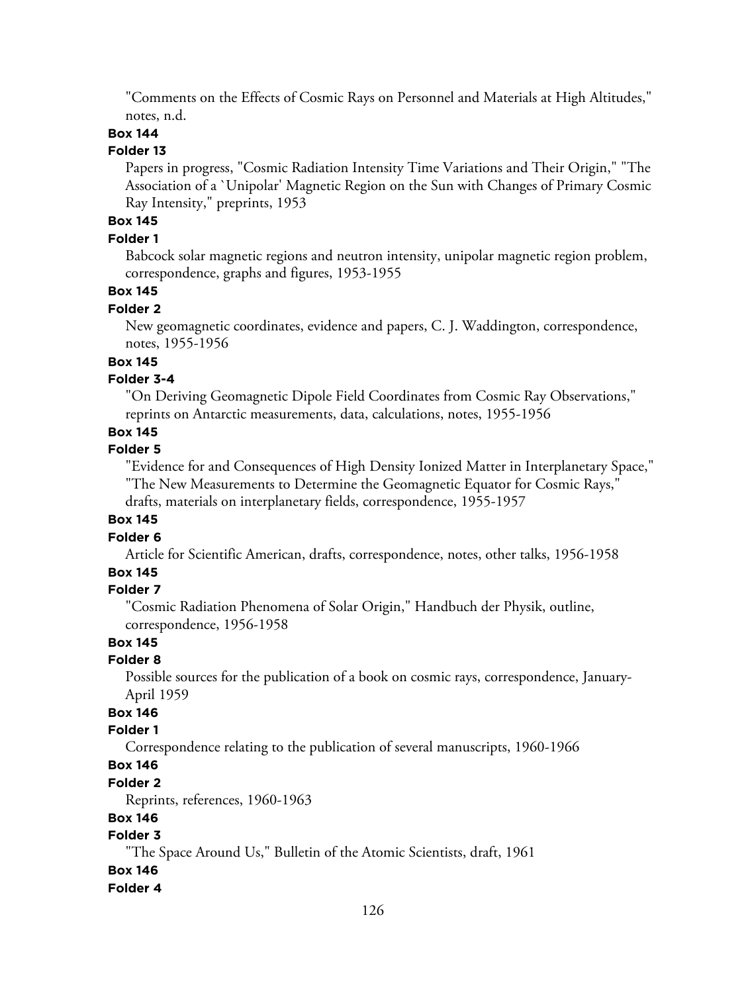"Comments on the Effects of Cosmic Rays on Personnel and Materials at High Altitudes," notes, n.d.

#### **Box 144**

#### **Folder 13**

Papers in progress, "Cosmic Radiation Intensity Time Variations and Their Origin," "The Association of a `Unipolar' Magnetic Region on the Sun with Changes of Primary Cosmic Ray Intensity," preprints, 1953

# **Box 145**

#### **Folder 1**

Babcock solar magnetic regions and neutron intensity, unipolar magnetic region problem, correspondence, graphs and figures, 1953-1955

## **Box 145**

#### **Folder 2**

New geomagnetic coordinates, evidence and papers, C. J. Waddington, correspondence, notes, 1955-1956

#### **Box 145**

## **Folder 3-4**

"On Deriving Geomagnetic Dipole Field Coordinates from Cosmic Ray Observations," reprints on Antarctic measurements, data, calculations, notes, 1955-1956

# **Box 145**

#### **Folder 5**

"Evidence for and Consequences of High Density Ionized Matter in Interplanetary Space," "The New Measurements to Determine the Geomagnetic Equator for Cosmic Rays," drafts, materials on interplanetary fields, correspondence, 1955-1957

#### **Box 145**

#### **Folder 6**

Article for Scientific American, drafts, correspondence, notes, other talks, 1956-1958

#### **Box 145**

#### **Folder 7**

"Cosmic Radiation Phenomena of Solar Origin," Handbuch der Physik, outline, correspondence, 1956-1958

# **Box 145**

#### **Folder 8**

Possible sources for the publication of a book on cosmic rays, correspondence, January-April 1959

## **Box 146**

#### **Folder 1**

Correspondence relating to the publication of several manuscripts, 1960-1966

# **Box 146**

#### **Folder 2**

Reprints, references, 1960-1963

## **Box 146**

# **Folder 3**

"The Space Around Us," Bulletin of the Atomic Scientists, draft, 1961

#### **Box 146**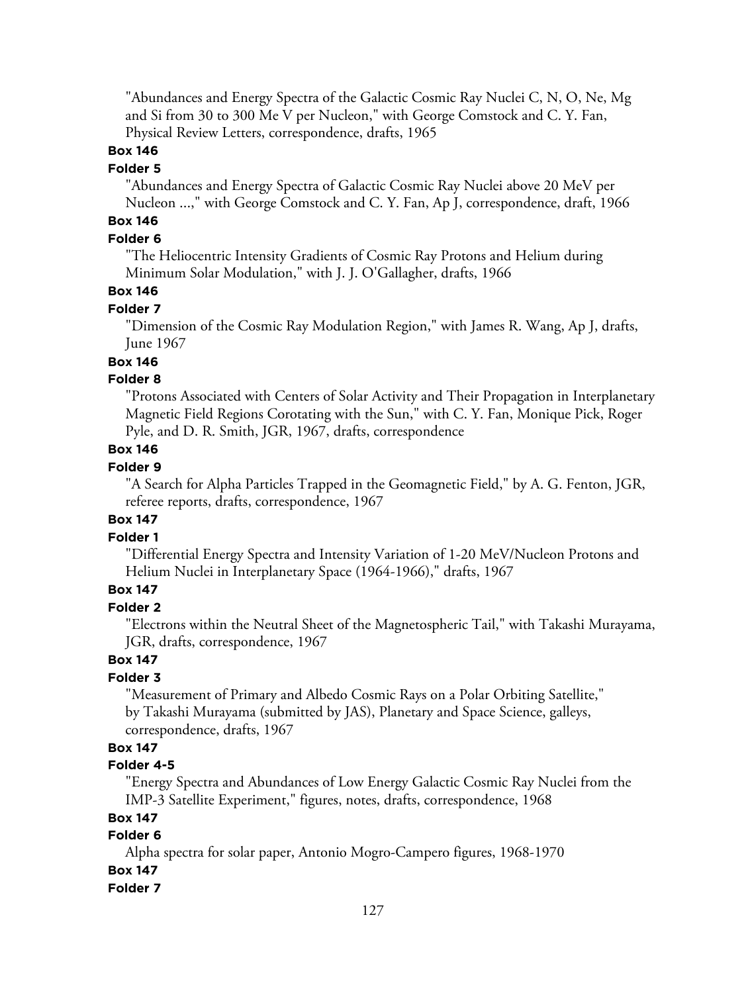"Abundances and Energy Spectra of the Galactic Cosmic Ray Nuclei C, N, O, Ne, Mg and Si from 30 to 300 Me V per Nucleon," with George Comstock and C. Y. Fan, Physical Review Letters, correspondence, drafts, 1965

#### **Box 146**

#### **Folder 5**

"Abundances and Energy Spectra of Galactic Cosmic Ray Nuclei above 20 MeV per Nucleon ...," with George Comstock and C. Y. Fan, Ap J, correspondence, draft, 1966

# **Box 146**

# **Folder 6**

"The Heliocentric Intensity Gradients of Cosmic Ray Protons and Helium during Minimum Solar Modulation," with J. J. O'Gallagher, drafts, 1966

#### **Box 146**

#### **Folder 7**

"Dimension of the Cosmic Ray Modulation Region," with James R. Wang, Ap J, drafts, June 1967

## **Box 146**

# **Folder 8**

"Protons Associated with Centers of Solar Activity and Their Propagation in Interplanetary Magnetic Field Regions Corotating with the Sun," with C. Y. Fan, Monique Pick, Roger Pyle, and D. R. Smith, JGR, 1967, drafts, correspondence

## **Box 146**

#### **Folder 9**

"A Search for Alpha Particles Trapped in the Geomagnetic Field," by A. G. Fenton, JGR, referee reports, drafts, correspondence, 1967

## **Box 147**

#### **Folder 1**

"Differential Energy Spectra and Intensity Variation of 1-20 MeV/Nucleon Protons and Helium Nuclei in Interplanetary Space (1964-1966)," drafts, 1967

# **Box 147**

# **Folder 2**

"Electrons within the Neutral Sheet of the Magnetospheric Tail," with Takashi Murayama, JGR, drafts, correspondence, 1967

# **Box 147**

# **Folder 3**

"Measurement of Primary and Albedo Cosmic Rays on a Polar Orbiting Satellite," by Takashi Murayama (submitted by JAS), Planetary and Space Science, galleys, correspondence, drafts, 1967

# **Box 147**

## **Folder 4-5**

"Energy Spectra and Abundances of Low Energy Galactic Cosmic Ray Nuclei from the IMP-3 Satellite Experiment," figures, notes, drafts, correspondence, 1968

#### **Box 147**

# **Folder 6**

Alpha spectra for solar paper, Antonio Mogro-Campero figures, 1968-1970

# **Box 147**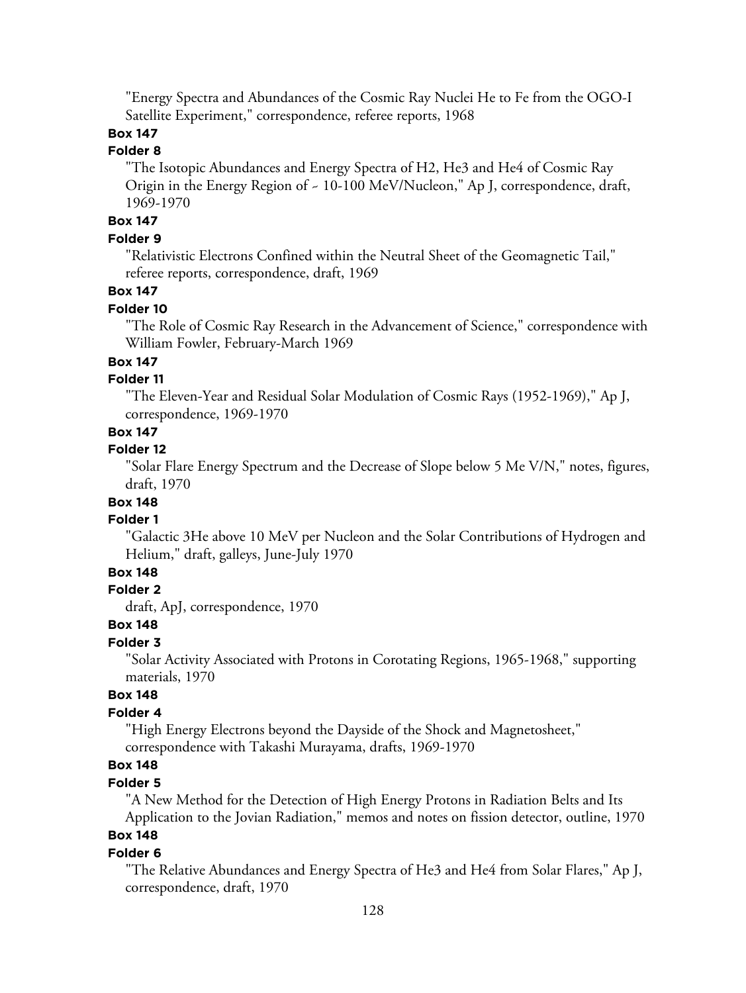"Energy Spectra and Abundances of the Cosmic Ray Nuclei He to Fe from the OGO-I Satellite Experiment," correspondence, referee reports, 1968

# **Box 147**

# **Folder 8**

"The Isotopic Abundances and Energy Spectra of H2, He3 and He4 of Cosmic Ray Origin in the Energy Region of ~ 10-100 MeV/Nucleon," Ap J, correspondence, draft, 1969-1970

## **Box 147**

#### **Folder 9**

"Relativistic Electrons Confined within the Neutral Sheet of the Geomagnetic Tail," referee reports, correspondence, draft, 1969

## **Box 147**

#### **Folder 10**

"The Role of Cosmic Ray Research in the Advancement of Science," correspondence with William Fowler, February-March 1969

#### **Box 147**

## **Folder 11**

"The Eleven-Year and Residual Solar Modulation of Cosmic Rays (1952-1969)," Ap J, correspondence, 1969-1970

#### **Box 147**

#### **Folder 12**

"Solar Flare Energy Spectrum and the Decrease of Slope below 5 Me V/N," notes, figures, draft, 1970

# **Box 148**

#### **Folder 1**

"Galactic 3He above 10 MeV per Nucleon and the Solar Contributions of Hydrogen and Helium," draft, galleys, June-July 1970

#### **Box 148**

#### **Folder 2**

draft, ApJ, correspondence, 1970

## **Box 148**

## **Folder 3**

"Solar Activity Associated with Protons in Corotating Regions, 1965-1968," supporting materials, 1970

## **Box 148**

## **Folder 4**

"High Energy Electrons beyond the Dayside of the Shock and Magnetosheet," correspondence with Takashi Murayama, drafts, 1969-1970

# **Box 148**

## **Folder 5**

"A New Method for the Detection of High Energy Protons in Radiation Belts and Its Application to the Jovian Radiation," memos and notes on fission detector, outline, 1970

# **Box 148**

#### **Folder 6**

"The Relative Abundances and Energy Spectra of He3 and He4 from Solar Flares," Ap J, correspondence, draft, 1970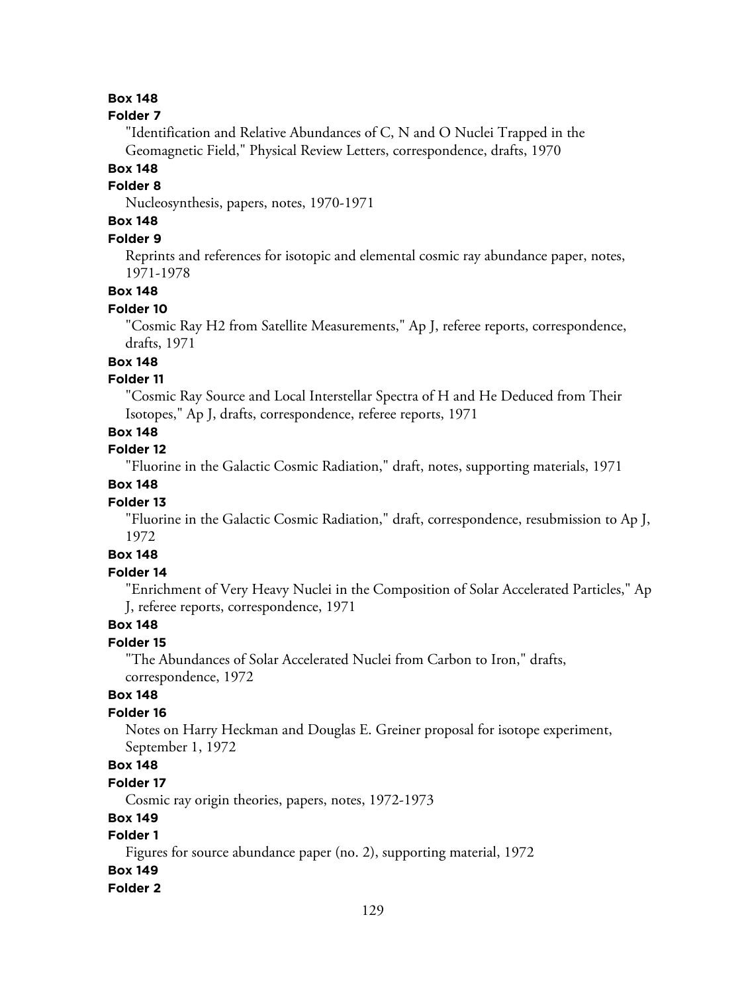#### **Box 148**

#### **Folder 7**

"Identification and Relative Abundances of C, N and O Nuclei Trapped in the Geomagnetic Field," Physical Review Letters, correspondence, drafts, 1970

# **Box 148**

# **Folder 8**

Nucleosynthesis, papers, notes, 1970-1971

# **Box 148**

# **Folder 9**

Reprints and references for isotopic and elemental cosmic ray abundance paper, notes, 1971-1978

## **Box 148**

## **Folder 10**

"Cosmic Ray H2 from Satellite Measurements," Ap J, referee reports, correspondence, drafts, 1971

# **Box 148**

## **Folder 11**

"Cosmic Ray Source and Local Interstellar Spectra of H and He Deduced from Their Isotopes," Ap J, drafts, correspondence, referee reports, 1971

# **Box 148**

# **Folder 12**

"Fluorine in the Galactic Cosmic Radiation," draft, notes, supporting materials, 1971

# **Box 148**

## **Folder 13**

"Fluorine in the Galactic Cosmic Radiation," draft, correspondence, resubmission to Ap J, 1972

# **Box 148**

## **Folder 14**

"Enrichment of Very Heavy Nuclei in the Composition of Solar Accelerated Particles," Ap J, referee reports, correspondence, 1971

# **Box 148**

#### **Folder 15**

"The Abundances of Solar Accelerated Nuclei from Carbon to Iron," drafts, correspondence, 1972

## **Box 148**

## **Folder 16**

Notes on Harry Heckman and Douglas E. Greiner proposal for isotope experiment, September 1, 1972

# **Box 148**

#### **Folder 17**

Cosmic ray origin theories, papers, notes, 1972-1973

## **Box 149**

## **Folder 1**

Figures for source abundance paper (no. 2), supporting material, 1972

# **Box 149**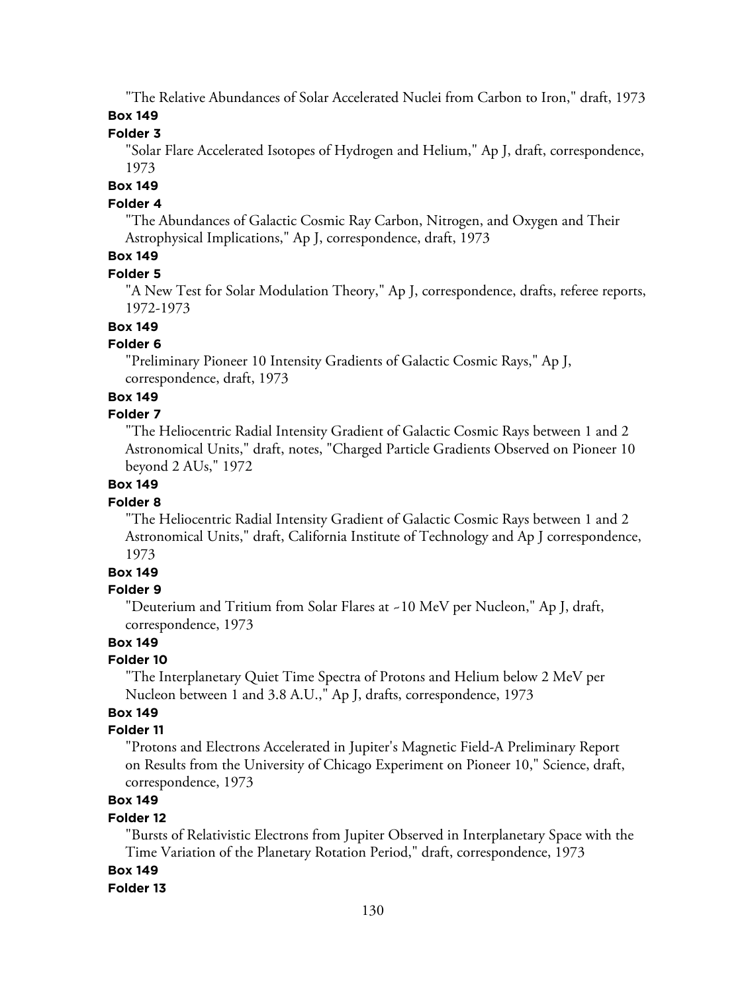"The Relative Abundances of Solar Accelerated Nuclei from Carbon to Iron," draft, 1973 **Box 149**

**Folder 3**

"Solar Flare Accelerated Isotopes of Hydrogen and Helium," Ap J, draft, correspondence, 1973

#### **Box 149**

#### **Folder 4**

"The Abundances of Galactic Cosmic Ray Carbon, Nitrogen, and Oxygen and Their Astrophysical Implications," Ap J, correspondence, draft, 1973

# **Box 149**

#### **Folder 5**

"A New Test for Solar Modulation Theory," Ap J, correspondence, drafts, referee reports, 1972-1973

#### **Box 149**

#### **Folder 6**

"Preliminary Pioneer 10 Intensity Gradients of Galactic Cosmic Rays," Ap J, correspondence, draft, 1973

#### **Box 149**

#### **Folder 7**

"The Heliocentric Radial Intensity Gradient of Galactic Cosmic Rays between 1 and 2 Astronomical Units," draft, notes, "Charged Particle Gradients Observed on Pioneer 10 beyond 2 AUs," 1972

# **Box 149**

#### **Folder 8**

"The Heliocentric Radial Intensity Gradient of Galactic Cosmic Rays between 1 and 2 Astronomical Units," draft, California Institute of Technology and Ap J correspondence, 1973

# **Box 149**

#### **Folder 9**

"Deuterium and Tritium from Solar Flares at ~10 MeV per Nucleon," Ap J, draft, correspondence, 1973

# **Box 149**

#### **Folder 10**

"The Interplanetary Quiet Time Spectra of Protons and Helium below 2 MeV per Nucleon between 1 and 3.8 A.U.," Ap J, drafts, correspondence, 1973

## **Box 149**

#### **Folder 11**

"Protons and Electrons Accelerated in Jupiter's Magnetic Field-A Preliminary Report on Results from the University of Chicago Experiment on Pioneer 10," Science, draft, correspondence, 1973

# **Box 149**

#### **Folder 12**

"Bursts of Relativistic Electrons from Jupiter Observed in Interplanetary Space with the Time Variation of the Planetary Rotation Period," draft, correspondence, 1973

## **Box 149**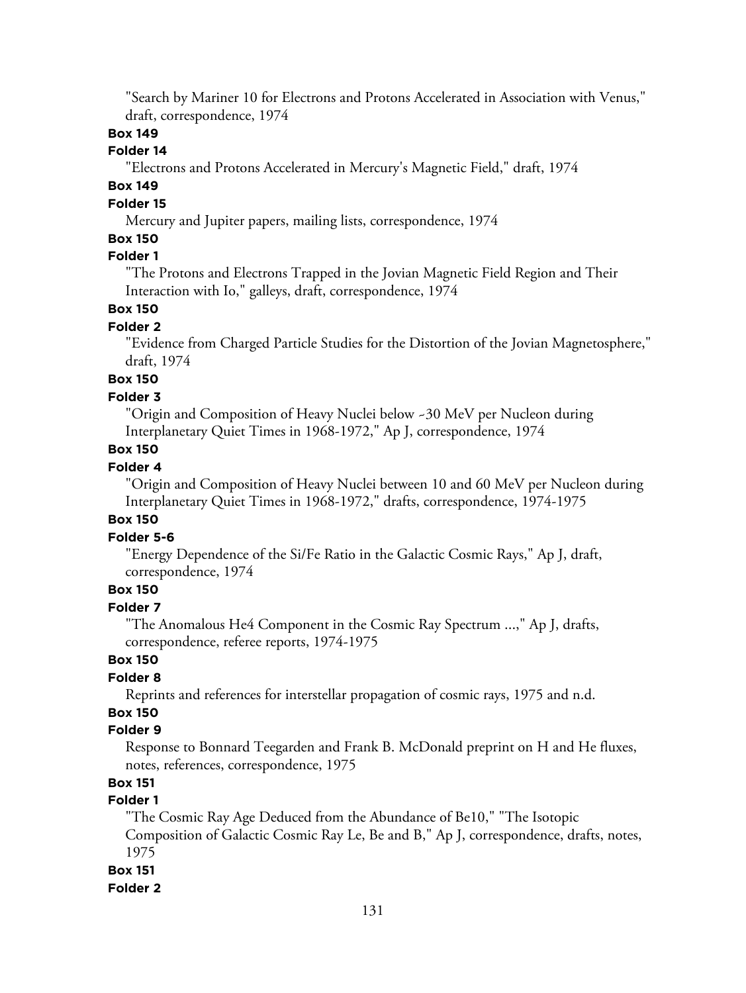"Search by Mariner 10 for Electrons and Protons Accelerated in Association with Venus," draft, correspondence, 1974

## **Box 149**

# **Folder 14**

"Electrons and Protons Accelerated in Mercury's Magnetic Field," draft, 1974

# **Box 149**

# **Folder 15**

Mercury and Jupiter papers, mailing lists, correspondence, 1974

## **Box 150**

# **Folder 1**

"The Protons and Electrons Trapped in the Jovian Magnetic Field Region and Their Interaction with Io," galleys, draft, correspondence, 1974

# **Box 150**

#### **Folder 2**

"Evidence from Charged Particle Studies for the Distortion of the Jovian Magnetosphere," draft, 1974

## **Box 150**

#### **Folder 3**

"Origin and Composition of Heavy Nuclei below ~30 MeV per Nucleon during Interplanetary Quiet Times in 1968-1972," Ap J, correspondence, 1974

## **Box 150**

#### **Folder 4**

"Origin and Composition of Heavy Nuclei between 10 and 60 MeV per Nucleon during Interplanetary Quiet Times in 1968-1972," drafts, correspondence, 1974-1975

#### **Box 150**

#### **Folder 5-6**

"Energy Dependence of the Si/Fe Ratio in the Galactic Cosmic Rays," Ap J, draft, correspondence, 1974

# **Box 150**

#### **Folder 7**

"The Anomalous He4 Component in the Cosmic Ray Spectrum ...," Ap J, drafts, correspondence, referee reports, 1974-1975

# **Box 150**

#### **Folder 8**

Reprints and references for interstellar propagation of cosmic rays, 1975 and n.d.

# **Box 150**

# **Folder 9**

Response to Bonnard Teegarden and Frank B. McDonald preprint on H and He fluxes, notes, references, correspondence, 1975

# **Box 151**

## **Folder 1**

"The Cosmic Ray Age Deduced from the Abundance of Be10," "The Isotopic Composition of Galactic Cosmic Ray Le, Be and B," Ap J, correspondence, drafts, notes, 1975

#### **Box 151**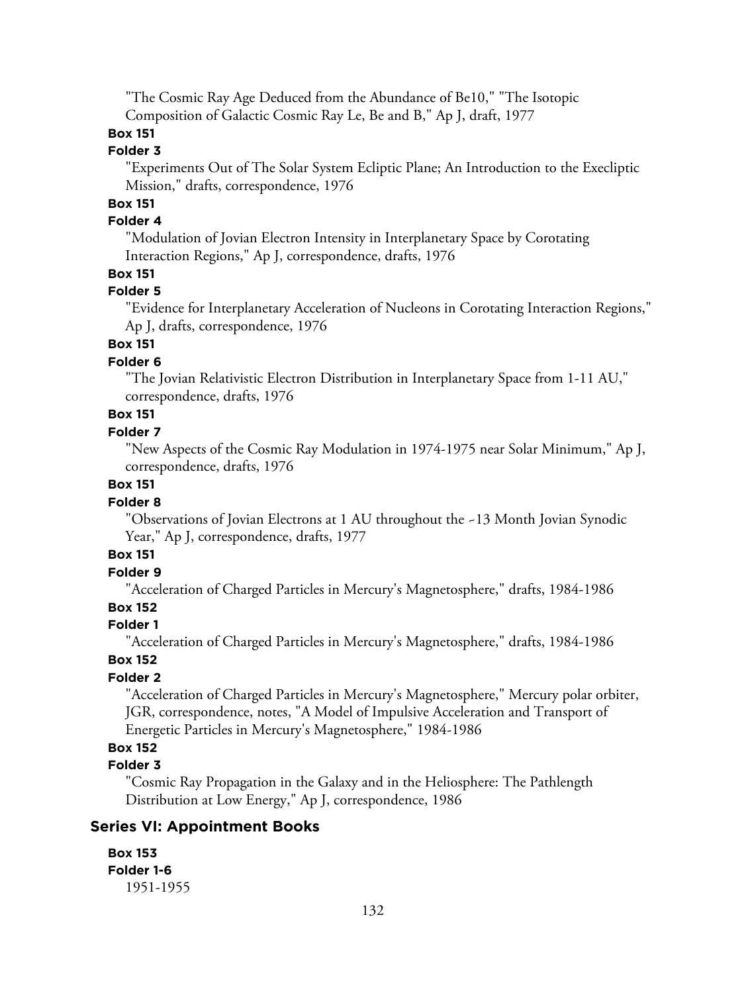"The Cosmic Ray Age Deduced from the Abundance of Be10," "The Isotopic Composition of Galactic Cosmic Ray Le, Be and B," Ap J, draft, 1977

# **Box 151**

# **Folder 3**

"Experiments Out of The Solar System Ecliptic Plane; An Introduction to the Execliptic Mission," drafts, correspondence, 1976

# **Box 151**

## **Folder 4**

"Modulation of Jovian Electron Intensity in Interplanetary Space by Corotating Interaction Regions," Ap J, correspondence, drafts, 1976

## **Box 151**

# **Folder 5**

"Evidence for Interplanetary Acceleration of Nucleons in Corotating Interaction Regions," Ap J, drafts, correspondence, 1976

# **Box 151**

## **Folder 6**

"The Jovian Relativistic Electron Distribution in Interplanetary Space from 1-11 AU," correspondence, drafts, 1976

# **Box 151**

## **Folder 7**

"New Aspects of the Cosmic Ray Modulation in 1974-1975 near Solar Minimum," Ap J, correspondence, drafts, 1976

## **Box 151**

## **Folder 8**

"Observations of Jovian Electrons at 1 AU throughout the ~13 Month Jovian Synodic Year," Ap J, correspondence, drafts, 1977

# **Box 151**

# **Folder 9**

"Acceleration of Charged Particles in Mercury's Magnetosphere," drafts, 1984-1986

# **Box 152**

# **Folder 1**

"Acceleration of Charged Particles in Mercury's Magnetosphere," drafts, 1984-1986

# **Box 152**

# **Folder 2**

"Acceleration of Charged Particles in Mercury's Magnetosphere," Mercury polar orbiter, JGR, correspondence, notes, "A Model of Impulsive Acceleration and Transport of Energetic Particles in Mercury's Magnetosphere," 1984-1986

# **Box 152**

## **Folder 3**

"Cosmic Ray Propagation in the Galaxy and in the Heliosphere: The Pathlength Distribution at Low Energy," Ap J, correspondence, 1986

# **Series VI: Appointment Books**

**Box 153 Folder 1-6** 1951-1955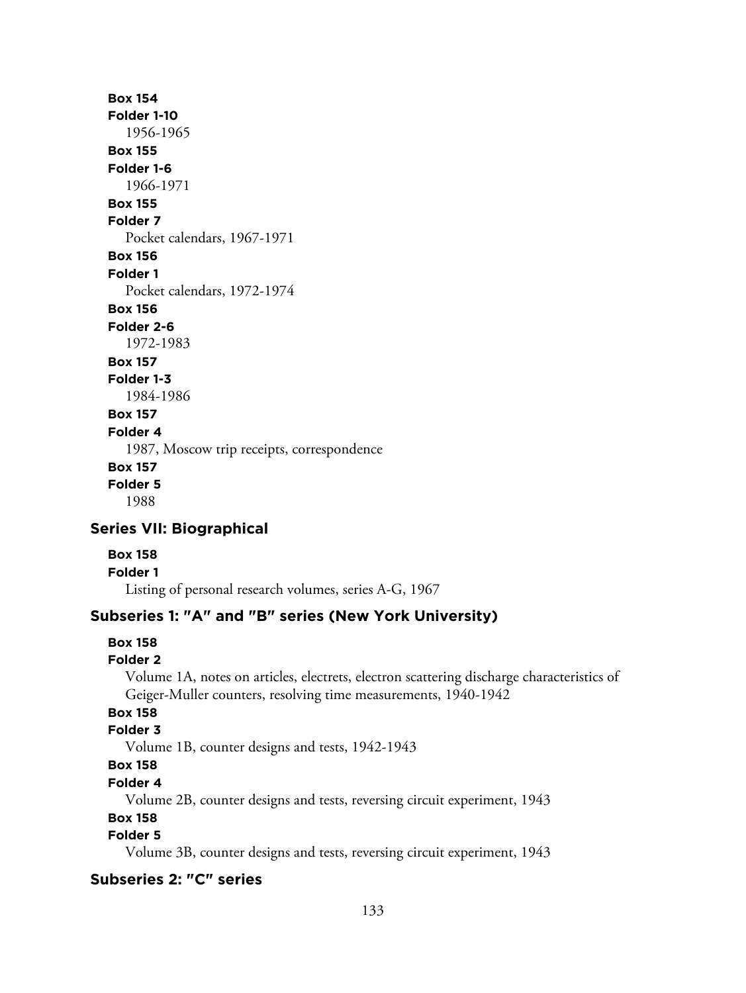# **Box 154 Folder 1-10** 1956-1965 **Box 155 Folder 1-6** 1966-1971 **Box 155 Folder 7** Pocket calendars, 1967-1971 **Box 156 Folder 1** Pocket calendars, 1972-1974 **Box 156 Folder 2-6** 1972-1983 **Box 157 Folder 1-3** 1984-1986 **Box 157 Folder 4** 1987, Moscow trip receipts, correspondence **Box 157 Folder 5** 1988

# **Series VII: Biographical**

- **Box 158**
- **Folder 1**

Listing of personal research volumes, series A-G, 1967

# **Subseries 1: "A" and "B" series (New York University)**

#### **Box 158**

#### **Folder 2**

Volume 1A, notes on articles, electrets, electron scattering discharge characteristics of Geiger-Muller counters, resolving time measurements, 1940-1942

# **Box 158**

# **Folder 3**

Volume 1B, counter designs and tests, 1942-1943

# **Box 158**

#### **Folder 4**

Volume 2B, counter designs and tests, reversing circuit experiment, 1943

#### **Box 158**

# **Folder 5**

Volume 3B, counter designs and tests, reversing circuit experiment, 1943

# **Subseries 2: "C" series**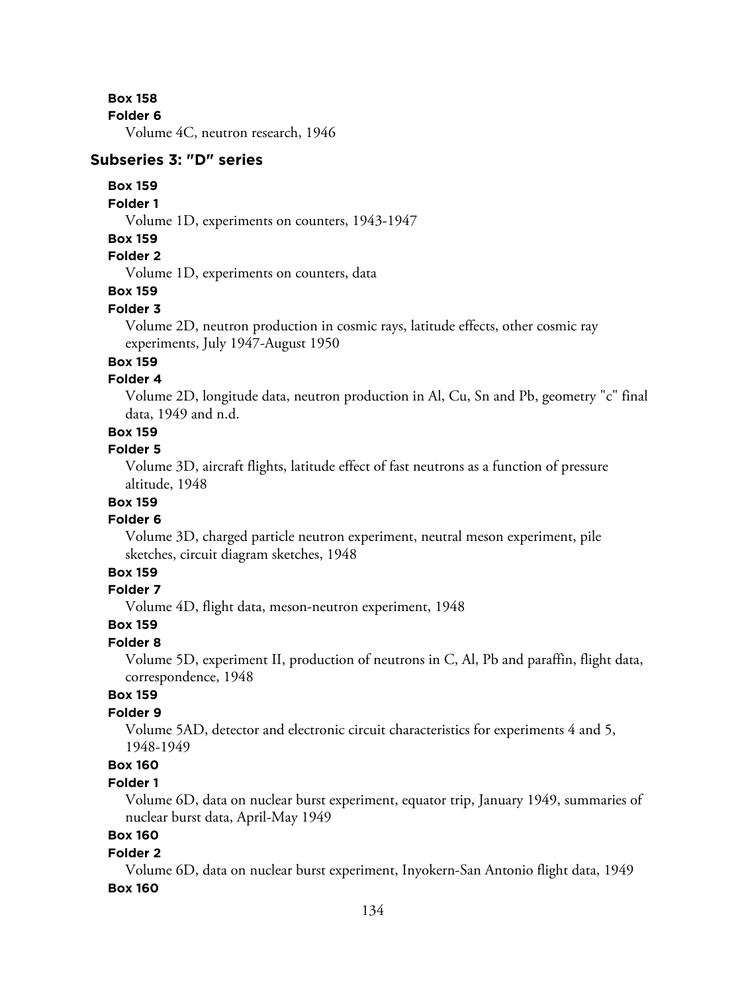**Box 158**

**Folder 6**

Volume 4C, neutron research, 1946

#### **Subseries 3: "D" series**

#### **Box 159**

#### **Folder 1**

Volume 1D, experiments on counters, 1943-1947

#### **Box 159**

# **Folder 2**

Volume 1D, experiments on counters, data

# **Box 159**

#### **Folder 3**

Volume 2D, neutron production in cosmic rays, latitude effects, other cosmic ray experiments, July 1947-August 1950

## **Box 159**

## **Folder 4**

Volume 2D, longitude data, neutron production in Al, Cu, Sn and Pb, geometry "c" final data, 1949 and n.d.

# **Box 159**

# **Folder 5**

Volume 3D, aircraft flights, latitude effect of fast neutrons as a function of pressure altitude, 1948

# **Box 159**

#### **Folder 6**

Volume 3D, charged particle neutron experiment, neutral meson experiment, pile sketches, circuit diagram sketches, 1948

## **Box 159**

#### **Folder 7**

Volume 4D, flight data, meson-neutron experiment, 1948

## **Box 159**

#### **Folder 8**

Volume 5D, experiment II, production of neutrons in C, Al, Pb and paraffin, flight data, correspondence, 1948

## **Box 159**

## **Folder 9**

Volume 5AD, detector and electronic circuit characteristics for experiments 4 and 5, 1948-1949

# **Box 160**

#### **Folder 1**

Volume 6D, data on nuclear burst experiment, equator trip, January 1949, summaries of nuclear burst data, April-May 1949

# **Box 160**

#### **Folder 2**

Volume 6D, data on nuclear burst experiment, Inyokern-San Antonio flight data, 1949 **Box 160**

#### 134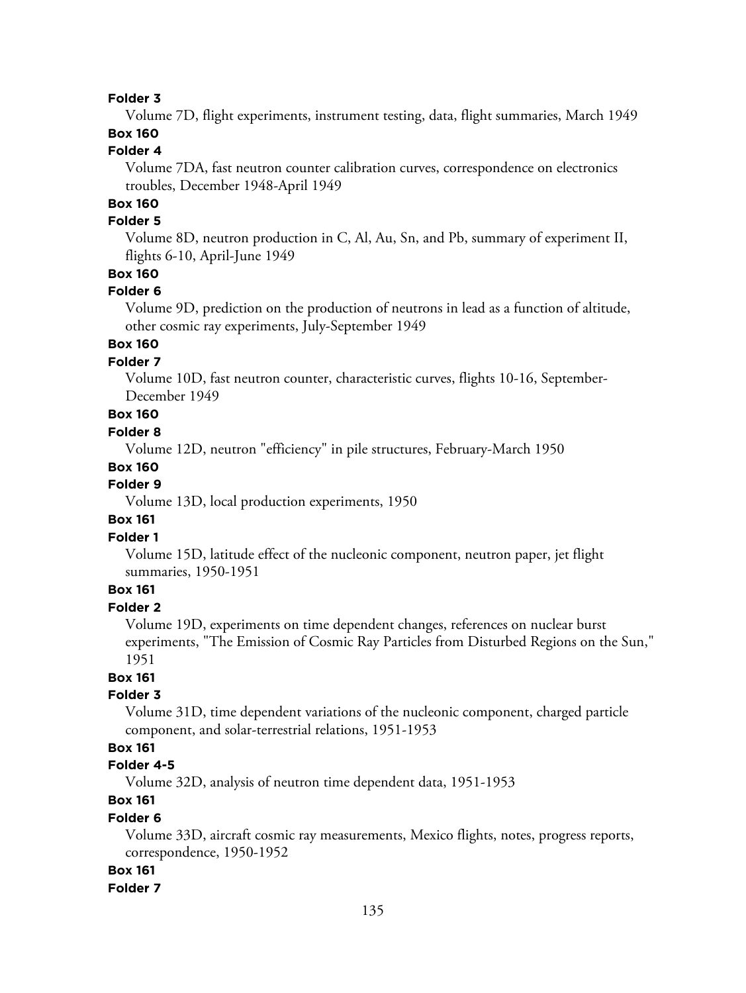Volume 7D, flight experiments, instrument testing, data, flight summaries, March 1949

# **Box 160**

# **Folder 4**

Volume 7DA, fast neutron counter calibration curves, correspondence on electronics troubles, December 1948-April 1949

# **Box 160**

#### **Folder 5**

Volume 8D, neutron production in C, Al, Au, Sn, and Pb, summary of experiment II, flights 6-10, April-June 1949

## **Box 160**

#### **Folder 6**

Volume 9D, prediction on the production of neutrons in lead as a function of altitude, other cosmic ray experiments, July-September 1949

# **Box 160**

# **Folder 7**

Volume 10D, fast neutron counter, characteristic curves, flights 10-16, September-December 1949

# **Box 160**

#### **Folder 8**

Volume 12D, neutron "efficiency" in pile structures, February-March 1950

#### **Box 160**

#### **Folder 9**

Volume 13D, local production experiments, 1950

#### **Box 161**

#### **Folder 1**

Volume 15D, latitude effect of the nucleonic component, neutron paper, jet flight summaries, 1950-1951

# **Box 161**

## **Folder 2**

Volume 19D, experiments on time dependent changes, references on nuclear burst experiments, "The Emission of Cosmic Ray Particles from Disturbed Regions on the Sun," 1951

#### **Box 161**

#### **Folder 3**

Volume 31D, time dependent variations of the nucleonic component, charged particle component, and solar-terrestrial relations, 1951-1953

# **Box 161**

# **Folder 4-5**

Volume 32D, analysis of neutron time dependent data, 1951-1953

# **Box 161**

#### **Folder 6**

Volume 33D, aircraft cosmic ray measurements, Mexico flights, notes, progress reports, correspondence, 1950-1952

#### **Box 161**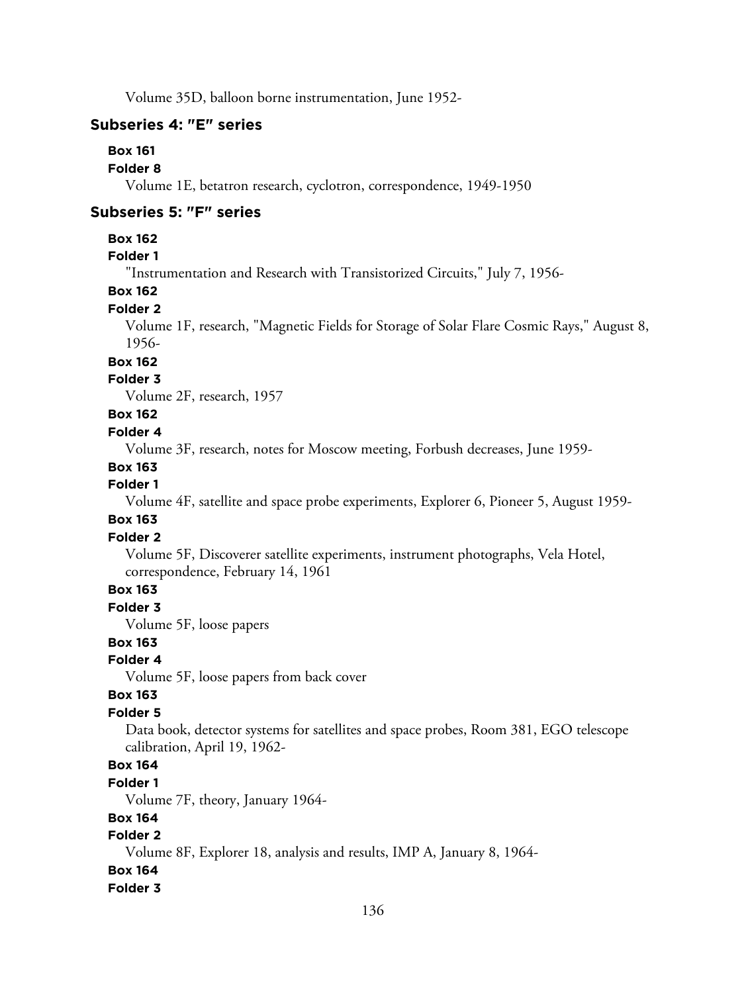Volume 35D, balloon borne instrumentation, June 1952-

## **Subseries 4: "E" series**

#### **Box 161**

#### **Folder 8**

Volume 1E, betatron research, cyclotron, correspondence, 1949-1950

#### **Subseries 5: "F" series**

#### **Box 162**

# **Folder 1**

"Instrumentation and Research with Transistorized Circuits," July 7, 1956-

#### **Box 162**

#### **Folder 2**

Volume 1F, research, "Magnetic Fields for Storage of Solar Flare Cosmic Rays," August 8, 1956-

# **Box 162**

# **Folder 3**

Volume 2F, research, 1957

# **Box 162**

#### **Folder 4**

Volume 3F, research, notes for Moscow meeting, Forbush decreases, June 1959-

#### **Box 163**

# **Folder 1**

Volume 4F, satellite and space probe experiments, Explorer 6, Pioneer 5, August 1959-

#### **Box 163**

#### **Folder 2**

Volume 5F, Discoverer satellite experiments, instrument photographs, Vela Hotel, correspondence, February 14, 1961

# **Box 163**

**Folder 3**

Volume 5F, loose papers

# **Box 163**

## **Folder 4**

Volume 5F, loose papers from back cover

#### **Box 163**

#### **Folder 5**

Data book, detector systems for satellites and space probes, Room 381, EGO telescope calibration, April 19, 1962-

# **Box 164**

#### **Folder 1**

Volume 7F, theory, January 1964-

#### **Box 164**

# **Folder 2**

Volume 8F, Explorer 18, analysis and results, IMP A, January 8, 1964-

#### **Box 164**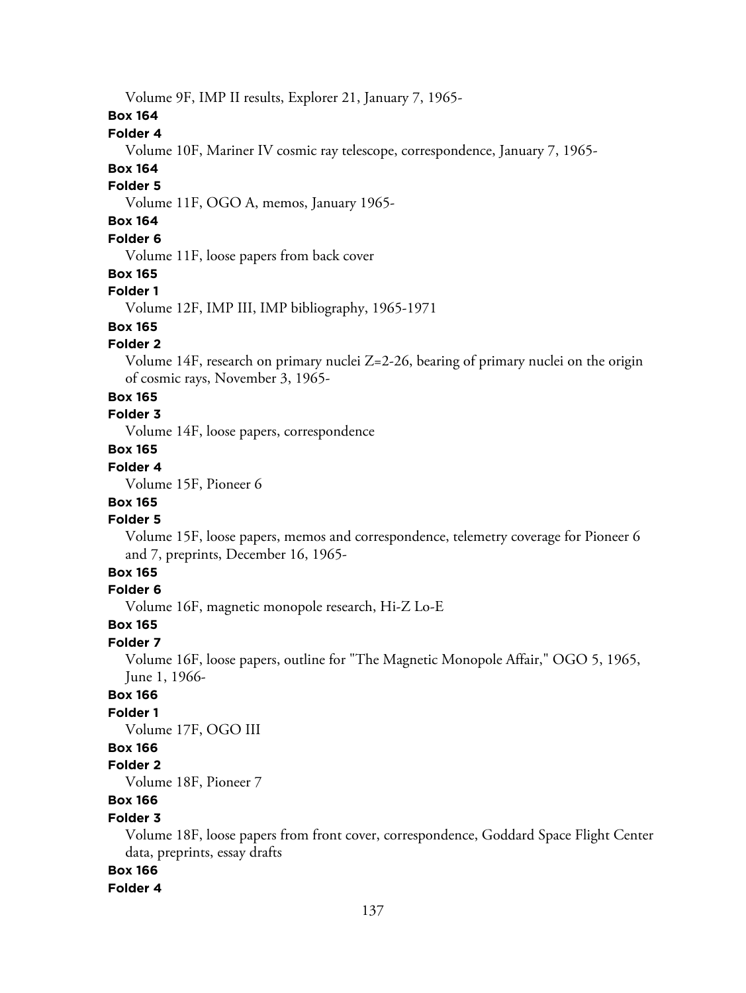Volume 9F, IMP II results, Explorer 21, January 7, 1965-

## **Box 164**

## **Folder 4**

Volume 10F, Mariner IV cosmic ray telescope, correspondence, January 7, 1965-

# **Box 164**

# **Folder 5**

Volume 11F, OGO A, memos, January 1965-

# **Box 164**

## **Folder 6**

Volume 11F, loose papers from back cover

#### **Box 165**

#### **Folder 1**

Volume 12F, IMP III, IMP bibliography, 1965-1971

# **Box 165**

#### **Folder 2**

Volume 14F, research on primary nuclei Z=2-26, bearing of primary nuclei on the origin of cosmic rays, November 3, 1965-

#### **Box 165**

# **Folder 3**

Volume 14F, loose papers, correspondence

# **Box 165**

# **Folder 4**

Volume 15F, Pioneer 6

# **Box 165**

# **Folder 5**

Volume 15F, loose papers, memos and correspondence, telemetry coverage for Pioneer 6 and 7, preprints, December 16, 1965-

# **Box 165**

#### **Folder 6**

Volume 16F, magnetic monopole research, Hi-Z Lo-E

# **Box 165**

#### **Folder 7**

Volume 16F, loose papers, outline for "The Magnetic Monopole Affair," OGO 5, 1965, June 1, 1966-

# **Box 166**

## **Folder 1**

Volume 17F, OGO III

# **Box 166**

## **Folder 2**

Volume 18F, Pioneer 7

# **Box 166**

#### **Folder 3**

Volume 18F, loose papers from front cover, correspondence, Goddard Space Flight Center data, preprints, essay drafts

#### **Box 166**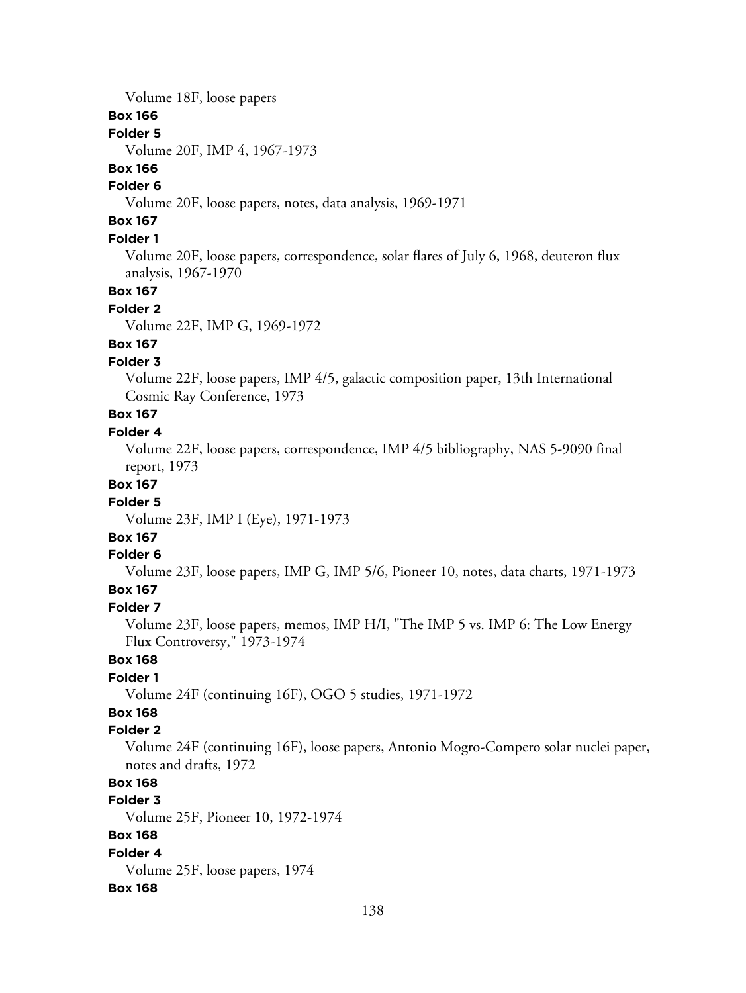Volume 18F, loose papers

#### **Box 166**

## **Folder 5**

Volume 20F, IMP 4, 1967-1973

# **Box 166**

# **Folder 6**

Volume 20F, loose papers, notes, data analysis, 1969-1971

# **Box 167**

#### **Folder 1**

Volume 20F, loose papers, correspondence, solar flares of July 6, 1968, deuteron flux analysis, 1967-1970

# **Box 167**

#### **Folder 2**

Volume 22F, IMP G, 1969-1972

# **Box 167**

## **Folder 3**

Volume 22F, loose papers, IMP 4/5, galactic composition paper, 13th International Cosmic Ray Conference, 1973

# **Box 167**

# **Folder 4**

Volume 22F, loose papers, correspondence, IMP 4/5 bibliography, NAS 5-9090 final report, 1973

#### **Box 167**

#### **Folder 5**

Volume 23F, IMP I (Eye), 1971-1973

# **Box 167**

#### **Folder 6**

Volume 23F, loose papers, IMP G, IMP 5/6, Pioneer 10, notes, data charts, 1971-1973 **Box 167**

# **Folder 7**

Volume 23F, loose papers, memos, IMP H/I, "The IMP 5 vs. IMP 6: The Low Energy Flux Controversy," 1973-1974

#### **Box 168**

#### **Folder 1**

Volume 24F (continuing 16F), OGO 5 studies, 1971-1972

# **Box 168**

# **Folder 2**

Volume 24F (continuing 16F), loose papers, Antonio Mogro-Compero solar nuclei paper, notes and drafts, 1972

# **Box 168**

# **Folder 3**

Volume 25F, Pioneer 10, 1972-1974

## **Box 168**

**Folder 4** Volume 25F, loose papers, 1974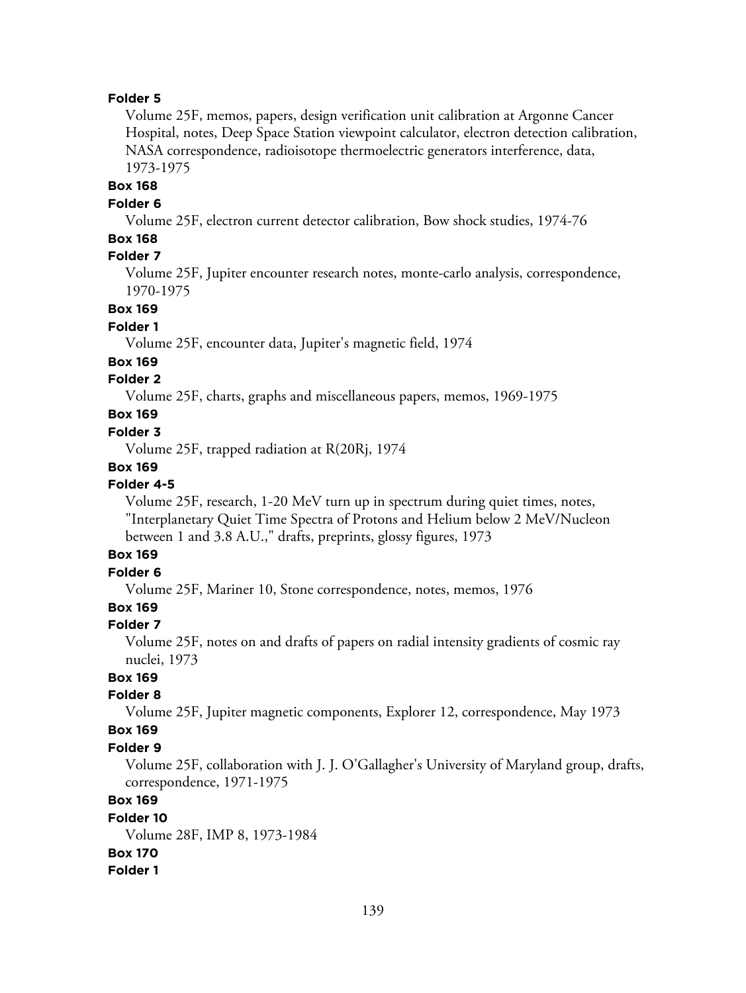Volume 25F, memos, papers, design verification unit calibration at Argonne Cancer Hospital, notes, Deep Space Station viewpoint calculator, electron detection calibration, NASA correspondence, radioisotope thermoelectric generators interference, data, 1973-1975

#### **Box 168**

#### **Folder 6**

Volume 25F, electron current detector calibration, Bow shock studies, 1974-76

#### **Box 168**

## **Folder 7**

Volume 25F, Jupiter encounter research notes, monte-carlo analysis, correspondence, 1970-1975

#### **Box 169**

#### **Folder 1**

Volume 25F, encounter data, Jupiter's magnetic field, 1974

#### **Box 169**

## **Folder 2**

Volume 25F, charts, graphs and miscellaneous papers, memos, 1969-1975

## **Box 169**

#### **Folder 3**

Volume 25F, trapped radiation at R(20Rj, 1974

#### **Box 169**

# **Folder 4-5**

Volume 25F, research, 1-20 MeV turn up in spectrum during quiet times, notes, "Interplanetary Quiet Time Spectra of Protons and Helium below 2 MeV/Nucleon between 1 and 3.8 A.U.," drafts, preprints, glossy figures, 1973

#### **Box 169**

## **Folder 6**

Volume 25F, Mariner 10, Stone correspondence, notes, memos, 1976

# **Box 169**

#### **Folder 7**

Volume 25F, notes on and drafts of papers on radial intensity gradients of cosmic ray nuclei, 1973

# **Box 169**

# **Folder 8**

Volume 25F, Jupiter magnetic components, Explorer 12, correspondence, May 1973

#### **Box 169**

#### **Folder 9**

Volume 25F, collaboration with J. J. O'Gallagher's University of Maryland group, drafts, correspondence, 1971-1975

# **Box 169**

#### **Folder 10** Volume 28F, IMP 8, 1973-1984 **Box 170 Folder 1**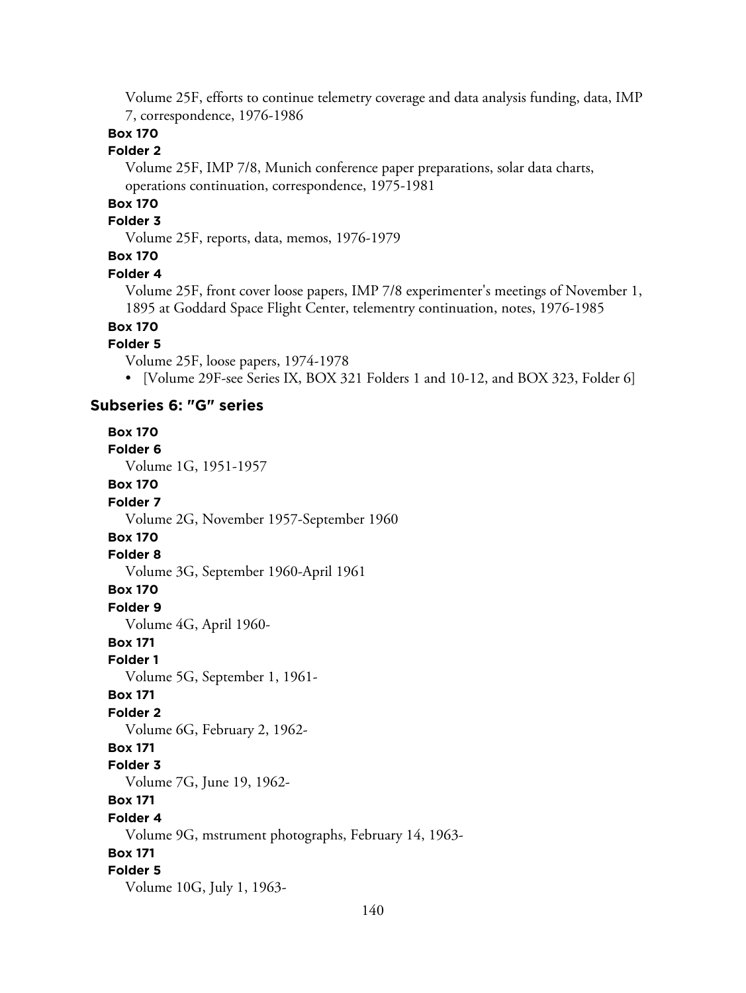Volume 25F, efforts to continue telemetry coverage and data analysis funding, data, IMP 7, correspondence, 1976-1986

# **Box 170**

## **Folder 2**

Volume 25F, IMP 7/8, Munich conference paper preparations, solar data charts, operations continuation, correspondence, 1975-1981

# **Box 170**

# **Folder 3**

Volume 25F, reports, data, memos, 1976-1979

# **Box 170**

#### **Folder 4**

Volume 25F, front cover loose papers, IMP 7/8 experimenter's meetings of November 1, 1895 at Goddard Space Flight Center, telementry continuation, notes, 1976-1985

# **Box 170**

#### **Folder 5**

Volume 25F, loose papers, 1974-1978

• [Volume 29F-see Series IX, BOX 321 Folders 1 and 10-12, and BOX 323, Folder 6]

#### **Subseries 6: "G" series**

**Box 170 Folder 6** Volume 1G, 1951-1957 **Box 170 Folder 7** Volume 2G, November 1957-September 1960 **Box 170 Folder 8** Volume 3G, September 1960-April 1961 **Box 170 Folder 9** Volume 4G, April 1960- **Box 171 Folder 1** Volume 5G, September 1, 1961- **Box 171 Folder 2** Volume 6G, February 2, 1962- **Box 171 Folder 3** Volume 7G, June 19, 1962- **Box 171 Folder 4** Volume 9G, mstrument photographs, February 14, 1963- **Box 171 Folder 5** Volume 10G, July 1, 1963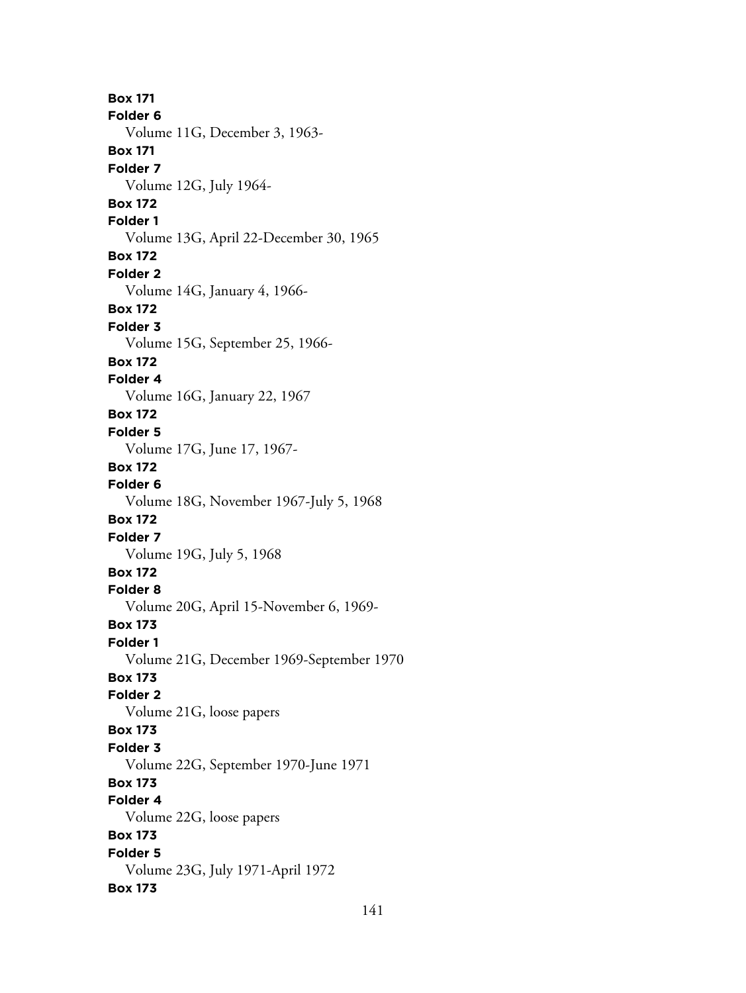**Box 171 Folder 6** Volume 11G, December 3, 1963- **Box 171 Folder 7** Volume 12G, July 1964- **Box 172 Folder 1** Volume 13G, April 22-December 30, 1965 **Box 172 Folder 2** Volume 14G, January 4, 1966- **Box 172 Folder 3** Volume 15G, September 25, 1966- **Box 172 Folder 4** Volume 16G, January 22, 1967 **Box 172 Folder 5** Volume 17G, June 17, 1967- **Box 172 Folder 6** Volume 18G, November 1967-July 5, 1968 **Box 172 Folder 7** Volume 19G, July 5, 1968 **Box 172 Folder 8** Volume 20G, April 15-November 6, 1969- **Box 173 Folder 1** Volume 21G, December 1969-September 1970 **Box 173 Folder 2** Volume 21G, loose papers **Box 173 Folder 3** Volume 22G, September 1970-June 1971 **Box 173 Folder 4** Volume 22G, loose papers **Box 173 Folder 5** Volume 23G, July 1971-April 1972 **Box 173**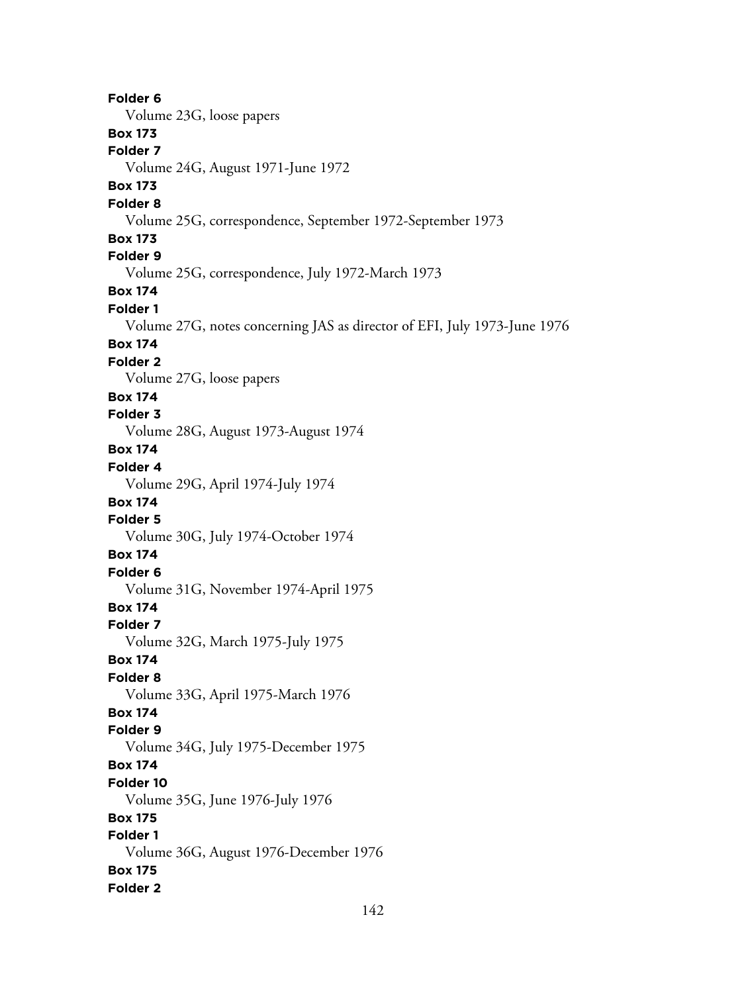**Folder 6** Volume 23G, loose papers **Box 173 Folder 7** Volume 24G, August 1971-June 1972 **Box 173 Folder 8** Volume 25G, correspondence, September 1972-September 1973 **Box 173 Folder 9** Volume 25G, correspondence, July 1972-March 1973 **Box 174 Folder 1** Volume 27G, notes concerning JAS as director of EFI, July 1973-June 1976 **Box 174 Folder 2** Volume 27G, loose papers **Box 174 Folder 3** Volume 28G, August 1973-August 1974 **Box 174 Folder 4** Volume 29G, April 1974-July 1974 **Box 174 Folder 5** Volume 30G, July 1974-October 1974 **Box 174 Folder 6** Volume 31G, November 1974-April 1975 **Box 174 Folder 7** Volume 32G, March 1975-July 1975 **Box 174 Folder 8** Volume 33G, April 1975-March 1976 **Box 174 Folder 9** Volume 34G, July 1975-December 1975 **Box 174 Folder 10** Volume 35G, June 1976-July 1976 **Box 175 Folder 1** Volume 36G, August 1976-December 1976 **Box 175 Folder 2**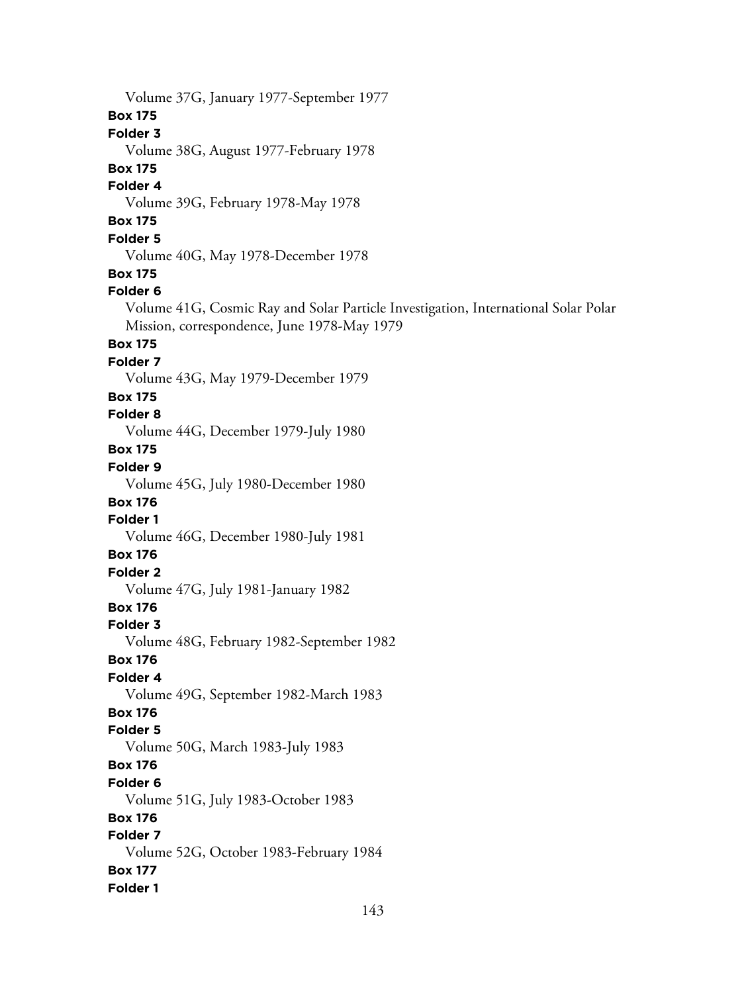Volume 37G, January 1977-September 1977 **Box 175 Folder 3** Volume 38G, August 1977-February 1978 **Box 175 Folder 4** Volume 39G, February 1978-May 1978 **Box 175 Folder 5** Volume 40G, May 1978-December 1978 **Box 175 Folder 6** Volume 41G, Cosmic Ray and Solar Particle Investigation, International Solar Polar Mission, correspondence, June 1978-May 1979 **Box 175 Folder 7** Volume 43G, May 1979-December 1979 **Box 175 Folder 8** Volume 44G, December 1979-July 1980 **Box 175 Folder 9** Volume 45G, July 1980-December 1980 **Box 176 Folder 1** Volume 46G, December 1980-July 1981 **Box 176 Folder 2** Volume 47G, July 1981-January 1982 **Box 176 Folder 3** Volume 48G, February 1982-September 1982 **Box 176 Folder 4** Volume 49G, September 1982-March 1983 **Box 176 Folder 5** Volume 50G, March 1983-July 1983 **Box 176 Folder 6** Volume 51G, July 1983-October 1983 **Box 176 Folder 7** Volume 52G, October 1983-February 1984 **Box 177 Folder 1**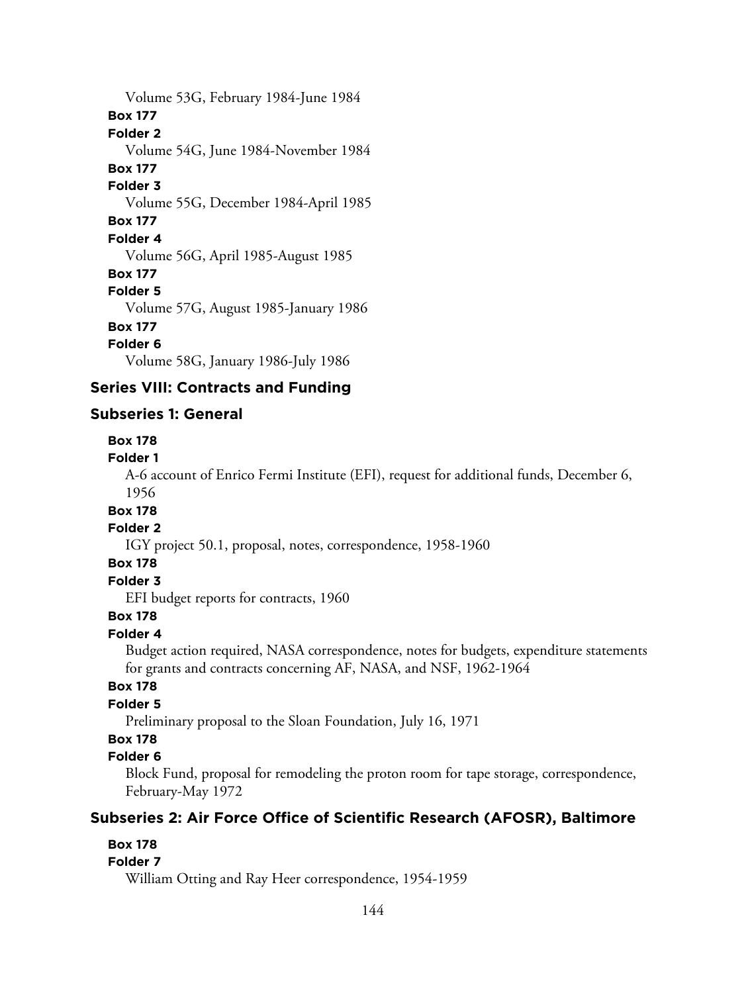Volume 53G, February 1984-June 1984 **Box 177 Folder 2** Volume 54G, June 1984-November 1984 **Box 177 Folder 3** Volume 55G, December 1984-April 1985 **Box 177 Folder 4** Volume 56G, April 1985-August 1985 **Box 177 Folder 5** Volume 57G, August 1985-January 1986 **Box 177 Folder 6** Volume 58G, January 1986-July 1986

# **Series VIII: Contracts and Funding**

# **Subseries 1: General**

#### **Box 178**

#### **Folder 1**

A-6 account of Enrico Fermi Institute (EFI), request for additional funds, December 6, 1956

#### **Box 178**

#### **Folder 2**

IGY project 50.1, proposal, notes, correspondence, 1958-1960

#### **Box 178**

## **Folder 3**

EFI budget reports for contracts, 1960

# **Box 178**

**Folder 4**

Budget action required, NASA correspondence, notes for budgets, expenditure statements for grants and contracts concerning AF, NASA, and NSF, 1962-1964

# **Box 178**

# **Folder 5**

Preliminary proposal to the Sloan Foundation, July 16, 1971

# **Box 178**

#### **Folder 6**

Block Fund, proposal for remodeling the proton room for tape storage, correspondence, February-May 1972

## **Subseries 2: Air Force Office of Scientific Research (AFOSR), Baltimore**

#### **Box 178**

#### **Folder 7**

William Otting and Ray Heer correspondence, 1954-1959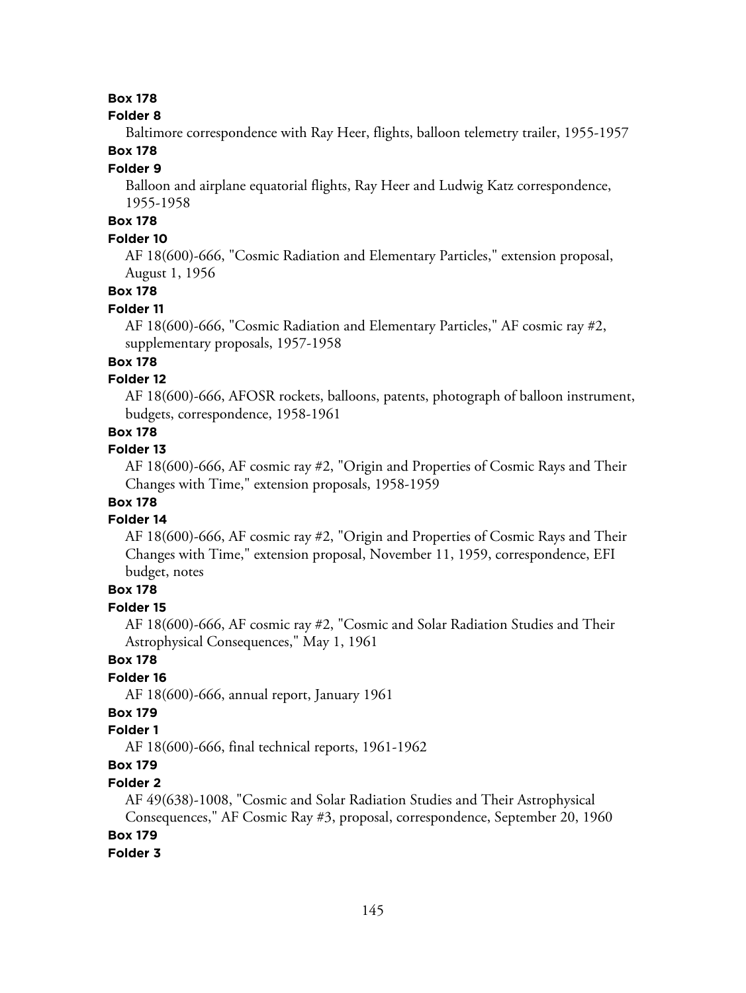#### **Folder 8**

Baltimore correspondence with Ray Heer, flights, balloon telemetry trailer, 1955-1957

## **Box 178**

#### **Folder 9**

Balloon and airplane equatorial flights, Ray Heer and Ludwig Katz correspondence, 1955-1958

## **Box 178**

## **Folder 10**

AF 18(600)-666, "Cosmic Radiation and Elementary Particles," extension proposal, August 1, 1956

### **Box 178**

#### **Folder 11**

AF 18(600)-666, "Cosmic Radiation and Elementary Particles," AF cosmic ray #2, supplementary proposals, 1957-1958

## **Box 178**

## **Folder 12**

AF 18(600)-666, AFOSR rockets, balloons, patents, photograph of balloon instrument, budgets, correspondence, 1958-1961

## **Box 178**

#### **Folder 13**

AF 18(600)-666, AF cosmic ray #2, "Origin and Properties of Cosmic Rays and Their Changes with Time," extension proposals, 1958-1959

## **Box 178**

#### **Folder 14**

AF 18(600)-666, AF cosmic ray #2, "Origin and Properties of Cosmic Rays and Their Changes with Time," extension proposal, November 11, 1959, correspondence, EFI budget, notes

### **Box 178**

#### **Folder 15**

AF 18(600)-666, AF cosmic ray #2, "Cosmic and Solar Radiation Studies and Their Astrophysical Consequences," May 1, 1961

## **Box 178**

## **Folder 16**

AF 18(600)-666, annual report, January 1961

## **Box 179**

## **Folder 1**

AF 18(600)-666, final technical reports, 1961-1962

## **Box 179**

#### **Folder 2**

AF 49(638)-1008, "Cosmic and Solar Radiation Studies and Their Astrophysical Consequences," AF Cosmic Ray #3, proposal, correspondence, September 20, 1960

## **Box 179**

#### **Folder 3**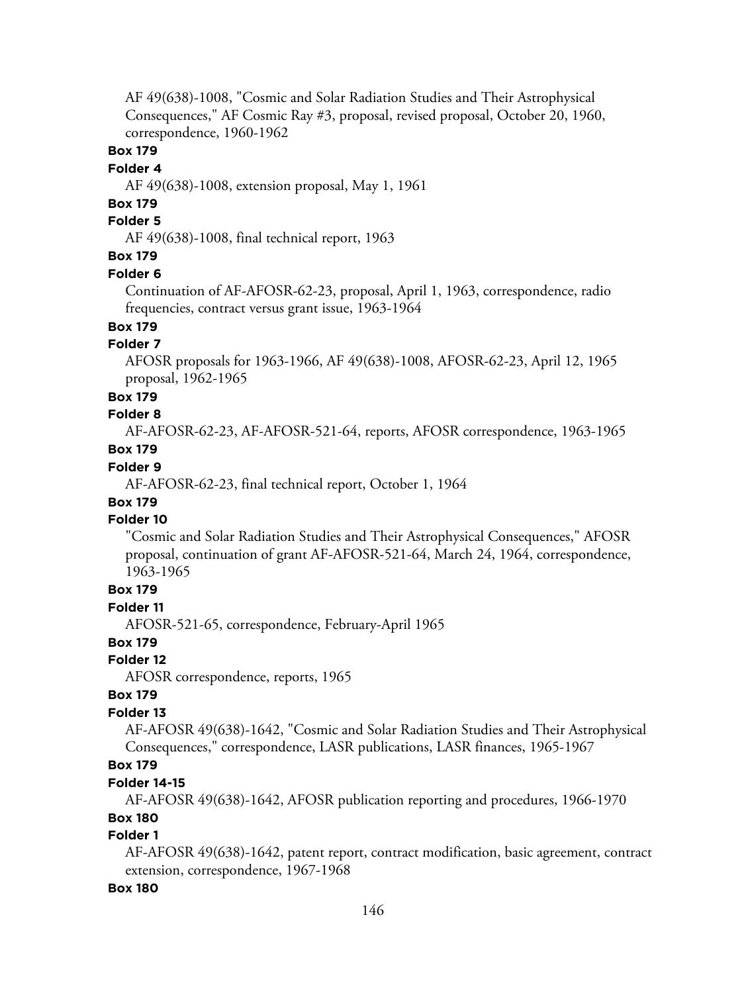AF 49(638)-1008, "Cosmic and Solar Radiation Studies and Their Astrophysical Consequences," AF Cosmic Ray #3, proposal, revised proposal, October 20, 1960, correspondence, 1960-1962

#### **Box 179**

#### **Folder 4**

AF 49(638)-1008, extension proposal, May 1, 1961

## **Box 179**

## **Folder 5**

AF 49(638)-1008, final technical report, 1963

## **Box 179**

#### **Folder 6**

Continuation of AF-AFOSR-62-23, proposal, April 1, 1963, correspondence, radio frequencies, contract versus grant issue, 1963-1964

## **Box 179**

## **Folder 7**

AFOSR proposals for 1963-1966, AF 49(638)-1008, AFOSR-62-23, April 12, 1965 proposal, 1962-1965

#### **Box 179**

#### **Folder 8**

AF-AFOSR-62-23, AF-AFOSR-521-64, reports, AFOSR correspondence, 1963-1965 **Box 179**

## **Folder 9**

AF-AFOSR-62-23, final technical report, October 1, 1964

## **Box 179**

#### **Folder 10**

"Cosmic and Solar Radiation Studies and Their Astrophysical Consequences," AFOSR proposal, continuation of grant AF-AFOSR-521-64, March 24, 1964, correspondence, 1963-1965

#### **Box 179**

#### **Folder 11**

AFOSR-521-65, correspondence, February-April 1965

### **Box 179**

### **Folder 12**

AFOSR correspondence, reports, 1965

#### **Box 179**

## **Folder 13**

AF-AFOSR 49(638)-1642, "Cosmic and Solar Radiation Studies and Their Astrophysical Consequences," correspondence, LASR publications, LASR finances, 1965-1967

## **Box 179**

#### **Folder 14-15**

AF-AFOSR 49(638)-1642, AFOSR publication reporting and procedures, 1966-1970

## **Box 180**

## **Folder 1**

AF-AFOSR 49(638)-1642, patent report, contract modification, basic agreement, contract extension, correspondence, 1967-1968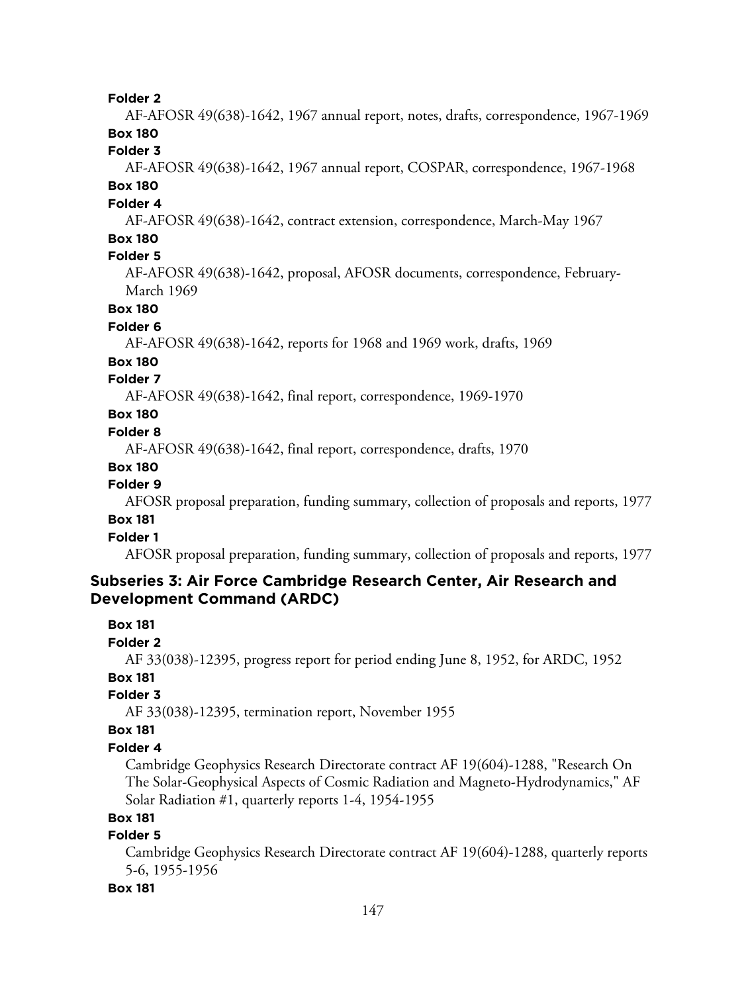AF-AFOSR 49(638)-1642, 1967 annual report, notes, drafts, correspondence, 1967-1969 **Box 180**

**Folder 3**

AF-AFOSR 49(638)-1642, 1967 annual report, COSPAR, correspondence, 1967-1968 **Box 180**

## **Folder 4**

AF-AFOSR 49(638)-1642, contract extension, correspondence, March-May 1967

## **Box 180**

## **Folder 5**

AF-AFOSR 49(638)-1642, proposal, AFOSR documents, correspondence, February-March 1969

### **Box 180**

#### **Folder 6**

AF-AFOSR 49(638)-1642, reports for 1968 and 1969 work, drafts, 1969

#### **Box 180**

### **Folder 7**

AF-AFOSR 49(638)-1642, final report, correspondence, 1969-1970

## **Box 180**

#### **Folder 8**

AF-AFOSR 49(638)-1642, final report, correspondence, drafts, 1970

#### **Box 180**

### **Folder 9**

AFOSR proposal preparation, funding summary, collection of proposals and reports, 1977

### **Box 181**

## **Folder 1**

AFOSR proposal preparation, funding summary, collection of proposals and reports, 1977

## **Subseries 3: Air Force Cambridge Research Center, Air Research and Development Command (ARDC)**

#### **Box 181**

**Folder 2**

AF 33(038)-12395, progress report for period ending June 8, 1952, for ARDC, 1952

## **Box 181**

## **Folder 3**

AF 33(038)-12395, termination report, November 1955

#### **Box 181**

#### **Folder 4**

Cambridge Geophysics Research Directorate contract AF 19(604)-1288, "Research On The Solar-Geophysical Aspects of Cosmic Radiation and Magneto-Hydrodynamics," AF Solar Radiation #1, quarterly reports 1-4, 1954-1955

## **Box 181**

## **Folder 5**

Cambridge Geophysics Research Directorate contract AF 19(604)-1288, quarterly reports 5-6, 1955-1956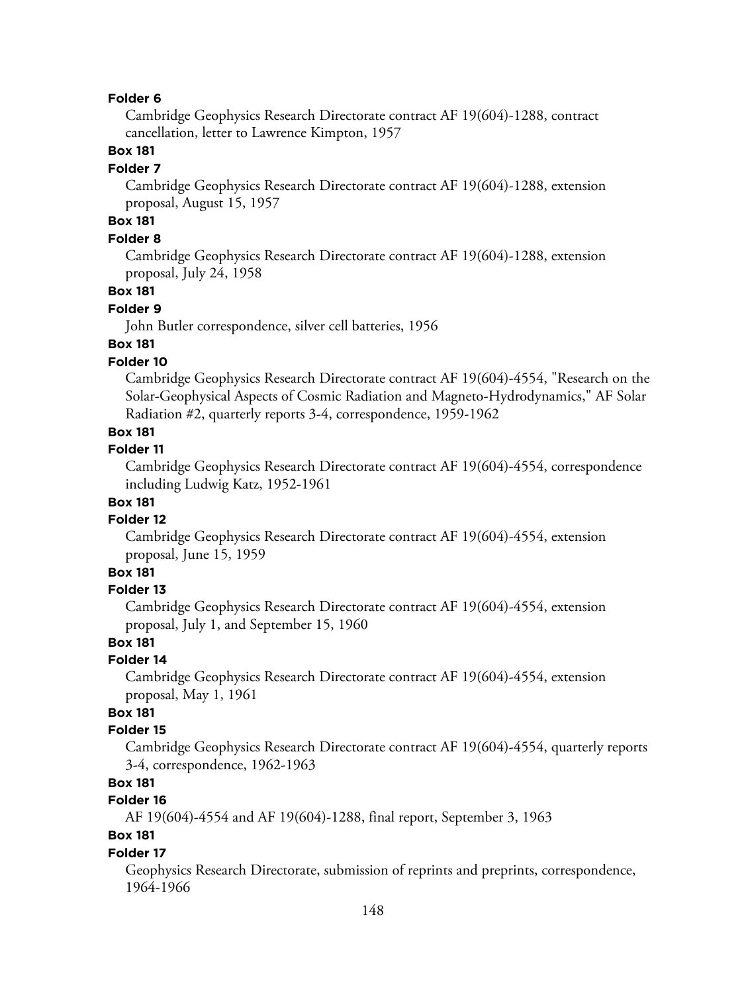Cambridge Geophysics Research Directorate contract AF 19(604)-1288, contract cancellation, letter to Lawrence Kimpton, 1957

### **Box 181**

#### **Folder 7**

Cambridge Geophysics Research Directorate contract AF 19(604)-1288, extension proposal, August 15, 1957

## **Box 181**

## **Folder 8**

Cambridge Geophysics Research Directorate contract AF 19(604)-1288, extension proposal, July 24, 1958

#### **Box 181**

#### **Folder 9**

John Butler correspondence, silver cell batteries, 1956

## **Box 181**

## **Folder 10**

Cambridge Geophysics Research Directorate contract AF 19(604)-4554, "Research on the Solar-Geophysical Aspects of Cosmic Radiation and Magneto-Hydrodynamics," AF Solar Radiation #2, quarterly reports 3-4, correspondence, 1959-1962

## **Box 181**

#### **Folder 11**

Cambridge Geophysics Research Directorate contract AF 19(604)-4554, correspondence including Ludwig Katz, 1952-1961

## **Box 181**

#### **Folder 12**

Cambridge Geophysics Research Directorate contract AF 19(604)-4554, extension proposal, June 15, 1959

## **Box 181**

#### **Folder 13**

Cambridge Geophysics Research Directorate contract AF 19(604)-4554, extension proposal, July 1, and September 15, 1960

## **Box 181**

#### **Folder 14**

Cambridge Geophysics Research Directorate contract AF 19(604)-4554, extension proposal, May 1, 1961

## **Box 181**

#### **Folder 15**

Cambridge Geophysics Research Directorate contract AF 19(604)-4554, quarterly reports 3-4, correspondence, 1962-1963

## **Box 181**

## **Folder 16**

AF 19(604)-4554 and AF 19(604)-1288, final report, September 3, 1963

## **Box 181**

#### **Folder 17**

Geophysics Research Directorate, submission of reprints and preprints, correspondence, 1964-1966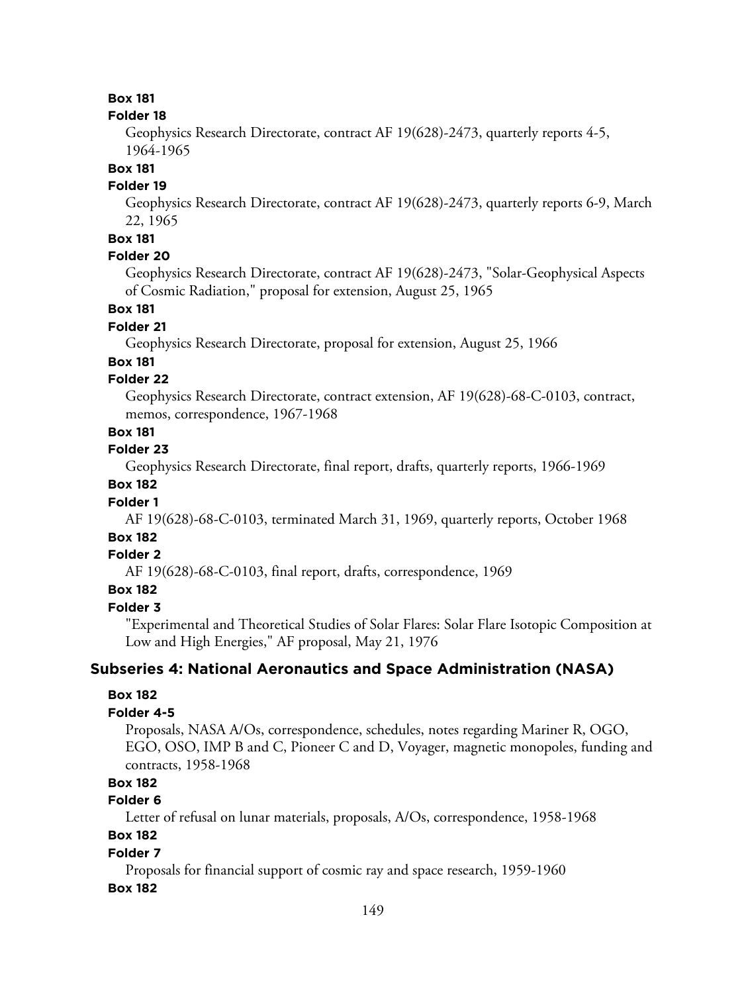#### **Folder 18**

Geophysics Research Directorate, contract AF 19(628)-2473, quarterly reports 4-5, 1964-1965

#### **Box 181**

#### **Folder 19**

Geophysics Research Directorate, contract AF 19(628)-2473, quarterly reports 6-9, March 22, 1965

## **Box 181**

## **Folder 20**

Geophysics Research Directorate, contract AF 19(628)-2473, "Solar-Geophysical Aspects of Cosmic Radiation," proposal for extension, August 25, 1965

## **Box 181**

#### **Folder 21**

Geophysics Research Directorate, proposal for extension, August 25, 1966

#### **Box 181**

## **Folder 22**

Geophysics Research Directorate, contract extension, AF 19(628)-68-C-0103, contract, memos, correspondence, 1967-1968

### **Box 181**

### **Folder 23**

Geophysics Research Directorate, final report, drafts, quarterly reports, 1966-1969

## **Box 182**

#### **Folder 1**

AF 19(628)-68-C-0103, terminated March 31, 1969, quarterly reports, October 1968

## **Box 182**

## **Folder 2**

AF 19(628)-68-C-0103, final report, drafts, correspondence, 1969

## **Box 182**

## **Folder 3**

"Experimental and Theoretical Studies of Solar Flares: Solar Flare Isotopic Composition at Low and High Energies," AF proposal, May 21, 1976

## **Subseries 4: National Aeronautics and Space Administration (NASA)**

#### **Box 182**

#### **Folder 4-5**

Proposals, NASA A/Os, correspondence, schedules, notes regarding Mariner R, OGO, EGO, OSO, IMP B and C, Pioneer C and D, Voyager, magnetic monopoles, funding and contracts, 1958-1968

### **Box 182**

#### **Folder 6**

Letter of refusal on lunar materials, proposals, A/Os, correspondence, 1958-1968

## **Box 182**

#### **Folder 7**

Proposals for financial support of cosmic ray and space research, 1959-1960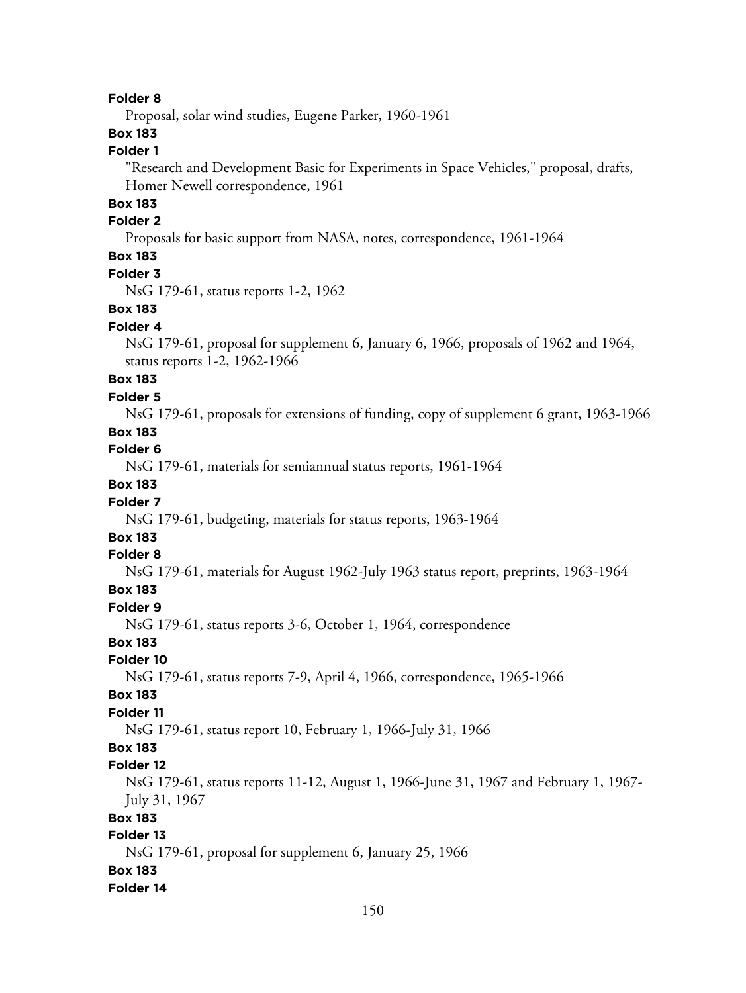Proposal, solar wind studies, Eugene Parker, 1960-1961

## **Box 183**

## **Folder 1**

"Research and Development Basic for Experiments in Space Vehicles," proposal, drafts, Homer Newell correspondence, 1961

## **Box 183**

#### **Folder 2**

Proposals for basic support from NASA, notes, correspondence, 1961-1964

## **Box 183**

#### **Folder 3**

NsG 179-61, status reports 1-2, 1962

#### **Box 183**

#### **Folder 4**

NsG 179-61, proposal for supplement 6, January 6, 1966, proposals of 1962 and 1964, status reports 1-2, 1962-1966

## **Box 183**

#### **Folder 5**

NsG 179-61, proposals for extensions of funding, copy of supplement 6 grant, 1963-1966

## **Box 183**

**Folder 6**

NsG 179-61, materials for semiannual status reports, 1961-1964

## **Box 183**

### **Folder 7**

NsG 179-61, budgeting, materials for status reports, 1963-1964

## **Box 183**

#### **Folder 8**

NsG 179-61, materials for August 1962-July 1963 status report, preprints, 1963-1964

### **Box 183**

#### **Folder 9**

NsG 179-61, status reports 3-6, October 1, 1964, correspondence

## **Box 183**

#### **Folder 10**

NsG 179-61, status reports 7-9, April 4, 1966, correspondence, 1965-1966

#### **Box 183**

#### **Folder 11**

NsG 179-61, status report 10, February 1, 1966-July 31, 1966

## **Box 183**

#### **Folder 12**

NsG 179-61, status reports 11-12, August 1, 1966-June 31, 1967 and February 1, 1967- July 31, 1967

#### **Box 183**

#### **Folder 13**

NsG 179-61, proposal for supplement 6, January 25, 1966

#### **Box 183**

#### **Folder 14**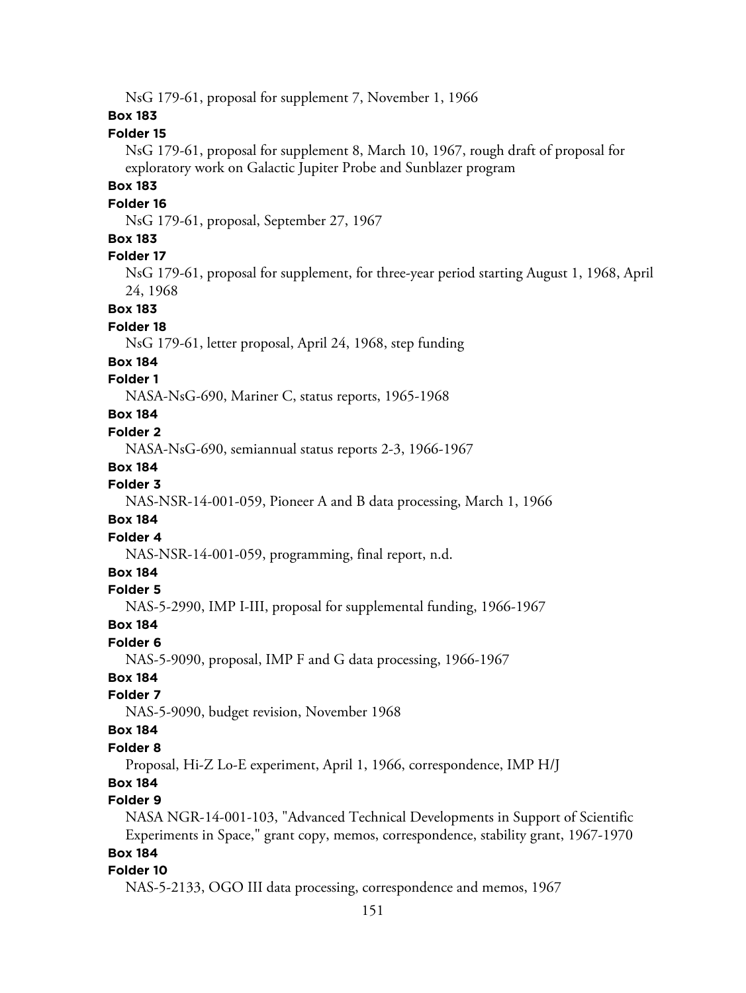NsG 179-61, proposal for supplement 7, November 1, 1966 **Box 183 Folder 15** NsG 179-61, proposal for supplement 8, March 10, 1967, rough draft of proposal for exploratory work on Galactic Jupiter Probe and Sunblazer program **Box 183 Folder 16** NsG 179-61, proposal, September 27, 1967 **Box 183 Folder 17** NsG 179-61, proposal for supplement, for three-year period starting August 1, 1968, April 24, 1968 **Box 183 Folder 18** NsG 179-61, letter proposal, April 24, 1968, step funding **Box 184 Folder 1** NASA-NsG-690, Mariner C, status reports, 1965-1968 **Box 184 Folder 2** NASA-NsG-690, semiannual status reports 2-3, 1966-1967 **Box 184 Folder 3** NAS-NSR-14-001-059, Pioneer A and B data processing, March 1, 1966 **Box 184 Folder 4** NAS-NSR-14-001-059, programming, final report, n.d. **Box 184 Folder 5** NAS-5-2990, IMP I-III, proposal for supplemental funding, 1966-1967 **Box 184 Folder 6** NAS-5-9090, proposal, IMP F and G data processing, 1966-1967 **Box 184 Folder 7** NAS-5-9090, budget revision, November 1968 **Box 184 Folder 8** Proposal, Hi-Z Lo-E experiment, April 1, 1966, correspondence, IMP H/J **Box 184 Folder 9** NASA NGR-14-001-103, "Advanced Technical Developments in Support of Scientific Experiments in Space," grant copy, memos, correspondence, stability grant, 1967-1970 **Box 184 Folder 10**

NAS-5-2133, OGO III data processing, correspondence and memos, 1967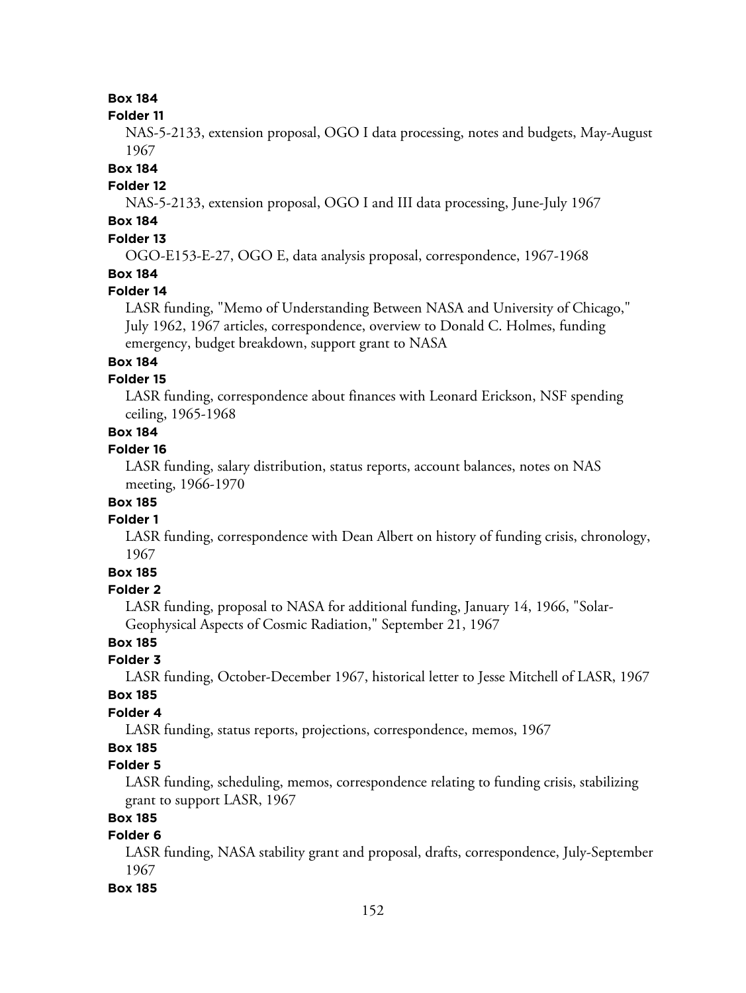#### **Folder 11**

NAS-5-2133, extension proposal, OGO I data processing, notes and budgets, May-August 1967

### **Box 184**

## **Folder 12**

NAS-5-2133, extension proposal, OGO I and III data processing, June-July 1967

## **Box 184**

## **Folder 13**

OGO-E153-E-27, OGO E, data analysis proposal, correspondence, 1967-1968

## **Box 184**

## **Folder 14**

LASR funding, "Memo of Understanding Between NASA and University of Chicago," July 1962, 1967 articles, correspondence, overview to Donald C. Holmes, funding emergency, budget breakdown, support grant to NASA

## **Box 184**

## **Folder 15**

LASR funding, correspondence about finances with Leonard Erickson, NSF spending ceiling, 1965-1968

## **Box 184**

## **Folder 16**

LASR funding, salary distribution, status reports, account balances, notes on NAS meeting, 1966-1970

## **Box 185**

## **Folder 1**

LASR funding, correspondence with Dean Albert on history of funding crisis, chronology, 1967

## **Box 185**

## **Folder 2**

LASR funding, proposal to NASA for additional funding, January 14, 1966, "Solar-Geophysical Aspects of Cosmic Radiation," September 21, 1967

## **Box 185**

## **Folder 3**

LASR funding, October-December 1967, historical letter to Jesse Mitchell of LASR, 1967

## **Box 185**

## **Folder 4**

LASR funding, status reports, projections, correspondence, memos, 1967

## **Box 185**

## **Folder 5**

LASR funding, scheduling, memos, correspondence relating to funding crisis, stabilizing grant to support LASR, 1967

## **Box 185**

## **Folder 6**

LASR funding, NASA stability grant and proposal, drafts, correspondence, July-September 1967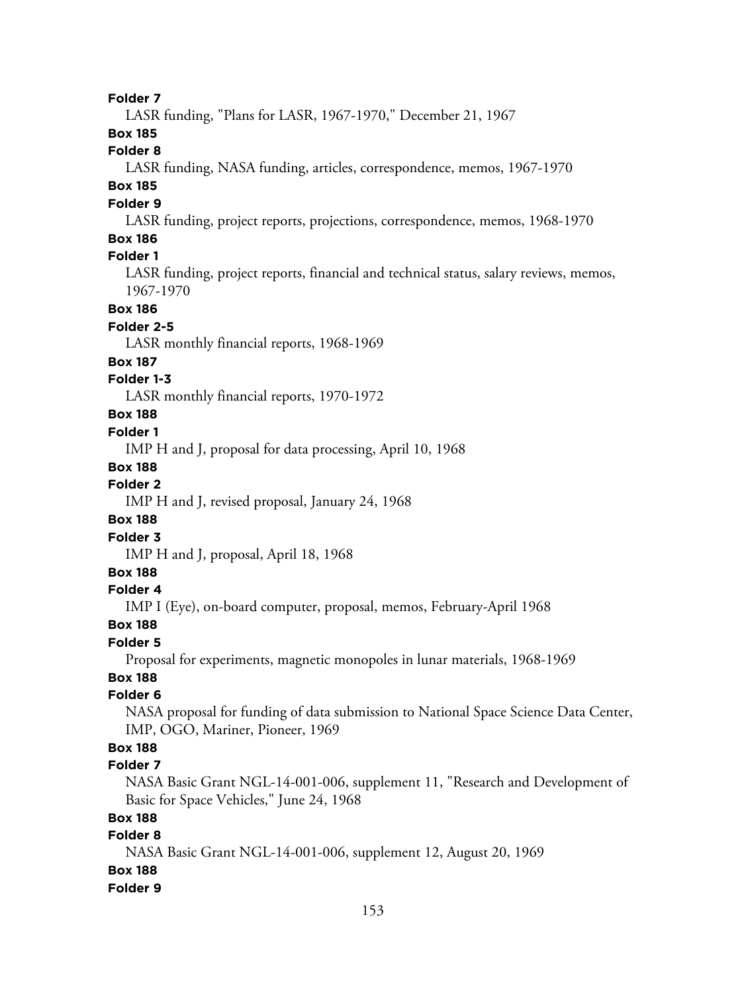LASR funding, "Plans for LASR, 1967-1970," December 21, 1967

**Box 185**

**Folder 8**

LASR funding, NASA funding, articles, correspondence, memos, 1967-1970

## **Box 185**

## **Folder 9**

LASR funding, project reports, projections, correspondence, memos, 1968-1970

## **Box 186**

## **Folder 1**

LASR funding, project reports, financial and technical status, salary reviews, memos, 1967-1970

#### **Box 186**

#### **Folder 2-5**

LASR monthly financial reports, 1968-1969

#### **Box 187**

## **Folder 1-3**

LASR monthly financial reports, 1970-1972

## **Box 188**

## **Folder 1**

IMP H and J, proposal for data processing, April 10, 1968

#### **Box 188**

#### **Folder 2**

IMP H and J, revised proposal, January 24, 1968

## **Box 188**

## **Folder 3**

IMP H and J, proposal, April 18, 1968

## **Box 188**

## **Folder 4**

IMP I (Eye), on-board computer, proposal, memos, February-April 1968

#### **Box 188**

#### **Folder 5**

Proposal for experiments, magnetic monopoles in lunar materials, 1968-1969

## **Box 188**

## **Folder 6**

NASA proposal for funding of data submission to National Space Science Data Center, IMP, OGO, Mariner, Pioneer, 1969

## **Box 188**

#### **Folder 7**

NASA Basic Grant NGL-14-001-006, supplement 11, "Research and Development of Basic for Space Vehicles," June 24, 1968

## **Box 188**

## **Folder 8**

NASA Basic Grant NGL-14-001-006, supplement 12, August 20, 1969 **Box 188**

#### **Folder 9**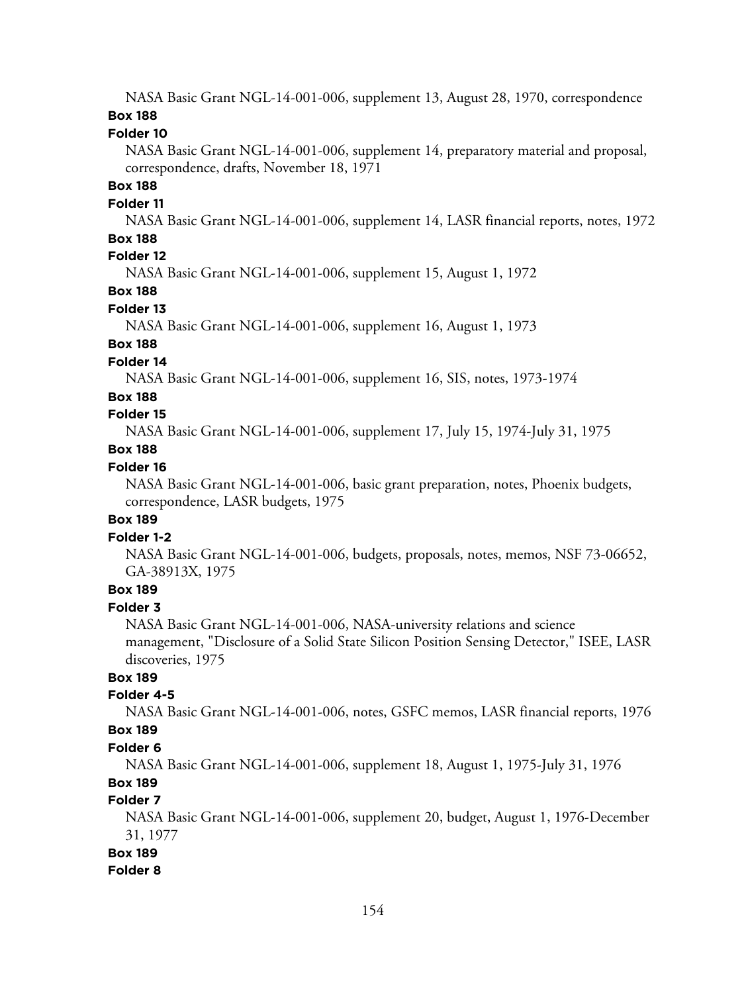NASA Basic Grant NGL-14-001-006, supplement 13, August 28, 1970, correspondence **Box 188**

#### **Folder 10**

NASA Basic Grant NGL-14-001-006, supplement 14, preparatory material and proposal, correspondence, drafts, November 18, 1971

## **Box 188**

#### **Folder 11**

NASA Basic Grant NGL-14-001-006, supplement 14, LASR financial reports, notes, 1972

## **Box 188**

## **Folder 12**

NASA Basic Grant NGL-14-001-006, supplement 15, August 1, 1972

## **Box 188**

### **Folder 13**

NASA Basic Grant NGL-14-001-006, supplement 16, August 1, 1973

## **Box 188**

#### **Folder 14**

NASA Basic Grant NGL-14-001-006, supplement 16, SIS, notes, 1973-1974

#### **Box 188**

### **Folder 15**

NASA Basic Grant NGL-14-001-006, supplement 17, July 15, 1974-July 31, 1975

### **Box 188**

## **Folder 16**

NASA Basic Grant NGL-14-001-006, basic grant preparation, notes, Phoenix budgets, correspondence, LASR budgets, 1975

### **Box 189**

#### **Folder 1-2**

NASA Basic Grant NGL-14-001-006, budgets, proposals, notes, memos, NSF 73-06652, GA-38913X, 1975

## **Box 189**

## **Folder 3**

NASA Basic Grant NGL-14-001-006, NASA-university relations and science management, "Disclosure of a Solid State Silicon Position Sensing Detector," ISEE, LASR discoveries, 1975

## **Box 189**

## **Folder 4-5**

NASA Basic Grant NGL-14-001-006, notes, GSFC memos, LASR financial reports, 1976

## **Box 189**

## **Folder 6**

NASA Basic Grant NGL-14-001-006, supplement 18, August 1, 1975-July 31, 1976

## **Box 189**

## **Folder 7**

NASA Basic Grant NGL-14-001-006, supplement 20, budget, August 1, 1976-December 31, 1977

#### **Box 189**

#### **Folder 8**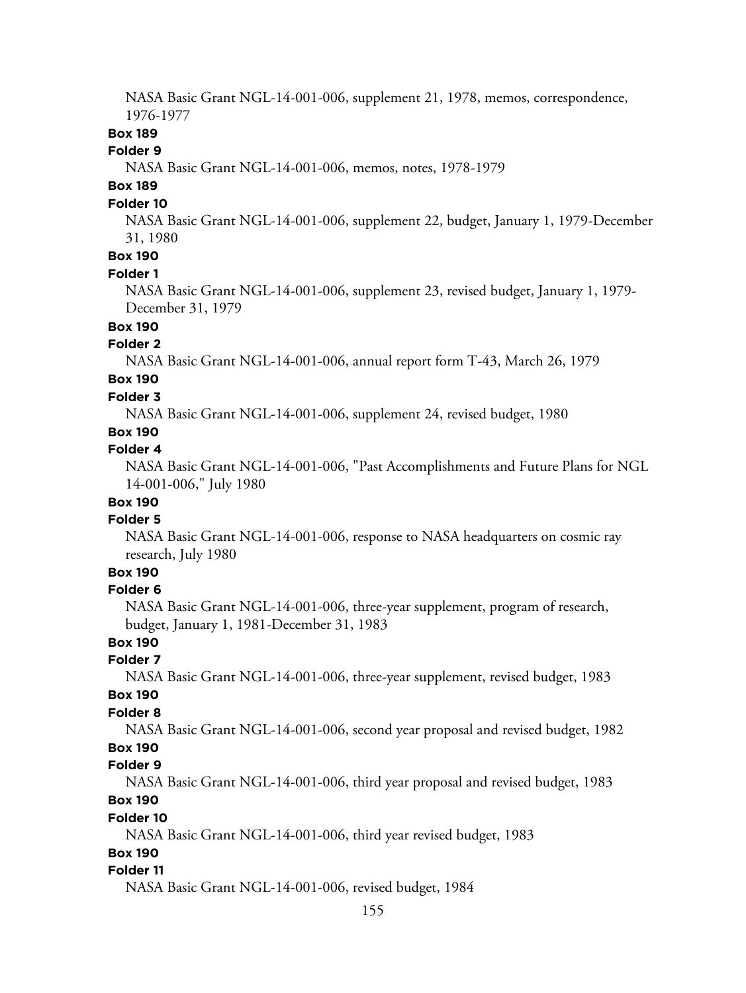NASA Basic Grant NGL-14-001-006, supplement 21, 1978, memos, correspondence, 1976-1977

#### **Box 189**

#### **Folder 9**

NASA Basic Grant NGL-14-001-006, memos, notes, 1978-1979

## **Box 189**

#### **Folder 10**

NASA Basic Grant NGL-14-001-006, supplement 22, budget, January 1, 1979-December 31, 1980

## **Box 190**

### **Folder 1**

NASA Basic Grant NGL-14-001-006, supplement 23, revised budget, January 1, 1979- December 31, 1979

## **Box 190**

#### **Folder 2**

NASA Basic Grant NGL-14-001-006, annual report form T-43, March 26, 1979

## **Box 190**

## **Folder 3**

NASA Basic Grant NGL-14-001-006, supplement 24, revised budget, 1980

## **Box 190**

## **Folder 4**

NASA Basic Grant NGL-14-001-006, "Past Accomplishments and Future Plans for NGL 14-001-006," July 1980

## **Box 190**

#### **Folder 5**

NASA Basic Grant NGL-14-001-006, response to NASA headquarters on cosmic ray research, July 1980

## **Box 190**

#### **Folder 6**

NASA Basic Grant NGL-14-001-006, three-year supplement, program of research, budget, January 1, 1981-December 31, 1983

## **Box 190**

## **Folder 7**

NASA Basic Grant NGL-14-001-006, three-year supplement, revised budget, 1983

#### **Box 190**

#### **Folder 8**

NASA Basic Grant NGL-14-001-006, second year proposal and revised budget, 1982

## **Box 190**

#### **Folder 9**

NASA Basic Grant NGL-14-001-006, third year proposal and revised budget, 1983

## **Box 190**

#### **Folder 10**

NASA Basic Grant NGL-14-001-006, third year revised budget, 1983

### **Box 190**

#### **Folder 11**

NASA Basic Grant NGL-14-001-006, revised budget, 1984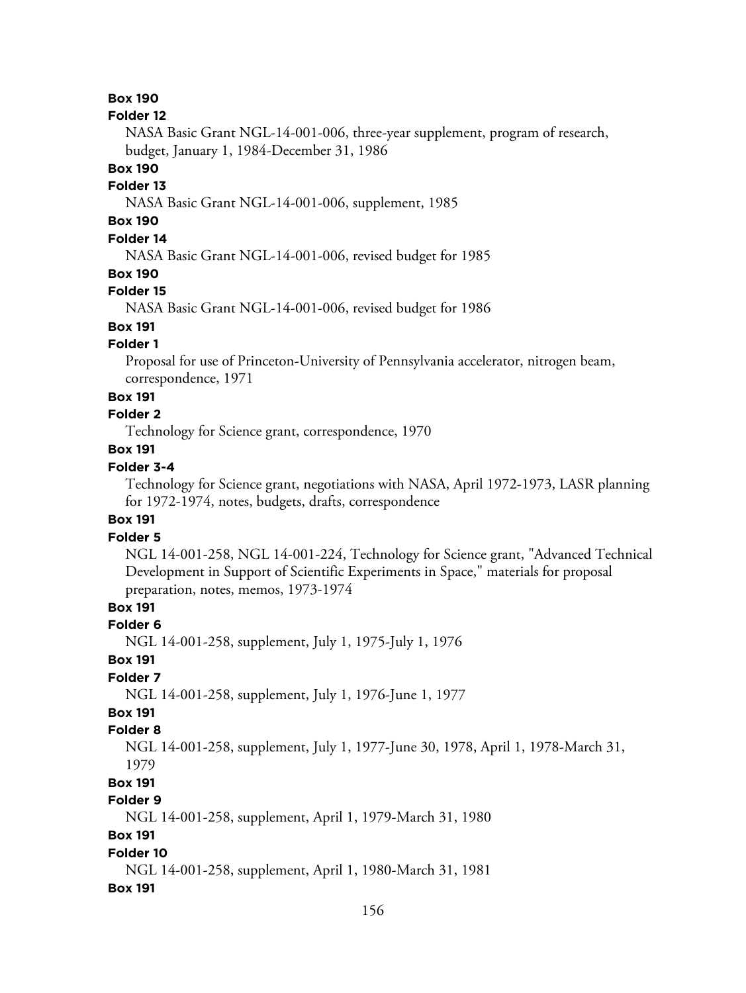#### **Folder 12**

NASA Basic Grant NGL-14-001-006, three-year supplement, program of research, budget, January 1, 1984-December 31, 1986

**Box 190**

#### **Folder 13**

NASA Basic Grant NGL-14-001-006, supplement, 1985

## **Box 190**

## **Folder 14**

NASA Basic Grant NGL-14-001-006, revised budget for 1985

#### **Box 190**

#### **Folder 15**

NASA Basic Grant NGL-14-001-006, revised budget for 1986

## **Box 191**

#### **Folder 1**

Proposal for use of Princeton-University of Pennsylvania accelerator, nitrogen beam, correspondence, 1971

#### **Box 191**

## **Folder 2**

Technology for Science grant, correspondence, 1970

## **Box 191**

## **Folder 3-4**

Technology for Science grant, negotiations with NASA, April 1972-1973, LASR planning for 1972-1974, notes, budgets, drafts, correspondence

### **Box 191**

### **Folder 5**

NGL 14-001-258, NGL 14-001-224, Technology for Science grant, "Advanced Technical Development in Support of Scientific Experiments in Space," materials for proposal preparation, notes, memos, 1973-1974

## **Box 191**

#### **Folder 6**

NGL 14-001-258, supplement, July 1, 1975-July 1, 1976

## **Box 191**

#### **Folder 7**

NGL 14-001-258, supplement, July 1, 1976-June 1, 1977

#### **Box 191 Folder 8**

NGL 14-001-258, supplement, July 1, 1977-June 30, 1978, April 1, 1978-March 31, 1979

## **Box 191**

## **Folder 9**

NGL 14-001-258, supplement, April 1, 1979-March 31, 1980

#### **Box 191**

#### **Folder 10**

NGL 14-001-258, supplement, April 1, 1980-March 31, 1981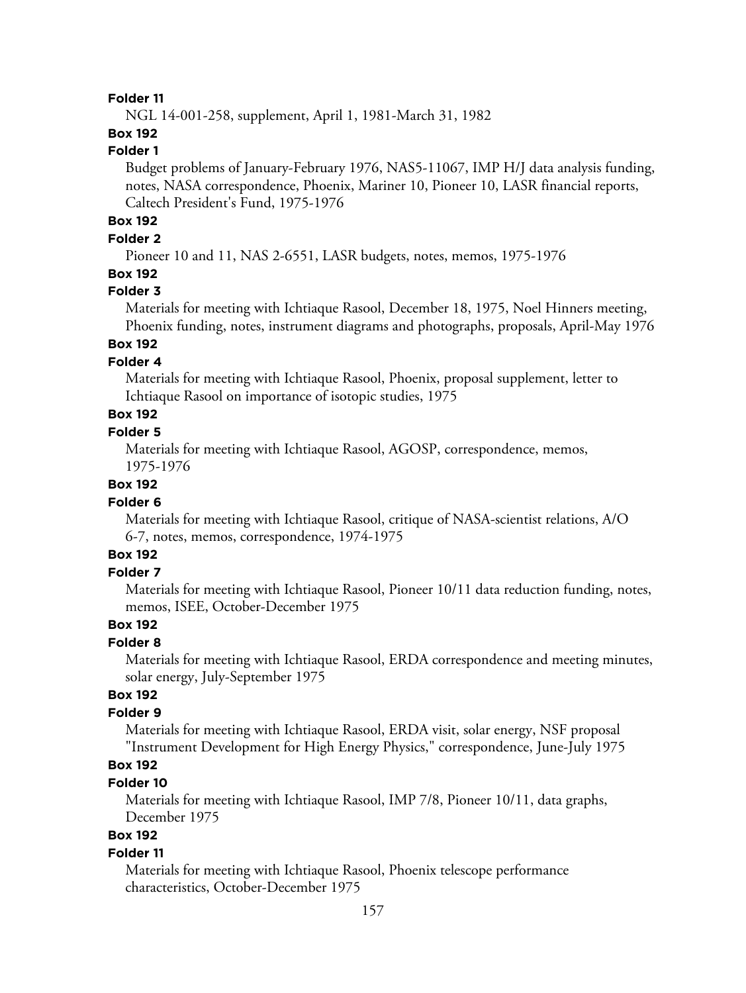NGL 14-001-258, supplement, April 1, 1981-March 31, 1982

## **Box 192**

## **Folder 1**

Budget problems of January-February 1976, NAS5-11067, IMP H/J data analysis funding, notes, NASA correspondence, Phoenix, Mariner 10, Pioneer 10, LASR financial reports, Caltech President's Fund, 1975-1976

## **Box 192**

## **Folder 2**

Pioneer 10 and 11, NAS 2-6551, LASR budgets, notes, memos, 1975-1976

## **Box 192**

#### **Folder 3**

Materials for meeting with Ichtiaque Rasool, December 18, 1975, Noel Hinners meeting, Phoenix funding, notes, instrument diagrams and photographs, proposals, April-May 1976

## **Box 192**

#### **Folder 4**

Materials for meeting with Ichtiaque Rasool, Phoenix, proposal supplement, letter to Ichtiaque Rasool on importance of isotopic studies, 1975

## **Box 192**

## **Folder 5**

Materials for meeting with Ichtiaque Rasool, AGOSP, correspondence, memos, 1975-1976

#### **Box 192**

#### **Folder 6**

Materials for meeting with Ichtiaque Rasool, critique of NASA-scientist relations, A/O 6-7, notes, memos, correspondence, 1974-1975

## **Box 192**

## **Folder 7**

Materials for meeting with Ichtiaque Rasool, Pioneer 10/11 data reduction funding, notes, memos, ISEE, October-December 1975

## **Box 192**

### **Folder 8**

Materials for meeting with Ichtiaque Rasool, ERDA correspondence and meeting minutes, solar energy, July-September 1975

## **Box 192**

### **Folder 9**

Materials for meeting with Ichtiaque Rasool, ERDA visit, solar energy, NSF proposal "Instrument Development for High Energy Physics," correspondence, June-July 1975

## **Box 192**

## **Folder 10**

Materials for meeting with Ichtiaque Rasool, IMP 7/8, Pioneer 10/11, data graphs, December 1975

## **Box 192**

#### **Folder 11**

Materials for meeting with Ichtiaque Rasool, Phoenix telescope performance characteristics, October-December 1975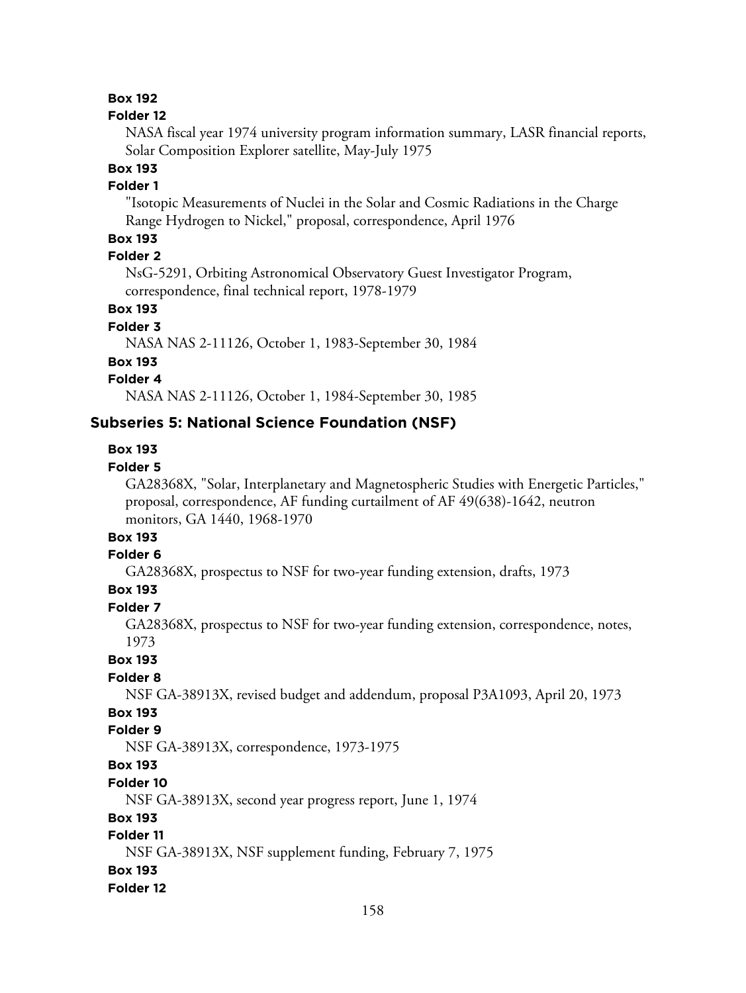#### **Folder 12**

NASA fiscal year 1974 university program information summary, LASR financial reports, Solar Composition Explorer satellite, May-July 1975

### **Box 193**

#### **Folder 1**

"Isotopic Measurements of Nuclei in the Solar and Cosmic Radiations in the Charge Range Hydrogen to Nickel," proposal, correspondence, April 1976

## **Box 193**

## **Folder 2**

NsG-5291, Orbiting Astronomical Observatory Guest Investigator Program, correspondence, final technical report, 1978-1979

## **Box 193**

#### **Folder 3**

NASA NAS 2-11126, October 1, 1983-September 30, 1984

#### **Box 193**

## **Folder 4**

NASA NAS 2-11126, October 1, 1984-September 30, 1985

## **Subseries 5: National Science Foundation (NSF)**

#### **Box 193**

#### **Folder 5**

GA28368X, "Solar, Interplanetary and Magnetospheric Studies with Energetic Particles," proposal, correspondence, AF funding curtailment of AF 49(638)-1642, neutron monitors, GA 1440, 1968-1970

## **Box 193**

## **Folder 6**

GA28368X, prospectus to NSF for two-year funding extension, drafts, 1973

## **Box 193**

## **Folder 7**

GA28368X, prospectus to NSF for two-year funding extension, correspondence, notes, 1973

**Box 193**

## **Folder 8**

NSF GA-38913X, revised budget and addendum, proposal P3A1093, April 20, 1973

## **Box 193**

## **Folder 9**

NSF GA-38913X, correspondence, 1973-1975

## **Box 193**

## **Folder 10**

NSF GA-38913X, second year progress report, June 1, 1974

#### **Box 193**

## **Folder 11**

NSF GA-38913X, NSF supplement funding, February 7, 1975

#### **Box 193**

#### **Folder 12**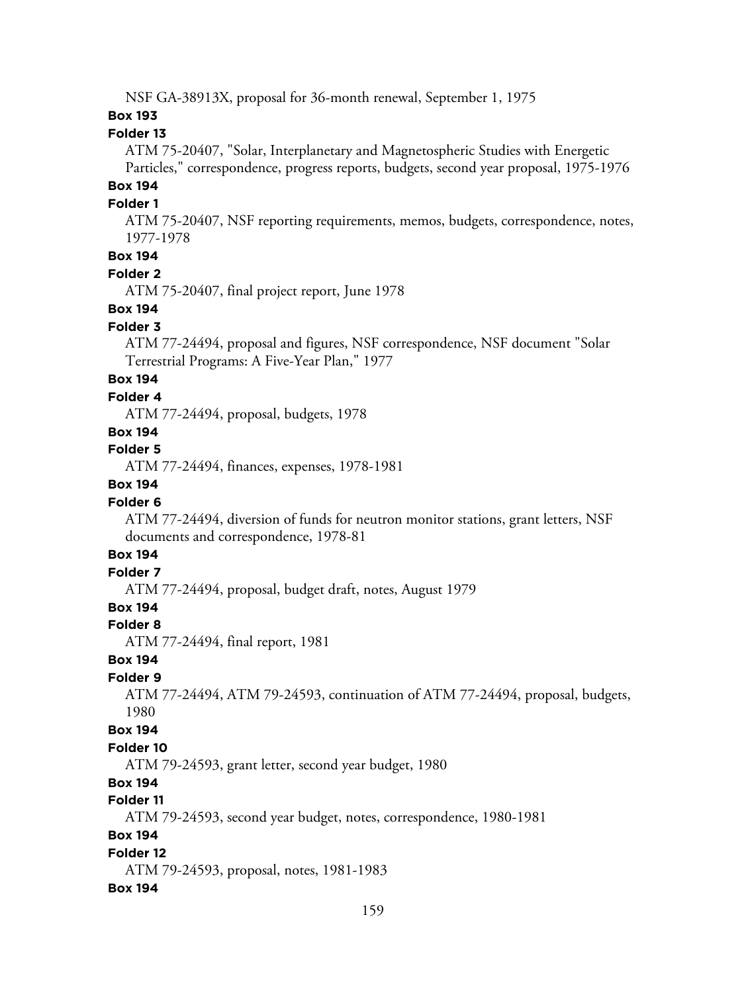NSF GA-38913X, proposal for 36-month renewal, September 1, 1975

#### **Box 193**

#### **Folder 13**

ATM 75-20407, "Solar, Interplanetary and Magnetospheric Studies with Energetic Particles," correspondence, progress reports, budgets, second year proposal, 1975-1976

## **Box 194**

#### **Folder 1**

ATM 75-20407, NSF reporting requirements, memos, budgets, correspondence, notes, 1977-1978

## **Box 194**

#### **Folder 2**

ATM 75-20407, final project report, June 1978

#### **Box 194**

#### **Folder 3**

ATM 77-24494, proposal and figures, NSF correspondence, NSF document "Solar Terrestrial Programs: A Five-Year Plan," 1977

## **Box 194**

#### **Folder 4**

ATM 77-24494, proposal, budgets, 1978

## **Box 194**

**Folder 5**

ATM 77-24494, finances, expenses, 1978-1981

#### **Box 194**

#### **Folder 6**

ATM 77-24494, diversion of funds for neutron monitor stations, grant letters, NSF documents and correspondence, 1978-81

### **Box 194**

### **Folder 7**

ATM 77-24494, proposal, budget draft, notes, August 1979

## **Box 194**

#### **Folder 8**

ATM 77-24494, final report, 1981

#### **Box 194**

#### **Folder 9**

ATM 77-24494, ATM 79-24593, continuation of ATM 77-24494, proposal, budgets, 1980

#### **Box 194**

#### **Folder 10**

ATM 79-24593, grant letter, second year budget, 1980

## **Box 194**

#### **Folder 11**

ATM 79-24593, second year budget, notes, correspondence, 1980-1981

#### **Box 194**

#### **Folder 12**

ATM 79-24593, proposal, notes, 1981-1983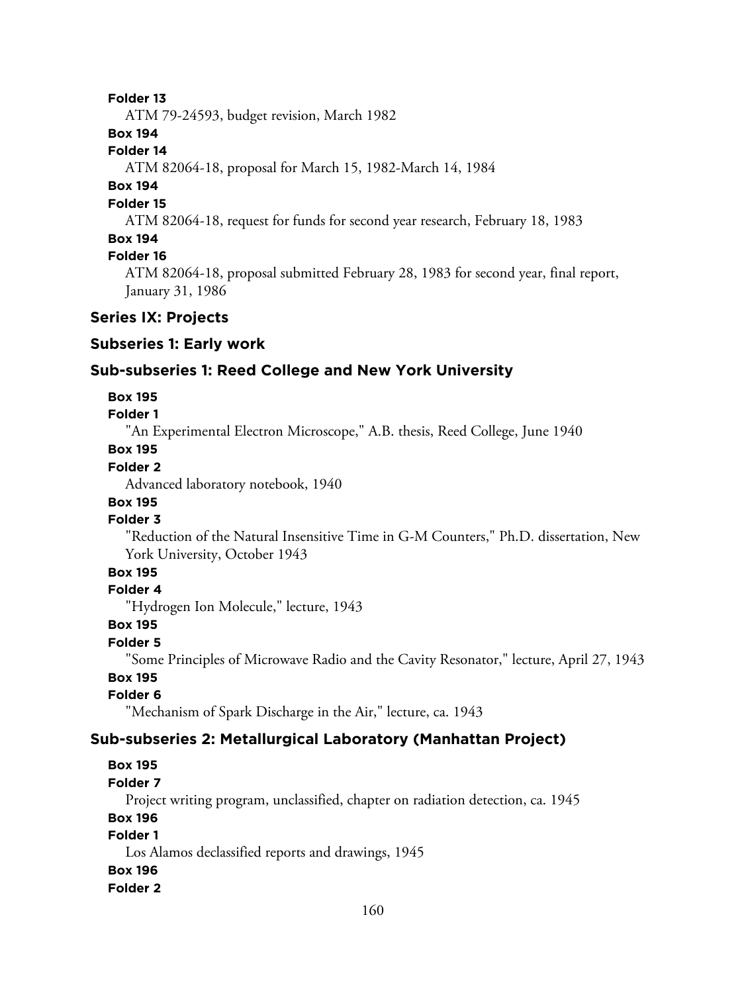ATM 79-24593, budget revision, March 1982

### **Box 194**

#### **Folder 14**

ATM 82064-18, proposal for March 15, 1982-March 14, 1984

## **Box 194**

## **Folder 15**

ATM 82064-18, request for funds for second year research, February 18, 1983

### **Box 194**

## **Folder 16**

ATM 82064-18, proposal submitted February 28, 1983 for second year, final report, January 31, 1986

### **Series IX: Projects**

#### **Subseries 1: Early work**

## **Sub-subseries 1: Reed College and New York University**

#### **Box 195**

## **Folder 1**

"An Experimental Electron Microscope," A.B. thesis, Reed College, June 1940

## **Box 195**

## **Folder 2**

Advanced laboratory notebook, 1940

## **Box 195**

## **Folder 3**

"Reduction of the Natural Insensitive Time in G-M Counters," Ph.D. dissertation, New York University, October 1943

## **Box 195**

#### **Folder 4**

"Hydrogen Ion Molecule," lecture, 1943

#### **Box 195**

#### **Folder 5**

"Some Principles of Microwave Radio and the Cavity Resonator," lecture, April 27, 1943

## **Box 195**

### **Folder 6**

"Mechanism of Spark Discharge in the Air," lecture, ca. 1943

## **Sub-subseries 2: Metallurgical Laboratory (Manhattan Project)**

## **Box 195**

#### **Folder 7**

Project writing program, unclassified, chapter on radiation detection, ca. 1945

#### **Box 196**

### **Folder 1**

Los Alamos declassified reports and drawings, 1945

#### **Box 196**

#### **Folder 2**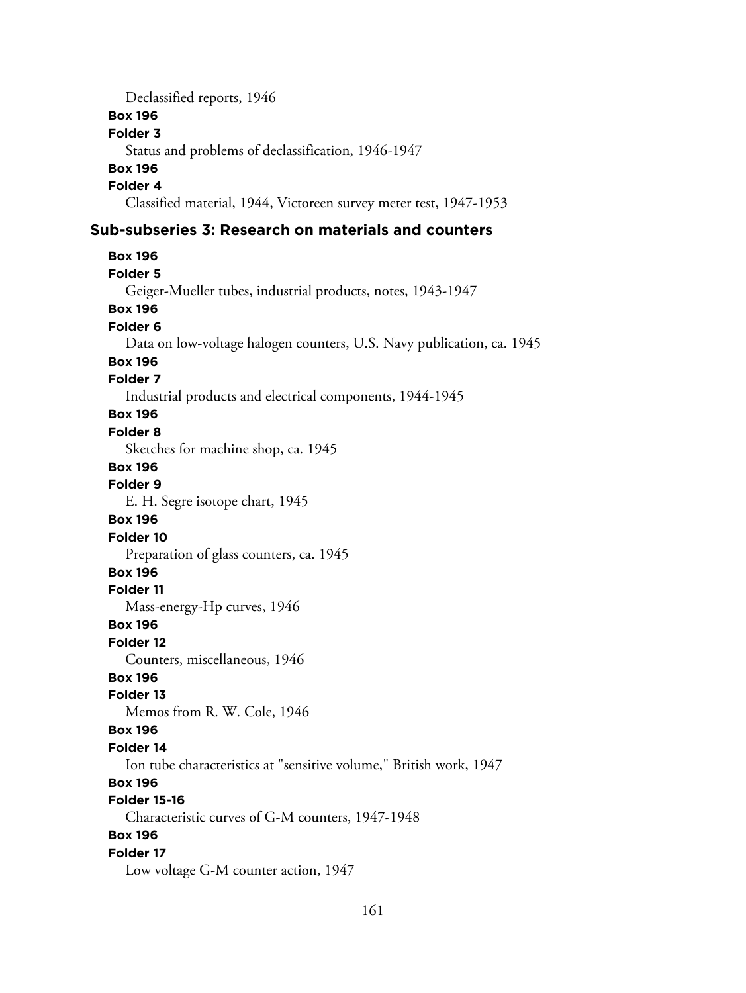Declassified reports, 1946 **Box 196 Folder 3** Status and problems of declassification, 1946-1947 **Box 196 Folder 4** Classified material, 1944, Victoreen survey meter test, 1947-1953

## **Sub-subseries 3: Research on materials and counters**

**Box 196 Folder 5** Geiger-Mueller tubes, industrial products, notes, 1943-1947 **Box 196 Folder 6** Data on low-voltage halogen counters, U.S. Navy publication, ca. 1945 **Box 196 Folder 7** Industrial products and electrical components, 1944-1945 **Box 196 Folder 8** Sketches for machine shop, ca. 1945 **Box 196 Folder 9** E. H. Segre isotope chart, 1945 **Box 196 Folder 10** Preparation of glass counters, ca. 1945 **Box 196 Folder 11** Mass-energy-Hp curves, 1946 **Box 196 Folder 12** Counters, miscellaneous, 1946 **Box 196 Folder 13** Memos from R. W. Cole, 1946 **Box 196 Folder 14** Ion tube characteristics at "sensitive volume," British work, 1947 **Box 196 Folder 15-16** Characteristic curves of G-M counters, 1947-1948 **Box 196 Folder 17** Low voltage G-M counter action, 1947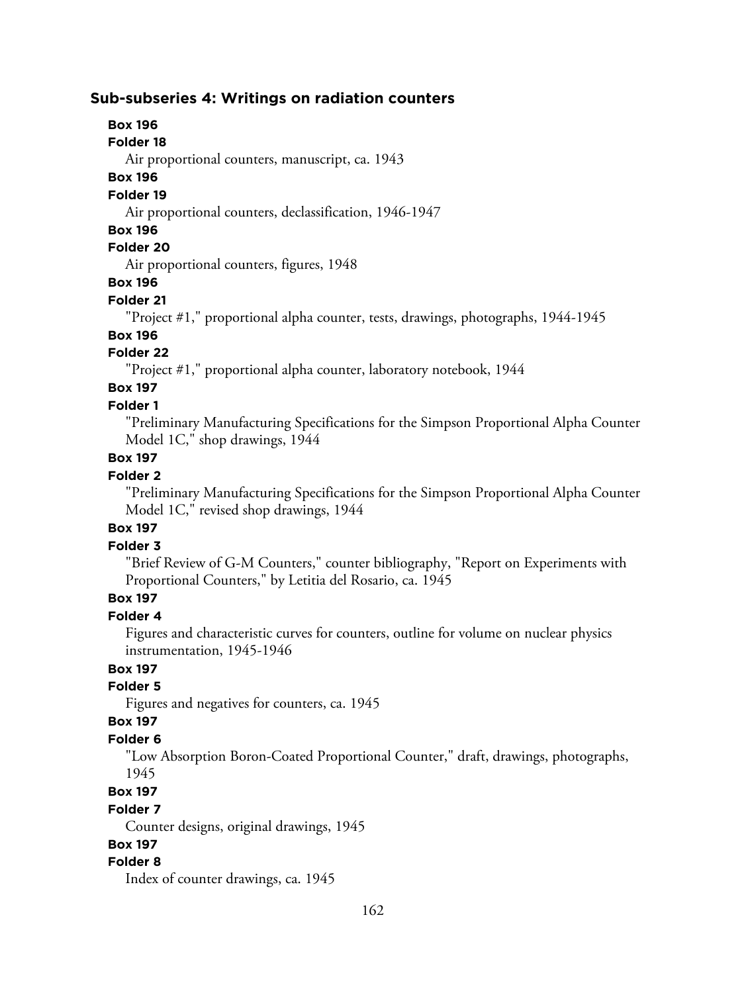## **Sub-subseries 4: Writings on radiation counters**

## **Box 196**

#### **Folder 18**

Air proportional counters, manuscript, ca. 1943

#### **Box 196**

#### **Folder 19**

Air proportional counters, declassification, 1946-1947

#### **Box 196**

## **Folder 20**

Air proportional counters, figures, 1948

### **Box 196**

## **Folder 21**

"Project #1," proportional alpha counter, tests, drawings, photographs, 1944-1945

## **Box 196**

## **Folder 22**

"Project #1," proportional alpha counter, laboratory notebook, 1944

## **Box 197**

## **Folder 1**

"Preliminary Manufacturing Specifications for the Simpson Proportional Alpha Counter Model 1C," shop drawings, 1944

## **Box 197**

#### **Folder 2**

"Preliminary Manufacturing Specifications for the Simpson Proportional Alpha Counter Model 1C," revised shop drawings, 1944

## **Box 197**

## **Folder 3**

"Brief Review of G-M Counters," counter bibliography, "Report on Experiments with Proportional Counters," by Letitia del Rosario, ca. 1945

## **Box 197**

## **Folder 4**

Figures and characteristic curves for counters, outline for volume on nuclear physics instrumentation, 1945-1946

## **Box 197**

## **Folder 5**

Figures and negatives for counters, ca. 1945

## **Box 197**

## **Folder 6**

"Low Absorption Boron-Coated Proportional Counter," draft, drawings, photographs, 1945

#### **Box 197**

#### **Folder 7**

Counter designs, original drawings, 1945

## **Box 197**

## **Folder 8**

Index of counter drawings, ca. 1945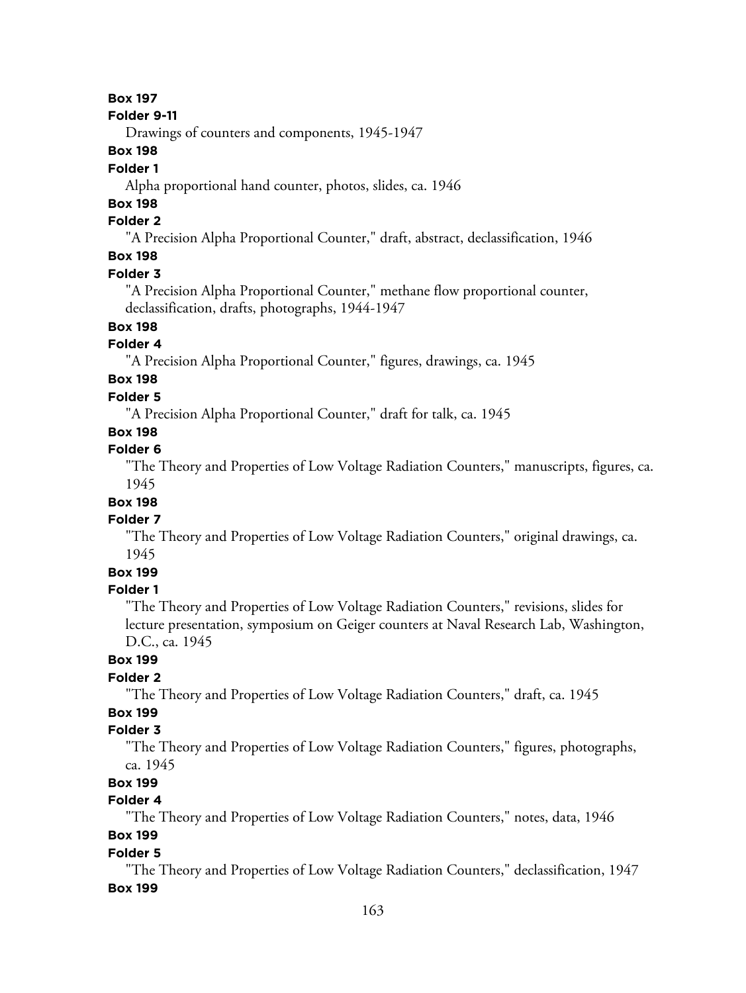#### **Folder 9-11**

Drawings of counters and components, 1945-1947

## **Box 198**

## **Folder 1**

Alpha proportional hand counter, photos, slides, ca. 1946

## **Box 198**

## **Folder 2**

"A Precision Alpha Proportional Counter," draft, abstract, declassification, 1946

## **Box 198**

## **Folder 3**

"A Precision Alpha Proportional Counter," methane flow proportional counter, declassification, drafts, photographs, 1944-1947

## **Box 198**

#### **Folder 4**

"A Precision Alpha Proportional Counter," figures, drawings, ca. 1945

## **Box 198**

## **Folder 5**

"A Precision Alpha Proportional Counter," draft for talk, ca. 1945

## **Box 198**

## **Folder 6**

"The Theory and Properties of Low Voltage Radiation Counters," manuscripts, figures, ca. 1945

## **Box 198**

## **Folder 7**

"The Theory and Properties of Low Voltage Radiation Counters," original drawings, ca. 1945

## **Box 199**

#### **Folder 1**

"The Theory and Properties of Low Voltage Radiation Counters," revisions, slides for lecture presentation, symposium on Geiger counters at Naval Research Lab, Washington, D.C., ca. 1945

## **Box 199**

## **Folder 2**

"The Theory and Properties of Low Voltage Radiation Counters," draft, ca. 1945

## **Box 199**

## **Folder 3**

"The Theory and Properties of Low Voltage Radiation Counters," figures, photographs, ca. 1945

## **Box 199**

## **Folder 4**

"The Theory and Properties of Low Voltage Radiation Counters," notes, data, 1946

## **Box 199**

### **Folder 5**

"The Theory and Properties of Low Voltage Radiation Counters," declassification, 1947 **Box 199**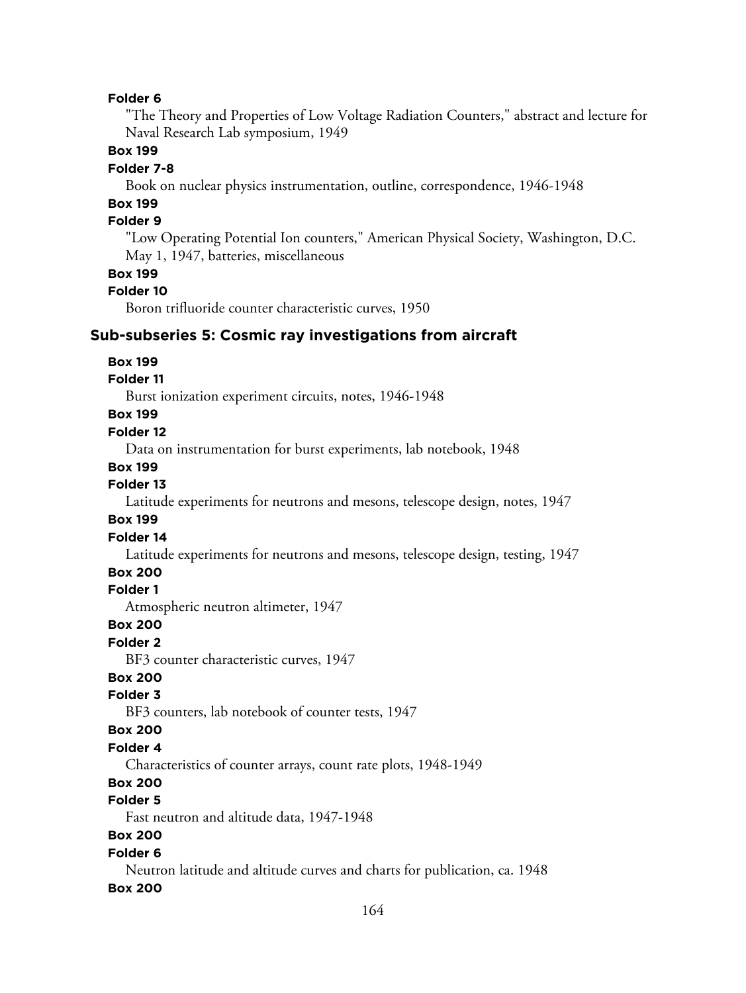"The Theory and Properties of Low Voltage Radiation Counters," abstract and lecture for Naval Research Lab symposium, 1949

#### **Box 199**

#### **Folder 7-8**

Book on nuclear physics instrumentation, outline, correspondence, 1946-1948

## **Box 199**

## **Folder 9**

"Low Operating Potential Ion counters," American Physical Society, Washington, D.C. May 1, 1947, batteries, miscellaneous

#### **Box 199**

#### **Folder 10**

Boron trifluoride counter characteristic curves, 1950

#### **Sub-subseries 5: Cosmic ray investigations from aircraft**

#### **Box 199**

#### **Folder 11**

Burst ionization experiment circuits, notes, 1946-1948

## **Box 199**

#### **Folder 12**

Data on instrumentation for burst experiments, lab notebook, 1948

#### **Box 199**

#### **Folder 13**

Latitude experiments for neutrons and mesons, telescope design, notes, 1947

#### **Box 199**

#### **Folder 14**

Latitude experiments for neutrons and mesons, telescope design, testing, 1947

#### **Box 200**

#### **Folder 1**

Atmospheric neutron altimeter, 1947

#### **Box 200**

#### **Folder 2**

BF3 counter characteristic curves, 1947

## **Box 200**

#### **Folder 3**

BF3 counters, lab notebook of counter tests, 1947

#### **Box 200**

## **Folder 4**

Characteristics of counter arrays, count rate plots, 1948-1949

## **Box 200**

## **Folder 5**

Fast neutron and altitude data, 1947-1948

## **Box 200**

#### **Folder 6**

Neutron latitude and altitude curves and charts for publication, ca. 1948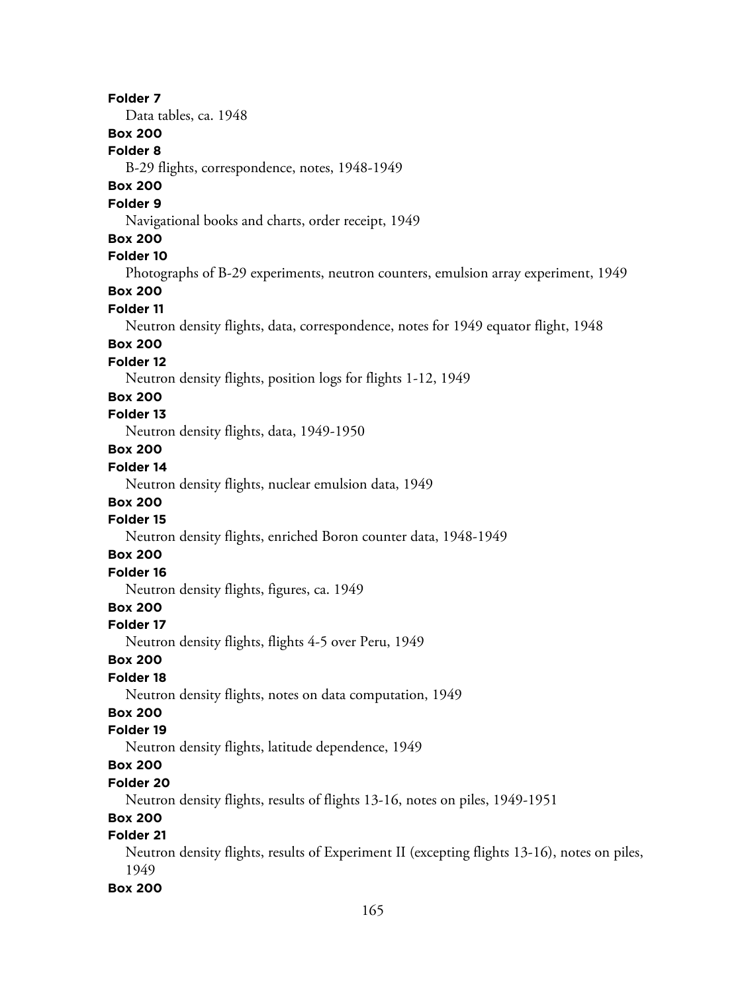**Folder 7** Data tables, ca. 1948 **Box 200 Folder 8** B-29 flights, correspondence, notes, 1948-1949 **Box 200 Folder 9** Navigational books and charts, order receipt, 1949 **Box 200 Folder 10** Photographs of B-29 experiments, neutron counters, emulsion array experiment, 1949 **Box 200 Folder 11** Neutron density flights, data, correspondence, notes for 1949 equator flight, 1948 **Box 200 Folder 12** Neutron density flights, position logs for flights 1-12, 1949 **Box 200 Folder 13** Neutron density flights, data, 1949-1950 **Box 200 Folder 14** Neutron density flights, nuclear emulsion data, 1949 **Box 200 Folder 15** Neutron density flights, enriched Boron counter data, 1948-1949 **Box 200 Folder 16** Neutron density flights, figures, ca. 1949 **Box 200 Folder 17** Neutron density flights, flights 4-5 over Peru, 1949 **Box 200 Folder 18** Neutron density flights, notes on data computation, 1949 **Box 200 Folder 19** Neutron density flights, latitude dependence, 1949 **Box 200 Folder 20** Neutron density flights, results of flights 13-16, notes on piles, 1949-1951 **Box 200 Folder 21** Neutron density flights, results of Experiment II (excepting flights 13-16), notes on piles, 1949 **Box 200**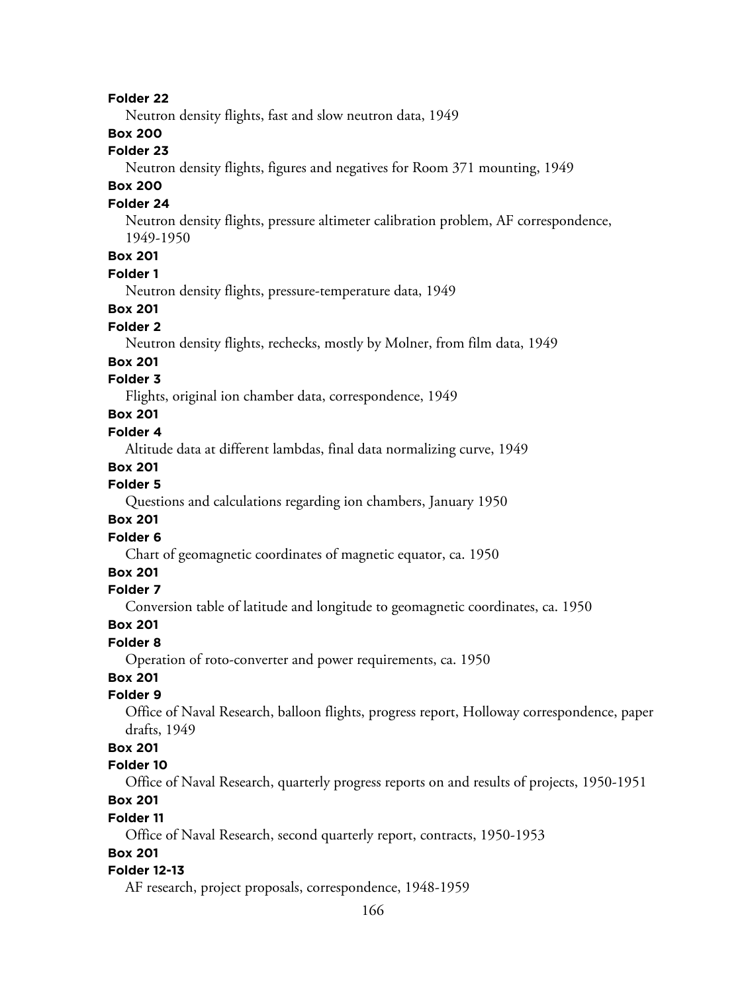Neutron density flights, fast and slow neutron data, 1949

## **Box 200**

## **Folder 23**

Neutron density flights, figures and negatives for Room 371 mounting, 1949

## **Box 200**

## **Folder 24**

Neutron density flights, pressure altimeter calibration problem, AF correspondence, 1949-1950

## **Box 201**

## **Folder 1**

Neutron density flights, pressure-temperature data, 1949

## **Box 201**

## **Folder 2**

Neutron density flights, rechecks, mostly by Molner, from film data, 1949

#### **Box 201**

### **Folder 3**

Flights, original ion chamber data, correspondence, 1949

## **Box 201**

#### **Folder 4**

Altitude data at different lambdas, final data normalizing curve, 1949

#### **Box 201**

## **Folder 5**

Questions and calculations regarding ion chambers, January 1950

#### **Box 201**

### **Folder 6**

Chart of geomagnetic coordinates of magnetic equator, ca. 1950

## **Box 201**

### **Folder 7**

Conversion table of latitude and longitude to geomagnetic coordinates, ca. 1950

#### **Box 201**

### **Folder 8**

Operation of roto-converter and power requirements, ca. 1950

## **Box 201**

#### **Folder 9**

Office of Naval Research, balloon flights, progress report, Holloway correspondence, paper drafts, 1949

## **Box 201**

### **Folder 10**

Office of Naval Research, quarterly progress reports on and results of projects, 1950-1951

## **Box 201**

#### **Folder 11**

Office of Naval Research, second quarterly report, contracts, 1950-1953

### **Box 201**

#### **Folder 12-13**

AF research, project proposals, correspondence, 1948-1959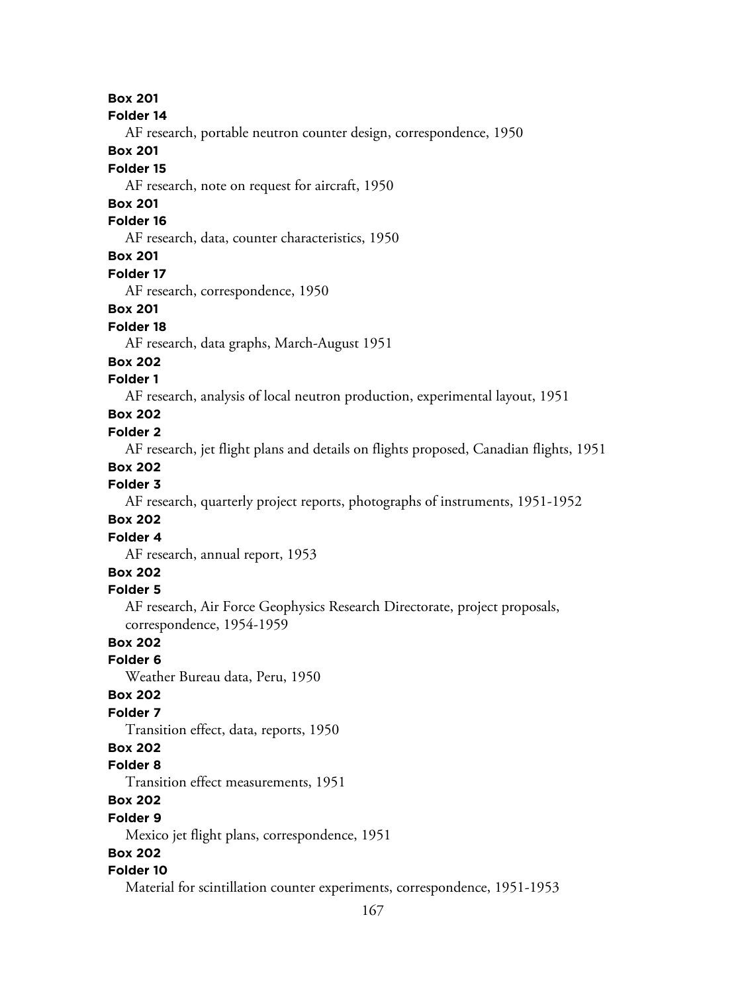#### **Folder 14**

AF research, portable neutron counter design, correspondence, 1950

## **Box 201**

## **Folder 15**

AF research, note on request for aircraft, 1950

## **Box 201**

## **Folder 16**

AF research, data, counter characteristics, 1950

## **Box 201**

#### **Folder 17**

AF research, correspondence, 1950

### **Box 201**

## **Folder 18**

AF research, data graphs, March-August 1951

#### **Box 202**

#### **Folder 1**

AF research, analysis of local neutron production, experimental layout, 1951

## **Box 202**

#### **Folder 2**

AF research, jet flight plans and details on flights proposed, Canadian flights, 1951

## **Box 202**

### **Folder 3**

AF research, quarterly project reports, photographs of instruments, 1951-1952

#### **Box 202**

#### **Folder 4**

AF research, annual report, 1953

## **Box 202**

#### **Folder 5**

AF research, Air Force Geophysics Research Directorate, project proposals, correspondence, 1954-1959

## **Box 202**

## **Folder 6**

Weather Bureau data, Peru, 1950

## **Box 202**

## **Folder 7**

Transition effect, data, reports, 1950

## **Box 202**

## **Folder 8**

Transition effect measurements, 1951

## **Box 202**

#### **Folder 9**

Mexico jet flight plans, correspondence, 1951

## **Box 202**

## **Folder 10**

Material for scintillation counter experiments, correspondence, 1951-1953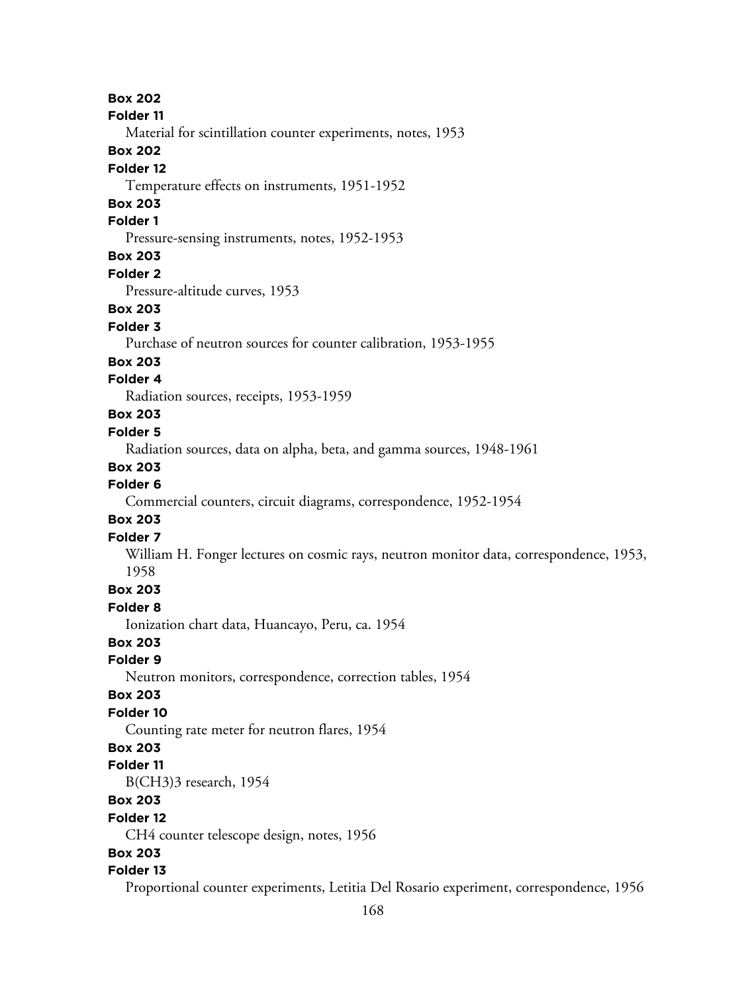**Box 202 Folder 11** Material for scintillation counter experiments, notes, 1953 **Box 202 Folder 12** Temperature effects on instruments, 1951-1952 **Box 203 Folder 1** Pressure-sensing instruments, notes, 1952-1953 **Box 203 Folder 2** Pressure-altitude curves, 1953 **Box 203**

## **Folder 3**

Purchase of neutron sources for counter calibration, 1953-1955

#### **Box 203**

#### **Folder 4**

Radiation sources, receipts, 1953-1959

## **Box 203**

### **Folder 5**

Radiation sources, data on alpha, beta, and gamma sources, 1948-1961

#### **Box 203**

### **Folder 6**

Commercial counters, circuit diagrams, correspondence, 1952-1954

#### **Box 203**

#### **Folder 7**

William H. Fonger lectures on cosmic rays, neutron monitor data, correspondence, 1953, 1958

### **Box 203**

#### **Folder 8**

Ionization chart data, Huancayo, Peru, ca. 1954

### **Box 203**

## **Folder 9**

Neutron monitors, correspondence, correction tables, 1954

#### **Box 203**

#### **Folder 10**

Counting rate meter for neutron flares, 1954

#### **Box 203**

#### **Folder 11**

B(CH3)3 research, 1954

### **Box 203**

#### **Folder 12**

CH4 counter telescope design, notes, 1956

#### **Box 203**

#### **Folder 13**

Proportional counter experiments, Letitia Del Rosario experiment, correspondence, 1956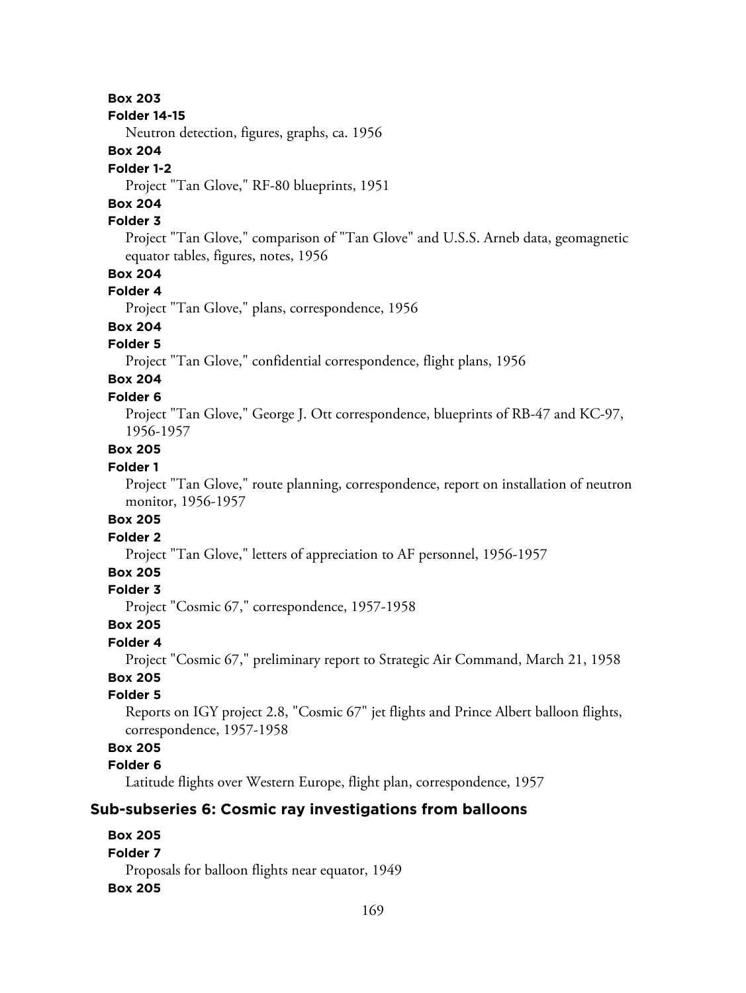#### **Folder 14-15**

Neutron detection, figures, graphs, ca. 1956

## **Box 204**

### **Folder 1-2**

Project "Tan Glove," RF-80 blueprints, 1951

## **Box 204**

## **Folder 3**

Project "Tan Glove," comparison of "Tan Glove" and U.S.S. Arneb data, geomagnetic equator tables, figures, notes, 1956

## **Box 204**

#### **Folder 4**

Project "Tan Glove," plans, correspondence, 1956

## **Box 204**

## **Folder 5**

Project "Tan Glove," confidential correspondence, flight plans, 1956

# **Box 204**

## **Folder 6**

Project "Tan Glove," George J. Ott correspondence, blueprints of RB-47 and KC-97, 1956-1957

## **Box 205**

#### **Folder 1**

Project "Tan Glove," route planning, correspondence, report on installation of neutron monitor, 1956-1957

### **Box 205**

## **Folder 2**

Project "Tan Glove," letters of appreciation to AF personnel, 1956-1957

## **Box 205**

### **Folder 3**

Project "Cosmic 67," correspondence, 1957-1958

## **Box 205**

### **Folder 4**

Project "Cosmic 67," preliminary report to Strategic Air Command, March 21, 1958 **Box 205**

## **Folder 5**

Reports on IGY project 2.8, "Cosmic 67" jet flights and Prince Albert balloon flights, correspondence, 1957-1958

## **Box 205**

## **Folder 6**

Latitude flights over Western Europe, flight plan, correspondence, 1957

## **Sub-subseries 6: Cosmic ray investigations from balloons**

## **Box 205 Folder 7** Proposals for balloon flights near equator, 1949 **Box 205**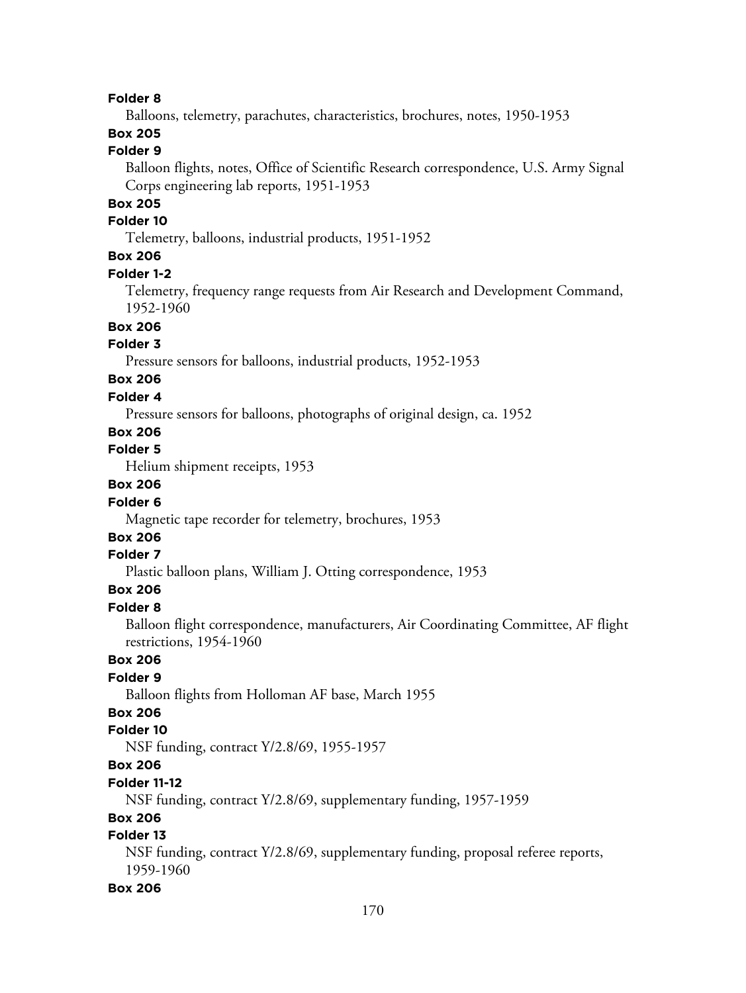Balloons, telemetry, parachutes, characteristics, brochures, notes, 1950-1953

## **Box 205**

## **Folder 9**

Balloon flights, notes, Office of Scientific Research correspondence, U.S. Army Signal Corps engineering lab reports, 1951-1953

## **Box 205**

#### **Folder 10**

Telemetry, balloons, industrial products, 1951-1952

## **Box 206**

#### **Folder 1-2**

Telemetry, frequency range requests from Air Research and Development Command, 1952-1960

## **Box 206**

## **Folder 3**

Pressure sensors for balloons, industrial products, 1952-1953

## **Box 206**

#### **Folder 4**

Pressure sensors for balloons, photographs of original design, ca. 1952

## **Box 206**

## **Folder 5**

Helium shipment receipts, 1953

## **Box 206**

#### **Folder 6**

Magnetic tape recorder for telemetry, brochures, 1953

## **Box 206**

#### **Folder 7**

Plastic balloon plans, William J. Otting correspondence, 1953

## **Box 206**

#### **Folder 8**

Balloon flight correspondence, manufacturers, Air Coordinating Committee, AF flight restrictions, 1954-1960

## **Box 206**

## **Folder 9**

Balloon flights from Holloman AF base, March 1955

## **Box 206**

#### **Folder 10**

NSF funding, contract Y/2.8/69, 1955-1957

## **Box 206**

## **Folder 11-12**

NSF funding, contract Y/2.8/69, supplementary funding, 1957-1959

#### **Box 206**

## **Folder 13**

NSF funding, contract Y/2.8/69, supplementary funding, proposal referee reports, 1959-1960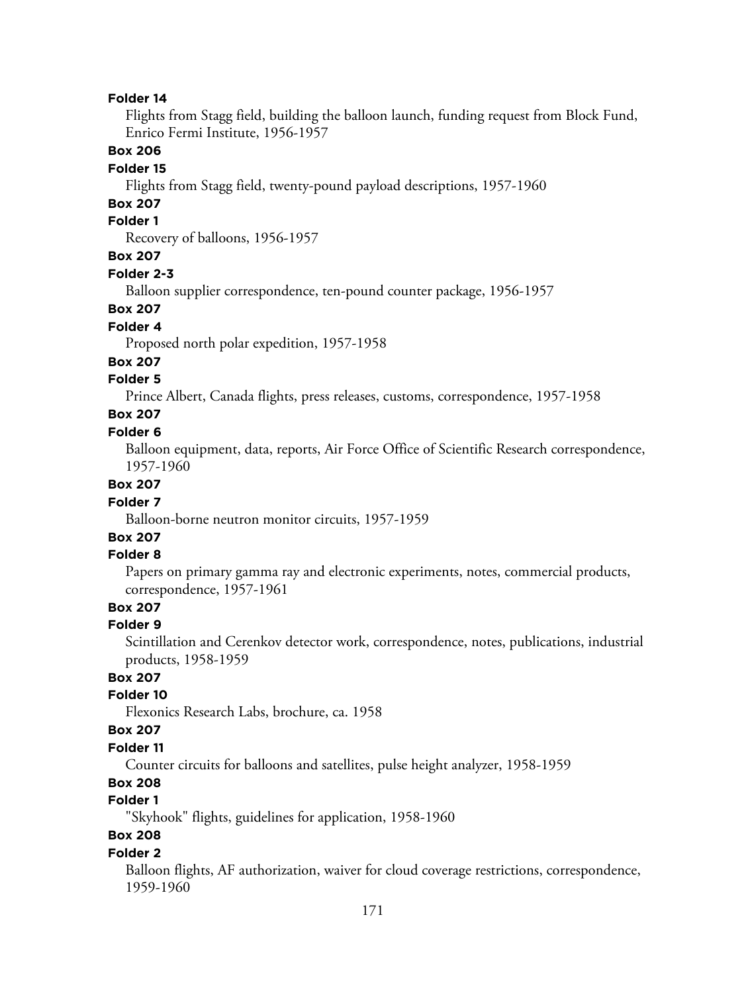Flights from Stagg field, building the balloon launch, funding request from Block Fund, Enrico Fermi Institute, 1956-1957

#### **Box 206**

#### **Folder 15**

Flights from Stagg field, twenty-pound payload descriptions, 1957-1960

## **Box 207**

## **Folder 1**

Recovery of balloons, 1956-1957

## **Box 207**

#### **Folder 2-3**

Balloon supplier correspondence, ten-pound counter package, 1956-1957

#### **Box 207**

### **Folder 4**

Proposed north polar expedition, 1957-1958

#### **Box 207**

### **Folder 5**

Prince Albert, Canada flights, press releases, customs, correspondence, 1957-1958

#### **Box 207**

#### **Folder 6**

Balloon equipment, data, reports, Air Force Office of Scientific Research correspondence, 1957-1960

#### **Box 207**

#### **Folder 7**

Balloon-borne neutron monitor circuits, 1957-1959

## **Box 207**

## **Folder 8**

Papers on primary gamma ray and electronic experiments, notes, commercial products, correspondence, 1957-1961

## **Box 207**

#### **Folder 9**

Scintillation and Cerenkov detector work, correspondence, notes, publications, industrial products, 1958-1959

## **Box 207**

#### **Folder 10**

Flexonics Research Labs, brochure, ca. 1958

#### **Box 207**

#### **Folder 11**

Counter circuits for balloons and satellites, pulse height analyzer, 1958-1959

## **Box 208**

## **Folder 1**

"Skyhook" flights, guidelines for application, 1958-1960

## **Box 208**

#### **Folder 2**

Balloon flights, AF authorization, waiver for cloud coverage restrictions, correspondence, 1959-1960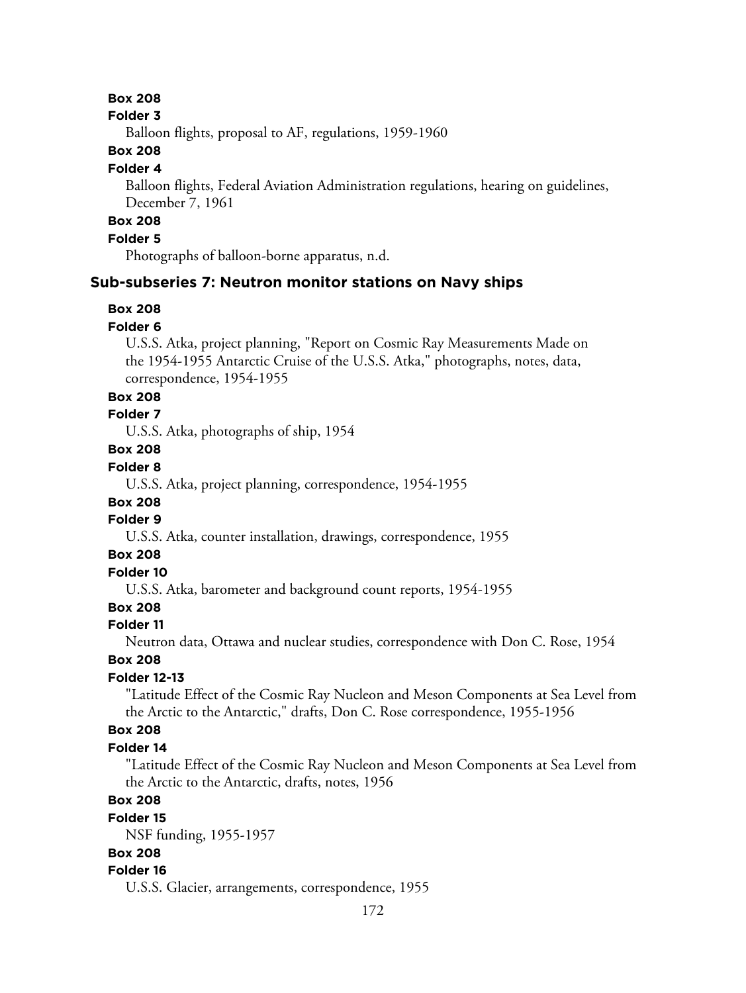#### **Folder 3**

Balloon flights, proposal to AF, regulations, 1959-1960

## **Box 208**

#### **Folder 4**

Balloon flights, Federal Aviation Administration regulations, hearing on guidelines, December 7, 1961

## **Box 208**

## **Folder 5**

Photographs of balloon-borne apparatus, n.d.

## **Sub-subseries 7: Neutron monitor stations on Navy ships**

## **Box 208**

#### **Folder 6**

U.S.S. Atka, project planning, "Report on Cosmic Ray Measurements Made on the 1954-1955 Antarctic Cruise of the U.S.S. Atka," photographs, notes, data, correspondence, 1954-1955

### **Box 208**

## **Folder 7**

U.S.S. Atka, photographs of ship, 1954

## **Box 208**

## **Folder 8**

U.S.S. Atka, project planning, correspondence, 1954-1955

## **Box 208**

## **Folder 9**

U.S.S. Atka, counter installation, drawings, correspondence, 1955

### **Box 208**

## **Folder 10**

U.S.S. Atka, barometer and background count reports, 1954-1955

## **Box 208**

#### **Folder 11**

Neutron data, Ottawa and nuclear studies, correspondence with Don C. Rose, 1954

#### **Box 208**

## **Folder 12-13**

"Latitude Effect of the Cosmic Ray Nucleon and Meson Components at Sea Level from the Arctic to the Antarctic," drafts, Don C. Rose correspondence, 1955-1956

### **Box 208**

#### **Folder 14**

"Latitude Effect of the Cosmic Ray Nucleon and Meson Components at Sea Level from the Arctic to the Antarctic, drafts, notes, 1956

## **Box 208**

#### **Folder 15**

NSF funding, 1955-1957

#### **Box 208**

## **Folder 16**

U.S.S. Glacier, arrangements, correspondence, 1955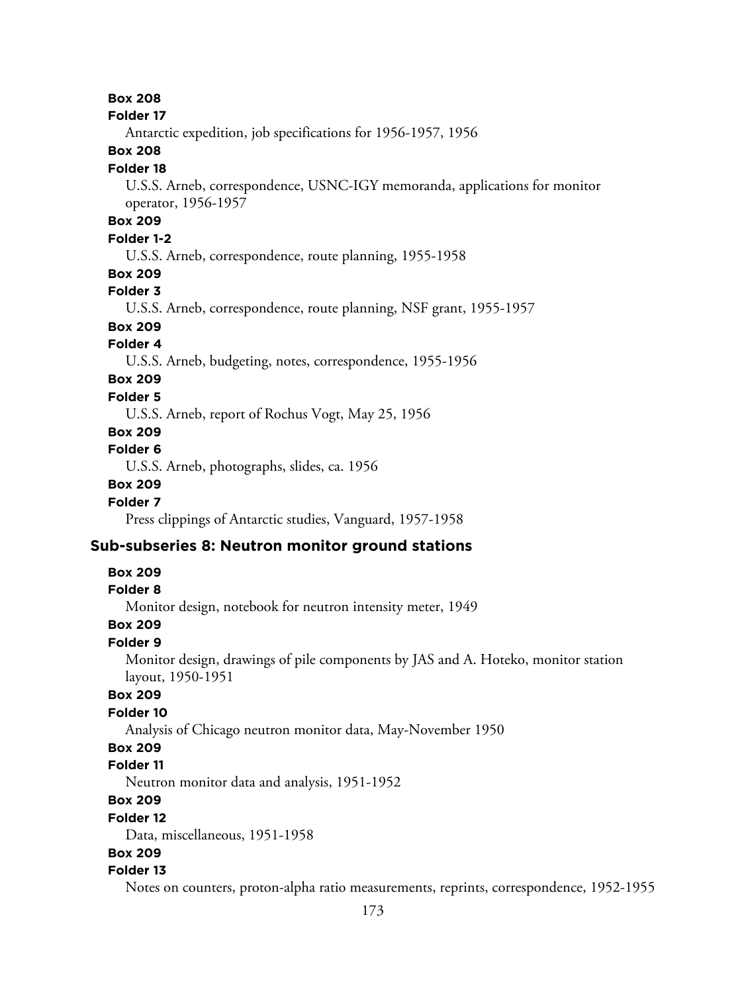#### **Folder 17**

Antarctic expedition, job specifications for 1956-1957, 1956

### **Box 208**

#### **Folder 18**

U.S.S. Arneb, correspondence, USNC-IGY memoranda, applications for monitor operator, 1956-1957

## **Box 209**

## **Folder 1-2**

U.S.S. Arneb, correspondence, route planning, 1955-1958

## **Box 209**

#### **Folder 3**

U.S.S. Arneb, correspondence, route planning, NSF grant, 1955-1957

## **Box 209**

## **Folder 4**

U.S.S. Arneb, budgeting, notes, correspondence, 1955-1956

## **Box 209**

## **Folder 5**

U.S.S. Arneb, report of Rochus Vogt, May 25, 1956

## **Box 209**

### **Folder 6**

U.S.S. Arneb, photographs, slides, ca. 1956

### **Box 209**

## **Folder 7**

Press clippings of Antarctic studies, Vanguard, 1957-1958

## **Sub-subseries 8: Neutron monitor ground stations**

#### **Box 209**

#### **Folder 8**

Monitor design, notebook for neutron intensity meter, 1949

## **Box 209**

## **Folder 9**

Monitor design, drawings of pile components by JAS and A. Hoteko, monitor station layout, 1950-1951

#### **Box 209**

#### **Folder 10**

Analysis of Chicago neutron monitor data, May-November 1950

## **Box 209**

## **Folder 11**

Neutron monitor data and analysis, 1951-1952

## **Box 209**

#### **Folder 12**

Data, miscellaneous, 1951-1958

## **Box 209**

#### **Folder 13**

Notes on counters, proton-alpha ratio measurements, reprints, correspondence, 1952-1955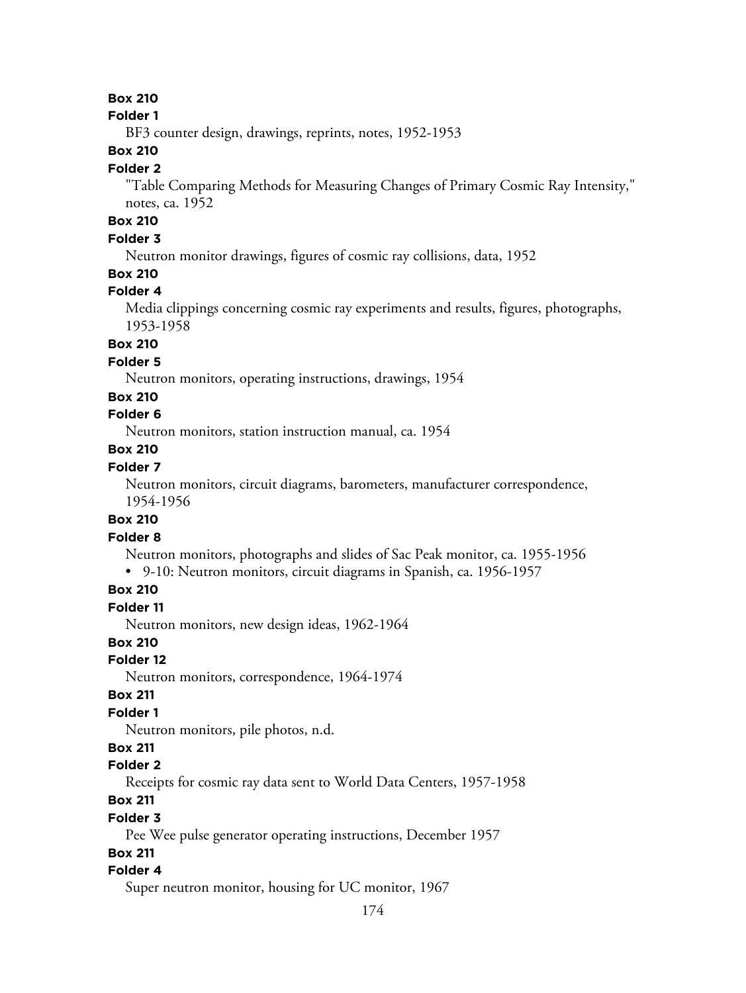#### **Folder 1**

BF3 counter design, drawings, reprints, notes, 1952-1953

### **Box 210**

#### **Folder 2**

"Table Comparing Methods for Measuring Changes of Primary Cosmic Ray Intensity," notes, ca. 1952

## **Box 210**

## **Folder 3**

Neutron monitor drawings, figures of cosmic ray collisions, data, 1952

#### **Box 210**

## **Folder 4**

Media clippings concerning cosmic ray experiments and results, figures, photographs, 1953-1958

## **Box 210**

### **Folder 5**

Neutron monitors, operating instructions, drawings, 1954

#### **Box 210**

## **Folder 6**

Neutron monitors, station instruction manual, ca. 1954

#### **Box 210**

### **Folder 7**

Neutron monitors, circuit diagrams, barometers, manufacturer correspondence, 1954-1956

### **Box 210**

### **Folder 8**

Neutron monitors, photographs and slides of Sac Peak monitor, ca. 1955-1956

• 9-10: Neutron monitors, circuit diagrams in Spanish, ca. 1956-1957

## **Box 210**

#### **Folder 11**

Neutron monitors, new design ideas, 1962-1964

## **Box 210**

#### **Folder 12**

Neutron monitors, correspondence, 1964-1974

#### **Box 211**

## **Folder 1**

Neutron monitors, pile photos, n.d.

## **Box 211**

## **Folder 2**

Receipts for cosmic ray data sent to World Data Centers, 1957-1958

## **Box 211**

#### **Folder 3**

Pee Wee pulse generator operating instructions, December 1957

## **Box 211**

#### **Folder 4**

Super neutron monitor, housing for UC monitor, 1967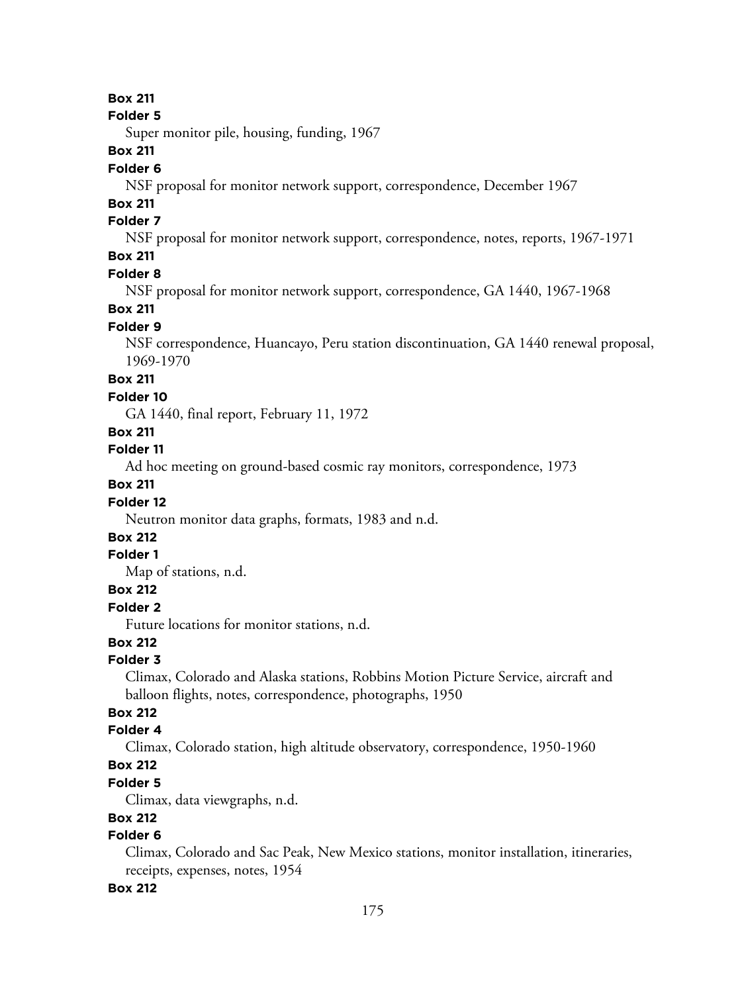#### **Folder 5**

Super monitor pile, housing, funding, 1967

### **Box 211**

#### **Folder 6**

NSF proposal for monitor network support, correspondence, December 1967

## **Box 211**

## **Folder 7**

NSF proposal for monitor network support, correspondence, notes, reports, 1967-1971

## **Box 211**

#### **Folder 8**

NSF proposal for monitor network support, correspondence, GA 1440, 1967-1968

## **Box 211**

## **Folder 9**

NSF correspondence, Huancayo, Peru station discontinuation, GA 1440 renewal proposal, 1969-1970

## **Box 211**

#### **Folder 10**

GA 1440, final report, February 11, 1972

### **Box 211**

#### **Folder 11**

Ad hoc meeting on ground-based cosmic ray monitors, correspondence, 1973

#### **Box 211**

## **Folder 12**

Neutron monitor data graphs, formats, 1983 and n.d.

## **Box 212**

## **Folder 1**

Map of stations, n.d.

## **Box 212**

#### **Folder 2**

Future locations for monitor stations, n.d.

### **Box 212**

## **Folder 3**

Climax, Colorado and Alaska stations, Robbins Motion Picture Service, aircraft and balloon flights, notes, correspondence, photographs, 1950

## **Box 212**

## **Folder 4**

Climax, Colorado station, high altitude observatory, correspondence, 1950-1960

## **Box 212**

## **Folder 5**

Climax, data viewgraphs, n.d.

## **Box 212**

## **Folder 6**

Climax, Colorado and Sac Peak, New Mexico stations, monitor installation, itineraries, receipts, expenses, notes, 1954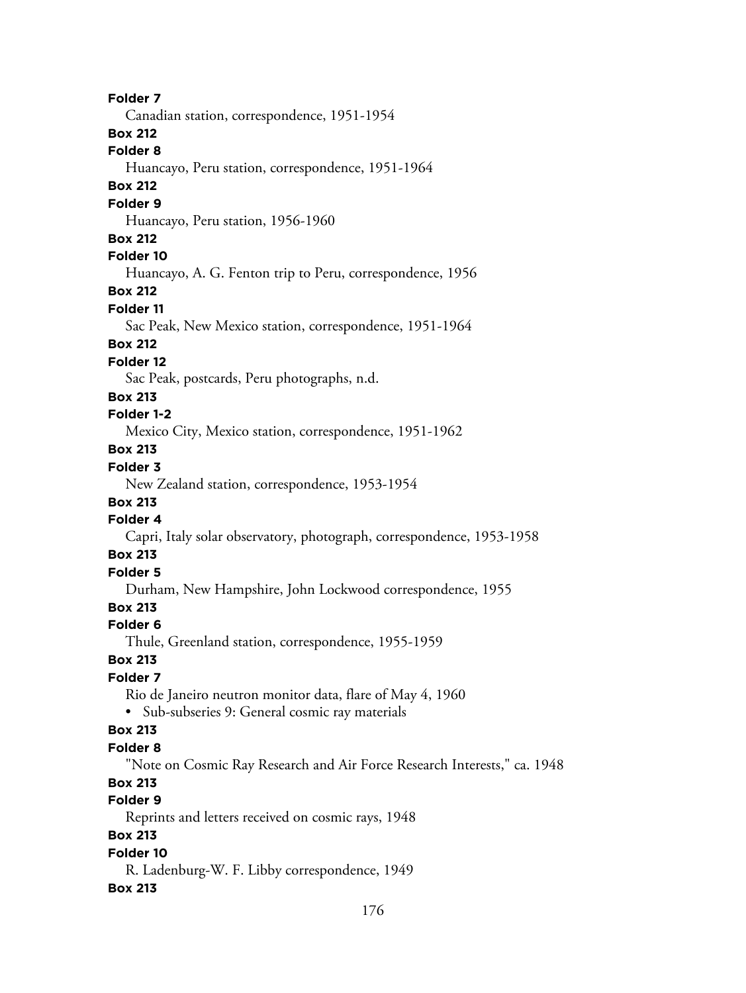**Folder 7** Canadian station, correspondence, 1951-1954 **Box 212 Folder 8** Huancayo, Peru station, correspondence, 1951-1964 **Box 212 Folder 9** Huancayo, Peru station, 1956-1960 **Box 212 Folder 10** Huancayo, A. G. Fenton trip to Peru, correspondence, 1956 **Box 212 Folder 11** Sac Peak, New Mexico station, correspondence, 1951-1964 **Box 212 Folder 12** Sac Peak, postcards, Peru photographs, n.d. **Box 213 Folder 1-2** Mexico City, Mexico station, correspondence, 1951-1962 **Box 213 Folder 3** New Zealand station, correspondence, 1953-1954 **Box 213 Folder 4** Capri, Italy solar observatory, photograph, correspondence, 1953-1958 **Box 213 Folder 5** Durham, New Hampshire, John Lockwood correspondence, 1955 **Box 213 Folder 6** Thule, Greenland station, correspondence, 1955-1959 **Box 213 Folder 7** Rio de Janeiro neutron monitor data, flare of May 4, 1960 • Sub-subseries 9: General cosmic ray materials **Box 213 Folder 8** "Note on Cosmic Ray Research and Air Force Research Interests," ca. 1948 **Box 213 Folder 9** Reprints and letters received on cosmic rays, 1948 **Box 213 Folder 10** R. Ladenburg-W. F. Libby correspondence, 1949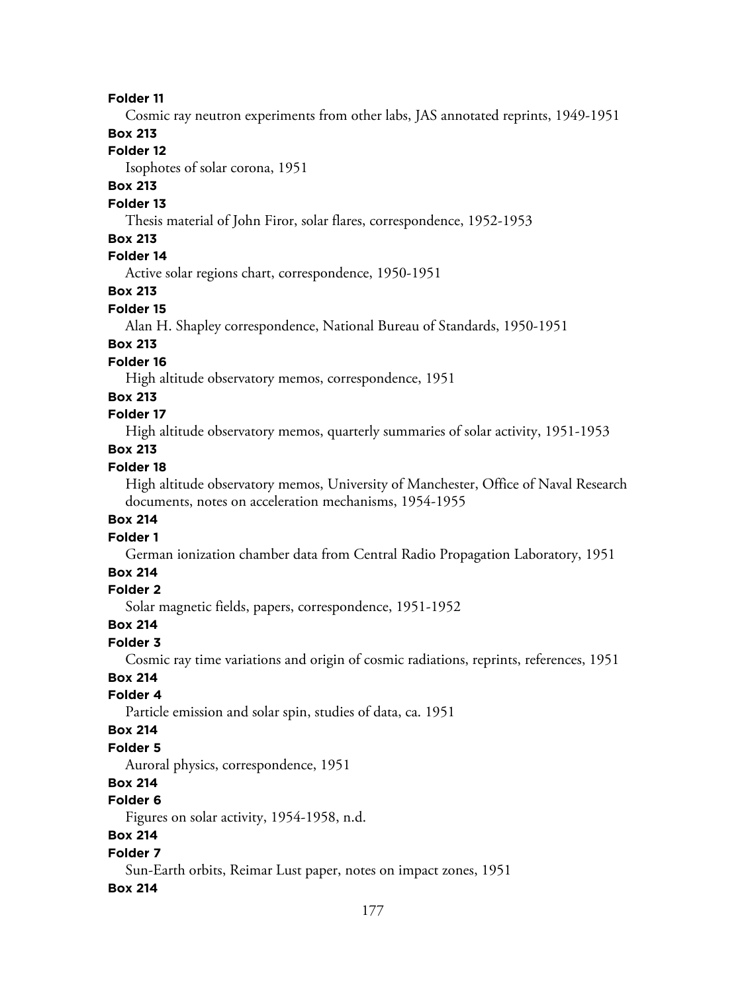Cosmic ray neutron experiments from other labs, JAS annotated reprints, 1949-1951

### **Box 213**

## **Folder 12**

Isophotes of solar corona, 1951

## **Box 213**

### **Folder 13**

Thesis material of John Firor, solar flares, correspondence, 1952-1953

### **Box 213**

## **Folder 14**

Active solar regions chart, correspondence, 1950-1951

## **Box 213**

#### **Folder 15**

Alan H. Shapley correspondence, National Bureau of Standards, 1950-1951

## **Box 213**

### **Folder 16**

High altitude observatory memos, correspondence, 1951

### **Box 213**

## **Folder 17**

High altitude observatory memos, quarterly summaries of solar activity, 1951-1953

## **Box 213**

## **Folder 18**

High altitude observatory memos, University of Manchester, Office of Naval Research documents, notes on acceleration mechanisms, 1954-1955

### **Box 214**

#### **Folder 1**

German ionization chamber data from Central Radio Propagation Laboratory, 1951

### **Box 214**

## **Folder 2**

Solar magnetic fields, papers, correspondence, 1951-1952

#### **Box 214**

## **Folder 3**

Cosmic ray time variations and origin of cosmic radiations, reprints, references, 1951

## **Box 214**

## **Folder 4**

Particle emission and solar spin, studies of data, ca. 1951

#### **Box 214**

## **Folder 5**

Auroral physics, correspondence, 1951

## **Box 214**

## **Folder 6**

Figures on solar activity, 1954-1958, n.d.

## **Box 214**

## **Folder 7**

Sun-Earth orbits, Reimar Lust paper, notes on impact zones, 1951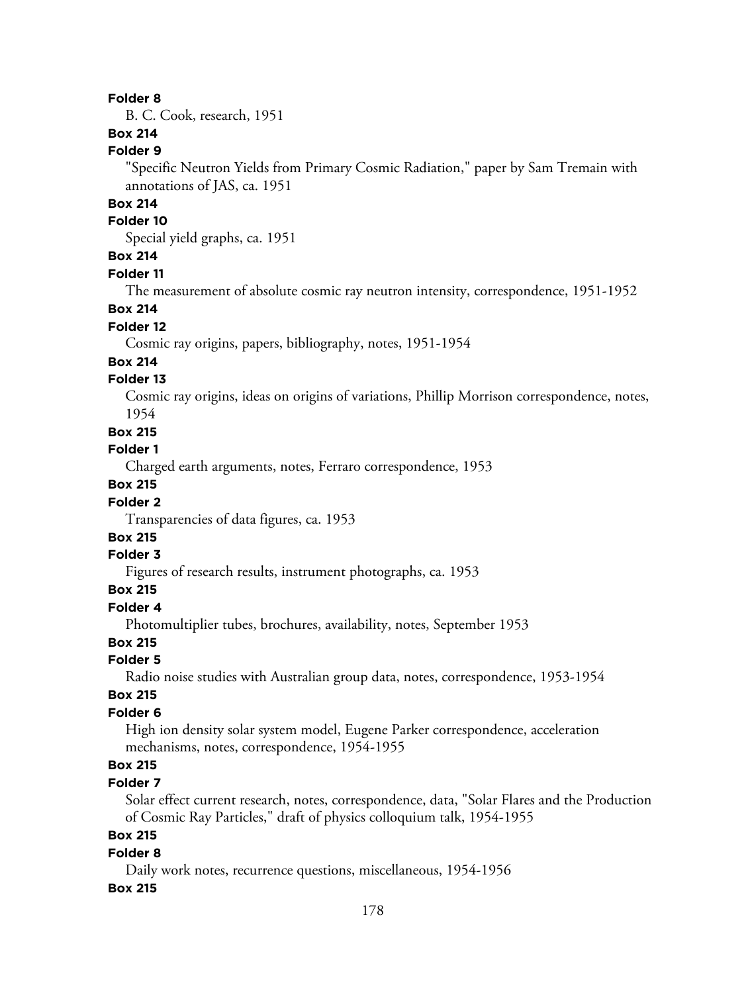B. C. Cook, research, 1951

## **Box 214**

**Folder 9**

"Specific Neutron Yields from Primary Cosmic Radiation," paper by Sam Tremain with annotations of JAS, ca. 1951

### **Box 214**

#### **Folder 10**

Special yield graphs, ca. 1951

## **Box 214**

#### **Folder 11**

The measurement of absolute cosmic ray neutron intensity, correspondence, 1951-1952

### **Box 214**

#### **Folder 12**

Cosmic ray origins, papers, bibliography, notes, 1951-1954

## **Box 214**

## **Folder 13**

Cosmic ray origins, ideas on origins of variations, Phillip Morrison correspondence, notes, 1954

#### **Box 215**

#### **Folder 1**

Charged earth arguments, notes, Ferraro correspondence, 1953

## **Box 215**

### **Folder 2**

Transparencies of data figures, ca. 1953

## **Box 215**

## **Folder 3**

Figures of research results, instrument photographs, ca. 1953

## **Box 215**

## **Folder 4**

Photomultiplier tubes, brochures, availability, notes, September 1953

## **Box 215**

## **Folder 5**

Radio noise studies with Australian group data, notes, correspondence, 1953-1954

#### **Box 215**

#### **Folder 6**

High ion density solar system model, Eugene Parker correspondence, acceleration mechanisms, notes, correspondence, 1954-1955

## **Box 215**

## **Folder 7**

Solar effect current research, notes, correspondence, data, "Solar Flares and the Production of Cosmic Ray Particles," draft of physics colloquium talk, 1954-1955

## **Box 215**

#### **Folder 8**

Daily work notes, recurrence questions, miscellaneous, 1954-1956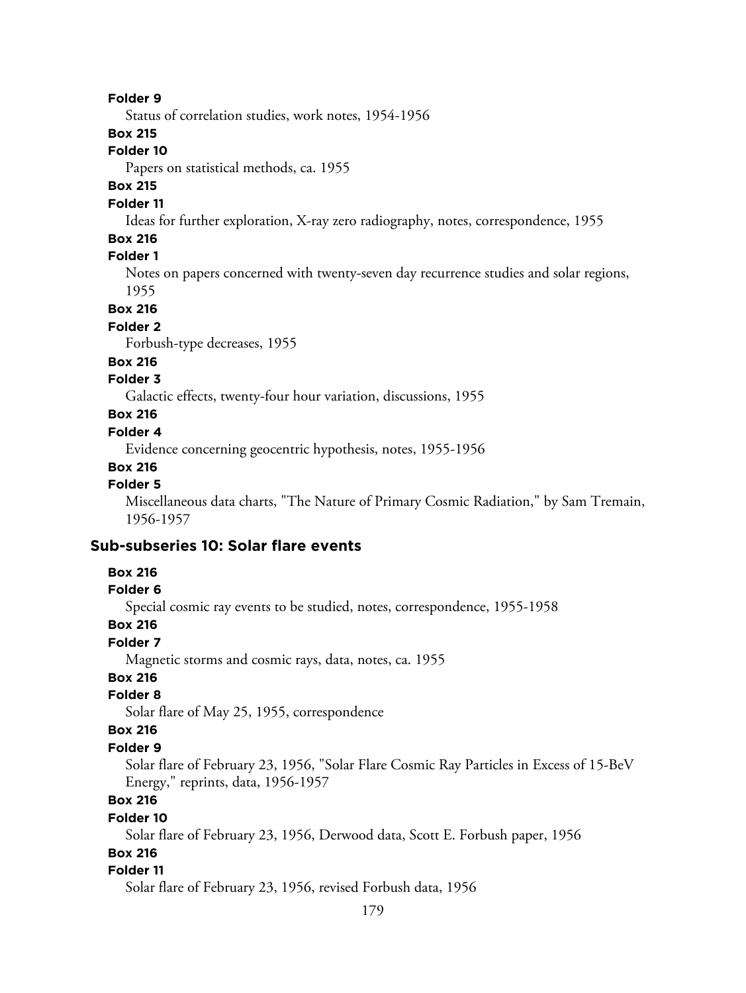Status of correlation studies, work notes, 1954-1956

## **Box 215**

#### **Folder 10**

Papers on statistical methods, ca. 1955

## **Box 215**

## **Folder 11**

Ideas for further exploration, X-ray zero radiography, notes, correspondence, 1955

### **Box 216**

## **Folder 1**

Notes on papers concerned with twenty-seven day recurrence studies and solar regions, 1955

**Box 216**

#### **Folder 2**

Forbush-type decreases, 1955

#### **Box 216**

### **Folder 3**

Galactic effects, twenty-four hour variation, discussions, 1955

## **Box 216**

## **Folder 4**

Evidence concerning geocentric hypothesis, notes, 1955-1956

#### **Box 216**

#### **Folder 5**

Miscellaneous data charts, "The Nature of Primary Cosmic Radiation," by Sam Tremain, 1956-1957

## **Sub-subseries 10: Solar flare events**

### **Box 216**

#### **Folder 6**

Special cosmic ray events to be studied, notes, correspondence, 1955-1958

#### **Box 216**

## **Folder 7**

Magnetic storms and cosmic rays, data, notes, ca. 1955

## **Box 216**

#### **Folder 8**

Solar flare of May 25, 1955, correspondence

#### **Box 216**

#### **Folder 9**

Solar flare of February 23, 1956, "Solar Flare Cosmic Ray Particles in Excess of 15-BeV Energy," reprints, data, 1956-1957

## **Box 216**

#### **Folder 10**

Solar flare of February 23, 1956, Derwood data, Scott E. Forbush paper, 1956

## **Box 216**

#### **Folder 11**

Solar flare of February 23, 1956, revised Forbush data, 1956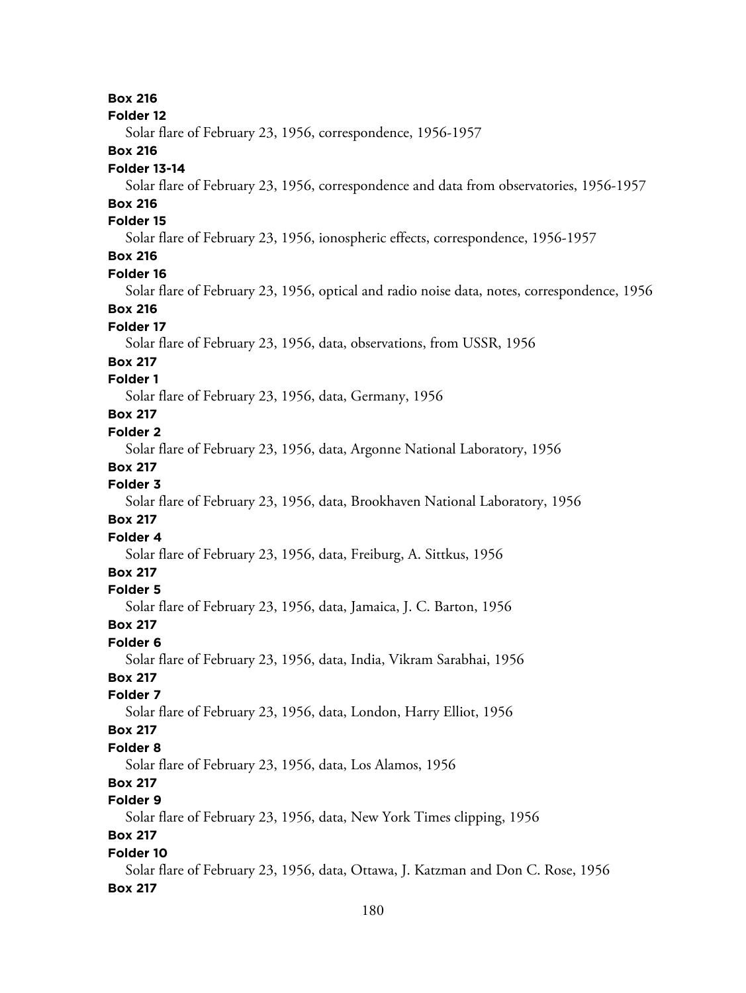**Box 216 Folder 12** Solar flare of February 23, 1956, correspondence, 1956-1957 **Box 216 Folder 13-14** Solar flare of February 23, 1956, correspondence and data from observatories, 1956-1957 **Box 216 Folder 15** Solar flare of February 23, 1956, ionospheric effects, correspondence, 1956-1957 **Box 216 Folder 16** Solar flare of February 23, 1956, optical and radio noise data, notes, correspondence, 1956 **Box 216 Folder 17** Solar flare of February 23, 1956, data, observations, from USSR, 1956 **Box 217 Folder 1** Solar flare of February 23, 1956, data, Germany, 1956 **Box 217 Folder 2** Solar flare of February 23, 1956, data, Argonne National Laboratory, 1956 **Box 217 Folder 3** Solar flare of February 23, 1956, data, Brookhaven National Laboratory, 1956 **Box 217 Folder 4** Solar flare of February 23, 1956, data, Freiburg, A. Sittkus, 1956 **Box 217 Folder 5** Solar flare of February 23, 1956, data, Jamaica, J. C. Barton, 1956 **Box 217 Folder 6** Solar flare of February 23, 1956, data, India, Vikram Sarabhai, 1956 **Box 217 Folder 7** Solar flare of February 23, 1956, data, London, Harry Elliot, 1956 **Box 217 Folder 8** Solar flare of February 23, 1956, data, Los Alamos, 1956 **Box 217 Folder 9** Solar flare of February 23, 1956, data, New York Times clipping, 1956 **Box 217 Folder 10** Solar flare of February 23, 1956, data, Ottawa, J. Katzman and Don C. Rose, 1956 **Box 217**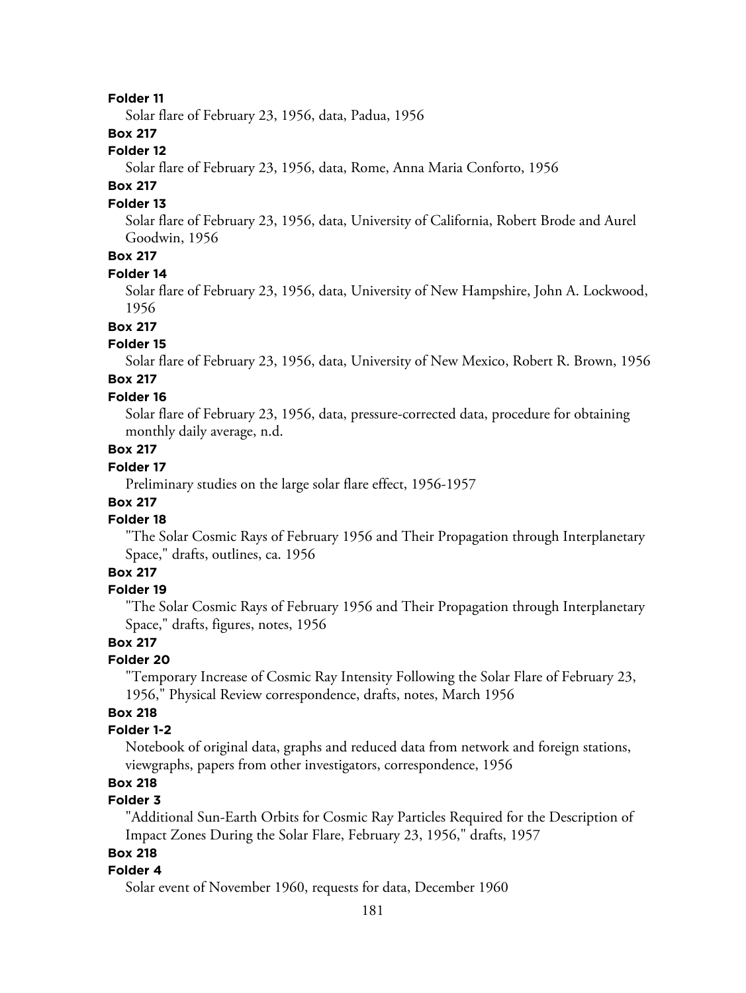#### **Folder 11**

Solar flare of February 23, 1956, data, Padua, 1956

## **Box 217**

## **Folder 12**

Solar flare of February 23, 1956, data, Rome, Anna Maria Conforto, 1956

# **Box 217**

### **Folder 13**

Solar flare of February 23, 1956, data, University of California, Robert Brode and Aurel Goodwin, 1956

# **Box 217**

## **Folder 14**

Solar flare of February 23, 1956, data, University of New Hampshire, John A. Lockwood, 1956

#### **Box 217**

#### **Folder 15**

Solar flare of February 23, 1956, data, University of New Mexico, Robert R. Brown, 1956

#### **Box 217 Folder 16**

Solar flare of February 23, 1956, data, pressure-corrected data, procedure for obtaining monthly daily average, n.d.

## **Box 217**

## **Folder 17**

Preliminary studies on the large solar flare effect, 1956-1957

## **Box 217**

## **Folder 18**

"The Solar Cosmic Rays of February 1956 and Their Propagation through Interplanetary Space," drafts, outlines, ca. 1956

# **Box 217**

#### **Folder 19**

"The Solar Cosmic Rays of February 1956 and Their Propagation through Interplanetary Space," drafts, figures, notes, 1956

## **Box 217**

#### **Folder 20**

"Temporary Increase of Cosmic Ray Intensity Following the Solar Flare of February 23, 1956," Physical Review correspondence, drafts, notes, March 1956

## **Box 218**

### **Folder 1-2**

Notebook of original data, graphs and reduced data from network and foreign stations, viewgraphs, papers from other investigators, correspondence, 1956

## **Box 218**

# **Folder 3**

"Additional Sun-Earth Orbits for Cosmic Ray Particles Required for the Description of Impact Zones During the Solar Flare, February 23, 1956," drafts, 1957

# **Box 218**

### **Folder 4**

Solar event of November 1960, requests for data, December 1960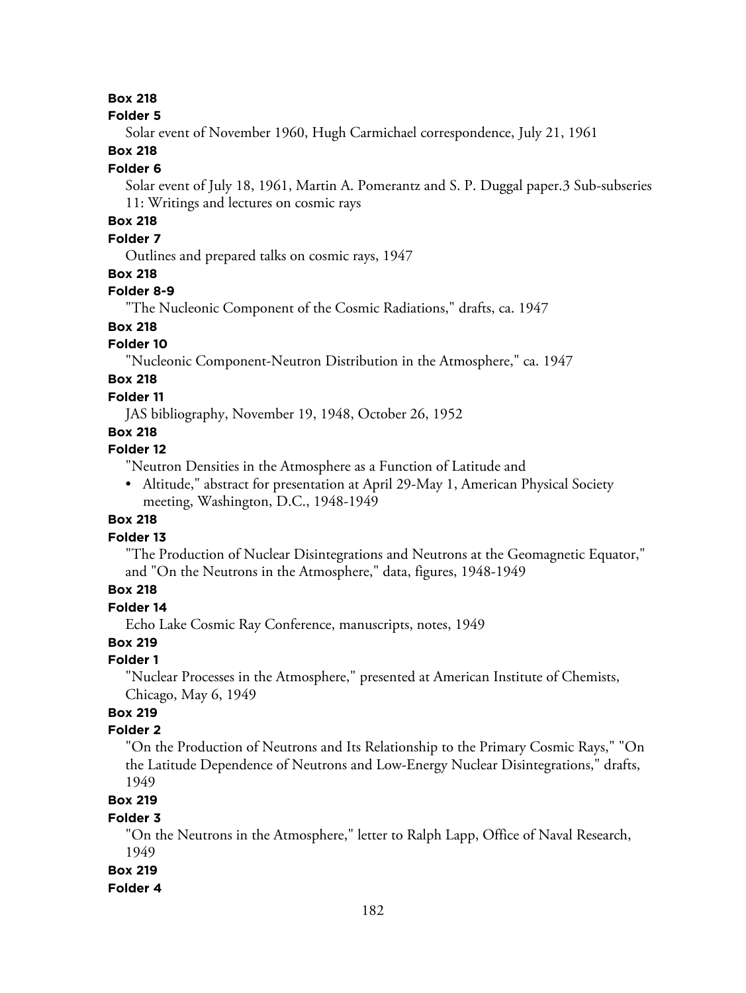#### **Folder 5**

Solar event of November 1960, Hugh Carmichael correspondence, July 21, 1961

## **Box 218**

#### **Folder 6**

Solar event of July 18, 1961, Martin A. Pomerantz and S. P. Duggal paper.3 Sub-subseries 11: Writings and lectures on cosmic rays

# **Box 218**

## **Folder 7**

Outlines and prepared talks on cosmic rays, 1947

## **Box 218**

## **Folder 8-9**

"The Nucleonic Component of the Cosmic Radiations," drafts, ca. 1947

# **Box 218**

## **Folder 10**

"Nucleonic Component-Neutron Distribution in the Atmosphere," ca. 1947

# **Box 218**

### **Folder 11**

JAS bibliography, November 19, 1948, October 26, 1952

# **Box 218**

## **Folder 12**

"Neutron Densities in the Atmosphere as a Function of Latitude and

• Altitude," abstract for presentation at April 29-May 1, American Physical Society meeting, Washington, D.C., 1948-1949

## **Box 218**

#### **Folder 13**

"The Production of Nuclear Disintegrations and Neutrons at the Geomagnetic Equator," and "On the Neutrons in the Atmosphere," data, figures, 1948-1949

# **Box 218**

# **Folder 14**

Echo Lake Cosmic Ray Conference, manuscripts, notes, 1949

# **Box 219**

#### **Folder 1**

"Nuclear Processes in the Atmosphere," presented at American Institute of Chemists, Chicago, May 6, 1949

# **Box 219**

## **Folder 2**

"On the Production of Neutrons and Its Relationship to the Primary Cosmic Rays," "On the Latitude Dependence of Neutrons and Low-Energy Nuclear Disintegrations," drafts, 1949

## **Box 219**

#### **Folder 3**

"On the Neutrons in the Atmosphere," letter to Ralph Lapp, Office of Naval Research, 1949

#### **Box 219**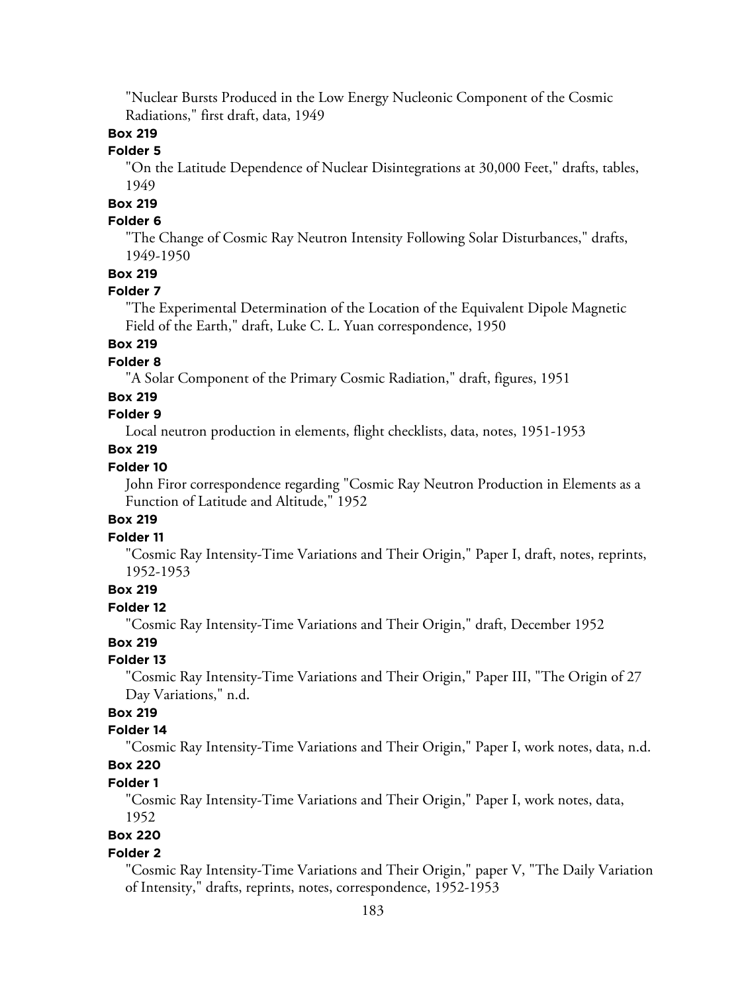"Nuclear Bursts Produced in the Low Energy Nucleonic Component of the Cosmic Radiations," first draft, data, 1949

## **Box 219**

# **Folder 5**

"On the Latitude Dependence of Nuclear Disintegrations at 30,000 Feet," drafts, tables, 1949

# **Box 219**

## **Folder 6**

"The Change of Cosmic Ray Neutron Intensity Following Solar Disturbances," drafts, 1949-1950

## **Box 219**

## **Folder 7**

"The Experimental Determination of the Location of the Equivalent Dipole Magnetic Field of the Earth," draft, Luke C. L. Yuan correspondence, 1950

# **Box 219**

## **Folder 8**

"A Solar Component of the Primary Cosmic Radiation," draft, figures, 1951

## **Box 219**

## **Folder 9**

Local neutron production in elements, flight checklists, data, notes, 1951-1953

#### **Box 219**

### **Folder 10**

John Firor correspondence regarding "Cosmic Ray Neutron Production in Elements as a Function of Latitude and Altitude," 1952

## **Box 219**

#### **Folder 11**

"Cosmic Ray Intensity-Time Variations and Their Origin," Paper I, draft, notes, reprints, 1952-1953

## **Box 219**

#### **Folder 12**

"Cosmic Ray Intensity-Time Variations and Their Origin," draft, December 1952

## **Box 219**

#### **Folder 13**

"Cosmic Ray Intensity-Time Variations and Their Origin," Paper III, "The Origin of 27 Day Variations," n.d.

# **Box 219**

## **Folder 14**

"Cosmic Ray Intensity-Time Variations and Their Origin," Paper I, work notes, data, n.d.

# **Box 220**

# **Folder 1**

"Cosmic Ray Intensity-Time Variations and Their Origin," Paper I, work notes, data, 1952

# **Box 220**

#### **Folder 2**

"Cosmic Ray Intensity-Time Variations and Their Origin," paper V, "The Daily Variation of Intensity," drafts, reprints, notes, correspondence, 1952-1953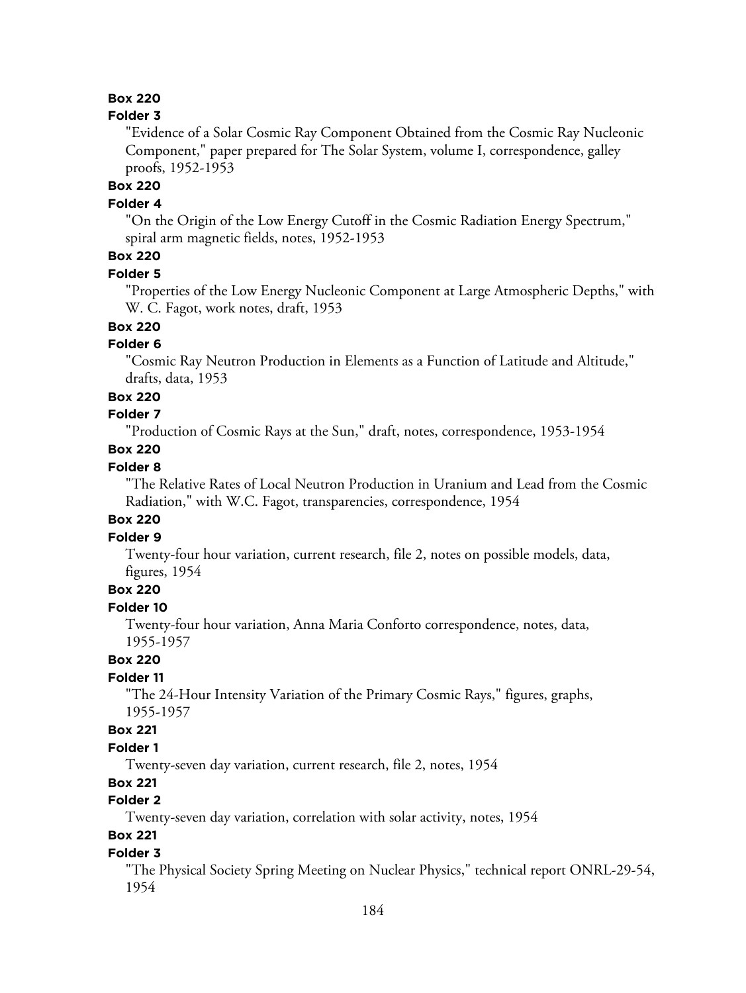#### **Folder 3**

"Evidence of a Solar Cosmic Ray Component Obtained from the Cosmic Ray Nucleonic Component," paper prepared for The Solar System, volume I, correspondence, galley proofs, 1952-1953

# **Box 220**

### **Folder 4**

"On the Origin of the Low Energy Cutoff in the Cosmic Radiation Energy Spectrum," spiral arm magnetic fields, notes, 1952-1953

# **Box 220**

#### **Folder 5**

"Properties of the Low Energy Nucleonic Component at Large Atmospheric Depths," with W. C. Fagot, work notes, draft, 1953

# **Box 220**

## **Folder 6**

"Cosmic Ray Neutron Production in Elements as a Function of Latitude and Altitude," drafts, data, 1953

#### **Box 220**

## **Folder 7**

"Production of Cosmic Rays at the Sun," draft, notes, correspondence, 1953-1954

## **Box 220**

## **Folder 8**

"The Relative Rates of Local Neutron Production in Uranium and Lead from the Cosmic Radiation," with W.C. Fagot, transparencies, correspondence, 1954

## **Box 220**

## **Folder 9**

Twenty-four hour variation, current research, file 2, notes on possible models, data, figures, 1954

## **Box 220**

## **Folder 10**

Twenty-four hour variation, Anna Maria Conforto correspondence, notes, data, 1955-1957

# **Box 220**

## **Folder 11**

"The 24-Hour Intensity Variation of the Primary Cosmic Rays," figures, graphs, 1955-1957

#### **Box 221**

## **Folder 1**

Twenty-seven day variation, current research, file 2, notes, 1954

## **Box 221**

# **Folder 2**

Twenty-seven day variation, correlation with solar activity, notes, 1954

## **Box 221**

### **Folder 3**

"The Physical Society Spring Meeting on Nuclear Physics," technical report ONRL-29-54, 1954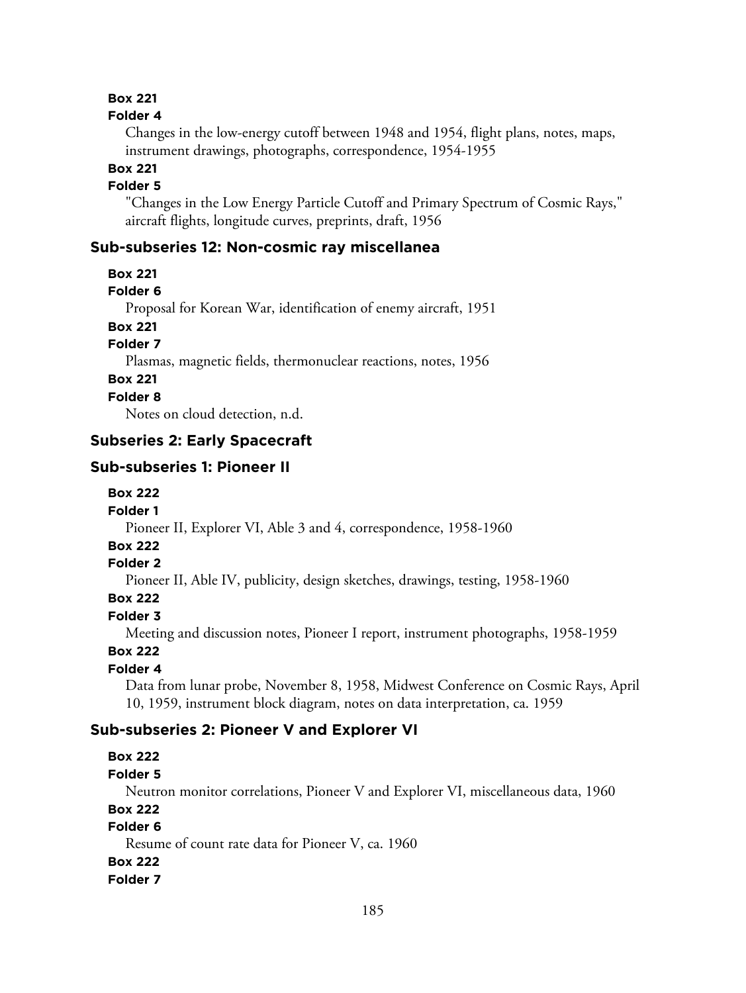#### **Folder 4**

Changes in the low-energy cutoff between 1948 and 1954, flight plans, notes, maps, instrument drawings, photographs, correspondence, 1954-1955

**Box 221**

## **Folder 5**

"Changes in the Low Energy Particle Cutoff and Primary Spectrum of Cosmic Rays," aircraft flights, longitude curves, preprints, draft, 1956

# **Sub-subseries 12: Non-cosmic ray miscellanea**

- **Box 221**
- **Folder 6**

Proposal for Korean War, identification of enemy aircraft, 1951

**Box 221**

**Folder 7**

Plasmas, magnetic fields, thermonuclear reactions, notes, 1956

# **Box 221**

**Folder 8**

Notes on cloud detection, n.d.

## **Subseries 2: Early Spacecraft**

#### **Sub-subseries 1: Pioneer II**

- **Box 222**
- **Folder 1**

Pioneer II, Explorer VI, Able 3 and 4, correspondence, 1958-1960

# **Box 222**

## **Folder 2**

Pioneer II, Able IV, publicity, design sketches, drawings, testing, 1958-1960

**Box 222**

## **Folder 3**

Meeting and discussion notes, Pioneer I report, instrument photographs, 1958-1959

#### **Box 222**

## **Folder 4**

Data from lunar probe, November 8, 1958, Midwest Conference on Cosmic Rays, April 10, 1959, instrument block diagram, notes on data interpretation, ca. 1959

### **Sub-subseries 2: Pioneer V and Explorer VI**

#### **Box 222**

**Folder 5**

Neutron monitor correlations, Pioneer V and Explorer VI, miscellaneous data, 1960

**Box 222**

#### **Folder 6**

Resume of count rate data for Pioneer V, ca. 1960

#### **Box 222**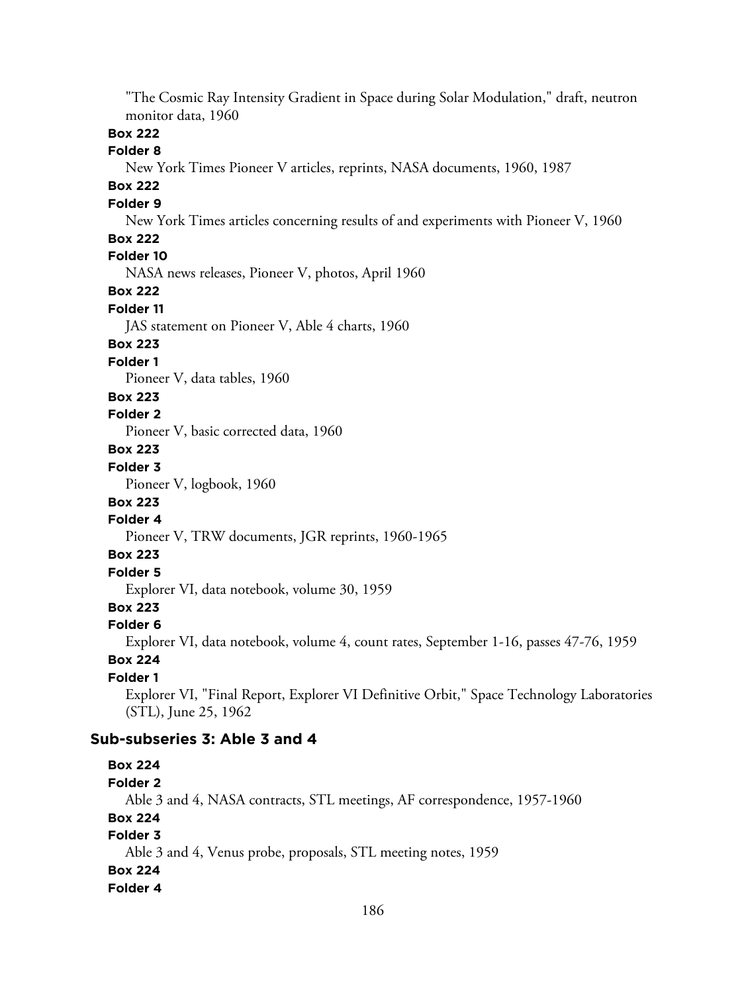"The Cosmic Ray Intensity Gradient in Space during Solar Modulation," draft, neutron monitor data, 1960

## **Box 222**

## **Folder 8**

New York Times Pioneer V articles, reprints, NASA documents, 1960, 1987

## **Box 222**

#### **Folder 9**

New York Times articles concerning results of and experiments with Pioneer V, 1960

## **Box 222**

# **Folder 10**

NASA news releases, Pioneer V, photos, April 1960

## **Box 222**

#### **Folder 11**

JAS statement on Pioneer V, Able 4 charts, 1960

#### **Box 223**

#### **Folder 1**

Pioneer V, data tables, 1960

### **Box 223**

## **Folder 2**

Pioneer V, basic corrected data, 1960

## **Box 223**

## **Folder 3**

Pioneer V, logbook, 1960

## **Box 223**

# **Folder 4**

Pioneer V, TRW documents, JGR reprints, 1960-1965

## **Box 223**

## **Folder 5**

Explorer VI, data notebook, volume 30, 1959

### **Box 223**

#### **Folder 6**

Explorer VI, data notebook, volume 4, count rates, September 1-16, passes 47-76, 1959

# **Box 224**

## **Folder 1**

Explorer VI, "Final Report, Explorer VI Definitive Orbit," Space Technology Laboratories (STL), June 25, 1962

#### **Sub-subseries 3: Able 3 and 4**

## **Box 224**

#### **Folder 2**

Able 3 and 4, NASA contracts, STL meetings, AF correspondence, 1957-1960

## **Box 224**

# **Folder 3**

Able 3 and 4, Venus probe, proposals, STL meeting notes, 1959

#### **Box 224**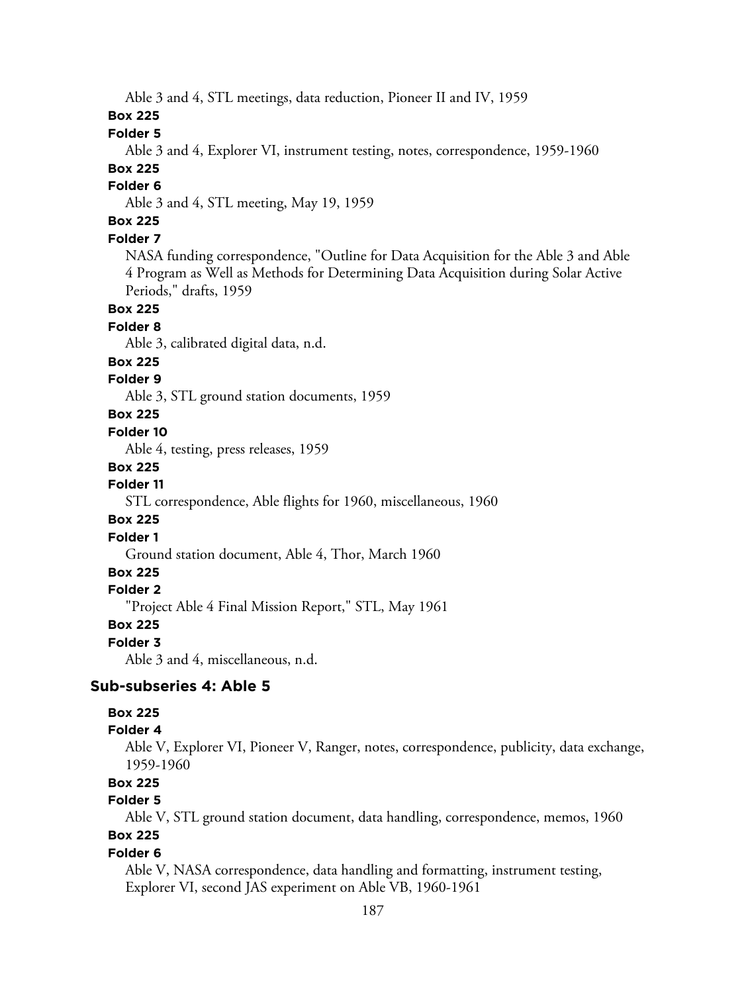Able 3 and 4, STL meetings, data reduction, Pioneer II and IV, 1959

## **Box 225**

**Folder 5**

Able 3 and 4, Explorer VI, instrument testing, notes, correspondence, 1959-1960

# **Box 225**

**Folder 6**

Able 3 and 4, STL meeting, May 19, 1959

# **Box 225**

## **Folder 7**

NASA funding correspondence, "Outline for Data Acquisition for the Able 3 and Able 4 Program as Well as Methods for Determining Data Acquisition during Solar Active Periods," drafts, 1959

## **Box 225**

#### **Folder 8**

Able 3, calibrated digital data, n.d.

#### **Box 225**

## **Folder 9**

Able 3, STL ground station documents, 1959

## **Box 225**

#### **Folder 10**

Able 4, testing, press releases, 1959

#### **Box 225**

#### **Folder 11**

STL correspondence, Able flights for 1960, miscellaneous, 1960

#### **Box 225**

#### **Folder 1**

Ground station document, Able 4, Thor, March 1960

# **Box 225**

## **Folder 2**

"Project Able 4 Final Mission Report," STL, May 1961

#### **Box 225**

#### **Folder 3**

Able 3 and 4, miscellaneous, n.d.

## **Sub-subseries 4: Able 5**

## **Box 225**

#### **Folder 4**

Able V, Explorer VI, Pioneer V, Ranger, notes, correspondence, publicity, data exchange, 1959-1960

# **Box 225**

# **Folder 5**

Able V, STL ground station document, data handling, correspondence, memos, 1960

# **Box 225**

## **Folder 6**

Able V, NASA correspondence, data handling and formatting, instrument testing, Explorer VI, second JAS experiment on Able VB, 1960-1961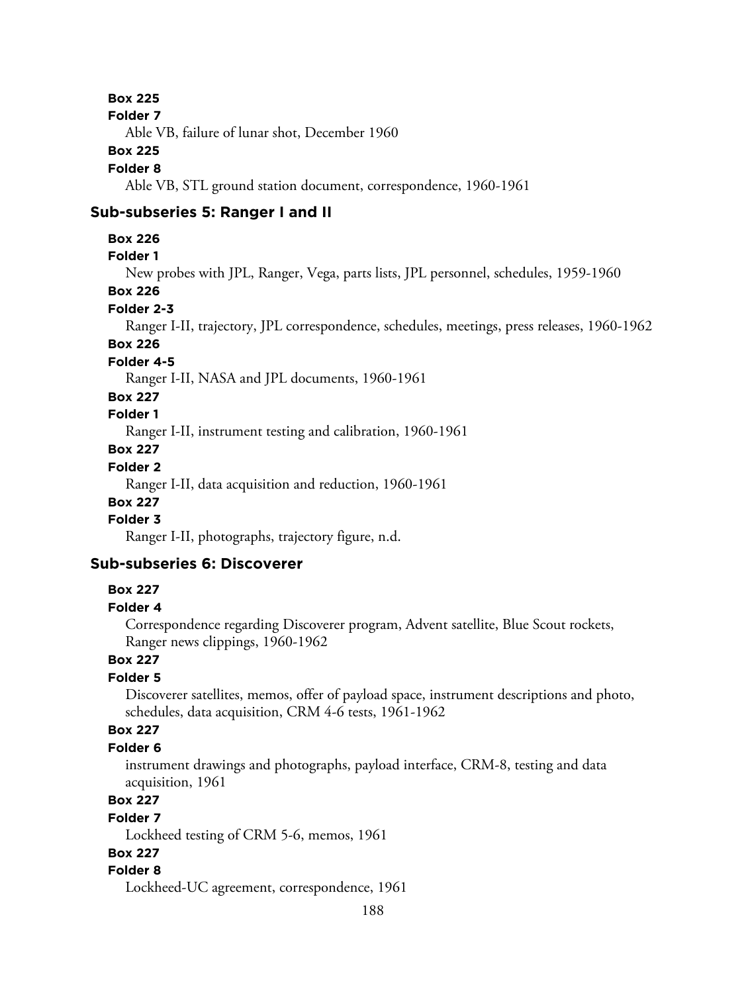#### **Folder 7**

Able VB, failure of lunar shot, December 1960

#### **Box 225**

## **Folder 8**

Able VB, STL ground station document, correspondence, 1960-1961

## **Sub-subseries 5: Ranger I and II**

## **Box 226**

## **Folder 1**

New probes with JPL, Ranger, Vega, parts lists, JPL personnel, schedules, 1959-1960

## **Box 226**

## **Folder 2-3**

Ranger I-II, trajectory, JPL correspondence, schedules, meetings, press releases, 1960-1962

# **Box 226**

# **Folder 4-5**

Ranger I-II, NASA and JPL documents, 1960-1961

## **Box 227**

# **Folder 1**

Ranger I-II, instrument testing and calibration, 1960-1961

## **Box 227**

# **Folder 2**

Ranger I-II, data acquisition and reduction, 1960-1961

# **Box 227**

# **Folder 3**

Ranger I-II, photographs, trajectory figure, n.d.

# **Sub-subseries 6: Discoverer**

## **Box 227**

## **Folder 4**

Correspondence regarding Discoverer program, Advent satellite, Blue Scout rockets, Ranger news clippings, 1960-1962

# **Box 227**

# **Folder 5**

Discoverer satellites, memos, offer of payload space, instrument descriptions and photo, schedules, data acquisition, CRM 4-6 tests, 1961-1962

## **Box 227**

## **Folder 6**

instrument drawings and photographs, payload interface, CRM-8, testing and data acquisition, 1961

# **Box 227**

## **Folder 7**

Lockheed testing of CRM 5-6, memos, 1961

## **Box 227**

## **Folder 8**

Lockheed-UC agreement, correspondence, 1961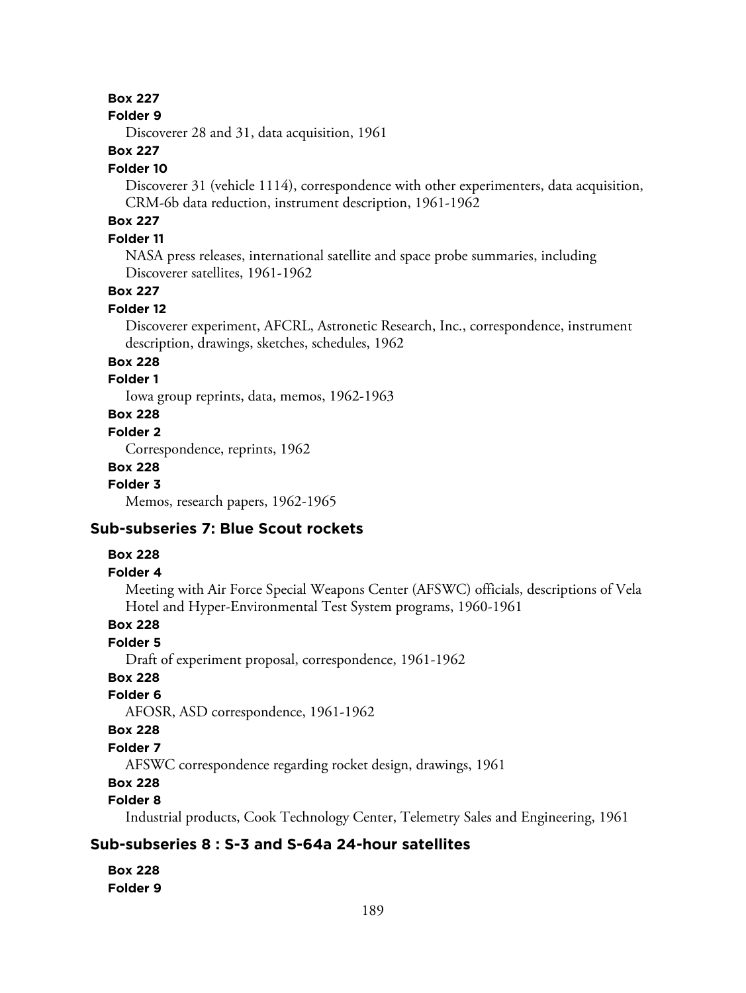#### **Folder 9**

Discoverer 28 and 31, data acquisition, 1961

## **Box 227**

#### **Folder 10**

Discoverer 31 (vehicle 1114), correspondence with other experimenters, data acquisition, CRM-6b data reduction, instrument description, 1961-1962

# **Box 227**

## **Folder 11**

NASA press releases, international satellite and space probe summaries, including Discoverer satellites, 1961-1962

## **Box 227**

#### **Folder 12**

Discoverer experiment, AFCRL, Astronetic Research, Inc., correspondence, instrument description, drawings, sketches, schedules, 1962

## **Box 228**

## **Folder 1**

Iowa group reprints, data, memos, 1962-1963

# **Box 228**

### **Folder 2**

Correspondence, reprints, 1962

### **Box 228**

**Folder 3**

Memos, research papers, 1962-1965

## **Sub-subseries 7: Blue Scout rockets**

## **Box 228**

## **Folder 4**

Meeting with Air Force Special Weapons Center (AFSWC) officials, descriptions of Vela Hotel and Hyper-Environmental Test System programs, 1960-1961

# **Box 228**

## **Folder 5**

Draft of experiment proposal, correspondence, 1961-1962

## **Box 228**

## **Folder 6**

AFOSR, ASD correspondence, 1961-1962

#### **Box 228**

## **Folder 7**

AFSWC correspondence regarding rocket design, drawings, 1961

# **Box 228**

## **Folder 8**

Industrial products, Cook Technology Center, Telemetry Sales and Engineering, 1961

# **Sub-subseries 8 : S-3 and S-64a 24-hour satellites**

**Box 228 Folder 9**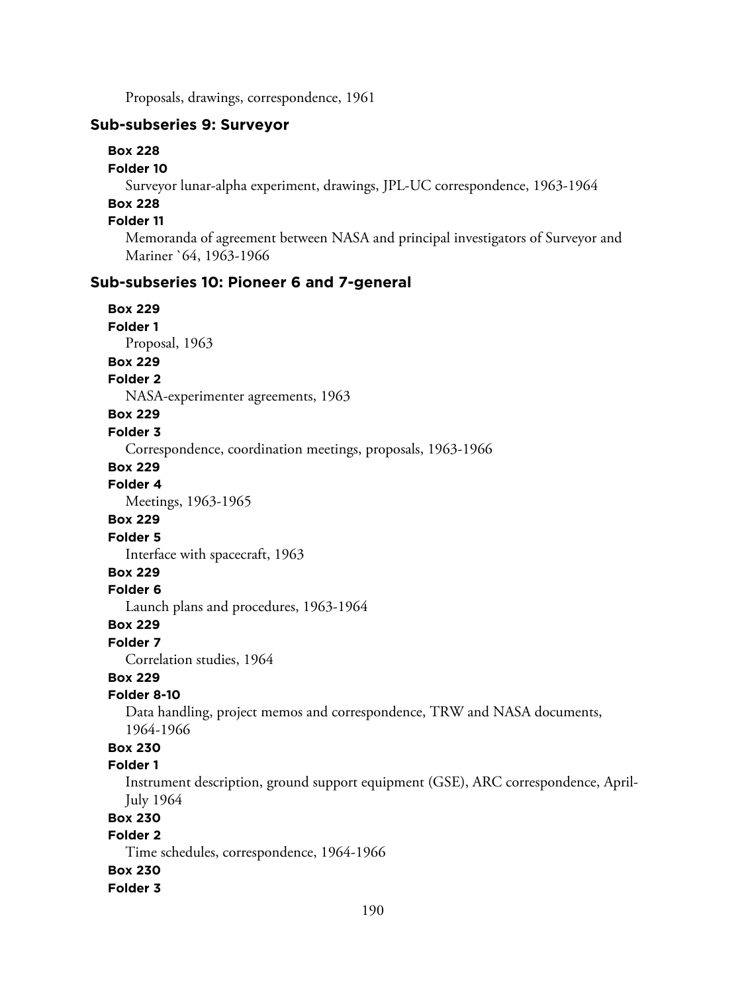Proposals, drawings, correspondence, 1961

## **Sub-subseries 9: Surveyor**

#### **Box 228**

#### **Folder 10**

Surveyor lunar-alpha experiment, drawings, JPL-UC correspondence, 1963-1964

# **Box 228**

# **Folder 11**

Memoranda of agreement between NASA and principal investigators of Surveyor and Mariner `64, 1963-1966

## **Sub-subseries 10: Pioneer 6 and 7-general**

**Box 229 Folder 1** Proposal, 1963 **Box 229 Folder 2** NASA-experimenter agreements, 1963 **Box 229 Folder 3** Correspondence, coordination meetings, proposals, 1963-1966 **Box 229 Folder 4** Meetings, 1963-1965 **Box 229 Folder 5** Interface with spacecraft, 1963 **Box 229 Folder 6** Launch plans and procedures, 1963-1964 **Box 229 Folder 7** Correlation studies, 1964

## **Box 229**

#### **Folder 8-10**

Data handling, project memos and correspondence, TRW and NASA documents, 1964-1966

# **Box 230**

# **Folder 1**

Instrument description, ground support equipment (GSE), ARC correspondence, April-July 1964

# **Box 230**

# **Folder 2**

Time schedules, correspondence, 1964-1966

#### **Box 230**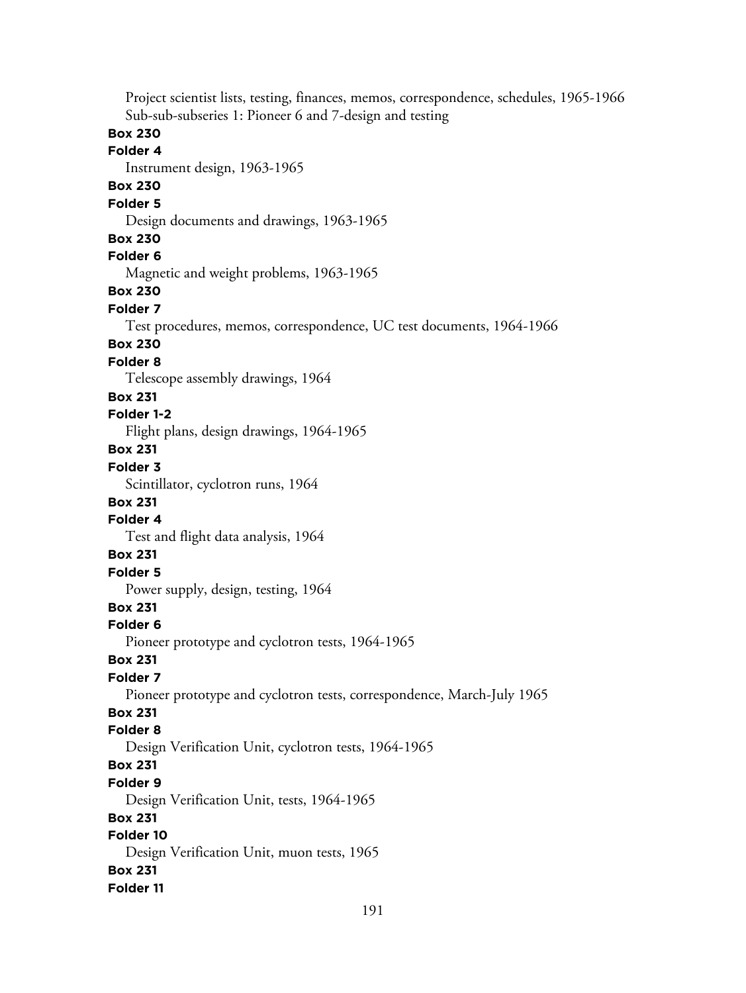Project scientist lists, testing, finances, memos, correspondence, schedules, 1965-1966 Sub-sub-subseries 1: Pioneer 6 and 7-design and testing **Box 230 Folder 4** Instrument design, 1963-1965 **Box 230 Folder 5** Design documents and drawings, 1963-1965 **Box 230 Folder 6** Magnetic and weight problems, 1963-1965 **Box 230 Folder 7** Test procedures, memos, correspondence, UC test documents, 1964-1966 **Box 230 Folder 8** Telescope assembly drawings, 1964 **Box 231 Folder 1-2** Flight plans, design drawings, 1964-1965 **Box 231 Folder 3** Scintillator, cyclotron runs, 1964 **Box 231 Folder 4** Test and flight data analysis, 1964 **Box 231 Folder 5** Power supply, design, testing, 1964 **Box 231 Folder 6** Pioneer prototype and cyclotron tests, 1964-1965 **Box 231 Folder 7** Pioneer prototype and cyclotron tests, correspondence, March-July 1965 **Box 231 Folder 8** Design Verification Unit, cyclotron tests, 1964-1965 **Box 231 Folder 9** Design Verification Unit, tests, 1964-1965 **Box 231 Folder 10** Design Verification Unit, muon tests, 1965 **Box 231 Folder 11**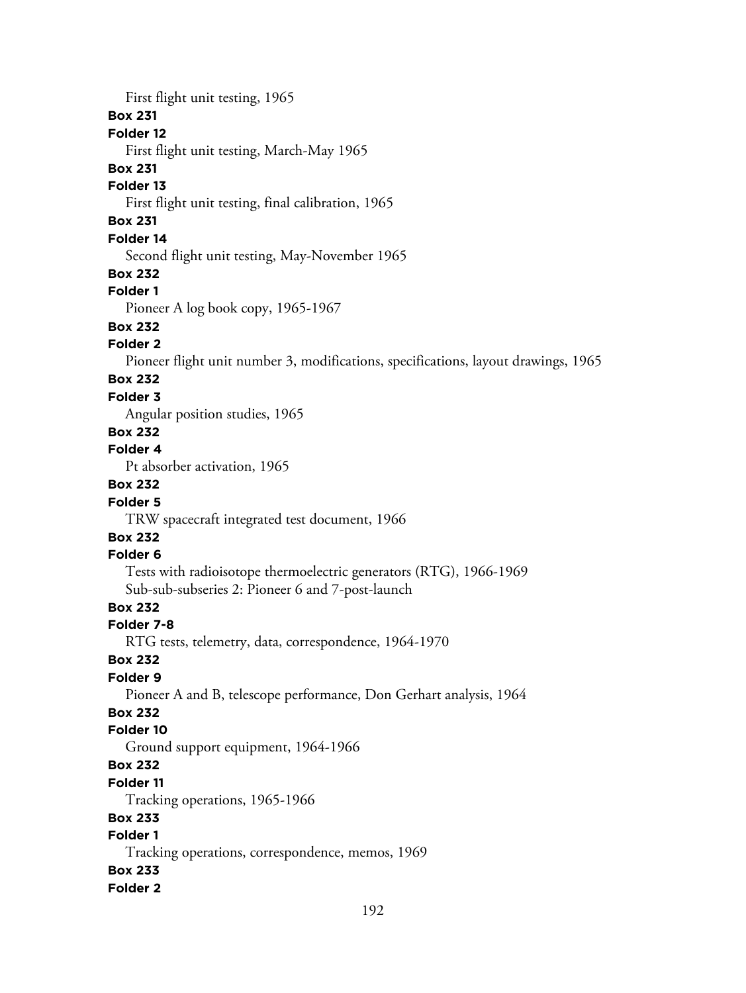First flight unit testing, 1965

## **Box 231**

## **Folder 12**

First flight unit testing, March-May 1965

## **Box 231**

### **Folder 13**

First flight unit testing, final calibration, 1965

# **Box 231**

# **Folder 14**

Second flight unit testing, May-November 1965

## **Box 232**

## **Folder 1**

Pioneer A log book copy, 1965-1967

# **Box 232**

## **Folder 2**

Pioneer flight unit number 3, modifications, specifications, layout drawings, 1965

# **Box 232**

## **Folder 3**

Angular position studies, 1965

# **Box 232**

# **Folder 4**

Pt absorber activation, 1965

# **Box 232**

# **Folder 5**

TRW spacecraft integrated test document, 1966

# **Box 232**

# **Folder 6**

Tests with radioisotope thermoelectric generators (RTG), 1966-1969 Sub-sub-subseries 2: Pioneer 6 and 7-post-launch

# **Box 232**

## **Folder 7-8**

RTG tests, telemetry, data, correspondence, 1964-1970

## **Box 232**

## **Folder 9**

Pioneer A and B, telescope performance, Don Gerhart analysis, 1964

# **Box 232**

## **Folder 10**

Ground support equipment, 1964-1966

## **Box 232**

#### **Folder 11**

Tracking operations, 1965-1966

## **Box 233**

# **Folder 1**

Tracking operations, correspondence, memos, 1969

#### **Box 233**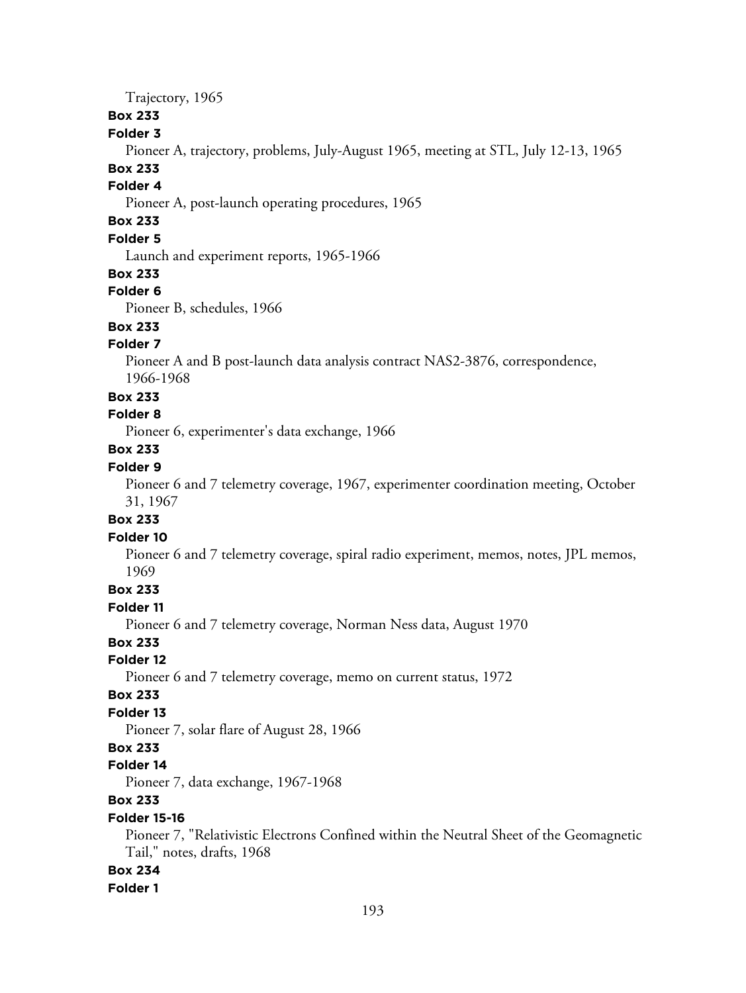Trajectory, 1965

## **Box 233**

## **Folder 3**

Pioneer A, trajectory, problems, July-August 1965, meeting at STL, July 12-13, 1965

# **Box 233**

# **Folder 4**

Pioneer A, post-launch operating procedures, 1965

# **Box 233**

# **Folder 5**

Launch and experiment reports, 1965-1966

#### **Box 233**

#### **Folder 6**

Pioneer B, schedules, 1966

# **Box 233**

# **Folder 7**

Pioneer A and B post-launch data analysis contract NAS2-3876, correspondence, 1966-1968

#### **Box 233**

## **Folder 8**

Pioneer 6, experimenter's data exchange, 1966

# **Box 233**

# **Folder 9**

Pioneer 6 and 7 telemetry coverage, 1967, experimenter coordination meeting, October 31, 1967

# **Box 233**

## **Folder 10**

Pioneer 6 and 7 telemetry coverage, spiral radio experiment, memos, notes, JPL memos, 1969

# **Box 233**

#### **Folder 11**

Pioneer 6 and 7 telemetry coverage, Norman Ness data, August 1970

## **Box 233**

#### **Folder 12**

Pioneer 6 and 7 telemetry coverage, memo on current status, 1972

### **Box 233**

## **Folder 13**

Pioneer 7, solar flare of August 28, 1966

### **Box 233**

#### **Folder 14**

Pioneer 7, data exchange, 1967-1968

## **Box 233**

#### **Folder 15-16**

Pioneer 7, "Relativistic Electrons Confined within the Neutral Sheet of the Geomagnetic Tail," notes, drafts, 1968

## **Box 234**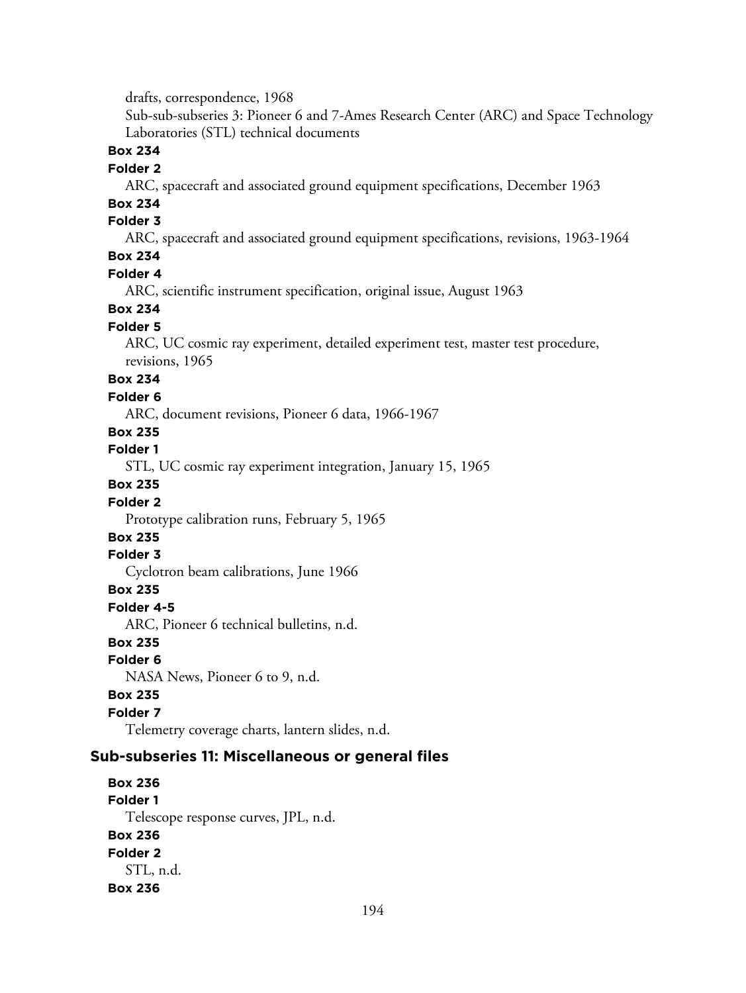drafts, correspondence, 1968

Sub-sub-subseries 3: Pioneer 6 and 7-Ames Research Center (ARC) and Space Technology Laboratories (STL) technical documents

**Box 234**

### **Folder 2**

ARC, spacecraft and associated ground equipment specifications, December 1963

# **Box 234**

# **Folder 3**

ARC, spacecraft and associated ground equipment specifications, revisions, 1963-1964

## **Box 234**

#### **Folder 4**

ARC, scientific instrument specification, original issue, August 1963

#### **Box 234**

## **Folder 5**

ARC, UC cosmic ray experiment, detailed experiment test, master test procedure, revisions, 1965

## **Box 234**

#### **Folder 6**

ARC, document revisions, Pioneer 6 data, 1966-1967

# **Box 235**

**Folder 1**

STL, UC cosmic ray experiment integration, January 15, 1965

## **Box 235**

#### **Folder 2**

Prototype calibration runs, February 5, 1965

## **Box 235**

#### **Folder 3**

Cyclotron beam calibrations, June 1966

#### **Box 235**

#### **Folder 4-5**

ARC, Pioneer 6 technical bulletins, n.d.

## **Box 235**

#### **Folder 6**

NASA News, Pioneer 6 to 9, n.d.

#### **Box 235**

## **Folder 7**

Telemetry coverage charts, lantern slides, n.d.

#### **Sub-subseries 11: Miscellaneous or general files**

## **Box 236 Folder 1** Telescope response curves, JPL, n.d. **Box 236 Folder 2** STL, n.d. **Box 236**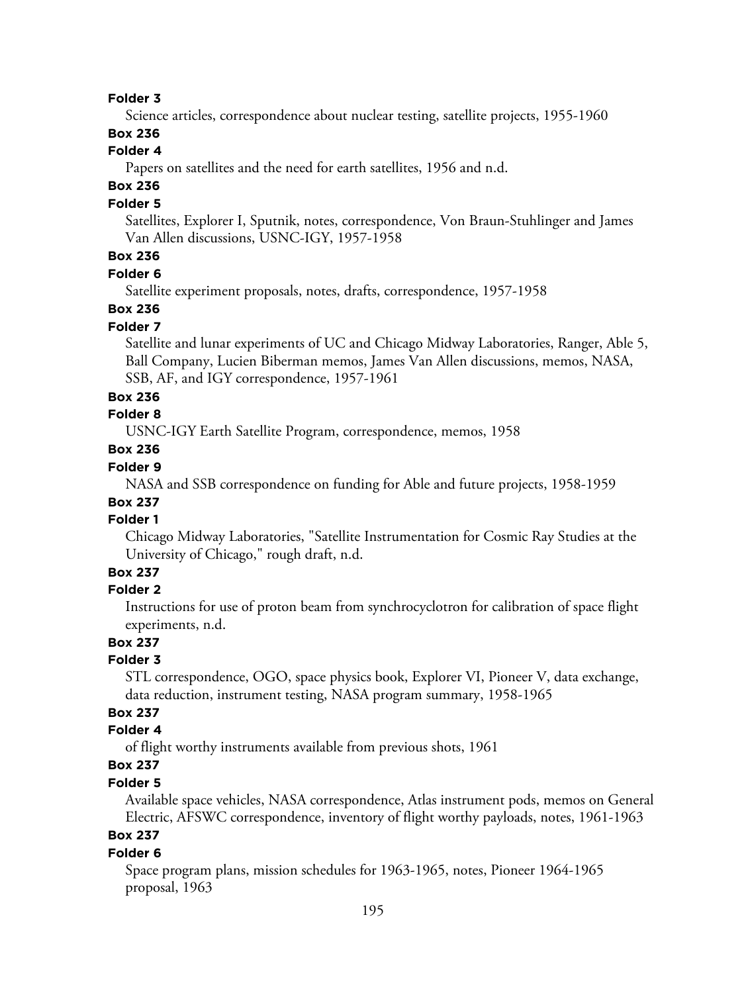#### **Folder 3**

Science articles, correspondence about nuclear testing, satellite projects, 1955-1960

## **Box 236**

# **Folder 4**

Papers on satellites and the need for earth satellites, 1956 and n.d.

# **Box 236**

## **Folder 5**

Satellites, Explorer I, Sputnik, notes, correspondence, Von Braun-Stuhlinger and James Van Allen discussions, USNC-IGY, 1957-1958

# **Box 236**

#### **Folder 6**

Satellite experiment proposals, notes, drafts, correspondence, 1957-1958

## **Box 236**

#### **Folder 7**

Satellite and lunar experiments of UC and Chicago Midway Laboratories, Ranger, Able 5, Ball Company, Lucien Biberman memos, James Van Allen discussions, memos, NASA, SSB, AF, and IGY correspondence, 1957-1961

#### **Box 236**

## **Folder 8**

USNC-IGY Earth Satellite Program, correspondence, memos, 1958

### **Box 236**

# **Folder 9**

NASA and SSB correspondence on funding for Able and future projects, 1958-1959

#### **Box 237 Folder 1**

Chicago Midway Laboratories, "Satellite Instrumentation for Cosmic Ray Studies at the University of Chicago," rough draft, n.d.

## **Box 237**

#### **Folder 2**

Instructions for use of proton beam from synchrocyclotron for calibration of space flight experiments, n.d.

## **Box 237**

#### **Folder 3**

STL correspondence, OGO, space physics book, Explorer VI, Pioneer V, data exchange, data reduction, instrument testing, NASA program summary, 1958-1965

# **Box 237**

## **Folder 4**

of flight worthy instruments available from previous shots, 1961

# **Box 237**

## **Folder 5**

Available space vehicles, NASA correspondence, Atlas instrument pods, memos on General Electric, AFSWC correspondence, inventory of flight worthy payloads, notes, 1961-1963

# **Box 237**

#### **Folder 6**

Space program plans, mission schedules for 1963-1965, notes, Pioneer 1964-1965 proposal, 1963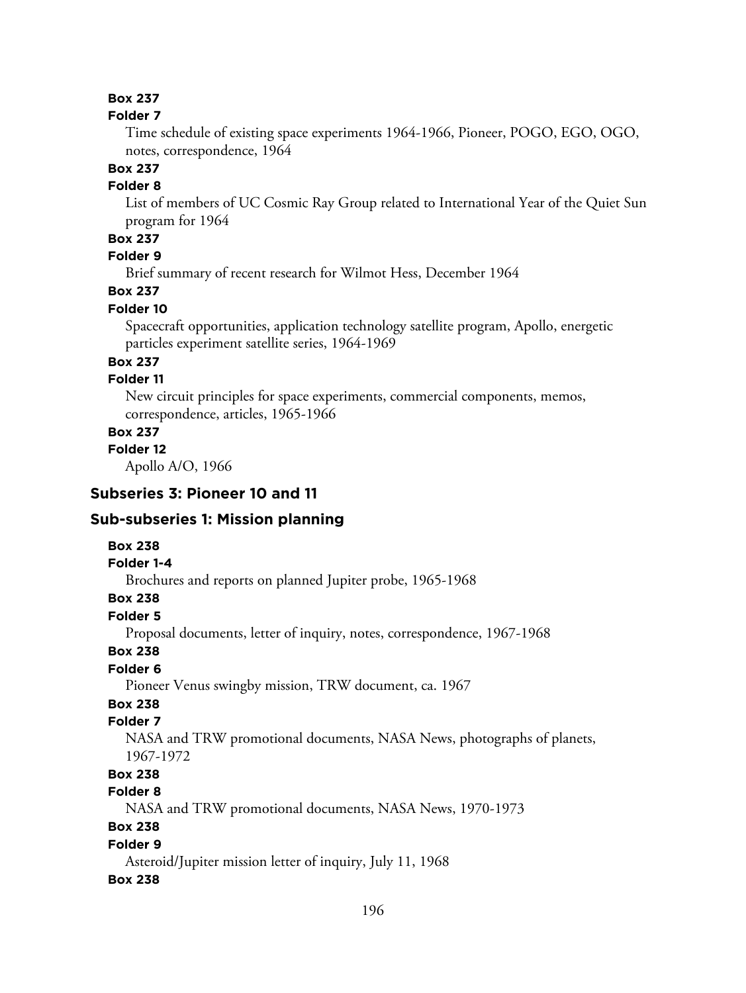#### **Folder 7**

Time schedule of existing space experiments 1964-1966, Pioneer, POGO, EGO, OGO, notes, correspondence, 1964

# **Box 237**

## **Folder 8**

List of members of UC Cosmic Ray Group related to International Year of the Quiet Sun program for 1964

# **Box 237**

# **Folder 9**

Brief summary of recent research for Wilmot Hess, December 1964

# **Box 237**

## **Folder 10**

Spacecraft opportunities, application technology satellite program, Apollo, energetic particles experiment satellite series, 1964-1969

## **Box 237**

## **Folder 11**

New circuit principles for space experiments, commercial components, memos, correspondence, articles, 1965-1966

#### **Box 237**

**Folder 12**

Apollo A/O, 1966

# **Subseries 3: Pioneer 10 and 11**

#### **Sub-subseries 1: Mission planning**

#### **Box 238**

#### **Folder 1-4**

Brochures and reports on planned Jupiter probe, 1965-1968

# **Box 238**

## **Folder 5**

Proposal documents, letter of inquiry, notes, correspondence, 1967-1968

### **Box 238**

## **Folder 6**

Pioneer Venus swingby mission, TRW document, ca. 1967

# **Box 238**

## **Folder 7**

NASA and TRW promotional documents, NASA News, photographs of planets, 1967-1972

## **Box 238**

### **Folder 8**

NASA and TRW promotional documents, NASA News, 1970-1973

# **Box 238**

#### **Folder 9**

Asteroid/Jupiter mission letter of inquiry, July 11, 1968

#### **Box 238**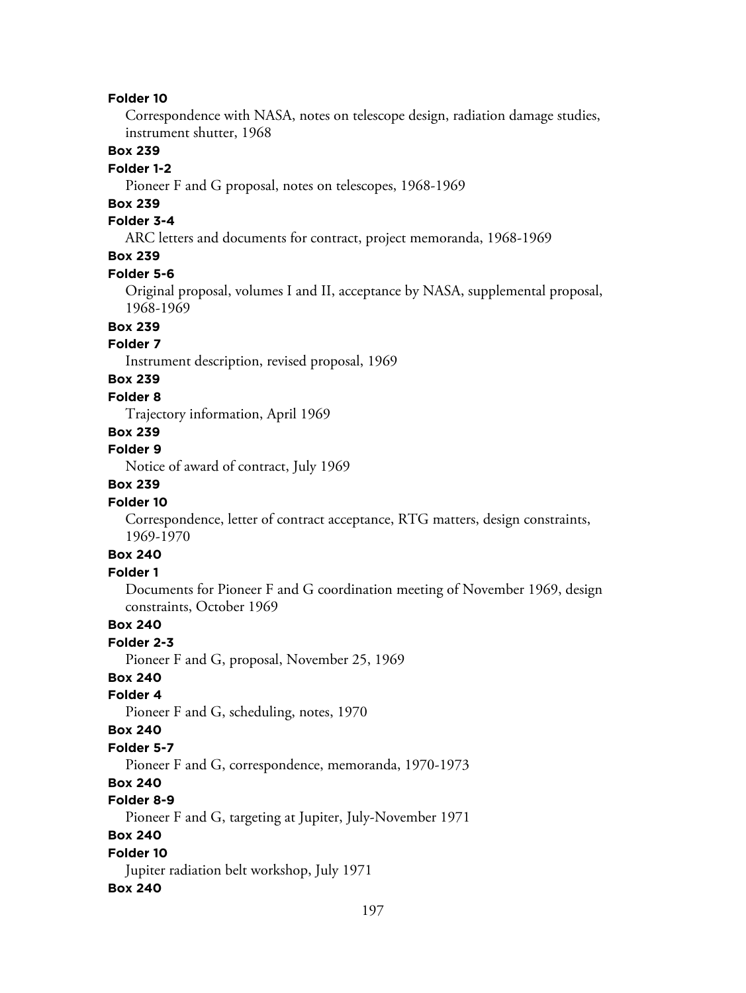#### **Folder 10**

Correspondence with NASA, notes on telescope design, radiation damage studies, instrument shutter, 1968

## **Box 239**

#### **Folder 1-2**

Pioneer F and G proposal, notes on telescopes, 1968-1969

# **Box 239**

#### **Folder 3-4**

ARC letters and documents for contract, project memoranda, 1968-1969

## **Box 239**

#### **Folder 5-6**

Original proposal, volumes I and II, acceptance by NASA, supplemental proposal, 1968-1969

# **Box 239**

## **Folder 7**

Instrument description, revised proposal, 1969

## **Box 239**

#### **Folder 8**

Trajectory information, April 1969

## **Box 239**

## **Folder 9**

Notice of award of contract, July 1969

## **Box 239**

#### **Folder 10**

Correspondence, letter of contract acceptance, RTG matters, design constraints, 1969-1970

## **Box 240**

### **Folder 1**

Documents for Pioneer F and G coordination meeting of November 1969, design constraints, October 1969

## **Box 240**

#### **Folder 2-3**

Pioneer F and G, proposal, November 25, 1969

## **Box 240**

### **Folder 4**

Pioneer F and G, scheduling, notes, 1970

#### **Box 240**

#### **Folder 5-7**

Pioneer F and G, correspondence, memoranda, 1970-1973

## **Box 240**

## **Folder 8-9**

Pioneer F and G, targeting at Jupiter, July-November 1971

## **Box 240**

## **Folder 10**

Jupiter radiation belt workshop, July 1971

#### **Box 240**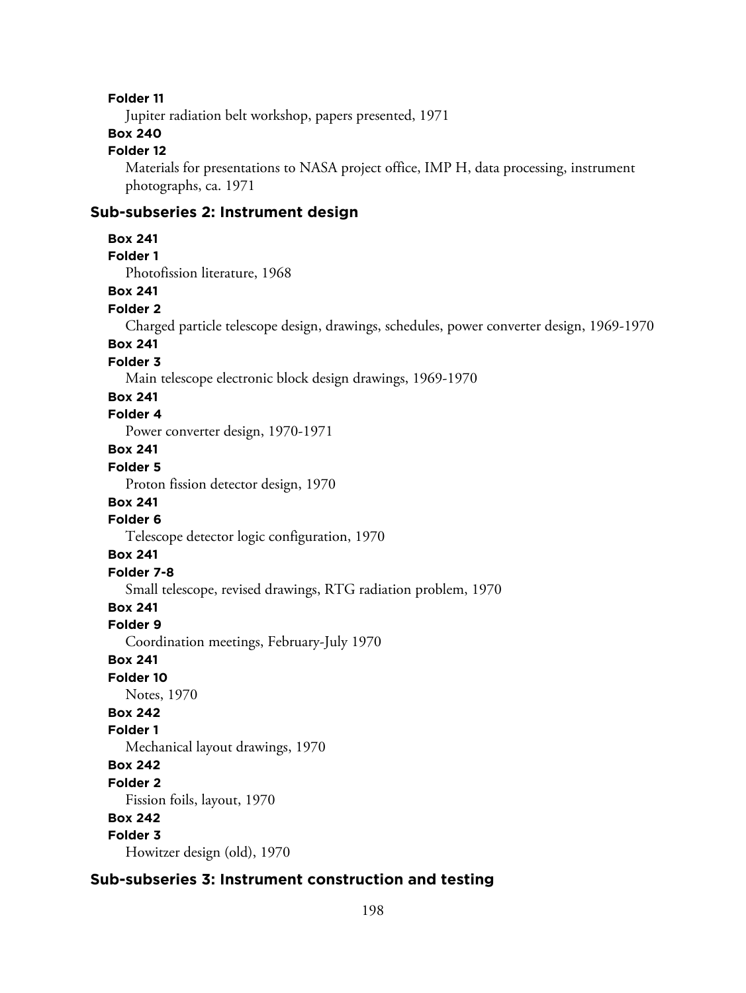#### **Folder 11**

Jupiter radiation belt workshop, papers presented, 1971

# **Box 240**

# **Folder 12**

Materials for presentations to NASA project office, IMP H, data processing, instrument photographs, ca. 1971

## **Sub-subseries 2: Instrument design**

### **Box 241**

**Folder 1**

Photofission literature, 1968

## **Box 241**

## **Folder 2**

Charged particle telescope design, drawings, schedules, power converter design, 1969-1970

## **Box 241**

**Folder 3**

Main telescope electronic block design drawings, 1969-1970

## **Box 241**

## **Folder 4**

Power converter design, 1970-1971

# **Box 241**

# **Folder 5**

Proton fission detector design, 1970

# **Box 241**

## **Folder 6**

Telescope detector logic configuration, 1970

## **Box 241**

## **Folder 7-8**

Small telescope, revised drawings, RTG radiation problem, 1970

# **Box 241**

## **Folder 9**

Coordination meetings, February-July 1970

## **Box 241**

**Folder 10**

## Notes, 1970

# **Box 242**

**Folder 1**

Mechanical layout drawings, 1970

## **Box 242**

## **Folder 2**

Fission foils, layout, 1970

## **Box 242**

## **Folder 3**

Howitzer design (old), 1970

# **Sub-subseries 3: Instrument construction and testing**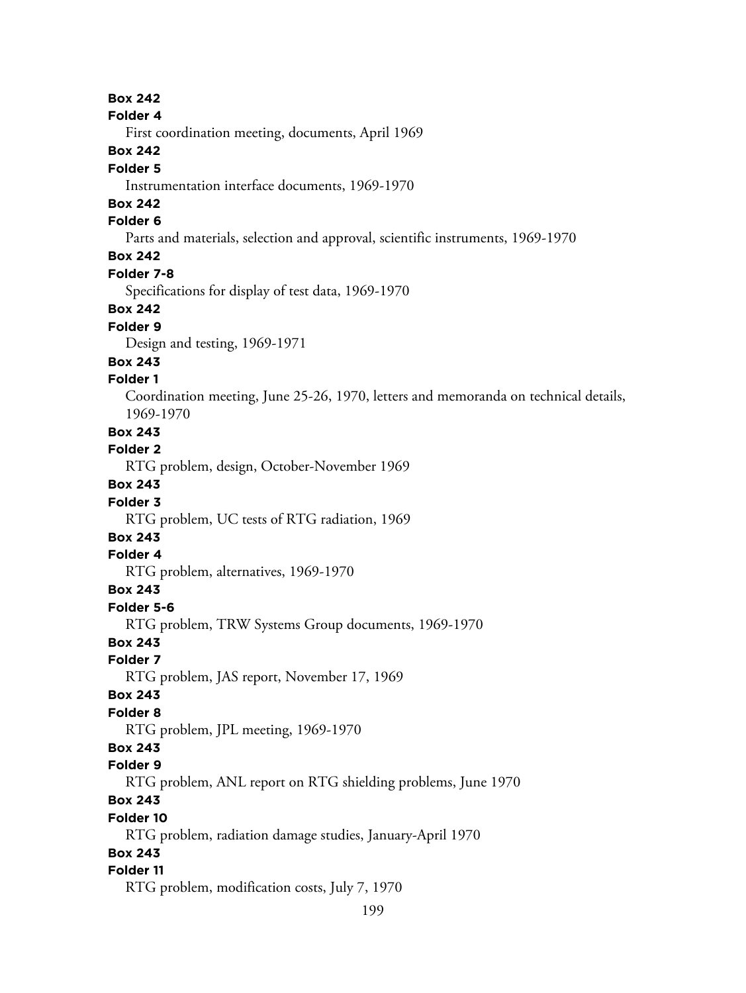#### **Folder 4**

First coordination meeting, documents, April 1969

## **Box 242**

### **Folder 5**

Instrumentation interface documents, 1969-1970

# **Box 242**

# **Folder 6**

Parts and materials, selection and approval, scientific instruments, 1969-1970

# **Box 242**

#### **Folder 7-8**

Specifications for display of test data, 1969-1970

## **Box 242**

## **Folder 9**

Design and testing, 1969-1971

#### **Box 243**

#### **Folder 1**

Coordination meeting, June 25-26, 1970, letters and memoranda on technical details, 1969-1970

### **Box 243**

#### **Folder 2**

RTG problem, design, October-November 1969

## **Box 243**

#### **Folder 3**

RTG problem, UC tests of RTG radiation, 1969

# **Box 243**

## **Folder 4**

RTG problem, alternatives, 1969-1970

## **Box 243**

## **Folder 5-6**

RTG problem, TRW Systems Group documents, 1969-1970

## **Box 243**

#### **Folder 7**

RTG problem, JAS report, November 17, 1969

#### **Box 243**

### **Folder 8**

RTG problem, JPL meeting, 1969-1970

# **Box 243**

## **Folder 9**

RTG problem, ANL report on RTG shielding problems, June 1970

# **Box 243**

#### **Folder 10**

RTG problem, radiation damage studies, January-April 1970

## **Box 243**

## **Folder 11**

RTG problem, modification costs, July 7, 1970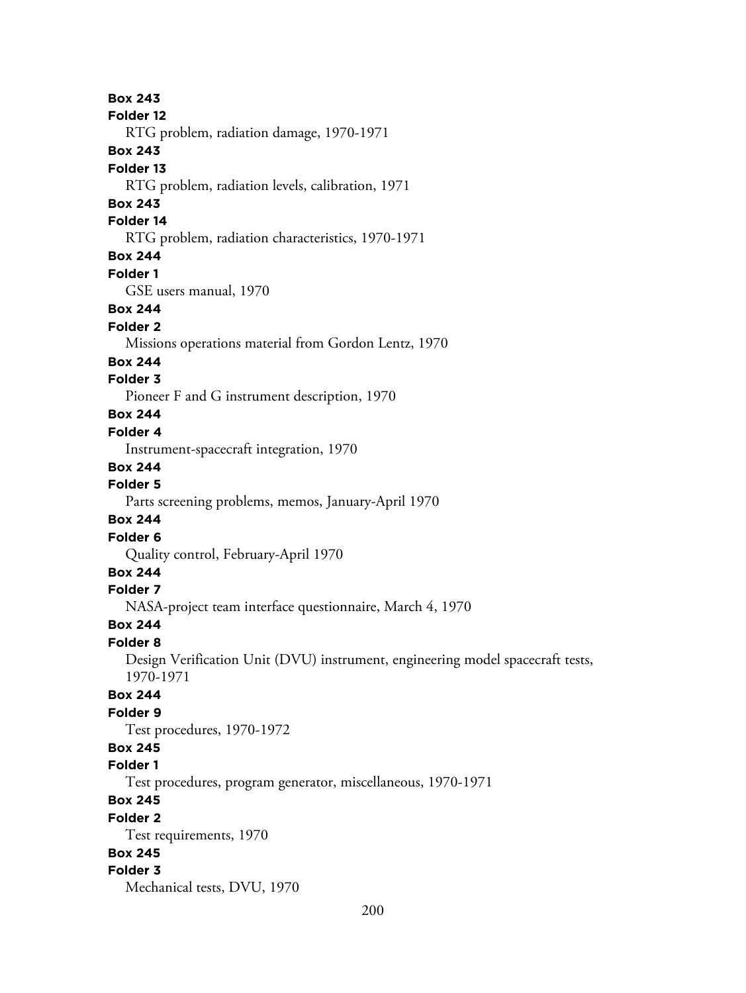**Box 243 Folder 12** RTG problem, radiation damage, 1970-1971 **Box 243 Folder 13** RTG problem, radiation levels, calibration, 1971 **Box 243 Folder 14** RTG problem, radiation characteristics, 1970-1971 **Box 244 Folder 1** GSE users manual, 1970 **Box 244 Folder 2** Missions operations material from Gordon Lentz, 1970 **Box 244 Folder 3** Pioneer F and G instrument description, 1970 **Box 244 Folder 4** Instrument-spacecraft integration, 1970 **Box 244 Folder 5** Parts screening problems, memos, January-April 1970 **Box 244 Folder 6** Quality control, February-April 1970 **Box 244 Folder 7** NASA-project team interface questionnaire, March 4, 1970 **Box 244 Folder 8** Design Verification Unit (DVU) instrument, engineering model spacecraft tests, 1970-1971 **Box 244 Folder 9** Test procedures, 1970-1972 **Box 245 Folder 1** Test procedures, program generator, miscellaneous, 1970-1971 **Box 245 Folder 2** Test requirements, 1970 **Box 245 Folder 3** Mechanical tests, DVU, 1970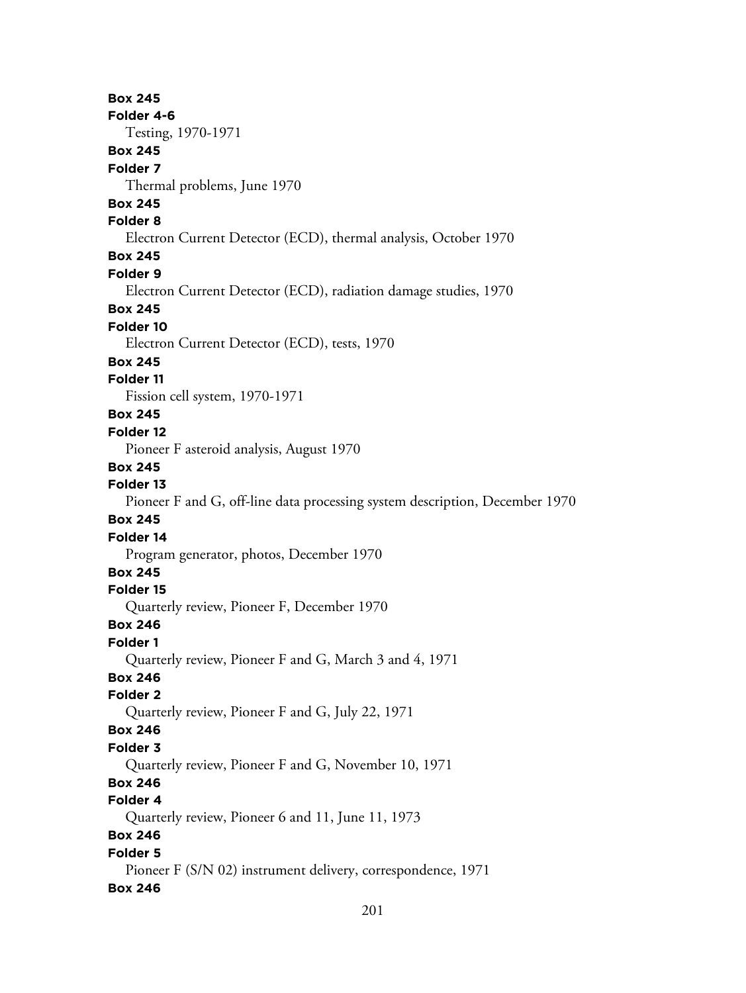**Box 245 Folder 4-6** Testing, 1970-1971 **Box 245 Folder 7** Thermal problems, June 1970 **Box 245 Folder 8** Electron Current Detector (ECD), thermal analysis, October 1970 **Box 245 Folder 9** Electron Current Detector (ECD), radiation damage studies, 1970 **Box 245 Folder 10** Electron Current Detector (ECD), tests, 1970 **Box 245 Folder 11** Fission cell system, 1970-1971 **Box 245 Folder 12** Pioneer F asteroid analysis, August 1970 **Box 245 Folder 13** Pioneer F and G, off-line data processing system description, December 1970 **Box 245 Folder 14** Program generator, photos, December 1970 **Box 245 Folder 15** Quarterly review, Pioneer F, December 1970 **Box 246 Folder 1** Quarterly review, Pioneer F and G, March 3 and 4, 1971 **Box 246 Folder 2** Quarterly review, Pioneer F and G, July 22, 1971 **Box 246 Folder 3** Quarterly review, Pioneer F and G, November 10, 1971 **Box 246 Folder 4** Quarterly review, Pioneer 6 and 11, June 11, 1973 **Box 246 Folder 5** Pioneer F (S/N 02) instrument delivery, correspondence, 1971 **Box 246**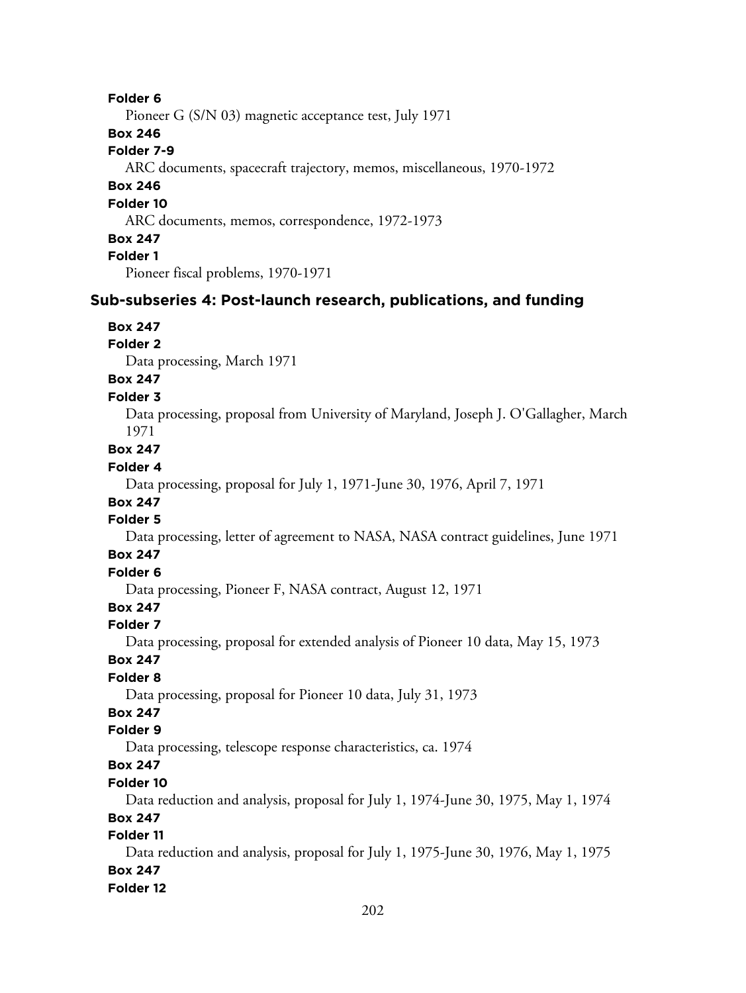## **Folder 6**

Pioneer G (S/N 03) magnetic acceptance test, July 1971

### **Box 246**

## **Folder 7-9**

ARC documents, spacecraft trajectory, memos, miscellaneous, 1970-1972

## **Box 246**

#### **Folder 10**

ARC documents, memos, correspondence, 1972-1973

#### **Box 247**

**Folder 1**

Pioneer fiscal problems, 1970-1971

## **Sub-subseries 4: Post-launch research, publications, and funding**

## **Box 247**

#### **Folder 2**

Data processing, March 1971

# **Box 247**

## **Folder 3**

Data processing, proposal from University of Maryland, Joseph J. O'Gallagher, March 1971

# **Box 247**

## **Folder 4**

Data processing, proposal for July 1, 1971-June 30, 1976, April 7, 1971

# **Box 247**

# **Folder 5**

Data processing, letter of agreement to NASA, NASA contract guidelines, June 1971

## **Box 247**

# **Folder 6**

Data processing, Pioneer F, NASA contract, August 12, 1971

# **Box 247**

## **Folder 7**

Data processing, proposal for extended analysis of Pioneer 10 data, May 15, 1973

## **Box 247**

## **Folder 8**

Data processing, proposal for Pioneer 10 data, July 31, 1973

# **Box 247**

## **Folder 9**

Data processing, telescope response characteristics, ca. 1974

# **Box 247**

## **Folder 10**

Data reduction and analysis, proposal for July 1, 1974-June 30, 1975, May 1, 1974

#### **Box 247**

## **Folder 11**

Data reduction and analysis, proposal for July 1, 1975-June 30, 1976, May 1, 1975 **Box 247**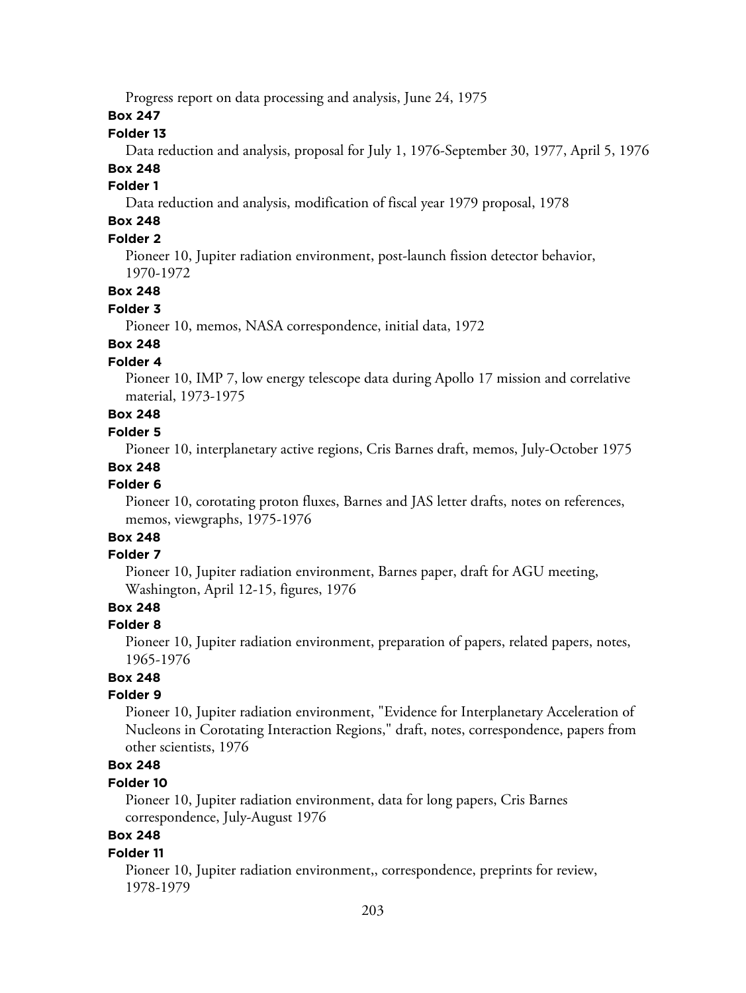Progress report on data processing and analysis, June 24, 1975

**Box 247**

### **Folder 13**

Data reduction and analysis, proposal for July 1, 1976-September 30, 1977, April 5, 1976

# **Box 248**

# **Folder 1**

Data reduction and analysis, modification of fiscal year 1979 proposal, 1978

# **Box 248**

# **Folder 2**

Pioneer 10, Jupiter radiation environment, post-launch fission detector behavior, 1970-1972

#### **Box 248**

#### **Folder 3**

Pioneer 10, memos, NASA correspondence, initial data, 1972

# **Box 248**

# **Folder 4**

Pioneer 10, IMP 7, low energy telescope data during Apollo 17 mission and correlative material, 1973-1975

# **Box 248**

## **Folder 5**

Pioneer 10, interplanetary active regions, Cris Barnes draft, memos, July-October 1975

#### **Box 248**

## **Folder 6**

Pioneer 10, corotating proton fluxes, Barnes and JAS letter drafts, notes on references, memos, viewgraphs, 1975-1976

# **Box 248**

## **Folder 7**

Pioneer 10, Jupiter radiation environment, Barnes paper, draft for AGU meeting, Washington, April 12-15, figures, 1976

## **Box 248**

#### **Folder 8**

Pioneer 10, Jupiter radiation environment, preparation of papers, related papers, notes, 1965-1976

# **Box 248**

## **Folder 9**

Pioneer 10, Jupiter radiation environment, "Evidence for Interplanetary Acceleration of Nucleons in Corotating Interaction Regions," draft, notes, correspondence, papers from other scientists, 1976

# **Box 248**

## **Folder 10**

Pioneer 10, Jupiter radiation environment, data for long papers, Cris Barnes correspondence, July-August 1976

# **Box 248**

#### **Folder 11**

Pioneer 10, Jupiter radiation environment,, correspondence, preprints for review, 1978-1979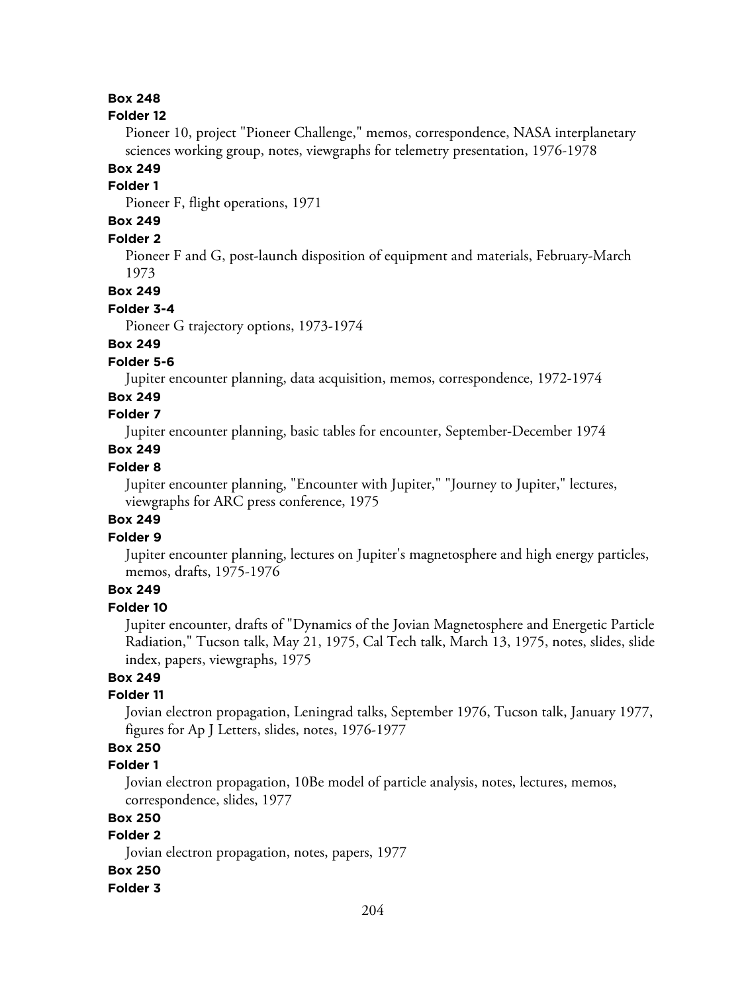#### **Folder 12**

Pioneer 10, project "Pioneer Challenge," memos, correspondence, NASA interplanetary sciences working group, notes, viewgraphs for telemetry presentation, 1976-1978

# **Box 249**

#### **Folder 1**

Pioneer F, flight operations, 1971

# **Box 249**

## **Folder 2**

Pioneer F and G, post-launch disposition of equipment and materials, February-March 1973

## **Box 249**

#### **Folder 3-4**

Pioneer G trajectory options, 1973-1974

## **Box 249**

#### **Folder 5-6**

Jupiter encounter planning, data acquisition, memos, correspondence, 1972-1974

### **Box 249**

## **Folder 7**

Jupiter encounter planning, basic tables for encounter, September-December 1974

## **Box 249**

## **Folder 8**

Jupiter encounter planning, "Encounter with Jupiter," "Journey to Jupiter," lectures, viewgraphs for ARC press conference, 1975

## **Box 249**

## **Folder 9**

Jupiter encounter planning, lectures on Jupiter's magnetosphere and high energy particles, memos, drafts, 1975-1976

## **Box 249**

# **Folder 10**

Jupiter encounter, drafts of "Dynamics of the Jovian Magnetosphere and Energetic Particle Radiation," Tucson talk, May 21, 1975, Cal Tech talk, March 13, 1975, notes, slides, slide index, papers, viewgraphs, 1975

## **Box 249**

## **Folder 11**

Jovian electron propagation, Leningrad talks, September 1976, Tucson talk, January 1977, figures for Ap J Letters, slides, notes, 1976-1977

# **Box 250**

## **Folder 1**

Jovian electron propagation, 10Be model of particle analysis, notes, lectures, memos, correspondence, slides, 1977

## **Box 250**

## **Folder 2**

Jovian electron propagation, notes, papers, 1977

## **Box 250**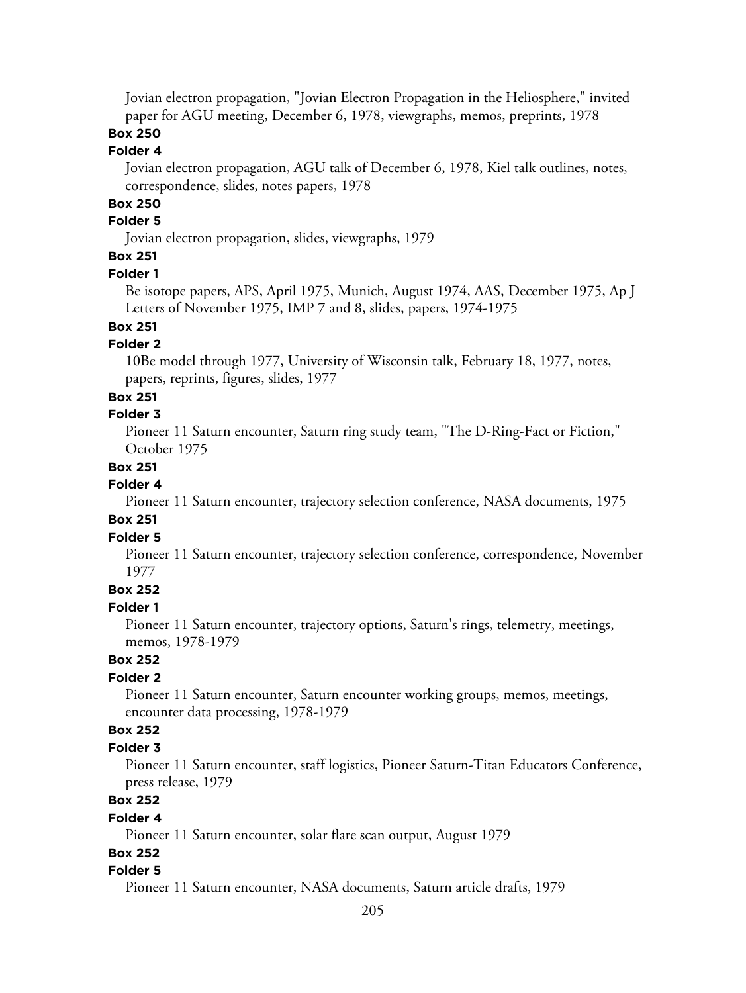Jovian electron propagation, "Jovian Electron Propagation in the Heliosphere," invited paper for AGU meeting, December 6, 1978, viewgraphs, memos, preprints, 1978

# **Box 250**

## **Folder 4**

Jovian electron propagation, AGU talk of December 6, 1978, Kiel talk outlines, notes, correspondence, slides, notes papers, 1978

# **Box 250**

## **Folder 5**

Jovian electron propagation, slides, viewgraphs, 1979

# **Box 251**

#### **Folder 1**

Be isotope papers, APS, April 1975, Munich, August 1974, AAS, December 1975, Ap J Letters of November 1975, IMP 7 and 8, slides, papers, 1974-1975

# **Box 251**

## **Folder 2**

10Be model through 1977, University of Wisconsin talk, February 18, 1977, notes, papers, reprints, figures, slides, 1977

#### **Box 251**

## **Folder 3**

Pioneer 11 Saturn encounter, Saturn ring study team, "The D-Ring-Fact or Fiction," October 1975

## **Box 251**

## **Folder 4**

Pioneer 11 Saturn encounter, trajectory selection conference, NASA documents, 1975

## **Box 251**

## **Folder 5**

Pioneer 11 Saturn encounter, trajectory selection conference, correspondence, November 1977

## **Box 252**

### **Folder 1**

Pioneer 11 Saturn encounter, trajectory options, Saturn's rings, telemetry, meetings, memos, 1978-1979

# **Box 252**

## **Folder 2**

Pioneer 11 Saturn encounter, Saturn encounter working groups, memos, meetings, encounter data processing, 1978-1979

### **Box 252**

## **Folder 3**

Pioneer 11 Saturn encounter, staff logistics, Pioneer Saturn-Titan Educators Conference, press release, 1979

# **Box 252**

#### **Folder 4**

Pioneer 11 Saturn encounter, solar flare scan output, August 1979

### **Box 252**

#### **Folder 5**

Pioneer 11 Saturn encounter, NASA documents, Saturn article drafts, 1979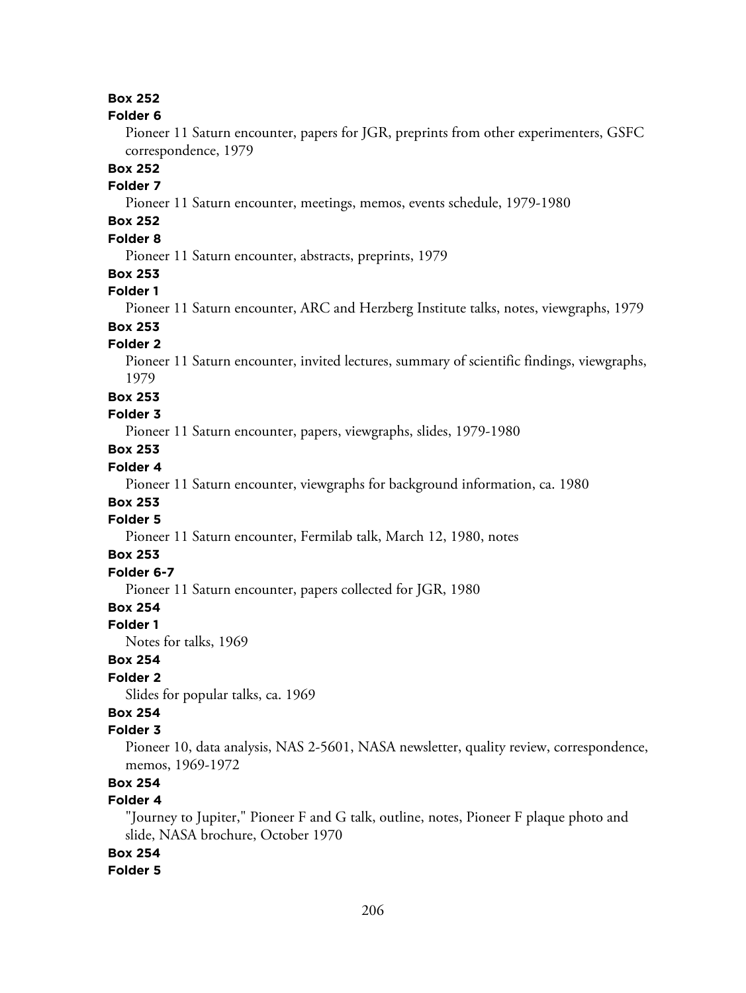#### **Folder 6**

Pioneer 11 Saturn encounter, papers for JGR, preprints from other experimenters, GSFC correspondence, 1979

### **Box 252**

## **Folder 7**

Pioneer 11 Saturn encounter, meetings, memos, events schedule, 1979-1980

# **Box 252**

# **Folder 8**

Pioneer 11 Saturn encounter, abstracts, preprints, 1979

### **Box 253**

#### **Folder 1**

Pioneer 11 Saturn encounter, ARC and Herzberg Institute talks, notes, viewgraphs, 1979

# **Box 253**

## **Folder 2**

Pioneer 11 Saturn encounter, invited lectures, summary of scientific findings, viewgraphs, 1979

#### **Box 253**

#### **Folder 3**

Pioneer 11 Saturn encounter, papers, viewgraphs, slides, 1979-1980

# **Box 253**

## **Folder 4**

Pioneer 11 Saturn encounter, viewgraphs for background information, ca. 1980

## **Box 253**

## **Folder 5**

Pioneer 11 Saturn encounter, Fermilab talk, March 12, 1980, notes

## **Box 253**

## **Folder 6-7**

Pioneer 11 Saturn encounter, papers collected for JGR, 1980

# **Box 254**

#### **Folder 1**

Notes for talks, 1969

## **Box 254**

## **Folder 2**

Slides for popular talks, ca. 1969

# **Box 254**

#### **Folder 3**

Pioneer 10, data analysis, NAS 2-5601, NASA newsletter, quality review, correspondence, memos, 1969-1972

# **Box 254**

## **Folder 4**

"Journey to Jupiter," Pioneer F and G talk, outline, notes, Pioneer F plaque photo and slide, NASA brochure, October 1970

## **Box 254**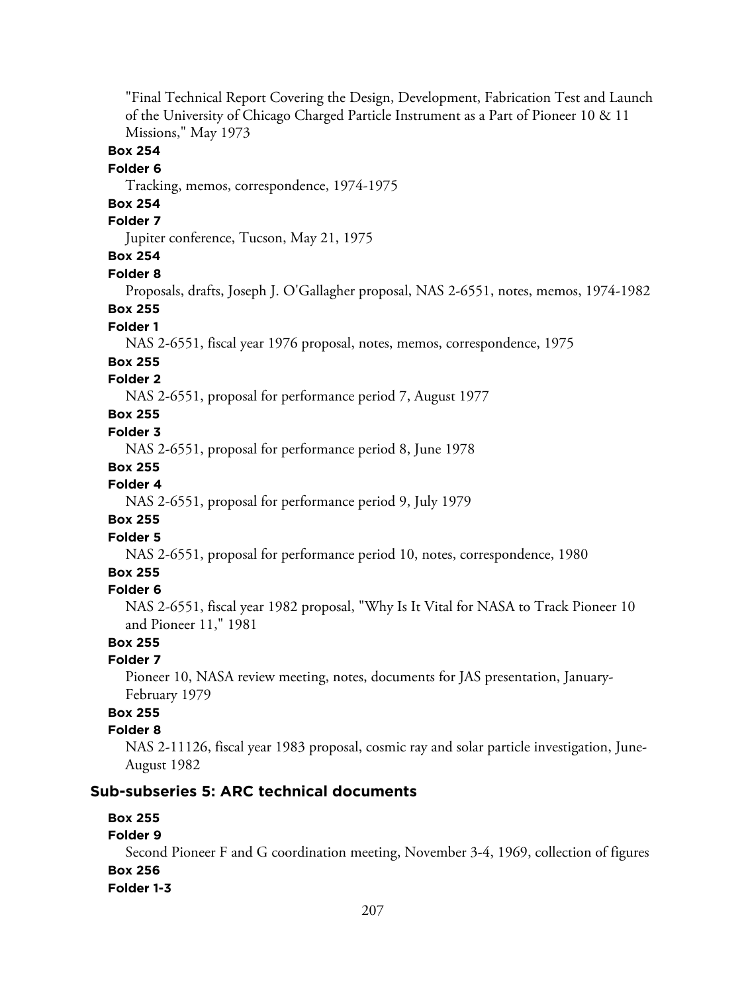"Final Technical Report Covering the Design, Development, Fabrication Test and Launch of the University of Chicago Charged Particle Instrument as a Part of Pioneer 10 & 11 Missions," May 1973 **Box 254 Folder 6** Tracking, memos, correspondence, 1974-1975 **Box 254 Folder 7** Jupiter conference, Tucson, May 21, 1975 **Box 254 Folder 8** Proposals, drafts, Joseph J. O'Gallagher proposal, NAS 2-6551, notes, memos, 1974-1982 **Box 255 Folder 1** NAS 2-6551, fiscal year 1976 proposal, notes, memos, correspondence, 1975 **Box 255 Folder 2** NAS 2-6551, proposal for performance period 7, August 1977 **Box 255 Folder 3** NAS 2-6551, proposal for performance period 8, June 1978 **Box 255 Folder 4** NAS 2-6551, proposal for performance period 9, July 1979 **Box 255 Folder 5** NAS 2-6551, proposal for performance period 10, notes, correspondence, 1980 **Box 255 Folder 6** NAS 2-6551, fiscal year 1982 proposal, "Why Is It Vital for NASA to Track Pioneer 10 and Pioneer 11," 1981 **Box 255 Folder 7** Pioneer 10, NASA review meeting, notes, documents for JAS presentation, January-February 1979 **Box 255 Folder 8** NAS 2-11126, fiscal year 1983 proposal, cosmic ray and solar particle investigation, June-August 1982 **Sub-subseries 5: ARC technical documents Box 255 Folder 9**

Second Pioneer F and G coordination meeting, November 3-4, 1969, collection of figures **Box 256 Folder 1-3**

#### 207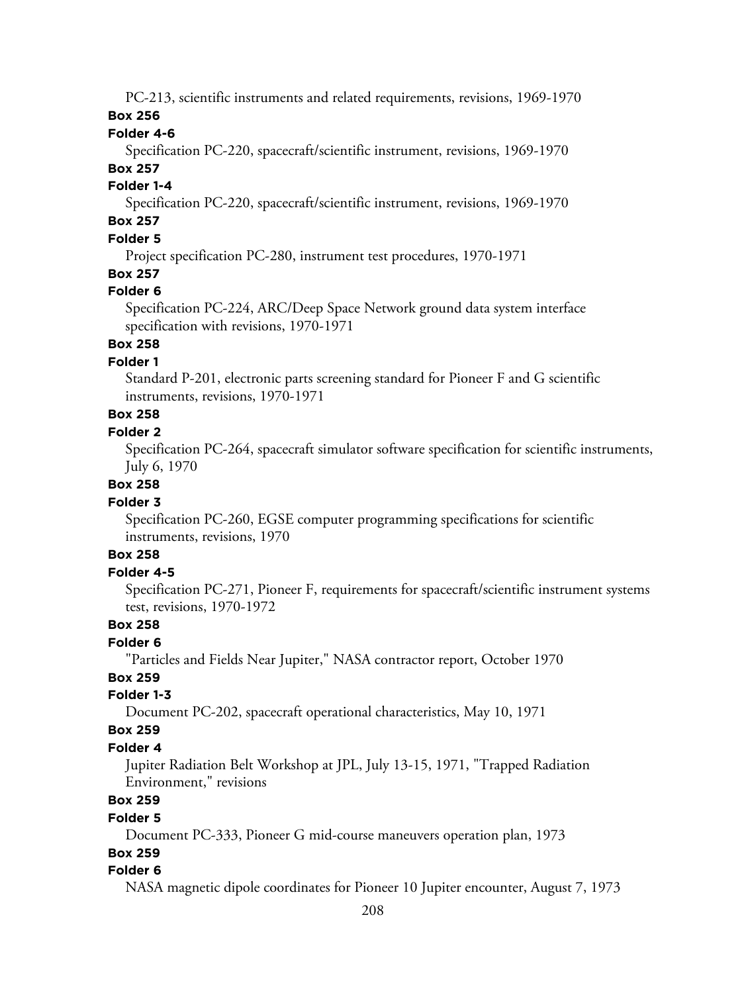PC-213, scientific instruments and related requirements, revisions, 1969-1970

## **Box 256**

## **Folder 4-6**

Specification PC-220, spacecraft/scientific instrument, revisions, 1969-1970 **Box 257**

## **Folder 1-4**

Specification PC-220, spacecraft/scientific instrument, revisions, 1969-1970

# **Box 257**

# **Folder 5**

Project specification PC-280, instrument test procedures, 1970-1971

# **Box 257**

## **Folder 6**

Specification PC-224, ARC/Deep Space Network ground data system interface specification with revisions, 1970-1971

# **Box 258**

## **Folder 1**

Standard P-201, electronic parts screening standard for Pioneer F and G scientific instruments, revisions, 1970-1971

# **Box 258**

## **Folder 2**

Specification PC-264, spacecraft simulator software specification for scientific instruments, July 6, 1970

#### **Box 258**

## **Folder 3**

Specification PC-260, EGSE computer programming specifications for scientific instruments, revisions, 1970

## **Box 258**

## **Folder 4-5**

Specification PC-271, Pioneer F, requirements for spacecraft/scientific instrument systems test, revisions, 1970-1972

## **Box 258**

#### **Folder 6**

"Particles and Fields Near Jupiter," NASA contractor report, October 1970

## **Box 259**

#### **Folder 1-3**

Document PC-202, spacecraft operational characteristics, May 10, 1971

#### **Box 259**

## **Folder 4**

Jupiter Radiation Belt Workshop at JPL, July 13-15, 1971, "Trapped Radiation Environment," revisions

# **Box 259**

#### **Folder 5**

Document PC-333, Pioneer G mid-course maneuvers operation plan, 1973

# **Box 259**

## **Folder 6**

NASA magnetic dipole coordinates for Pioneer 10 Jupiter encounter, August 7, 1973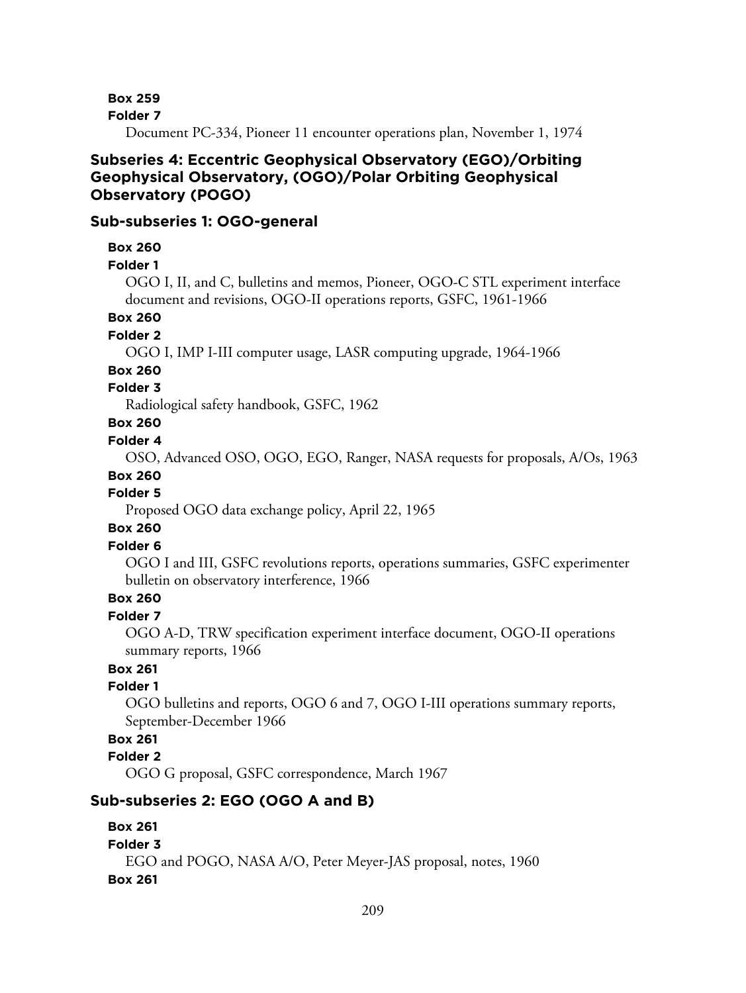**Folder 7**

Document PC-334, Pioneer 11 encounter operations plan, November 1, 1974

# **Subseries 4: Eccentric Geophysical Observatory (EGO)/Orbiting Geophysical Observatory, (OGO)/Polar Orbiting Geophysical Observatory (POGO)**

## **Sub-subseries 1: OGO-general**

#### **Box 260**

**Folder 1**

OGO I, II, and C, bulletins and memos, Pioneer, OGO-C STL experiment interface document and revisions, OGO-II operations reports, GSFC, 1961-1966

#### **Box 260**

#### **Folder 2**

OGO I, IMP I-III computer usage, LASR computing upgrade, 1964-1966

## **Box 260**

#### **Folder 3**

Radiological safety handbook, GSFC, 1962

## **Box 260**

### **Folder 4**

OSO, Advanced OSO, OGO, EGO, Ranger, NASA requests for proposals, A/Os, 1963

## **Box 260**

## **Folder 5**

Proposed OGO data exchange policy, April 22, 1965

#### **Box 260**

# **Folder 6**

OGO I and III, GSFC revolutions reports, operations summaries, GSFC experimenter bulletin on observatory interference, 1966

# **Box 260**

#### **Folder 7**

OGO A-D, TRW specification experiment interface document, OGO-II operations summary reports, 1966

# **Box 261**

## **Folder 1**

OGO bulletins and reports, OGO 6 and 7, OGO I-III operations summary reports, September-December 1966

## **Box 261**

#### **Folder 2**

OGO G proposal, GSFC correspondence, March 1967

#### **Sub-subseries 2: EGO (OGO A and B)**

# **Box 261**

# **Folder 3** EGO and POGO, NASA A/O, Peter Meyer-JAS proposal, notes, 1960 **Box 261**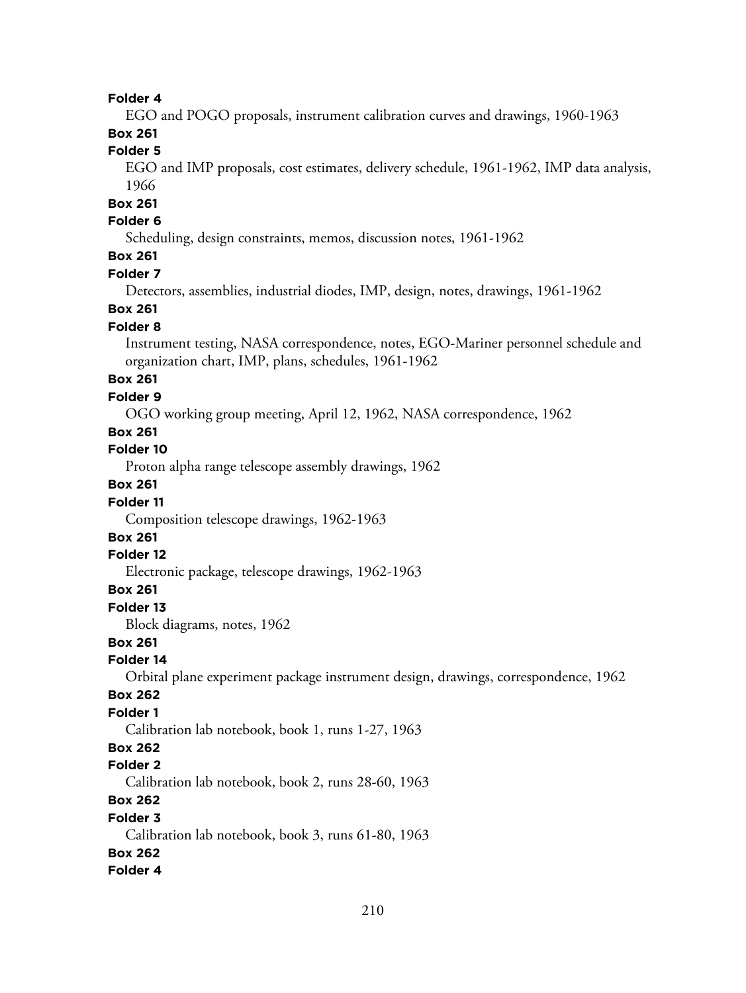## **Folder 4**

EGO and POGO proposals, instrument calibration curves and drawings, 1960-1963

# **Box 261**

# **Folder 5**

EGO and IMP proposals, cost estimates, delivery schedule, 1961-1962, IMP data analysis, 1966

# **Box 261**

## **Folder 6**

Scheduling, design constraints, memos, discussion notes, 1961-1962

# **Box 261**

#### **Folder 7**

Detectors, assemblies, industrial diodes, IMP, design, notes, drawings, 1961-1962

## **Box 261**

### **Folder 8**

Instrument testing, NASA correspondence, notes, EGO-Mariner personnel schedule and organization chart, IMP, plans, schedules, 1961-1962

## **Box 261**

#### **Folder 9**

OGO working group meeting, April 12, 1962, NASA correspondence, 1962

## **Box 261**

## **Folder 10**

Proton alpha range telescope assembly drawings, 1962

## **Box 261**

#### **Folder 11**

Composition telescope drawings, 1962-1963

# **Box 261**

#### **Folder 12**

Electronic package, telescope drawings, 1962-1963

## **Box 261**

#### **Folder 13**

Block diagrams, notes, 1962

## **Box 261**

## **Folder 14**

Orbital plane experiment package instrument design, drawings, correspondence, 1962

#### **Box 262**

#### **Folder 1**

Calibration lab notebook, book 1, runs 1-27, 1963

# **Box 262**

#### **Folder 2**

Calibration lab notebook, book 2, runs 28-60, 1963

# **Box 262**

#### **Folder 3**

Calibration lab notebook, book 3, runs 61-80, 1963

### **Box 262**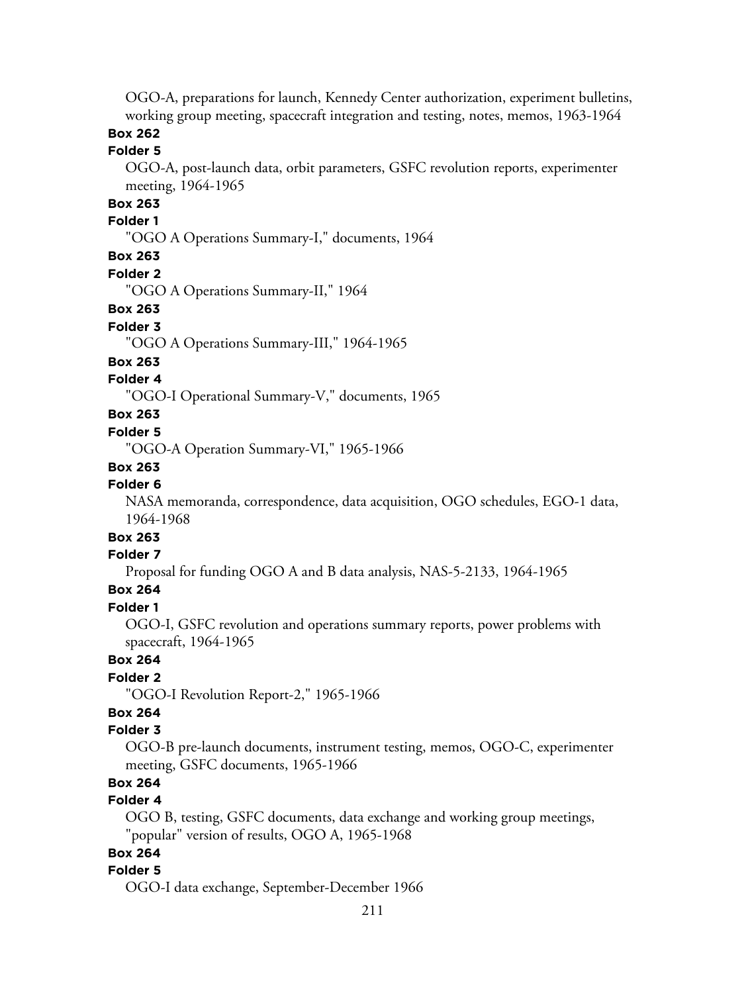OGO-A, preparations for launch, Kennedy Center authorization, experiment bulletins, working group meeting, spacecraft integration and testing, notes, memos, 1963-1964

# **Box 262**

## **Folder 5**

OGO-A, post-launch data, orbit parameters, GSFC revolution reports, experimenter meeting, 1964-1965

## **Box 263**

#### **Folder 1**

"OGO A Operations Summary-I," documents, 1964

#### **Box 263**

#### **Folder 2**

"OGO A Operations Summary-II," 1964

#### **Box 263**

#### **Folder 3**

"OGO A Operations Summary-III," 1964-1965

#### **Box 263**

#### **Folder 4**

"OGO-I Operational Summary-V," documents, 1965

## **Box 263**

#### **Folder 5**

"OGO-A Operation Summary-VI," 1965-1966

#### **Box 263**

### **Folder 6**

NASA memoranda, correspondence, data acquisition, OGO schedules, EGO-1 data, 1964-1968

# **Box 263**

## **Folder 7**

Proposal for funding OGO A and B data analysis, NAS-5-2133, 1964-1965

## **Box 264**

### **Folder 1**

OGO-I, GSFC revolution and operations summary reports, power problems with spacecraft, 1964-1965

# **Box 264**

# **Folder 2**

"OGO-I Revolution Report-2," 1965-1966

# **Box 264**

### **Folder 3**

OGO-B pre-launch documents, instrument testing, memos, OGO-C, experimenter meeting, GSFC documents, 1965-1966

## **Box 264**

## **Folder 4**

OGO B, testing, GSFC documents, data exchange and working group meetings, "popular" version of results, OGO A, 1965-1968

## **Box 264**

#### **Folder 5**

OGO-I data exchange, September-December 1966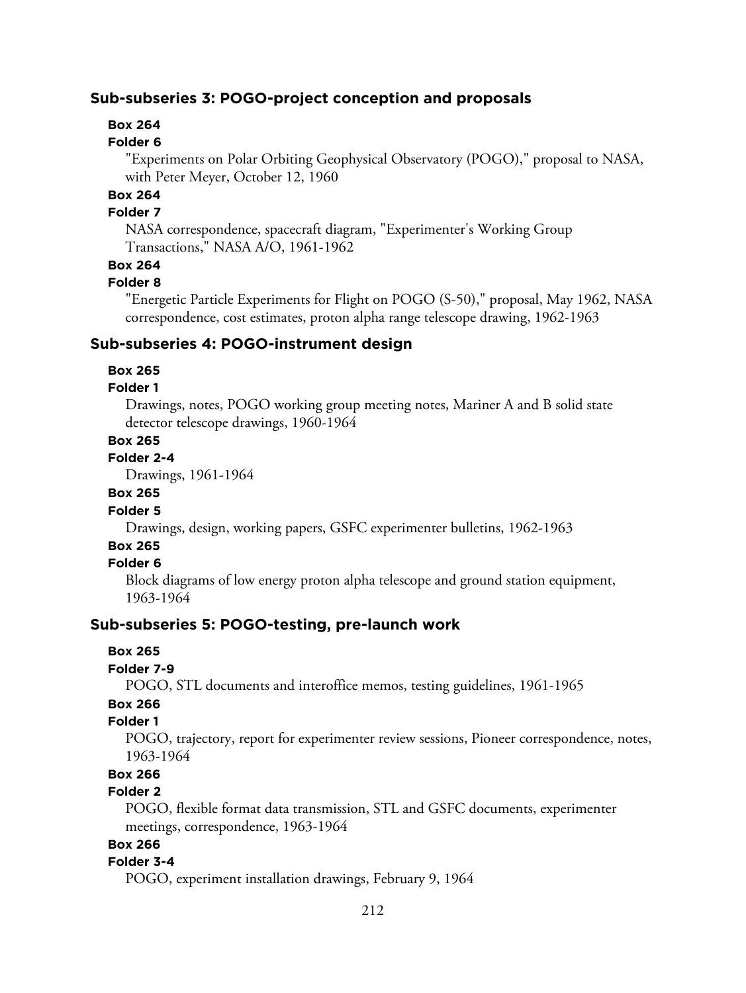## **Sub-subseries 3: POGO-project conception and proposals**

# **Box 264**

#### **Folder 6**

"Experiments on Polar Orbiting Geophysical Observatory (POGO)," proposal to NASA, with Peter Meyer, October 12, 1960

## **Box 264**

#### **Folder 7**

NASA correspondence, spacecraft diagram, "Experimenter's Working Group Transactions," NASA A/O, 1961-1962

# **Box 264**

## **Folder 8**

"Energetic Particle Experiments for Flight on POGO (S-50)," proposal, May 1962, NASA correspondence, cost estimates, proton alpha range telescope drawing, 1962-1963

#### **Sub-subseries 4: POGO-instrument design**

#### **Box 265**

#### **Folder 1**

Drawings, notes, POGO working group meeting notes, Mariner A and B solid state detector telescope drawings, 1960-1964

#### **Box 265**

#### **Folder 2-4**

Drawings, 1961-1964

## **Box 265**

# **Folder 5**

Drawings, design, working papers, GSFC experimenter bulletins, 1962-1963

# **Box 265**

## **Folder 6**

Block diagrams of low energy proton alpha telescope and ground station equipment, 1963-1964

#### **Sub-subseries 5: POGO-testing, pre-launch work**

#### **Box 265**

#### **Folder 7-9**

POGO, STL documents and interoffice memos, testing guidelines, 1961-1965

## **Box 266**

## **Folder 1**

POGO, trajectory, report for experimenter review sessions, Pioneer correspondence, notes, 1963-1964

## **Box 266**

#### **Folder 2**

POGO, flexible format data transmission, STL and GSFC documents, experimenter meetings, correspondence, 1963-1964

# **Box 266**

## **Folder 3-4**

POGO, experiment installation drawings, February 9, 1964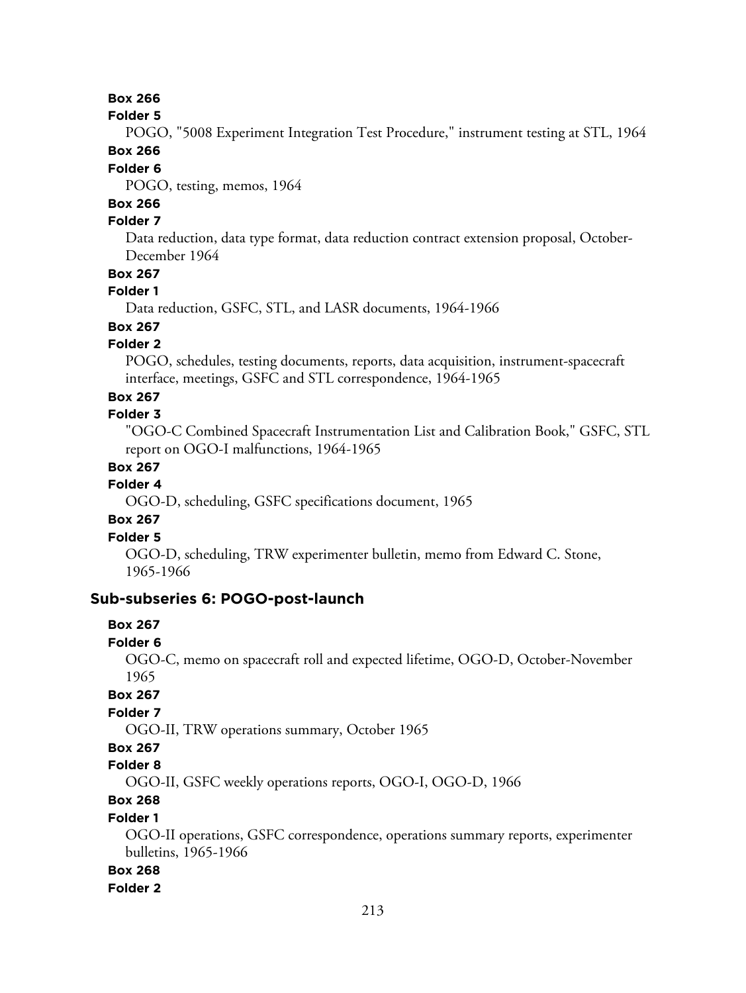**Folder 5**

POGO, "5008 Experiment Integration Test Procedure," instrument testing at STL, 1964 **Box 266**

## **Folder 6**

POGO, testing, memos, 1964

# **Box 266**

#### **Folder 7**

Data reduction, data type format, data reduction contract extension proposal, October-December 1964

## **Box 267**

## **Folder 1**

Data reduction, GSFC, STL, and LASR documents, 1964-1966

# **Box 267**

## **Folder 2**

POGO, schedules, testing documents, reports, data acquisition, instrument-spacecraft interface, meetings, GSFC and STL correspondence, 1964-1965

## **Box 267**

## **Folder 3**

"OGO-C Combined Spacecraft Instrumentation List and Calibration Book," GSFC, STL report on OGO-I malfunctions, 1964-1965

## **Box 267**

## **Folder 4**

OGO-D, scheduling, GSFC specifications document, 1965

## **Box 267**

## **Folder 5**

OGO-D, scheduling, TRW experimenter bulletin, memo from Edward C. Stone, 1965-1966

## **Sub-subseries 6: POGO-post-launch**

## **Box 267**

#### **Folder 6**

OGO-C, memo on spacecraft roll and expected lifetime, OGO-D, October-November 1965

#### **Box 267**

## **Folder 7**

OGO-II, TRW operations summary, October 1965

# **Box 267**

#### **Folder 8**

OGO-II, GSFC weekly operations reports, OGO-I, OGO-D, 1966

# **Box 268**

## **Folder 1**

OGO-II operations, GSFC correspondence, operations summary reports, experimenter bulletins, 1965-1966

#### **Box 268**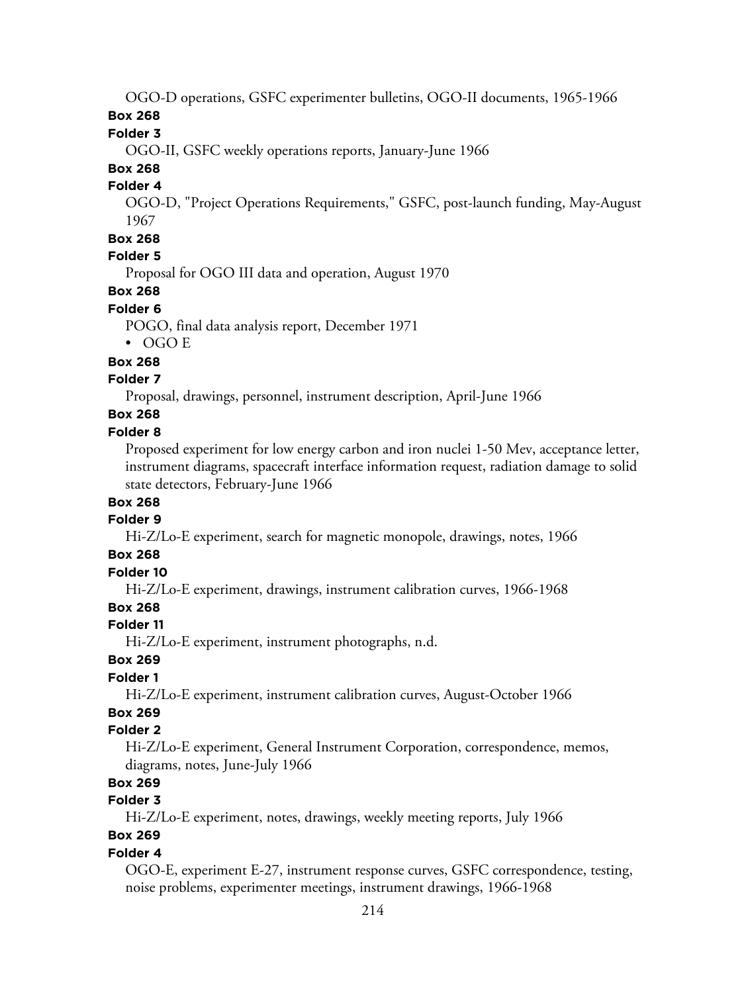OGO-D operations, GSFC experimenter bulletins, OGO-II documents, 1965-1966

**Box 268**

**Folder 3**

OGO-II, GSFC weekly operations reports, January-June 1966

# **Box 268**

## **Folder 4**

OGO-D, "Project Operations Requirements," GSFC, post-launch funding, May-August 1967

# **Box 268**

## **Folder 5**

Proposal for OGO III data and operation, August 1970

# **Box 268**

## **Folder 6**

POGO, final data analysis report, December 1971

• OGO E

# **Box 268**

# **Folder 7**

Proposal, drawings, personnel, instrument description, April-June 1966

# **Box 268**

## **Folder 8**

Proposed experiment for low energy carbon and iron nuclei 1-50 Mev, acceptance letter, instrument diagrams, spacecraft interface information request, radiation damage to solid state detectors, February-June 1966

# **Box 268**

## **Folder 9**

Hi-Z/Lo-E experiment, search for magnetic monopole, drawings, notes, 1966

# **Box 268**

# **Folder 10**

Hi-Z/Lo-E experiment, drawings, instrument calibration curves, 1966-1968

# **Box 268**

# **Folder 11**

Hi-Z/Lo-E experiment, instrument photographs, n.d.

# **Box 269**

# **Folder 1**

Hi-Z/Lo-E experiment, instrument calibration curves, August-October 1966

# **Box 269**

# **Folder 2**

Hi-Z/Lo-E experiment, General Instrument Corporation, correspondence, memos, diagrams, notes, June-July 1966

# **Box 269**

# **Folder 3**

Hi-Z/Lo-E experiment, notes, drawings, weekly meeting reports, July 1966

# **Box 269**

# **Folder 4**

OGO-E, experiment E-27, instrument response curves, GSFC correspondence, testing, noise problems, experimenter meetings, instrument drawings, 1966-1968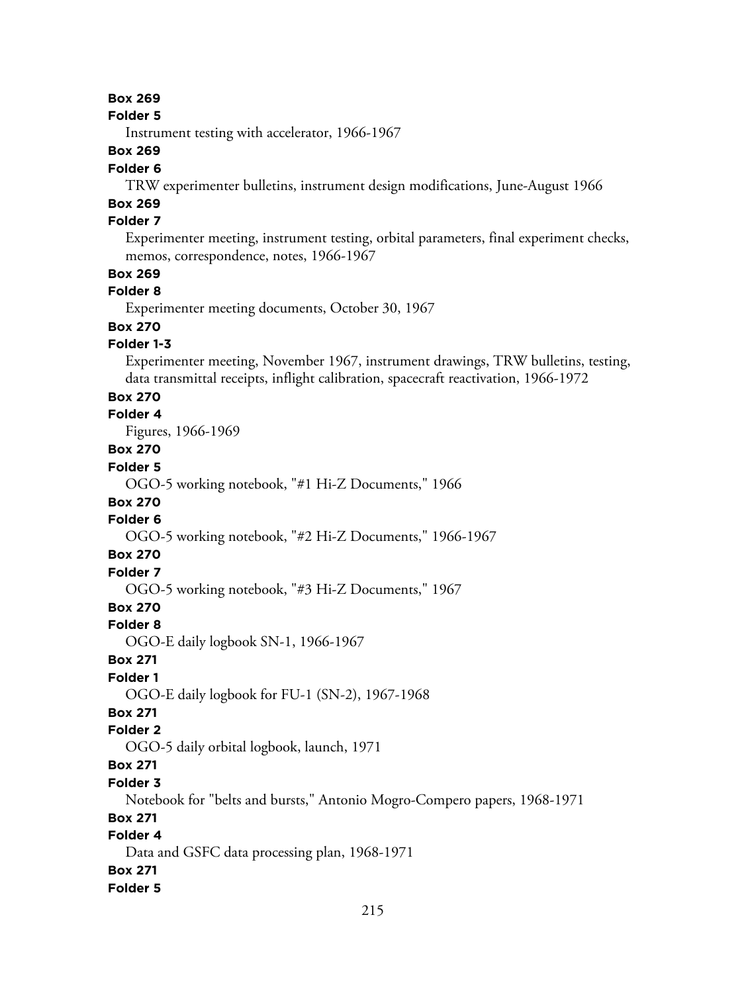#### **Folder 5**

Instrument testing with accelerator, 1966-1967

## **Box 269**

### **Folder 6**

TRW experimenter bulletins, instrument design modifications, June-August 1966

# **Box 269**

# **Folder 7**

Experimenter meeting, instrument testing, orbital parameters, final experiment checks, memos, correspondence, notes, 1966-1967

## **Box 269**

## **Folder 8**

Experimenter meeting documents, October 30, 1967

## **Box 270**

## **Folder 1-3**

Experimenter meeting, November 1967, instrument drawings, TRW bulletins, testing, data transmittal receipts, inflight calibration, spacecraft reactivation, 1966-1972

## **Box 270**

# **Folder 4**

Figures, 1966-1969

# **Box 270**

# **Folder 5**

OGO-5 working notebook, "#1 Hi-Z Documents," 1966

### **Box 270**

## **Folder 6**

OGO-5 working notebook, "#2 Hi-Z Documents," 1966-1967

#### **Box 270**

## **Folder 7**

OGO-5 working notebook, "#3 Hi-Z Documents," 1967

## **Box 270**

#### **Folder 8**

OGO-E daily logbook SN-1, 1966-1967

## **Box 271**

## **Folder 1**

OGO-E daily logbook for FU-1 (SN-2), 1967-1968

## **Box 271**

### **Folder 2**

OGO-5 daily orbital logbook, launch, 1971

# **Box 271**

#### **Folder 3**

Notebook for "belts and bursts," Antonio Mogro-Compero papers, 1968-1971

## **Box 271**

# **Folder 4**

Data and GSFC data processing plan, 1968-1971

## **Box 271**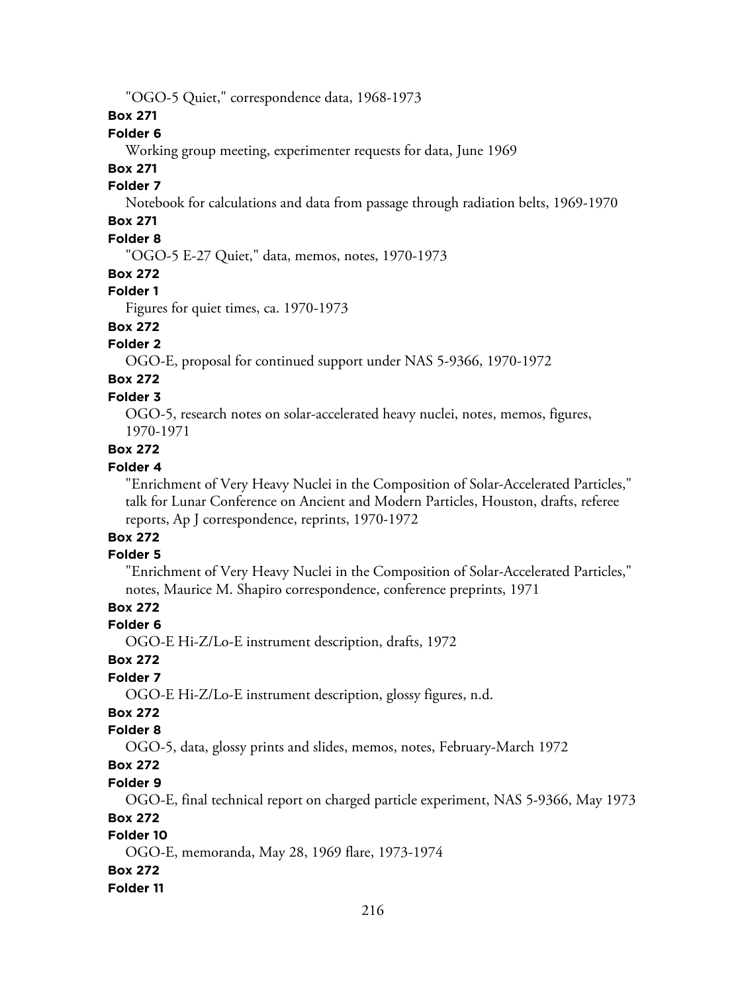"OGO-5 Quiet," correspondence data, 1968-1973

**Box 271**

## **Folder 6**

Working group meeting, experimenter requests for data, June 1969

# **Box 271**

# **Folder 7**

Notebook for calculations and data from passage through radiation belts, 1969-1970

# **Box 271**

# **Folder 8**

"OGO-5 E-27 Quiet," data, memos, notes, 1970-1973

#### **Box 272**

## **Folder 1**

Figures for quiet times, ca. 1970-1973

# **Box 272**

# **Folder 2**

OGO-E, proposal for continued support under NAS 5-9366, 1970-1972

# **Box 272**

# **Folder 3**

OGO-5, research notes on solar-accelerated heavy nuclei, notes, memos, figures, 1970-1971

# **Box 272**

## **Folder 4**

"Enrichment of Very Heavy Nuclei in the Composition of Solar-Accelerated Particles," talk for Lunar Conference on Ancient and Modern Particles, Houston, drafts, referee reports, Ap J correspondence, reprints, 1970-1972

#### **Box 272 Folder 5**

## "Enrichment of Very Heavy Nuclei in the Composition of Solar-Accelerated Particles," notes, Maurice M. Shapiro correspondence, conference preprints, 1971

## **Box 272**

## **Folder 6**

OGO-E Hi-Z/Lo-E instrument description, drafts, 1972

## **Box 272**

## **Folder 7**

OGO-E Hi-Z/Lo-E instrument description, glossy figures, n.d.

# **Box 272**

## **Folder 8**

OGO-5, data, glossy prints and slides, memos, notes, February-March 1972

# **Box 272**

## **Folder 9**

OGO-E, final technical report on charged particle experiment, NAS 5-9366, May 1973

## **Box 272**

# **Folder 10**

OGO-E, memoranda, May 28, 1969 flare, 1973-1974

### **Box 272**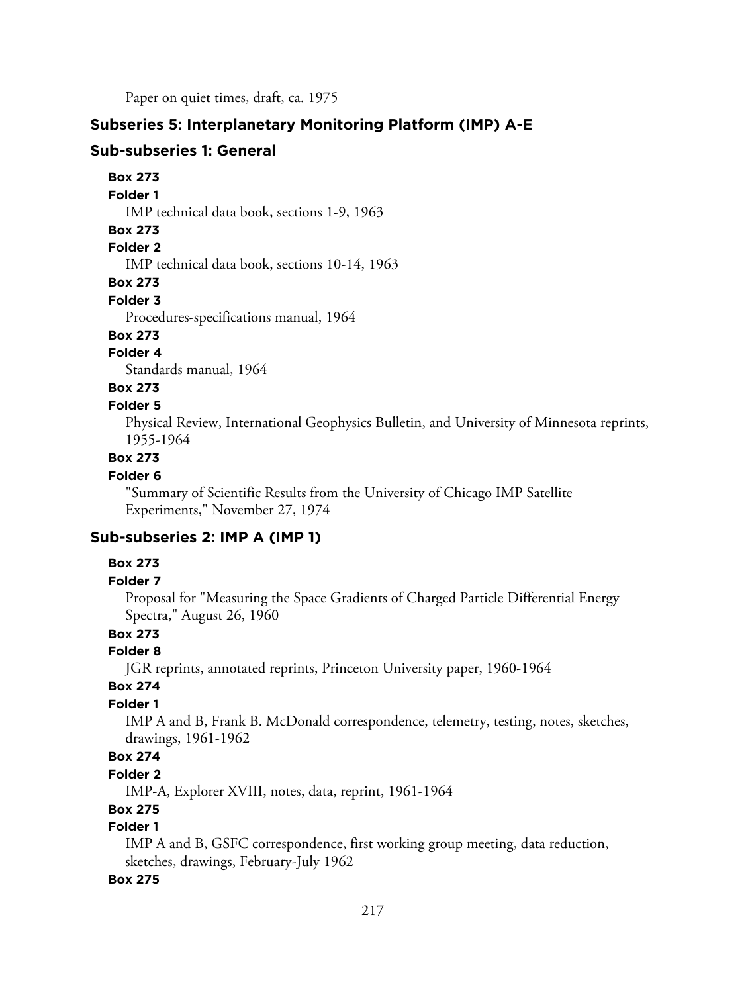Paper on quiet times, draft, ca. 1975

### **Subseries 5: Interplanetary Monitoring Platform (IMP) A-E**

#### **Sub-subseries 1: General**

**Box 273**

**Folder 1**

IMP technical data book, sections 1-9, 1963

#### **Box 273**

## **Folder 2**

IMP technical data book, sections 10-14, 1963

#### **Box 273**

#### **Folder 3**

Procedures-specifications manual, 1964

## **Box 273**

## **Folder 4**

Standards manual, 1964

## **Box 273**

## **Folder 5**

Physical Review, International Geophysics Bulletin, and University of Minnesota reprints, 1955-1964

## **Box 273**

### **Folder 6**

"Summary of Scientific Results from the University of Chicago IMP Satellite Experiments," November 27, 1974

## **Sub-subseries 2: IMP A (IMP 1)**

#### **Box 273**

#### **Folder 7**

Proposal for "Measuring the Space Gradients of Charged Particle Differential Energy Spectra," August 26, 1960

## **Box 273**

## **Folder 8**

JGR reprints, annotated reprints, Princeton University paper, 1960-1964

## **Box 274**

### **Folder 1**

IMP A and B, Frank B. McDonald correspondence, telemetry, testing, notes, sketches, drawings, 1961-1962

## **Box 274**

**Folder 2**

IMP-A, Explorer XVIII, notes, data, reprint, 1961-1964

### **Box 275**

### **Folder 1**

IMP A and B, GSFC correspondence, first working group meeting, data reduction, sketches, drawings, February-July 1962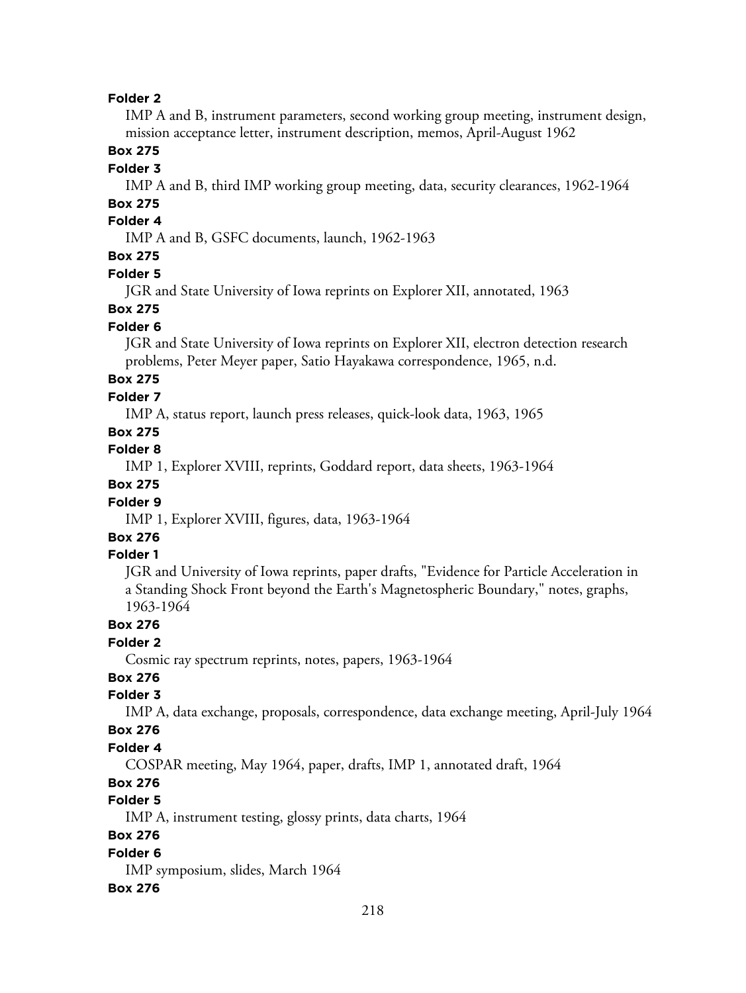IMP A and B, instrument parameters, second working group meeting, instrument design, mission acceptance letter, instrument description, memos, April-August 1962

## **Box 275**

### **Folder 3**

IMP A and B, third IMP working group meeting, data, security clearances, 1962-1964

# **Box 275**

# **Folder 4**

IMP A and B, GSFC documents, launch, 1962-1963

# **Box 275**

### **Folder 5**

JGR and State University of Iowa reprints on Explorer XII, annotated, 1963

### **Box 275**

## **Folder 6**

JGR and State University of Iowa reprints on Explorer XII, electron detection research problems, Peter Meyer paper, Satio Hayakawa correspondence, 1965, n.d.

# **Box 275**

# **Folder 7**

IMP A, status report, launch press releases, quick-look data, 1963, 1965

## **Box 275**

**Folder 8**

IMP 1, Explorer XVIII, reprints, Goddard report, data sheets, 1963-1964

## **Box 275**

## **Folder 9**

IMP 1, Explorer XVIII, figures, data, 1963-1964

# **Box 276**

# **Folder 1**

JGR and University of Iowa reprints, paper drafts, "Evidence for Particle Acceleration in a Standing Shock Front beyond the Earth's Magnetospheric Boundary," notes, graphs, 1963-1964

### **Box 276**

## **Folder 2**

Cosmic ray spectrum reprints, notes, papers, 1963-1964

## **Box 276**

## **Folder 3**

IMP A, data exchange, proposals, correspondence, data exchange meeting, April-July 1964

### **Box 276**

### **Folder 4**

COSPAR meeting, May 1964, paper, drafts, IMP 1, annotated draft, 1964

## **Box 276**

# **Folder 5**

IMP A, instrument testing, glossy prints, data charts, 1964

## **Box 276**

#### **Folder 6**

IMP symposium, slides, March 1964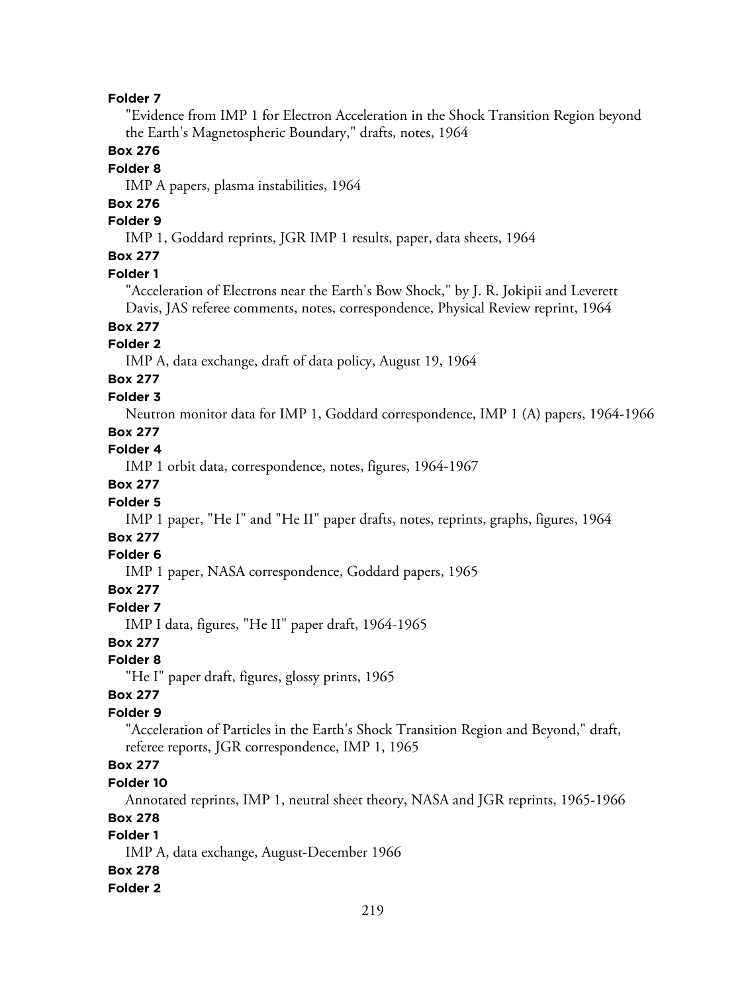"Evidence from IMP 1 for Electron Acceleration in the Shock Transition Region beyond the Earth's Magnetospheric Boundary," drafts, notes, 1964

### **Box 276**

## **Folder 8**

IMP A papers, plasma instabilities, 1964

# **Box 276**

# **Folder 9**

IMP 1, Goddard reprints, JGR IMP 1 results, paper, data sheets, 1964

## **Box 277**

### **Folder 1**

"Acceleration of Electrons near the Earth's Bow Shock," by J. R. Jokipii and Leverett Davis, JAS referee comments, notes, correspondence, Physical Review reprint, 1964

# **Box 277**

## **Folder 2**

IMP A, data exchange, draft of data policy, August 19, 1964

#### **Box 277 Folder 3**

Neutron monitor data for IMP 1, Goddard correspondence, IMP 1 (A) papers, 1964-1966

### **Box 277**

# **Folder 4**

IMP 1 orbit data, correspondence, notes, figures, 1964-1967

# **Box 277**

## **Folder 5**

IMP 1 paper, "He I" and "He II" paper drafts, notes, reprints, graphs, figures, 1964

# **Box 277**

## **Folder 6**

IMP 1 paper, NASA correspondence, Goddard papers, 1965

## **Box 277**

#### **Folder 7**

IMP I data, figures, "He II" paper draft, 1964-1965

## **Box 277**

### **Folder 8**

"He I" paper draft, figures, glossy prints, 1965

### **Box 277**

## **Folder 9**

"Acceleration of Particles in the Earth's Shock Transition Region and Beyond," draft, referee reports, JGR correspondence, IMP 1, 1965

# **Box 277**

## **Folder 10**

Annotated reprints, IMP 1, neutral sheet theory, NASA and JGR reprints, 1965-1966

### **Box 278**

## **Folder 1**

IMP A, data exchange, August-December 1966

### **Box 278**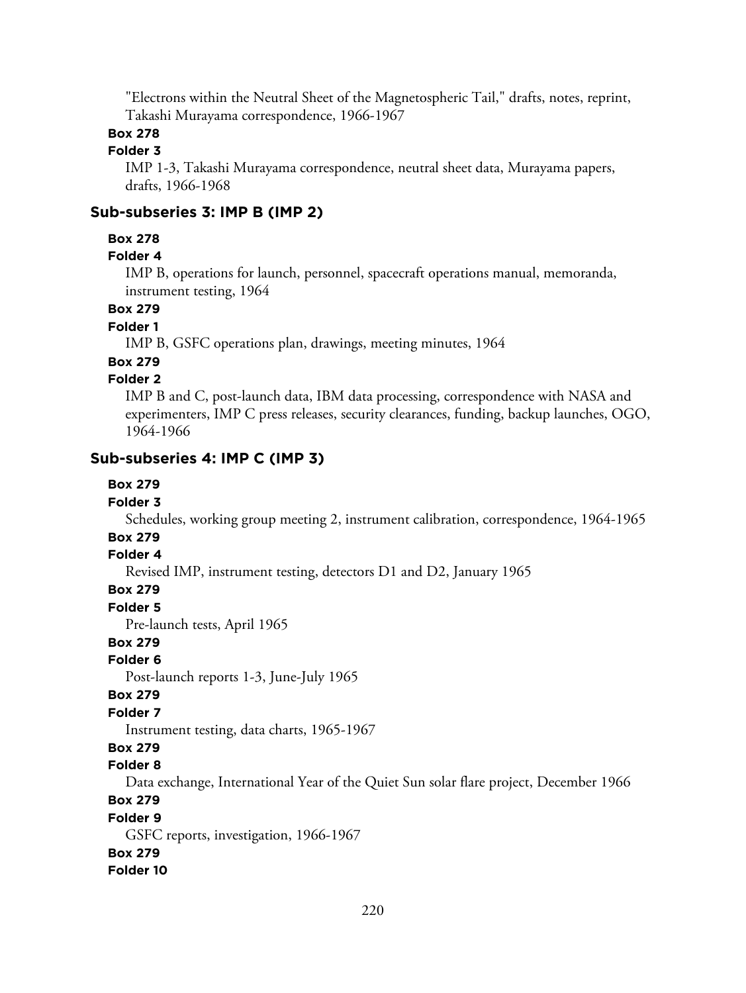"Electrons within the Neutral Sheet of the Magnetospheric Tail," drafts, notes, reprint, Takashi Murayama correspondence, 1966-1967

## **Box 278**

## **Folder 3**

IMP 1-3, Takashi Murayama correspondence, neutral sheet data, Murayama papers, drafts, 1966-1968

## **Sub-subseries 3: IMP B (IMP 2)**

### **Box 278**

## **Folder 4**

IMP B, operations for launch, personnel, spacecraft operations manual, memoranda, instrument testing, 1964

## **Box 279**

# **Folder 1**

IMP B, GSFC operations plan, drawings, meeting minutes, 1964

## **Box 279**

## **Folder 2**

IMP B and C, post-launch data, IBM data processing, correspondence with NASA and experimenters, IMP C press releases, security clearances, funding, backup launches, OGO, 1964-1966

## **Sub-subseries 4: IMP C (IMP 3)**

## **Box 279**

#### **Folder 3**

Schedules, working group meeting 2, instrument calibration, correspondence, 1964-1965

# **Box 279**

### **Folder 4**

Revised IMP, instrument testing, detectors D1 and D2, January 1965

### **Box 279**

**Folder 5**

Pre-launch tests, April 1965

## **Box 279**

### **Folder 6**

Post-launch reports 1-3, June-July 1965

#### **Box 279**

### **Folder 7**

Instrument testing, data charts, 1965-1967

## **Box 279**

## **Folder 8**

Data exchange, International Year of the Quiet Sun solar flare project, December 1966

## **Box 279**

#### **Folder 9**

GSFC reports, investigation, 1966-1967

### **Box 279**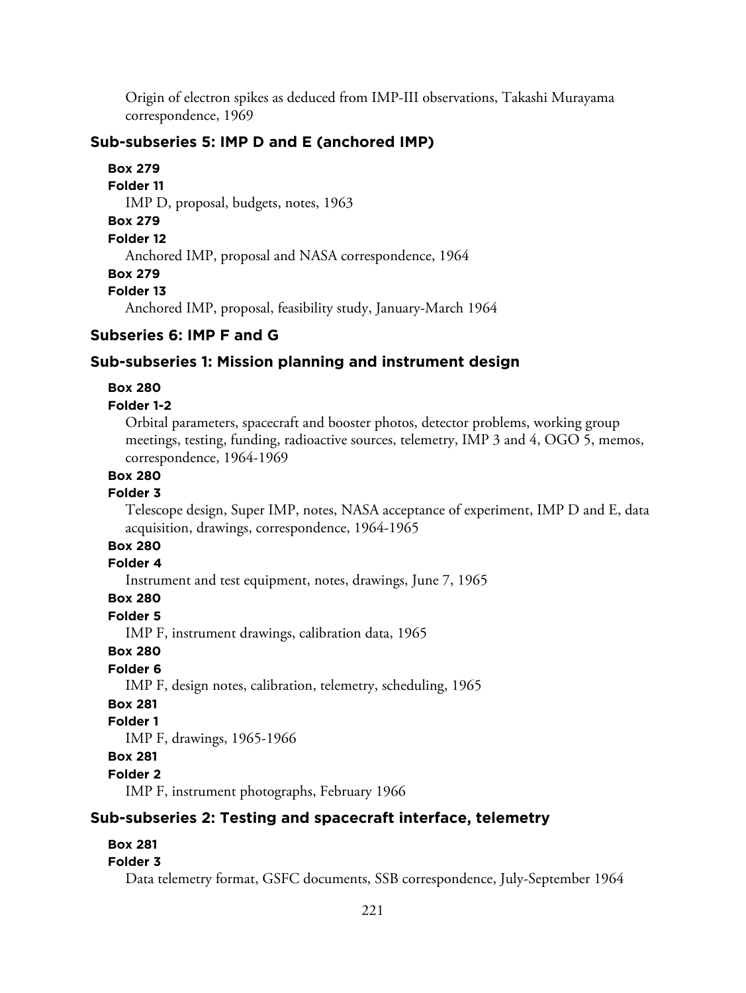Origin of electron spikes as deduced from IMP-III observations, Takashi Murayama correspondence, 1969

## **Sub-subseries 5: IMP D and E (anchored IMP)**

**Box 279 Folder 11** IMP D, proposal, budgets, notes, 1963 **Box 279 Folder 12** Anchored IMP, proposal and NASA correspondence, 1964 **Box 279 Folder 13** Anchored IMP, proposal, feasibility study, January-March 1964

## **Subseries 6: IMP F and G**

## **Sub-subseries 1: Mission planning and instrument design**

### **Box 280**

### **Folder 1-2**

Orbital parameters, spacecraft and booster photos, detector problems, working group meetings, testing, funding, radioactive sources, telemetry, IMP 3 and 4, OGO 5, memos, correspondence, 1964-1969

# **Box 280**

### **Folder 3**

Telescope design, Super IMP, notes, NASA acceptance of experiment, IMP D and E, data acquisition, drawings, correspondence, 1964-1965

## **Box 280**

### **Folder 4**

Instrument and test equipment, notes, drawings, June 7, 1965

## **Box 280**

**Folder 5**

IMP F, instrument drawings, calibration data, 1965

### **Box 280**

## **Folder 6**

IMP F, design notes, calibration, telemetry, scheduling, 1965

### **Box 281**

## **Folder 1**

IMP F, drawings, 1965-1966

## **Box 281**

**Folder 2**

IMP F, instrument photographs, February 1966

## **Sub-subseries 2: Testing and spacecraft interface, telemetry**

## **Box 281**

## **Folder 3**

Data telemetry format, GSFC documents, SSB correspondence, July-September 1964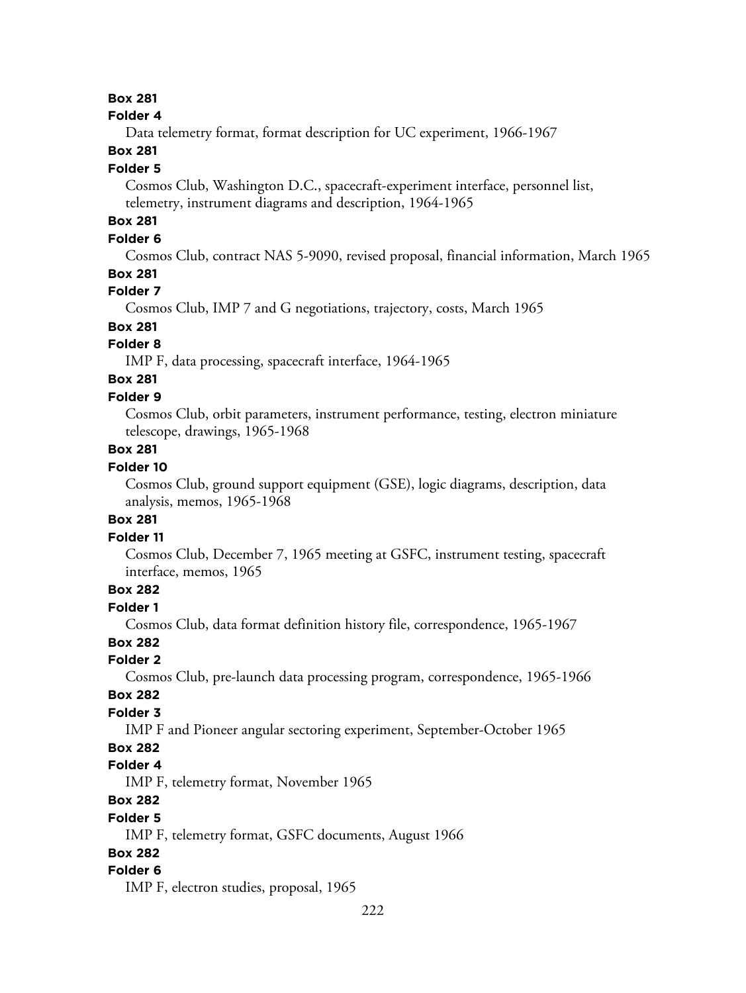## **Box 281**

#### **Folder 4**

Data telemetry format, format description for UC experiment, 1966-1967

## **Box 281**

#### **Folder 5**

Cosmos Club, Washington D.C., spacecraft-experiment interface, personnel list, telemetry, instrument diagrams and description, 1964-1965

# **Box 281**

## **Folder 6**

Cosmos Club, contract NAS 5-9090, revised proposal, financial information, March 1965

## **Box 281**

### **Folder 7**

Cosmos Club, IMP 7 and G negotiations, trajectory, costs, March 1965

# **Box 281**

# **Folder 8**

IMP F, data processing, spacecraft interface, 1964-1965

# **Box 281**

## **Folder 9**

Cosmos Club, orbit parameters, instrument performance, testing, electron miniature telescope, drawings, 1965-1968

## **Box 281**

## **Folder 10**

Cosmos Club, ground support equipment (GSE), logic diagrams, description, data analysis, memos, 1965-1968

## **Box 281**

### **Folder 11**

Cosmos Club, December 7, 1965 meeting at GSFC, instrument testing, spacecraft interface, memos, 1965

# **Box 282**

## **Folder 1**

Cosmos Club, data format definition history file, correspondence, 1965-1967

## **Box 282**

### **Folder 2**

Cosmos Club, pre-launch data processing program, correspondence, 1965-1966

#### **Box 282**

## **Folder 3**

IMP F and Pioneer angular sectoring experiment, September-October 1965

## **Box 282**

## **Folder 4**

IMP F, telemetry format, November 1965

## **Box 282**

#### **Folder 5**

IMP F, telemetry format, GSFC documents, August 1966

## **Box 282**

### **Folder 6**

IMP F, electron studies, proposal, 1965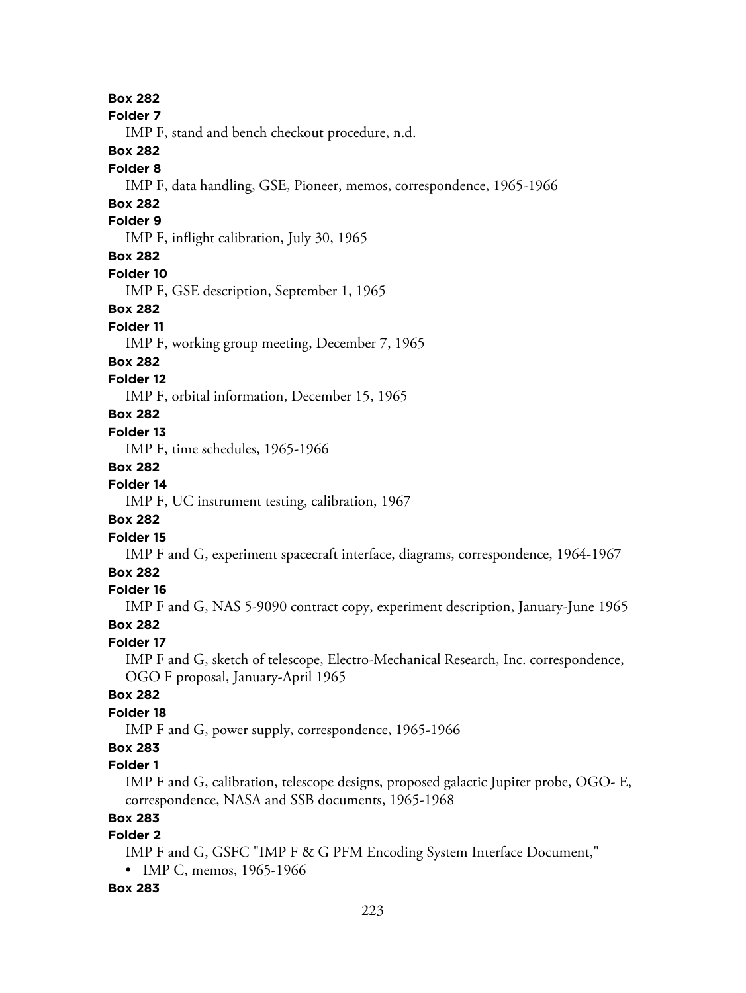**Folder 7** IMP F, stand and bench checkout procedure, n.d. **Box 282 Folder 8** IMP F, data handling, GSE, Pioneer, memos, correspondence, 1965-1966 **Box 282 Folder 9** IMP F, inflight calibration, July 30, 1965 **Box 282 Folder 10** IMP F, GSE description, September 1, 1965 **Box 282 Folder 11** IMP F, working group meeting, December 7, 1965 **Box 282 Folder 12** IMP F, orbital information, December 15, 1965 **Box 282 Folder 13** IMP F, time schedules, 1965-1966 **Box 282 Folder 14**

**Box 282**

IMP F, UC instrument testing, calibration, 1967

# **Box 282**

**Folder 15**

IMP F and G, experiment spacecraft interface, diagrams, correspondence, 1964-1967

## **Box 282**

## **Folder 16**

IMP F and G, NAS 5-9090 contract copy, experiment description, January-June 1965

## **Box 282**

## **Folder 17**

IMP F and G, sketch of telescope, Electro-Mechanical Research, Inc. correspondence, OGO F proposal, January-April 1965

## **Box 282**

## **Folder 18**

IMP F and G, power supply, correspondence, 1965-1966

# **Box 283**

## **Folder 1**

IMP F and G, calibration, telescope designs, proposed galactic Jupiter probe, OGO- E, correspondence, NASA and SSB documents, 1965-1968

## **Box 283**

## **Folder 2**

IMP F and G, GSFC "IMP F & G PFM Encoding System Interface Document," • IMP C, memos, 1965-1966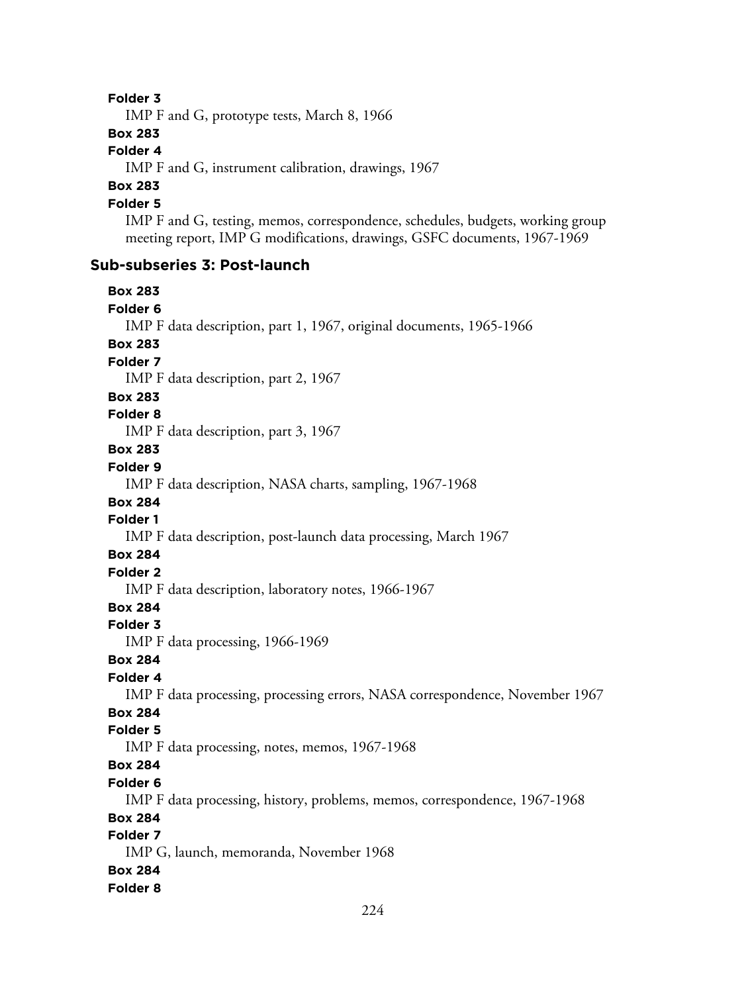IMP F and G, prototype tests, March 8, 1966

### **Box 283**

## **Folder 4**

IMP F and G, instrument calibration, drawings, 1967

## **Box 283**

## **Folder 5**

IMP F and G, testing, memos, correspondence, schedules, budgets, working group meeting report, IMP G modifications, drawings, GSFC documents, 1967-1969

### **Sub-subseries 3: Post-launch**

**Box 283 Folder 6** IMP F data description, part 1, 1967, original documents, 1965-1966 **Box 283 Folder 7** IMP F data description, part 2, 1967 **Box 283 Folder 8** IMP F data description, part 3, 1967 **Box 283 Folder 9** IMP F data description, NASA charts, sampling, 1967-1968 **Box 284 Folder 1** IMP F data description, post-launch data processing, March 1967 **Box 284 Folder 2** IMP F data description, laboratory notes, 1966-1967 **Box 284 Folder 3** IMP F data processing, 1966-1969 **Box 284 Folder 4** IMP F data processing, processing errors, NASA correspondence, November 1967 **Box 284 Folder 5** IMP F data processing, notes, memos, 1967-1968 **Box 284 Folder 6** IMP F data processing, history, problems, memos, correspondence, 1967-1968 **Box 284 Folder 7** IMP G, launch, memoranda, November 1968 **Box 284 Folder 8**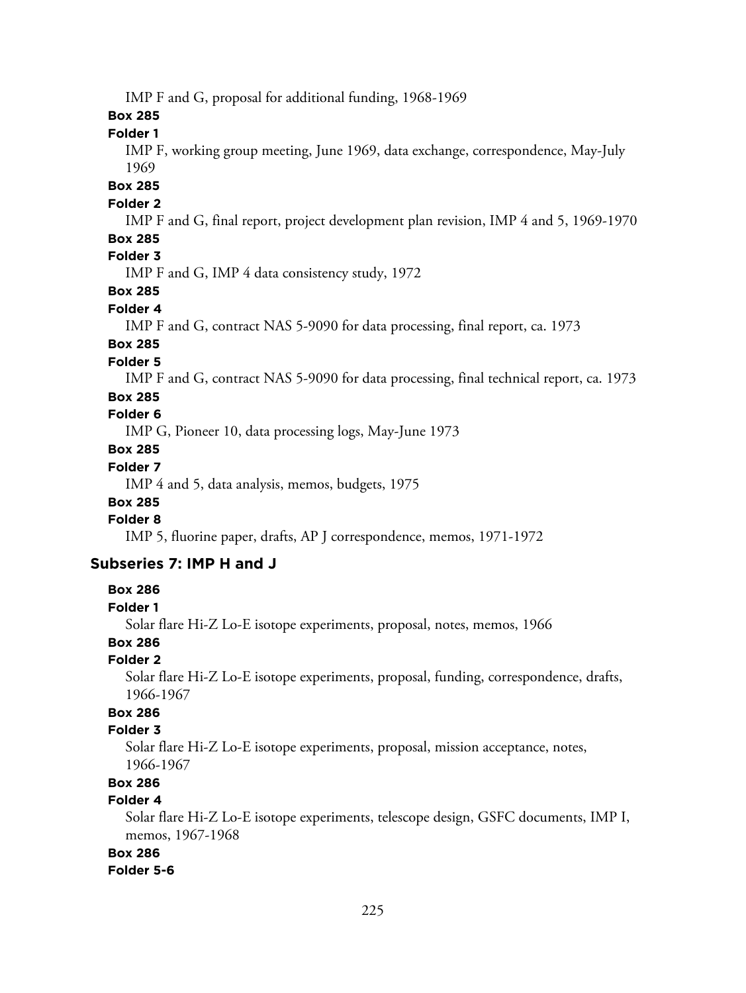IMP F and G, proposal for additional funding, 1968-1969

### **Box 285**

**Folder 1**

IMP F, working group meeting, June 1969, data exchange, correspondence, May-July 1969

### **Box 285**

## **Folder 2**

IMP F and G, final report, project development plan revision, IMP 4 and 5, 1969-1970

## **Box 285**

# **Folder 3**

IMP F and G, IMP 4 data consistency study, 1972

## **Box 285**

#### **Folder 4**

IMP F and G, contract NAS 5-9090 for data processing, final report, ca. 1973

## **Box 285**

### **Folder 5**

IMP F and G, contract NAS 5-9090 for data processing, final technical report, ca. 1973

## **Box 285**

## **Folder 6**

IMP G, Pioneer 10, data processing logs, May-June 1973

## **Box 285**

## **Folder 7**

IMP 4 and 5, data analysis, memos, budgets, 1975

### **Box 285**

# **Folder 8**

IMP 5, fluorine paper, drafts, AP J correspondence, memos, 1971-1972

### **Subseries 7: IMP H and J**

### **Box 286**

#### **Folder 1**

Solar flare Hi-Z Lo-E isotope experiments, proposal, notes, memos, 1966

## **Box 286**

### **Folder 2**

Solar flare Hi-Z Lo-E isotope experiments, proposal, funding, correspondence, drafts, 1966-1967

# **Box 286**

## **Folder 3**

Solar flare Hi-Z Lo-E isotope experiments, proposal, mission acceptance, notes, 1966-1967

# **Box 286**

# **Folder 4**

Solar flare Hi-Z Lo-E isotope experiments, telescope design, GSFC documents, IMP I, memos, 1967-1968

### **Box 286**

### **Folder 5-6**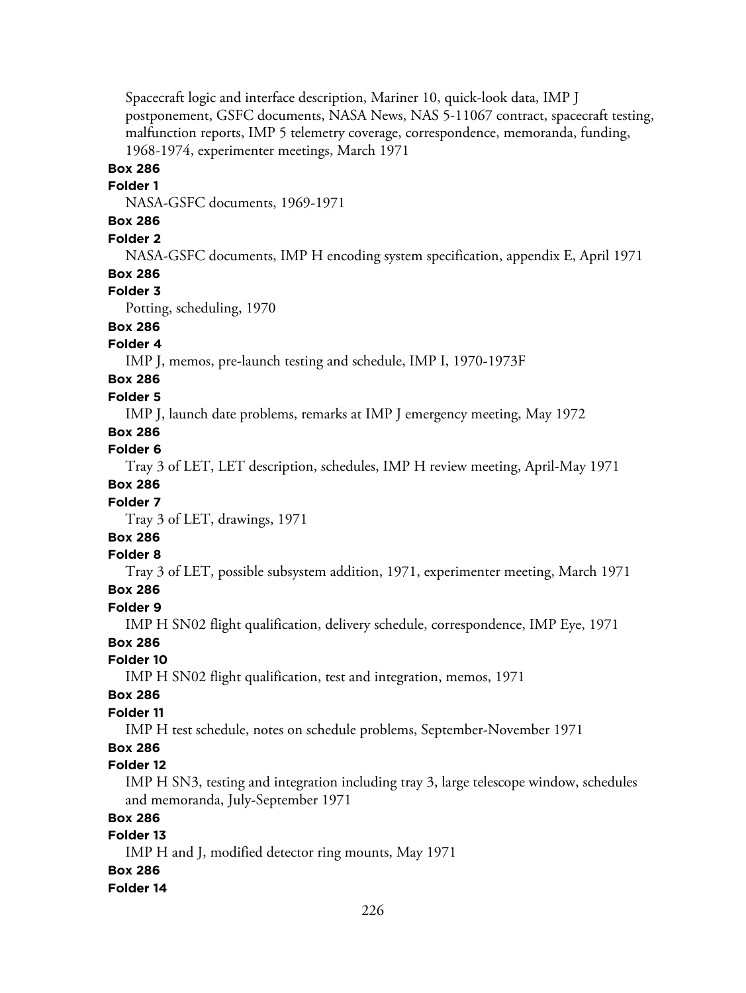Spacecraft logic and interface description, Mariner 10, quick-look data, IMP J postponement, GSFC documents, NASA News, NAS 5-11067 contract, spacecraft testing, malfunction reports, IMP 5 telemetry coverage, correspondence, memoranda, funding, 1968-1974, experimenter meetings, March 1971

# **Box 286**

### **Folder 1**

NASA-GSFC documents, 1969-1971

## **Box 286**

## **Folder 2**

NASA-GSFC documents, IMP H encoding system specification, appendix E, April 1971

## **Box 286**

## **Folder 3**

Potting, scheduling, 1970

# **Box 286**

# **Folder 4**

IMP J, memos, pre-launch testing and schedule, IMP I, 1970-1973F

# **Box 286**

## **Folder 5**

IMP J, launch date problems, remarks at IMP J emergency meeting, May 1972

## **Box 286**

## **Folder 6**

Tray 3 of LET, LET description, schedules, IMP H review meeting, April-May 1971

## **Box 286**

## **Folder 7**

Tray 3 of LET, drawings, 1971

# **Box 286**

# **Folder 8**

Tray 3 of LET, possible subsystem addition, 1971, experimenter meeting, March 1971

## **Box 286**

## **Folder 9**

IMP H SN02 flight qualification, delivery schedule, correspondence, IMP Eye, 1971

## **Box 286**

## **Folder 10**

IMP H SN02 flight qualification, test and integration, memos, 1971

## **Box 286**

## **Folder 11**

IMP H test schedule, notes on schedule problems, September-November 1971

## **Box 286**

## **Folder 12**

IMP H SN3, testing and integration including tray 3, large telescope window, schedules and memoranda, July-September 1971

## **Box 286**

## **Folder 13**

IMP H and J, modified detector ring mounts, May 1971

## **Box 286**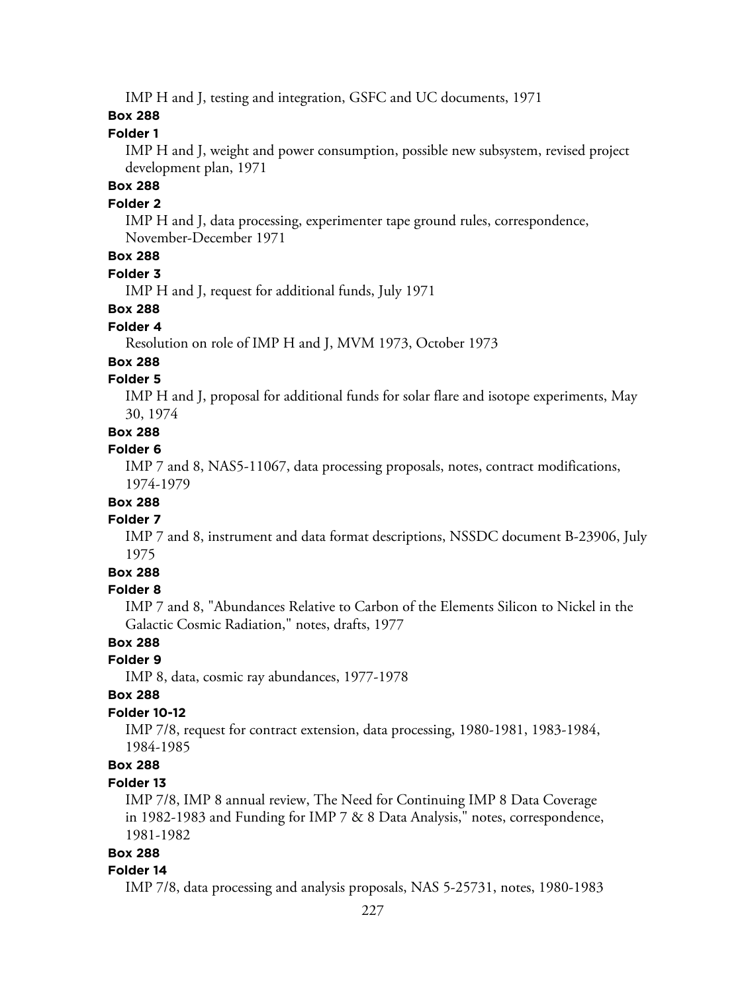IMP H and J, testing and integration, GSFC and UC documents, 1971

### **Box 288**

### **Folder 1**

IMP H and J, weight and power consumption, possible new subsystem, revised project development plan, 1971

# **Box 288**

### **Folder 2**

IMP H and J, data processing, experimenter tape ground rules, correspondence, November-December 1971

# **Box 288**

### **Folder 3**

IMP H and J, request for additional funds, July 1971

## **Box 288**

### **Folder 4**

Resolution on role of IMP H and J, MVM 1973, October 1973

### **Box 288**

### **Folder 5**

IMP H and J, proposal for additional funds for solar flare and isotope experiments, May 30, 1974

## **Box 288**

## **Folder 6**

IMP 7 and 8, NAS5-11067, data processing proposals, notes, contract modifications, 1974-1979

# **Box 288**

## **Folder 7**

IMP 7 and 8, instrument and data format descriptions, NSSDC document B-23906, July 1975

## **Box 288**

## **Folder 8**

IMP 7 and 8, "Abundances Relative to Carbon of the Elements Silicon to Nickel in the Galactic Cosmic Radiation," notes, drafts, 1977

## **Box 288**

# **Folder 9**

IMP 8, data, cosmic ray abundances, 1977-1978

### **Box 288**

### **Folder 10-12**

IMP 7/8, request for contract extension, data processing, 1980-1981, 1983-1984, 1984-1985

## **Box 288**

### **Folder 13**

IMP 7/8, IMP 8 annual review, The Need for Continuing IMP 8 Data Coverage in 1982-1983 and Funding for IMP 7 & 8 Data Analysis," notes, correspondence, 1981-1982

## **Box 288**

#### **Folder 14**

IMP 7/8, data processing and analysis proposals, NAS 5-25731, notes, 1980-1983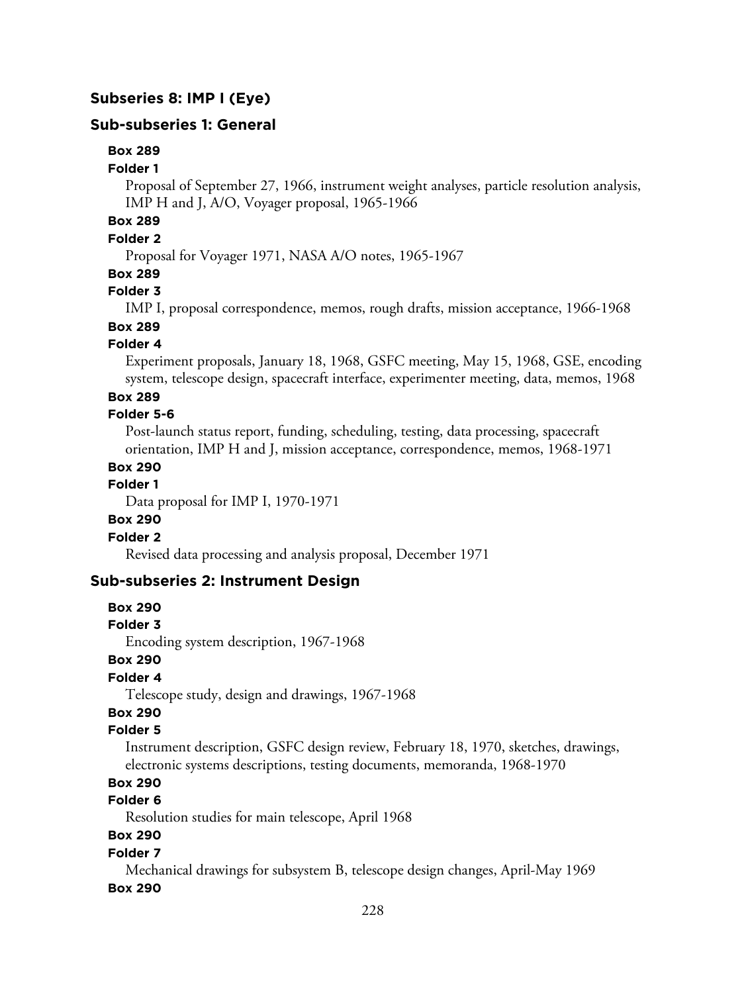## **Subseries 8: IMP I (Eye)**

## **Sub-subseries 1: General**

### **Box 289**

#### **Folder 1**

Proposal of September 27, 1966, instrument weight analyses, particle resolution analysis, IMP H and J, A/O, Voyager proposal, 1965-1966

# **Box 289**

## **Folder 2**

Proposal for Voyager 1971, NASA A/O notes, 1965-1967

### **Box 289**

### **Folder 3**

IMP I, proposal correspondence, memos, rough drafts, mission acceptance, 1966-1968

# **Box 289**

## **Folder 4**

Experiment proposals, January 18, 1968, GSFC meeting, May 15, 1968, GSE, encoding system, telescope design, spacecraft interface, experimenter meeting, data, memos, 1968

### **Box 289**

### **Folder 5-6**

Post-launch status report, funding, scheduling, testing, data processing, spacecraft orientation, IMP H and J, mission acceptance, correspondence, memos, 1968-1971

### **Box 290**

### **Folder 1**

Data proposal for IMP I, 1970-1971

#### **Box 290**

### **Folder 2**

Revised data processing and analysis proposal, December 1971

### **Sub-subseries 2: Instrument Design**

#### **Box 290**

### **Folder 3**

Encoding system description, 1967-1968

### **Box 290**

### **Folder 4**

Telescope study, design and drawings, 1967-1968

# **Box 290**

#### **Folder 5**

Instrument description, GSFC design review, February 18, 1970, sketches, drawings, electronic systems descriptions, testing documents, memoranda, 1968-1970

# **Box 290**

# **Folder 6**

Resolution studies for main telescope, April 1968

### **Box 290**

### **Folder 7**

Mechanical drawings for subsystem B, telescope design changes, April-May 1969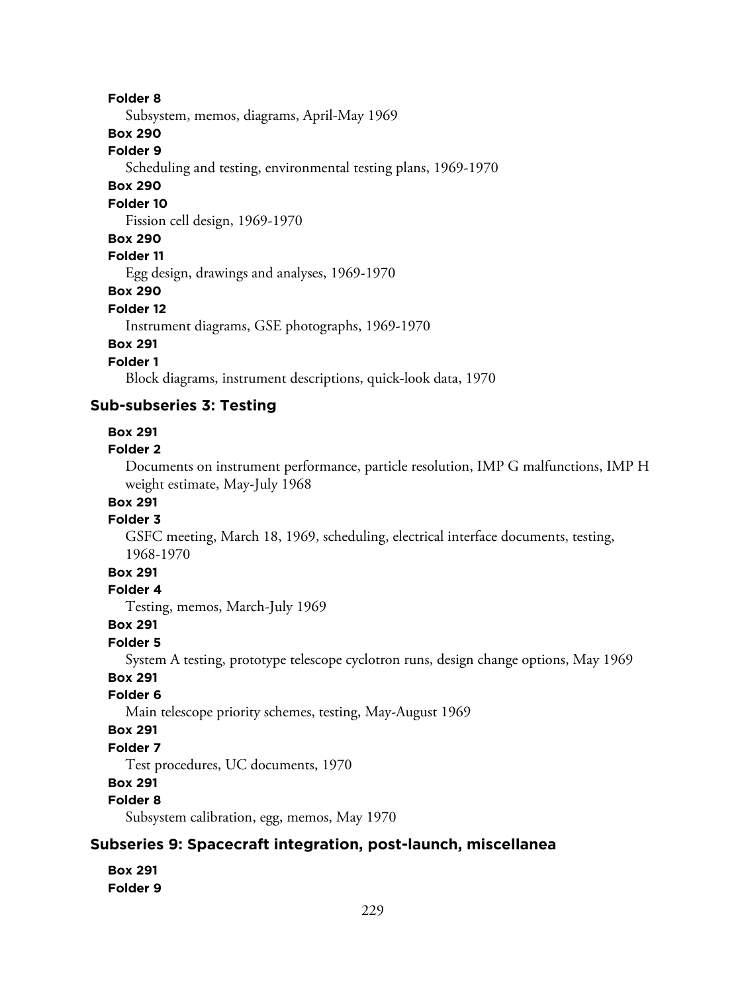Subsystem, memos, diagrams, April-May 1969

## **Box 290**

### **Folder 9**

Scheduling and testing, environmental testing plans, 1969-1970

## **Box 290**

### **Folder 10**

Fission cell design, 1969-1970

#### **Box 290**

## **Folder 11**

Egg design, drawings and analyses, 1969-1970

### **Box 290**

#### **Folder 12**

Instrument diagrams, GSE photographs, 1969-1970

## **Box 291**

# **Folder 1**

Block diagrams, instrument descriptions, quick-look data, 1970

### **Sub-subseries 3: Testing**

#### **Box 291**

#### **Folder 2**

Documents on instrument performance, particle resolution, IMP G malfunctions, IMP H weight estimate, May-July 1968

## **Box 291**

## **Folder 3**

GSFC meeting, March 18, 1969, scheduling, electrical interface documents, testing, 1968-1970

## **Box 291**

### **Folder 4**

Testing, memos, March-July 1969

#### **Box 291**

## **Folder 5**

System A testing, prototype telescope cyclotron runs, design change options, May 1969

## **Box 291**

### **Folder 6**

Main telescope priority schemes, testing, May-August 1969

## **Box 291**

## **Folder 7**

Test procedures, UC documents, 1970

# **Box 291**

## **Folder 8**

Subsystem calibration, egg, memos, May 1970

## **Subseries 9: Spacecraft integration, post-launch, miscellanea**

#### **Box 291 Folder 9**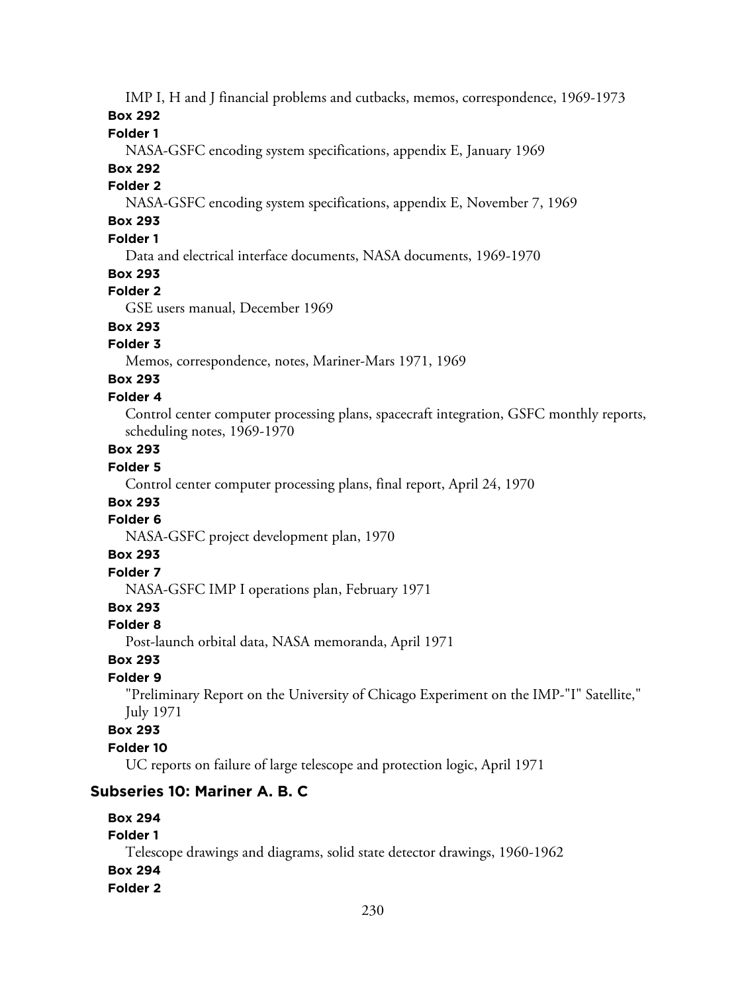IMP I, H and J financial problems and cutbacks, memos, correspondence, 1969-1973

**Box 292**

**Folder 1**

NASA-GSFC encoding system specifications, appendix E, January 1969

# **Box 292**

## **Folder 2**

NASA-GSFC encoding system specifications, appendix E, November 7, 1969

# **Box 293**

# **Folder 1**

Data and electrical interface documents, NASA documents, 1969-1970

## **Box 293**

# **Folder 2**

GSE users manual, December 1969

# **Box 293**

# **Folder 3**

Memos, correspondence, notes, Mariner-Mars 1971, 1969

# **Box 293**

# **Folder 4**

Control center computer processing plans, spacecraft integration, GSFC monthly reports, scheduling notes, 1969-1970

# **Box 293**

# **Folder 5**

Control center computer processing plans, final report, April 24, 1970

# **Box 293**

# **Folder 6**

NASA-GSFC project development plan, 1970

## **Box 293**

# **Folder 7**

NASA-GSFC IMP I operations plan, February 1971

## **Box 293**

# **Folder 8**

Post-launch orbital data, NASA memoranda, April 1971

# **Box 293**

# **Folder 9**

"Preliminary Report on the University of Chicago Experiment on the IMP-"I" Satellite," July 1971

## **Box 293**

# **Folder 10**

UC reports on failure of large telescope and protection logic, April 1971

# **Subseries 10: Mariner A. B. C**

#### **Box 294 Folder 1**

Telescope drawings and diagrams, solid state detector drawings, 1960-1962

# **Box 294**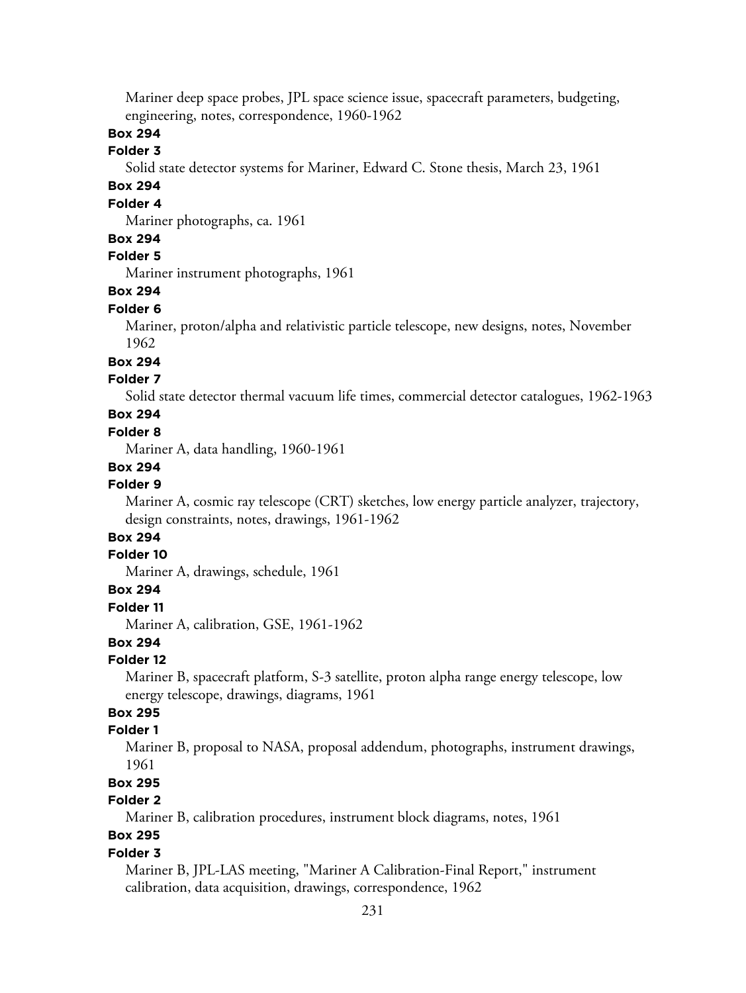Mariner deep space probes, JPL space science issue, spacecraft parameters, budgeting, engineering, notes, correspondence, 1960-1962

## **Box 294**

### **Folder 3**

Solid state detector systems for Mariner, Edward C. Stone thesis, March 23, 1961

## **Box 294**

## **Folder 4**

Mariner photographs, ca. 1961

#### **Box 294**

## **Folder 5**

Mariner instrument photographs, 1961

### **Box 294**

#### **Folder 6**

Mariner, proton/alpha and relativistic particle telescope, new designs, notes, November 1962

### **Box 294**

## **Folder 7**

Solid state detector thermal vacuum life times, commercial detector catalogues, 1962-1963

## **Box 294**

#### **Folder 8**

Mariner A, data handling, 1960-1961

#### **Box 294**

### **Folder 9**

Mariner A, cosmic ray telescope (CRT) sketches, low energy particle analyzer, trajectory, design constraints, notes, drawings, 1961-1962

# **Box 294**

### **Folder 10**

Mariner A, drawings, schedule, 1961

### **Box 294**

### **Folder 11**

Mariner A, calibration, GSE, 1961-1962

### **Box 294**

#### **Folder 12**

Mariner B, spacecraft platform, S-3 satellite, proton alpha range energy telescope, low energy telescope, drawings, diagrams, 1961

# **Box 295**

## **Folder 1**

Mariner B, proposal to NASA, proposal addendum, photographs, instrument drawings, 1961

# **Box 295**

# **Folder 2**

Mariner B, calibration procedures, instrument block diagrams, notes, 1961

# **Box 295**

## **Folder 3**

Mariner B, JPL-LAS meeting, "Mariner A Calibration-Final Report," instrument calibration, data acquisition, drawings, correspondence, 1962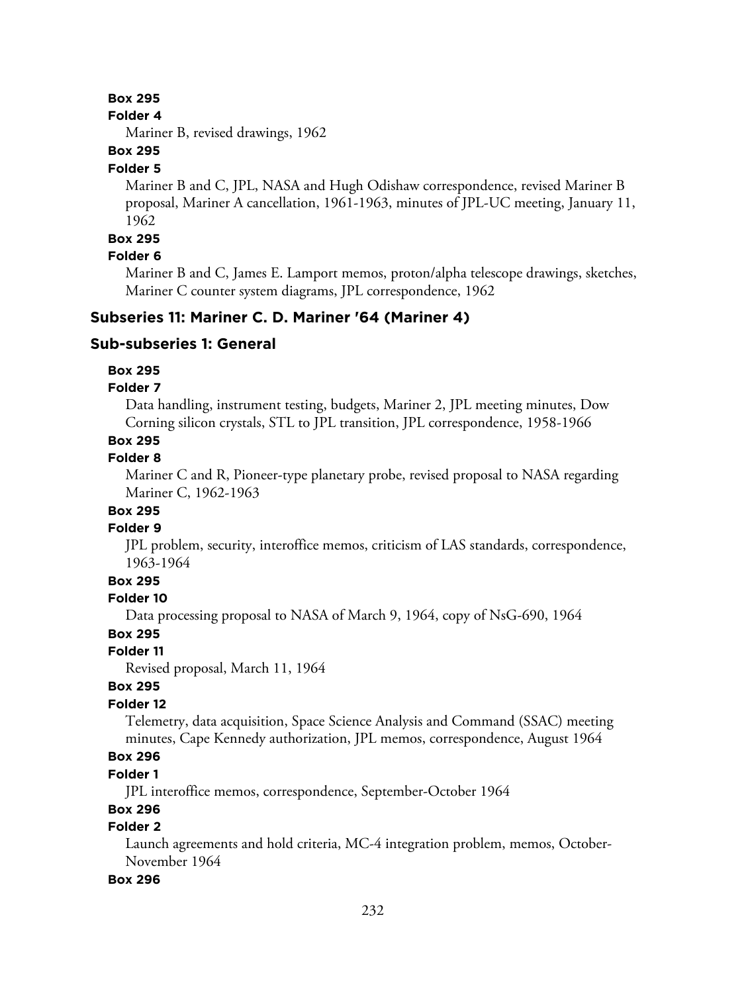### **Box 295**

#### **Folder 4**

Mariner B, revised drawings, 1962

## **Box 295**

#### **Folder 5**

Mariner B and C, JPL, NASA and Hugh Odishaw correspondence, revised Mariner B proposal, Mariner A cancellation, 1961-1963, minutes of JPL-UC meeting, January 11, 1962

#### **Box 295**

### **Folder 6**

Mariner B and C, James E. Lamport memos, proton/alpha telescope drawings, sketches, Mariner C counter system diagrams, JPL correspondence, 1962

## **Subseries 11: Mariner C. D. Mariner '64 (Mariner 4)**

### **Sub-subseries 1: General**

### **Box 295**

#### **Folder 7**

Data handling, instrument testing, budgets, Mariner 2, JPL meeting minutes, Dow Corning silicon crystals, STL to JPL transition, JPL correspondence, 1958-1966

## **Box 295**

### **Folder 8**

Mariner C and R, Pioneer-type planetary probe, revised proposal to NASA regarding Mariner C, 1962-1963

## **Box 295**

### **Folder 9**

JPL problem, security, interoffice memos, criticism of LAS standards, correspondence, 1963-1964

## **Box 295**

## **Folder 10**

Data processing proposal to NASA of March 9, 1964, copy of NsG-690, 1964

### **Box 295**

### **Folder 11**

Revised proposal, March 11, 1964

### **Box 295**

### **Folder 12**

Telemetry, data acquisition, Space Science Analysis and Command (SSAC) meeting minutes, Cape Kennedy authorization, JPL memos, correspondence, August 1964

## **Box 296**

## **Folder 1**

JPL interoffice memos, correspondence, September-October 1964

### **Box 296**

### **Folder 2**

Launch agreements and hold criteria, MC-4 integration problem, memos, October-November 1964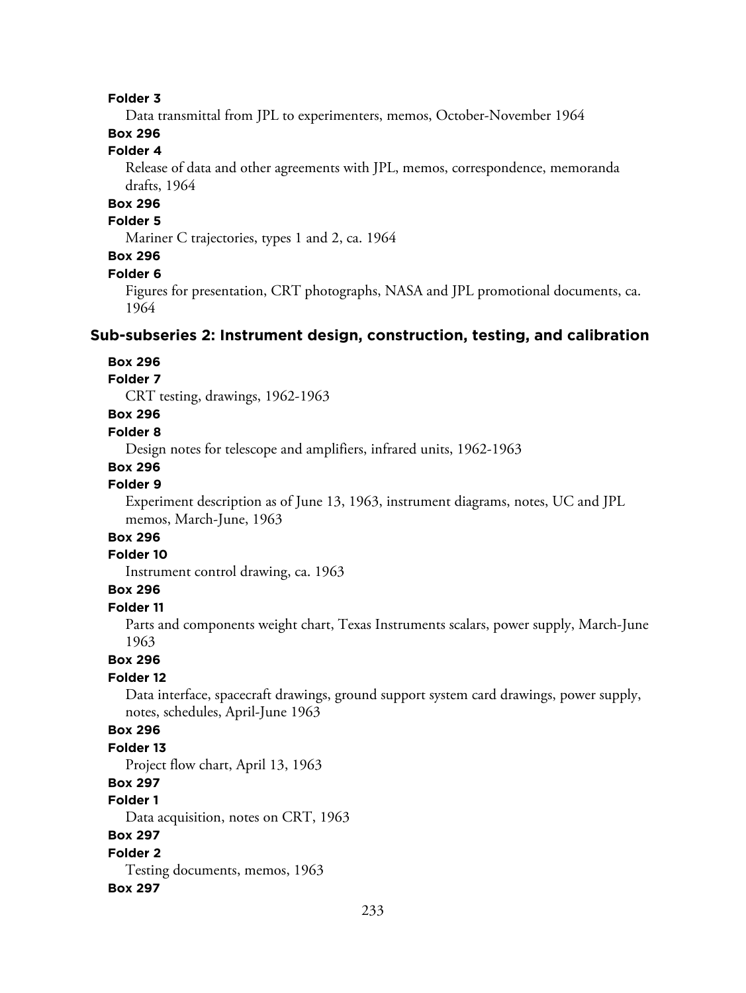Data transmittal from JPL to experimenters, memos, October-November 1964

# **Box 296**

# **Folder 4**

Release of data and other agreements with JPL, memos, correspondence, memoranda drafts, 1964

# **Box 296**

### **Folder 5**

Mariner C trajectories, types 1 and 2, ca. 1964

## **Box 296**

#### **Folder 6**

Figures for presentation, CRT photographs, NASA and JPL promotional documents, ca. 1964

### **Sub-subseries 2: Instrument design, construction, testing, and calibration**

#### **Box 296**

## **Folder 7**

CRT testing, drawings, 1962-1963

#### **Box 296**

#### **Folder 8**

Design notes for telescope and amplifiers, infrared units, 1962-1963

#### **Box 296**

### **Folder 9**

Experiment description as of June 13, 1963, instrument diagrams, notes, UC and JPL memos, March-June, 1963

# **Box 296**

## **Folder 10**

Instrument control drawing, ca. 1963

## **Box 296**

## **Folder 11**

Parts and components weight chart, Texas Instruments scalars, power supply, March-June 1963

#### **Box 296**

#### **Folder 12**

Data interface, spacecraft drawings, ground support system card drawings, power supply, notes, schedules, April-June 1963

### **Box 296**

### **Folder 13**

Project flow chart, April 13, 1963

# **Box 297**

## **Folder 1**

Data acquisition, notes on CRT, 1963

## **Box 297**

**Folder 2** Testing documents, memos, 1963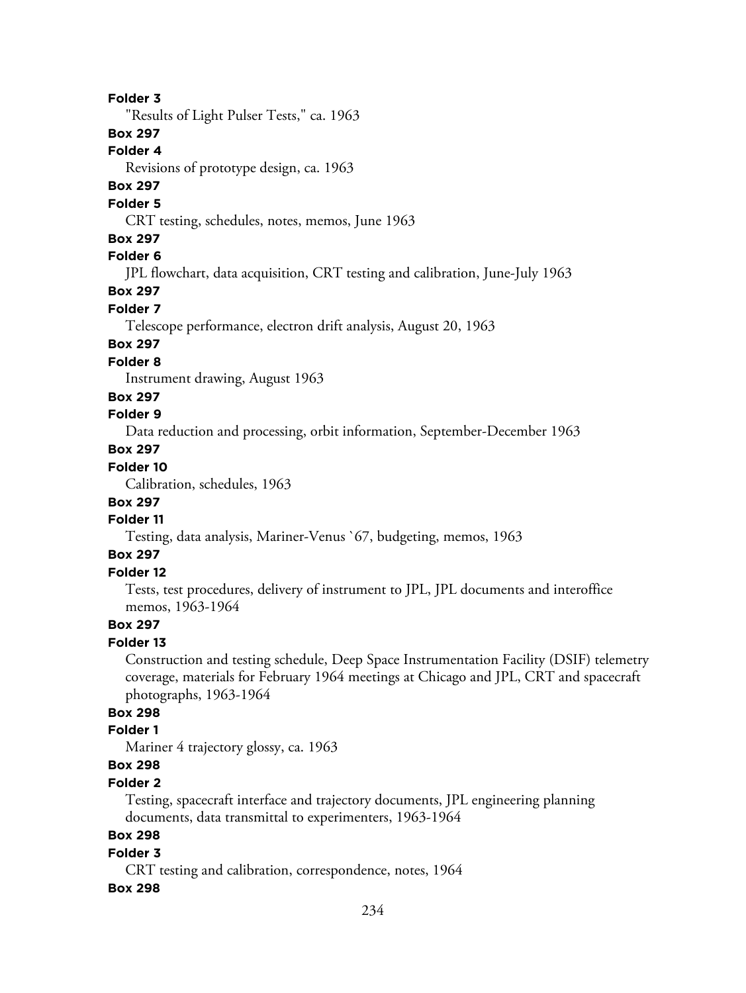"Results of Light Pulser Tests," ca. 1963

## **Box 297**

**Folder 4**

Revisions of prototype design, ca. 1963

# **Box 297**

### **Folder 5**

CRT testing, schedules, notes, memos, June 1963

## **Box 297**

# **Folder 6**

JPL flowchart, data acquisition, CRT testing and calibration, June-July 1963

## **Box 297**

## **Folder 7**

Telescope performance, electron drift analysis, August 20, 1963

## **Box 297**

## **Folder 8**

Instrument drawing, August 1963

### **Box 297**

# **Folder 9**

Data reduction and processing, orbit information, September-December 1963

# **Box 297**

# **Folder 10**

Calibration, schedules, 1963

# **Box 297**

## **Folder 11**

Testing, data analysis, Mariner-Venus `67, budgeting, memos, 1963

# **Box 297**

## **Folder 12**

Tests, test procedures, delivery of instrument to JPL, JPL documents and interoffice memos, 1963-1964

### **Box 297**

### **Folder 13**

Construction and testing schedule, Deep Space Instrumentation Facility (DSIF) telemetry coverage, materials for February 1964 meetings at Chicago and JPL, CRT and spacecraft photographs, 1963-1964

## **Box 298**

### **Folder 1**

Mariner 4 trajectory glossy, ca. 1963

# **Box 298**

## **Folder 2**

Testing, spacecraft interface and trajectory documents, JPL engineering planning documents, data transmittal to experimenters, 1963-1964

### **Box 298**

#### **Folder 3**

CRT testing and calibration, correspondence, notes, 1964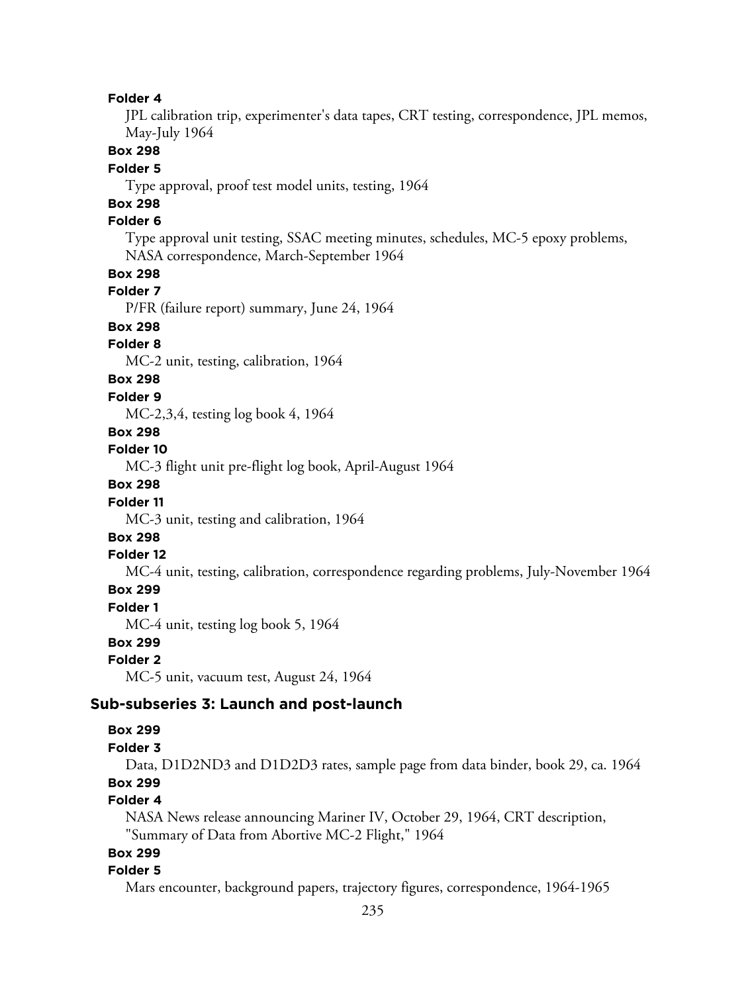JPL calibration trip, experimenter's data tapes, CRT testing, correspondence, JPL memos, May-July 1964

#### **Box 298**

#### **Folder 5**

Type approval, proof test model units, testing, 1964

# **Box 298**

## **Folder 6**

Type approval unit testing, SSAC meeting minutes, schedules, MC-5 epoxy problems, NASA correspondence, March-September 1964

### **Box 298**

## **Folder 7**

P/FR (failure report) summary, June 24, 1964

# **Box 298**

## **Folder 8**

MC-2 unit, testing, calibration, 1964

## **Box 298**

#### **Folder 9**

MC-2,3,4, testing log book 4, 1964

## **Box 298**

### **Folder 10**

MC-3 flight unit pre-flight log book, April-August 1964

## **Box 298**

### **Folder 11**

MC-3 unit, testing and calibration, 1964

## **Box 298**

#### **Folder 12**

MC-4 unit, testing, calibration, correspondence regarding problems, July-November 1964

## **Box 299**

### **Folder 1**

MC-4 unit, testing log book 5, 1964

## **Box 299**

#### **Folder 2**

MC-5 unit, vacuum test, August 24, 1964

### **Sub-subseries 3: Launch and post-launch**

#### **Box 299**

#### **Folder 3**

Data, D1D2ND3 and D1D2D3 rates, sample page from data binder, book 29, ca. 1964 **Box 299**

#### **Folder 4**

NASA News release announcing Mariner IV, October 29, 1964, CRT description, "Summary of Data from Abortive MC-2 Flight," 1964

## **Box 299**

#### **Folder 5**

Mars encounter, background papers, trajectory figures, correspondence, 1964-1965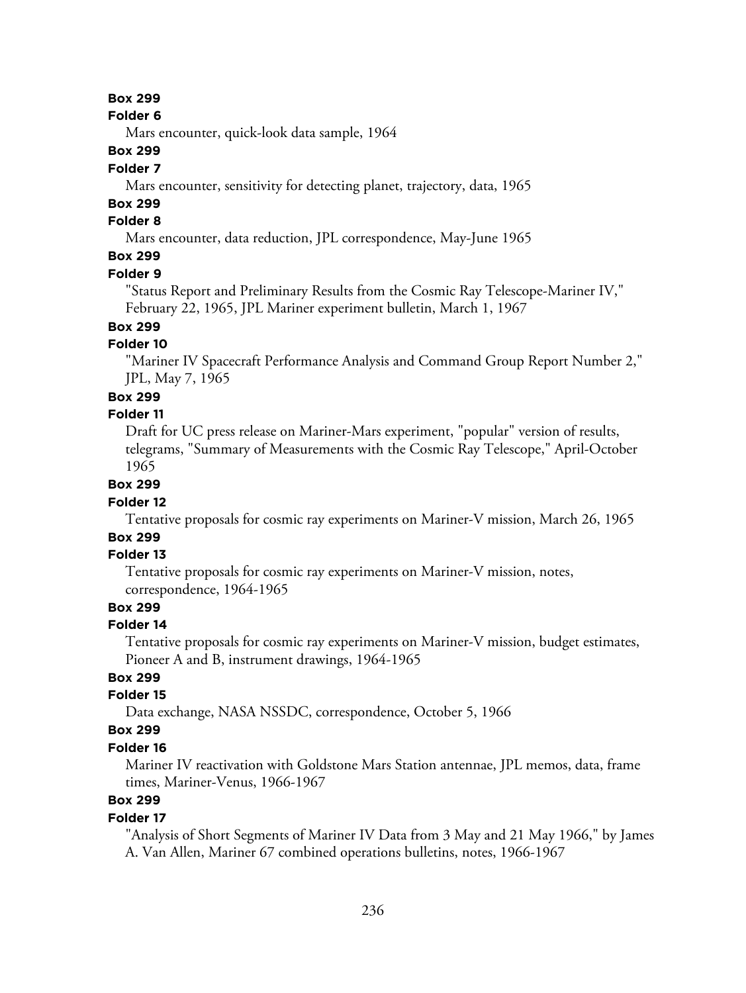### **Box 299**

#### **Folder 6**

Mars encounter, quick-look data sample, 1964

## **Box 299**

### **Folder 7**

Mars encounter, sensitivity for detecting planet, trajectory, data, 1965

## **Box 299**

## **Folder 8**

Mars encounter, data reduction, JPL correspondence, May-June 1965

# **Box 299**

#### **Folder 9**

"Status Report and Preliminary Results from the Cosmic Ray Telescope-Mariner IV," February 22, 1965, JPL Mariner experiment bulletin, March 1, 1967

# **Box 299**

## **Folder 10**

"Mariner IV Spacecraft Performance Analysis and Command Group Report Number 2," JPL, May 7, 1965

#### **Box 299**

#### **Folder 11**

Draft for UC press release on Mariner-Mars experiment, "popular" version of results, telegrams, "Summary of Measurements with the Cosmic Ray Telescope," April-October 1965

## **Box 299**

### **Folder 12**

Tentative proposals for cosmic ray experiments on Mariner-V mission, March 26, 1965

# **Box 299**

## **Folder 13**

Tentative proposals for cosmic ray experiments on Mariner-V mission, notes, correspondence, 1964-1965

### **Box 299**

#### **Folder 14**

Tentative proposals for cosmic ray experiments on Mariner-V mission, budget estimates, Pioneer A and B, instrument drawings, 1964-1965

## **Box 299**

### **Folder 15**

Data exchange, NASA NSSDC, correspondence, October 5, 1966

### **Box 299**

#### **Folder 16**

Mariner IV reactivation with Goldstone Mars Station antennae, JPL memos, data, frame times, Mariner-Venus, 1966-1967

# **Box 299**

### **Folder 17**

"Analysis of Short Segments of Mariner IV Data from 3 May and 21 May 1966," by James A. Van Allen, Mariner 67 combined operations bulletins, notes, 1966-1967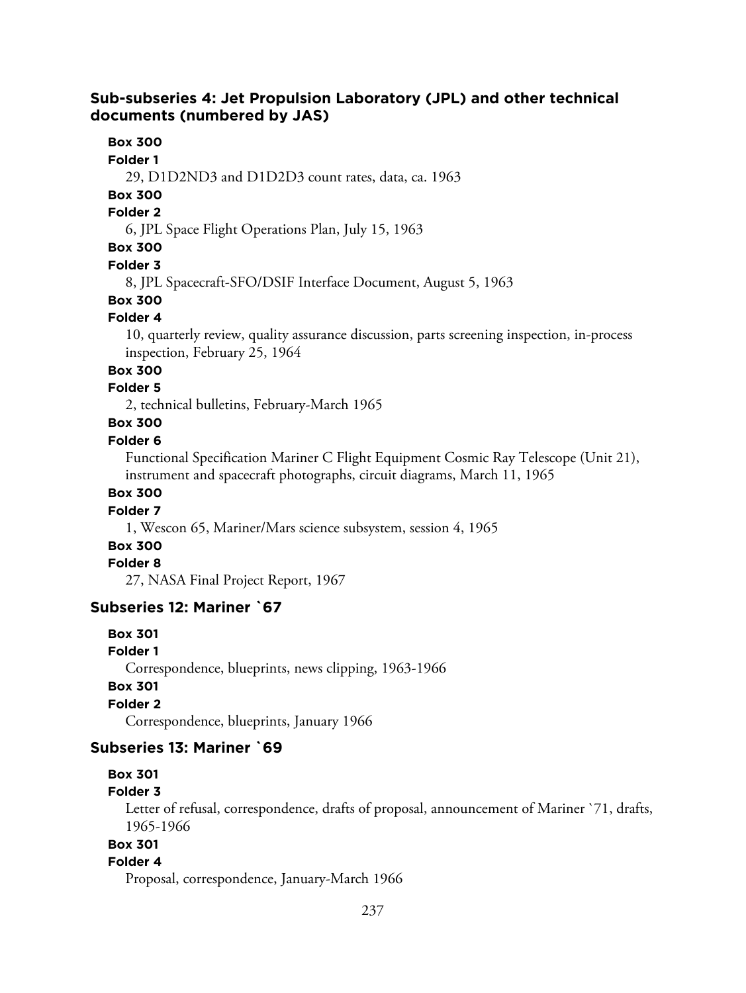## **Sub-subseries 4: Jet Propulsion Laboratory (JPL) and other technical documents (numbered by JAS)**

## **Box 300**

#### **Folder 1**

29, D1D2ND3 and D1D2D3 count rates, data, ca. 1963

## **Box 300**

### **Folder 2**

6, JPL Space Flight Operations Plan, July 15, 1963

# **Box 300**

### **Folder 3**

8, JPL Spacecraft-SFO/DSIF Interface Document, August 5, 1963

# **Box 300**

### **Folder 4**

10, quarterly review, quality assurance discussion, parts screening inspection, in-process inspection, February 25, 1964

# **Box 300**

## **Folder 5**

2, technical bulletins, February-March 1965

# **Box 300**

#### **Folder 6**

Functional Specification Mariner C Flight Equipment Cosmic Ray Telescope (Unit 21), instrument and spacecraft photographs, circuit diagrams, March 11, 1965

## **Box 300**

## **Folder 7**

1, Wescon 65, Mariner/Mars science subsystem, session 4, 1965

### **Box 300**

#### **Folder 8**

27, NASA Final Project Report, 1967

## **Subseries 12: Mariner `67**

### **Box 301**

#### **Folder 1**

Correspondence, blueprints, news clipping, 1963-1966

## **Box 301**

## **Folder 2**

Correspondence, blueprints, January 1966

## **Subseries 13: Mariner `69**

### **Box 301**

### **Folder 3**

Letter of refusal, correspondence, drafts of proposal, announcement of Mariner `71, drafts, 1965-1966

# **Box 301**

## **Folder 4**

Proposal, correspondence, January-March 1966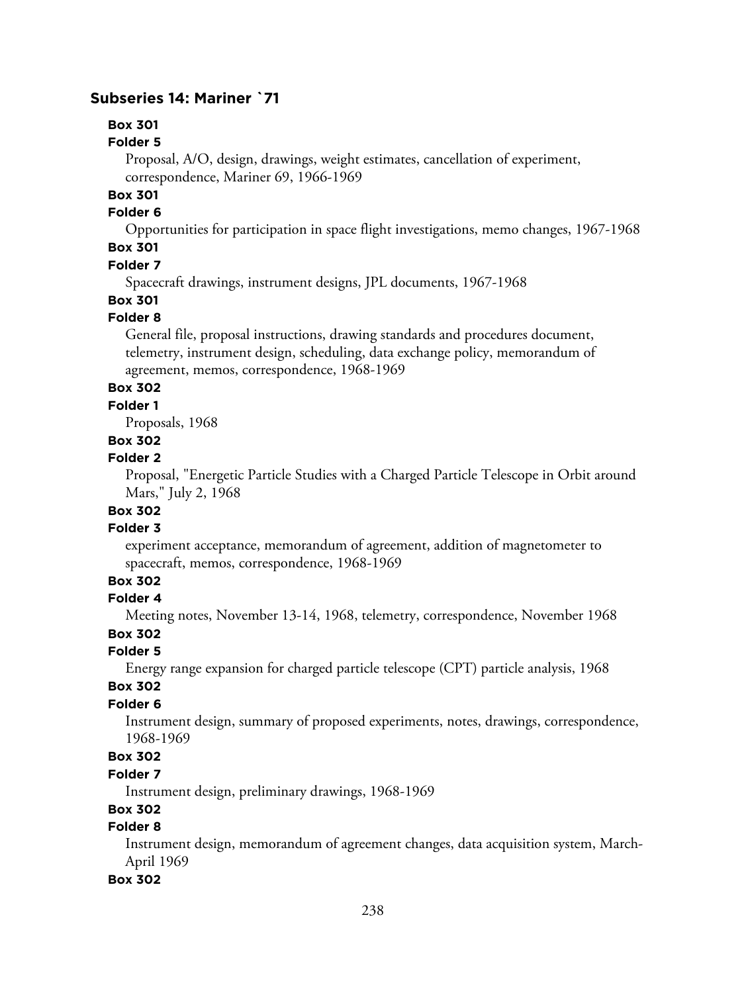## **Subseries 14: Mariner `71**

# **Box 301**

## **Folder 5**

Proposal, A/O, design, drawings, weight estimates, cancellation of experiment, correspondence, Mariner 69, 1966-1969

## **Box 301**

### **Folder 6**

Opportunities for participation in space flight investigations, memo changes, 1967-1968

# **Box 301**

## **Folder 7**

Spacecraft drawings, instrument designs, JPL documents, 1967-1968

## **Box 301**

## **Folder 8**

General file, proposal instructions, drawing standards and procedures document, telemetry, instrument design, scheduling, data exchange policy, memorandum of agreement, memos, correspondence, 1968-1969

## **Box 302**

### **Folder 1**

Proposals, 1968

## **Box 302**

## **Folder 2**

Proposal, "Energetic Particle Studies with a Charged Particle Telescope in Orbit around Mars," July 2, 1968

# **Box 302**

## **Folder 3**

experiment acceptance, memorandum of agreement, addition of magnetometer to spacecraft, memos, correspondence, 1968-1969

# **Box 302**

### **Folder 4**

Meeting notes, November 13-14, 1968, telemetry, correspondence, November 1968

## **Box 302**

### **Folder 5**

Energy range expansion for charged particle telescope (CPT) particle analysis, 1968

## **Box 302**

## **Folder 6**

Instrument design, summary of proposed experiments, notes, drawings, correspondence, 1968-1969

## **Box 302**

## **Folder 7**

Instrument design, preliminary drawings, 1968-1969

## **Box 302**

## **Folder 8**

Instrument design, memorandum of agreement changes, data acquisition system, March-April 1969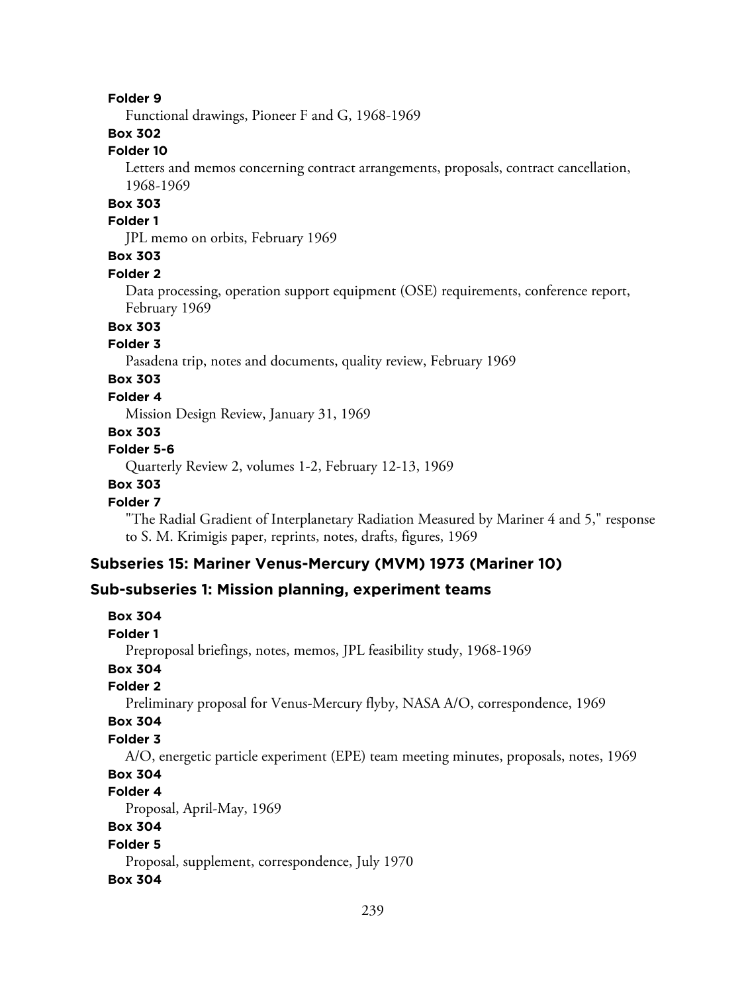Functional drawings, Pioneer F and G, 1968-1969

## **Box 302**

## **Folder 10**

Letters and memos concerning contract arrangements, proposals, contract cancellation, 1968-1969

## **Box 303**

### **Folder 1**

JPL memo on orbits, February 1969

## **Box 303**

#### **Folder 2**

Data processing, operation support equipment (OSE) requirements, conference report, February 1969

## **Box 303**

## **Folder 3**

Pasadena trip, notes and documents, quality review, February 1969

# **Box 303**

## **Folder 4**

Mission Design Review, January 31, 1969

## **Box 303**

#### **Folder 5-6**

Quarterly Review 2, volumes 1-2, February 12-13, 1969

### **Box 303**

### **Folder 7**

"The Radial Gradient of Interplanetary Radiation Measured by Mariner 4 and 5," response to S. M. Krimigis paper, reprints, notes, drafts, figures, 1969

### **Subseries 15: Mariner Venus-Mercury (MVM) 1973 (Mariner 10)**

### **Sub-subseries 1: Mission planning, experiment teams**

```
Box 304
Folder 1
  Preproposal briefings, notes, memos, JPL feasibility study, 1968-1969
Box 304
Folder 2
  Preliminary proposal for Venus-Mercury flyby, NASA A/O, correspondence, 1969
Box 304
Folder 3
  A/O, energetic particle experiment (EPE) team meeting minutes, proposals, notes, 1969
Box 304
Folder 4
  Proposal, April-May, 1969
Box 304
Folder 5
  Proposal, supplement, correspondence, July 1970
Box 304
```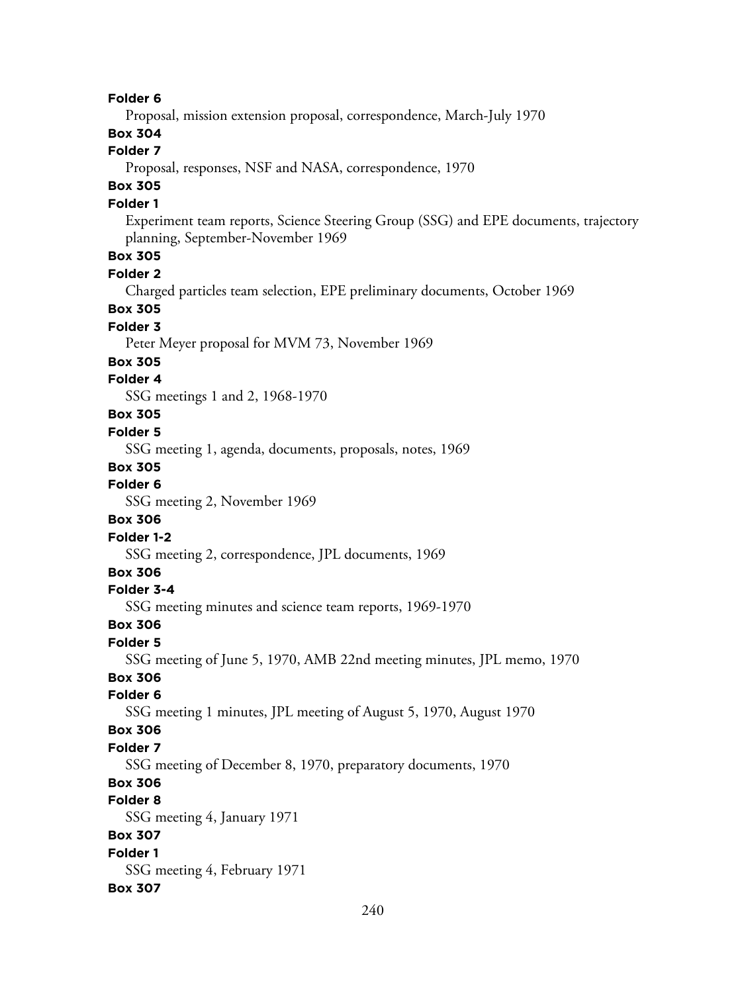**Folder 6** Proposal, mission extension proposal, correspondence, March-July 1970 **Box 304**

#### **Folder 7**

Proposal, responses, NSF and NASA, correspondence, 1970

# **Box 305**

## **Folder 1**

Experiment team reports, Science Steering Group (SSG) and EPE documents, trajectory planning, September-November 1969

## **Box 305**

**Folder 2**

Charged particles team selection, EPE preliminary documents, October 1969

## **Box 305**

**Folder 3**

Peter Meyer proposal for MVM 73, November 1969

#### **Box 305**

#### **Folder 4**

SSG meetings 1 and 2, 1968-1970

## **Box 305**

### **Folder 5**

SSG meeting 1, agenda, documents, proposals, notes, 1969

### **Box 305**

**Folder 6**

SSG meeting 2, November 1969

#### **Box 306**

#### **Folder 1-2**

SSG meeting 2, correspondence, JPL documents, 1969

## **Box 306**

### **Folder 3-4**

SSG meeting minutes and science team reports, 1969-1970

## **Box 306**

## **Folder 5**

SSG meeting of June 5, 1970, AMB 22nd meeting minutes, JPL memo, 1970

### **Box 306**

#### **Folder 6**

SSG meeting 1 minutes, JPL meeting of August 5, 1970, August 1970

### **Box 306**

#### **Folder 7**

SSG meeting of December 8, 1970, preparatory documents, 1970

## **Box 306**

## **Folder 8**

SSG meeting 4, January 1971

## **Box 307**

# **Folder 1**

SSG meeting 4, February 1971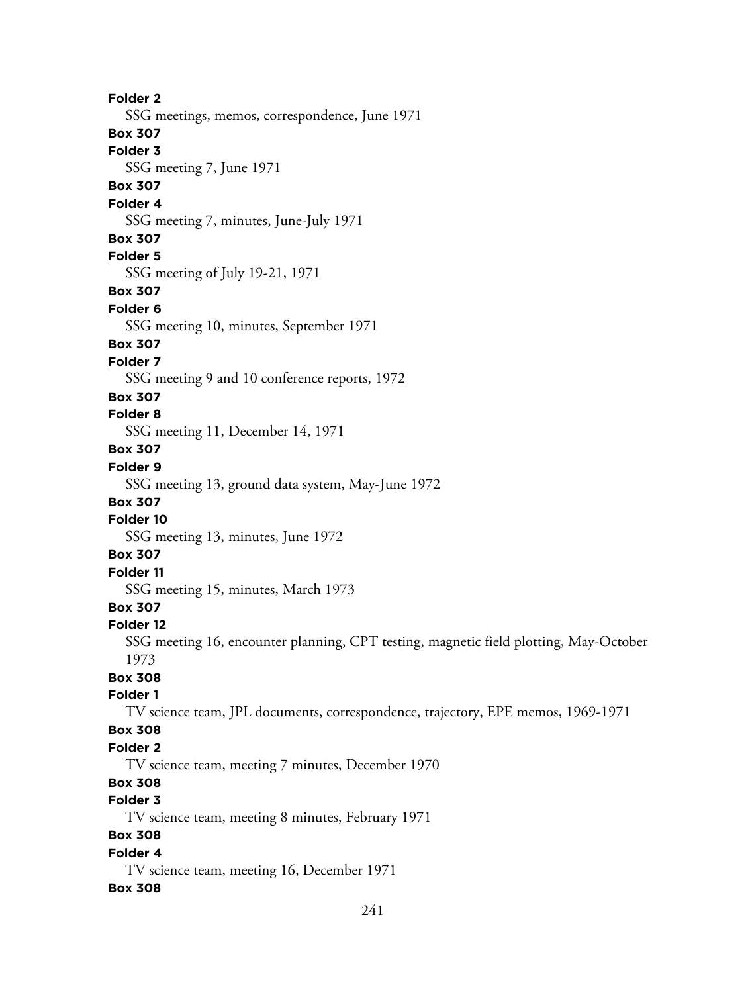**Folder 2** SSG meetings, memos, correspondence, June 1971 **Box 307 Folder 3** SSG meeting 7, June 1971 **Box 307 Folder 4** SSG meeting 7, minutes, June-July 1971 **Box 307 Folder 5** SSG meeting of July 19-21, 1971 **Box 307 Folder 6** SSG meeting 10, minutes, September 1971 **Box 307 Folder 7** SSG meeting 9 and 10 conference reports, 1972 **Box 307 Folder 8** SSG meeting 11, December 14, 1971 **Box 307 Folder 9** SSG meeting 13, ground data system, May-June 1972 **Box 307 Folder 10** SSG meeting 13, minutes, June 1972 **Box 307 Folder 11** SSG meeting 15, minutes, March 1973 **Box 307 Folder 12** SSG meeting 16, encounter planning, CPT testing, magnetic field plotting, May-October 1973 **Box 308 Folder 1** TV science team, JPL documents, correspondence, trajectory, EPE memos, 1969-1971 **Box 308 Folder 2** TV science team, meeting 7 minutes, December 1970 **Box 308 Folder 3** TV science team, meeting 8 minutes, February 1971 **Box 308 Folder 4** TV science team, meeting 16, December 1971 **Box 308**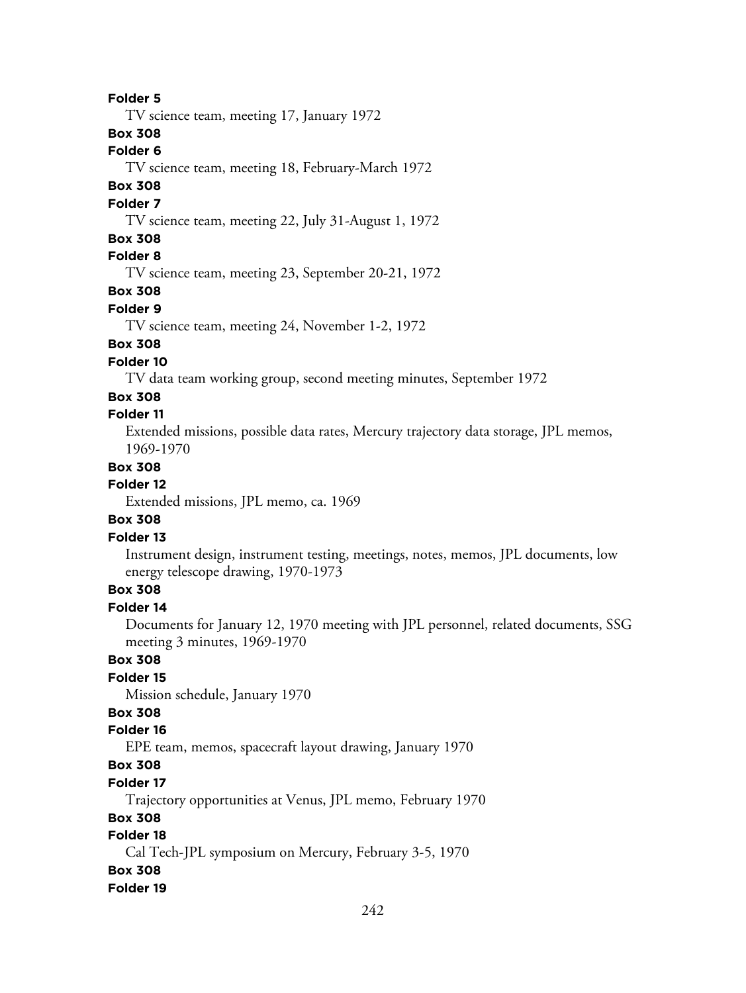TV science team, meeting 17, January 1972

**Box 308**

**Folder 6**

TV science team, meeting 18, February-March 1972

## **Box 308**

## **Folder 7**

TV science team, meeting 22, July 31-August 1, 1972

## **Box 308**

## **Folder 8**

TV science team, meeting 23, September 20-21, 1972

**Box 308**

#### **Folder 9**

TV science team, meeting 24, November 1-2, 1972

## **Box 308**

**Folder 10**

TV data team working group, second meeting minutes, September 1972

### **Box 308**

## **Folder 11**

Extended missions, possible data rates, Mercury trajectory data storage, JPL memos, 1969-1970

### **Box 308**

## **Folder 12**

Extended missions, JPL memo, ca. 1969

### **Box 308**

### **Folder 13**

Instrument design, instrument testing, meetings, notes, memos, JPL documents, low energy telescope drawing, 1970-1973

## **Box 308**

## **Folder 14**

Documents for January 12, 1970 meeting with JPL personnel, related documents, SSG meeting 3 minutes, 1969-1970

## **Box 308**

### **Folder 15**

Mission schedule, January 1970

## **Box 308**

## **Folder 16**

EPE team, memos, spacecraft layout drawing, January 1970

# **Box 308**

### **Folder 17**

Trajectory opportunities at Venus, JPL memo, February 1970

### **Box 308**

## **Folder 18**

Cal Tech-JPL symposium on Mercury, February 3-5, 1970

### **Box 308**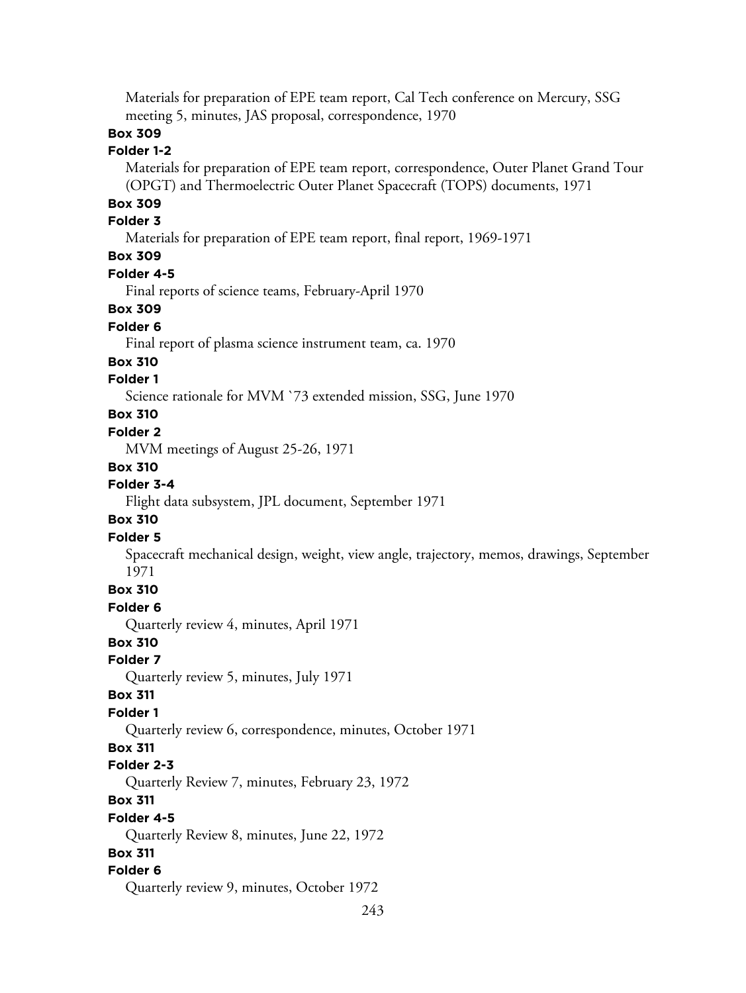Materials for preparation of EPE team report, Cal Tech conference on Mercury, SSG meeting 5, minutes, JAS proposal, correspondence, 1970

## **Box 309**

## **Folder 1-2**

Materials for preparation of EPE team report, correspondence, Outer Planet Grand Tour (OPGT) and Thermoelectric Outer Planet Spacecraft (TOPS) documents, 1971

# **Box 309**

## **Folder 3**

Materials for preparation of EPE team report, final report, 1969-1971

## **Box 309**

### **Folder 4-5**

Final reports of science teams, February-April 1970

## **Box 309**

## **Folder 6**

Final report of plasma science instrument team, ca. 1970

#### **Box 310**

## **Folder 1**

Science rationale for MVM `73 extended mission, SSG, June 1970

### **Box 310**

### **Folder 2**

MVM meetings of August 25-26, 1971

#### **Box 310**

## **Folder 3-4**

Flight data subsystem, JPL document, September 1971

### **Box 310**

### **Folder 5**

Spacecraft mechanical design, weight, view angle, trajectory, memos, drawings, September 1971

### **Box 310**

#### **Folder 6**

Quarterly review 4, minutes, April 1971

## **Box 310**

### **Folder 7**

Quarterly review 5, minutes, July 1971

#### **Box 311**

#### **Folder 1**

Quarterly review 6, correspondence, minutes, October 1971

## **Box 311**

### **Folder 2-3**

Quarterly Review 7, minutes, February 23, 1972

## **Box 311**

#### **Folder 4-5**

Quarterly Review 8, minutes, June 22, 1972

#### **Box 311**

### **Folder 6**

Quarterly review 9, minutes, October 1972

```
243
```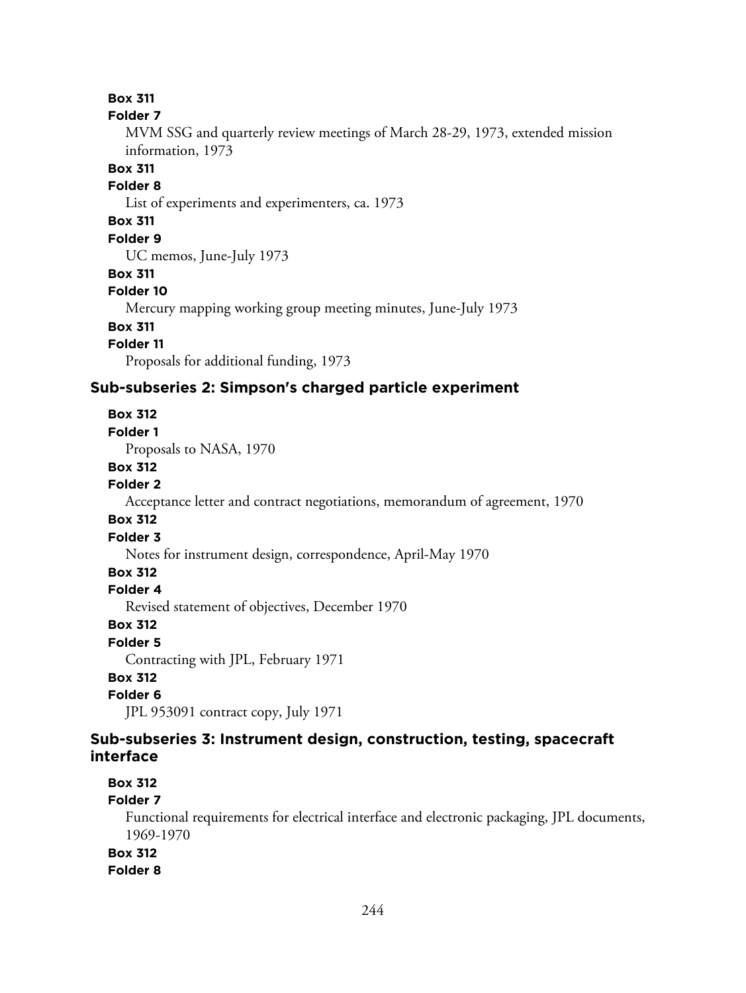**Box 311**

#### **Folder 7**

MVM SSG and quarterly review meetings of March 28-29, 1973, extended mission information, 1973

## **Box 311**

## **Folder 8**

List of experiments and experimenters, ca. 1973

# **Box 311**

## **Folder 9**

UC memos, June-July 1973

## **Box 311**

#### **Folder 10**

Mercury mapping working group meeting minutes, June-July 1973

# **Box 311**

## **Folder 11**

Proposals for additional funding, 1973

## **Sub-subseries 2: Simpson's charged particle experiment**

### **Box 312**

#### **Folder 1**

Proposals to NASA, 1970

#### **Box 312**

#### **Folder 2**

Acceptance letter and contract negotiations, memorandum of agreement, 1970

### **Box 312**

#### **Folder 3**

Notes for instrument design, correspondence, April-May 1970

# **Box 312**

## **Folder 4**

Revised statement of objectives, December 1970

#### **Box 312**

### **Folder 5**

Contracting with JPL, February 1971

## **Box 312**

## **Folder 6**

JPL 953091 contract copy, July 1971

## **Sub-subseries 3: Instrument design, construction, testing, spacecraft interface**

## **Box 312**

### **Folder 7**

Functional requirements for electrical interface and electronic packaging, JPL documents, 1969-1970

## **Box 312**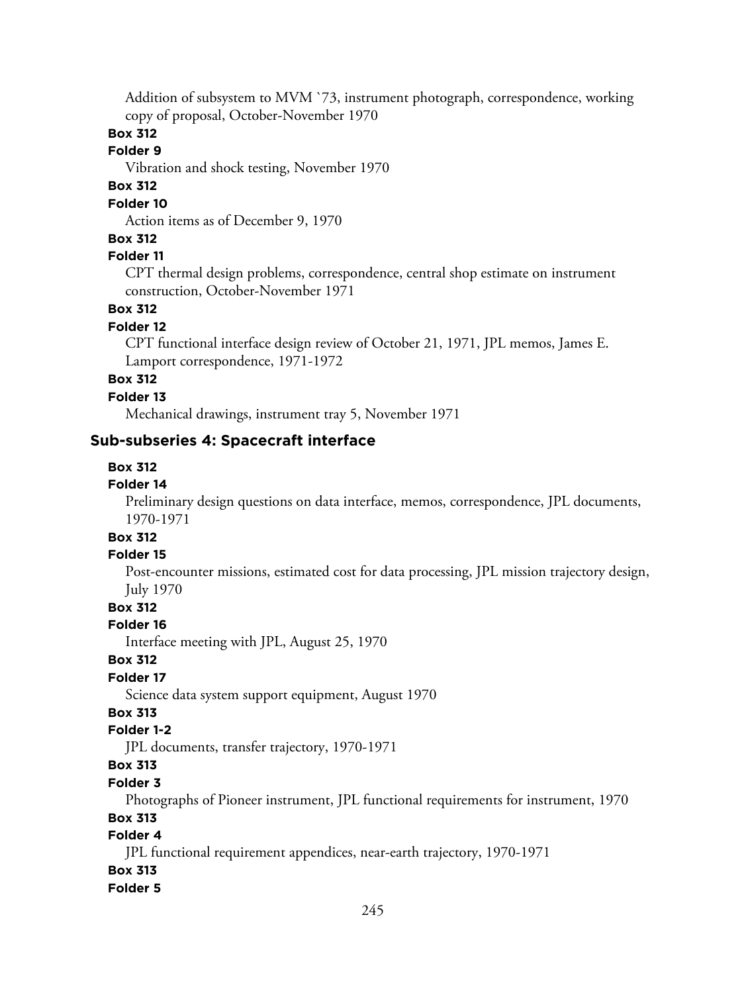Addition of subsystem to MVM `73, instrument photograph, correspondence, working copy of proposal, October-November 1970

## **Box 312**

## **Folder 9**

Vibration and shock testing, November 1970

## **Box 312**

### **Folder 10**

Action items as of December 9, 1970

## **Box 312**

## **Folder 11**

CPT thermal design problems, correspondence, central shop estimate on instrument construction, October-November 1971

## **Box 312**

## **Folder 12**

CPT functional interface design review of October 21, 1971, JPL memos, James E. Lamport correspondence, 1971-1972

## **Box 312**

#### **Folder 13**

Mechanical drawings, instrument tray 5, November 1971

## **Sub-subseries 4: Spacecraft interface**

### **Box 312**

## **Folder 14**

Preliminary design questions on data interface, memos, correspondence, JPL documents, 1970-1971

# **Box 312**

### **Folder 15**

Post-encounter missions, estimated cost for data processing, JPL mission trajectory design, July 1970

### **Box 312**

### **Folder 16**

Interface meeting with JPL, August 25, 1970

### **Box 312**

## **Folder 17**

Science data system support equipment, August 1970

## **Box 313**

## **Folder 1-2**

JPL documents, transfer trajectory, 1970-1971

## **Box 313**

### **Folder 3**

Photographs of Pioneer instrument, JPL functional requirements for instrument, 1970

### **Box 313**

## **Folder 4**

JPL functional requirement appendices, near-earth trajectory, 1970-1971

## **Box 313**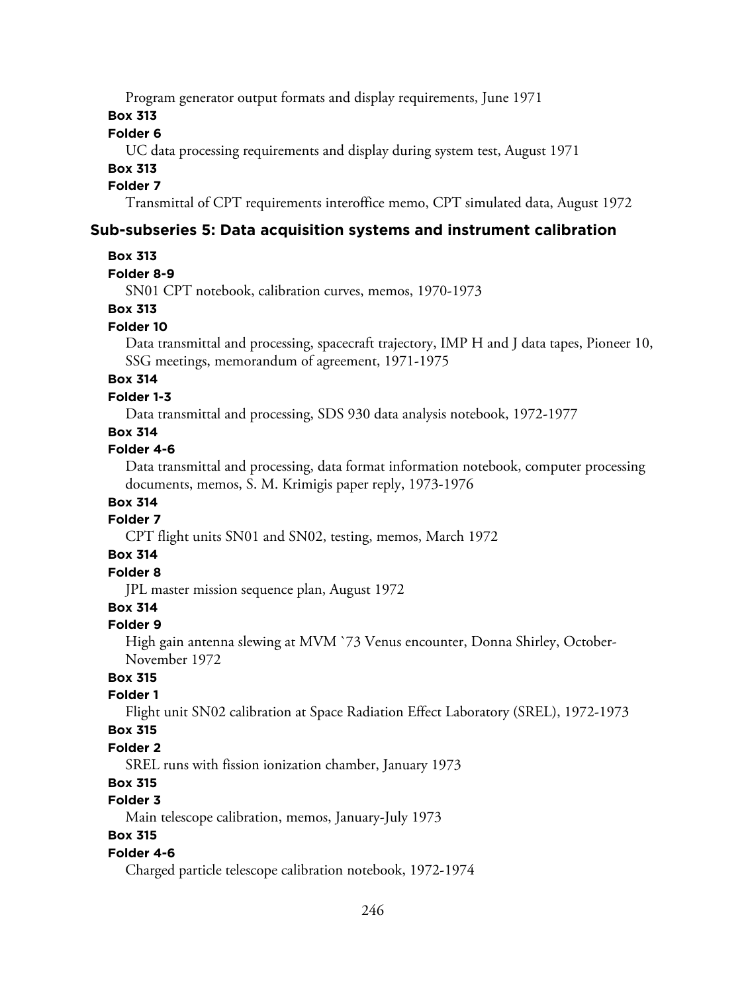Program generator output formats and display requirements, June 1971

**Box 313**

### **Folder 6**

UC data processing requirements and display during system test, August 1971

## **Box 313**

## **Folder 7**

Transmittal of CPT requirements interoffice memo, CPT simulated data, August 1972

## **Sub-subseries 5: Data acquisition systems and instrument calibration**

### **Box 313**

### **Folder 8-9**

SN01 CPT notebook, calibration curves, memos, 1970-1973

## **Box 313**

## **Folder 10**

Data transmittal and processing, spacecraft trajectory, IMP H and J data tapes, Pioneer 10, SSG meetings, memorandum of agreement, 1971-1975

## **Box 314**

### **Folder 1-3**

Data transmittal and processing, SDS 930 data analysis notebook, 1972-1977

### **Box 314**

### **Folder 4-6**

Data transmittal and processing, data format information notebook, computer processing documents, memos, S. M. Krimigis paper reply, 1973-1976

## **Box 314**

## **Folder 7**

CPT flight units SN01 and SN02, testing, memos, March 1972

# **Box 314**

# **Folder 8**

JPL master mission sequence plan, August 1972

## **Box 314**

### **Folder 9**

High gain antenna slewing at MVM `73 Venus encounter, Donna Shirley, October-November 1972

# **Box 315**

#### **Folder 1**

Flight unit SN02 calibration at Space Radiation Effect Laboratory (SREL), 1972-1973

### **Box 315**

### **Folder 2**

SREL runs with fission ionization chamber, January 1973

## **Box 315**

# **Folder 3**

Main telescope calibration, memos, January-July 1973

## **Box 315**

### **Folder 4-6**

Charged particle telescope calibration notebook, 1972-1974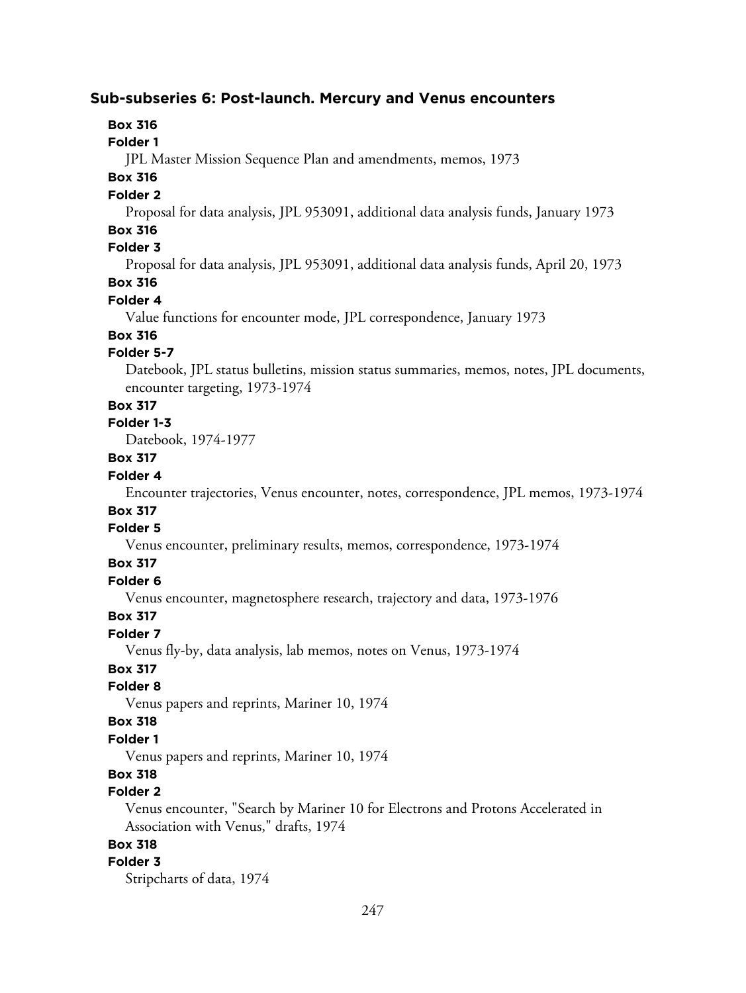### **Sub-subseries 6: Post-launch. Mercury and Venus encounters**

## **Box 316**

#### **Folder 1**

JPL Master Mission Sequence Plan and amendments, memos, 1973

## **Box 316**

### **Folder 2**

Proposal for data analysis, JPL 953091, additional data analysis funds, January 1973

## **Box 316**

## **Folder 3**

Proposal for data analysis, JPL 953091, additional data analysis funds, April 20, 1973

## **Box 316**

## **Folder 4**

Value functions for encounter mode, JPL correspondence, January 1973

# **Box 316**

## **Folder 5-7**

Datebook, JPL status bulletins, mission status summaries, memos, notes, JPL documents, encounter targeting, 1973-1974

## **Box 317**

# **Folder 1-3**

Datebook, 1974-1977

# **Box 317**

## **Folder 4**

Encounter trajectories, Venus encounter, notes, correspondence, JPL memos, 1973-1974

# **Box 317**

## **Folder 5**

Venus encounter, preliminary results, memos, correspondence, 1973-1974

### **Box 317**

### **Folder 6**

Venus encounter, magnetosphere research, trajectory and data, 1973-1976

# **Box 317**

# **Folder 7**

Venus fly-by, data analysis, lab memos, notes on Venus, 1973-1974

# **Box 317**

## **Folder 8**

Venus papers and reprints, Mariner 10, 1974

# **Box 318**

## **Folder 1**

Venus papers and reprints, Mariner 10, 1974

## **Box 318**

### **Folder 2**

Venus encounter, "Search by Mariner 10 for Electrons and Protons Accelerated in Association with Venus," drafts, 1974

## **Box 318**

# **Folder 3**

Stripcharts of data, 1974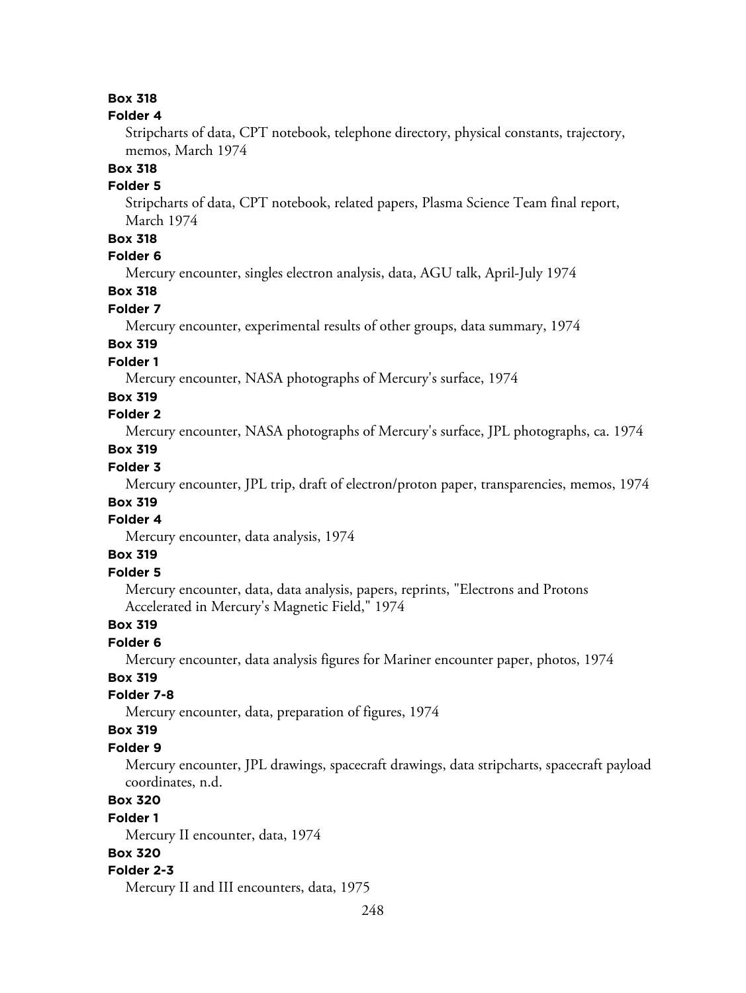# **Box 318**

#### **Folder 4**

Stripcharts of data, CPT notebook, telephone directory, physical constants, trajectory, memos, March 1974

# **Box 318**

## **Folder 5**

Stripcharts of data, CPT notebook, related papers, Plasma Science Team final report, March 1974

## **Box 318**

## **Folder 6**

Mercury encounter, singles electron analysis, data, AGU talk, April-July 1974

## **Box 318**

### **Folder 7**

Mercury encounter, experimental results of other groups, data summary, 1974

# **Box 319**

## **Folder 1**

Mercury encounter, NASA photographs of Mercury's surface, 1974

### **Box 319**

## **Folder 2**

Mercury encounter, NASA photographs of Mercury's surface, JPL photographs, ca. 1974

## **Box 319**

## **Folder 3**

Mercury encounter, JPL trip, draft of electron/proton paper, transparencies, memos, 1974

## **Box 319**

# **Folder 4**

Mercury encounter, data analysis, 1974

## **Box 319**

## **Folder 5**

Mercury encounter, data, data analysis, papers, reprints, "Electrons and Protons Accelerated in Mercury's Magnetic Field," 1974

### **Box 319**

## **Folder 6**

Mercury encounter, data analysis figures for Mariner encounter paper, photos, 1974

### **Box 319**

### **Folder 7-8**

Mercury encounter, data, preparation of figures, 1974

### **Box 319**

#### **Folder 9**

Mercury encounter, JPL drawings, spacecraft drawings, data stripcharts, spacecraft payload coordinates, n.d.

# **Box 320**

#### **Folder 1**

Mercury II encounter, data, 1974

## **Box 320**

#### **Folder 2-3**

Mercury II and III encounters, data, 1975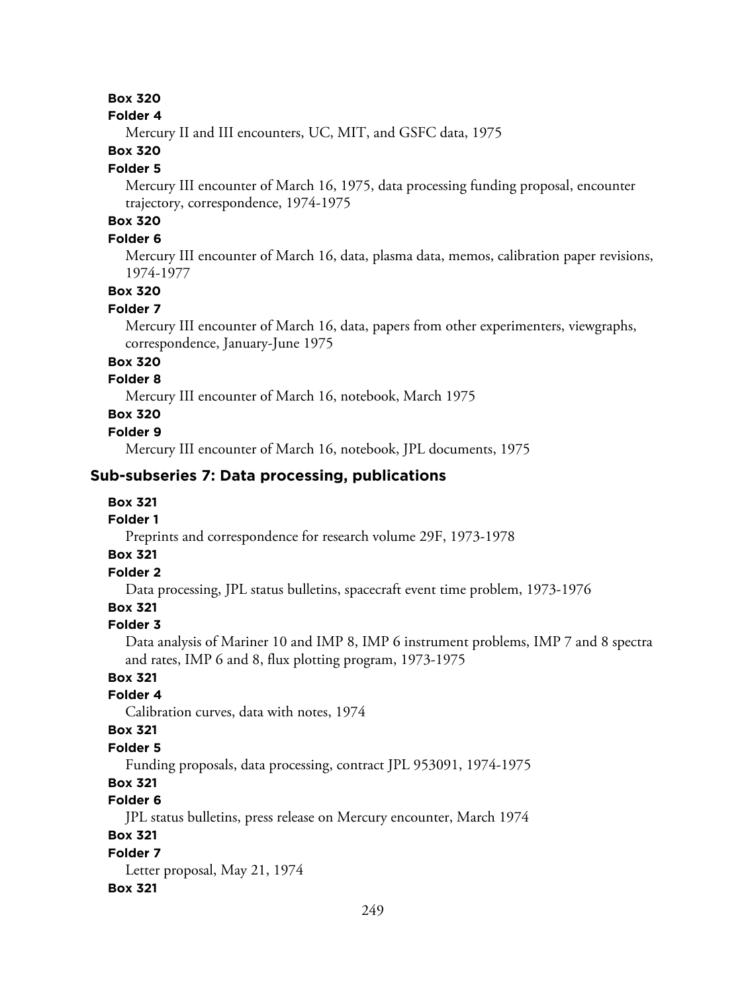## **Box 320**

#### **Folder 4**

Mercury II and III encounters, UC, MIT, and GSFC data, 1975

## **Box 320**

#### **Folder 5**

Mercury III encounter of March 16, 1975, data processing funding proposal, encounter trajectory, correspondence, 1974-1975

# **Box 320**

## **Folder 6**

Mercury III encounter of March 16, data, plasma data, memos, calibration paper revisions, 1974-1977

# **Box 320**

### **Folder 7**

Mercury III encounter of March 16, data, papers from other experimenters, viewgraphs, correspondence, January-June 1975

### **Box 320**

## **Folder 8**

Mercury III encounter of March 16, notebook, March 1975

## **Box 320**

### **Folder 9**

Mercury III encounter of March 16, notebook, JPL documents, 1975

### **Sub-subseries 7: Data processing, publications**

### **Box 321**

#### **Folder 1**

Preprints and correspondence for research volume 29F, 1973-1978

## **Box 321**

# **Folder 2**

Data processing, JPL status bulletins, spacecraft event time problem, 1973-1976

## **Box 321**

### **Folder 3**

Data analysis of Mariner 10 and IMP 8, IMP 6 instrument problems, IMP 7 and 8 spectra and rates, IMP 6 and 8, flux plotting program, 1973-1975

## **Box 321**

### **Folder 4**

Calibration curves, data with notes, 1974

### **Box 321**

### **Folder 5**

Funding proposals, data processing, contract JPL 953091, 1974-1975

# **Box 321**

# **Folder 6**

JPL status bulletins, press release on Mercury encounter, March 1974

## **Box 321**

**Folder 7** Letter proposal, May 21, 1974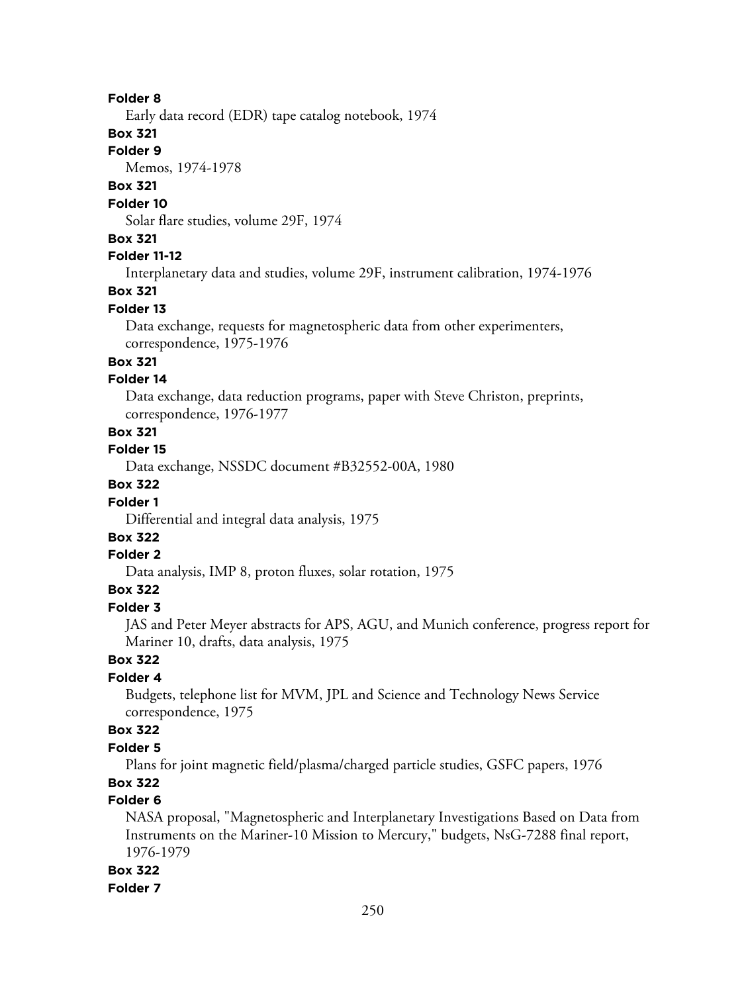Early data record (EDR) tape catalog notebook, 1974

## **Box 321**

### **Folder 9**

Memos, 1974-1978

## **Box 321**

## **Folder 10**

Solar flare studies, volume 29F, 1974

## **Box 321**

## **Folder 11-12**

Interplanetary data and studies, volume 29F, instrument calibration, 1974-1976

## **Box 321**

### **Folder 13**

Data exchange, requests for magnetospheric data from other experimenters, correspondence, 1975-1976

## **Box 321**

### **Folder 14**

Data exchange, data reduction programs, paper with Steve Christon, preprints, correspondence, 1976-1977

### **Box 321**

## **Folder 15**

Data exchange, NSSDC document #B32552-00A, 1980

## **Box 322**

### **Folder 1**

Differential and integral data analysis, 1975

# **Box 322**

## **Folder 2**

Data analysis, IMP 8, proton fluxes, solar rotation, 1975

## **Box 322**

### **Folder 3**

JAS and Peter Meyer abstracts for APS, AGU, and Munich conference, progress report for Mariner 10, drafts, data analysis, 1975

# **Box 322**

## **Folder 4**

Budgets, telephone list for MVM, JPL and Science and Technology News Service correspondence, 1975

## **Box 322**

## **Folder 5**

Plans for joint magnetic field/plasma/charged particle studies, GSFC papers, 1976

## **Box 322**

## **Folder 6**

NASA proposal, "Magnetospheric and Interplanetary Investigations Based on Data from Instruments on the Mariner-10 Mission to Mercury," budgets, NsG-7288 final report, 1976-1979

#### **Box 322**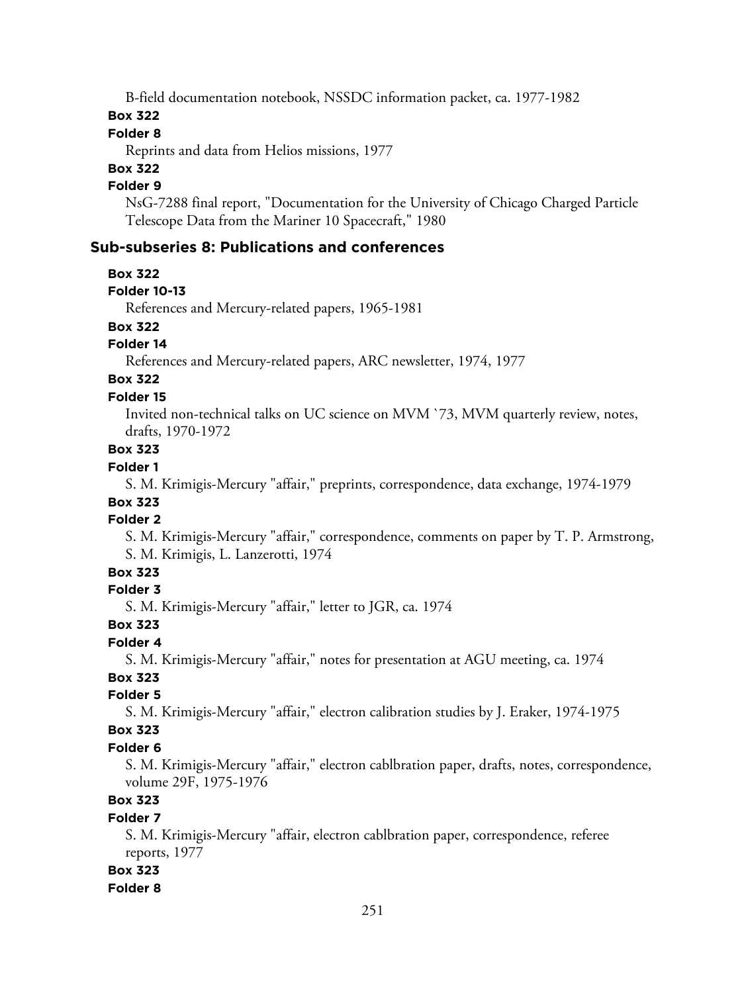B-field documentation notebook, NSSDC information packet, ca. 1977-1982

## **Box 322**

## **Folder 8**

Reprints and data from Helios missions, 1977

# **Box 322**

## **Folder 9**

NsG-7288 final report, "Documentation for the University of Chicago Charged Particle Telescope Data from the Mariner 10 Spacecraft," 1980

## **Sub-subseries 8: Publications and conferences**

### **Box 322**

## **Folder 10-13**

References and Mercury-related papers, 1965-1981

## **Box 322**

## **Folder 14**

References and Mercury-related papers, ARC newsletter, 1974, 1977

# **Box 322**

## **Folder 15**

Invited non-technical talks on UC science on MVM `73, MVM quarterly review, notes, drafts, 1970-1972

## **Box 323**

## **Folder 1**

S. M. Krimigis-Mercury "affair," preprints, correspondence, data exchange, 1974-1979

# **Box 323**

# **Folder 2**

S. M. Krimigis-Mercury "affair," correspondence, comments on paper by T. P. Armstrong, S. M. Krimigis, L. Lanzerotti, 1974

## **Box 323**

## **Folder 3**

S. M. Krimigis-Mercury "affair," letter to JGR, ca. 1974

### **Box 323**

### **Folder 4**

S. M. Krimigis-Mercury "affair," notes for presentation at AGU meeting, ca. 1974

## **Box 323**

## **Folder 5**

S. M. Krimigis-Mercury "affair," electron calibration studies by J. Eraker, 1974-1975

### **Box 323**

## **Folder 6**

S. M. Krimigis-Mercury "affair," electron cablbration paper, drafts, notes, correspondence, volume 29F, 1975-1976

# **Box 323**

## **Folder 7**

S. M. Krimigis-Mercury "affair, electron cablbration paper, correspondence, referee reports, 1977

## **Box 323**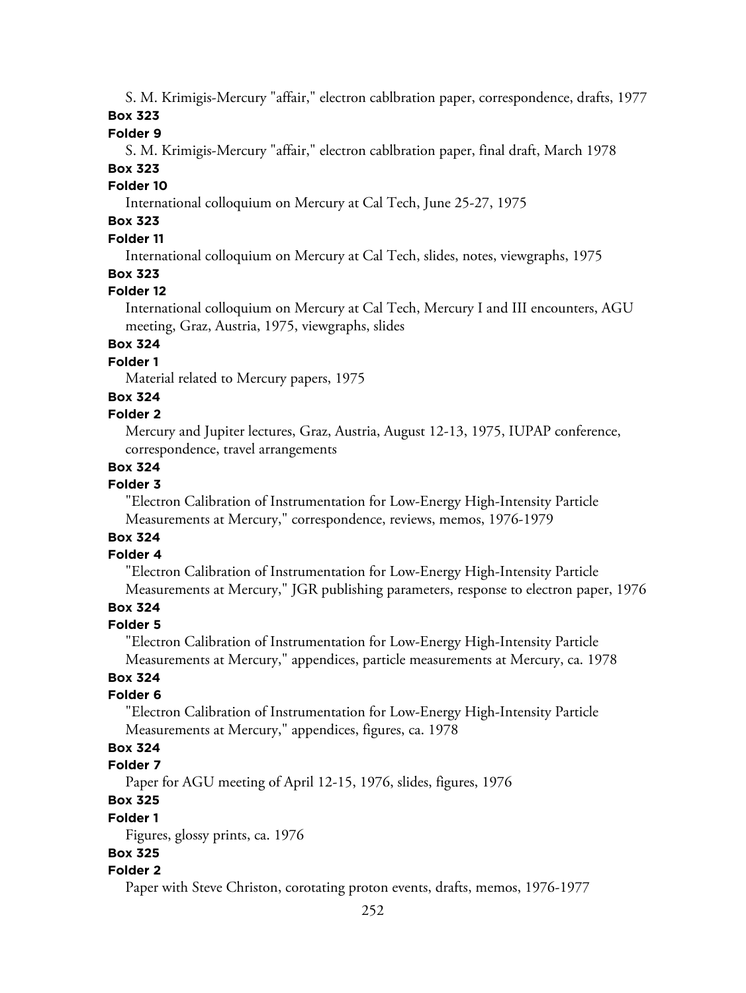S. M. Krimigis-Mercury "affair," electron cablbration paper, correspondence, drafts, 1977

# **Box 323**

## **Folder 9**

S. M. Krimigis-Mercury "affair," electron cablbration paper, final draft, March 1978

# **Box 323**

## **Folder 10**

International colloquium on Mercury at Cal Tech, June 25-27, 1975

# **Box 323**

## **Folder 11**

International colloquium on Mercury at Cal Tech, slides, notes, viewgraphs, 1975

## **Box 323**

## **Folder 12**

International colloquium on Mercury at Cal Tech, Mercury I and III encounters, AGU meeting, Graz, Austria, 1975, viewgraphs, slides

# **Box 324**

## **Folder 1**

Material related to Mercury papers, 1975

## **Box 324**

## **Folder 2**

Mercury and Jupiter lectures, Graz, Austria, August 12-13, 1975, IUPAP conference, correspondence, travel arrangements

## **Box 324**

## **Folder 3**

"Electron Calibration of Instrumentation for Low-Energy High-Intensity Particle Measurements at Mercury," correspondence, reviews, memos, 1976-1979

# **Box 324**

# **Folder 4**

"Electron Calibration of Instrumentation for Low-Energy High-Intensity Particle Measurements at Mercury," JGR publishing parameters, response to electron paper, 1976

# **Box 324**

## **Folder 5**

"Electron Calibration of Instrumentation for Low-Energy High-Intensity Particle Measurements at Mercury," appendices, particle measurements at Mercury, ca. 1978

## **Box 324**

## **Folder 6**

"Electron Calibration of Instrumentation for Low-Energy High-Intensity Particle Measurements at Mercury," appendices, figures, ca. 1978

# **Box 324**

## **Folder 7**

Paper for AGU meeting of April 12-15, 1976, slides, figures, 1976

## **Box 325**

## **Folder 1**

Figures, glossy prints, ca. 1976

## **Box 325**

## **Folder 2**

Paper with Steve Christon, corotating proton events, drafts, memos, 1976-1977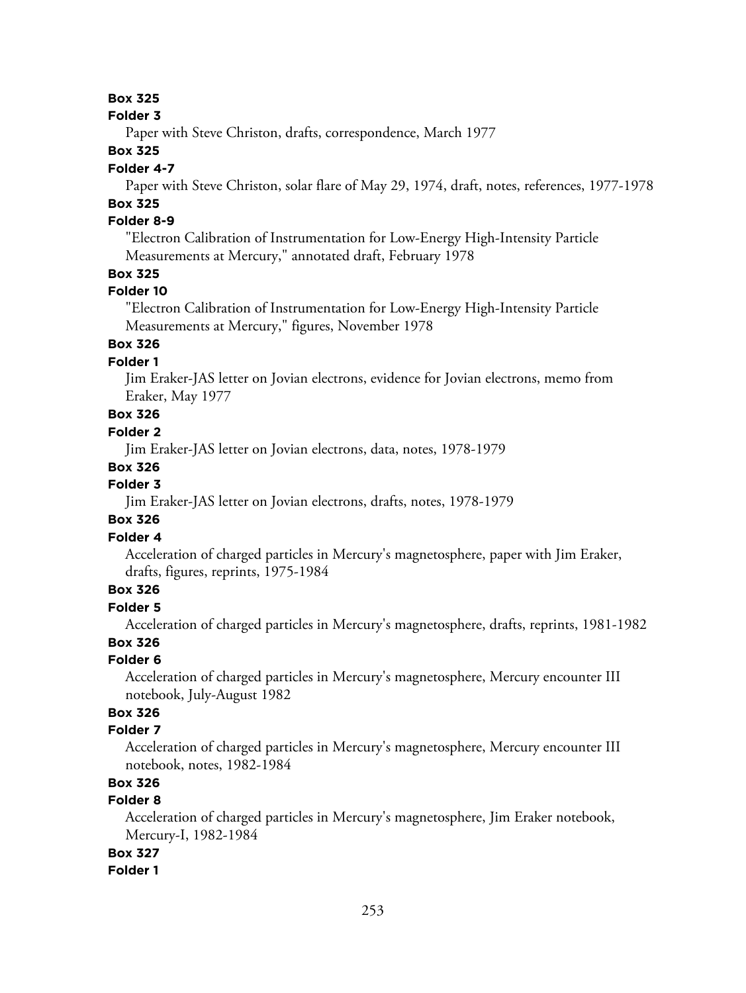#### **Folder 3**

Paper with Steve Christon, drafts, correspondence, March 1977

### **Box 325**

### **Folder 4-7**

Paper with Steve Christon, solar flare of May 29, 1974, draft, notes, references, 1977-1978

## **Box 325**

## **Folder 8-9**

"Electron Calibration of Instrumentation for Low-Energy High-Intensity Particle Measurements at Mercury," annotated draft, February 1978

## **Box 325**

### **Folder 10**

"Electron Calibration of Instrumentation for Low-Energy High-Intensity Particle Measurements at Mercury," figures, November 1978

## **Box 326**

## **Folder 1**

Jim Eraker-JAS letter on Jovian electrons, evidence for Jovian electrons, memo from Eraker, May 1977

## **Box 326**

## **Folder 2**

Jim Eraker-JAS letter on Jovian electrons, data, notes, 1978-1979

### **Box 326**

### **Folder 3**

Jim Eraker-JAS letter on Jovian electrons, drafts, notes, 1978-1979

### **Box 326**

### **Folder 4**

Acceleration of charged particles in Mercury's magnetosphere, paper with Jim Eraker, drafts, figures, reprints, 1975-1984

## **Box 326**

## **Folder 5**

Acceleration of charged particles in Mercury's magnetosphere, drafts, reprints, 1981-1982

## **Box 326**

### **Folder 6**

Acceleration of charged particles in Mercury's magnetosphere, Mercury encounter III notebook, July-August 1982

## **Box 326**

### **Folder 7**

Acceleration of charged particles in Mercury's magnetosphere, Mercury encounter III notebook, notes, 1982-1984

## **Box 326**

## **Folder 8**

Acceleration of charged particles in Mercury's magnetosphere, Jim Eraker notebook, Mercury-I, 1982-1984

## **Box 327**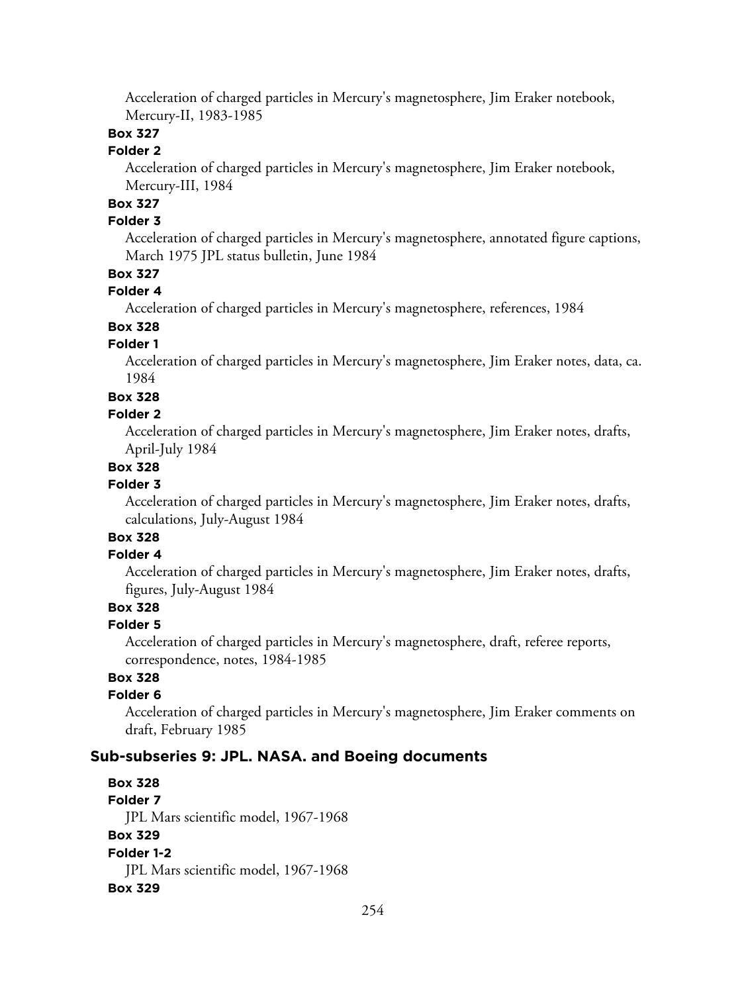Acceleration of charged particles in Mercury's magnetosphere, Jim Eraker notebook, Mercury-II, 1983-1985

## **Box 327**

## **Folder 2**

Acceleration of charged particles in Mercury's magnetosphere, Jim Eraker notebook, Mercury-III, 1984

## **Box 327**

## **Folder 3**

Acceleration of charged particles in Mercury's magnetosphere, annotated figure captions, March 1975 JPL status bulletin, June 1984

## **Box 327**

### **Folder 4**

Acceleration of charged particles in Mercury's magnetosphere, references, 1984

## **Box 328**

## **Folder 1**

Acceleration of charged particles in Mercury's magnetosphere, Jim Eraker notes, data, ca. 1984

### **Box 328**

### **Folder 2**

Acceleration of charged particles in Mercury's magnetosphere, Jim Eraker notes, drafts, April-July 1984

## **Box 328**

## **Folder 3**

Acceleration of charged particles in Mercury's magnetosphere, Jim Eraker notes, drafts, calculations, July-August 1984

# **Box 328**

## **Folder 4**

Acceleration of charged particles in Mercury's magnetosphere, Jim Eraker notes, drafts, figures, July-August 1984

## **Box 328**

### **Folder 5**

Acceleration of charged particles in Mercury's magnetosphere, draft, referee reports, correspondence, notes, 1984-1985

## **Box 328**

### **Folder 6**

Acceleration of charged particles in Mercury's magnetosphere, Jim Eraker comments on draft, February 1985

## **Sub-subseries 9: JPL. NASA. and Boeing documents**

**Box 328 Folder 7** JPL Mars scientific model, 1967-1968 **Box 329 Folder 1-2** JPL Mars scientific model, 1967-1968 **Box 329**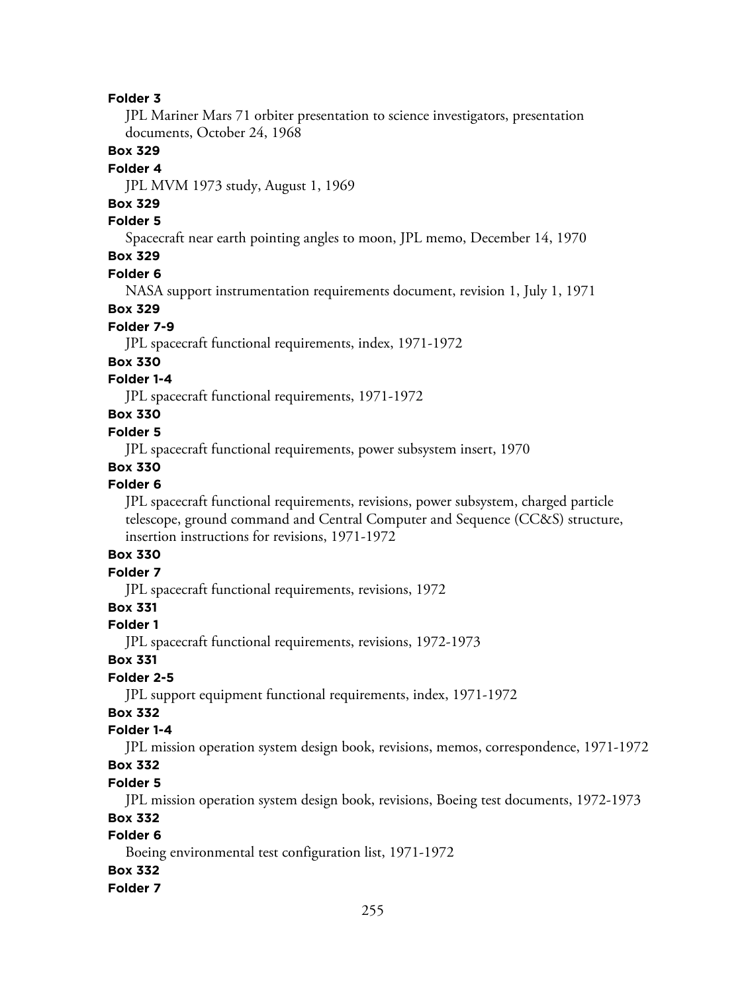JPL Mariner Mars 71 orbiter presentation to science investigators, presentation documents, October 24, 1968

### **Box 329**

### **Folder 4**

JPL MVM 1973 study, August 1, 1969

## **Box 329**

### **Folder 5**

Spacecraft near earth pointing angles to moon, JPL memo, December 14, 1970

## **Box 329**

### **Folder 6**

NASA support instrumentation requirements document, revision 1, July 1, 1971

### **Box 329**

### **Folder 7-9**

JPL spacecraft functional requirements, index, 1971-1972

### **Box 330**

## **Folder 1-4**

JPL spacecraft functional requirements, 1971-1972

## **Box 330**

### **Folder 5**

JPL spacecraft functional requirements, power subsystem insert, 1970

## **Box 330**

### **Folder 6**

JPL spacecraft functional requirements, revisions, power subsystem, charged particle telescope, ground command and Central Computer and Sequence (CC&S) structure, insertion instructions for revisions, 1971-1972

## **Box 330**

## **Folder 7**

JPL spacecraft functional requirements, revisions, 1972

## **Box 331**

## **Folder 1**

JPL spacecraft functional requirements, revisions, 1972-1973

## **Box 331**

## **Folder 2-5**

JPL support equipment functional requirements, index, 1971-1972

## **Box 332**

## **Folder 1-4**

JPL mission operation system design book, revisions, memos, correspondence, 1971-1972

## **Box 332**

### **Folder 5**

JPL mission operation system design book, revisions, Boeing test documents, 1972-1973

### **Box 332**

## **Folder 6**

Boeing environmental test configuration list, 1971-1972

## **Box 332**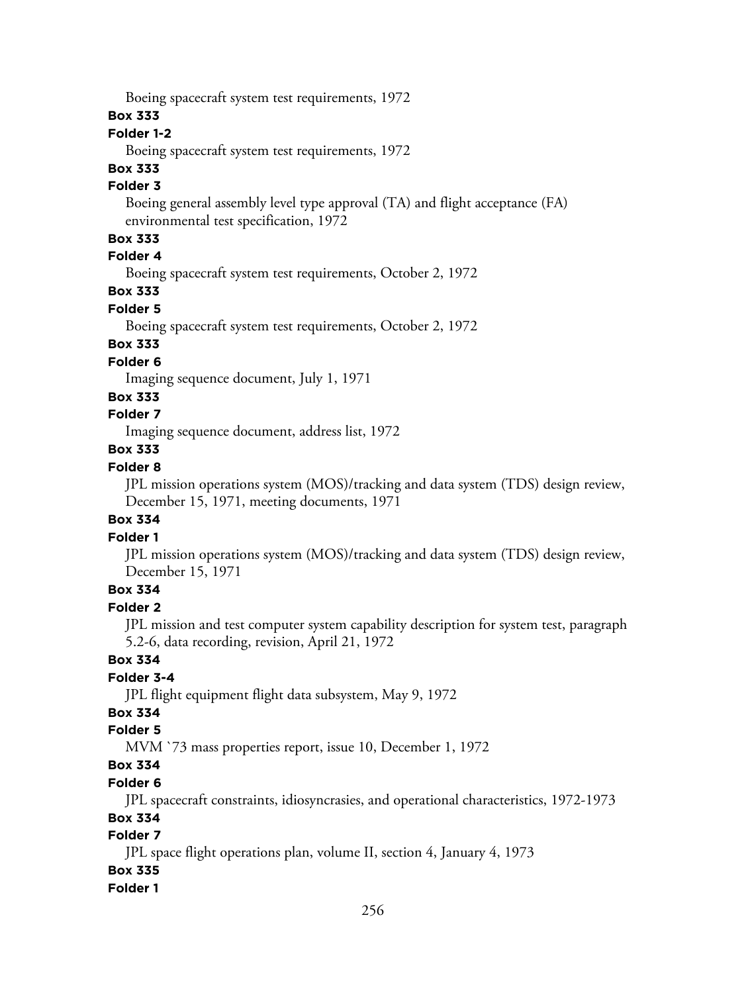Boeing spacecraft system test requirements, 1972

### **Box 333**

## **Folder 1-2**

Boeing spacecraft system test requirements, 1972

## **Box 333**

## **Folder 3**

Boeing general assembly level type approval (TA) and flight acceptance (FA) environmental test specification, 1972

## **Box 333**

## **Folder 4**

Boeing spacecraft system test requirements, October 2, 1972

## **Box 333**

## **Folder 5**

Boeing spacecraft system test requirements, October 2, 1972

## **Box 333**

## **Folder 6**

Imaging sequence document, July 1, 1971

## **Box 333**

## **Folder 7**

Imaging sequence document, address list, 1972

### **Box 333**

## **Folder 8**

JPL mission operations system (MOS)/tracking and data system (TDS) design review, December 15, 1971, meeting documents, 1971

## **Box 334**

## **Folder 1**

JPL mission operations system (MOS)/tracking and data system (TDS) design review, December 15, 1971

## **Box 334**

### **Folder 2**

JPL mission and test computer system capability description for system test, paragraph 5.2-6, data recording, revision, April 21, 1972

## **Box 334**

## **Folder 3-4**

JPL flight equipment flight data subsystem, May 9, 1972

## **Box 334**

## **Folder 5**

MVM `73 mass properties report, issue 10, December 1, 1972

## **Box 334**

## **Folder 6**

JPL spacecraft constraints, idiosyncrasies, and operational characteristics, 1972-1973

## **Box 334**

## **Folder 7**

JPL space flight operations plan, volume II, section 4, January 4, 1973

## **Box 335**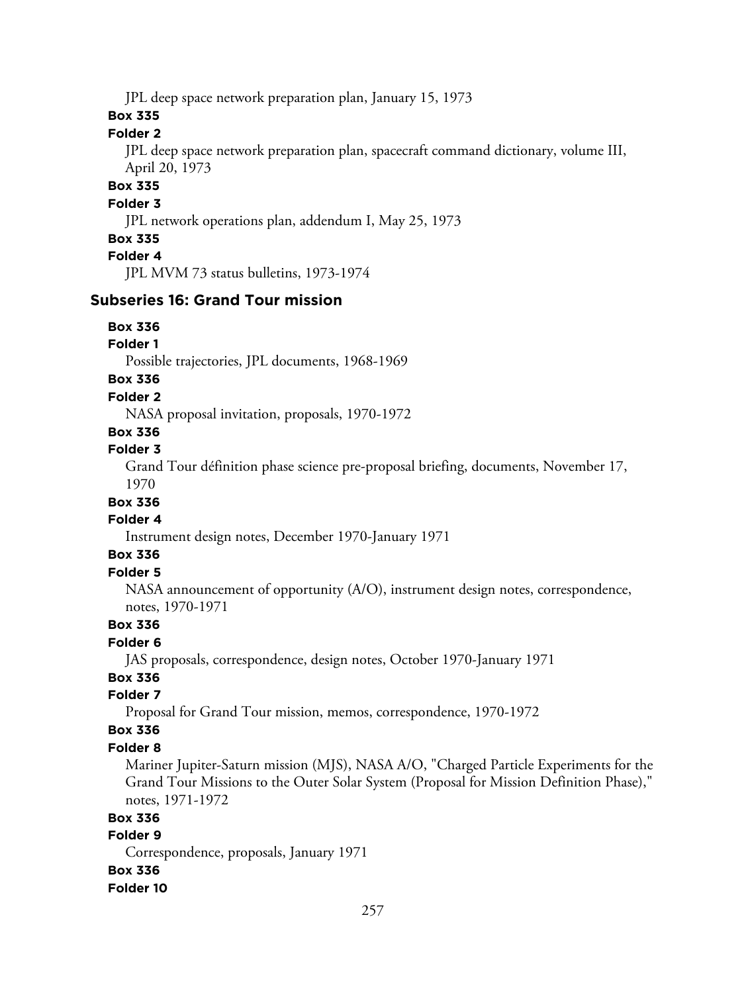JPL deep space network preparation plan, January 15, 1973

## **Box 335**

## **Folder 2**

JPL deep space network preparation plan, spacecraft command dictionary, volume III, April 20, 1973

## **Box 335**

## **Folder 3**

JPL network operations plan, addendum I, May 25, 1973

### **Box 335**

## **Folder 4**

JPL MVM 73 status bulletins, 1973-1974

## **Subseries 16: Grand Tour mission**

### **Box 336**

### **Folder 1**

Possible trajectories, JPL documents, 1968-1969

## **Box 336**

### **Folder 2**

NASA proposal invitation, proposals, 1970-1972

## **Box 336**

## **Folder 3**

Grand Tour définition phase science pre-proposal briefing, documents, November 17, 1970

## **Box 336**

## **Folder 4**

Instrument design notes, December 1970-January 1971

## **Box 336**

## **Folder 5**

NASA announcement of opportunity (A/O), instrument design notes, correspondence, notes, 1970-1971

## **Box 336**

## **Folder 6**

JAS proposals, correspondence, design notes, October 1970-January 1971

## **Box 336**

## **Folder 7**

Proposal for Grand Tour mission, memos, correspondence, 1970-1972

### **Box 336**

### **Folder 8**

Mariner Jupiter-Saturn mission (MJS), NASA A/O, "Charged Particle Experiments for the Grand Tour Missions to the Outer Solar System (Proposal for Mission Definition Phase)," notes, 1971-1972

### **Box 336**

### **Folder 9**

Correspondence, proposals, January 1971

#### **Box 336**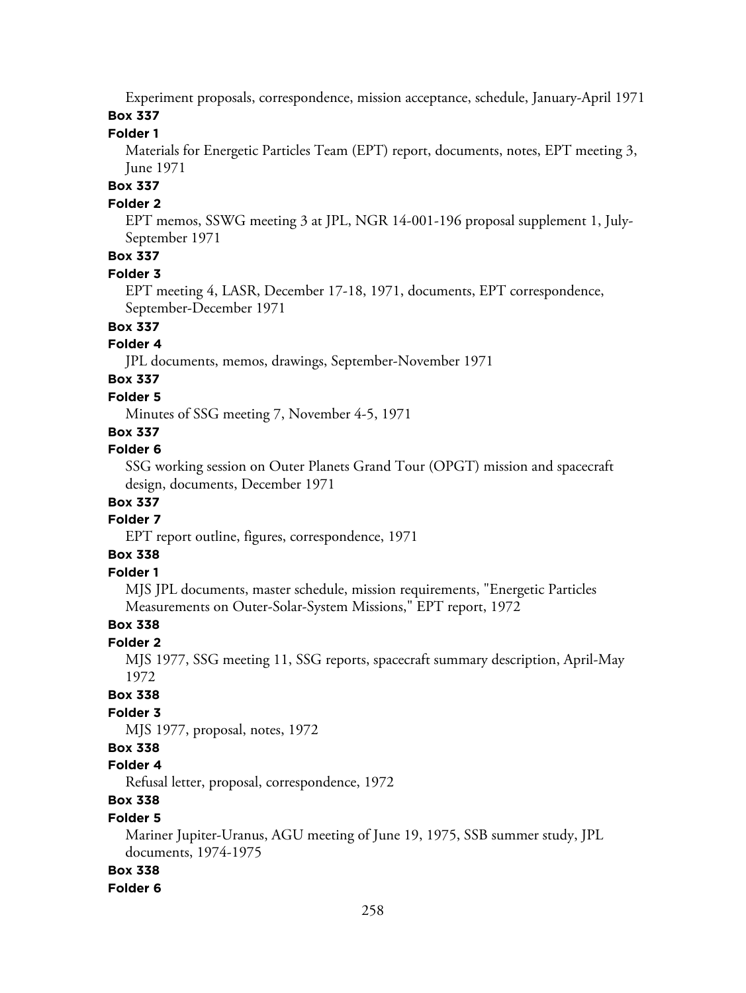Experiment proposals, correspondence, mission acceptance, schedule, January-April 1971 **Box 337**

### **Folder 1**

Materials for Energetic Particles Team (EPT) report, documents, notes, EPT meeting 3, June 1971

## **Box 337**

### **Folder 2**

EPT memos, SSWG meeting 3 at JPL, NGR 14-001-196 proposal supplement 1, July-September 1971

## **Box 337**

#### **Folder 3**

EPT meeting 4, LASR, December 17-18, 1971, documents, EPT correspondence, September-December 1971

## **Box 337**

### **Folder 4**

JPL documents, memos, drawings, September-November 1971

### **Box 337**

### **Folder 5**

Minutes of SSG meeting 7, November 4-5, 1971

## **Box 337**

### **Folder 6**

SSG working session on Outer Planets Grand Tour (OPGT) mission and spacecraft design, documents, December 1971

## **Box 337**

## **Folder 7**

EPT report outline, figures, correspondence, 1971

## **Box 338**

## **Folder 1**

MJS JPL documents, master schedule, mission requirements, "Energetic Particles Measurements on Outer-Solar-System Missions," EPT report, 1972

### **Box 338**

#### **Folder 2**

MJS 1977, SSG meeting 11, SSG reports, spacecraft summary description, April-May 1972

### **Box 338**

## **Folder 3**

MJS 1977, proposal, notes, 1972

## **Box 338**

### **Folder 4**

Refusal letter, proposal, correspondence, 1972

## **Box 338**

## **Folder 5**

Mariner Jupiter-Uranus, AGU meeting of June 19, 1975, SSB summer study, JPL documents, 1974-1975

### **Box 338**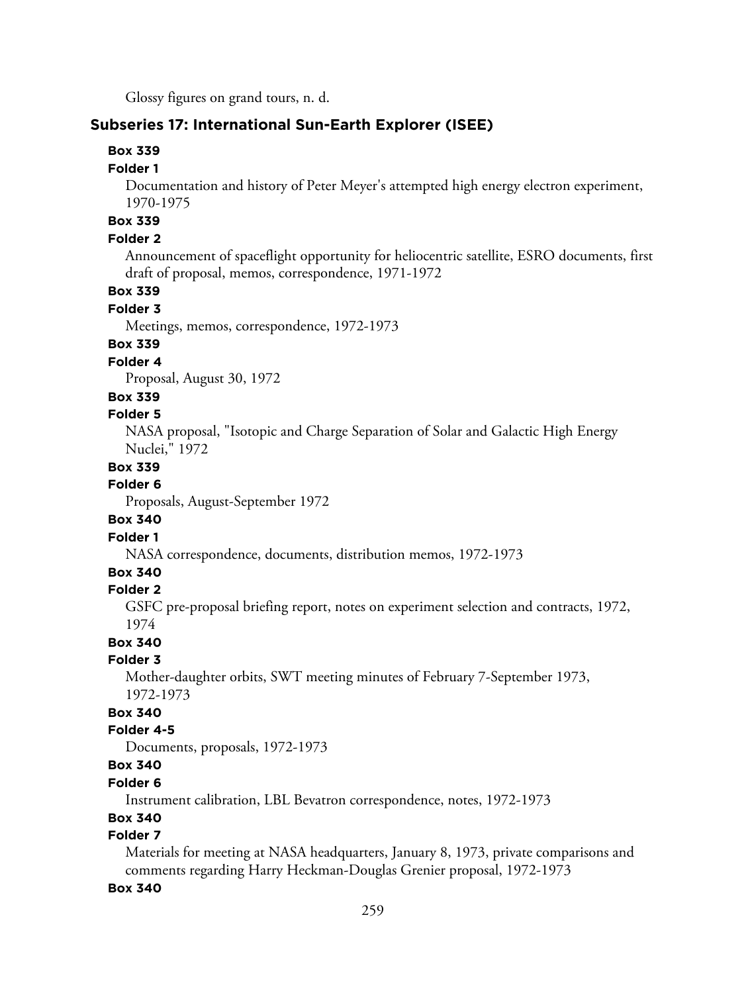Glossy figures on grand tours, n. d.

## **Subseries 17: International Sun-Earth Explorer (ISEE)**

### **Box 339**

### **Folder 1**

Documentation and history of Peter Meyer's attempted high energy electron experiment, 1970-1975

## **Box 339**

## **Folder 2**

Announcement of spaceflight opportunity for heliocentric satellite, ESRO documents, first draft of proposal, memos, correspondence, 1971-1972

## **Box 339**

### **Folder 3**

Meetings, memos, correspondence, 1972-1973

## **Box 339**

### **Folder 4**

Proposal, August 30, 1972

### **Box 339**

### **Folder 5**

NASA proposal, "Isotopic and Charge Separation of Solar and Galactic High Energy Nuclei," 1972

## **Box 339**

### **Folder 6**

Proposals, August-September 1972

### **Box 340**

### **Folder 1**

NASA correspondence, documents, distribution memos, 1972-1973

### **Box 340**

## **Folder 2**

GSFC pre-proposal briefing report, notes on experiment selection and contracts, 1972, 1974

### **Box 340**

## **Folder 3**

Mother-daughter orbits, SWT meeting minutes of February 7-September 1973, 1972-1973

## **Box 340**

### **Folder 4-5**

Documents, proposals, 1972-1973

## **Box 340**

### **Folder 6**

Instrument calibration, LBL Bevatron correspondence, notes, 1972-1973

### **Box 340**

## **Folder 7**

Materials for meeting at NASA headquarters, January 8, 1973, private comparisons and comments regarding Harry Heckman-Douglas Grenier proposal, 1972-1973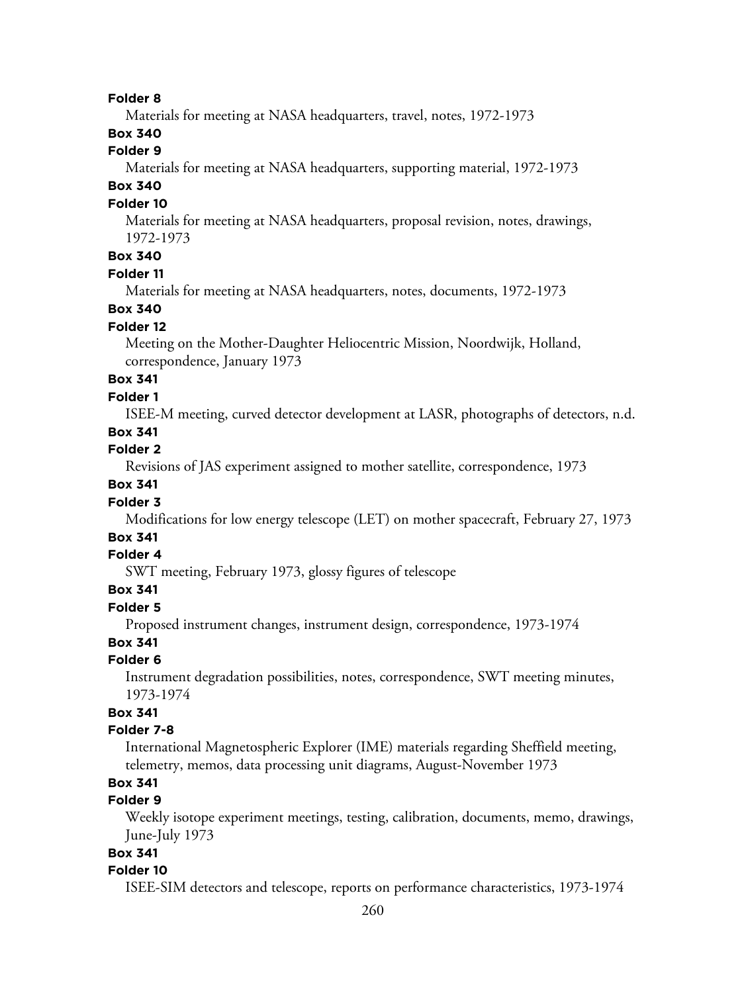Materials for meeting at NASA headquarters, travel, notes, 1972-1973

## **Box 340**

## **Folder 9**

Materials for meeting at NASA headquarters, supporting material, 1972-1973

## **Box 340**

### **Folder 10**

Materials for meeting at NASA headquarters, proposal revision, notes, drawings, 1972-1973

## **Box 340**

### **Folder 11**

Materials for meeting at NASA headquarters, notes, documents, 1972-1973

## **Box 340**

## **Folder 12**

Meeting on the Mother-Daughter Heliocentric Mission, Noordwijk, Holland, correspondence, January 1973

## **Box 341**

### **Folder 1**

ISEE-M meeting, curved detector development at LASR, photographs of detectors, n.d.

## **Box 341**

### **Folder 2**

Revisions of JAS experiment assigned to mother satellite, correspondence, 1973

## **Box 341**

## **Folder 3**

Modifications for low energy telescope (LET) on mother spacecraft, February 27, 1973

## **Box 341**

## **Folder 4**

SWT meeting, February 1973, glossy figures of telescope

## **Box 341**

#### **Folder 5**

Proposed instrument changes, instrument design, correspondence, 1973-1974

### **Box 341**

### **Folder 6**

Instrument degradation possibilities, notes, correspondence, SWT meeting minutes, 1973-1974

### **Box 341**

#### **Folder 7-8**

International Magnetospheric Explorer (IME) materials regarding Sheffield meeting, telemetry, memos, data processing unit diagrams, August-November 1973

## **Box 341**

## **Folder 9**

Weekly isotope experiment meetings, testing, calibration, documents, memo, drawings, June-July 1973

## **Box 341**

#### **Folder 10**

ISEE-SIM detectors and telescope, reports on performance characteristics, 1973-1974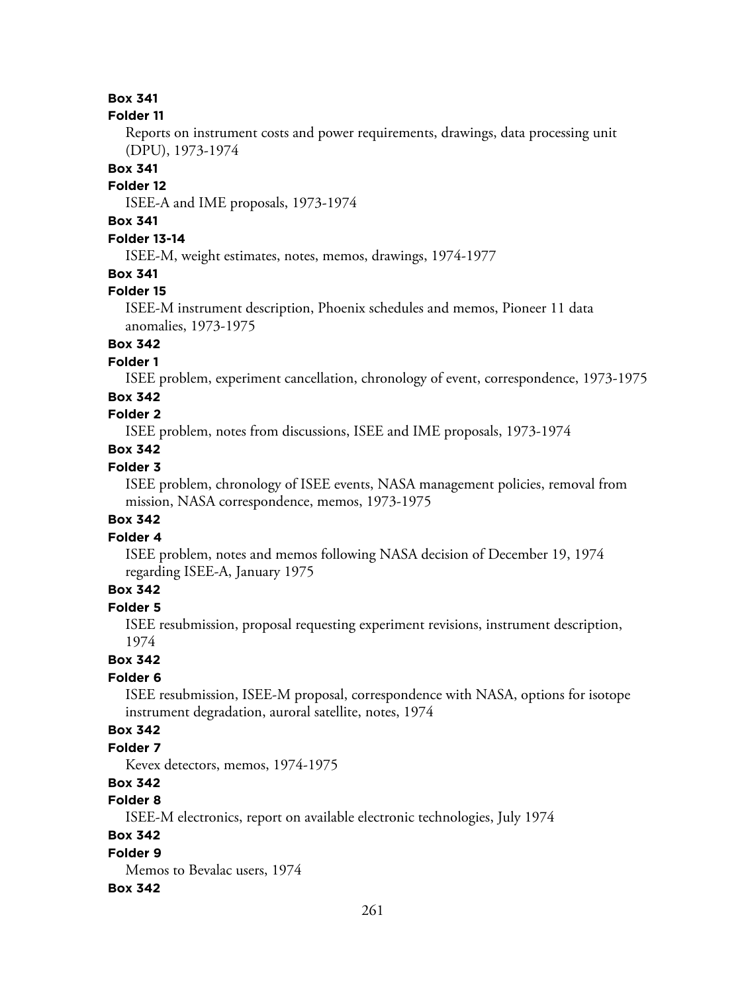#### **Folder 11**

Reports on instrument costs and power requirements, drawings, data processing unit (DPU), 1973-1974

### **Box 341**

#### **Folder 12**

ISEE-A and IME proposals, 1973-1974

## **Box 341**

## **Folder 13-14**

ISEE-M, weight estimates, notes, memos, drawings, 1974-1977

## **Box 341**

### **Folder 15**

ISEE-M instrument description, Phoenix schedules and memos, Pioneer 11 data anomalies, 1973-1975

## **Box 342**

**Folder 1**

ISEE problem, experiment cancellation, chronology of event, correspondence, 1973-1975

### **Box 342**

## **Folder 2**

ISEE problem, notes from discussions, ISEE and IME proposals, 1973-1974

## **Box 342**

## **Folder 3**

ISEE problem, chronology of ISEE events, NASA management policies, removal from mission, NASA correspondence, memos, 1973-1975

### **Box 342**

### **Folder 4**

ISEE problem, notes and memos following NASA decision of December 19, 1974 regarding ISEE-A, January 1975

## **Box 342**

## **Folder 5**

ISEE resubmission, proposal requesting experiment revisions, instrument description, 1974

## **Box 342**

## **Folder 6**

ISEE resubmission, ISEE-M proposal, correspondence with NASA, options for isotope instrument degradation, auroral satellite, notes, 1974

### **Box 342**

## **Folder 7**

Kevex detectors, memos, 1974-1975

## **Box 342**

## **Folder 8**

ISEE-M electronics, report on available electronic technologies, July 1974

## **Box 342**

## **Folder 9**

Memos to Bevalac users, 1974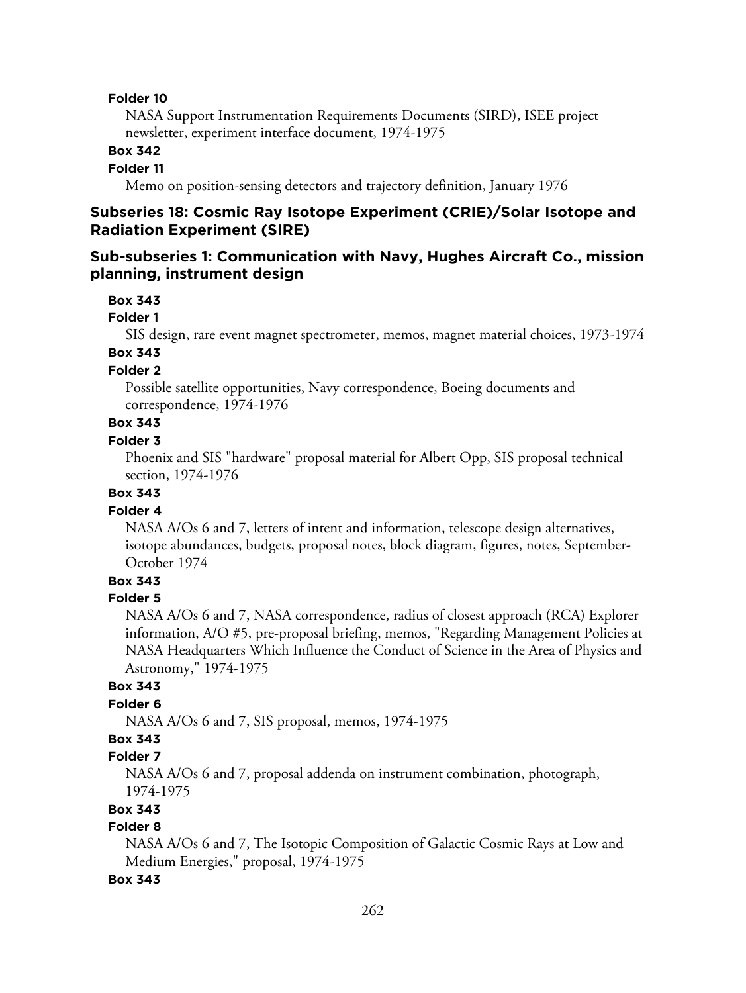NASA Support Instrumentation Requirements Documents (SIRD), ISEE project newsletter, experiment interface document, 1974-1975

### **Box 342**

#### **Folder 11**

Memo on position-sensing detectors and trajectory definition, January 1976

## **Subseries 18: Cosmic Ray Isotope Experiment (CRIE)/Solar Isotope and Radiation Experiment (SIRE)**

## **Sub-subseries 1: Communication with Navy, Hughes Aircraft Co., mission planning, instrument design**

#### **Box 343**

#### **Folder 1**

SIS design, rare event magnet spectrometer, memos, magnet material choices, 1973-1974

## **Box 343**

### **Folder 2**

Possible satellite opportunities, Navy correspondence, Boeing documents and correspondence, 1974-1976

## **Box 343**

#### **Folder 3**

Phoenix and SIS "hardware" proposal material for Albert Opp, SIS proposal technical section, 1974-1976

## **Box 343**

## **Folder 4**

NASA A/Os 6 and 7, letters of intent and information, telescope design alternatives, isotope abundances, budgets, proposal notes, block diagram, figures, notes, September-October 1974

## **Box 343**

### **Folder 5**

NASA A/Os 6 and 7, NASA correspondence, radius of closest approach (RCA) Explorer information, A/O #5, pre-proposal briefing, memos, "Regarding Management Policies at NASA Headquarters Which Influence the Conduct of Science in the Area of Physics and Astronomy," 1974-1975

### **Box 343**

### **Folder 6**

NASA A/Os 6 and 7, SIS proposal, memos, 1974-1975

## **Box 343**

## **Folder 7**

NASA A/Os 6 and 7, proposal addenda on instrument combination, photograph, 1974-1975

## **Box 343**

### **Folder 8**

NASA A/Os 6 and 7, The Isotopic Composition of Galactic Cosmic Rays at Low and Medium Energies," proposal, 1974-1975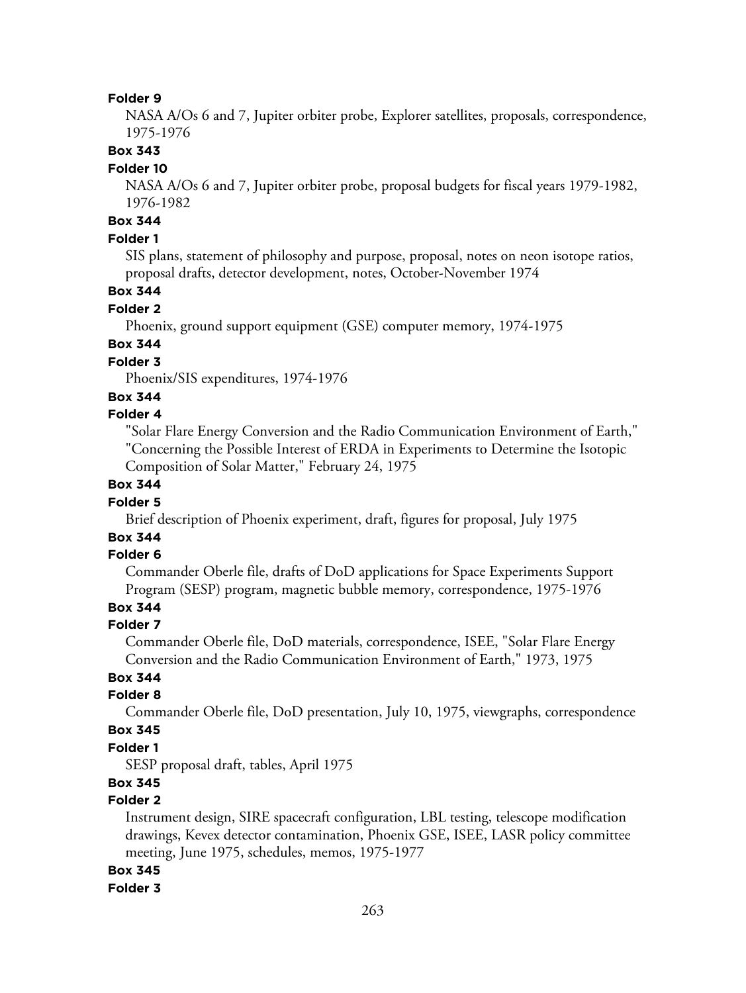NASA A/Os 6 and 7, Jupiter orbiter probe, Explorer satellites, proposals, correspondence, 1975-1976

### **Box 343**

#### **Folder 10**

NASA A/Os 6 and 7, Jupiter orbiter probe, proposal budgets for fiscal years 1979-1982, 1976-1982

## **Box 344**

## **Folder 1**

SIS plans, statement of philosophy and purpose, proposal, notes on neon isotope ratios, proposal drafts, detector development, notes, October-November 1974

## **Box 344**

### **Folder 2**

Phoenix, ground support equipment (GSE) computer memory, 1974-1975

## **Box 344**

## **Folder 3**

Phoenix/SIS expenditures, 1974-1976

### **Box 344**

## **Folder 4**

"Solar Flare Energy Conversion and the Radio Communication Environment of Earth," "Concerning the Possible Interest of ERDA in Experiments to Determine the Isotopic Composition of Solar Matter," February 24, 1975

### **Box 344**

### **Folder 5**

Brief description of Phoenix experiment, draft, figures for proposal, July 1975

## **Box 344**

#### **Folder 6**

Commander Oberle file, drafts of DoD applications for Space Experiments Support Program (SESP) program, magnetic bubble memory, correspondence, 1975-1976

## **Box 344**

#### **Folder 7**

Commander Oberle file, DoD materials, correspondence, ISEE, "Solar Flare Energy Conversion and the Radio Communication Environment of Earth," 1973, 1975

## **Box 344**

### **Folder 8**

Commander Oberle file, DoD presentation, July 10, 1975, viewgraphs, correspondence

## **Box 345**

## **Folder 1**

SESP proposal draft, tables, April 1975

## **Box 345**

## **Folder 2**

Instrument design, SIRE spacecraft configuration, LBL testing, telescope modification drawings, Kevex detector contamination, Phoenix GSE, ISEE, LASR policy committee meeting, June 1975, schedules, memos, 1975-1977

## **Box 345**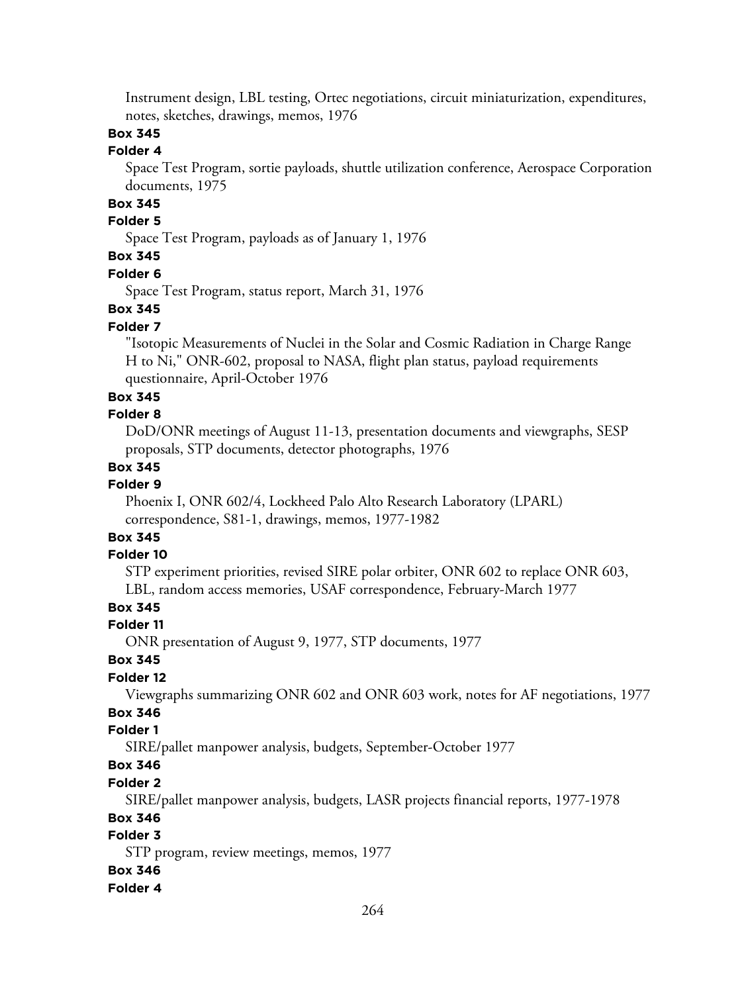Instrument design, LBL testing, Ortec negotiations, circuit miniaturization, expenditures, notes, sketches, drawings, memos, 1976

## **Box 345**

## **Folder 4**

Space Test Program, sortie payloads, shuttle utilization conference, Aerospace Corporation documents, 1975

## **Box 345**

## **Folder 5**

Space Test Program, payloads as of January 1, 1976

## **Box 345**

#### **Folder 6**

Space Test Program, status report, March 31, 1976

### **Box 345**

### **Folder 7**

"Isotopic Measurements of Nuclei in the Solar and Cosmic Radiation in Charge Range H to Ni," ONR-602, proposal to NASA, flight plan status, payload requirements questionnaire, April-October 1976

### **Box 345**

### **Folder 8**

DoD/ONR meetings of August 11-13, presentation documents and viewgraphs, SESP proposals, STP documents, detector photographs, 1976

### **Box 345**

## **Folder 9**

Phoenix I, ONR 602/4, Lockheed Palo Alto Research Laboratory (LPARL) correspondence, S81-1, drawings, memos, 1977-1982

## **Box 345**

## **Folder 10**

STP experiment priorities, revised SIRE polar orbiter, ONR 602 to replace ONR 603, LBL, random access memories, USAF correspondence, February-March 1977

## **Box 345**

### **Folder 11**

ONR presentation of August 9, 1977, STP documents, 1977

## **Box 345**

### **Folder 12**

Viewgraphs summarizing ONR 602 and ONR 603 work, notes for AF negotiations, 1977

## **Box 346**

## **Folder 1**

SIRE/pallet manpower analysis, budgets, September-October 1977

## **Box 346**

## **Folder 2**

SIRE/pallet manpower analysis, budgets, LASR projects financial reports, 1977-1978

### **Box 346**

## **Folder 3**

STP program, review meetings, memos, 1977

### **Box 346**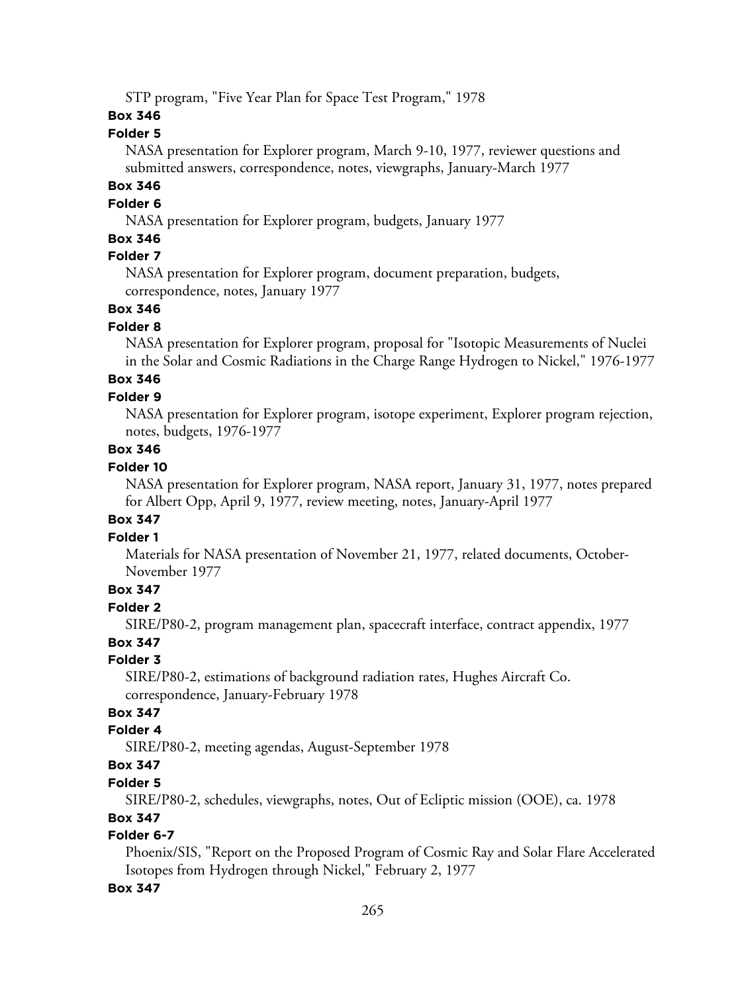STP program, "Five Year Plan for Space Test Program," 1978

## **Box 346**

## **Folder 5**

NASA presentation for Explorer program, March 9-10, 1977, reviewer questions and submitted answers, correspondence, notes, viewgraphs, January-March 1977

## **Box 346**

## **Folder 6**

NASA presentation for Explorer program, budgets, January 1977

## **Box 346**

## **Folder 7**

NASA presentation for Explorer program, document preparation, budgets, correspondence, notes, January 1977

## **Box 346**

## **Folder 8**

NASA presentation for Explorer program, proposal for "Isotopic Measurements of Nuclei in the Solar and Cosmic Radiations in the Charge Range Hydrogen to Nickel," 1976-1977

## **Box 346**

## **Folder 9**

NASA presentation for Explorer program, isotope experiment, Explorer program rejection, notes, budgets, 1976-1977

## **Box 346**

## **Folder 10**

NASA presentation for Explorer program, NASA report, January 31, 1977, notes prepared for Albert Opp, April 9, 1977, review meeting, notes, January-April 1977

## **Box 347**

## **Folder 1**

Materials for NASA presentation of November 21, 1977, related documents, October-November 1977

## **Box 347**

## **Folder 2**

SIRE/P80-2, program management plan, spacecraft interface, contract appendix, 1977

## **Box 347**

## **Folder 3**

SIRE/P80-2, estimations of background radiation rates, Hughes Aircraft Co. correspondence, January-February 1978

## **Box 347**

## **Folder 4**

SIRE/P80-2, meeting agendas, August-September 1978

## **Box 347**

## **Folder 5**

SIRE/P80-2, schedules, viewgraphs, notes, Out of Ecliptic mission (OOE), ca. 1978

## **Box 347**

## **Folder 6-7**

Phoenix/SIS, "Report on the Proposed Program of Cosmic Ray and Solar Flare Accelerated Isotopes from Hydrogen through Nickel," February 2, 1977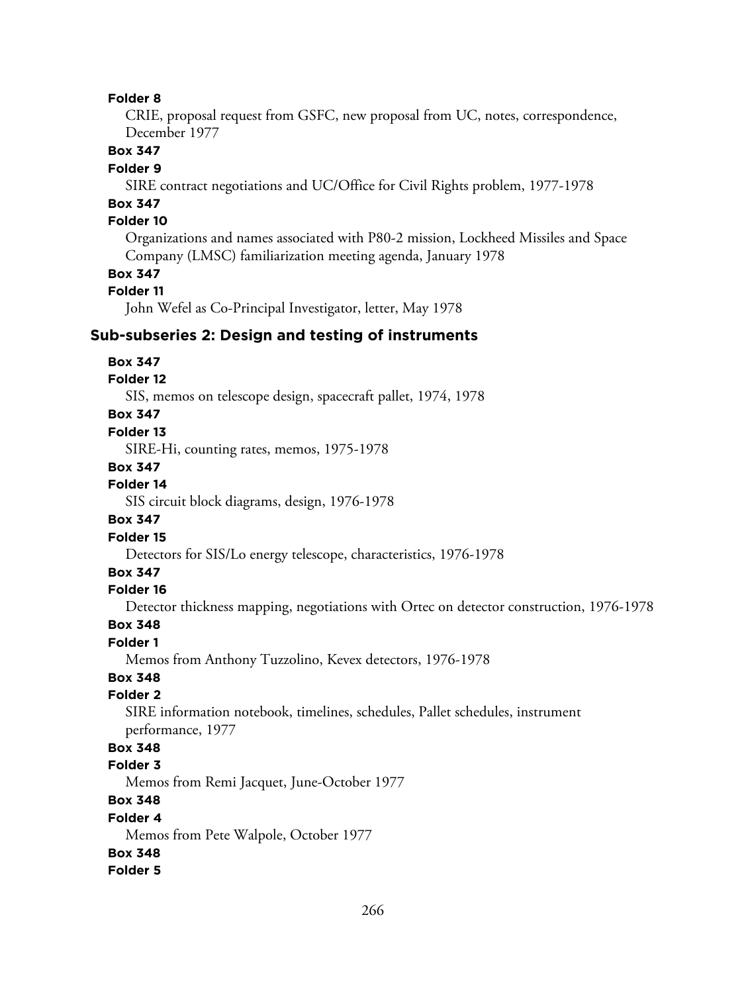CRIE, proposal request from GSFC, new proposal from UC, notes, correspondence, December 1977

## **Box 347**

### **Folder 9**

SIRE contract negotiations and UC/Office for Civil Rights problem, 1977-1978

## **Box 347**

## **Folder 10**

Organizations and names associated with P80-2 mission, Lockheed Missiles and Space Company (LMSC) familiarization meeting agenda, January 1978

## **Box 347**

### **Folder 11**

John Wefel as Co-Principal Investigator, letter, May 1978

### **Sub-subseries 2: Design and testing of instruments**

#### **Box 347**

## **Folder 12**

SIS, memos on telescope design, spacecraft pallet, 1974, 1978

### **Box 347**

### **Folder 13**

SIRE-Hi, counting rates, memos, 1975-1978

#### **Box 347**

#### **Folder 14**

SIS circuit block diagrams, design, 1976-1978

#### **Box 347**

#### **Folder 15**

Detectors for SIS/Lo energy telescope, characteristics, 1976-1978

## **Box 347**

### **Folder 16**

Detector thickness mapping, negotiations with Ortec on detector construction, 1976-1978

#### **Box 348**

#### **Folder 1**

Memos from Anthony Tuzzolino, Kevex detectors, 1976-1978

## **Box 348**

## **Folder 2**

SIRE information notebook, timelines, schedules, Pallet schedules, instrument performance, 1977

## **Box 348**

## **Folder 3**

Memos from Remi Jacquet, June-October 1977

## **Box 348**

#### **Folder 4**

Memos from Pete Walpole, October 1977

#### **Box 348**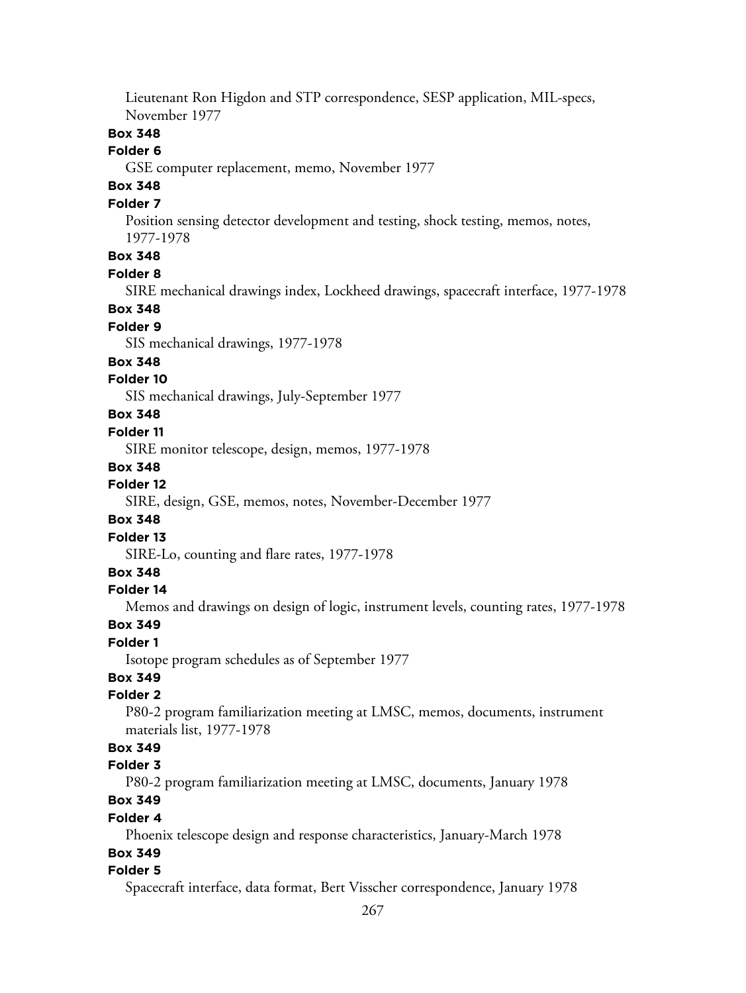Lieutenant Ron Higdon and STP correspondence, SESP application, MIL-specs, November 1977

## **Box 348**

#### **Folder 6**

GSE computer replacement, memo, November 1977

## **Box 348**

## **Folder 7**

Position sensing detector development and testing, shock testing, memos, notes, 1977-1978

## **Box 348**

#### **Folder 8**

SIRE mechanical drawings index, Lockheed drawings, spacecraft interface, 1977-1978

### **Box 348**

## **Folder 9**

SIS mechanical drawings, 1977-1978

#### **Box 348**

### **Folder 10**

SIS mechanical drawings, July-September 1977

## **Box 348**

### **Folder 11**

SIRE monitor telescope, design, memos, 1977-1978

#### **Box 348**

## **Folder 12**

SIRE, design, GSE, memos, notes, November-December 1977

### **Box 348**

### **Folder 13**

SIRE-Lo, counting and flare rates, 1977-1978

### **Box 348**

#### **Folder 14**

Memos and drawings on design of logic, instrument levels, counting rates, 1977-1978

#### **Box 349**

### **Folder 1**

Isotope program schedules as of September 1977

## **Box 349**

## **Folder 2**

P80-2 program familiarization meeting at LMSC, memos, documents, instrument materials list, 1977-1978

## **Box 349**

## **Folder 3**

P80-2 program familiarization meeting at LMSC, documents, January 1978

## **Box 349**

#### **Folder 4**

Phoenix telescope design and response characteristics, January-March 1978

### **Box 349**

#### **Folder 5**

Spacecraft interface, data format, Bert Visscher correspondence, January 1978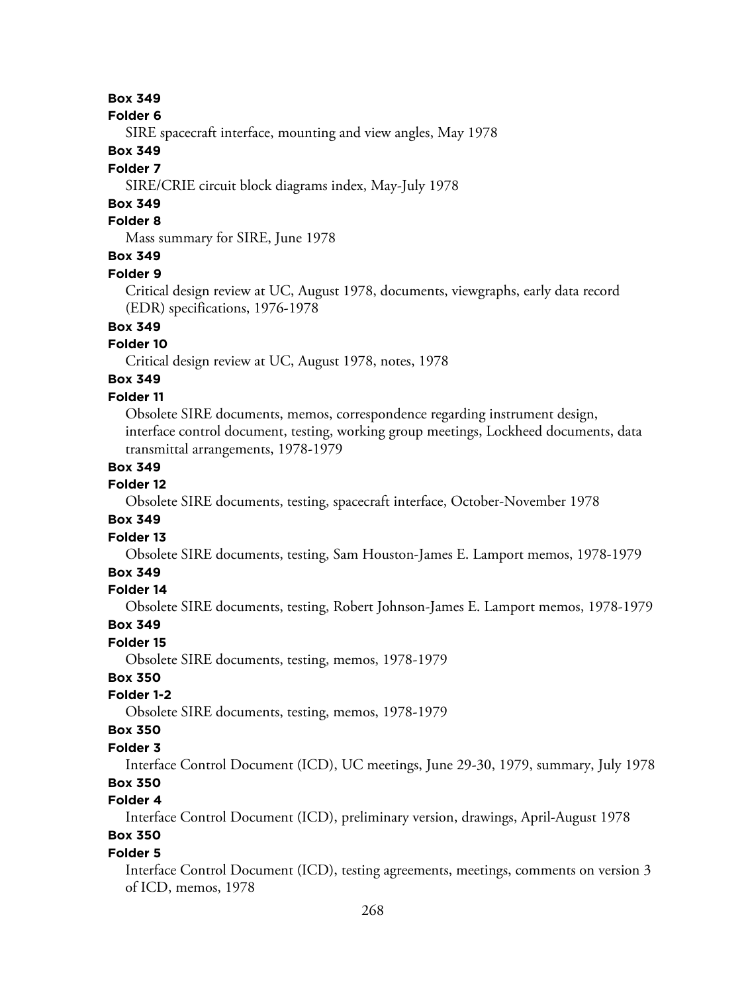#### **Folder 6**

SIRE spacecraft interface, mounting and view angles, May 1978

## **Box 349**

### **Folder 7**

SIRE/CRIE circuit block diagrams index, May-July 1978

## **Box 349**

## **Folder 8**

Mass summary for SIRE, June 1978

## **Box 349**

#### **Folder 9**

Critical design review at UC, August 1978, documents, viewgraphs, early data record (EDR) specifications, 1976-1978

## **Box 349**

### **Folder 10**

Critical design review at UC, August 1978, notes, 1978

## **Box 349**

## **Folder 11**

Obsolete SIRE documents, memos, correspondence regarding instrument design, interface control document, testing, working group meetings, Lockheed documents, data transmittal arrangements, 1978-1979

### **Box 349**

## **Folder 12**

Obsolete SIRE documents, testing, spacecraft interface, October-November 1978

#### **Box 349**

### **Folder 13**

Obsolete SIRE documents, testing, Sam Houston-James E. Lamport memos, 1978-1979

### **Box 349**

### **Folder 14**

Obsolete SIRE documents, testing, Robert Johnson-James E. Lamport memos, 1978-1979

#### **Box 349**

#### **Folder 15**

Obsolete SIRE documents, testing, memos, 1978-1979

### **Box 350**

## **Folder 1-2**

Obsolete SIRE documents, testing, memos, 1978-1979

### **Box 350**

## **Folder 3**

Interface Control Document (ICD), UC meetings, June 29-30, 1979, summary, July 1978 **Box 350**

#### **Folder 4**

Interface Control Document (ICD), preliminary version, drawings, April-August 1978

## **Box 350**

## **Folder 5**

Interface Control Document (ICD), testing agreements, meetings, comments on version 3 of ICD, memos, 1978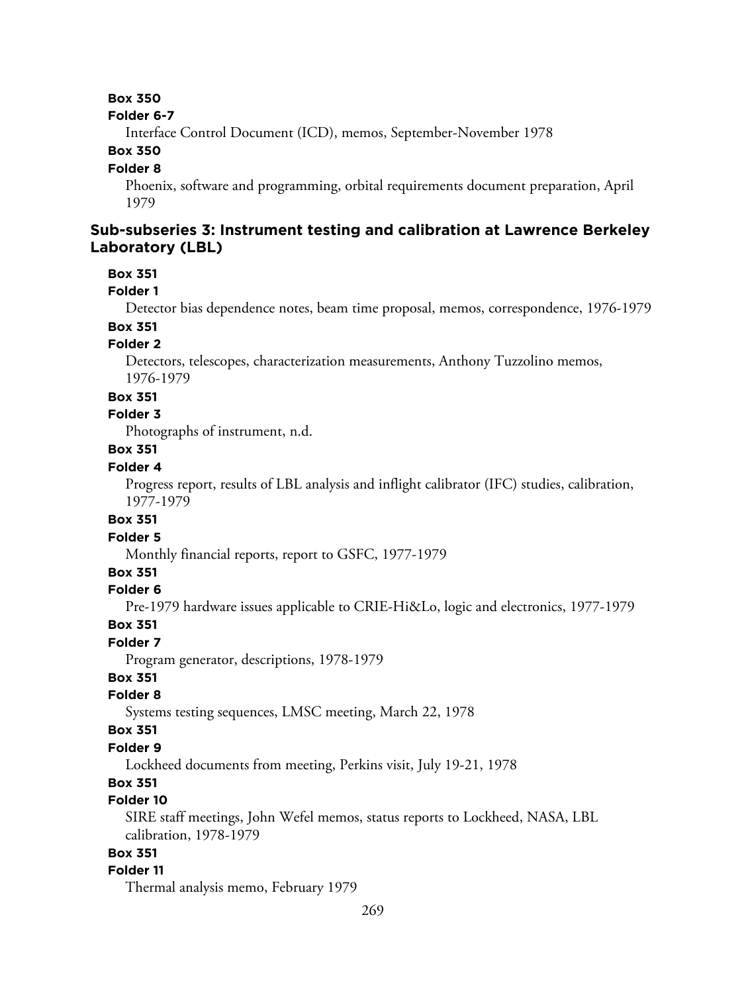#### **Folder 6-7**

Interface Control Document (ICD), memos, September-November 1978

### **Box 350**

#### **Folder 8**

Phoenix, software and programming, orbital requirements document preparation, April 1979

## **Sub-subseries 3: Instrument testing and calibration at Lawrence Berkeley Laboratory (LBL)**

#### **Box 351**

### **Folder 1**

Detector bias dependence notes, beam time proposal, memos, correspondence, 1976-1979 **Box 351**

## **Folder 2**

Detectors, telescopes, characterization measurements, Anthony Tuzzolino memos, 1976-1979

#### **Box 351**

### **Folder 3**

Photographs of instrument, n.d.

#### **Box 351**

### **Folder 4**

Progress report, results of LBL analysis and inflight calibrator (IFC) studies, calibration, 1977-1979

### **Box 351**

#### **Folder 5**

Monthly financial reports, report to GSFC, 1977-1979

## **Box 351**

### **Folder 6**

Pre-1979 hardware issues applicable to CRIE-Hi&Lo, logic and electronics, 1977-1979

#### **Box 351**

### **Folder 7**

Program generator, descriptions, 1978-1979

### **Box 351**

### **Folder 8**

Systems testing sequences, LMSC meeting, March 22, 1978

#### **Box 351**

## **Folder 9**

Lockheed documents from meeting, Perkins visit, July 19-21, 1978

## **Box 351**

## **Folder 10**

SIRE staff meetings, John Wefel memos, status reports to Lockheed, NASA, LBL calibration, 1978-1979

## **Box 351**

### **Folder 11**

Thermal analysis memo, February 1979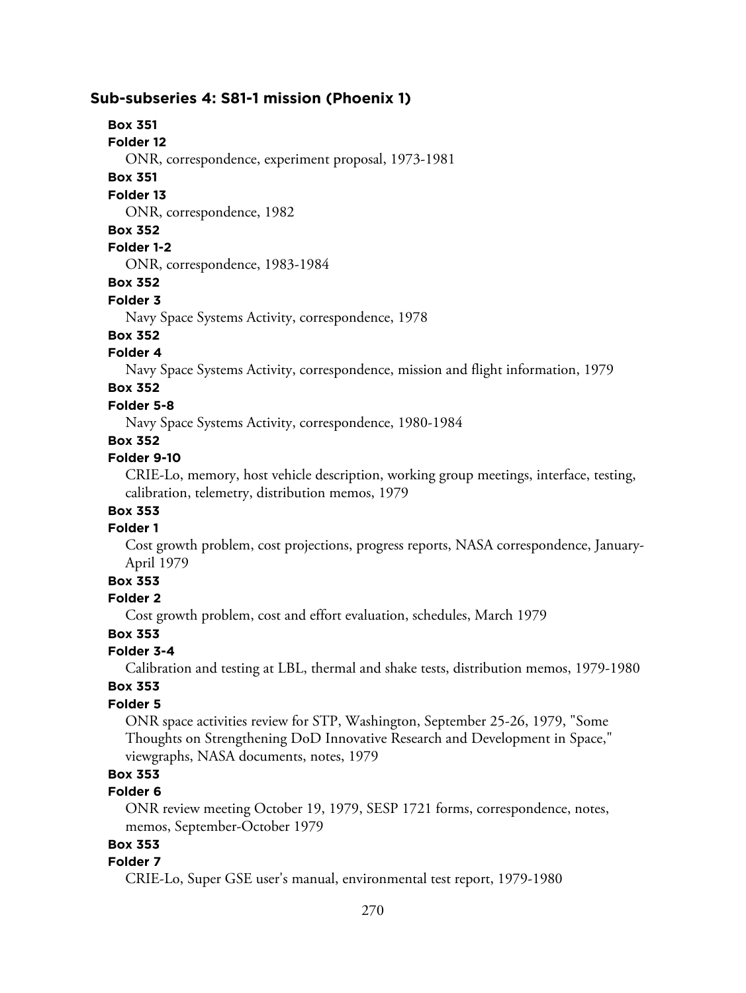## **Sub-subseries 4: S81-1 mission (Phoenix 1)**

## **Box 351**

**Folder 12**

ONR, correspondence, experiment proposal, 1973-1981

### **Box 351**

**Folder 13**

ONR, correspondence, 1982

### **Box 352**

## **Folder 1-2**

ONR, correspondence, 1983-1984

### **Box 352**

## **Folder 3**

Navy Space Systems Activity, correspondence, 1978

## **Box 352**

## **Folder 4**

Navy Space Systems Activity, correspondence, mission and flight information, 1979

## **Box 352**

## **Folder 5-8**

Navy Space Systems Activity, correspondence, 1980-1984

## **Box 352**

## **Folder 9-10**

CRIE-Lo, memory, host vehicle description, working group meetings, interface, testing, calibration, telemetry, distribution memos, 1979

## **Box 353**

## **Folder 1**

Cost growth problem, cost projections, progress reports, NASA correspondence, January-April 1979

## **Box 353**

## **Folder 2**

Cost growth problem, cost and effort evaluation, schedules, March 1979

## **Box 353**

## **Folder 3-4**

Calibration and testing at LBL, thermal and shake tests, distribution memos, 1979-1980

## **Box 353**

## **Folder 5**

ONR space activities review for STP, Washington, September 25-26, 1979, "Some Thoughts on Strengthening DoD Innovative Research and Development in Space," viewgraphs, NASA documents, notes, 1979

## **Box 353**

## **Folder 6**

ONR review meeting October 19, 1979, SESP 1721 forms, correspondence, notes, memos, September-October 1979

## **Box 353**

## **Folder 7**

CRIE-Lo, Super GSE user's manual, environmental test report, 1979-1980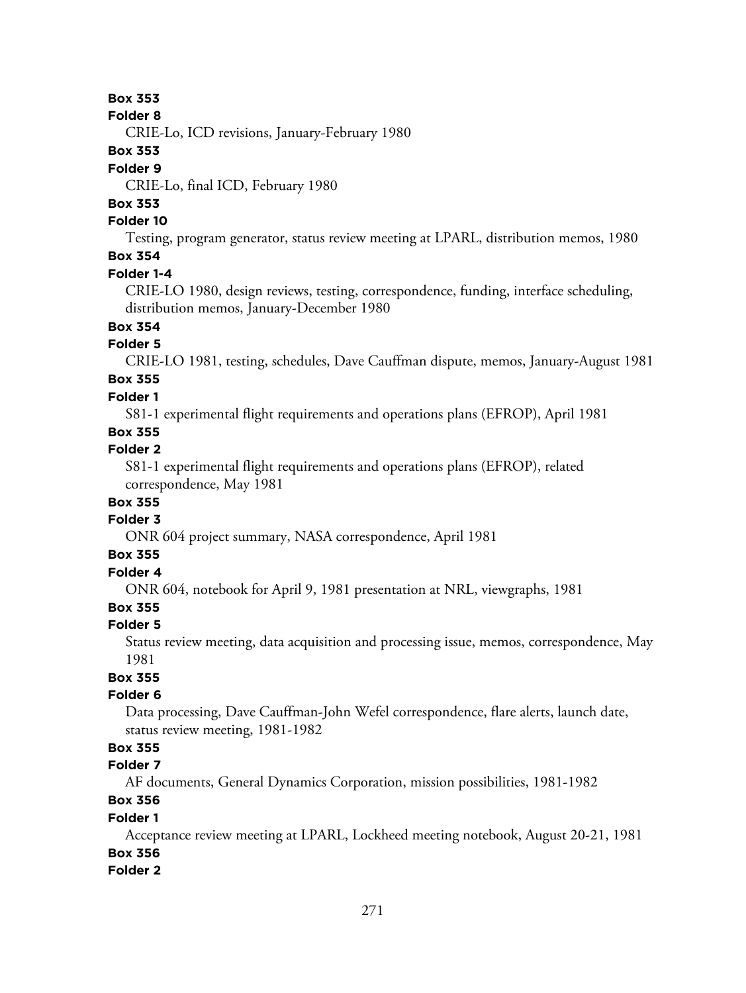**Folder 8**

CRIE-Lo, ICD revisions, January-February 1980

### **Box 353**

## **Folder 9**

CRIE-Lo, final ICD, February 1980

## **Box 353**

## **Folder 10**

Testing, program generator, status review meeting at LPARL, distribution memos, 1980 **Box 354**

## **Folder 1-4**

CRIE-LO 1980, design reviews, testing, correspondence, funding, interface scheduling, distribution memos, January-December 1980

## **Box 354**

## **Folder 5**

CRIE-LO 1981, testing, schedules, Dave Cauffman dispute, memos, January-August 1981

## **Box 355**

## **Folder 1**

S81-1 experimental flight requirements and operations plans (EFROP), April 1981

## **Box 355**

## **Folder 2**

S81-1 experimental flight requirements and operations plans (EFROP), related correspondence, May 1981

## **Box 355**

## **Folder 3**

ONR 604 project summary, NASA correspondence, April 1981

## **Box 355**

## **Folder 4**

ONR 604, notebook for April 9, 1981 presentation at NRL, viewgraphs, 1981

## **Box 355**

## **Folder 5**

Status review meeting, data acquisition and processing issue, memos, correspondence, May 1981

## **Box 355**

## **Folder 6**

Data processing, Dave Cauffman-John Wefel correspondence, flare alerts, launch date, status review meeting, 1981-1982

## **Box 355**

## **Folder 7**

AF documents, General Dynamics Corporation, mission possibilities, 1981-1982

## **Box 356**

## **Folder 1**

Acceptance review meeting at LPARL, Lockheed meeting notebook, August 20-21, 1981 **Box 356**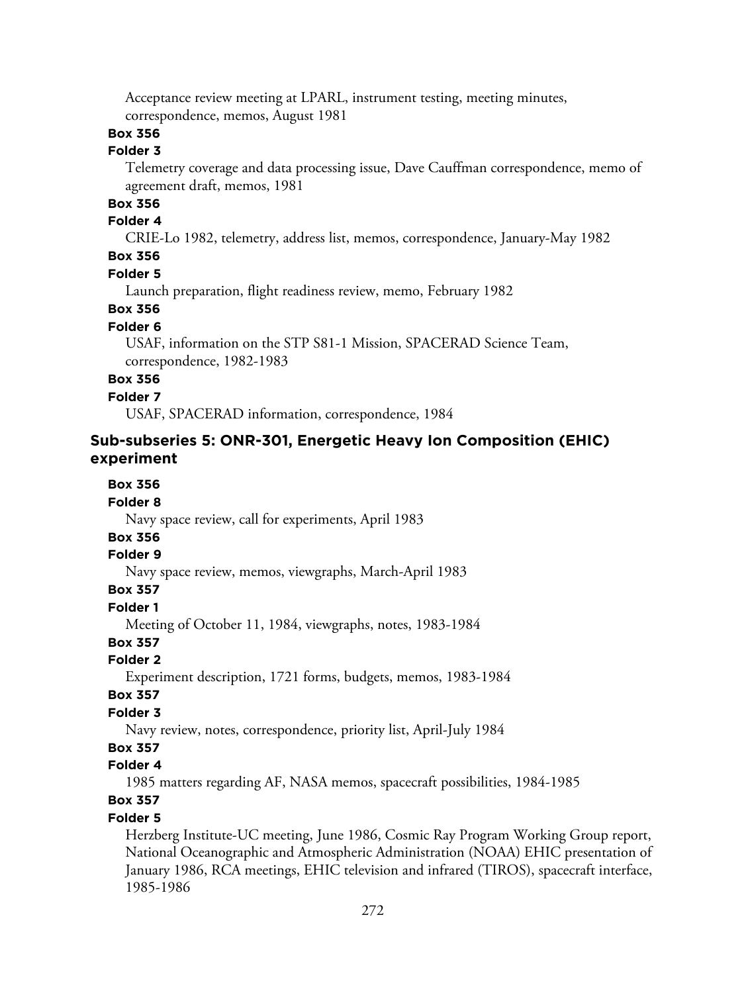Acceptance review meeting at LPARL, instrument testing, meeting minutes, correspondence, memos, August 1981

## **Box 356**

### **Folder 3**

Telemetry coverage and data processing issue, Dave Cauffman correspondence, memo of agreement draft, memos, 1981

### **Box 356**

#### **Folder 4**

CRIE-Lo 1982, telemetry, address list, memos, correspondence, January-May 1982

### **Box 356**

#### **Folder 5**

Launch preparation, flight readiness review, memo, February 1982

## **Box 356**

## **Folder 6**

USAF, information on the STP S81-1 Mission, SPACERAD Science Team, correspondence, 1982-1983

## **Box 356**

#### **Folder 7**

USAF, SPACERAD information, correspondence, 1984

## **Sub-subseries 5: ONR-301, Energetic Heavy Ion Composition (EHIC) experiment**

### **Box 356**

#### **Folder 8**

Navy space review, call for experiments, April 1983

## **Box 356**

#### **Folder 9**

Navy space review, memos, viewgraphs, March-April 1983

### **Box 357**

**Folder 1**

Meeting of October 11, 1984, viewgraphs, notes, 1983-1984

## **Box 357**

### **Folder 2**

Experiment description, 1721 forms, budgets, memos, 1983-1984

#### **Box 357**

## **Folder 3**

Navy review, notes, correspondence, priority list, April-July 1984

## **Box 357**

## **Folder 4**

1985 matters regarding AF, NASA memos, spacecraft possibilities, 1984-1985

## **Box 357**

### **Folder 5**

Herzberg Institute-UC meeting, June 1986, Cosmic Ray Program Working Group report, National Oceanographic and Atmospheric Administration (NOAA) EHIC presentation of January 1986, RCA meetings, EHIC television and infrared (TIROS), spacecraft interface, 1985-1986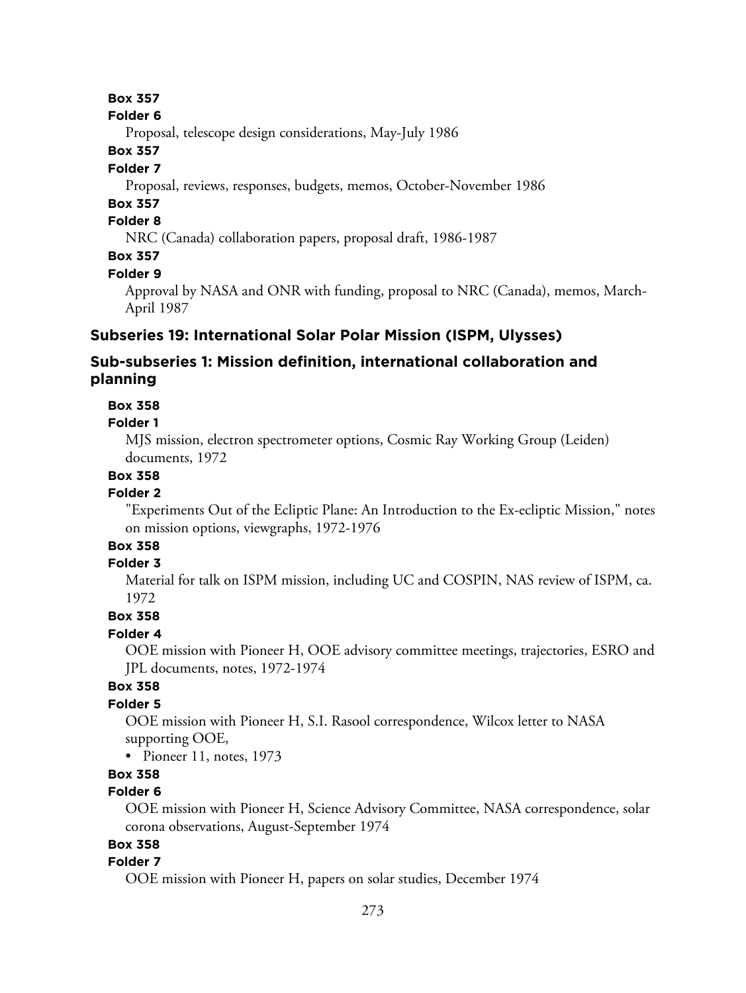#### **Folder 6**

Proposal, telescope design considerations, May-July 1986

## **Box 357**

### **Folder 7**

Proposal, reviews, responses, budgets, memos, October-November 1986

## **Box 357**

## **Folder 8**

NRC (Canada) collaboration papers, proposal draft, 1986-1987

## **Box 357**

### **Folder 9**

Approval by NASA and ONR with funding, proposal to NRC (Canada), memos, March-April 1987

## **Subseries 19: International Solar Polar Mission (ISPM, Ulysses)**

## **Sub-subseries 1: Mission definition, international collaboration and planning**

## **Box 358**

### **Folder 1**

MJS mission, electron spectrometer options, Cosmic Ray Working Group (Leiden) documents, 1972

## **Box 358**

### **Folder 2**

"Experiments Out of the Ecliptic Plane: An Introduction to the Ex-ecliptic Mission," notes on mission options, viewgraphs, 1972-1976

## **Box 358**

## **Folder 3**

Material for talk on ISPM mission, including UC and COSPIN, NAS review of ISPM, ca. 1972

## **Box 358**

## **Folder 4**

OOE mission with Pioneer H, OOE advisory committee meetings, trajectories, ESRO and JPL documents, notes, 1972-1974

## **Box 358**

## **Folder 5**

OOE mission with Pioneer H, S.I. Rasool correspondence, Wilcox letter to NASA supporting OOE,

• Pioneer 11, notes, 1973

## **Box 358**

## **Folder 6**

OOE mission with Pioneer H, Science Advisory Committee, NASA correspondence, solar corona observations, August-September 1974

## **Box 358**

## **Folder 7**

OOE mission with Pioneer H, papers on solar studies, December 1974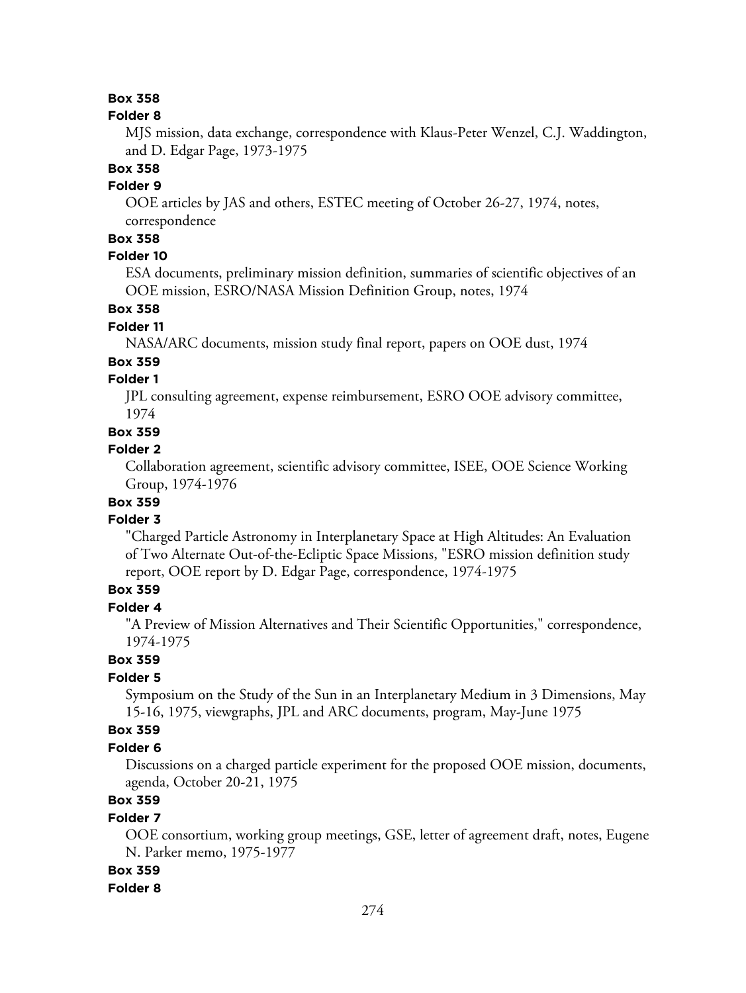#### **Folder 8**

MJS mission, data exchange, correspondence with Klaus-Peter Wenzel, C.J. Waddington, and D. Edgar Page, 1973-1975

#### **Box 358**

### **Folder 9**

OOE articles by JAS and others, ESTEC meeting of October 26-27, 1974, notes, correspondence

## **Box 358**

### **Folder 10**

ESA documents, preliminary mission definition, summaries of scientific objectives of an OOE mission, ESRO/NASA Mission Definition Group, notes, 1974

## **Box 358**

#### **Folder 11**

NASA/ARC documents, mission study final report, papers on OOE dust, 1974

#### **Box 359**

## **Folder 1**

JPL consulting agreement, expense reimbursement, ESRO OOE advisory committee, 1974

**Box 359**

#### **Folder 2**

Collaboration agreement, scientific advisory committee, ISEE, OOE Science Working Group, 1974-1976

## **Box 359**

#### **Folder 3**

"Charged Particle Astronomy in Interplanetary Space at High Altitudes: An Evaluation of Two Alternate Out-of-the-Ecliptic Space Missions, "ESRO mission definition study report, OOE report by D. Edgar Page, correspondence, 1974-1975

## **Box 359**

### **Folder 4**

"A Preview of Mission Alternatives and Their Scientific Opportunities," correspondence, 1974-1975

## **Box 359**

## **Folder 5**

Symposium on the Study of the Sun in an Interplanetary Medium in 3 Dimensions, May 15-16, 1975, viewgraphs, JPL and ARC documents, program, May-June 1975

## **Box 359**

### **Folder 6**

Discussions on a charged particle experiment for the proposed OOE mission, documents, agenda, October 20-21, 1975

## **Box 359**

### **Folder 7**

OOE consortium, working group meetings, GSE, letter of agreement draft, notes, Eugene N. Parker memo, 1975-1977

### **Box 359**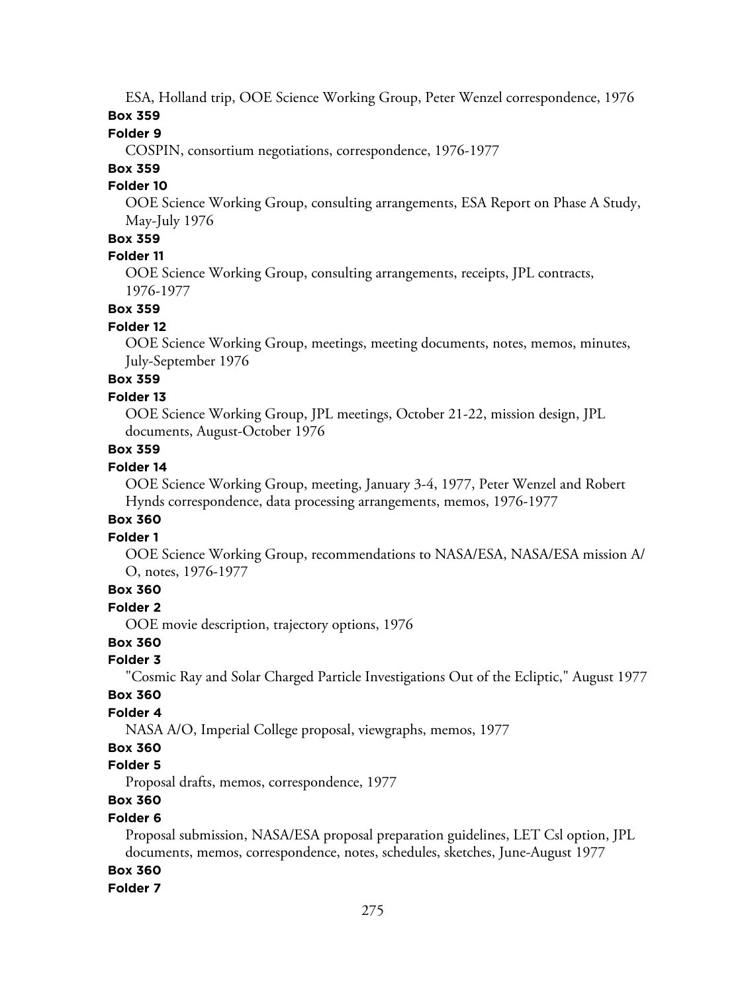ESA, Holland trip, OOE Science Working Group, Peter Wenzel correspondence, 1976 **Box 359**

## **Folder 9**

COSPIN, consortium negotiations, correspondence, 1976-1977

## **Box 359**

### **Folder 10**

OOE Science Working Group, consulting arrangements, ESA Report on Phase A Study, May-July 1976

## **Box 359**

## **Folder 11**

OOE Science Working Group, consulting arrangements, receipts, JPL contracts, 1976-1977

## **Box 359**

## **Folder 12**

OOE Science Working Group, meetings, meeting documents, notes, memos, minutes, July-September 1976

## **Box 359**

## **Folder 13**

OOE Science Working Group, JPL meetings, October 21-22, mission design, JPL documents, August-October 1976

## **Box 359**

### **Folder 14**

OOE Science Working Group, meeting, January 3-4, 1977, Peter Wenzel and Robert Hynds correspondence, data processing arrangements, memos, 1976-1977

### **Box 360**

## **Folder 1**

OOE Science Working Group, recommendations to NASA/ESA, NASA/ESA mission A/ O, notes, 1976-1977

## **Box 360**

**Folder 2**

OOE movie description, trajectory options, 1976

## **Box 360**

### **Folder 3**

"Cosmic Ray and Solar Charged Particle Investigations Out of the Ecliptic," August 1977

### **Box 360**

## **Folder 4**

NASA A/O, Imperial College proposal, viewgraphs, memos, 1977

## **Box 360**

### **Folder 5**

Proposal drafts, memos, correspondence, 1977

## **Box 360**

## **Folder 6**

Proposal submission, NASA/ESA proposal preparation guidelines, LET Csl option, JPL documents, memos, correspondence, notes, schedules, sketches, June-August 1977

### **Box 360**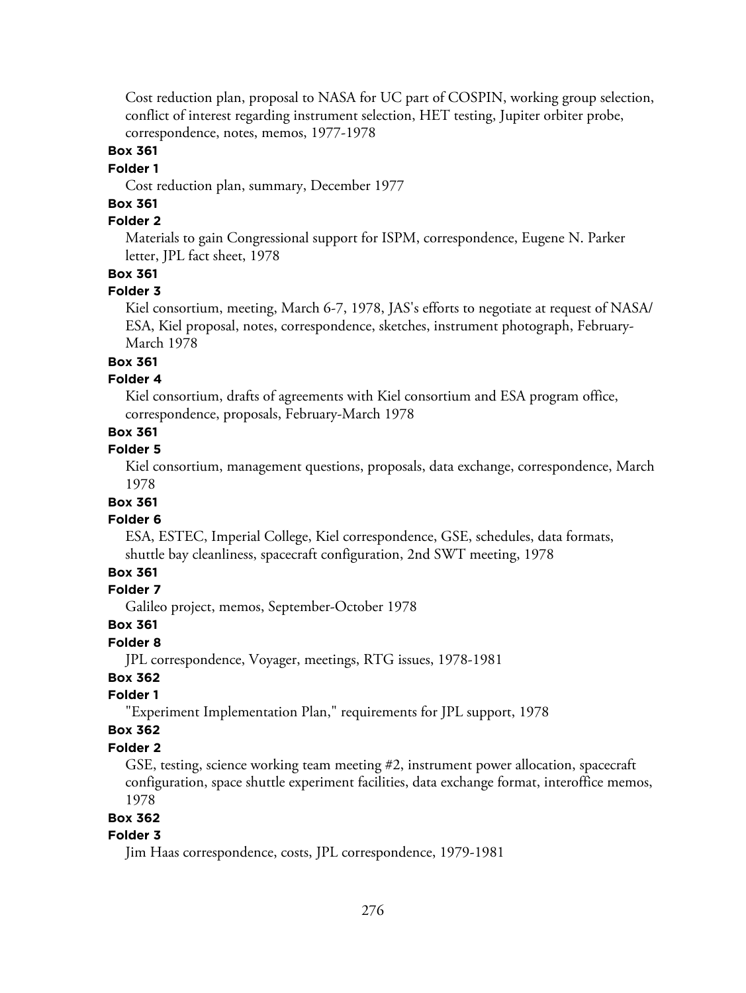Cost reduction plan, proposal to NASA for UC part of COSPIN, working group selection, conflict of interest regarding instrument selection, HET testing, Jupiter orbiter probe, correspondence, notes, memos, 1977-1978

### **Box 361**

### **Folder 1**

Cost reduction plan, summary, December 1977

## **Box 361**

## **Folder 2**

Materials to gain Congressional support for ISPM, correspondence, Eugene N. Parker letter, JPL fact sheet, 1978

## **Box 361**

### **Folder 3**

Kiel consortium, meeting, March 6-7, 1978, JAS's efforts to negotiate at request of NASA/ ESA, Kiel proposal, notes, correspondence, sketches, instrument photograph, February-March 1978

### **Box 361**

## **Folder 4**

Kiel consortium, drafts of agreements with Kiel consortium and ESA program office, correspondence, proposals, February-March 1978

## **Box 361**

## **Folder 5**

Kiel consortium, management questions, proposals, data exchange, correspondence, March 1978

## **Box 361**

#### **Folder 6**

ESA, ESTEC, Imperial College, Kiel correspondence, GSE, schedules, data formats, shuttle bay cleanliness, spacecraft configuration, 2nd SWT meeting, 1978

## **Box 361**

## **Folder 7**

Galileo project, memos, September-October 1978

#### **Box 361**

#### **Folder 8**

JPL correspondence, Voyager, meetings, RTG issues, 1978-1981

### **Box 362**

#### **Folder 1**

"Experiment Implementation Plan," requirements for JPL support, 1978

### **Box 362**

### **Folder 2**

GSE, testing, science working team meeting #2, instrument power allocation, spacecraft configuration, space shuttle experiment facilities, data exchange format, interoffice memos, 1978

### **Box 362**

## **Folder 3**

Jim Haas correspondence, costs, JPL correspondence, 1979-1981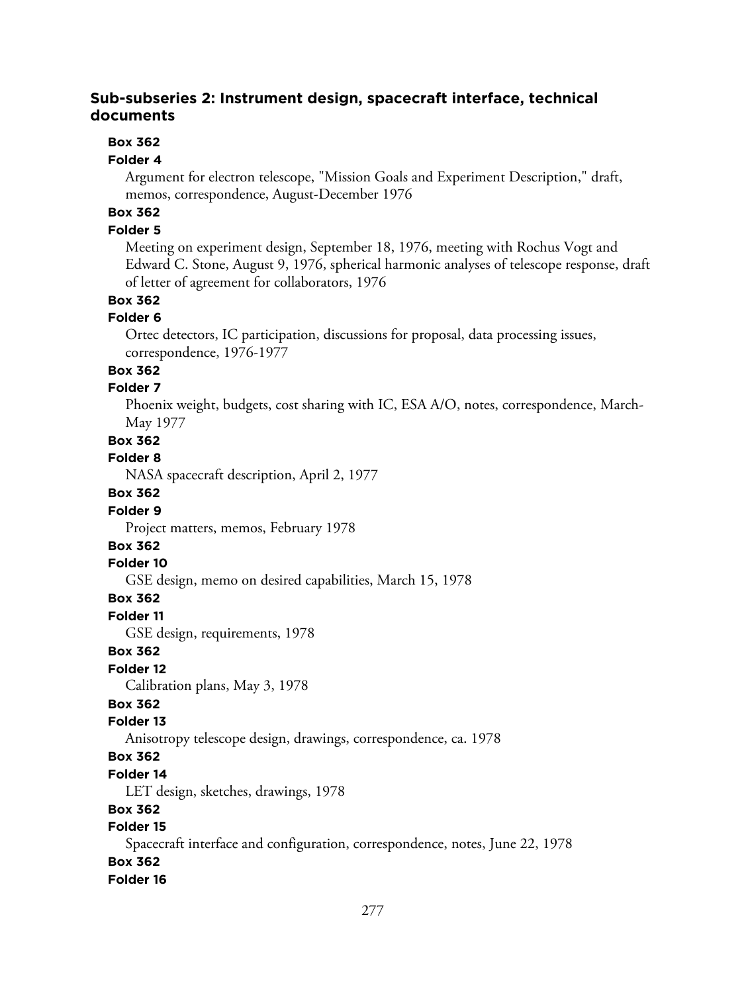## **Sub-subseries 2: Instrument design, spacecraft interface, technical documents**

## **Box 362**

## **Folder 4**

Argument for electron telescope, "Mission Goals and Experiment Description," draft, memos, correspondence, August-December 1976

## **Box 362**

## **Folder 5**

Meeting on experiment design, September 18, 1976, meeting with Rochus Vogt and Edward C. Stone, August 9, 1976, spherical harmonic analyses of telescope response, draft of letter of agreement for collaborators, 1976

## **Box 362**

### **Folder 6**

Ortec detectors, IC participation, discussions for proposal, data processing issues, correspondence, 1976-1977

## **Box 362**

### **Folder 7**

Phoenix weight, budgets, cost sharing with IC, ESA A/O, notes, correspondence, March-May 1977

### **Box 362**

### **Folder 8**

NASA spacecraft description, April 2, 1977

## **Box 362**

## **Folder 9**

Project matters, memos, February 1978

## **Box 362**

### **Folder 10**

GSE design, memo on desired capabilities, March 15, 1978

### **Box 362**

### **Folder 11**

GSE design, requirements, 1978

## **Box 362**

## **Folder 12**

Calibration plans, May 3, 1978

## **Box 362**

### **Folder 13**

Anisotropy telescope design, drawings, correspondence, ca. 1978

## **Box 362**

## **Folder 14**

LET design, sketches, drawings, 1978

## **Box 362**

## **Folder 15**

Spacecraft interface and configuration, correspondence, notes, June 22, 1978

## **Box 362**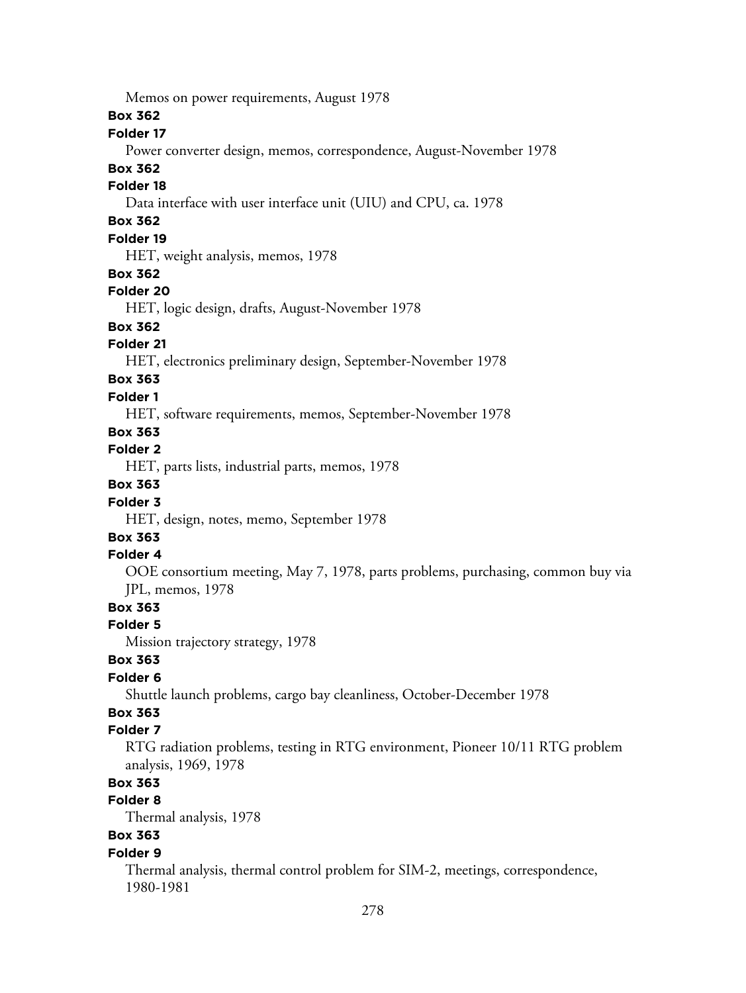**Box 362 Folder 17** Power converter design, memos, correspondence, August-November 1978 **Box 362 Folder 18** Data interface with user interface unit (UIU) and CPU, ca. 1978 **Box 362 Folder 19** HET, weight analysis, memos, 1978 **Box 362 Folder 20** HET, logic design, drafts, August-November 1978 **Box 362 Folder 21** HET, electronics preliminary design, September-November 1978 **Box 363 Folder 1** HET, software requirements, memos, September-November 1978 **Box 363 Folder 2** HET, parts lists, industrial parts, memos, 1978 **Box 363 Folder 3** HET, design, notes, memo, September 1978 **Box 363 Folder 4** OOE consortium meeting, May 7, 1978, parts problems, purchasing, common buy via JPL, memos, 1978 **Box 363 Folder 5** Mission trajectory strategy, 1978 **Box 363 Folder 6** Shuttle launch problems, cargo bay cleanliness, October-December 1978 **Box 363 Folder 7** RTG radiation problems, testing in RTG environment, Pioneer 10/11 RTG problem analysis, 1969, 1978 **Box 363 Folder 8** Thermal analysis, 1978 **Box 363 Folder 9**

Memos on power requirements, August 1978

Thermal analysis, thermal control problem for SIM-2, meetings, correspondence, 1980-1981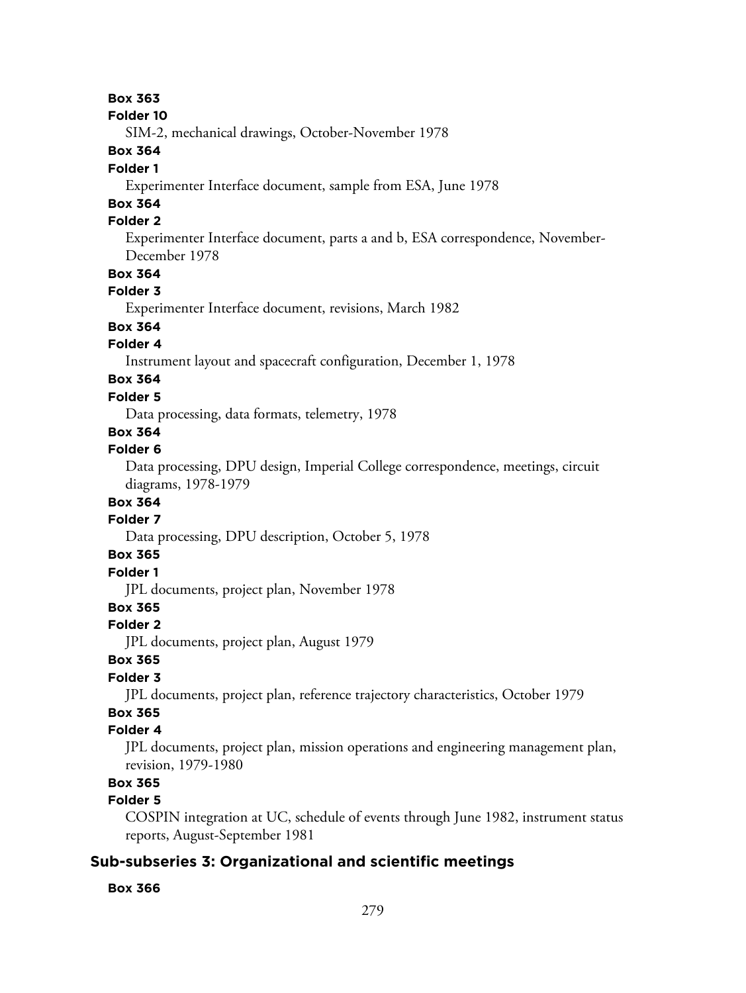#### **Folder 10**

SIM-2, mechanical drawings, October-November 1978

## **Box 364**

### **Folder 1**

Experimenter Interface document, sample from ESA, June 1978

## **Box 364**

## **Folder 2**

Experimenter Interface document, parts a and b, ESA correspondence, November-December 1978

## **Box 364**

## **Folder 3**

Experimenter Interface document, revisions, March 1982

## **Box 364**

### **Folder 4**

Instrument layout and spacecraft configuration, December 1, 1978

## **Box 364**

### **Folder 5**

Data processing, data formats, telemetry, 1978

## **Box 364**

### **Folder 6**

Data processing, DPU design, Imperial College correspondence, meetings, circuit diagrams, 1978-1979

## **Box 364**

## **Folder 7**

Data processing, DPU description, October 5, 1978

## **Box 365**

## **Folder 1**

JPL documents, project plan, November 1978

## **Box 365**

### **Folder 2**

JPL documents, project plan, August 1979

## **Box 365**

## **Folder 3**

JPL documents, project plan, reference trajectory characteristics, October 1979

## **Box 365**

## **Folder 4**

JPL documents, project plan, mission operations and engineering management plan, revision, 1979-1980

## **Box 365**

## **Folder 5**

COSPIN integration at UC, schedule of events through June 1982, instrument status reports, August-September 1981

## **Sub-subseries 3: Organizational and scientific meetings**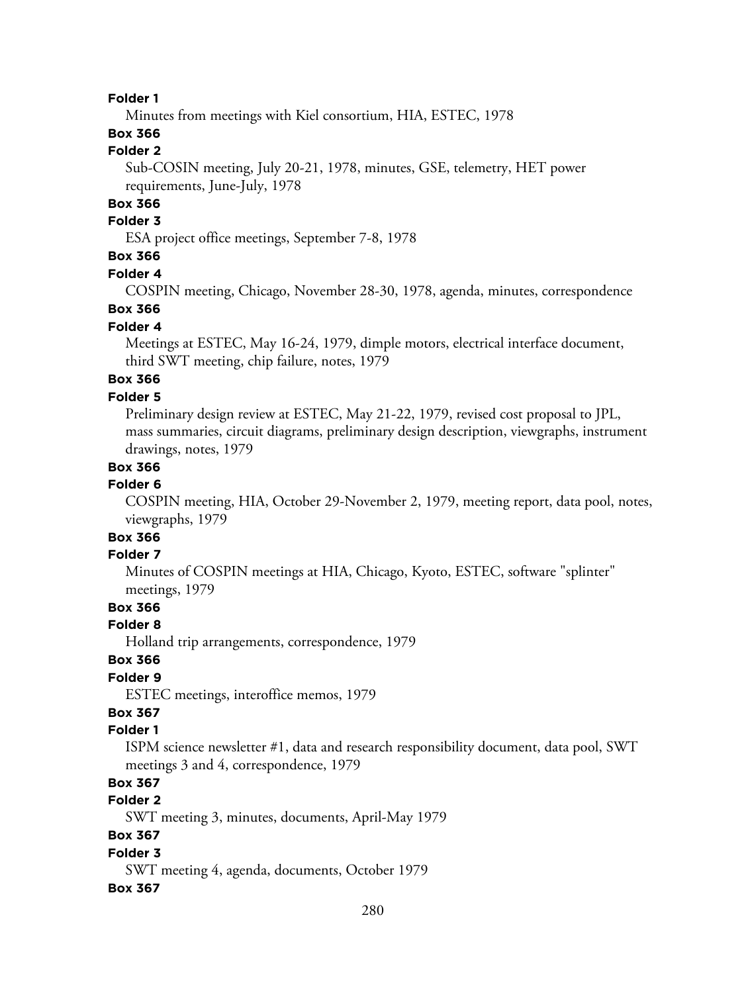Minutes from meetings with Kiel consortium, HIA, ESTEC, 1978

## **Box 366**

## **Folder 2**

Sub-COSIN meeting, July 20-21, 1978, minutes, GSE, telemetry, HET power requirements, June-July, 1978

### **Box 366**

#### **Folder 3**

ESA project office meetings, September 7-8, 1978

## **Box 366**

#### **Folder 4**

COSPIN meeting, Chicago, November 28-30, 1978, agenda, minutes, correspondence

## **Box 366**

#### **Folder 4**

Meetings at ESTEC, May 16-24, 1979, dimple motors, electrical interface document, third SWT meeting, chip failure, notes, 1979

## **Box 366**

## **Folder 5**

Preliminary design review at ESTEC, May 21-22, 1979, revised cost proposal to JPL, mass summaries, circuit diagrams, preliminary design description, viewgraphs, instrument drawings, notes, 1979

### **Box 366**

### **Folder 6**

COSPIN meeting, HIA, October 29-November 2, 1979, meeting report, data pool, notes, viewgraphs, 1979

## **Box 366**

## **Folder 7**

Minutes of COSPIN meetings at HIA, Chicago, Kyoto, ESTEC, software "splinter" meetings, 1979

## **Box 366**

### **Folder 8**

Holland trip arrangements, correspondence, 1979

### **Box 366**

## **Folder 9**

ESTEC meetings, interoffice memos, 1979

## **Box 367**

#### **Folder 1**

ISPM science newsletter #1, data and research responsibility document, data pool, SWT meetings 3 and 4, correspondence, 1979

## **Box 367**

## **Folder 2**

SWT meeting 3, minutes, documents, April-May 1979

## **Box 367**

### **Folder 3**

SWT meeting 4, agenda, documents, October 1979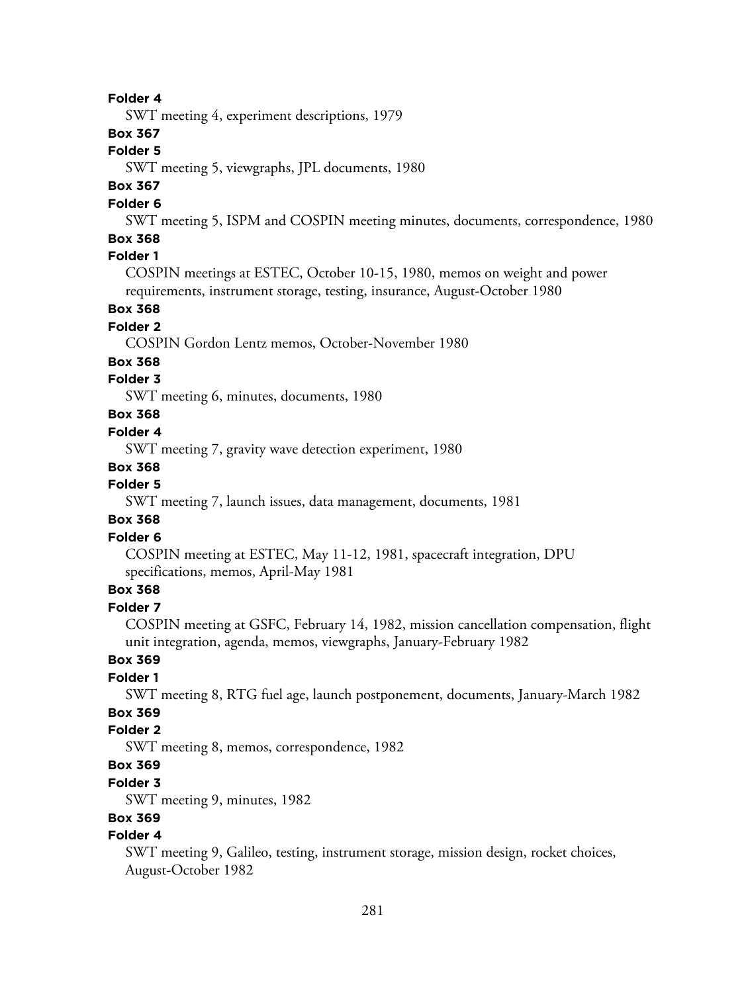SWT meeting 4, experiment descriptions, 1979

### **Box 367**

## **Folder 5**

SWT meeting 5, viewgraphs, JPL documents, 1980

## **Box 367**

### **Folder 6**

SWT meeting 5, ISPM and COSPIN meeting minutes, documents, correspondence, 1980

## **Box 368**

## **Folder 1**

COSPIN meetings at ESTEC, October 10-15, 1980, memos on weight and power requirements, instrument storage, testing, insurance, August-October 1980

## **Box 368**

### **Folder 2**

COSPIN Gordon Lentz memos, October-November 1980

#### **Box 368**

## **Folder 3**

SWT meeting 6, minutes, documents, 1980

## **Box 368**

### **Folder 4**

SWT meeting 7, gravity wave detection experiment, 1980

#### **Box 368**

## **Folder 5**

SWT meeting 7, launch issues, data management, documents, 1981

### **Box 368**

### **Folder 6**

COSPIN meeting at ESTEC, May 11-12, 1981, spacecraft integration, DPU specifications, memos, April-May 1981

## **Box 368**

## **Folder 7**

COSPIN meeting at GSFC, February 14, 1982, mission cancellation compensation, flight unit integration, agenda, memos, viewgraphs, January-February 1982

## **Box 369**

### **Folder 1**

SWT meeting 8, RTG fuel age, launch postponement, documents, January-March 1982

## **Box 369**

## **Folder 2**

SWT meeting 8, memos, correspondence, 1982

## **Box 369**

### **Folder 3**

SWT meeting 9, minutes, 1982

## **Box 369**

## **Folder 4**

SWT meeting 9, Galileo, testing, instrument storage, mission design, rocket choices, August-October 1982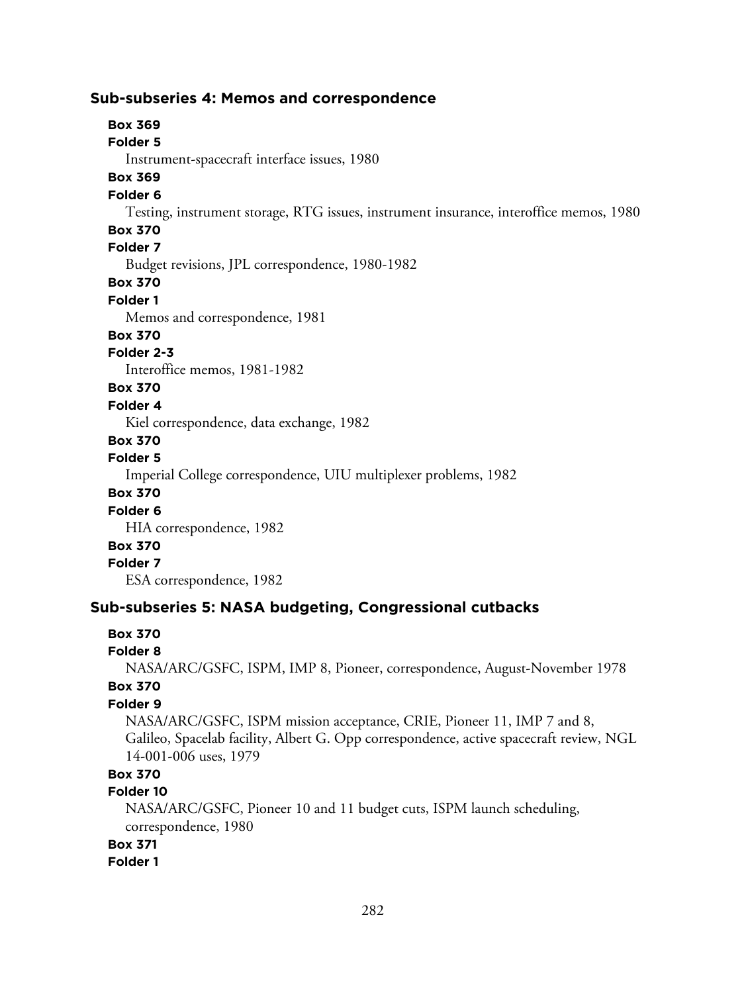### **Sub-subseries 4: Memos and correspondence**

**Box 369 Folder 5** Instrument-spacecraft interface issues, 1980 **Box 369 Folder 6** Testing, instrument storage, RTG issues, instrument insurance, interoffice memos, 1980 **Box 370 Folder 7** Budget revisions, JPL correspondence, 1980-1982 **Box 370 Folder 1** Memos and correspondence, 1981 **Box 370 Folder 2-3** Interoffice memos, 1981-1982 **Box 370 Folder 4** Kiel correspondence, data exchange, 1982 **Box 370 Folder 5** Imperial College correspondence, UIU multiplexer problems, 1982 **Box 370 Folder 6** HIA correspondence, 1982 **Box 370 Folder 7** ESA correspondence, 1982 **Sub-subseries 5: NASA budgeting, Congressional cutbacks**

### **Box 370**

#### **Folder 8**

NASA/ARC/GSFC, ISPM, IMP 8, Pioneer, correspondence, August-November 1978

## **Box 370**

## **Folder 9**

NASA/ARC/GSFC, ISPM mission acceptance, CRIE, Pioneer 11, IMP 7 and 8, Galileo, Spacelab facility, Albert G. Opp correspondence, active spacecraft review, NGL 14-001-006 uses, 1979

## **Box 370**

#### **Folder 10**

NASA/ARC/GSFC, Pioneer 10 and 11 budget cuts, ISPM launch scheduling, correspondence, 1980

#### **Box 371**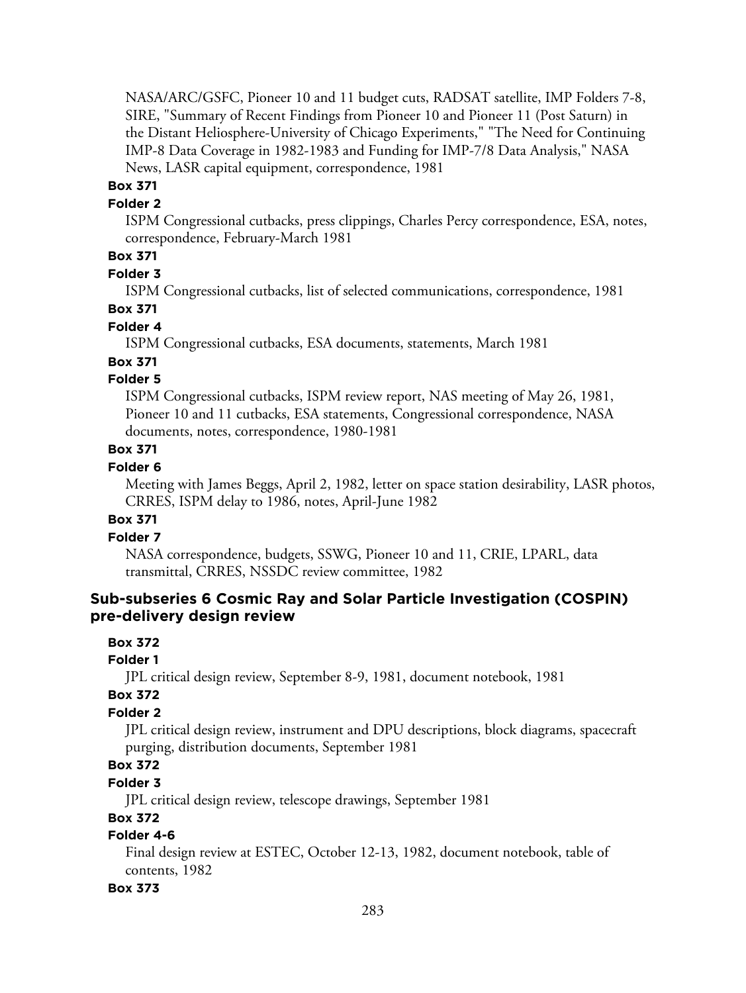NASA/ARC/GSFC, Pioneer 10 and 11 budget cuts, RADSAT satellite, IMP Folders 7-8, SIRE, "Summary of Recent Findings from Pioneer 10 and Pioneer 11 (Post Saturn) in the Distant Heliosphere-University of Chicago Experiments," "The Need for Continuing IMP-8 Data Coverage in 1982-1983 and Funding for IMP-7/8 Data Analysis," NASA News, LASR capital equipment, correspondence, 1981

## **Box 371**

## **Folder 2**

ISPM Congressional cutbacks, press clippings, Charles Percy correspondence, ESA, notes, correspondence, February-March 1981

## **Box 371**

#### **Folder 3**

ISPM Congressional cutbacks, list of selected communications, correspondence, 1981

## **Box 371**

### **Folder 4**

ISPM Congressional cutbacks, ESA documents, statements, March 1981

### **Box 371**

## **Folder 5**

ISPM Congressional cutbacks, ISPM review report, NAS meeting of May 26, 1981, Pioneer 10 and 11 cutbacks, ESA statements, Congressional correspondence, NASA documents, notes, correspondence, 1980-1981

### **Box 371**

### **Folder 6**

Meeting with James Beggs, April 2, 1982, letter on space station desirability, LASR photos, CRRES, ISPM delay to 1986, notes, April-June 1982

### **Box 371**

## **Folder 7**

NASA correspondence, budgets, SSWG, Pioneer 10 and 11, CRIE, LPARL, data transmittal, CRRES, NSSDC review committee, 1982

## **Sub-subseries 6 Cosmic Ray and Solar Particle Investigation (COSPIN) pre-delivery design review**

## **Box 372**

## **Folder 1**

JPL critical design review, September 8-9, 1981, document notebook, 1981

### **Box 372**

## **Folder 2**

JPL critical design review, instrument and DPU descriptions, block diagrams, spacecraft purging, distribution documents, September 1981

## **Box 372**

### **Folder 3**

JPL critical design review, telescope drawings, September 1981

## **Box 372**

## **Folder 4-6**

Final design review at ESTEC, October 12-13, 1982, document notebook, table of contents, 1982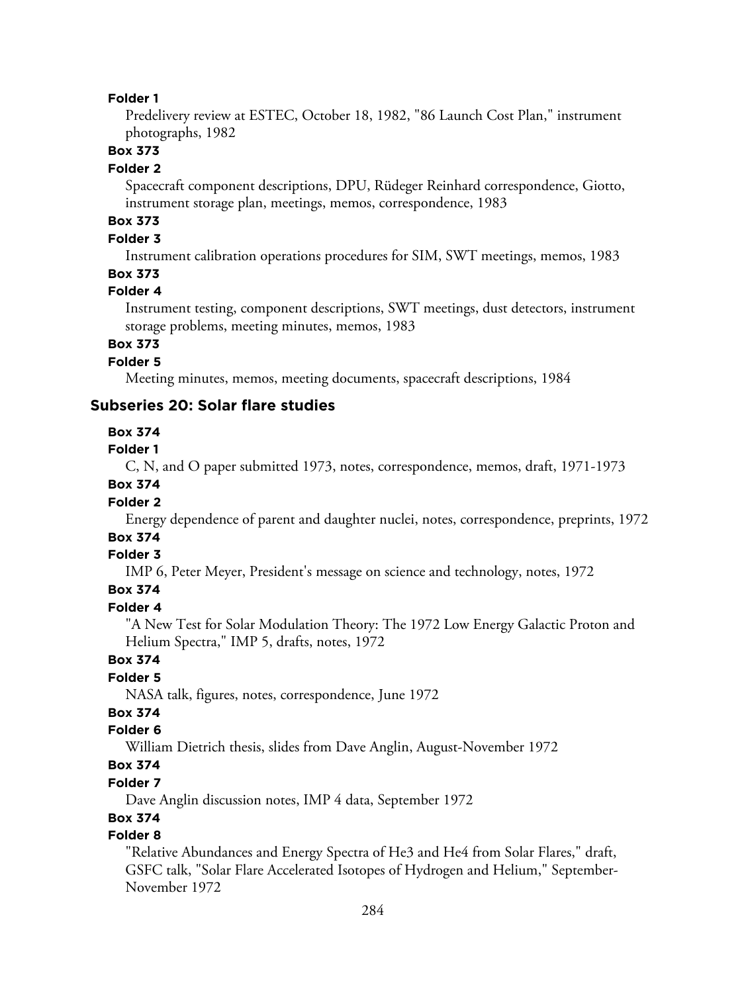Predelivery review at ESTEC, October 18, 1982, "86 Launch Cost Plan," instrument photographs, 1982

## **Box 373**

#### **Folder 2**

Spacecraft component descriptions, DPU, Rüdeger Reinhard correspondence, Giotto, instrument storage plan, meetings, memos, correspondence, 1983

## **Box 373**

## **Folder 3**

Instrument calibration operations procedures for SIM, SWT meetings, memos, 1983

### **Box 373**

### **Folder 4**

Instrument testing, component descriptions, SWT meetings, dust detectors, instrument storage problems, meeting minutes, memos, 1983

## **Box 373**

## **Folder 5**

Meeting minutes, memos, meeting documents, spacecraft descriptions, 1984

### **Subseries 20: Solar flare studies**

### **Box 374**

#### **Folder 1**

C, N, and O paper submitted 1973, notes, correspondence, memos, draft, 1971-1973

### **Box 374**

### **Folder 2**

Energy dependence of parent and daughter nuclei, notes, correspondence, preprints, 1972

## **Box 374**

### **Folder 3**

IMP 6, Peter Meyer, President's message on science and technology, notes, 1972

## **Box 374**

#### **Folder 4**

"A New Test for Solar Modulation Theory: The 1972 Low Energy Galactic Proton and Helium Spectra," IMP 5, drafts, notes, 1972

## **Box 374**

## **Folder 5**

NASA talk, figures, notes, correspondence, June 1972

## **Box 374**

### **Folder 6**

William Dietrich thesis, slides from Dave Anglin, August-November 1972

## **Box 374**

### **Folder 7**

Dave Anglin discussion notes, IMP 4 data, September 1972

## **Box 374**

## **Folder 8**

"Relative Abundances and Energy Spectra of He3 and He4 from Solar Flares," draft, GSFC talk, "Solar Flare Accelerated Isotopes of Hydrogen and Helium," September-November 1972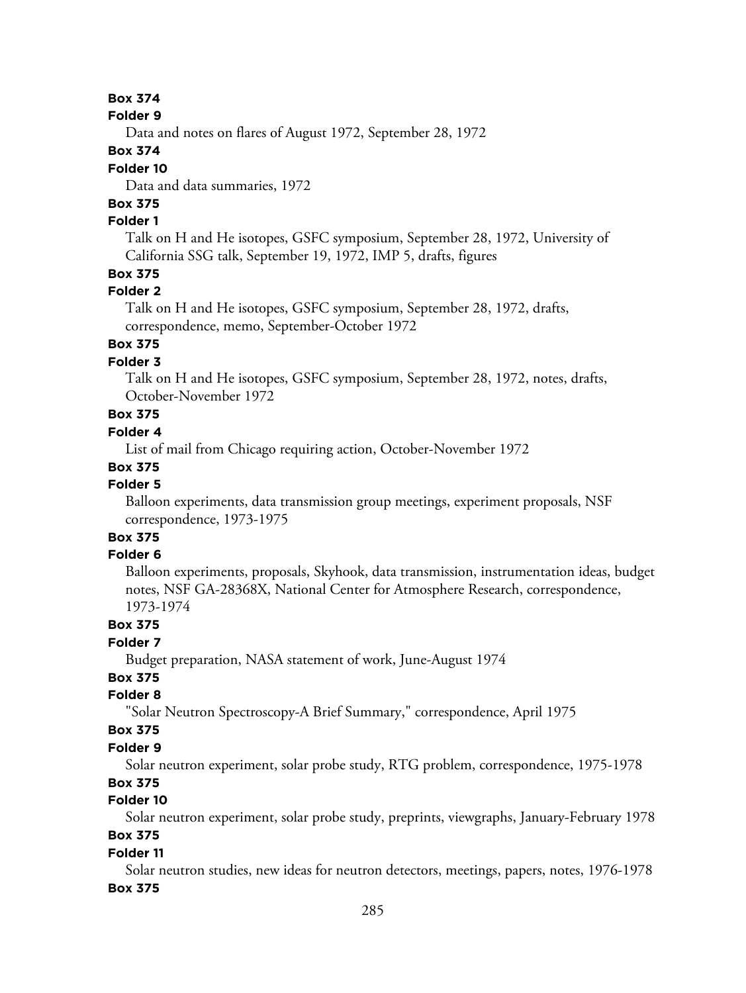#### **Folder 9**

Data and notes on flares of August 1972, September 28, 1972

### **Box 374**

### **Folder 10**

Data and data summaries, 1972

## **Box 375**

## **Folder 1**

Talk on H and He isotopes, GSFC symposium, September 28, 1972, University of California SSG talk, September 19, 1972, IMP 5, drafts, figures

## **Box 375**

## **Folder 2**

Talk on H and He isotopes, GSFC symposium, September 28, 1972, drafts, correspondence, memo, September-October 1972

## **Box 375**

## **Folder 3**

Talk on H and He isotopes, GSFC symposium, September 28, 1972, notes, drafts, October-November 1972

## **Box 375**

## **Folder 4**

List of mail from Chicago requiring action, October-November 1972

### **Box 375**

### **Folder 5**

Balloon experiments, data transmission group meetings, experiment proposals, NSF correspondence, 1973-1975

#### **Box 375 Folder 6**

Balloon experiments, proposals, Skyhook, data transmission, instrumentation ideas, budget notes, NSF GA-28368X, National Center for Atmosphere Research, correspondence, 1973-1974

## **Box 375**

## **Folder 7**

Budget preparation, NASA statement of work, June-August 1974

## **Box 375**

## **Folder 8**

"Solar Neutron Spectroscopy-A Brief Summary," correspondence, April 1975

### **Box 375**

#### **Folder 9**

Solar neutron experiment, solar probe study, RTG problem, correspondence, 1975-1978

## **Box 375**

## **Folder 10**

Solar neutron experiment, solar probe study, preprints, viewgraphs, January-February 1978

## **Box 375**

### **Folder 11**

Solar neutron studies, new ideas for neutron detectors, meetings, papers, notes, 1976-1978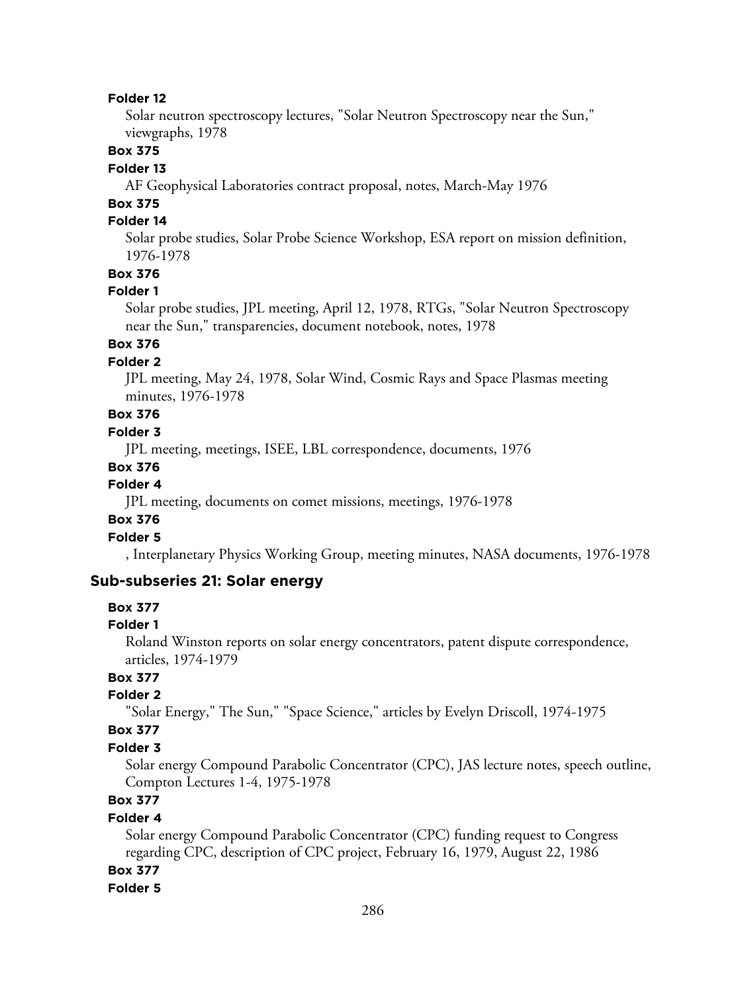Solar neutron spectroscopy lectures, "Solar Neutron Spectroscopy near the Sun," viewgraphs, 1978

## **Box 375**

#### **Folder 13**

AF Geophysical Laboratories contract proposal, notes, March-May 1976

## **Box 375**

## **Folder 14**

Solar probe studies, Solar Probe Science Workshop, ESA report on mission definition, 1976-1978

## **Box 376**

#### **Folder 1**

Solar probe studies, JPL meeting, April 12, 1978, RTGs, "Solar Neutron Spectroscopy near the Sun," transparencies, document notebook, notes, 1978

## **Box 376**

## **Folder 2**

JPL meeting, May 24, 1978, Solar Wind, Cosmic Rays and Space Plasmas meeting minutes, 1976-1978

## **Box 376**

## **Folder 3**

JPL meeting, meetings, ISEE, LBL correspondence, documents, 1976

#### **Box 376**

#### **Folder 4**

JPL meeting, documents on comet missions, meetings, 1976-1978

### **Box 376**

## **Folder 5**

, Interplanetary Physics Working Group, meeting minutes, NASA documents, 1976-1978

### **Sub-subseries 21: Solar energy**

#### **Box 377**

#### **Folder 1**

Roland Winston reports on solar energy concentrators, patent dispute correspondence, articles, 1974-1979

## **Box 377**

#### **Folder 2**

"Solar Energy," The Sun," "Space Science," articles by Evelyn Driscoll, 1974-1975

### **Box 377**

#### **Folder 3**

Solar energy Compound Parabolic Concentrator (CPC), JAS lecture notes, speech outline, Compton Lectures 1-4, 1975-1978

## **Box 377**

### **Folder 4**

Solar energy Compound Parabolic Concentrator (CPC) funding request to Congress regarding CPC, description of CPC project, February 16, 1979, August 22, 1986

## **Box 377**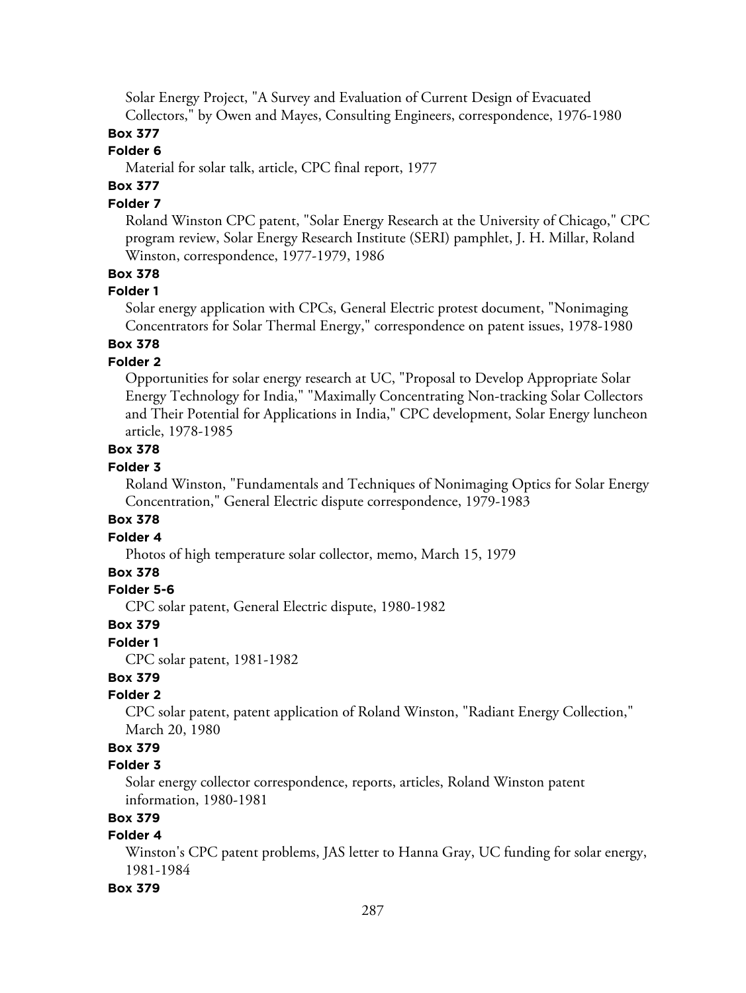Solar Energy Project, "A Survey and Evaluation of Current Design of Evacuated Collectors," by Owen and Mayes, Consulting Engineers, correspondence, 1976-1980

## **Box 377**

## **Folder 6**

Material for solar talk, article, CPC final report, 1977

## **Box 377**

## **Folder 7**

Roland Winston CPC patent, "Solar Energy Research at the University of Chicago," CPC program review, Solar Energy Research Institute (SERI) pamphlet, J. H. Millar, Roland Winston, correspondence, 1977-1979, 1986

### **Box 378**

## **Folder 1**

Solar energy application with CPCs, General Electric protest document, "Nonimaging Concentrators for Solar Thermal Energy," correspondence on patent issues, 1978-1980

## **Box 378**

### **Folder 2**

Opportunities for solar energy research at UC, "Proposal to Develop Appropriate Solar Energy Technology for India," "Maximally Concentrating Non-tracking Solar Collectors and Their Potential for Applications in India," CPC development, Solar Energy luncheon article, 1978-1985

### **Box 378**

### **Folder 3**

Roland Winston, "Fundamentals and Techniques of Nonimaging Optics for Solar Energy Concentration," General Electric dispute correspondence, 1979-1983

### **Box 378**

### **Folder 4**

Photos of high temperature solar collector, memo, March 15, 1979

### **Box 378**

## **Folder 5-6**

CPC solar patent, General Electric dispute, 1980-1982

### **Box 379**

### **Folder 1**

CPC solar patent, 1981-1982

## **Box 379**

## **Folder 2**

CPC solar patent, patent application of Roland Winston, "Radiant Energy Collection," March 20, 1980

## **Box 379**

## **Folder 3**

Solar energy collector correspondence, reports, articles, Roland Winston patent information, 1980-1981

## **Box 379**

## **Folder 4**

Winston's CPC patent problems, JAS letter to Hanna Gray, UC funding for solar energy, 1981-1984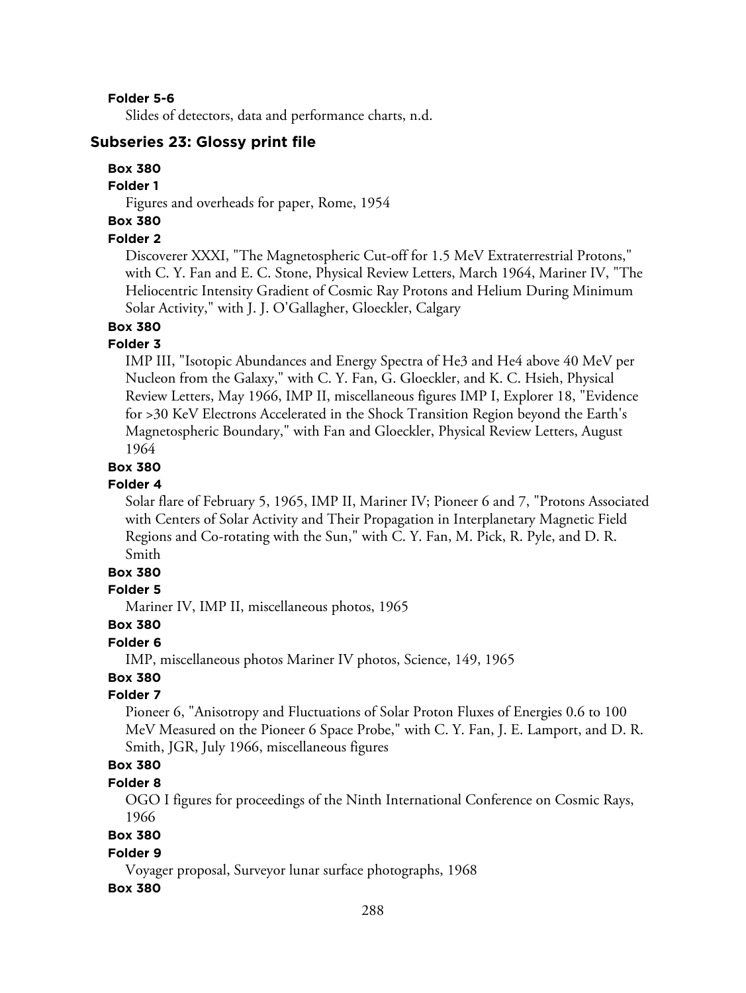**Folder 5-6**

Slides of detectors, data and performance charts, n.d.

### **Subseries 23: Glossy print file**

## **Box 380**

### **Folder 1**

Figures and overheads for paper, Rome, 1954

## **Box 380**

## **Folder 2**

Discoverer XXXI, "The Magnetospheric Cut-off for 1.5 MeV Extraterrestrial Protons," with C. Y. Fan and E. C. Stone, Physical Review Letters, March 1964, Mariner IV, "The Heliocentric Intensity Gradient of Cosmic Ray Protons and Helium During Minimum Solar Activity," with J. J. O'Gallagher, Gloeckler, Calgary

## **Box 380**

### **Folder 3**

IMP III, "Isotopic Abundances and Energy Spectra of He3 and He4 above 40 MeV per Nucleon from the Galaxy," with C. Y. Fan, G. Gloeckler, and K. C. Hsieh, Physical Review Letters, May 1966, IMP II, miscellaneous figures IMP I, Explorer 18, "Evidence for >30 KeV Electrons Accelerated in the Shock Transition Region beyond the Earth's Magnetospheric Boundary," with Fan and Gloeckler, Physical Review Letters, August 1964

### **Box 380**

#### **Folder 4**

Solar flare of February 5, 1965, IMP II, Mariner IV; Pioneer 6 and 7, "Protons Associated with Centers of Solar Activity and Their Propagation in Interplanetary Magnetic Field Regions and Co-rotating with the Sun," with C. Y. Fan, M. Pick, R. Pyle, and D. R. Smith

## **Box 380**

#### **Folder 5**

Mariner IV, IMP II, miscellaneous photos, 1965

#### **Box 380**

### **Folder 6**

IMP, miscellaneous photos Mariner IV photos, Science, 149, 1965

## **Box 380**

## **Folder 7**

Pioneer 6, "Anisotropy and Fluctuations of Solar Proton Fluxes of Energies 0.6 to 100 MeV Measured on the Pioneer 6 Space Probe," with C. Y. Fan, J. E. Lamport, and D. R. Smith, JGR, July 1966, miscellaneous figures

## **Box 380**

## **Folder 8**

OGO I figures for proceedings of the Ninth International Conference on Cosmic Rays, 1966

## **Box 380**

#### **Folder 9**

Voyager proposal, Surveyor lunar surface photographs, 1968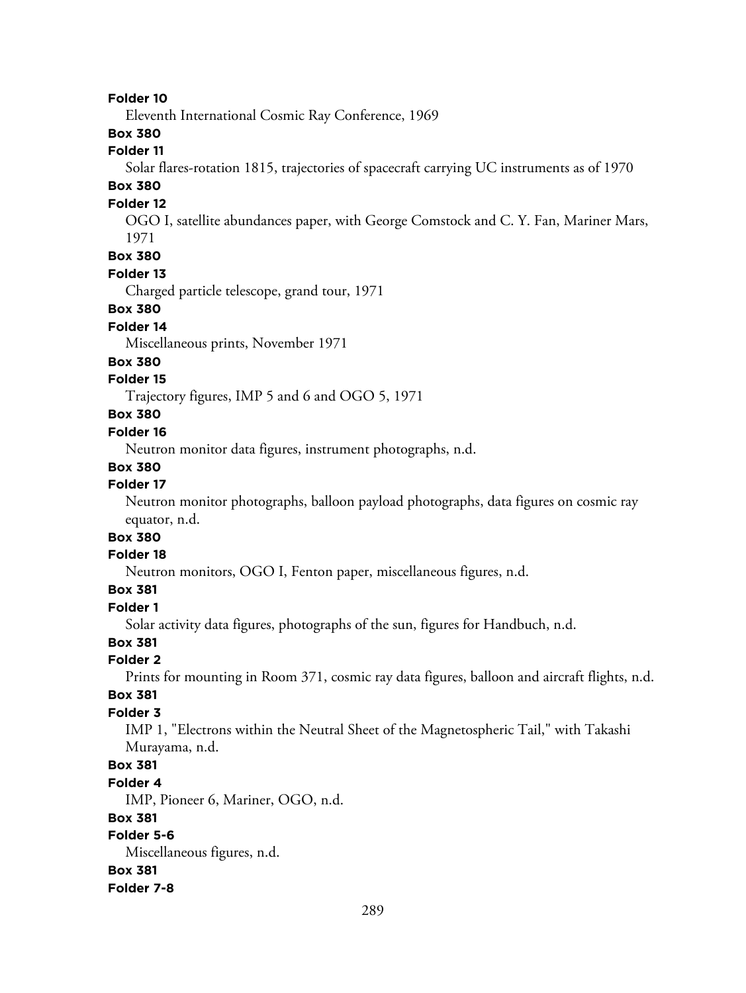#### **Folder 10**

Eleventh International Cosmic Ray Conference, 1969

### **Box 380**

## **Folder 11**

Solar flares-rotation 1815, trajectories of spacecraft carrying UC instruments as of 1970

# **Box 380**

### **Folder 12**

OGO I, satellite abundances paper, with George Comstock and C. Y. Fan, Mariner Mars, 1971

# **Box 380**

#### **Folder 13**

Charged particle telescope, grand tour, 1971

#### **Box 380**

### **Folder 14**

Miscellaneous prints, November 1971

#### **Box 380**

#### **Folder 15**

Trajectory figures, IMP 5 and 6 and OGO 5, 1971

# **Box 380**

#### **Folder 16**

Neutron monitor data figures, instrument photographs, n.d.

#### **Box 380**

### **Folder 17**

Neutron monitor photographs, balloon payload photographs, data figures on cosmic ray equator, n.d.

# **Box 380**

# **Folder 18**

Neutron monitors, OGO I, Fenton paper, miscellaneous figures, n.d.

# **Box 381**

### **Folder 1**

Solar activity data figures, photographs of the sun, figures for Handbuch, n.d.

### **Box 381**

#### **Folder 2**

Prints for mounting in Room 371, cosmic ray data figures, balloon and aircraft flights, n.d.

#### **Box 381**

#### **Folder 3**

IMP 1, "Electrons within the Neutral Sheet of the Magnetospheric Tail," with Takashi Murayama, n.d.

### **Box 381**

#### **Folder 4**

IMP, Pioneer 6, Mariner, OGO, n.d.

#### **Box 381**

### **Folder 5-6**

Miscellaneous figures, n.d.

### **Box 381**

#### **Folder 7-8**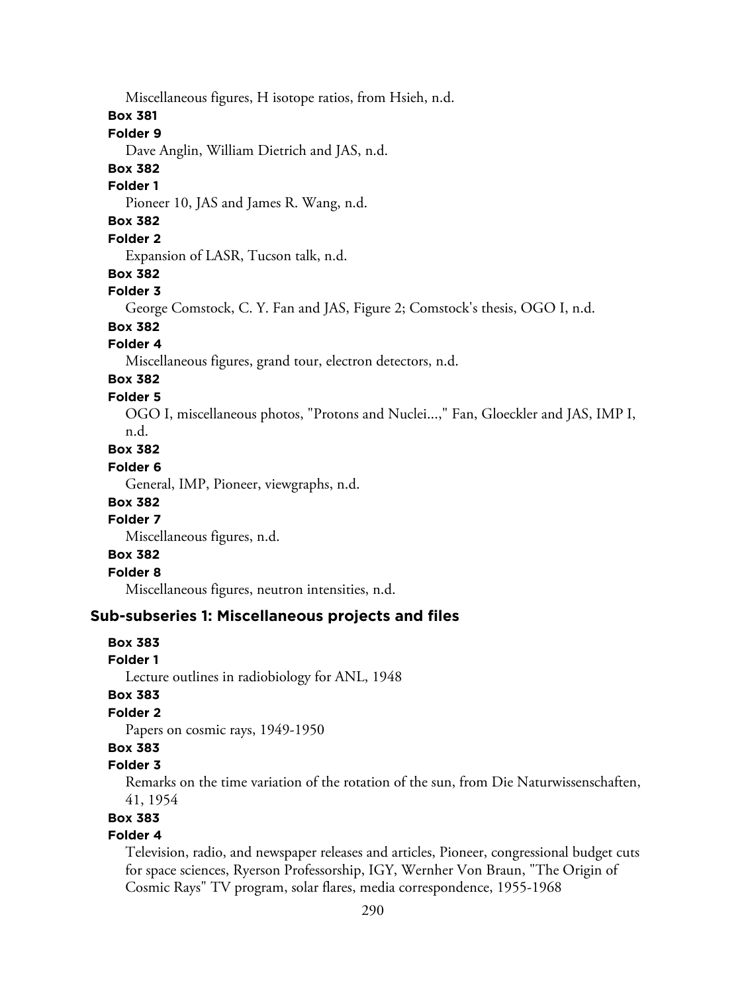Miscellaneous figures, H isotope ratios, from Hsieh, n.d.

### **Box 381**

#### **Folder 9**

Dave Anglin, William Dietrich and JAS, n.d.

### **Box 382**

#### **Folder 1**

Pioneer 10, JAS and James R. Wang, n.d.

# **Box 382**

### **Folder 2**

Expansion of LASR, Tucson talk, n.d.

### **Box 382**

#### **Folder 3**

George Comstock, C. Y. Fan and JAS, Figure 2; Comstock's thesis, OGO I, n.d.

# **Box 382**

### **Folder 4**

Miscellaneous figures, grand tour, electron detectors, n.d.

# **Box 382**

# **Folder 5**

OGO I, miscellaneous photos, "Protons and Nuclei...," Fan, Gloeckler and JAS, IMP I, n.d.

# **Box 382**

# **Folder 6**

General, IMP, Pioneer, viewgraphs, n.d.

### **Box 382**

## **Folder 7**

Miscellaneous figures, n.d.

### **Box 382**

### **Folder 8**

Miscellaneous figures, neutron intensities, n.d.

## **Sub-subseries 1: Miscellaneous projects and files**

### **Box 383**

### **Folder 1**

Lecture outlines in radiobiology for ANL, 1948

#### **Box 383**

### **Folder 2**

Papers on cosmic rays, 1949-1950

## **Box 383**

### **Folder 3**

Remarks on the time variation of the rotation of the sun, from Die Naturwissenschaften, 41, 1954

### **Box 383**

### **Folder 4**

Television, radio, and newspaper releases and articles, Pioneer, congressional budget cuts for space sciences, Ryerson Professorship, IGY, Wernher Von Braun, "The Origin of Cosmic Rays" TV program, solar flares, media correspondence, 1955-1968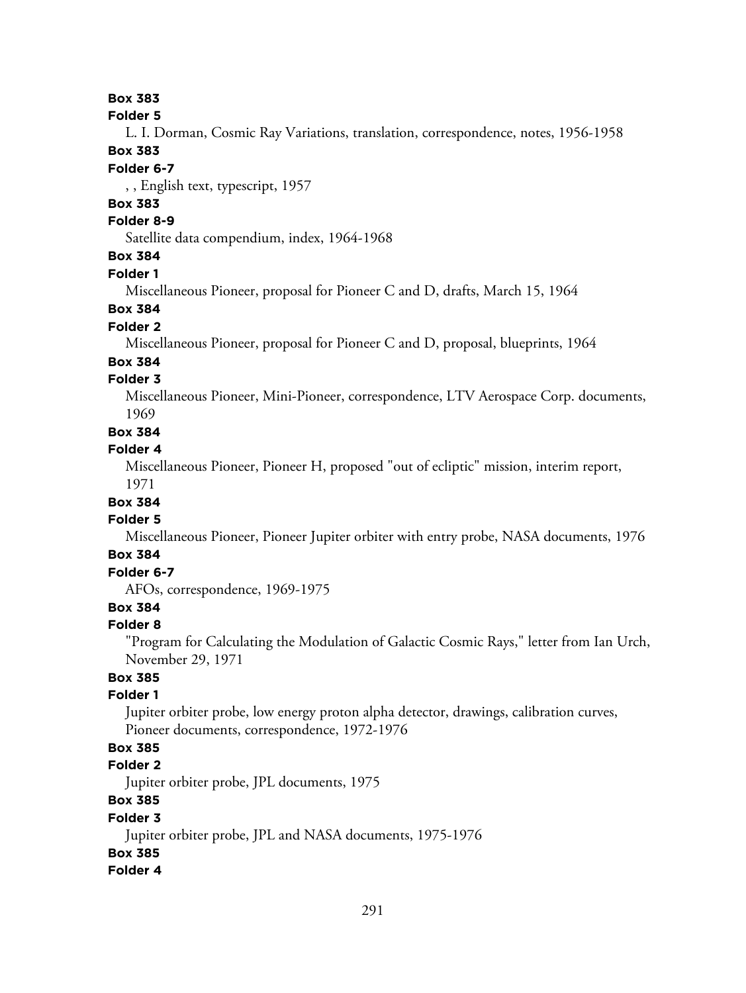### **Box 383**

#### **Folder 5**

L. I. Dorman, Cosmic Ray Variations, translation, correspondence, notes, 1956-1958 **Box 383**

#### **Folder 6-7**

, , English text, typescript, 1957

# **Box 383**

#### **Folder 8-9**

Satellite data compendium, index, 1964-1968

# **Box 384**

#### **Folder 1**

Miscellaneous Pioneer, proposal for Pioneer C and D, drafts, March 15, 1964

### **Box 384**

#### **Folder 2**

Miscellaneous Pioneer, proposal for Pioneer C and D, proposal, blueprints, 1964

#### **Box 384**

### **Folder 3**

Miscellaneous Pioneer, Mini-Pioneer, correspondence, LTV Aerospace Corp. documents, 1969

#### **Box 384**

#### **Folder 4**

Miscellaneous Pioneer, Pioneer H, proposed "out of ecliptic" mission, interim report,

1971

# **Box 384**

## **Folder 5**

Miscellaneous Pioneer, Pioneer Jupiter orbiter with entry probe, NASA documents, 1976

### **Box 384**

# **Folder 6-7**

AFOs, correspondence, 1969-1975

# **Box 384**

#### **Folder 8**

"Program for Calculating the Modulation of Galactic Cosmic Rays," letter from Ian Urch, November 29, 1971

# **Box 385**

### **Folder 1**

Jupiter orbiter probe, low energy proton alpha detector, drawings, calibration curves, Pioneer documents, correspondence, 1972-1976

### **Box 385**

#### **Folder 2**

Jupiter orbiter probe, JPL documents, 1975

### **Box 385**

#### **Folder 3**

Jupiter orbiter probe, JPL and NASA documents, 1975-1976

#### **Box 385**

#### **Folder 4**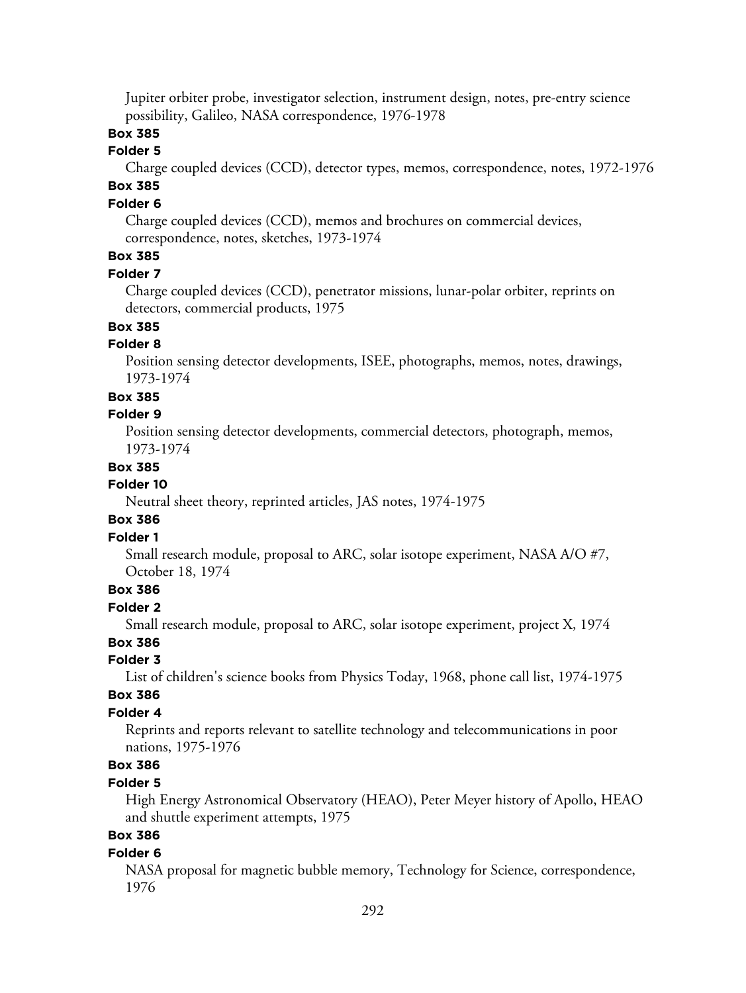Jupiter orbiter probe, investigator selection, instrument design, notes, pre-entry science possibility, Galileo, NASA correspondence, 1976-1978

### **Box 385**

### **Folder 5**

Charge coupled devices (CCD), detector types, memos, correspondence, notes, 1972-1976

# **Box 385**

## **Folder 6**

Charge coupled devices (CCD), memos and brochures on commercial devices, correspondence, notes, sketches, 1973-1974

# **Box 385**

#### **Folder 7**

Charge coupled devices (CCD), penetrator missions, lunar-polar orbiter, reprints on detectors, commercial products, 1975

### **Box 385**

#### **Folder 8**

Position sensing detector developments, ISEE, photographs, memos, notes, drawings, 1973-1974

#### **Box 385**

#### **Folder 9**

Position sensing detector developments, commercial detectors, photograph, memos, 1973-1974

#### **Box 385**

#### **Folder 10**

Neutral sheet theory, reprinted articles, JAS notes, 1974-1975

### **Box 386**

### **Folder 1**

Small research module, proposal to ARC, solar isotope experiment, NASA A/O #7, October 18, 1974

### **Box 386**

#### **Folder 2**

Small research module, proposal to ARC, solar isotope experiment, project X, 1974

### **Box 386**

#### **Folder 3**

List of children's science books from Physics Today, 1968, phone call list, 1974-1975

#### **Box 386**

#### **Folder 4**

Reprints and reports relevant to satellite technology and telecommunications in poor nations, 1975-1976

## **Box 386**

### **Folder 5**

High Energy Astronomical Observatory (HEAO), Peter Meyer history of Apollo, HEAO and shuttle experiment attempts, 1975

### **Box 386**

#### **Folder 6**

NASA proposal for magnetic bubble memory, Technology for Science, correspondence, 1976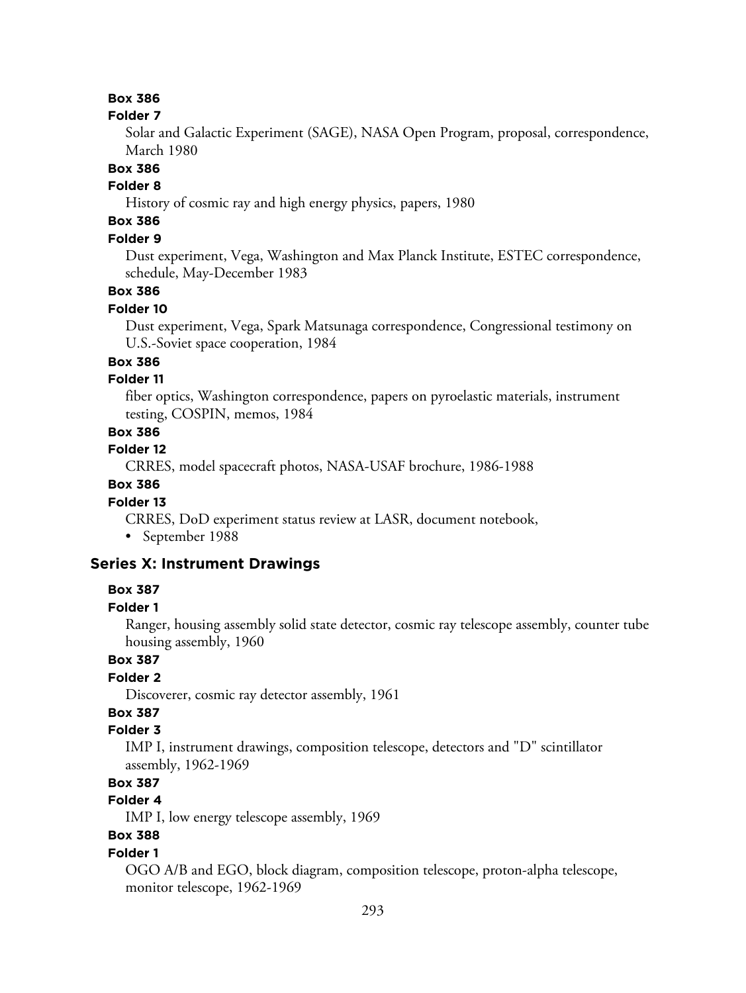### **Box 386**

#### **Folder 7**

Solar and Galactic Experiment (SAGE), NASA Open Program, proposal, correspondence, March 1980

#### **Box 386**

### **Folder 8**

History of cosmic ray and high energy physics, papers, 1980

# **Box 386**

### **Folder 9**

Dust experiment, Vega, Washington and Max Planck Institute, ESTEC correspondence, schedule, May-December 1983

#### **Box 386**

#### **Folder 10**

Dust experiment, Vega, Spark Matsunaga correspondence, Congressional testimony on U.S.-Soviet space cooperation, 1984

### **Box 386**

### **Folder 11**

fiber optics, Washington correspondence, papers on pyroelastic materials, instrument testing, COSPIN, memos, 1984

### **Box 386**

#### **Folder 12**

CRRES, model spacecraft photos, NASA-USAF brochure, 1986-1988

### **Box 386**

#### **Folder 13**

CRRES, DoD experiment status review at LASR, document notebook,

• September 1988

### **Series X: Instrument Drawings**

#### **Box 387**

#### **Folder 1**

Ranger, housing assembly solid state detector, cosmic ray telescope assembly, counter tube housing assembly, 1960

## **Box 387**

### **Folder 2**

Discoverer, cosmic ray detector assembly, 1961

# **Box 387**

### **Folder 3**

IMP I, instrument drawings, composition telescope, detectors and "D" scintillator assembly, 1962-1969

### **Box 387**

# **Folder 4**

IMP I, low energy telescope assembly, 1969

# **Box 388**

#### **Folder 1**

OGO A/B and EGO, block diagram, composition telescope, proton-alpha telescope, monitor telescope, 1962-1969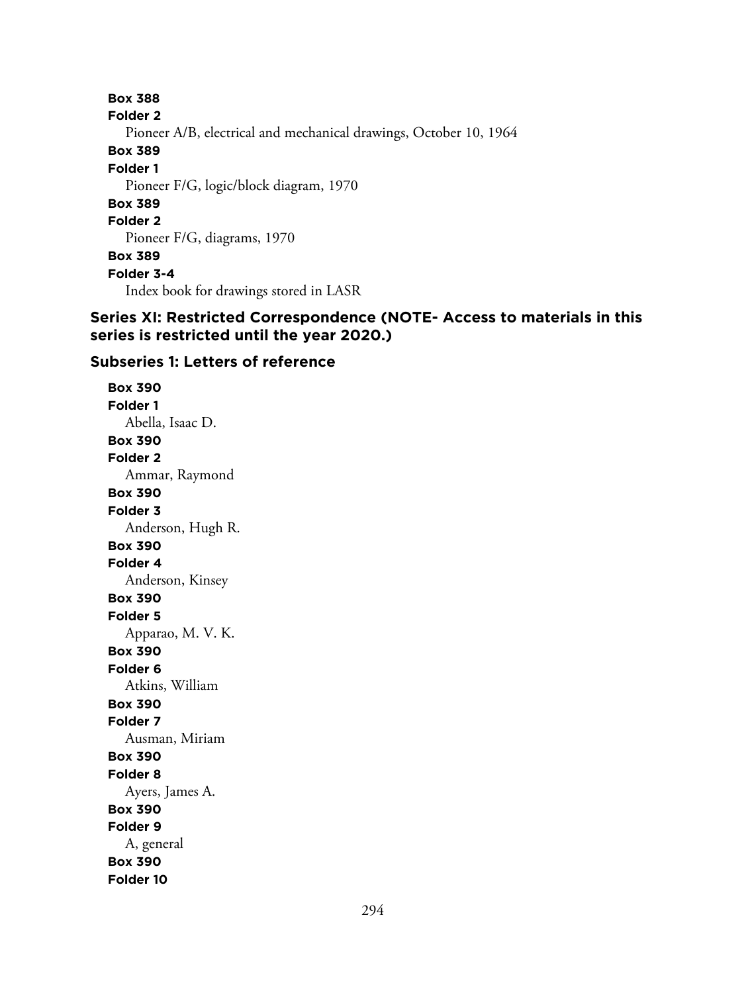**Box 388 Folder 2** Pioneer A/B, electrical and mechanical drawings, October 10, 1964 **Box 389 Folder 1** Pioneer F/G, logic/block diagram, 1970 **Box 389 Folder 2** Pioneer F/G, diagrams, 1970 **Box 389 Folder 3-4** Index book for drawings stored in LASR

### **Series XI: Restricted Correspondence (NOTE- Access to materials in this series is restricted until the year 2020.)**

### **Subseries 1: Letters of reference**

**Box 390 Folder 1** Abella, Isaac D. **Box 390 Folder 2** Ammar, Raymond **Box 390 Folder 3** Anderson, Hugh R. **Box 390 Folder 4** Anderson, Kinsey **Box 390 Folder 5** Apparao, M. V. K. **Box 390 Folder 6** Atkins, William **Box 390 Folder 7** Ausman, Miriam **Box 390 Folder 8** Ayers, James A. **Box 390 Folder 9** A, general **Box 390 Folder 10**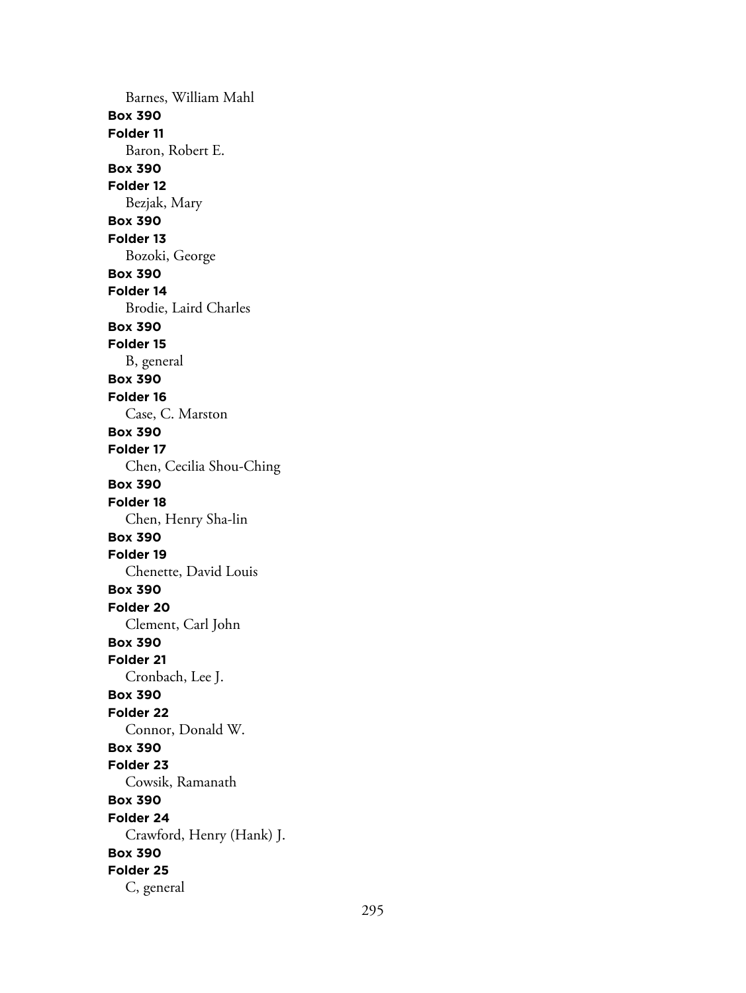Barnes, William Mahl **Box 390 Folder 11** Baron, Robert E. **Box 390 Folder 12** Bezjak, Mary **Box 390 Folder 13** Bozoki, George **Box 390 Folder 14** Brodie, Laird Charles **Box 390 Folder 15** B, general **Box 390 Folder 16** Case, C. Marston **Box 390 Folder 17** Chen, Cecilia Shou-Ching **Box 390 Folder 18** Chen, Henry Sha-lin **Box 390 Folder 19** Chenette, David Louis **Box 390 Folder 20** Clement, Carl John **Box 390 Folder 21** Cronbach, Lee J. **Box 390 Folder 22** Connor, Donald W. **Box 390 Folder 23** Cowsik, Ramanath **Box 390 Folder 24** Crawford, Henry (Hank) J. **Box 390 Folder 25** C, general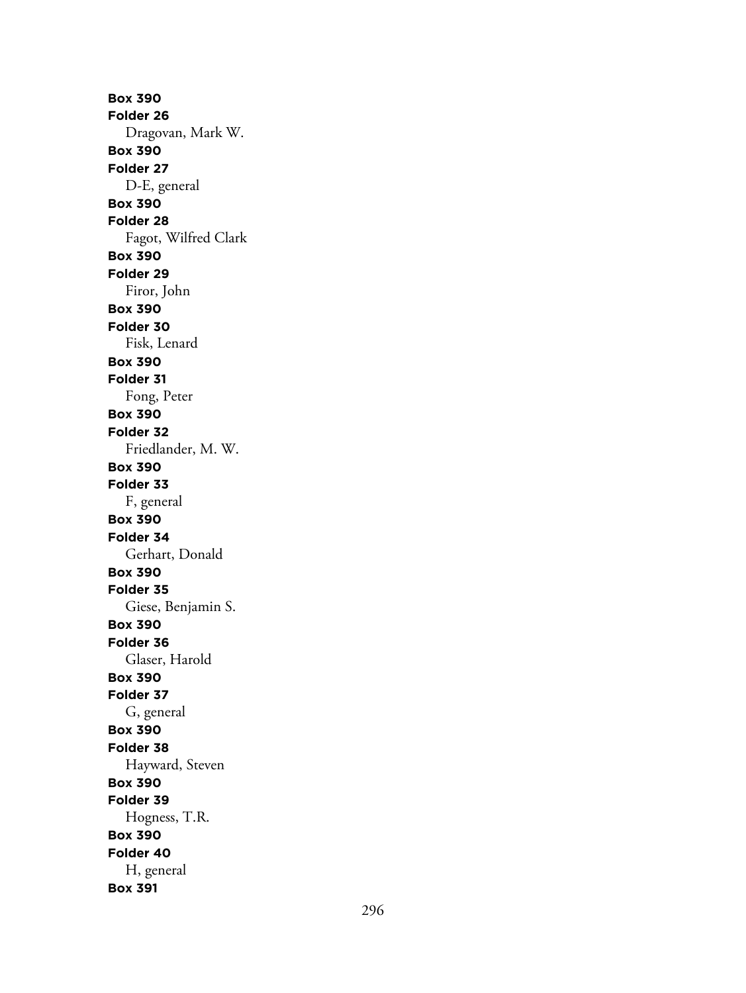**Box 390 Folder 26** Dragovan, Mark W. **Box 390 Folder 27** D-E, general **Box 390 Folder 28** Fagot, Wilfred Clark **Box 390 Folder 29** Firor, John **Box 390 Folder 30** Fisk, Lenard **Box 390 Folder 31** Fong, Peter **Box 390 Folder 32** Friedlander, M. W. **Box 390 Folder 33** F, general **Box 390 Folder 34** Gerhart, Donald **Box 390 Folder 35** Giese, Benjamin S. **Box 390 Folder 36** Glaser, Harold **Box 390 Folder 37** G, general **Box 390 Folder 38** Hayward, Steven **Box 390 Folder 39** Hogness, T.R. **Box 390 Folder 40** H, general **Box 391**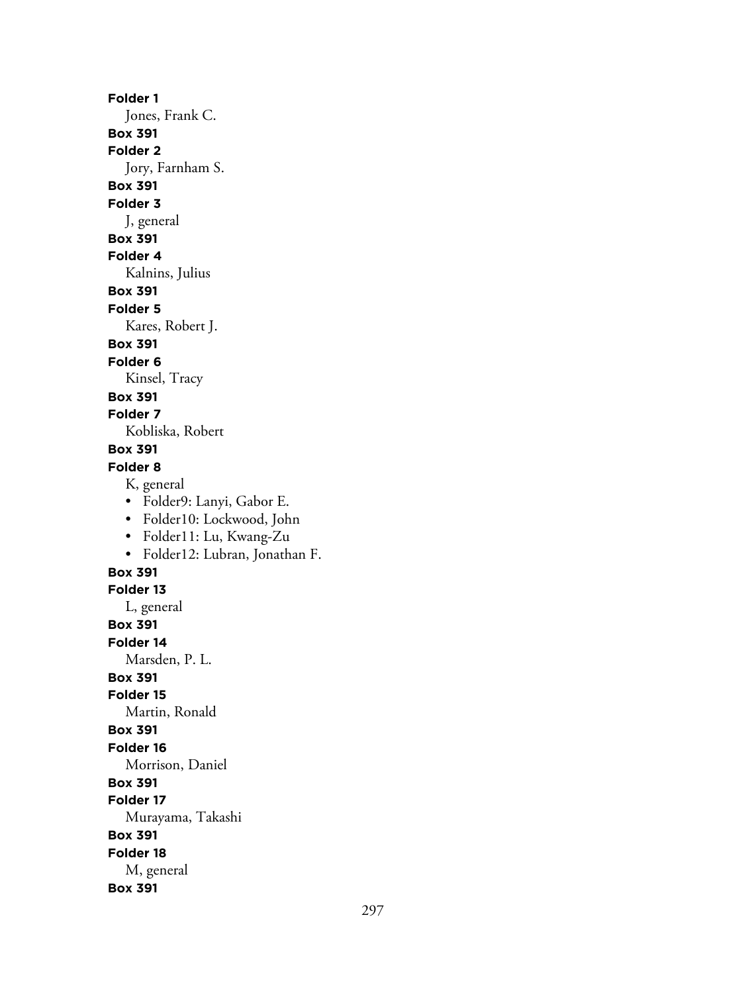**Folder 1**

Jones, Frank C.

**Box 391**

**Folder 2**

Jory, Farnham S.

**Box 391**

**Folder 3**

J, general

**Box 391**

# **Folder 4**

Kalnins, Julius

**Box 391**

### **Folder 5**

Kares, Robert J.

# **Box 391**

**Folder 6**

Kinsel, Tracy

# **Box 391**

**Folder 7**

Kobliska, Robert

# **Box 391**

## **Folder 8**

K, general

- Folder9: Lanyi, Gabor E.
- Folder10: Lockwood, John
- Folder11: Lu, Kwang-Zu
- Folder12: Lubran, Jonathan F.

### **Box 391**

**Folder 13**

L, general **Box 391**

**Folder 14**

Marsden, P. L.

## **Box 391**

**Folder 15**

Martin, Ronald

### **Box 391**

**Folder 16**

Morrison, Daniel

# **Box 391**

**Folder 17**

Murayama, Takashi

# **Box 391**

**Folder 18**

M, general

### **Box 391**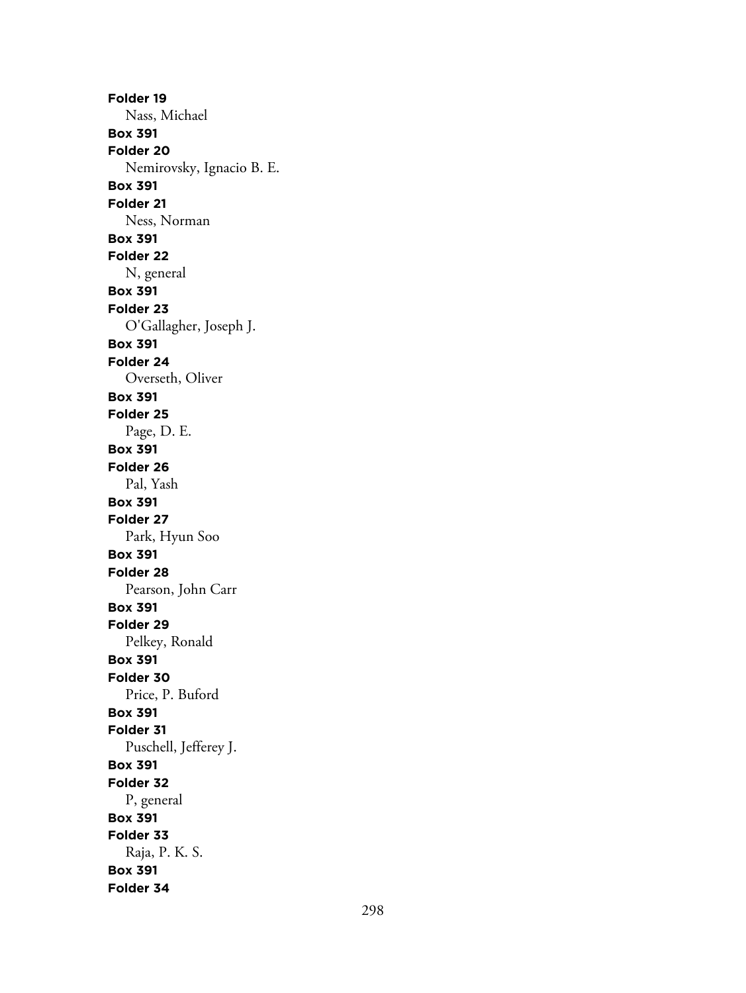**Folder 19** Nass, Michael **Box 391 Folder 20** Nemirovsky, Ignacio B. E. **Box 391 Folder 21** Ness, Norman **Box 391 Folder 22** N, general **Box 391 Folder 23** O'Gallagher, Joseph J. **Box 391 Folder 24** Overseth, Oliver **Box 391 Folder 25** Page, D. E. **Box 391 Folder 26** Pal, Yash **Box 391 Folder 27** Park, Hyun Soo **Box 391 Folder 28** Pearson, John Carr **Box 391 Folder 29** Pelkey, Ronald **Box 391 Folder 30** Price, P. Buford **Box 391 Folder 31** Puschell, Jefferey J. **Box 391 Folder 32** P, general **Box 391 Folder 33** Raja, P. K. S. **Box 391 Folder 34**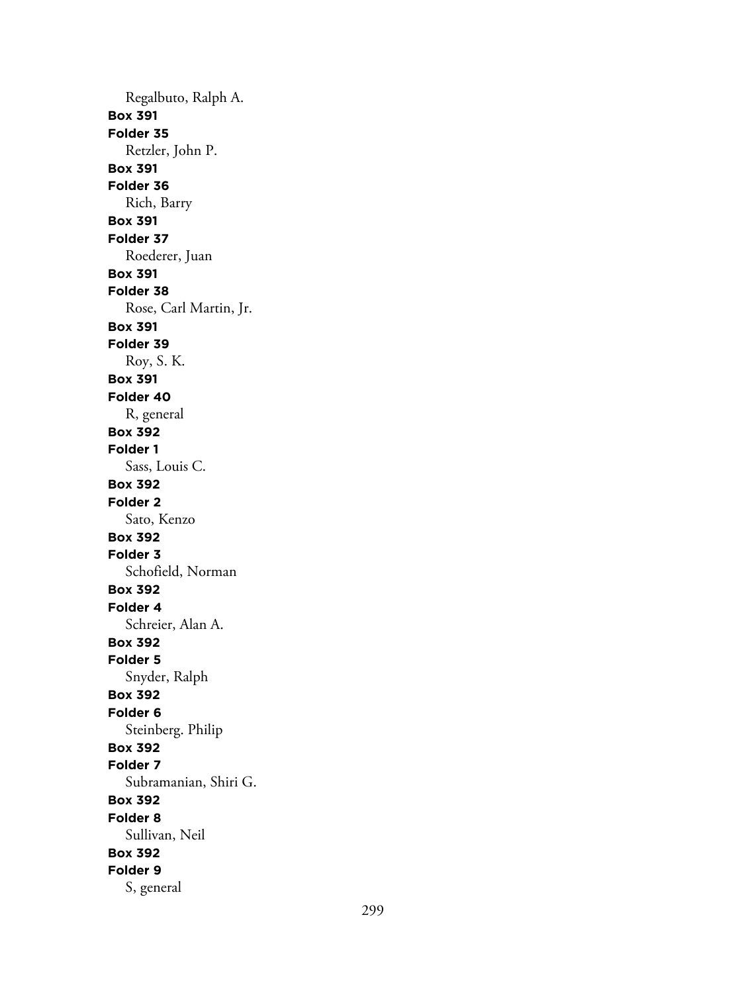Regalbuto, Ralph A. **Box 391 Folder 35** Retzler, John P. **Box 391 Folder 36** Rich, Barry **Box 391 Folder 37** Roederer, Juan **Box 391 Folder 38** Rose, Carl Martin, Jr. **Box 391 Folder 39** Roy, S. K. **Box 391 Folder 40** R, general **Box 392 Folder 1** Sass, Louis C. **Box 392 Folder 2** Sato, Kenzo **Box 392 Folder 3** Schofield, Norman **Box 392 Folder 4** Schreier, Alan A. **Box 392 Folder 5** Snyder, Ralph **Box 392 Folder 6** Steinberg. Philip **Box 392 Folder 7** Subramanian, Shiri G. **Box 392 Folder 8** Sullivan, Neil **Box 392 Folder 9** S, general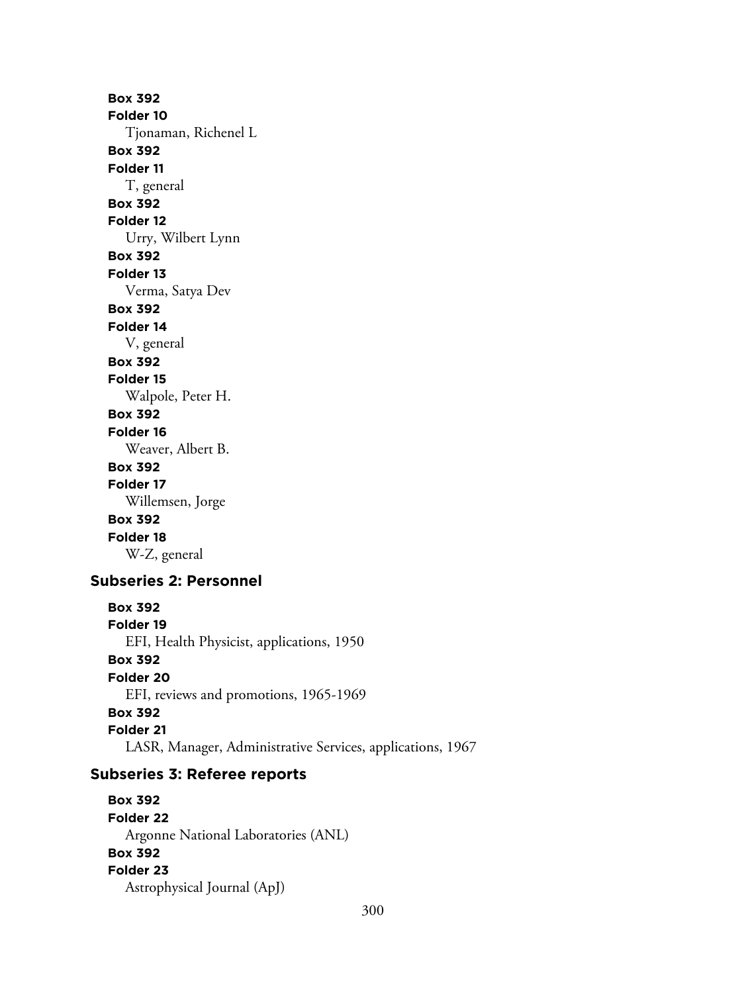**Box 392 Folder 10** Tjonaman, Richenel L **Box 392 Folder 11** T, general **Box 392 Folder 12** Urry, Wilbert Lynn **Box 392 Folder 13** Verma, Satya Dev **Box 392 Folder 14** V, general **Box 392 Folder 15** Walpole, Peter H. **Box 392 Folder 16** Weaver, Albert B. **Box 392 Folder 17** Willemsen, Jorge **Box 392 Folder 18** W-Z, general **Subseries 2: Personnel Box 392 Folder 19** EFI, Health Physicist, applications, 1950 **Box 392 Folder 20** EFI, reviews and promotions, 1965-1969

# **Box 392**

**Folder 21**

LASR, Manager, Administrative Services, applications, 1967

# **Subseries 3: Referee reports**

**Box 392 Folder 22** Argonne National Laboratories (ANL) **Box 392 Folder 23** Astrophysical Journal (ApJ)